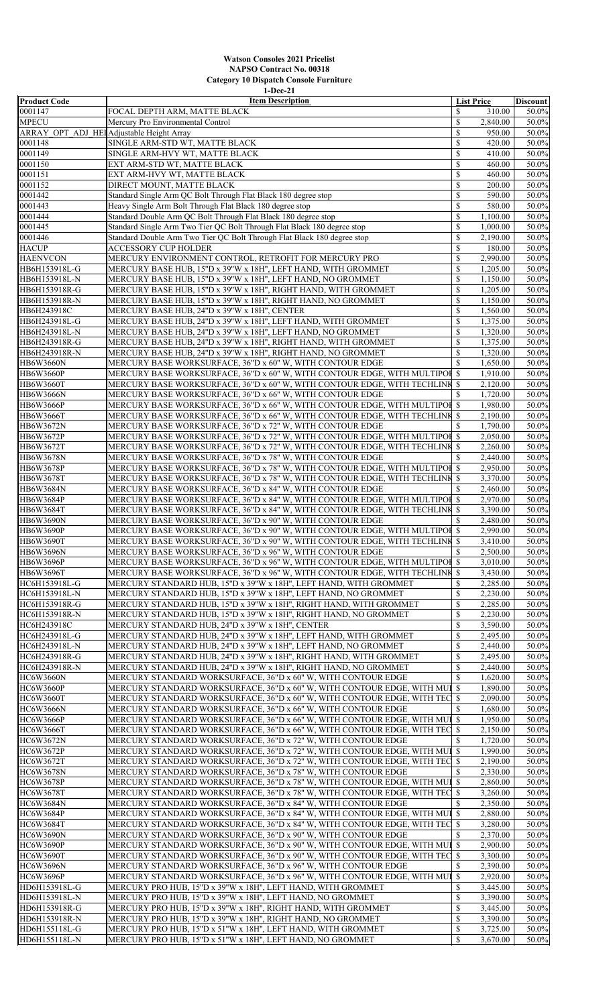## **Watson Consoles 2021 Pricelist NAPSO Contract No. 00318 Category 10 Dispatch Console Furniture 1-Dec-21**

| <b>Product Code</b> | <b>Item Description</b>                                                     | <b>List Price</b>                     | <b>Discount</b> |
|---------------------|-----------------------------------------------------------------------------|---------------------------------------|-----------------|
| 0001147             | FOCAL DEPTH ARM, MATTE BLACK                                                | 310.00<br>\$                          | 50.0%           |
| <b>MPECU</b>        | Mercury Pro Environmental Control                                           | 2,840.00<br>$\boldsymbol{\mathsf{S}}$ | 50.0%           |
|                     | ARRAY OPT ADJ HELAdjustable Height Array                                    | $\mathbb{S}$<br>950.00                | 50.0%           |
| 0001148             | SINGLE ARM-STD WT, MATTE BLACK                                              | $\mathbb{S}$<br>420.00                | 50.0%           |
| 0001149             | SINGLE ARM-HVY WT, MATTE BLACK                                              | 410.00<br>$\mathbb{S}$                | 50.0%           |
| 0001150             | EXT ARM-STD WT, MATTE BLACK                                                 | \$<br>460.00                          | 50.0%           |
| 0001151             | EXT ARM-HVY WT, MATTE BLACK                                                 | \$<br>460.00                          | 50.0%           |
| 0001152             | DIRECT MOUNT, MATTE BLACK                                                   | $\mathbb{S}$<br>200.00                | 50.0%           |
| 0001442             | Standard Single Arm QC Bolt Through Flat Black 180 degree stop              | $\mathbb{S}$<br>590.00                | 50.0%           |
| 0001443             | Heavy Single Arm Bolt Through Flat Black 180 degree stop                    | $\mathbb{S}$<br>580.00                | 50.0%           |
| 0001444             | Standard Double Arm QC Bolt Through Flat Black 180 degree stop              | $\mathcal{S}$<br>1,100.00             | 50.0%           |
| 0001445             | Standard Single Arm Two Tier QC Bolt Through Flat Black 180 degree stop     | $\mathbb{S}$<br>1,000.00              | 50.0%           |
| 0001446             | Standard Double Arm Two Tier QC Bolt Through Flat Black 180 degree stop     | $\mathcal{S}$<br>2,190.00             | 50.0%           |
| <b>HACUP</b>        | <b>ACCESSORY CUP HOLDER</b>                                                 | $\boldsymbol{\mathsf{S}}$<br>180.00   | 50.0%           |
| <b>HAENVCON</b>     | MERCURY ENVIRONMENT CONTROL, RETROFIT FOR MERCURY PRO                       | \$<br>2,990.00                        | 50.0%           |
| HB6H153918L-G       | MERCURY BASE HUB, 15"D x 39"W x 18H", LEFT HAND, WITH GROMMET               | $\mathcal{S}$<br>1,205.00             | 50.0%           |
| HB6H153918L-N       | MERCURY BASE HUB, 15"D x 39"W x 18H", LEFT HAND, NO GROMMET                 | $\mathcal{S}$<br>1,150.00             | 50.0%           |
| HB6H153918R-G       | MERCURY BASE HUB, 15"D x 39"W x 18H", RIGHT HAND, WITH GROMMET              | $\mathcal{S}$<br>1,205.00             | 50.0%           |
| HB6H153918R-N       | MERCURY BASE HUB, 15"D x 39"W x 18H", RIGHT HAND, NO GROMMET                | $\mathcal{S}$<br>1,150.00             | 50.0%           |
| HB6H243918C         | MERCURY BASE HUB, 24"D x 39"W x 18H", CENTER                                | $\mathbb{S}$<br>1,560.00              | 50.0%           |
| HB6H243918L-G       | MERCURY BASE HUB, 24"D x 39"W x 18H", LEFT HAND, WITH GROMMET               | $\mathcal{S}$<br>1,375.00             | 50.0%           |
| HB6H243918L-N       | MERCURY BASE HUB, 24"D x 39"W x 18H", LEFT HAND, NO GROMMET                 | $\mathcal{S}$<br>1,320.00             | 50.0%           |
| HB6H243918R-G       | MERCURY BASE HUB, 24"D x 39"W x 18H", RIGHT HAND, WITH GROMMET              | $\mathcal{S}$<br>1,375.00             | 50.0%           |
| HB6H243918R-N       | MERCURY BASE HUB, 24"D x 39"W x 18H", RIGHT HAND, NO GROMMET                | $\boldsymbol{\mathsf{S}}$<br>1,320.00 | 50.0%           |
| <b>HB6W3660N</b>    | MERCURY BASE WORKSURFACE, 36"D x 60" W, WITH CONTOUR EDGE                   | $\mathbb{S}$<br>1,650.00              | 50.0%           |
| HB6W3660P           | MERCURY BASE WORKSURFACE, 36"D x 60" W, WITH CONTOUR EDGE, WITH MULTIPOI \$ | 1,910.00                              | 50.0%           |
| HB6W3660T           | MERCURY BASE WORKSURFACE, 36"D x 60" W, WITH CONTOUR EDGE, WITH TECHLINK \$ | 2,120.00                              | 50.0%           |
| HB6W3666N           | MERCURY BASE WORKSURFACE, 36"D x 66" W, WITH CONTOUR EDGE                   | <sup>\$</sup><br>1,720.00             | 50.0%           |
| HB6W3666P           | MERCURY BASE WORKSURFACE, 36"D x 66" W, WITH CONTOUR EDGE, WITH MULTIPOH \$ | 1,980.00                              | 50.0%           |
| <b>HB6W3666T</b>    | MERCURY BASE WORKSURFACE, 36"D x 66" W, WITH CONTOUR EDGE, WITH TECHLINK \$ | 2,190.00                              | 50.0%           |
| HB6W3672N           | MERCURY BASE WORKSURFACE, 36"D x 72" W, WITH CONTOUR EDGE                   | $\mathbb{S}$<br>1,790.00              | 50.0%           |
| HB6W3672P           | MERCURY BASE WORKSURFACE, 36"D x 72" W, WITH CONTOUR EDGE, WITH MULTIPOH \$ | 2,050.00                              | 50.0%           |
| HB6W3672T           | MERCURY BASE WORKSURFACE, 36"D x 72" W, WITH CONTOUR EDGE, WITH TECHLINK \$ | 2,260.00                              | 50.0%           |
| HB6W3678N           | MERCURY BASE WORKSURFACE, 36"D x 78" W, WITH CONTOUR EDGE                   | $\mathbb{S}$<br>2,440.00              | 50.0%           |
| HB6W3678P           | MERCURY BASE WORKSURFACE, 36"D x 78" W, WITH CONTOUR EDGE, WITH MULTIPOH \$ | 2,950.00                              | 50.0%           |
| HB6W3678T           | MERCURY BASE WORKSURFACE, 36"D x 78" W, WITH CONTOUR EDGE, WITH TECHLINK \$ | 3,370.00                              | 50.0%           |
| HB6W3684N           | MERCURY BASE WORKSURFACE, 36"D x 84" W, WITH CONTOUR EDGE                   | $\mathcal{S}$<br>2,460.00             | 50.0%           |
| HB6W3684P           | MERCURY BASE WORKSURFACE, 36"D x 84" W, WITH CONTOUR EDGE, WITH MULTIPOI \$ | 2,970.00                              | 50.0%           |
| HB6W3684T           | MERCURY BASE WORKSURFACE, 36"D x 84" W, WITH CONTOUR EDGE, WITH TECHLINK \$ | 3,390.00                              | 50.0%           |
| HB6W3690N           | MERCURY BASE WORKSURFACE, 36"D x 90" W, WITH CONTOUR EDGE                   | $\mathbb{S}$<br>2,480.00              | 50.0%           |
| HB6W3690P           | MERCURY BASE WORKSURFACE, 36"D x 90" W, WITH CONTOUR EDGE, WITH MULTIPOI \$ | 2,990.00                              | 50.0%           |
| HB6W3690T           | MERCURY BASE WORKSURFACE, 36"D x 90" W, WITH CONTOUR EDGE, WITH TECHLINK \$ | 3,410.00                              | 50.0%           |
| HB6W3696N           | MERCURY BASE WORKSURFACE, 36"D x 96" W, WITH CONTOUR EDGE                   | $\mathcal{S}$<br>2,500.00             | 50.0%           |
| HB6W3696P           | MERCURY BASE WORKSURFACE, 36"D x 96" W, WITH CONTOUR EDGE, WITH MULTIPOH    | $\mathcal{S}$<br>3,010.00             | 50.0%           |
| HB6W3696T           | MERCURY BASE WORKSURFACE, 36"D x 96" W, WITH CONTOUR EDGE, WITH TECHLINK \$ | 3,430.00                              | 50.0%           |
| HC6H153918L-G       | MERCURY STANDARD HUB, 15"D x 39"W x 18H", LEFT HAND, WITH GROMMET           | $\mathcal{S}$<br>2,285.00             | 50.0%           |
| HC6H153918L-N       | MERCURY STANDARD HUB, 15"D x 39"W x 18H", LEFT HAND, NO GROMMET             | $\mathcal{S}$<br>2,230.00             | 50.0%           |
| HC6H153918R-G       | MERCURY STANDARD HUB, 15"D x 39"W x 18H", RIGHT HAND, WITH GROMMET          | $\mathbb{S}$<br>2,285.00              | 50.0%           |
| HC6H153918R-N       | MERCURY STANDARD HUB, 15"D x 39"W x 18H", RIGHT HAND, NO GROMMET            | $\mathcal{S}$<br>2,230.00             | 50.0%           |
| HC6H243918C         | MERCURY STANDARD HUB, 24"D x 39"W x 18H", CENTER                            | $\mathbb{S}$<br>3,590.00              | 50.0%           |
| HC6H243918L-G       | MERCURY STANDARD HUB, 24"D x 39"W x 18H", LEFT HAND, WITH GROMMET           | $\mathbb{S}$<br>2,495.00              | 50.0%           |
| HC6H243918L-N       | MERCURY STANDARD HUB, 24"D x 39"W x 18H", LEFT HAND, NO GROMMET             | $\mathcal{S}$<br>2,440.00             | 50.0%           |
| HC6H243918R-G       | MERCURY STANDARD HUB, 24"D x 39"W x 18H", RIGHT HAND, WITH GROMMET          | $\mathbb{S}$<br>2,495.00              | 50.0%           |
| HC6H243918R-N       | MERCURY STANDARD HUB, 24"D x 39"W x 18H", RIGHT HAND, NO GROMMET            | $\mathcal{S}$<br>2,440.00             | 50.0%           |
| <b>HC6W3660N</b>    | MERCURY STANDARD WORKSURFACE, 36"D x 60" W, WITH CONTOUR EDGE               | $\mathbb{S}$<br>1,620.00              | 50.0%           |
| <b>HC6W3660P</b>    | MERCURY STANDARD WORKSURFACE, 36"D x 60" W, WITH CONTOUR EDGE, WITH MUI \$  | 1,890.00                              | 50.0%           |
| <b>HC6W3660T</b>    | MERCURY STANDARD WORKSURFACE, 36"D x 60" W, WITH CONTOUR EDGE, WITH TEC     | $\mathcal{S}$<br>2,090.00             | 50.0%           |
| <b>HC6W3666N</b>    | MERCURY STANDARD WORKSURFACE, 36"D x 66" W, WITH CONTOUR EDGE               | $\mathbb{S}$<br>1,680.00              | 50.0%           |
| <b>HC6W3666P</b>    | MERCURY STANDARD WORKSURFACE, 36"D x 66" W, WITH CONTOUR EDGE, WITH MUI \$  | 1,950.00                              | 50.0%           |
| <b>HC6W3666T</b>    | MERCURY STANDARD WORKSURFACE, 36"D x 66" W, WITH CONTOUR EDGE, WITH TEC \$  | 2,150.00                              | 50.0%           |
| HC6W3672N           | MERCURY STANDARD WORKSURFACE, 36"D x 72" W, WITH CONTOUR EDGE               | $\mathbb{S}$<br>1,720.00              | 50.0%           |
| <b>HC6W3672P</b>    | MERCURY STANDARD WORKSURFACE, 36"D x 72" W, WITH CONTOUR EDGE, WITH MUI \$  | 1,990.00                              | 50.0%           |
| <b>HC6W3672T</b>    | MERCURY STANDARD WORKSURFACE, 36"D x 72" W, WITH CONTOUR EDGE, WITH TEC \\$ | 2,190.00                              | 50.0%           |
| <b>HC6W3678N</b>    | MERCURY STANDARD WORKSURFACE, 36"D x 78" W, WITH CONTOUR EDGE               | $\mathbb{S}$<br>2,330.00              | 50.0%           |
| <b>HC6W3678P</b>    | MERCURY STANDARD WORKSURFACE, 36"D x 78" W, WITH CONTOUR EDGE, WITH MUI \$  | 2,860.00                              | 50.0%           |
| <b>HC6W3678T</b>    | MERCURY STANDARD WORKSURFACE, 36"D x 78" W, WITH CONTOUR EDGE, WITH TEC     | $\mathbb{S}$<br>3,260.00              | 50.0%           |
| <b>HC6W3684N</b>    | MERCURY STANDARD WORKSURFACE, 36"D x 84" W, WITH CONTOUR EDGE               | $\mathcal{S}$<br>2,350.00             | 50.0%           |
| <b>HC6W3684P</b>    | MERCURY STANDARD WORKSURFACE, 36"D x 84" W, WITH CONTOUR EDGE, WITH MUI \$  | 2,880.00                              | 50.0%           |
| <b>HC6W3684T</b>    | MERCURY STANDARD WORKSURFACE, 36"D x 84" W, WITH CONTOUR EDGE, WITH TEC     | $\mathcal{S}$<br>3,280.00             | 50.0%           |
| <b>HC6W3690N</b>    | MERCURY STANDARD WORKSURFACE, 36"D x 90" W, WITH CONTOUR EDGE               | $\mathbb{S}$<br>2,370.00              | 50.0%           |
| <b>HC6W3690P</b>    | MERCURY STANDARD WORKSURFACE, 36"D x 90" W, WITH CONTOUR EDGE, WITH MUI \$  | 2,900.00                              | 50.0%           |
|                     |                                                                             |                                       | 50.0%           |
| <b>HC6W3690T</b>    | MERCURY STANDARD WORKSURFACE, 36"D x 90" W, WITH CONTOUR EDGE, WITH TEC     | $\mathcal{S}$<br>3,300.00             |                 |
| <b>HC6W3696N</b>    | MERCURY STANDARD WORKSURFACE, 36"D x 96" W, WITH CONTOUR EDGE               | $\mathbb{S}$<br>2,390.00              | 50.0%           |
| <b>HC6W3696P</b>    | MERCURY STANDARD WORKSURFACE, 36"D x 96" W, WITH CONTOUR EDGE, WITH MUI     | $\mathbb{S}$<br>2,920.00              | 50.0%           |
| HD6H153918L-G       | MERCURY PRO HUB, 15"D x 39"W x 18H", LEFT HAND, WITH GROMMET                | $\mathcal{S}$<br>3,445.00             | 50.0%           |
| HD6H153918L-N       | MERCURY PRO HUB, 15"D x 39"W x 18H", LEFT HAND, NO GROMMET                  | $\mathbb{S}$<br>3,390.00              | 50.0%           |
| HD6H153918R-G       | MERCURY PRO HUB, 15"D x 39"W x 18H", RIGHT HAND, WITH GROMMET               | $\mathbb{S}$<br>3,445.00              | 50.0%           |
| HD6H153918R-N       | MERCURY PRO HUB, 15"D x 39"W x 18H", RIGHT HAND, NO GROMMET                 | $\boldsymbol{\mathsf{S}}$<br>3,390.00 | 50.0%           |
| HD6H155118L-G       | MERCURY PRO HUB, 15"D x 51"W x 18H", LEFT HAND, WITH GROMMET                | $\boldsymbol{\mathsf{S}}$<br>3,725.00 | 50.0%           |
| HD6H155118L-N       | MERCURY PRO HUB, 15"D x 51"W x 18H", LEFT HAND, NO GROMMET                  | $\mathbb{S}$<br>3,670.00              | 50.0%           |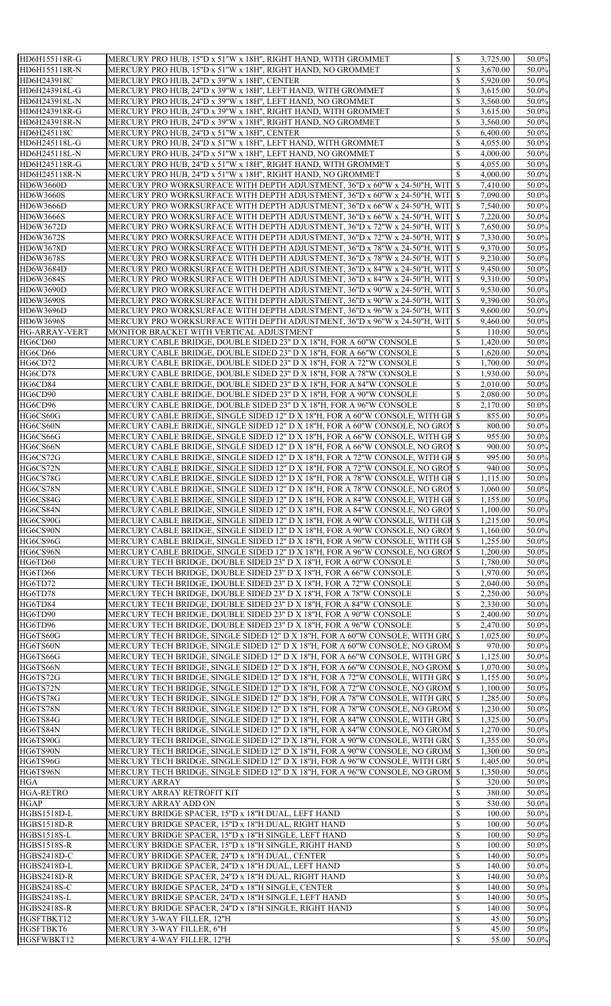| HD6H155118R-G                     | MERCURY PRO HUB, 15"D x 51"W x 18H", RIGHT HAND, WITH GROMMET                                                                                                                | \$                        | 3,725.00             | 50.0%          |
|-----------------------------------|------------------------------------------------------------------------------------------------------------------------------------------------------------------------------|---------------------------|----------------------|----------------|
| HD6H155118R-N                     | MERCURY PRO HUB, 15"D x 51"W x 18H", RIGHT HAND, NO GROMMET                                                                                                                  | \$                        | 3,670.00             | 50.0%          |
| HD6H243918C<br>HD6H243918L-G      | MERCURY PRO HUB, 24"D x 39"W x 18H", CENTER                                                                                                                                  | \$<br>\$                  | 5,920.00             | 50.0%          |
| HD6H243918L-N                     | MERCURY PRO HUB, 24"D x 39"W x 18H", LEFT HAND, WITH GROMMET<br>MERCURY PRO HUB, 24"D x 39"W x 18H", LEFT HAND, NO GROMMET                                                   | \$                        | 3,615.00<br>3,560.00 | 50.0%<br>50.0% |
| HD6H243918R-G                     | MERCURY PRO HUB, 24"D x 39"W x 18H", RIGHT HAND, WITH GROMMET                                                                                                                | \$                        | 3,615.00             | 50.0%          |
| HD6H243918R-N                     | MERCURY PRO HUB, 24"D x 39"W x 18H", RIGHT HAND, NO GROMMET                                                                                                                  | \$                        | 3,560.00             | 50.0%          |
| HD6H245118C                       | MERCURY PRO HUB, 24"D x 51"W x 18H", CENTER                                                                                                                                  | \$                        | 6,400.00             | 50.0%          |
| HD6H245118L-G                     | MERCURY PRO HUB, 24"D x 51"W x 18H", LEFT HAND, WITH GROMMET                                                                                                                 | \$                        | 4,055.00             | 50.0%          |
| HD6H245118L-N                     | MERCURY PRO HUB, 24"D x 51"W x 18H", LEFT HAND, NO GROMMET                                                                                                                   | \$                        | 4,000.00             | 50.0%          |
| HD6H245118R-G                     | MERCURY PRO HUB, 24"D x 51"W x 18H", RIGHT HAND, WITH GROMMET                                                                                                                | \$                        | 4,055.00             | 50.0%          |
| HD6H245118R-N                     | MERCURY PRO HUB, 24"D x 51"W x 18H", RIGHT HAND, NO GROMMET                                                                                                                  | \$                        | 4,000.00             | 50.0%          |
| HD6W3660D<br>HD6W3660S            | MERCURY PRO WORKSURFACE WITH DEPTH ADJUSTMENT, 36"D x 60"W x 24-50"H, WIT \$<br>MERCURY PRO WORKSURFACE WITH DEPTH ADJUSTMENT, 36"D x 60"W x 24-50"H, WIT \$                 |                           | 7,410.00<br>7,090.00 | 50.0%<br>50.0% |
| HD6W3666D                         | MERCURY PRO WORKSURFACE WITH DEPTH ADJUSTMENT, 36"D x 66"W x 24-50"H, WIT \$                                                                                                 |                           | 7,540.00             | 50.0%          |
| HD6W3666S                         | MERCURY PRO WORKSURFACE WITH DEPTH ADJUSTMENT, 36"D x 66"W x 24-50"H, WIT \$                                                                                                 |                           | 7,220.00             | 50.0%          |
| HD6W3672D                         | MERCURY PRO WORKSURFACE WITH DEPTH ADJUSTMENT, 36"D x 72"W x 24-50"H, WIT \$                                                                                                 |                           | 7,650.00             | 50.0%          |
| HD6W3672S                         | MERCURY PRO WORKSURFACE WITH DEPTH ADJUSTMENT, 36"D x 72"W x 24-50"H, WIT \$                                                                                                 |                           | 7,330.00             | 50.0%          |
| HD6W3678D                         | MERCURY PRO WORKSURFACE WITH DEPTH ADJUSTMENT, 36"D x 78"W x 24-50"H, WIT \$                                                                                                 |                           | 9,370.00             | 50.0%          |
| HD6W3678S                         | MERCURY PRO WORKSURFACE WITH DEPTH ADJUSTMENT, 36"D x 78"W x 24-50"H, WIT \$                                                                                                 |                           | 9,230.00             | 50.0%          |
| HD6W3684D                         | MERCURY PRO WORKSURFACE WITH DEPTH ADJUSTMENT, 36"D x 84"W x 24-50"H, WIT \$                                                                                                 |                           | 9,450.00             | 50.0%          |
| HD6W3684S<br>HD6W3690D            | MERCURY PRO WORKSURFACE WITH DEPTH ADJUSTMENT, 36"D x 84"W x 24-50"H, WIT \$<br>MERCURY PRO WORKSURFACE WITH DEPTH ADJUSTMENT, 36"D x 90"W x 24-50"H, WIT \$                 |                           | 9,310.00<br>9,530.00 | 50.0%<br>50.0% |
| HD6W3690S                         | MERCURY PRO WORKSURFACE WITH DEPTH ADJUSTMENT, 36"D x 90"W x 24-50"H, WIT \$                                                                                                 |                           | 9,390.00             | 50.0%          |
| HD6W3696D                         | MERCURY PRO WORKSURFACE WITH DEPTH ADJUSTMENT, 36"D x 96"W x 24-50"H, WIT \$                                                                                                 |                           | 9,600.00             | 50.0%          |
| HD6W3696S                         | MERCURY PRO WORKSURFACE WITH DEPTH ADJUSTMENT, 36"D x 96"W x 24-50"H, WIT                                                                                                    | $\mathcal{S}$             | 9,460.00             | 50.0%          |
| <b>HG-ARRAY-VERT</b>              | MONITOR BRACKET WITH VERTICAL ADJUSTMENT                                                                                                                                     | \$                        | 110.00               | 50.0%          |
| HG6CD60                           | MERCURY CABLE BRIDGE, DOUBLE SIDED 23" D X 18"H, FOR A 60"W CONSOLE                                                                                                          | \$                        | 1,420.00             | 50.0%          |
| HG6CD66                           | MERCURY CABLE BRIDGE, DOUBLE SIDED 23" D X 18"H, FOR A 66"W CONSOLE                                                                                                          | \$                        | 1,620.00             | 50.0%          |
| HG6CD72                           | MERCURY CABLE BRIDGE, DOUBLE SIDED 23" D X 18"H, FOR A 72"W CONSOLE                                                                                                          | $\mathcal{S}$             | 1,700.00             | 50.0%          |
| HG6CD78<br>HG6CD84                | MERCURY CABLE BRIDGE, DOUBLE SIDED 23" D X 18"H, FOR A 78"W CONSOLE<br>MERCURY CABLE BRIDGE, DOUBLE SIDED 23" D X 18"H, FOR A 84"W CONSOLE                                   | $\mathcal{S}$<br>\$       | 1,930.00<br>2,010.00 | 50.0%<br>50.0% |
| HG6CD90                           | MERCURY CABLE BRIDGE, DOUBLE SIDED 23" D X 18"H, FOR A 90"W CONSOLE                                                                                                          | \$                        | 2,080.00             | 50.0%          |
| HG6CD96                           | MERCURY CABLE BRIDGE, DOUBLE SIDED 23" D X 18"H, FOR A 96"W CONSOLE                                                                                                          | \$                        | 2,170.00             | 50.0%          |
| HG6CS60G                          | MERCURY CABLE BRIDGE, SINGLE SIDED 12" D X 18"H, FOR A 60"W CONSOLE, WITH GR \$                                                                                              |                           | 855.00               | 50.0%          |
| HG6CS60N                          | MERCURY CABLE BRIDGE, SINGLE SIDED 12" D X 18"H, FOR A 60"W CONSOLE, NO GROI                                                                                                 | $\mathcal{S}$             | 800.00               | 50.0%          |
| HG6CS66G                          | MERCURY CABLE BRIDGE, SINGLE SIDED 12" D X 18"H, FOR A 66"W CONSOLE, WITH GR \$                                                                                              |                           | 955.00               | 50.0%          |
| HG6CS66N                          | MERCURY CABLE BRIDGE, SINGLE SIDED 12" D X 18"H, FOR A 66"W CONSOLE, NO GROI <sup>S</sup>                                                                                    |                           | 900.00               | 50.0%          |
| HG6CS72G                          | MERCURY CABLE BRIDGE, SINGLE SIDED 12" D X 18"H, FOR A 72"W CONSOLE, WITH GR \$                                                                                              |                           | 995.00               | 50.0%          |
| HG6CS72N<br>HG6CS78G              | MERCURY CABLE BRIDGE, SINGLE SIDED 12" D X 18"H, FOR A 72"W CONSOLE, NO GROI <sup>S</sup><br>MERCURY CABLE BRIDGE, SINGLE SIDED 12" D X 18"H, FOR A 78"W CONSOLE, WITH GR \$ |                           | 940.00<br>1,115.00   | 50.0%<br>50.0% |
| HG6CS78N                          | MERCURY CABLE BRIDGE, SINGLE SIDED 12" D X 18"H, FOR A 78"W CONSOLE, NO GROI \$                                                                                              |                           | 1,060.00             | 50.0%          |
| HG6CS84G                          | MERCURY CABLE BRIDGE, SINGLE SIDED 12" D X 18"H, FOR A 84"W CONSOLE, WITH GR \$                                                                                              |                           | 1,155.00             | 50.0%          |
| HG6CS84N                          | MERCURY CABLE BRIDGE, SINGLE SIDED 12" D X 18"H, FOR A 84"W CONSOLE, NO GROI                                                                                                 | $\mathcal{S}$             | 1,100.00             | 50.0%          |
| HG6CS90G                          | MERCURY CABLE BRIDGE, SINGLE SIDED 12" D X 18"H, FOR A 90"W CONSOLE, WITH GR \$                                                                                              |                           | 1,215.00             | 50.0%          |
| HG6CS90N                          | MERCURY CABLE BRIDGE, SINGLE SIDED 12" D X 18"H, FOR A 90"W CONSOLE, NO GROI                                                                                                 | $\mathcal{S}$             | 1,160.00             | 50.0%          |
| HG6CS96G                          | MERCURY CABLE BRIDGE, SINGLE SIDED 12" D X 18"H, FOR A 96"W CONSOLE, WITH GR \$                                                                                              |                           | 1,255.00             | 50.0%          |
| HG6CS96N                          | MERCURY CABLE BRIDGE, SINGLE SIDED 12" D X 18"H, FOR A 96"W CONSOLE, NO GROI                                                                                                 | $\mathcal{S}$             | 1,200.00             | 50.0%          |
| HG6TD60<br>HG6TD66                | MERCURY TECH BRIDGE, DOUBLE SIDED 23" D X 18"H, FOR A 60"W CONSOLE<br>MERCURY TECH BRIDGE, DOUBLE SIDED 23" D X 18"H, FOR A 66"W CONSOLE                                     | $\mathcal{S}$<br>\$       | 1,780.00<br>1,970.00 | 50.0%<br>50.0% |
| HG6TD72                           | MERCURY TECH BRIDGE, DOUBLE SIDED 23" D X 18"H, FOR A 72"W CONSOLE                                                                                                           | \$                        | 2,040.00             | 50.0%          |
| HG6TD78                           | MERCURY TECH BRIDGE, DOUBLE SIDED 23" D X 18"H, FOR A 78"W CONSOLE                                                                                                           | \$                        | 2,250.00             | 50.0%          |
| HG6TD84                           | MERCURY TECH BRIDGE, DOUBLE SIDED 23" D X 18"H, FOR A 84"W CONSOLE                                                                                                           | \$                        | 2,330.00             | 50.0%          |
| HG6TD90                           | MERCURY TECH BRIDGE, DOUBLE SIDED 23" D X 18"H, FOR A 90"W CONSOLE                                                                                                           | \$                        | 2,400.00             | 50.0%          |
| HG6TD96                           | MERCURY TECH BRIDGE, DOUBLE SIDED 23" D X 18"H, FOR A 96"W CONSOLE                                                                                                           | $\mathcal{S}$             | 2,470.00             | 50.0%          |
| HG6TS60G                          | MERCURY TECH BRIDGE, SINGLE SIDED 12" D X 18"H, FOR A 60"W CONSOLE, WITH GRO \$                                                                                              |                           | 1,025.00             | 50.0%          |
| HG6TS60N                          | MERCURY TECH BRIDGE, SINGLE SIDED 12" D X 18"H, FOR A 60"W CONSOLE, NO GROM \$<br>MERCURY TECH BRIDGE, SINGLE SIDED 12" D X 18"H, FOR A 66"W CONSOLE, WITH GRO \$            |                           | 970.00               | 50.0%          |
| HG6TS66G<br>HG6TS66N              | MERCURY TECH BRIDGE, SINGLE SIDED 12" D X 18"H, FOR A 66"W CONSOLE, NO GROM \$                                                                                               |                           | 1,125.00<br>1,070.00 | 50.0%<br>50.0% |
| HG6TS72G                          | MERCURY TECH BRIDGE, SINGLE SIDED 12" D X 18"H, FOR A 72"W CONSOLE, WITH GRQ \$                                                                                              |                           | 1,155.00             | 50.0%          |
| HG6TS72N                          | MERCURY TECH BRIDGE, SINGLE SIDED 12" D X 18"H, FOR A 72"W CONSOLE, NO GROM \$                                                                                               |                           | 1,100.00             | 50.0%          |
| HG6TS78G                          | MERCURY TECH BRIDGE, SINGLE SIDED 12" D X 18"H, FOR A 78"W CONSOLE, WITH GRO \$                                                                                              |                           | 1,285.00             | 50.0%          |
| HG6TS78N                          | MERCURY TECH BRIDGE, SINGLE SIDED 12" D X 18"H, FOR A 78"W CONSOLE, NO GROM \$                                                                                               |                           | 1,230.00             | 50.0%          |
| HG6TS84G                          | MERCURY TECH BRIDGE, SINGLE SIDED 12" D X 18"H, FOR A 84"W CONSOLE, WITH GR $\mathsf d$ \$                                                                                   |                           | 1,325.00             | 50.0%          |
| HG6TS84N                          | MERCURY TECH BRIDGE, SINGLE SIDED 12" D X 18"H, FOR A 84"W CONSOLE, NO GROM \$                                                                                               |                           | 1,270.00             | 50.0%          |
| HG6TS90G<br>HG6TS90N              | MERCURY TECH BRIDGE, SINGLE SIDED 12" D X 18"H, FOR A 90"W CONSOLE, WITH GRO \$<br>MERCURY TECH BRIDGE, SINGLE SIDED 12" D X 18"H, FOR A 90"W CONSOLE, NO GROM \$            |                           | 1,355.00<br>1,300.00 | 50.0%<br>50.0% |
| HG6TS96G                          | MERCURY TECH BRIDGE, SINGLE SIDED 12" D X 18"H, FOR A 96"W CONSOLE, WITH GR $\mathcal Q$ \$                                                                                  |                           | 1,405.00             | 50.0%          |
| HG6TS96N                          | MERCURY TECH BRIDGE, SINGLE SIDED 12" D X 18"H, FOR A 96"W CONSOLE, NO GROM \$                                                                                               |                           | 1,350.00             | 50.0%          |
| <b>HGA</b>                        | <b>MERCURY ARRAY</b>                                                                                                                                                         | $\boldsymbol{\mathsf{S}}$ | 320.00               | 50.0%          |
| <b>HGA-RETRO</b>                  | MERCURY ARRAY RETROFIT KIT                                                                                                                                                   | \$                        | 380.00               | 50.0%          |
| <b>HGAP</b>                       | MERCURY ARRAY ADD ON                                                                                                                                                         | \$                        | 530.00               | 50.0%          |
| HGBS1518D-L                       | MERCURY BRIDGE SPACER, 15"D x 18"H DUAL, LEFT HAND                                                                                                                           | \$                        | 100.00               | 50.0%          |
| <b>HGBS1518D-R</b><br>HGBS1518S-L | MERCURY BRIDGE SPACER, 15"D x 18"H DUAL, RIGHT HAND<br>MERCURY BRIDGE SPACER, 15"D x 18"H SINGLE, LEFT HAND                                                                  | \$<br>\$                  | 100.00<br>100.00     | 50.0%<br>50.0% |
| <b>HGBS1518S-R</b>                | MERCURY BRIDGE SPACER, 15"D x 18"H SINGLE, RIGHT HAND                                                                                                                        | \$                        | 100.00               | 50.0%          |
| HGBS2418D-C                       | MERCURY BRIDGE SPACER, 24"D x 18"H DUAL, CENTER                                                                                                                              | \$                        | 140.00               | 50.0%          |
| <b>HGBS2418D-L</b>                | MERCURY BRIDGE SPACER, 24"D x 18"H DUAL, LEFT HAND                                                                                                                           | \$                        | 140.00               | 50.0%          |
| HGBS2418D-R                       | MERCURY BRIDGE SPACER, 24"D x 18"H DUAL, RIGHT HAND                                                                                                                          | \$                        | 140.00               | 50.0%          |
| <b>HGBS2418S-C</b>                | MERCURY BRIDGE SPACER, 24"D x 18"H SINGLE, CENTER                                                                                                                            | \$                        | 140.00               | 50.0%          |
| <b>HGBS2418S-L</b>                | MERCURY BRIDGE SPACER, 24"D x 18"H SINGLE, LEFT HAND                                                                                                                         | \$                        | 140.00               | 50.0%          |
| <b>HGBS2418S-R</b><br>HGSFTBKT12  | MERCURY BRIDGE SPACER, 24"D x 18"H SINGLE, RIGHT HAND                                                                                                                        | \$<br>\$                  | 140.00<br>45.00      | 50.0%<br>50.0% |
| HGSFTBKT6                         | MERCURY 3-WAY FILLER, 12"H<br>MERCURY 3-WAY FILLER, 6"H                                                                                                                      | $\$$                      | 45.00                | 50.0%          |
| HGSFWBKT12                        | MERCURY 4-WAY FILLER, 12"H                                                                                                                                                   | $\boldsymbol{\mathsf{S}}$ | 55.00                | 50.0%          |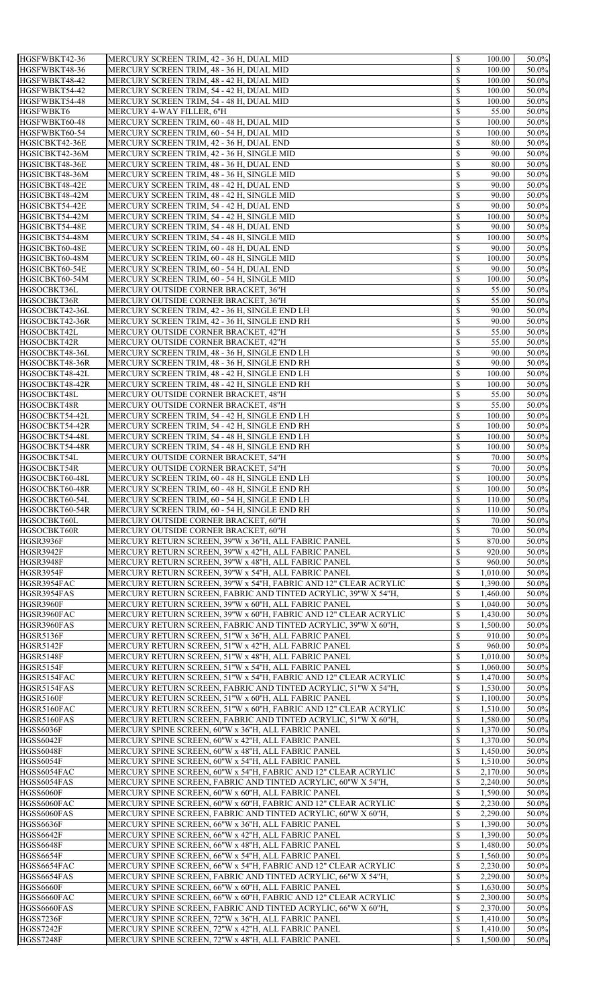| HGSFWBKT42-36    |                                                                  |                           |          |       |
|------------------|------------------------------------------------------------------|---------------------------|----------|-------|
|                  | MERCURY SCREEN TRIM, 42 - 36 H, DUAL MID                         | $\mathcal{S}$             | 100.00   | 50.0% |
| HGSFWBKT48-36    | MERCURY SCREEN TRIM, 48 - 36 H, DUAL MID                         | $\mathcal{S}$             | 100.00   | 50.0% |
| HGSFWBKT48-42    | MERCURY SCREEN TRIM, 48 - 42 H, DUAL MID                         | $\mathcal{S}$             | 100.00   | 50.0% |
| HGSFWBKT54-42    | MERCURY SCREEN TRIM, 54 - 42 H, DUAL MID                         | $\mathcal{S}$             | 100.00   | 50.0% |
|                  |                                                                  |                           |          |       |
| HGSFWBKT54-48    | MERCURY SCREEN TRIM, 54 - 48 H, DUAL MID                         | $\mathcal{S}$             | 100.00   | 50.0% |
| HGSFWBKT6        | MERCURY 4-WAY FILLER, 6"H                                        | \$                        | 55.00    | 50.0% |
| HGSFWBKT60-48    | MERCURY SCREEN TRIM, 60 - 48 H, DUAL MID                         | $\mathbb{S}$              | 100.00   | 50.0% |
| HGSFWBKT60-54    | MERCURY SCREEN TRIM, 60 - 54 H, DUAL MID                         | $\mathcal{S}$             | 100.00   | 50.0% |
| HGSICBKT42-36E   |                                                                  | $\mathcal{S}$             | 80.00    | 50.0% |
|                  | MERCURY SCREEN TRIM, 42 - 36 H, DUAL END                         |                           |          |       |
| HGSICBKT42-36M   | MERCURY SCREEN TRIM, 42 - 36 H, SINGLE MID                       | $\mathbb{S}$              | 90.00    | 50.0% |
| HGSICBKT48-36E   | MERCURY SCREEN TRIM, 48 - 36 H, DUAL END                         | $\mathcal{S}$             | 80.00    | 50.0% |
| HGSICBKT48-36M   | MERCURY SCREEN TRIM, 48 - 36 H, SINGLE MID                       | \$                        | 90.00    | 50.0% |
| HGSICBKT48-42E   | MERCURY SCREEN TRIM, 48 - 42 H, DUAL END                         | $\mathcal{S}$             | 90.00    | 50.0% |
|                  |                                                                  |                           |          |       |
| HGSICBKT48-42M   | MERCURY SCREEN TRIM, 48 - 42 H, SINGLE MID                       | \$                        | 90.00    | 50.0% |
| HGSICBKT54-42E   | MERCURY SCREEN TRIM, 54 - 42 H, DUAL END                         | $\mathcal{S}$             | 90.00    | 50.0% |
| HGSICBKT54-42M   | MERCURY SCREEN TRIM, 54 - 42 H, SINGLE MID                       | $\mathcal{S}$             | 100.00   | 50.0% |
| HGSICBKT54-48E   | MERCURY SCREEN TRIM, 54 - 48 H, DUAL END                         | $\mathcal{S}$             | 90.00    | 50.0% |
| HGSICBKT54-48M   | MERCURY SCREEN TRIM, 54 - 48 H, SINGLE MID                       | $\boldsymbol{\mathsf{S}}$ | 100.00   | 50.0% |
|                  |                                                                  |                           |          |       |
| HGSICBKT60-48E   | MERCURY SCREEN TRIM, 60 - 48 H, DUAL END                         | $\mathcal{S}$             | 90.00    | 50.0% |
| HGSICBKT60-48M   | MERCURY SCREEN TRIM, 60 - 48 H, SINGLE MID                       | $\mathcal{S}$             | 100.00   | 50.0% |
| HGSICBKT60-54E   | MERCURY SCREEN TRIM, 60 - 54 H, DUAL END                         | $\mathcal{S}$             | 90.00    | 50.0% |
| HGSICBKT60-54M   | MERCURY SCREEN TRIM, 60 - 54 H, SINGLE MID                       | $\boldsymbol{\mathsf{S}}$ | 100.00   | 50.0% |
|                  |                                                                  |                           |          |       |
| HGSOCBKT36L      | MERCURY OUTSIDE CORNER BRACKET, 36"H                             | $\boldsymbol{\mathsf{S}}$ | 55.00    | 50.0% |
| HGSOCBKT36R      | MERCURY OUTSIDE CORNER BRACKET, 36"H                             | $\mathcal{S}$             | 55.00    | 50.0% |
| HGSOCBKT42-36L   | MERCURY SCREEN TRIM, 42 - 36 H, SINGLE END LH                    | $\boldsymbol{\mathsf{S}}$ | 90.00    | 50.0% |
| HGSOCBKT42-36R   | MERCURY SCREEN TRIM, 42 - 36 H, SINGLE END RH                    | $\boldsymbol{\mathsf{S}}$ | 90.00    | 50.0% |
| HGSOCBKT42L      | MERCURY OUTSIDE CORNER BRACKET, 42"H                             | $\boldsymbol{\mathsf{S}}$ | 55.00    | 50.0% |
|                  |                                                                  |                           |          |       |
| HGSOCBKT42R      | MERCURY OUTSIDE CORNER BRACKET, 42"H                             | $\mathcal{S}$             | 55.00    | 50.0% |
| HGSOCBKT48-36L   | MERCURY SCREEN TRIM, 48 - 36 H, SINGLE END LH                    | $\mathcal{S}$             | 90.00    | 50.0% |
| HGSOCBKT48-36R   | MERCURY SCREEN TRIM, 48 - 36 H, SINGLE END RH                    |                           | 90.00    | 50.0% |
| HGSOCBKT48-42L   | MERCURY SCREEN TRIM, 48 - 42 H, SINGLE END LH                    | $\mathbb{S}$              | 100.00   | 50.0% |
| HGSOCBKT48-42R   |                                                                  |                           |          |       |
|                  | MERCURY SCREEN TRIM, 48 - 42 H, SINGLE END RH                    | $\mathcal{S}$             | 100.00   | 50.0% |
| HGSOCBKT48L      | MERCURY OUTSIDE CORNER BRACKET, 48"H                             | $\mathcal{S}$             | 55.00    | 50.0% |
| HGSOCBKT48R      | MERCURY OUTSIDE CORNER BRACKET, 48"H                             | $\mathcal{S}$             | 55.00    | 50.0% |
| HGSOCBKT54-42L   | MERCURY SCREEN TRIM, 54 - 42 H, SINGLE END LH                    | $\mathcal{S}$             | 100.00   | 50.0% |
| HGSOCBKT54-42R   | MERCURY SCREEN TRIM, 54 - 42 H, SINGLE END RH                    | $\mathcal{S}$             | 100.00   | 50.0% |
|                  |                                                                  |                           |          |       |
| HGSOCBKT54-48L   | MERCURY SCREEN TRIM, 54 - 48 H, SINGLE END LH                    | $\mathcal{S}$             | 100.00   | 50.0% |
| HGSOCBKT54-48R   | MERCURY SCREEN TRIM, 54 - 48 H, SINGLE END RH                    | $\mathcal{S}$             | 100.00   | 50.0% |
| HGSOCBKT54L      | MERCURY OUTSIDE CORNER BRACKET, 54"H                             | $\mathcal{S}$             | 70.00    | 50.0% |
| HGSOCBKT54R      | MERCURY OUTSIDE CORNER BRACKET, 54"H                             | $\boldsymbol{\mathsf{S}}$ | 70.00    | 50.0% |
| HGSOCBKT60-48L   | MERCURY SCREEN TRIM, 60 - 48 H, SINGLE END LH                    | $\mathcal{S}$             | 100.00   | 50.0% |
|                  |                                                                  |                           |          |       |
| HGSOCBKT60-48R   | MERCURY SCREEN TRIM, 60 - 48 H, SINGLE END RH                    | $\mathcal{S}$             | 100.00   | 50.0% |
| HGSOCBKT60-54L   | MERCURY SCREEN TRIM, 60 - 54 H, SINGLE END LH                    | $\mathcal{S}$             | 110.00   | 50.0% |
| HGSOCBKT60-54R   | MERCURY SCREEN TRIM, 60 - 54 H, SINGLE END RH                    | \$                        | 110.00   | 50.0% |
| HGSOCBKT60L      | MERCURY OUTSIDE CORNER BRACKET, 60"H                             | $\mathcal{S}$             | 70.00    | 50.0% |
| HGSOCBKT60R      | MERCURY OUTSIDE CORNER BRACKET, 60"H                             | $\mathcal{S}$             | 70.00    | 50.0% |
|                  |                                                                  |                           |          |       |
| <b>HGSR3936F</b> | MERCURY RETURN SCREEN, 39"W x 36"H, ALL FABRIC PANEL             | $\mathcal{S}$             | 870.00   | 50.0% |
| <b>HGSR3942F</b> | MERCURY RETURN SCREEN, 39"W x 42"H, ALL FABRIC PANEL             | \$                        | 920.00   | 50.0% |
| <b>HGSR3948F</b> | MERCURY RETURN SCREEN, 39"W x 48"H, ALL FABRIC PANEL             | $\mathcal{S}$             | 960.00   | 50.0% |
| HGSR3954F        | MERCURY RETURN SCREEN, 39"W x 54"H, ALL FABRIC PANEL             | $\mathcal{S}$             | 1,010.00 | 50.0% |
|                  |                                                                  |                           |          |       |
| HGSR3954FAC      | MERCURY RETURN SCREEN, 39"W x 54"H, FABRIC AND 12" CLEAR ACRYLIC | $\mathcal{S}$             | 1,390.00 | 50.0% |
| HGSR3954FAS      | MERCURY RETURN SCREEN, FABRIC AND TINTED ACRYLIC, 39"W X 54"H,   | $\mathcal{S}$             | 1,460.00 | 50.0% |
| <b>HGSR3960F</b> | MERCURY RETURN SCREEN, 39"W x 60"H, ALL FABRIC PANEL             | $\mathcal{S}$             | 1,040.00 | 50.0% |
| HGSR3960FAC      | MERCURY RETURN SCREEN, 39"W x 60"H, FABRIC AND 12" CLEAR ACRYLIC | $\mathcal{S}$             | 1,430.00 | 50.0% |
| HGSR3960FAS      | MERCURY RETURN SCREEN, FABRIC AND TINTED ACRYLIC, 39"W X 60"H,   | $\mathcal{S}$             | 1,500.00 | 50.0% |
|                  |                                                                  |                           |          |       |
| <b>HGSR5136F</b> | MERCURY RETURN SCREEN, 51"W x 36"H, ALL FABRIC PANEL             | $\mathcal{S}$             | 910.00   | 50.0% |
| <b>HGSR5142F</b> | MERCURY RETURN SCREEN, 51"W x 42"H, ALL FABRIC PANEL             | $\mathcal{S}$             | 960.00   | 50.0% |
| <b>HGSR5148F</b> | MERCURY RETURN SCREEN, 51"W x 48"H, ALL FABRIC PANEL             | $\mathcal{S}$             | 1,010.00 | 50.0% |
| HGSR5154F        | MERCURY RETURN SCREEN, 51"W x 54"H, ALL FABRIC PANEL             | $\mathcal{S}$             | 1,060.00 | 50.0% |
| HGSR5154FAC      | MERCURY RETURN SCREEN, 51"W x 54"H, FABRIC AND 12" CLEAR ACRYLIC | ९                         | 1,470.00 | 50.0% |
| HGSR5154FAS      |                                                                  | $\mathbb{S}$              |          |       |
|                  | MERCURY RETURN SCREEN, FABRIC AND TINTED ACRYLIC, 51"W X 54"H,   |                           | 1,530.00 | 50.0% |
| <b>HGSR5160F</b> | MERCURY RETURN SCREEN, 51"W x 60"H, ALL FABRIC PANEL             | $\mathcal{S}$             | 1,100.00 | 50.0% |
| HGSR5160FAC      | MERCURY RETURN SCREEN, 51"W x 60"H, FABRIC AND 12" CLEAR ACRYLIC | \$                        | 1,510.00 | 50.0% |
| HGSR5160FAS      | MERCURY RETURN SCREEN, FABRIC AND TINTED ACRYLIC, 51"W X 60"H,   | $\mathcal{S}$             | 1,580.00 | 50.0% |
| <b>HGSS6036F</b> | MERCURY SPINE SCREEN, 60"W x 36"H, ALL FABRIC PANEL              | $\mathcal{S}$             | 1,370.00 | 50.0% |
|                  |                                                                  |                           |          |       |
| <b>HGSS6042F</b> | MERCURY SPINE SCREEN, 60"W x 42"H, ALL FABRIC PANEL              | $\mathcal{S}$             | 1,370.00 | 50.0% |
| <b>HGSS6048F</b> | MERCURY SPINE SCREEN, 60"W x 48"H, ALL FABRIC PANEL              | \$                        | 1,450.00 | 50.0% |
| <b>HGSS6054F</b> | MERCURY SPINE SCREEN, 60"W x 54"H, ALL FABRIC PANEL              | $\mathcal{S}$             | 1,510.00 | 50.0% |
| HGSS6054FAC      | MERCURY SPINE SCREEN, 60"W x 54"H, FABRIC AND 12" CLEAR ACRYLIC  | \$                        | 2,170.00 | 50.0% |
| HGSS6054FAS      | MERCURY SPINE SCREEN, FABRIC AND TINTED ACRYLIC, 60"W X 54"H,    | $\mathcal{S}$             | 2,240.00 | 50.0% |
|                  |                                                                  |                           |          |       |
| <b>HGSS6060F</b> | MERCURY SPINE SCREEN, 60"W x 60"H, ALL FABRIC PANEL              | \$                        | 1,590.00 | 50.0% |
| HGSS6060FAC      | MERCURY SPINE SCREEN, 60"W x 60"H, FABRIC AND 12" CLEAR ACRYLIC  | $\mathcal{S}$             | 2,230.00 | 50.0% |
| HGSS6060FAS      | MERCURY SPINE SCREEN, FABRIC AND TINTED ACRYLIC, 60"W X 60"H,    | $\mathcal{S}$             | 2,290.00 | 50.0% |
| <b>HGSS6636F</b> | MERCURY SPINE SCREEN, 66"W x 36"H, ALL FABRIC PANEL              | $\mathcal{S}$             | 1,390.00 | 50.0% |
| <b>HGSS6642F</b> | MERCURY SPINE SCREEN, 66"W x 42"H, ALL FABRIC PANEL              | \$                        | 1,390.00 | 50.0% |
|                  |                                                                  |                           |          |       |
| <b>HGSS6648F</b> | MERCURY SPINE SCREEN, 66"W x 48"H, ALL FABRIC PANEL              | $\mathcal{S}$             | 1,480.00 | 50.0% |
| <b>HGSS6654F</b> | MERCURY SPINE SCREEN, 66"W x 54"H, ALL FABRIC PANEL              | $\mathcal{S}$             | 1,560.00 | 50.0% |
| HGSS6654FAC      | MERCURY SPINE SCREEN, 66"W x 54"H, FABRIC AND 12" CLEAR ACRYLIC  | $\mathcal{S}$             | 2,230.00 | 50.0% |
| HGSS6654FAS      | MERCURY SPINE SCREEN, FABRIC AND TINTED ACRYLIC, 66"W X 54"H,    | \$                        | 2,290.00 | 50.0% |
| <b>HGSS6660F</b> | MERCURY SPINE SCREEN, 66"W x 60"H, ALL FABRIC PANEL              | $\mathcal{S}$             | 1,630.00 | 50.0% |
|                  |                                                                  |                           |          |       |
| HGSS6660FAC      | MERCURY SPINE SCREEN, 66"W x 60"H, FABRIC AND 12" CLEAR ACRYLIC  | $\mathcal{S}$             | 2,300.00 | 50.0% |
| HGSS6660FAS      | MERCURY SPINE SCREEN, FABRIC AND TINTED ACRYLIC, 66"W X 60"H,    | $\mathcal{S}$             | 2,370.00 | 50.0% |
| <b>HGSS7236F</b> | MERCURY SPINE SCREEN, 72"W x 36"H, ALL FABRIC PANEL              | $\mathcal{S}$             | 1,410.00 | 50.0% |
| <b>HGSS7242F</b> | MERCURY SPINE SCREEN, 72"W x 42"H, ALL FABRIC PANEL              | $\boldsymbol{\mathsf{S}}$ | 1,410.00 | 50.0% |
| <b>HGSS7248F</b> | MERCURY SPINE SCREEN, 72"W x 48"H, ALL FABRIC PANEL              | $\boldsymbol{\mathsf{S}}$ | 1,500.00 | 50.0% |
|                  |                                                                  |                           |          |       |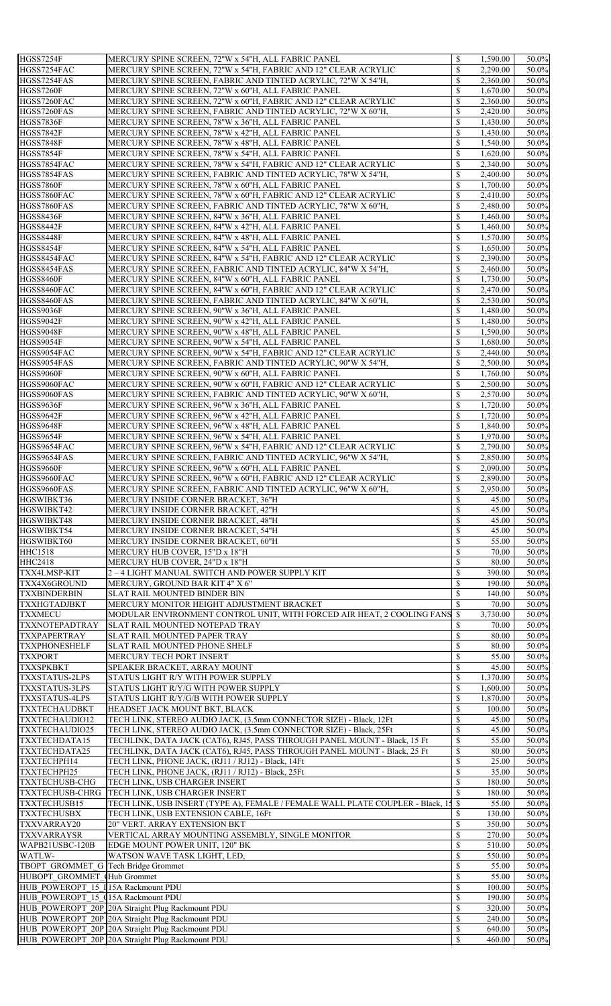| <b>HGSS7254F</b><br>HGSS7254FAC                                                                                                                                                                                                                                                                                                                                                              |                                                                                                      |                              |                  |                                                                                                                                                                         |
|----------------------------------------------------------------------------------------------------------------------------------------------------------------------------------------------------------------------------------------------------------------------------------------------------------------------------------------------------------------------------------------------|------------------------------------------------------------------------------------------------------|------------------------------|------------------|-------------------------------------------------------------------------------------------------------------------------------------------------------------------------|
|                                                                                                                                                                                                                                                                                                                                                                                              | MERCURY SPINE SCREEN, 72"W x 54"H, ALL FABRIC PANEL                                                  | $\boldsymbol{\mathsf{S}}$    | 1,590.00         | 50.0%                                                                                                                                                                   |
|                                                                                                                                                                                                                                                                                                                                                                                              | MERCURY SPINE SCREEN, 72"W x 54"H, FABRIC AND 12" CLEAR ACRYLIC                                      | $\mathbb{S}$                 | 2,290.00         | 50.0%                                                                                                                                                                   |
| HGSS7254FAS                                                                                                                                                                                                                                                                                                                                                                                  | MERCURY SPINE SCREEN, FABRIC AND TINTED ACRYLIC, 72"W X 54"H,                                        | $\boldsymbol{\mathsf{S}}$    | 2,360.00         | 50.0%                                                                                                                                                                   |
| <b>HGSS7260F</b>                                                                                                                                                                                                                                                                                                                                                                             | MERCURY SPINE SCREEN, 72"W x 60"H, ALL FABRIC PANEL                                                  | $\mathbb{S}$                 | 1,670.00         | 50.0%                                                                                                                                                                   |
| HGSS7260FAC                                                                                                                                                                                                                                                                                                                                                                                  | MERCURY SPINE SCREEN, 72"W x 60"H, FABRIC AND 12" CLEAR ACRYLIC                                      | $\boldsymbol{\mathsf{S}}$    | 2,360.00         | 50.0%                                                                                                                                                                   |
|                                                                                                                                                                                                                                                                                                                                                                                              |                                                                                                      |                              |                  |                                                                                                                                                                         |
| HGSS7260FAS                                                                                                                                                                                                                                                                                                                                                                                  | MERCURY SPINE SCREEN, FABRIC AND TINTED ACRYLIC, 72"W X 60"H,                                        | $\mathbb{S}$                 | 2,420.00         | 50.0%                                                                                                                                                                   |
| <b>HGSS7836F</b>                                                                                                                                                                                                                                                                                                                                                                             | MERCURY SPINE SCREEN, 78"W x 36"H, ALL FABRIC PANEL                                                  | $\boldsymbol{\mathsf{S}}$    | 1,430.00         | 50.0%                                                                                                                                                                   |
| <b>HGSS7842F</b>                                                                                                                                                                                                                                                                                                                                                                             | MERCURY SPINE SCREEN, 78"W x 42"H, ALL FABRIC PANEL                                                  | $\mathbb{S}$                 | 1,430.00         | 50.0%                                                                                                                                                                   |
| <b>HGSS7848F</b>                                                                                                                                                                                                                                                                                                                                                                             | MERCURY SPINE SCREEN, 78"W x 48"H, ALL FABRIC PANEL                                                  | $\boldsymbol{\mathsf{S}}$    | 1,540.00         | 50.0%                                                                                                                                                                   |
| <b>HGSS7854F</b>                                                                                                                                                                                                                                                                                                                                                                             | MERCURY SPINE SCREEN, 78"W x 54"H, ALL FABRIC PANEL                                                  | $\mathbb{S}$                 | 1,620.00         | 50.0%                                                                                                                                                                   |
|                                                                                                                                                                                                                                                                                                                                                                                              |                                                                                                      |                              |                  |                                                                                                                                                                         |
| HGSS7854FAC                                                                                                                                                                                                                                                                                                                                                                                  | MERCURY SPINE SCREEN, 78"W x 54"H, FABRIC AND 12" CLEAR ACRYLIC                                      | $\boldsymbol{\mathsf{S}}$    | 2,340.00         | 50.0%                                                                                                                                                                   |
| HGSS7854FAS                                                                                                                                                                                                                                                                                                                                                                                  | MERCURY SPINE SCREEN, FABRIC AND TINTED ACRYLIC, 78"W X 54"H,                                        | $\mathbb{S}$                 | 2,400.00         | 50.0%                                                                                                                                                                   |
| <b>HGSS7860F</b>                                                                                                                                                                                                                                                                                                                                                                             | MERCURY SPINE SCREEN, 78"W x 60"H, ALL FABRIC PANEL                                                  | $\boldsymbol{\mathsf{S}}$    | 1,700.00         | 50.0%                                                                                                                                                                   |
| HGSS7860FAC                                                                                                                                                                                                                                                                                                                                                                                  | MERCURY SPINE SCREEN, 78"W x 60"H, FABRIC AND 12" CLEAR ACRYLIC                                      | $\mathbb{S}$                 | 2,410.00         | 50.0%                                                                                                                                                                   |
|                                                                                                                                                                                                                                                                                                                                                                                              |                                                                                                      |                              |                  |                                                                                                                                                                         |
| HGSS7860FAS                                                                                                                                                                                                                                                                                                                                                                                  | MERCURY SPINE SCREEN, FABRIC AND TINTED ACRYLIC, 78"W X 60"H,                                        | $\boldsymbol{\mathsf{S}}$    | 2,480.00         | 50.0%                                                                                                                                                                   |
| <b>HGSS8436F</b>                                                                                                                                                                                                                                                                                                                                                                             | MERCURY SPINE SCREEN, 84"W x 36"H, ALL FABRIC PANEL                                                  | $\mathbb{S}$                 | 1,460.00         | 50.0%                                                                                                                                                                   |
| <b>HGSS8442F</b>                                                                                                                                                                                                                                                                                                                                                                             | MERCURY SPINE SCREEN, 84"W x 42"H, ALL FABRIC PANEL                                                  | $\boldsymbol{\mathsf{S}}$    | 1,460.00         | 50.0%                                                                                                                                                                   |
| <b>HGSS8448F</b>                                                                                                                                                                                                                                                                                                                                                                             | MERCURY SPINE SCREEN, 84"W x 48"H, ALL FABRIC PANEL                                                  | $\mathbb{S}$                 | 1,570.00         | 50.0%                                                                                                                                                                   |
|                                                                                                                                                                                                                                                                                                                                                                                              |                                                                                                      |                              |                  |                                                                                                                                                                         |
| <b>HGSS8454F</b>                                                                                                                                                                                                                                                                                                                                                                             | MERCURY SPINE SCREEN, 84"W x 54"H, ALL FABRIC PANEL                                                  | $\boldsymbol{\mathsf{S}}$    | 1,650.00         | 50.0%                                                                                                                                                                   |
| HGSS8454FAC                                                                                                                                                                                                                                                                                                                                                                                  | MERCURY SPINE SCREEN, 84"W x 54"H, FABRIC AND 12" CLEAR ACRYLIC                                      | $\mathbb{S}$                 | 2,390.00         | 50.0%                                                                                                                                                                   |
| HGSS8454FAS                                                                                                                                                                                                                                                                                                                                                                                  | MERCURY SPINE SCREEN, FABRIC AND TINTED ACRYLIC, 84"W X 54"H,                                        | $\boldsymbol{\mathsf{S}}$    | 2,460.00         | 50.0%                                                                                                                                                                   |
| <b>HGSS8460F</b>                                                                                                                                                                                                                                                                                                                                                                             | MERCURY SPINE SCREEN, 84"W x 60"H, ALL FABRIC PANEL                                                  | $\mathbb{S}$                 | 1,730.00         | 50.0%                                                                                                                                                                   |
|                                                                                                                                                                                                                                                                                                                                                                                              |                                                                                                      |                              |                  |                                                                                                                                                                         |
| HGSS8460FAC                                                                                                                                                                                                                                                                                                                                                                                  | MERCURY SPINE SCREEN, 84"W x 60"H, FABRIC AND 12" CLEAR ACRYLIC                                      | $\boldsymbol{\mathsf{S}}$    | 2,470.00         | 50.0%                                                                                                                                                                   |
| HGSS8460FAS                                                                                                                                                                                                                                                                                                                                                                                  | MERCURY SPINE SCREEN, FABRIC AND TINTED ACRYLIC, 84"W X 60"H,                                        | $\mathbb{S}$                 | 2,530.00         | 50.0%                                                                                                                                                                   |
| <b>HGSS9036F</b>                                                                                                                                                                                                                                                                                                                                                                             | MERCURY SPINE SCREEN, 90"W x 36"H, ALL FABRIC PANEL                                                  | $\boldsymbol{\mathsf{S}}$    | 1,480.00         | 50.0%                                                                                                                                                                   |
| <b>HGSS9042F</b>                                                                                                                                                                                                                                                                                                                                                                             | MERCURY SPINE SCREEN, 90"W x 42"H, ALL FABRIC PANEL                                                  | $\mathbb{S}$                 | 1,480.00         | 50.0%                                                                                                                                                                   |
|                                                                                                                                                                                                                                                                                                                                                                                              |                                                                                                      |                              |                  |                                                                                                                                                                         |
| <b>HGSS9048F</b>                                                                                                                                                                                                                                                                                                                                                                             | MERCURY SPINE SCREEN, 90"W x 48"H, ALL FABRIC PANEL                                                  | $\boldsymbol{\mathsf{S}}$    | 1,590.00         | 50.0%                                                                                                                                                                   |
| <b>HGSS9054F</b>                                                                                                                                                                                                                                                                                                                                                                             | MERCURY SPINE SCREEN, 90"W x 54"H, ALL FABRIC PANEL                                                  | $\mathbb{S}$                 | 1,680.00         | 50.0%                                                                                                                                                                   |
| HGSS9054FAC                                                                                                                                                                                                                                                                                                                                                                                  | MERCURY SPINE SCREEN, 90"W x 54"H, FABRIC AND 12" CLEAR ACRYLIC                                      | $\mathbb{S}$                 | 2,440.00         | 50.0%                                                                                                                                                                   |
| HGSS9054FAS                                                                                                                                                                                                                                                                                                                                                                                  | MERCURY SPINE SCREEN, FABRIC AND TINTED ACRYLIC, 90"W X 54"H,                                        | $\mathcal{S}$                | 2,500.00         | 50.0%                                                                                                                                                                   |
|                                                                                                                                                                                                                                                                                                                                                                                              |                                                                                                      |                              |                  |                                                                                                                                                                         |
| <b>HGSS9060F</b>                                                                                                                                                                                                                                                                                                                                                                             | MERCURY SPINE SCREEN, 90"W x 60"H, ALL FABRIC PANEL                                                  | $\mathbb{S}$                 | 1,760.00         | 50.0%                                                                                                                                                                   |
| HGSS9060FAC                                                                                                                                                                                                                                                                                                                                                                                  | MERCURY SPINE SCREEN, 90"W x 60"H, FABRIC AND 12" CLEAR ACRYLIC                                      | $\mathbb{S}$                 | 2,500.00         | 50.0%                                                                                                                                                                   |
| HGSS9060FAS                                                                                                                                                                                                                                                                                                                                                                                  | MERCURY SPINE SCREEN, FABRIC AND TINTED ACRYLIC, 90"W X 60"H,                                        | $\boldsymbol{\mathsf{S}}$    | 2,570.00         | 50.0%                                                                                                                                                                   |
| <b>HGSS9636F</b>                                                                                                                                                                                                                                                                                                                                                                             | MERCURY SPINE SCREEN, 96"W x 36"H, ALL FABRIC PANEL                                                  | $\mathbb{S}$                 | 1,720.00         | 50.0%                                                                                                                                                                   |
| <b>HGSS9642F</b>                                                                                                                                                                                                                                                                                                                                                                             | MERCURY SPINE SCREEN, 96"W x 42"H, ALL FABRIC PANEL                                                  | $\boldsymbol{\mathsf{S}}$    | 1,720.00         | 50.0%                                                                                                                                                                   |
|                                                                                                                                                                                                                                                                                                                                                                                              |                                                                                                      |                              |                  |                                                                                                                                                                         |
| <b>HGSS9648F</b>                                                                                                                                                                                                                                                                                                                                                                             | MERCURY SPINE SCREEN, 96"W x 48"H, ALL FABRIC PANEL                                                  | $\mathbb{S}$                 | 1,840.00         | 50.0%                                                                                                                                                                   |
| <b>HGSS9654F</b>                                                                                                                                                                                                                                                                                                                                                                             | MERCURY SPINE SCREEN, 96"W x 54"H, ALL FABRIC PANEL                                                  | $\boldsymbol{\mathsf{S}}$    | 1,970.00         | 50.0%                                                                                                                                                                   |
| HGSS9654FAC                                                                                                                                                                                                                                                                                                                                                                                  | MERCURY SPINE SCREEN, 96"W x 54"H, FABRIC AND 12" CLEAR ACRYLIC                                      | $\mathbb{S}$                 | 2,790.00         | 50.0%                                                                                                                                                                   |
| HGSS9654FAS                                                                                                                                                                                                                                                                                                                                                                                  | MERCURY SPINE SCREEN, FABRIC AND TINTED ACRYLIC, 96"W X 54"H,                                        | $\boldsymbol{\mathsf{S}}$    | 2,850.00         | 50.0%                                                                                                                                                                   |
|                                                                                                                                                                                                                                                                                                                                                                                              |                                                                                                      |                              |                  |                                                                                                                                                                         |
| <b>HGSS9660F</b>                                                                                                                                                                                                                                                                                                                                                                             | MERCURY SPINE SCREEN, 96"W x 60"H, ALL FABRIC PANEL                                                  | $\mathbb{S}$                 | 2,090.00         | 50.0%                                                                                                                                                                   |
| HGSS9660FAC                                                                                                                                                                                                                                                                                                                                                                                  | MERCURY SPINE SCREEN, 96"W x 60"H, FABRIC AND 12" CLEAR ACRYLIC                                      | $\boldsymbol{\mathsf{S}}$    | 2,890.00         | 50.0%                                                                                                                                                                   |
| HGSS9660FAS                                                                                                                                                                                                                                                                                                                                                                                  | MERCURY SPINE SCREEN, FABRIC AND TINTED ACRYLIC, 96"W X 60"H,                                        | $\mathbb{S}$                 | 2,950.00         | 50.0%                                                                                                                                                                   |
| HGSWIBKT36                                                                                                                                                                                                                                                                                                                                                                                   | MERCURY INSIDE CORNER BRACKET, 36"H                                                                  | $\boldsymbol{\mathsf{S}}$    | 45.00            | 50.0%                                                                                                                                                                   |
|                                                                                                                                                                                                                                                                                                                                                                                              |                                                                                                      |                              |                  |                                                                                                                                                                         |
| HGSWIBKT42                                                                                                                                                                                                                                                                                                                                                                                   | MERCURY INSIDE CORNER BRACKET, 42"H                                                                  | $\boldsymbol{\mathsf{S}}$    | 45.00            | 50.0%                                                                                                                                                                   |
| HGSWIBKT48                                                                                                                                                                                                                                                                                                                                                                                   | MERCURY INSIDE CORNER BRACKET, 48"H                                                                  | $\mathbb{S}$                 | 45.00            | 50.0%                                                                                                                                                                   |
| HGSWIBKT54                                                                                                                                                                                                                                                                                                                                                                                   | MERCURY INSIDE CORNER BRACKET, 54"H                                                                  | $\mathbb{S}$                 | 45.00            | 50.0%                                                                                                                                                                   |
| HGSWIBKT60                                                                                                                                                                                                                                                                                                                                                                                   | MERCURY INSIDE CORNER BRACKET, 60"H                                                                  | $\boldsymbol{\mathsf{S}}$    | 55.00            | 50.0%                                                                                                                                                                   |
|                                                                                                                                                                                                                                                                                                                                                                                              |                                                                                                      |                              |                  |                                                                                                                                                                         |
| <b>HHC1518</b>                                                                                                                                                                                                                                                                                                                                                                               | MERCURY HUB COVER, 15"D x 18"H                                                                       | $\boldsymbol{\mathsf{S}}$    | 70.00            | 50.0%                                                                                                                                                                   |
| <b>HHC2418</b>                                                                                                                                                                                                                                                                                                                                                                               | MERCURY HUB COVER, 24"D x 18"H                                                                       | $\boldsymbol{\mathsf{S}}$    | 80.00            | 50.0%                                                                                                                                                                   |
| TXX4LMSP-KIT                                                                                                                                                                                                                                                                                                                                                                                 | 2-4 LIGHT MANUAL SWITCH AND POWER SUPPLY KIT                                                         | $\mathbb{S}$                 | 390.00           | 50.0%                                                                                                                                                                   |
| TXX4X6GROUND                                                                                                                                                                                                                                                                                                                                                                                 | MERCURY, GROUND BAR KIT 4" X 6"                                                                      | $\boldsymbol{\mathsf{S}}$    | 190.00           | 50.0%                                                                                                                                                                   |
| <b>TXXBINDERBIN</b>                                                                                                                                                                                                                                                                                                                                                                          | <b>SLAT RAIL MOUNTED BINDER BIN</b>                                                                  | $\mathbb{S}$                 | 140.00           | 50.0%                                                                                                                                                                   |
|                                                                                                                                                                                                                                                                                                                                                                                              |                                                                                                      |                              |                  |                                                                                                                                                                         |
| <b>TXXHGTADJBKT</b>                                                                                                                                                                                                                                                                                                                                                                          | MERCURY MONITOR HEIGHT ADJUSTMENT BRACKET                                                            | $\mathbb{S}$                 | 70.00            | 50.0%                                                                                                                                                                   |
| <b>TXXMECU</b>                                                                                                                                                                                                                                                                                                                                                                               | MODULAR ENVIRONMENT CONTROL UNIT, WITH FORCED AIR HEAT, 2 COOLING FANS \$                            |                              | 3,730.00         | 50.0%                                                                                                                                                                   |
| <b>TXXNOTEPADTRAY</b>                                                                                                                                                                                                                                                                                                                                                                        | <b>SLAT RAIL MOUNTED NOTEPAD TRAY</b>                                                                | $\boldsymbol{\mathsf{S}}$    | 70.00            | 50.0%                                                                                                                                                                   |
| <b>TXXPAPERTRAY</b>                                                                                                                                                                                                                                                                                                                                                                          | <b>SLAT RAIL MOUNTED PAPER TRAY</b>                                                                  | $\boldsymbol{\mathsf{S}}$    | 80.00            | 50.0%                                                                                                                                                                   |
|                                                                                                                                                                                                                                                                                                                                                                                              |                                                                                                      |                              |                  |                                                                                                                                                                         |
| <b>TXXPHONESHELF</b>                                                                                                                                                                                                                                                                                                                                                                         | <b>SLAT RAIL MOUNTED PHONE SHELF</b>                                                                 | $\boldsymbol{\mathsf{S}}$    | 80.00            | 50.0%                                                                                                                                                                   |
| <b>TXXPORT</b>                                                                                                                                                                                                                                                                                                                                                                               | MERCURY TECH PORT INSERT                                                                             | $\mathbb{S}$                 | 55.00            | 50.0%                                                                                                                                                                   |
| <b>TXXSPKBKT</b>                                                                                                                                                                                                                                                                                                                                                                             | SPEAKER BRACKET, ARRAY MOUNT                                                                         | $\mathbb{S}$                 | 45.00            | 50.0%                                                                                                                                                                   |
|                                                                                                                                                                                                                                                                                                                                                                                              | <b>STATUS LIGHT R/Y WITH POWER SUPPLY</b>                                                            | $\mathcal{S}$                | 1,370.00         | 50.0%                                                                                                                                                                   |
|                                                                                                                                                                                                                                                                                                                                                                                              | STATUS LIGHT R/Y/G WITH POWER SUPPLY                                                                 | $\mathbb{S}$                 | 1,600.00         | 50.0%                                                                                                                                                                   |
|                                                                                                                                                                                                                                                                                                                                                                                              |                                                                                                      |                              |                  |                                                                                                                                                                         |
|                                                                                                                                                                                                                                                                                                                                                                                              |                                                                                                      |                              | 1,870.00         | 50.0%                                                                                                                                                                   |
|                                                                                                                                                                                                                                                                                                                                                                                              | STATUS LIGHT R/Y/G/B WITH POWER SUPPLY                                                               | $\mathbb{S}$                 |                  |                                                                                                                                                                         |
|                                                                                                                                                                                                                                                                                                                                                                                              | HEADSET JACK MOUNT BKT, BLACK                                                                        | $\boldsymbol{\mathsf{S}}$    | 100.00           |                                                                                                                                                                         |
|                                                                                                                                                                                                                                                                                                                                                                                              | TECH LINK, STEREO AUDIO JACK, (3.5mm CONNECTOR SIZE) - Black, 12Ft                                   | $\mathbb{S}$                 | 45.00            |                                                                                                                                                                         |
|                                                                                                                                                                                                                                                                                                                                                                                              | TECH LINK, STEREO AUDIO JACK, (3.5mm CONNECTOR SIZE) - Black, 25Ft                                   | $\boldsymbol{\mathsf{S}}$    | 45.00            |                                                                                                                                                                         |
|                                                                                                                                                                                                                                                                                                                                                                                              |                                                                                                      |                              |                  |                                                                                                                                                                         |
|                                                                                                                                                                                                                                                                                                                                                                                              | TECHLINK, DATA JACK (CAT6), RJ45, PASS THROUGH PANEL MOUNT - Black, 15 Ft                            | $\boldsymbol{\mathsf{S}}$    | 55.00            |                                                                                                                                                                         |
|                                                                                                                                                                                                                                                                                                                                                                                              | TECHLINK, DATA JACK (CAT6), RJ45, PASS THROUGH PANEL MOUNT - Black, 25 Ft                            | $\boldsymbol{\mathsf{S}}$    | 80.00            |                                                                                                                                                                         |
|                                                                                                                                                                                                                                                                                                                                                                                              | TECH LINK, PHONE JACK, (RJ11 / RJ12) - Black, 14Ft                                                   | $\mathbb{S}$                 | 25.00            |                                                                                                                                                                         |
|                                                                                                                                                                                                                                                                                                                                                                                              | TECH LINK, PHONE JACK, (RJ11 / RJ12) - Black, 25Ft                                                   | $\boldsymbol{\mathsf{S}}$    | 35.00            |                                                                                                                                                                         |
|                                                                                                                                                                                                                                                                                                                                                                                              | TECH LINK, USB CHARGER INSERT                                                                        |                              | 180.00           |                                                                                                                                                                         |
|                                                                                                                                                                                                                                                                                                                                                                                              |                                                                                                      | $\boldsymbol{\mathsf{S}}$    |                  |                                                                                                                                                                         |
|                                                                                                                                                                                                                                                                                                                                                                                              | TECH LINK, USB CHARGER INSERT                                                                        | $\mathcal{S}$                | 180.00           |                                                                                                                                                                         |
|                                                                                                                                                                                                                                                                                                                                                                                              | TECH LINK, USB INSERT (TYPE A), FEMALE / FEMALE WALL PLATE COUPLER - Black, 15 \$                    |                              | 55.00            |                                                                                                                                                                         |
|                                                                                                                                                                                                                                                                                                                                                                                              | TECH LINK, USB EXTENSION CABLE, 16Ft                                                                 | $\boldsymbol{\mathsf{S}}$    | 130.00           |                                                                                                                                                                         |
|                                                                                                                                                                                                                                                                                                                                                                                              | <b>20" VERT. ARRAY EXTENSION BKT</b>                                                                 | $\boldsymbol{\mathsf{S}}$    | 350.00           |                                                                                                                                                                         |
|                                                                                                                                                                                                                                                                                                                                                                                              |                                                                                                      |                              |                  |                                                                                                                                                                         |
|                                                                                                                                                                                                                                                                                                                                                                                              | VERTICAL ARRAY MOUNTING ASSEMBLY, SINGLE MONITOR                                                     | $\boldsymbol{\mathsf{S}}$    | 270.00           |                                                                                                                                                                         |
|                                                                                                                                                                                                                                                                                                                                                                                              | EDGE MOUNT POWER UNIT, 120" BK                                                                       | $\mathbb{S}$                 | 510.00           |                                                                                                                                                                         |
|                                                                                                                                                                                                                                                                                                                                                                                              | WATSON WAVE TASK LIGHT, LED,                                                                         | $\boldsymbol{\mathsf{S}}$    | 550.00           |                                                                                                                                                                         |
|                                                                                                                                                                                                                                                                                                                                                                                              | TBOPT GROMMET G Tech Bridge Grommet                                                                  | $\boldsymbol{\mathsf{S}}$    | 55.00            |                                                                                                                                                                         |
|                                                                                                                                                                                                                                                                                                                                                                                              |                                                                                                      |                              |                  |                                                                                                                                                                         |
| <b>TXXSTATUS-2LPS</b><br><b>TXXSTATUS-3LPS</b><br><b>TXXSTATUS-4LPS</b><br><b>TXXTECHAUDBKT</b><br>TXXTECHAUDIO12<br>TXXTECHAUDIO25<br>TXXTECHDATA15<br>TXXTECHDATA25<br>TXXTECHPH14<br>TXXTECHPH25<br><b>TXXTECHUSB-CHG</b><br><b>TXXTECHUSB-CHRG</b><br>TXXTECHUSB15<br><b>TXXTECHUSBX</b><br>TXXVARRAY20<br><b>TXXVARRAYSR</b><br>WAPB21USBC-120B<br>WATLW-<br>HUBOPT GROMMET Hub Grommet |                                                                                                      | $\boldsymbol{\mathsf{S}}$    | 55.00            |                                                                                                                                                                         |
|                                                                                                                                                                                                                                                                                                                                                                                              | HUB POWEROPT 15 I 15A Rackmount PDU                                                                  | $\mathbb{S}$                 | 100.00           |                                                                                                                                                                         |
|                                                                                                                                                                                                                                                                                                                                                                                              | HUB POWEROPT 15 (15A Rackmount PDU                                                                   | $\boldsymbol{\mathsf{S}}$    | 190.00           | 50.0%<br>50.0%<br>50.0%<br>50.0%<br>50.0%<br>50.0%<br>50.0%<br>50.0%<br>50.0%<br>50.0%<br>50.0%<br>50.0%<br>50.0%<br>50.0%<br>50.0%<br>50.0%<br>50.0%<br>50.0%<br>50.0% |
|                                                                                                                                                                                                                                                                                                                                                                                              | HUB_POWEROPT_20P 20A Straight Plug Rackmount PDU                                                     | $\boldsymbol{\mathsf{S}}$    | 320.00           | 50.0%                                                                                                                                                                   |
|                                                                                                                                                                                                                                                                                                                                                                                              |                                                                                                      | $\boldsymbol{\mathsf{S}}$    | 240.00           | 50.0%                                                                                                                                                                   |
|                                                                                                                                                                                                                                                                                                                                                                                              | HUB POWEROPT 20P 20A Straight Plug Rackmount PDU                                                     |                              |                  |                                                                                                                                                                         |
|                                                                                                                                                                                                                                                                                                                                                                                              | HUB_POWEROPT_20P 20A Straight Plug Rackmount PDU<br>HUB POWEROPT 20P 20A Straight Plug Rackmount PDU | $\mathbb{S}$<br>$\mathbb{S}$ | 640.00<br>460.00 | 50.0%<br>50.0%                                                                                                                                                          |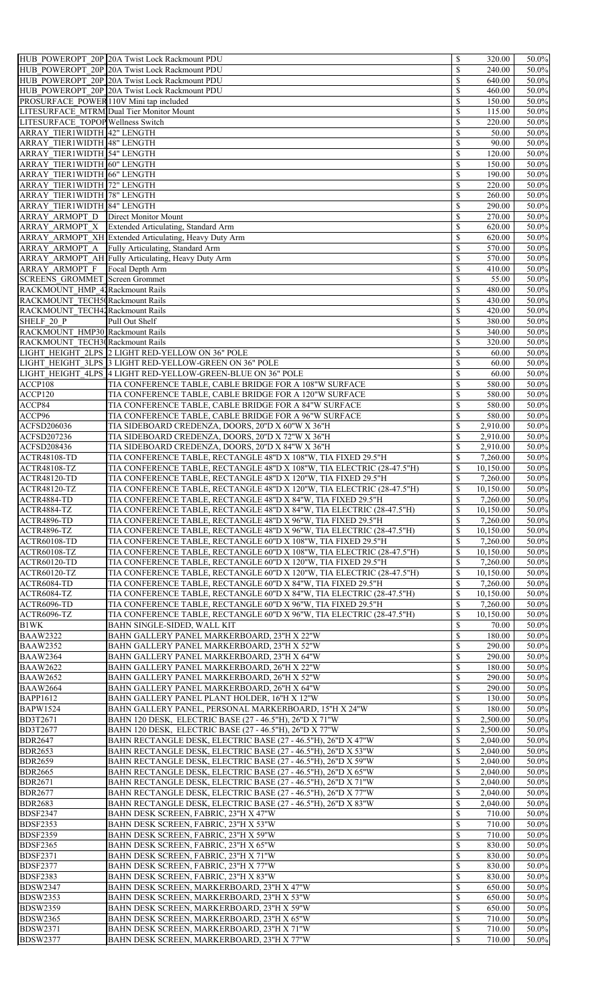|                                          | HUB POWEROPT 20P 20A Twist Lock Rackmount PDU                          | \$                        | 320.00    | 50.0% |
|------------------------------------------|------------------------------------------------------------------------|---------------------------|-----------|-------|
|                                          |                                                                        |                           |           |       |
|                                          | HUB POWEROPT 20P 20A Twist Lock Rackmount PDU                          | \$                        | 240.00    | 50.0% |
|                                          | HUB POWEROPT 20P 20A Twist Lock Rackmount PDU                          | \$                        | 640.00    | 50.0% |
|                                          | HUB POWEROPT 20P 20A Twist Lock Rackmount PDU                          | $\boldsymbol{\mathsf{S}}$ | 460.00    | 50.0% |
| PROSURFACE POWER 110V Mini tap included  |                                                                        | $\boldsymbol{\mathsf{S}}$ | 150.00    | 50.0% |
| LITESURFACE MTRM Dual Tier Monitor Mount |                                                                        | \$                        | 115.00    | 50.0% |
| LITESURFACE TOPOP Wellness Switch        |                                                                        | \$                        | 220.00    | 50.0% |
|                                          |                                                                        |                           |           |       |
| <b>ARRAY TIER1WIDTH 42" LENGTH</b>       |                                                                        | $\boldsymbol{\mathsf{S}}$ | 50.00     | 50.0% |
| ARRAY TIER1WIDTH 48" LENGTH              |                                                                        | $\boldsymbol{\mathsf{S}}$ | 90.00     | 50.0% |
| ARRAY TIER1WIDTH 54" LENGTH              |                                                                        | \$                        | 120.00    | 50.0% |
| ARRAY TIER1WIDTH 60" LENGTH              |                                                                        | \$                        | 150.00    | 50.0% |
| <b>ARRAY TIER1WIDTH 66" LENGTH</b>       |                                                                        | $\boldsymbol{\mathsf{S}}$ | 190.00    | 50.0% |
|                                          |                                                                        |                           |           |       |
| ARRAY TIER1WIDTH 72" LENGTH              |                                                                        | $\boldsymbol{\mathsf{S}}$ | 220.00    | 50.0% |
| ARRAY TIER1WIDTH 78" LENGTH              |                                                                        | \$                        | 260.00    | 50.0% |
| <b>ARRAY TIER1WIDTH 84" LENGTH</b>       |                                                                        | \$                        | 290.00    | 50.0% |
| <b>ARRAY ARMOPT D</b>                    | Direct Monitor Mount                                                   | $\boldsymbol{\mathsf{S}}$ | 270.00    | 50.0% |
| ARRAY ARMOPT X                           | Extended Articulating, Standard Arm                                    | $\boldsymbol{\mathsf{S}}$ | 620.00    | 50.0% |
|                                          | ARRAY ARMOPT XH Extended Articulating, Heavy Duty Arm                  | \$                        | 620.00    | 50.0% |
|                                          |                                                                        |                           |           |       |
|                                          | ARRAY ARMOPT A Fully Articulating, Standard Arm                        | \$                        | 570.00    | 50.0% |
|                                          | ARRAY_ARMOPT_AH Fully Articulating, Heavy Duty Arm                     | $\boldsymbol{\mathsf{S}}$ | 570.00    | 50.0% |
| <b>ARRAY ARMOPT F</b>                    | Focal Depth Arm                                                        | \$                        | 410.00    | 50.0% |
| <b>SCREENS GROMMET</b> Screen Grommet    |                                                                        | \$                        | 55.00     | 50.0% |
| RACKMOUNT HMP 42 Rackmount Rails         |                                                                        | \$                        | 480.00    | 50.0% |
|                                          |                                                                        |                           |           |       |
| RACKMOUNT TECH5 (Rackmount Rails         |                                                                        | \$                        | 430.00    | 50.0% |
| RACKMOUNT TECH44 Rackmount Rails         |                                                                        | $\boldsymbol{\mathsf{S}}$ | 420.00    | 50.0% |
| SHELF 20 P                               | Pull Out Shelf                                                         | \$                        | 380.00    | 50.0% |
| RACKMOUNT HMP30 Rackmount Rails          |                                                                        | \$                        | 340.00    | 50.0% |
| RACKMOUNT TECH3(Rackmount Rails          |                                                                        | \$                        | 320.00    | 50.0% |
|                                          |                                                                        |                           |           |       |
|                                          | LIGHT HEIGHT 2LPS 2 LIGHT RED-YELLOW ON 36" POLE                       | $\boldsymbol{\mathsf{S}}$ | 60.00     | 50.0% |
|                                          | LIGHT HEIGHT 3LPS 3 LIGHT RED-YELLOW-GREEN ON 36" POLE                 | ९                         | 60.00     | 50.0% |
|                                          | LIGHT HEIGHT 4LPS  4 LIGHT RED-YELLOW-GREEN-BLUE ON 36" POLE           | \$                        | 60.00     | 50.0% |
| ACCP108                                  | TIA CONFERENCE TABLE, CABLE BRIDGE FOR A 108"W SURFACE                 | \$                        | 580.00    | 50.0% |
| ACCP120                                  | TIA CONFERENCE TABLE, CABLE BRIDGE FOR A 120"W SURFACE                 | \$                        | 580.00    | 50.0% |
|                                          |                                                                        |                           |           |       |
| ACCP84                                   | TIA CONFERENCE TABLE, CABLE BRIDGE FOR A 84"W SURFACE                  | \$                        | 580.00    | 50.0% |
| ACCP96                                   | TIA CONFERENCE TABLE, CABLE BRIDGE FOR A 96"W SURFACE                  | \$                        | 580.00    | 50.0% |
| <b>ACFSD206036</b>                       | TIA SIDEBOARD CREDENZA, DOORS, 20"D X 60"W X 36"H                      | \$                        | 2,910.00  | 50.0% |
| <b>ACFSD207236</b>                       | TIA SIDEBOARD CREDENZA, DOORS, 20"D X 72"W X 36"H                      | $\boldsymbol{\mathsf{S}}$ | 2,910.00  | 50.0% |
| <b>ACFSD208436</b>                       | TIA SIDEBOARD CREDENZA, DOORS, 20"D X 84"W X 36"H                      | \$                        | 2,910.00  | 50.0% |
|                                          |                                                                        |                           |           |       |
| <b>ACTR48108-TD</b>                      | TIA CONFERENCE TABLE, RECTANGLE 48"D X 108"W, TIA FIXED 29.5"H         | \$                        | 7,260.00  | 50.0% |
| <b>ACTR48108-TZ</b>                      | TIA CONFERENCE TABLE, RECTANGLE 48"D X 108"W, TIA ELECTRIC (28-47.5"H) | \$                        | 10,150.00 | 50.0% |
| <b>ACTR48120-TD</b>                      | TIA CONFERENCE TABLE, RECTANGLE 48"D X 120"W, TIA FIXED 29.5"H         | \$                        | 7,260.00  | 50.0% |
| <b>ACTR48120-TZ</b>                      | TIA CONFERENCE TABLE, RECTANGLE 48"D X 120"W, TIA ELECTRIC (28-47.5"H) | \$                        | 10,150.00 | 50.0% |
| ACTR4884-TD                              | TIA CONFERENCE TABLE, RECTANGLE 48"D X 84"W, TIA FIXED 29.5"H          | \$                        | 7,260.00  | 50.0% |
|                                          |                                                                        |                           |           |       |
| ACTR4884-TZ                              | TIA CONFERENCE TABLE, RECTANGLE 48"D X 84"W, TIA ELECTRIC (28-47.5"H)  | \$                        | 10,150.00 | 50.0% |
| ACTR4896-TD                              | TIA CONFERENCE TABLE, RECTANGLE 48"D X 96"W, TIA FIXED 29.5"H          | \$                        | 7,260.00  | 50.0% |
| ACTR4896-TZ                              | TIA CONFERENCE TABLE, RECTANGLE 48"D X 96"W, TIA ELECTRIC (28-47.5"H)  | \$                        | 10,150.00 | 50.0% |
| <b>ACTR60108-TD</b>                      | TIA CONFERENCE TABLE, RECTANGLE 60"D X 108"W, TIA FIXED 29.5"H         | \$                        | 7,260.00  | 50.0% |
| <b>ACTR60108-TZ</b>                      | TIA CONFERENCE TABLE, RECTANGLE 60"D X 108"W, TIA ELECTRIC (28-47.5"H) | \$                        | 10,150.00 | 50.0% |
|                                          |                                                                        |                           |           |       |
| <b>ACTR60120-TD</b>                      | TIA CONFERENCE TABLE, RECTANGLE 60"D X 120"W, TIA FIXED 29.5"H         | \$                        | 7,260.00  | 50.0% |
| <b>ACTR60120-TZ</b>                      | TIA CONFERENCE TABLE, RECTANGLE 60"D X 120"W, TIA ELECTRIC (28-47.5"H) | \$                        | 10,150.00 | 50.0% |
| ACTR6084-TD                              | TIA CONFERENCE TABLE, RECTANGLE 60"D X 84"W, TIA FIXED 29.5"H          | \$                        | 7,260.00  | 50.0% |
| ACTR6084-TZ                              | TIA CONFERENCE TABLE, RECTANGLE 60"D X 84"W, TIA ELECTRIC (28-47.5"H)  | \$                        | 10,150.00 | 50.0% |
| ACTR6096-TD                              | TIA CONFERENCE TABLE, RECTANGLE 60"D X 96"W, TIA FIXED 29.5"H          | \$                        | 7,260.00  | 50.0% |
|                                          |                                                                        |                           |           |       |
| ACTR6096-TZ                              | TIA CONFERENCE TABLE, RECTANGLE 60"D X 96"W, TIA ELECTRIC (28-47.5"H)  | \$                        | 10,150.00 | 50.0% |
| B1WK                                     | BAHN SINGLE-SIDED, WALL KIT                                            | \$                        | 70.00     | 50.0% |
| <b>BAAW2322</b>                          | BAHN GALLERY PANEL MARKERBOARD, 23"H X 22"W                            | \$                        | 180.00    | 50.0% |
| <b>BAAW2352</b>                          | BAHN GALLERY PANEL MARKERBOARD, 23"H X 52"W                            | \$                        | 290.00    | 50.0% |
| <b>BAAW2364</b>                          | BAHN GALLERY PANEL MARKERBOARD, 23"H X 64"W                            | \$                        | 290.00    | 50.0% |
|                                          |                                                                        |                           |           |       |
| <b>BAAW2622</b>                          | BAHN GALLERY PANEL MARKERBOARD, 26"H X 22"W                            | \$                        | 180.00    | 50.0% |
| <b>BAAW2652</b>                          | BAHN GALLERY PANEL MARKERBOARD, 26"H X 52"W                            | ९                         | 290.00    | 50.0% |
| <b>BAAW2664</b>                          | BAHN GALLERY PANEL MARKERBOARD, 26"H X 64"W                            | \$                        | 290.00    | 50.0% |
| <b>BAPP1612</b>                          | BAHN GALLERY PANEL PLANT HOLDER, 16"H X 12"W                           | \$                        | 130.00    | 50.0% |
| <b>BAPW1524</b>                          | BAHN GALLERY PANEL, PERSONAL MARKERBOARD, 15"H X 24"W                  | \$                        | 180.00    | 50.0% |
|                                          |                                                                        |                           |           |       |
| <b>BD3T2671</b>                          | BAHN 120 DESK, ELECTRIC BASE (27 - 46.5"H), 26"D X 71"W                | \$                        | 2,500.00  | 50.0% |
| <b>BD3T2677</b>                          | BAHN 120 DESK, ELECTRIC BASE (27 - 46.5"H), 26"D X 77"W                | \$                        | 2,500.00  | 50.0% |
| <b>BDR2647</b>                           | BAHN RECTANGLE DESK, ELECTRIC BASE (27 - 46.5"H), 26"D X 47"W          | \$                        | 2,040.00  | 50.0% |
| <b>BDR2653</b>                           | BAHN RECTANGLE DESK, ELECTRIC BASE (27 - 46.5"H), 26"D X 53"W          | \$                        | 2,040.00  | 50.0% |
| <b>BDR2659</b>                           | BAHN RECTANGLE DESK, ELECTRIC BASE (27 - 46.5"H), 26"D X 59"W          | \$                        | 2,040.00  | 50.0% |
| <b>BDR2665</b>                           | BAHN RECTANGLE DESK, ELECTRIC BASE (27 - 46.5"H), 26"D X 65"W          | \$                        |           | 50.0% |
|                                          |                                                                        |                           | 2,040.00  |       |
| <b>BDR2671</b>                           | BAHN RECTANGLE DESK, ELECTRIC BASE (27 - 46.5"H), 26"D X 71"W          | \$                        | 2,040.00  | 50.0% |
| <b>BDR2677</b>                           | BAHN RECTANGLE DESK, ELECTRIC BASE (27 - 46.5"H), 26"D X 77"W          | \$                        | 2,040.00  | 50.0% |
| <b>BDR2683</b>                           | BAHN RECTANGLE DESK, ELECTRIC BASE (27 - 46.5"H), 26"D X 83"W          | \$                        | 2,040.00  | 50.0% |
| <b>BDSF2347</b>                          | BAHN DESK SCREEN, FABRIC, 23"H X 47"W                                  | \$                        | 710.00    | 50.0% |
| <b>BDSF2353</b>                          | BAHN DESK SCREEN, FABRIC, 23"H X 53"W                                  | \$                        | 710.00    | 50.0% |
|                                          |                                                                        |                           |           |       |
| <b>BDSF2359</b>                          | BAHN DESK SCREEN, FABRIC, 23"H X 59"W                                  | \$                        | 710.00    | 50.0% |
| <b>BDSF2365</b>                          | BAHN DESK SCREEN, FABRIC, 23"H X 65"W                                  | \$                        | 830.00    | 50.0% |
| <b>BDSF2371</b>                          | BAHN DESK SCREEN, FABRIC, 23"H X 71"W                                  | \$                        | 830.00    | 50.0% |
| <b>BDSF2377</b>                          | BAHN DESK SCREEN, FABRIC, 23"H X 77"W                                  | \$                        | 830.00    | 50.0% |
| <b>BDSF2383</b>                          | BAHN DESK SCREEN, FABRIC, 23"H X 83"W                                  | \$                        | 830.00    | 50.0% |
|                                          |                                                                        |                           |           |       |
| <b>BDSW2347</b>                          | BAHN DESK SCREEN, MARKERBOARD, 23"H X 47"W                             | \$                        | 650.00    | 50.0% |
| <b>BDSW2353</b>                          | BAHN DESK SCREEN, MARKERBOARD, 23"H X 53"W                             | \$                        | 650.00    | 50.0% |
| <b>BDSW2359</b>                          | BAHN DESK SCREEN, MARKERBOARD, 23"H X 59"W                             | \$                        | 650.00    | 50.0% |
| <b>BDSW2365</b>                          | BAHN DESK SCREEN, MARKERBOARD, 23"H X 65"W                             | \$                        | 710.00    | 50.0% |
| <b>BDSW2371</b>                          | BAHN DESK SCREEN, MARKERBOARD, 23"H X 71"W                             | \$                        | 710.00    | 50.0% |
|                                          |                                                                        |                           |           |       |
| <b>BDSW2377</b>                          | BAHN DESK SCREEN, MARKERBOARD, 23"H X 77"W                             | $\mathbb{S}$              | 710.00    | 50.0% |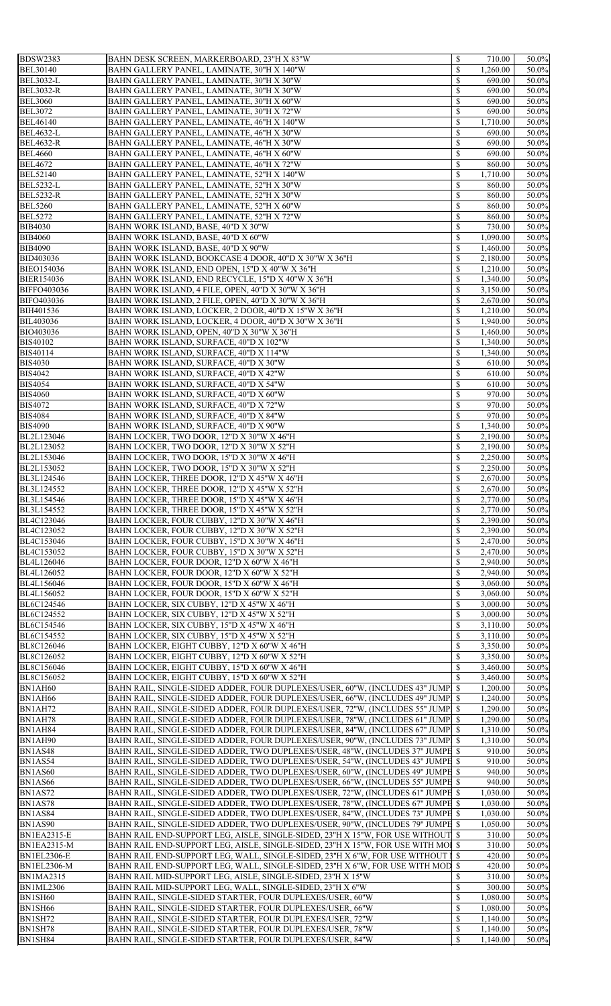|                                                                                                                        |                                                                                                                                                                                                                                                                                                                                                                                                                                                                                                                                                                                                                                                                                                                                                                                                                                                                                                                                                                                                                                                                                                                                                                                                                                                                                                                                                                                                                                                                                                                                                                                                                                                                                                                                                                                                                                                                                                                                                                                                                                                                                                                                                                                               | 710.00                                                                                                                                                                                                                                                                                                                                                                                                                                                                                                                                                                                                                                                                                                                                                                                                                                                                                                                                | 50.0%                                                                                                                                                                                                                                                                                                                                                                                                                                                                                                                              |
|------------------------------------------------------------------------------------------------------------------------|-----------------------------------------------------------------------------------------------------------------------------------------------------------------------------------------------------------------------------------------------------------------------------------------------------------------------------------------------------------------------------------------------------------------------------------------------------------------------------------------------------------------------------------------------------------------------------------------------------------------------------------------------------------------------------------------------------------------------------------------------------------------------------------------------------------------------------------------------------------------------------------------------------------------------------------------------------------------------------------------------------------------------------------------------------------------------------------------------------------------------------------------------------------------------------------------------------------------------------------------------------------------------------------------------------------------------------------------------------------------------------------------------------------------------------------------------------------------------------------------------------------------------------------------------------------------------------------------------------------------------------------------------------------------------------------------------------------------------------------------------------------------------------------------------------------------------------------------------------------------------------------------------------------------------------------------------------------------------------------------------------------------------------------------------------------------------------------------------------------------------------------------------------------------------------------------------|---------------------------------------------------------------------------------------------------------------------------------------------------------------------------------------------------------------------------------------------------------------------------------------------------------------------------------------------------------------------------------------------------------------------------------------------------------------------------------------------------------------------------------------------------------------------------------------------------------------------------------------------------------------------------------------------------------------------------------------------------------------------------------------------------------------------------------------------------------------------------------------------------------------------------------------|------------------------------------------------------------------------------------------------------------------------------------------------------------------------------------------------------------------------------------------------------------------------------------------------------------------------------------------------------------------------------------------------------------------------------------------------------------------------------------------------------------------------------------|
| BAHN DESK SCREEN, MARKERBOARD, 23"H X 83"W                                                                             | $\mathcal{S}$                                                                                                                                                                                                                                                                                                                                                                                                                                                                                                                                                                                                                                                                                                                                                                                                                                                                                                                                                                                                                                                                                                                                                                                                                                                                                                                                                                                                                                                                                                                                                                                                                                                                                                                                                                                                                                                                                                                                                                                                                                                                                                                                                                                 |                                                                                                                                                                                                                                                                                                                                                                                                                                                                                                                                                                                                                                                                                                                                                                                                                                                                                                                                       |                                                                                                                                                                                                                                                                                                                                                                                                                                                                                                                                    |
| BAHN GALLERY PANEL, LAMINATE, 30"H X 140"W                                                                             | S                                                                                                                                                                                                                                                                                                                                                                                                                                                                                                                                                                                                                                                                                                                                                                                                                                                                                                                                                                                                                                                                                                                                                                                                                                                                                                                                                                                                                                                                                                                                                                                                                                                                                                                                                                                                                                                                                                                                                                                                                                                                                                                                                                                             | 1,260.00                                                                                                                                                                                                                                                                                                                                                                                                                                                                                                                                                                                                                                                                                                                                                                                                                                                                                                                              | 50.0%                                                                                                                                                                                                                                                                                                                                                                                                                                                                                                                              |
| BAHN GALLERY PANEL, LAMINATE, 30"H X 30"W                                                                              | $\mathbb{S}$                                                                                                                                                                                                                                                                                                                                                                                                                                                                                                                                                                                                                                                                                                                                                                                                                                                                                                                                                                                                                                                                                                                                                                                                                                                                                                                                                                                                                                                                                                                                                                                                                                                                                                                                                                                                                                                                                                                                                                                                                                                                                                                                                                                  | 690.00                                                                                                                                                                                                                                                                                                                                                                                                                                                                                                                                                                                                                                                                                                                                                                                                                                                                                                                                | 50.0%                                                                                                                                                                                                                                                                                                                                                                                                                                                                                                                              |
| BAHN GALLERY PANEL, LAMINATE, 30"H X 30"W                                                                              | S                                                                                                                                                                                                                                                                                                                                                                                                                                                                                                                                                                                                                                                                                                                                                                                                                                                                                                                                                                                                                                                                                                                                                                                                                                                                                                                                                                                                                                                                                                                                                                                                                                                                                                                                                                                                                                                                                                                                                                                                                                                                                                                                                                                             | 690.00                                                                                                                                                                                                                                                                                                                                                                                                                                                                                                                                                                                                                                                                                                                                                                                                                                                                                                                                | 50.0%                                                                                                                                                                                                                                                                                                                                                                                                                                                                                                                              |
| BAHN GALLERY PANEL, LAMINATE, 30"H X 60"W                                                                              | $\mathbb{S}$                                                                                                                                                                                                                                                                                                                                                                                                                                                                                                                                                                                                                                                                                                                                                                                                                                                                                                                                                                                                                                                                                                                                                                                                                                                                                                                                                                                                                                                                                                                                                                                                                                                                                                                                                                                                                                                                                                                                                                                                                                                                                                                                                                                  | 690.00                                                                                                                                                                                                                                                                                                                                                                                                                                                                                                                                                                                                                                                                                                                                                                                                                                                                                                                                | 50.0%                                                                                                                                                                                                                                                                                                                                                                                                                                                                                                                              |
| BAHN GALLERY PANEL, LAMINATE, 30"H X 72"W                                                                              | S                                                                                                                                                                                                                                                                                                                                                                                                                                                                                                                                                                                                                                                                                                                                                                                                                                                                                                                                                                                                                                                                                                                                                                                                                                                                                                                                                                                                                                                                                                                                                                                                                                                                                                                                                                                                                                                                                                                                                                                                                                                                                                                                                                                             | 690.00                                                                                                                                                                                                                                                                                                                                                                                                                                                                                                                                                                                                                                                                                                                                                                                                                                                                                                                                | 50.0%                                                                                                                                                                                                                                                                                                                                                                                                                                                                                                                              |
| BAHN GALLERY PANEL, LAMINATE, 46"H X 140"W                                                                             | \$                                                                                                                                                                                                                                                                                                                                                                                                                                                                                                                                                                                                                                                                                                                                                                                                                                                                                                                                                                                                                                                                                                                                                                                                                                                                                                                                                                                                                                                                                                                                                                                                                                                                                                                                                                                                                                                                                                                                                                                                                                                                                                                                                                                            | 1,710.00                                                                                                                                                                                                                                                                                                                                                                                                                                                                                                                                                                                                                                                                                                                                                                                                                                                                                                                              | 50.0%                                                                                                                                                                                                                                                                                                                                                                                                                                                                                                                              |
|                                                                                                                        |                                                                                                                                                                                                                                                                                                                                                                                                                                                                                                                                                                                                                                                                                                                                                                                                                                                                                                                                                                                                                                                                                                                                                                                                                                                                                                                                                                                                                                                                                                                                                                                                                                                                                                                                                                                                                                                                                                                                                                                                                                                                                                                                                                                               |                                                                                                                                                                                                                                                                                                                                                                                                                                                                                                                                                                                                                                                                                                                                                                                                                                                                                                                                       |                                                                                                                                                                                                                                                                                                                                                                                                                                                                                                                                    |
|                                                                                                                        |                                                                                                                                                                                                                                                                                                                                                                                                                                                                                                                                                                                                                                                                                                                                                                                                                                                                                                                                                                                                                                                                                                                                                                                                                                                                                                                                                                                                                                                                                                                                                                                                                                                                                                                                                                                                                                                                                                                                                                                                                                                                                                                                                                                               |                                                                                                                                                                                                                                                                                                                                                                                                                                                                                                                                                                                                                                                                                                                                                                                                                                                                                                                                       | 50.0%                                                                                                                                                                                                                                                                                                                                                                                                                                                                                                                              |
|                                                                                                                        |                                                                                                                                                                                                                                                                                                                                                                                                                                                                                                                                                                                                                                                                                                                                                                                                                                                                                                                                                                                                                                                                                                                                                                                                                                                                                                                                                                                                                                                                                                                                                                                                                                                                                                                                                                                                                                                                                                                                                                                                                                                                                                                                                                                               |                                                                                                                                                                                                                                                                                                                                                                                                                                                                                                                                                                                                                                                                                                                                                                                                                                                                                                                                       | 50.0%                                                                                                                                                                                                                                                                                                                                                                                                                                                                                                                              |
| BAHN GALLERY PANEL, LAMINATE, 46"H X 60"W                                                                              | $\mathbb{S}$                                                                                                                                                                                                                                                                                                                                                                                                                                                                                                                                                                                                                                                                                                                                                                                                                                                                                                                                                                                                                                                                                                                                                                                                                                                                                                                                                                                                                                                                                                                                                                                                                                                                                                                                                                                                                                                                                                                                                                                                                                                                                                                                                                                  | 690.00                                                                                                                                                                                                                                                                                                                                                                                                                                                                                                                                                                                                                                                                                                                                                                                                                                                                                                                                | 50.0%                                                                                                                                                                                                                                                                                                                                                                                                                                                                                                                              |
|                                                                                                                        |                                                                                                                                                                                                                                                                                                                                                                                                                                                                                                                                                                                                                                                                                                                                                                                                                                                                                                                                                                                                                                                                                                                                                                                                                                                                                                                                                                                                                                                                                                                                                                                                                                                                                                                                                                                                                                                                                                                                                                                                                                                                                                                                                                                               |                                                                                                                                                                                                                                                                                                                                                                                                                                                                                                                                                                                                                                                                                                                                                                                                                                                                                                                                       | 50.0%                                                                                                                                                                                                                                                                                                                                                                                                                                                                                                                              |
|                                                                                                                        |                                                                                                                                                                                                                                                                                                                                                                                                                                                                                                                                                                                                                                                                                                                                                                                                                                                                                                                                                                                                                                                                                                                                                                                                                                                                                                                                                                                                                                                                                                                                                                                                                                                                                                                                                                                                                                                                                                                                                                                                                                                                                                                                                                                               |                                                                                                                                                                                                                                                                                                                                                                                                                                                                                                                                                                                                                                                                                                                                                                                                                                                                                                                                       | 50.0%                                                                                                                                                                                                                                                                                                                                                                                                                                                                                                                              |
|                                                                                                                        |                                                                                                                                                                                                                                                                                                                                                                                                                                                                                                                                                                                                                                                                                                                                                                                                                                                                                                                                                                                                                                                                                                                                                                                                                                                                                                                                                                                                                                                                                                                                                                                                                                                                                                                                                                                                                                                                                                                                                                                                                                                                                                                                                                                               |                                                                                                                                                                                                                                                                                                                                                                                                                                                                                                                                                                                                                                                                                                                                                                                                                                                                                                                                       |                                                                                                                                                                                                                                                                                                                                                                                                                                                                                                                                    |
|                                                                                                                        |                                                                                                                                                                                                                                                                                                                                                                                                                                                                                                                                                                                                                                                                                                                                                                                                                                                                                                                                                                                                                                                                                                                                                                                                                                                                                                                                                                                                                                                                                                                                                                                                                                                                                                                                                                                                                                                                                                                                                                                                                                                                                                                                                                                               |                                                                                                                                                                                                                                                                                                                                                                                                                                                                                                                                                                                                                                                                                                                                                                                                                                                                                                                                       | 50.0%                                                                                                                                                                                                                                                                                                                                                                                                                                                                                                                              |
|                                                                                                                        |                                                                                                                                                                                                                                                                                                                                                                                                                                                                                                                                                                                                                                                                                                                                                                                                                                                                                                                                                                                                                                                                                                                                                                                                                                                                                                                                                                                                                                                                                                                                                                                                                                                                                                                                                                                                                                                                                                                                                                                                                                                                                                                                                                                               |                                                                                                                                                                                                                                                                                                                                                                                                                                                                                                                                                                                                                                                                                                                                                                                                                                                                                                                                       | 50.0%                                                                                                                                                                                                                                                                                                                                                                                                                                                                                                                              |
|                                                                                                                        | \$                                                                                                                                                                                                                                                                                                                                                                                                                                                                                                                                                                                                                                                                                                                                                                                                                                                                                                                                                                                                                                                                                                                                                                                                                                                                                                                                                                                                                                                                                                                                                                                                                                                                                                                                                                                                                                                                                                                                                                                                                                                                                                                                                                                            |                                                                                                                                                                                                                                                                                                                                                                                                                                                                                                                                                                                                                                                                                                                                                                                                                                                                                                                                       | 50.0%                                                                                                                                                                                                                                                                                                                                                                                                                                                                                                                              |
|                                                                                                                        | $\mathbb{S}$                                                                                                                                                                                                                                                                                                                                                                                                                                                                                                                                                                                                                                                                                                                                                                                                                                                                                                                                                                                                                                                                                                                                                                                                                                                                                                                                                                                                                                                                                                                                                                                                                                                                                                                                                                                                                                                                                                                                                                                                                                                                                                                                                                                  | 860.00                                                                                                                                                                                                                                                                                                                                                                                                                                                                                                                                                                                                                                                                                                                                                                                                                                                                                                                                | 50.0%                                                                                                                                                                                                                                                                                                                                                                                                                                                                                                                              |
|                                                                                                                        |                                                                                                                                                                                                                                                                                                                                                                                                                                                                                                                                                                                                                                                                                                                                                                                                                                                                                                                                                                                                                                                                                                                                                                                                                                                                                                                                                                                                                                                                                                                                                                                                                                                                                                                                                                                                                                                                                                                                                                                                                                                                                                                                                                                               |                                                                                                                                                                                                                                                                                                                                                                                                                                                                                                                                                                                                                                                                                                                                                                                                                                                                                                                                       | 50.0%                                                                                                                                                                                                                                                                                                                                                                                                                                                                                                                              |
|                                                                                                                        |                                                                                                                                                                                                                                                                                                                                                                                                                                                                                                                                                                                                                                                                                                                                                                                                                                                                                                                                                                                                                                                                                                                                                                                                                                                                                                                                                                                                                                                                                                                                                                                                                                                                                                                                                                                                                                                                                                                                                                                                                                                                                                                                                                                               |                                                                                                                                                                                                                                                                                                                                                                                                                                                                                                                                                                                                                                                                                                                                                                                                                                                                                                                                       | 50.0%                                                                                                                                                                                                                                                                                                                                                                                                                                                                                                                              |
|                                                                                                                        |                                                                                                                                                                                                                                                                                                                                                                                                                                                                                                                                                                                                                                                                                                                                                                                                                                                                                                                                                                                                                                                                                                                                                                                                                                                                                                                                                                                                                                                                                                                                                                                                                                                                                                                                                                                                                                                                                                                                                                                                                                                                                                                                                                                               |                                                                                                                                                                                                                                                                                                                                                                                                                                                                                                                                                                                                                                                                                                                                                                                                                                                                                                                                       |                                                                                                                                                                                                                                                                                                                                                                                                                                                                                                                                    |
|                                                                                                                        |                                                                                                                                                                                                                                                                                                                                                                                                                                                                                                                                                                                                                                                                                                                                                                                                                                                                                                                                                                                                                                                                                                                                                                                                                                                                                                                                                                                                                                                                                                                                                                                                                                                                                                                                                                                                                                                                                                                                                                                                                                                                                                                                                                                               |                                                                                                                                                                                                                                                                                                                                                                                                                                                                                                                                                                                                                                                                                                                                                                                                                                                                                                                                       | 50.0%                                                                                                                                                                                                                                                                                                                                                                                                                                                                                                                              |
|                                                                                                                        |                                                                                                                                                                                                                                                                                                                                                                                                                                                                                                                                                                                                                                                                                                                                                                                                                                                                                                                                                                                                                                                                                                                                                                                                                                                                                                                                                                                                                                                                                                                                                                                                                                                                                                                                                                                                                                                                                                                                                                                                                                                                                                                                                                                               |                                                                                                                                                                                                                                                                                                                                                                                                                                                                                                                                                                                                                                                                                                                                                                                                                                                                                                                                       | 50.0%                                                                                                                                                                                                                                                                                                                                                                                                                                                                                                                              |
| BAHN WORK ISLAND, END OPEN, 15"D X 40"W X 36"H                                                                         | $\mathbb{S}$                                                                                                                                                                                                                                                                                                                                                                                                                                                                                                                                                                                                                                                                                                                                                                                                                                                                                                                                                                                                                                                                                                                                                                                                                                                                                                                                                                                                                                                                                                                                                                                                                                                                                                                                                                                                                                                                                                                                                                                                                                                                                                                                                                                  | 1,210.00                                                                                                                                                                                                                                                                                                                                                                                                                                                                                                                                                                                                                                                                                                                                                                                                                                                                                                                              | 50.0%                                                                                                                                                                                                                                                                                                                                                                                                                                                                                                                              |
|                                                                                                                        |                                                                                                                                                                                                                                                                                                                                                                                                                                                                                                                                                                                                                                                                                                                                                                                                                                                                                                                                                                                                                                                                                                                                                                                                                                                                                                                                                                                                                                                                                                                                                                                                                                                                                                                                                                                                                                                                                                                                                                                                                                                                                                                                                                                               |                                                                                                                                                                                                                                                                                                                                                                                                                                                                                                                                                                                                                                                                                                                                                                                                                                                                                                                                       | 50.0%                                                                                                                                                                                                                                                                                                                                                                                                                                                                                                                              |
|                                                                                                                        |                                                                                                                                                                                                                                                                                                                                                                                                                                                                                                                                                                                                                                                                                                                                                                                                                                                                                                                                                                                                                                                                                                                                                                                                                                                                                                                                                                                                                                                                                                                                                                                                                                                                                                                                                                                                                                                                                                                                                                                                                                                                                                                                                                                               |                                                                                                                                                                                                                                                                                                                                                                                                                                                                                                                                                                                                                                                                                                                                                                                                                                                                                                                                       |                                                                                                                                                                                                                                                                                                                                                                                                                                                                                                                                    |
|                                                                                                                        |                                                                                                                                                                                                                                                                                                                                                                                                                                                                                                                                                                                                                                                                                                                                                                                                                                                                                                                                                                                                                                                                                                                                                                                                                                                                                                                                                                                                                                                                                                                                                                                                                                                                                                                                                                                                                                                                                                                                                                                                                                                                                                                                                                                               |                                                                                                                                                                                                                                                                                                                                                                                                                                                                                                                                                                                                                                                                                                                                                                                                                                                                                                                                       | 50.0%                                                                                                                                                                                                                                                                                                                                                                                                                                                                                                                              |
|                                                                                                                        |                                                                                                                                                                                                                                                                                                                                                                                                                                                                                                                                                                                                                                                                                                                                                                                                                                                                                                                                                                                                                                                                                                                                                                                                                                                                                                                                                                                                                                                                                                                                                                                                                                                                                                                                                                                                                                                                                                                                                                                                                                                                                                                                                                                               |                                                                                                                                                                                                                                                                                                                                                                                                                                                                                                                                                                                                                                                                                                                                                                                                                                                                                                                                       | 50.0%                                                                                                                                                                                                                                                                                                                                                                                                                                                                                                                              |
| BAHN WORK ISLAND, LOCKER, 2 DOOR, 40"D X 15"W X 36"H                                                                   | $\mathbb{S}$                                                                                                                                                                                                                                                                                                                                                                                                                                                                                                                                                                                                                                                                                                                                                                                                                                                                                                                                                                                                                                                                                                                                                                                                                                                                                                                                                                                                                                                                                                                                                                                                                                                                                                                                                                                                                                                                                                                                                                                                                                                                                                                                                                                  | 1,210.00                                                                                                                                                                                                                                                                                                                                                                                                                                                                                                                                                                                                                                                                                                                                                                                                                                                                                                                              | 50.0%                                                                                                                                                                                                                                                                                                                                                                                                                                                                                                                              |
|                                                                                                                        | S                                                                                                                                                                                                                                                                                                                                                                                                                                                                                                                                                                                                                                                                                                                                                                                                                                                                                                                                                                                                                                                                                                                                                                                                                                                                                                                                                                                                                                                                                                                                                                                                                                                                                                                                                                                                                                                                                                                                                                                                                                                                                                                                                                                             | 1,940.00                                                                                                                                                                                                                                                                                                                                                                                                                                                                                                                                                                                                                                                                                                                                                                                                                                                                                                                              | 50.0%                                                                                                                                                                                                                                                                                                                                                                                                                                                                                                                              |
|                                                                                                                        |                                                                                                                                                                                                                                                                                                                                                                                                                                                                                                                                                                                                                                                                                                                                                                                                                                                                                                                                                                                                                                                                                                                                                                                                                                                                                                                                                                                                                                                                                                                                                                                                                                                                                                                                                                                                                                                                                                                                                                                                                                                                                                                                                                                               |                                                                                                                                                                                                                                                                                                                                                                                                                                                                                                                                                                                                                                                                                                                                                                                                                                                                                                                                       | 50.0%                                                                                                                                                                                                                                                                                                                                                                                                                                                                                                                              |
|                                                                                                                        |                                                                                                                                                                                                                                                                                                                                                                                                                                                                                                                                                                                                                                                                                                                                                                                                                                                                                                                                                                                                                                                                                                                                                                                                                                                                                                                                                                                                                                                                                                                                                                                                                                                                                                                                                                                                                                                                                                                                                                                                                                                                                                                                                                                               |                                                                                                                                                                                                                                                                                                                                                                                                                                                                                                                                                                                                                                                                                                                                                                                                                                                                                                                                       |                                                                                                                                                                                                                                                                                                                                                                                                                                                                                                                                    |
|                                                                                                                        |                                                                                                                                                                                                                                                                                                                                                                                                                                                                                                                                                                                                                                                                                                                                                                                                                                                                                                                                                                                                                                                                                                                                                                                                                                                                                                                                                                                                                                                                                                                                                                                                                                                                                                                                                                                                                                                                                                                                                                                                                                                                                                                                                                                               |                                                                                                                                                                                                                                                                                                                                                                                                                                                                                                                                                                                                                                                                                                                                                                                                                                                                                                                                       | 50.0%                                                                                                                                                                                                                                                                                                                                                                                                                                                                                                                              |
|                                                                                                                        |                                                                                                                                                                                                                                                                                                                                                                                                                                                                                                                                                                                                                                                                                                                                                                                                                                                                                                                                                                                                                                                                                                                                                                                                                                                                                                                                                                                                                                                                                                                                                                                                                                                                                                                                                                                                                                                                                                                                                                                                                                                                                                                                                                                               |                                                                                                                                                                                                                                                                                                                                                                                                                                                                                                                                                                                                                                                                                                                                                                                                                                                                                                                                       | 50.0%                                                                                                                                                                                                                                                                                                                                                                                                                                                                                                                              |
| BAHN WORK ISLAND, SURFACE, 40"D X 30"W                                                                                 |                                                                                                                                                                                                                                                                                                                                                                                                                                                                                                                                                                                                                                                                                                                                                                                                                                                                                                                                                                                                                                                                                                                                                                                                                                                                                                                                                                                                                                                                                                                                                                                                                                                                                                                                                                                                                                                                                                                                                                                                                                                                                                                                                                                               | 610.00                                                                                                                                                                                                                                                                                                                                                                                                                                                                                                                                                                                                                                                                                                                                                                                                                                                                                                                                | 50.0%                                                                                                                                                                                                                                                                                                                                                                                                                                                                                                                              |
|                                                                                                                        | $\mathcal{S}$                                                                                                                                                                                                                                                                                                                                                                                                                                                                                                                                                                                                                                                                                                                                                                                                                                                                                                                                                                                                                                                                                                                                                                                                                                                                                                                                                                                                                                                                                                                                                                                                                                                                                                                                                                                                                                                                                                                                                                                                                                                                                                                                                                                 | 610.00                                                                                                                                                                                                                                                                                                                                                                                                                                                                                                                                                                                                                                                                                                                                                                                                                                                                                                                                | 50.0%                                                                                                                                                                                                                                                                                                                                                                                                                                                                                                                              |
|                                                                                                                        |                                                                                                                                                                                                                                                                                                                                                                                                                                                                                                                                                                                                                                                                                                                                                                                                                                                                                                                                                                                                                                                                                                                                                                                                                                                                                                                                                                                                                                                                                                                                                                                                                                                                                                                                                                                                                                                                                                                                                                                                                                                                                                                                                                                               |                                                                                                                                                                                                                                                                                                                                                                                                                                                                                                                                                                                                                                                                                                                                                                                                                                                                                                                                       | 50.0%                                                                                                                                                                                                                                                                                                                                                                                                                                                                                                                              |
|                                                                                                                        |                                                                                                                                                                                                                                                                                                                                                                                                                                                                                                                                                                                                                                                                                                                                                                                                                                                                                                                                                                                                                                                                                                                                                                                                                                                                                                                                                                                                                                                                                                                                                                                                                                                                                                                                                                                                                                                                                                                                                                                                                                                                                                                                                                                               |                                                                                                                                                                                                                                                                                                                                                                                                                                                                                                                                                                                                                                                                                                                                                                                                                                                                                                                                       |                                                                                                                                                                                                                                                                                                                                                                                                                                                                                                                                    |
|                                                                                                                        |                                                                                                                                                                                                                                                                                                                                                                                                                                                                                                                                                                                                                                                                                                                                                                                                                                                                                                                                                                                                                                                                                                                                                                                                                                                                                                                                                                                                                                                                                                                                                                                                                                                                                                                                                                                                                                                                                                                                                                                                                                                                                                                                                                                               |                                                                                                                                                                                                                                                                                                                                                                                                                                                                                                                                                                                                                                                                                                                                                                                                                                                                                                                                       | 50.0%                                                                                                                                                                                                                                                                                                                                                                                                                                                                                                                              |
|                                                                                                                        |                                                                                                                                                                                                                                                                                                                                                                                                                                                                                                                                                                                                                                                                                                                                                                                                                                                                                                                                                                                                                                                                                                                                                                                                                                                                                                                                                                                                                                                                                                                                                                                                                                                                                                                                                                                                                                                                                                                                                                                                                                                                                                                                                                                               |                                                                                                                                                                                                                                                                                                                                                                                                                                                                                                                                                                                                                                                                                                                                                                                                                                                                                                                                       | 50.0%                                                                                                                                                                                                                                                                                                                                                                                                                                                                                                                              |
|                                                                                                                        | $\mathbb{S}$                                                                                                                                                                                                                                                                                                                                                                                                                                                                                                                                                                                                                                                                                                                                                                                                                                                                                                                                                                                                                                                                                                                                                                                                                                                                                                                                                                                                                                                                                                                                                                                                                                                                                                                                                                                                                                                                                                                                                                                                                                                                                                                                                                                  |                                                                                                                                                                                                                                                                                                                                                                                                                                                                                                                                                                                                                                                                                                                                                                                                                                                                                                                                       | 50.0%                                                                                                                                                                                                                                                                                                                                                                                                                                                                                                                              |
|                                                                                                                        |                                                                                                                                                                                                                                                                                                                                                                                                                                                                                                                                                                                                                                                                                                                                                                                                                                                                                                                                                                                                                                                                                                                                                                                                                                                                                                                                                                                                                                                                                                                                                                                                                                                                                                                                                                                                                                                                                                                                                                                                                                                                                                                                                                                               |                                                                                                                                                                                                                                                                                                                                                                                                                                                                                                                                                                                                                                                                                                                                                                                                                                                                                                                                       | 50.0%                                                                                                                                                                                                                                                                                                                                                                                                                                                                                                                              |
|                                                                                                                        |                                                                                                                                                                                                                                                                                                                                                                                                                                                                                                                                                                                                                                                                                                                                                                                                                                                                                                                                                                                                                                                                                                                                                                                                                                                                                                                                                                                                                                                                                                                                                                                                                                                                                                                                                                                                                                                                                                                                                                                                                                                                                                                                                                                               |                                                                                                                                                                                                                                                                                                                                                                                                                                                                                                                                                                                                                                                                                                                                                                                                                                                                                                                                       | 50.0%                                                                                                                                                                                                                                                                                                                                                                                                                                                                                                                              |
|                                                                                                                        |                                                                                                                                                                                                                                                                                                                                                                                                                                                                                                                                                                                                                                                                                                                                                                                                                                                                                                                                                                                                                                                                                                                                                                                                                                                                                                                                                                                                                                                                                                                                                                                                                                                                                                                                                                                                                                                                                                                                                                                                                                                                                                                                                                                               |                                                                                                                                                                                                                                                                                                                                                                                                                                                                                                                                                                                                                                                                                                                                                                                                                                                                                                                                       |                                                                                                                                                                                                                                                                                                                                                                                                                                                                                                                                    |
|                                                                                                                        |                                                                                                                                                                                                                                                                                                                                                                                                                                                                                                                                                                                                                                                                                                                                                                                                                                                                                                                                                                                                                                                                                                                                                                                                                                                                                                                                                                                                                                                                                                                                                                                                                                                                                                                                                                                                                                                                                                                                                                                                                                                                                                                                                                                               |                                                                                                                                                                                                                                                                                                                                                                                                                                                                                                                                                                                                                                                                                                                                                                                                                                                                                                                                       | 50.0%                                                                                                                                                                                                                                                                                                                                                                                                                                                                                                                              |
|                                                                                                                        |                                                                                                                                                                                                                                                                                                                                                                                                                                                                                                                                                                                                                                                                                                                                                                                                                                                                                                                                                                                                                                                                                                                                                                                                                                                                                                                                                                                                                                                                                                                                                                                                                                                                                                                                                                                                                                                                                                                                                                                                                                                                                                                                                                                               |                                                                                                                                                                                                                                                                                                                                                                                                                                                                                                                                                                                                                                                                                                                                                                                                                                                                                                                                       | 50.0%                                                                                                                                                                                                                                                                                                                                                                                                                                                                                                                              |
|                                                                                                                        | $\mathbb{S}$                                                                                                                                                                                                                                                                                                                                                                                                                                                                                                                                                                                                                                                                                                                                                                                                                                                                                                                                                                                                                                                                                                                                                                                                                                                                                                                                                                                                                                                                                                                                                                                                                                                                                                                                                                                                                                                                                                                                                                                                                                                                                                                                                                                  |                                                                                                                                                                                                                                                                                                                                                                                                                                                                                                                                                                                                                                                                                                                                                                                                                                                                                                                                       | 50.0%                                                                                                                                                                                                                                                                                                                                                                                                                                                                                                                              |
|                                                                                                                        | $\mathcal{S}$                                                                                                                                                                                                                                                                                                                                                                                                                                                                                                                                                                                                                                                                                                                                                                                                                                                                                                                                                                                                                                                                                                                                                                                                                                                                                                                                                                                                                                                                                                                                                                                                                                                                                                                                                                                                                                                                                                                                                                                                                                                                                                                                                                                 | 2,670.00                                                                                                                                                                                                                                                                                                                                                                                                                                                                                                                                                                                                                                                                                                                                                                                                                                                                                                                              | 50.0%                                                                                                                                                                                                                                                                                                                                                                                                                                                                                                                              |
|                                                                                                                        |                                                                                                                                                                                                                                                                                                                                                                                                                                                                                                                                                                                                                                                                                                                                                                                                                                                                                                                                                                                                                                                                                                                                                                                                                                                                                                                                                                                                                                                                                                                                                                                                                                                                                                                                                                                                                                                                                                                                                                                                                                                                                                                                                                                               |                                                                                                                                                                                                                                                                                                                                                                                                                                                                                                                                                                                                                                                                                                                                                                                                                                                                                                                                       | 50.0%                                                                                                                                                                                                                                                                                                                                                                                                                                                                                                                              |
|                                                                                                                        |                                                                                                                                                                                                                                                                                                                                                                                                                                                                                                                                                                                                                                                                                                                                                                                                                                                                                                                                                                                                                                                                                                                                                                                                                                                                                                                                                                                                                                                                                                                                                                                                                                                                                                                                                                                                                                                                                                                                                                                                                                                                                                                                                                                               |                                                                                                                                                                                                                                                                                                                                                                                                                                                                                                                                                                                                                                                                                                                                                                                                                                                                                                                                       | 50.0%                                                                                                                                                                                                                                                                                                                                                                                                                                                                                                                              |
|                                                                                                                        |                                                                                                                                                                                                                                                                                                                                                                                                                                                                                                                                                                                                                                                                                                                                                                                                                                                                                                                                                                                                                                                                                                                                                                                                                                                                                                                                                                                                                                                                                                                                                                                                                                                                                                                                                                                                                                                                                                                                                                                                                                                                                                                                                                                               |                                                                                                                                                                                                                                                                                                                                                                                                                                                                                                                                                                                                                                                                                                                                                                                                                                                                                                                                       |                                                                                                                                                                                                                                                                                                                                                                                                                                                                                                                                    |
|                                                                                                                        |                                                                                                                                                                                                                                                                                                                                                                                                                                                                                                                                                                                                                                                                                                                                                                                                                                                                                                                                                                                                                                                                                                                                                                                                                                                                                                                                                                                                                                                                                                                                                                                                                                                                                                                                                                                                                                                                                                                                                                                                                                                                                                                                                                                               |                                                                                                                                                                                                                                                                                                                                                                                                                                                                                                                                                                                                                                                                                                                                                                                                                                                                                                                                       | 50.0%                                                                                                                                                                                                                                                                                                                                                                                                                                                                                                                              |
| BAHN LOCKER, FOUR CUBBY, 12"D X 30"W X 46"H                                                                            | $\mathbb{S}$                                                                                                                                                                                                                                                                                                                                                                                                                                                                                                                                                                                                                                                                                                                                                                                                                                                                                                                                                                                                                                                                                                                                                                                                                                                                                                                                                                                                                                                                                                                                                                                                                                                                                                                                                                                                                                                                                                                                                                                                                                                                                                                                                                                  | 2,390.00                                                                                                                                                                                                                                                                                                                                                                                                                                                                                                                                                                                                                                                                                                                                                                                                                                                                                                                              | 50.0%                                                                                                                                                                                                                                                                                                                                                                                                                                                                                                                              |
|                                                                                                                        |                                                                                                                                                                                                                                                                                                                                                                                                                                                                                                                                                                                                                                                                                                                                                                                                                                                                                                                                                                                                                                                                                                                                                                                                                                                                                                                                                                                                                                                                                                                                                                                                                                                                                                                                                                                                                                                                                                                                                                                                                                                                                                                                                                                               |                                                                                                                                                                                                                                                                                                                                                                                                                                                                                                                                                                                                                                                                                                                                                                                                                                                                                                                                       | 50.0%                                                                                                                                                                                                                                                                                                                                                                                                                                                                                                                              |
|                                                                                                                        |                                                                                                                                                                                                                                                                                                                                                                                                                                                                                                                                                                                                                                                                                                                                                                                                                                                                                                                                                                                                                                                                                                                                                                                                                                                                                                                                                                                                                                                                                                                                                                                                                                                                                                                                                                                                                                                                                                                                                                                                                                                                                                                                                                                               |                                                                                                                                                                                                                                                                                                                                                                                                                                                                                                                                                                                                                                                                                                                                                                                                                                                                                                                                       | 50.0%                                                                                                                                                                                                                                                                                                                                                                                                                                                                                                                              |
|                                                                                                                        |                                                                                                                                                                                                                                                                                                                                                                                                                                                                                                                                                                                                                                                                                                                                                                                                                                                                                                                                                                                                                                                                                                                                                                                                                                                                                                                                                                                                                                                                                                                                                                                                                                                                                                                                                                                                                                                                                                                                                                                                                                                                                                                                                                                               |                                                                                                                                                                                                                                                                                                                                                                                                                                                                                                                                                                                                                                                                                                                                                                                                                                                                                                                                       | 50.0%                                                                                                                                                                                                                                                                                                                                                                                                                                                                                                                              |
|                                                                                                                        |                                                                                                                                                                                                                                                                                                                                                                                                                                                                                                                                                                                                                                                                                                                                                                                                                                                                                                                                                                                                                                                                                                                                                                                                                                                                                                                                                                                                                                                                                                                                                                                                                                                                                                                                                                                                                                                                                                                                                                                                                                                                                                                                                                                               |                                                                                                                                                                                                                                                                                                                                                                                                                                                                                                                                                                                                                                                                                                                                                                                                                                                                                                                                       |                                                                                                                                                                                                                                                                                                                                                                                                                                                                                                                                    |
|                                                                                                                        |                                                                                                                                                                                                                                                                                                                                                                                                                                                                                                                                                                                                                                                                                                                                                                                                                                                                                                                                                                                                                                                                                                                                                                                                                                                                                                                                                                                                                                                                                                                                                                                                                                                                                                                                                                                                                                                                                                                                                                                                                                                                                                                                                                                               |                                                                                                                                                                                                                                                                                                                                                                                                                                                                                                                                                                                                                                                                                                                                                                                                                                                                                                                                       | 50.0%                                                                                                                                                                                                                                                                                                                                                                                                                                                                                                                              |
|                                                                                                                        | $\mathbb{S}$                                                                                                                                                                                                                                                                                                                                                                                                                                                                                                                                                                                                                                                                                                                                                                                                                                                                                                                                                                                                                                                                                                                                                                                                                                                                                                                                                                                                                                                                                                                                                                                                                                                                                                                                                                                                                                                                                                                                                                                                                                                                                                                                                                                  |                                                                                                                                                                                                                                                                                                                                                                                                                                                                                                                                                                                                                                                                                                                                                                                                                                                                                                                                       | 50.0%                                                                                                                                                                                                                                                                                                                                                                                                                                                                                                                              |
| BAHN LOCKER, FOUR DOOR, 15"D X 60"W X 46"H                                                                             | $\mathbb{S}$                                                                                                                                                                                                                                                                                                                                                                                                                                                                                                                                                                                                                                                                                                                                                                                                                                                                                                                                                                                                                                                                                                                                                                                                                                                                                                                                                                                                                                                                                                                                                                                                                                                                                                                                                                                                                                                                                                                                                                                                                                                                                                                                                                                  | 3,060.00                                                                                                                                                                                                                                                                                                                                                                                                                                                                                                                                                                                                                                                                                                                                                                                                                                                                                                                              | 50.0%                                                                                                                                                                                                                                                                                                                                                                                                                                                                                                                              |
|                                                                                                                        |                                                                                                                                                                                                                                                                                                                                                                                                                                                                                                                                                                                                                                                                                                                                                                                                                                                                                                                                                                                                                                                                                                                                                                                                                                                                                                                                                                                                                                                                                                                                                                                                                                                                                                                                                                                                                                                                                                                                                                                                                                                                                                                                                                                               |                                                                                                                                                                                                                                                                                                                                                                                                                                                                                                                                                                                                                                                                                                                                                                                                                                                                                                                                       | 50.0%                                                                                                                                                                                                                                                                                                                                                                                                                                                                                                                              |
|                                                                                                                        |                                                                                                                                                                                                                                                                                                                                                                                                                                                                                                                                                                                                                                                                                                                                                                                                                                                                                                                                                                                                                                                                                                                                                                                                                                                                                                                                                                                                                                                                                                                                                                                                                                                                                                                                                                                                                                                                                                                                                                                                                                                                                                                                                                                               |                                                                                                                                                                                                                                                                                                                                                                                                                                                                                                                                                                                                                                                                                                                                                                                                                                                                                                                                       |                                                                                                                                                                                                                                                                                                                                                                                                                                                                                                                                    |
|                                                                                                                        |                                                                                                                                                                                                                                                                                                                                                                                                                                                                                                                                                                                                                                                                                                                                                                                                                                                                                                                                                                                                                                                                                                                                                                                                                                                                                                                                                                                                                                                                                                                                                                                                                                                                                                                                                                                                                                                                                                                                                                                                                                                                                                                                                                                               |                                                                                                                                                                                                                                                                                                                                                                                                                                                                                                                                                                                                                                                                                                                                                                                                                                                                                                                                       | 50.0%                                                                                                                                                                                                                                                                                                                                                                                                                                                                                                                              |
|                                                                                                                        |                                                                                                                                                                                                                                                                                                                                                                                                                                                                                                                                                                                                                                                                                                                                                                                                                                                                                                                                                                                                                                                                                                                                                                                                                                                                                                                                                                                                                                                                                                                                                                                                                                                                                                                                                                                                                                                                                                                                                                                                                                                                                                                                                                                               |                                                                                                                                                                                                                                                                                                                                                                                                                                                                                                                                                                                                                                                                                                                                                                                                                                                                                                                                       | 50.0%                                                                                                                                                                                                                                                                                                                                                                                                                                                                                                                              |
|                                                                                                                        |                                                                                                                                                                                                                                                                                                                                                                                                                                                                                                                                                                                                                                                                                                                                                                                                                                                                                                                                                                                                                                                                                                                                                                                                                                                                                                                                                                                                                                                                                                                                                                                                                                                                                                                                                                                                                                                                                                                                                                                                                                                                                                                                                                                               |                                                                                                                                                                                                                                                                                                                                                                                                                                                                                                                                                                                                                                                                                                                                                                                                                                                                                                                                       | 50.0%                                                                                                                                                                                                                                                                                                                                                                                                                                                                                                                              |
| BAHN LOCKER, SIX CUBBY, 15"D X 45"W X 52"H                                                                             | $\mathbb{S}$                                                                                                                                                                                                                                                                                                                                                                                                                                                                                                                                                                                                                                                                                                                                                                                                                                                                                                                                                                                                                                                                                                                                                                                                                                                                                                                                                                                                                                                                                                                                                                                                                                                                                                                                                                                                                                                                                                                                                                                                                                                                                                                                                                                  | 3,110.00                                                                                                                                                                                                                                                                                                                                                                                                                                                                                                                                                                                                                                                                                                                                                                                                                                                                                                                              | 50.0%                                                                                                                                                                                                                                                                                                                                                                                                                                                                                                                              |
|                                                                                                                        |                                                                                                                                                                                                                                                                                                                                                                                                                                                                                                                                                                                                                                                                                                                                                                                                                                                                                                                                                                                                                                                                                                                                                                                                                                                                                                                                                                                                                                                                                                                                                                                                                                                                                                                                                                                                                                                                                                                                                                                                                                                                                                                                                                                               |                                                                                                                                                                                                                                                                                                                                                                                                                                                                                                                                                                                                                                                                                                                                                                                                                                                                                                                                       | 50.0%                                                                                                                                                                                                                                                                                                                                                                                                                                                                                                                              |
|                                                                                                                        |                                                                                                                                                                                                                                                                                                                                                                                                                                                                                                                                                                                                                                                                                                                                                                                                                                                                                                                                                                                                                                                                                                                                                                                                                                                                                                                                                                                                                                                                                                                                                                                                                                                                                                                                                                                                                                                                                                                                                                                                                                                                                                                                                                                               |                                                                                                                                                                                                                                                                                                                                                                                                                                                                                                                                                                                                                                                                                                                                                                                                                                                                                                                                       | 50.0%                                                                                                                                                                                                                                                                                                                                                                                                                                                                                                                              |
|                                                                                                                        |                                                                                                                                                                                                                                                                                                                                                                                                                                                                                                                                                                                                                                                                                                                                                                                                                                                                                                                                                                                                                                                                                                                                                                                                                                                                                                                                                                                                                                                                                                                                                                                                                                                                                                                                                                                                                                                                                                                                                                                                                                                                                                                                                                                               |                                                                                                                                                                                                                                                                                                                                                                                                                                                                                                                                                                                                                                                                                                                                                                                                                                                                                                                                       |                                                                                                                                                                                                                                                                                                                                                                                                                                                                                                                                    |
|                                                                                                                        |                                                                                                                                                                                                                                                                                                                                                                                                                                                                                                                                                                                                                                                                                                                                                                                                                                                                                                                                                                                                                                                                                                                                                                                                                                                                                                                                                                                                                                                                                                                                                                                                                                                                                                                                                                                                                                                                                                                                                                                                                                                                                                                                                                                               |                                                                                                                                                                                                                                                                                                                                                                                                                                                                                                                                                                                                                                                                                                                                                                                                                                                                                                                                       | 50.0%                                                                                                                                                                                                                                                                                                                                                                                                                                                                                                                              |
|                                                                                                                        |                                                                                                                                                                                                                                                                                                                                                                                                                                                                                                                                                                                                                                                                                                                                                                                                                                                                                                                                                                                                                                                                                                                                                                                                                                                                                                                                                                                                                                                                                                                                                                                                                                                                                                                                                                                                                                                                                                                                                                                                                                                                                                                                                                                               |                                                                                                                                                                                                                                                                                                                                                                                                                                                                                                                                                                                                                                                                                                                                                                                                                                                                                                                                       | 50.0%                                                                                                                                                                                                                                                                                                                                                                                                                                                                                                                              |
|                                                                                                                        |                                                                                                                                                                                                                                                                                                                                                                                                                                                                                                                                                                                                                                                                                                                                                                                                                                                                                                                                                                                                                                                                                                                                                                                                                                                                                                                                                                                                                                                                                                                                                                                                                                                                                                                                                                                                                                                                                                                                                                                                                                                                                                                                                                                               | 1,200.00                                                                                                                                                                                                                                                                                                                                                                                                                                                                                                                                                                                                                                                                                                                                                                                                                                                                                                                              | $50.0\%$                                                                                                                                                                                                                                                                                                                                                                                                                                                                                                                           |
|                                                                                                                        |                                                                                                                                                                                                                                                                                                                                                                                                                                                                                                                                                                                                                                                                                                                                                                                                                                                                                                                                                                                                                                                                                                                                                                                                                                                                                                                                                                                                                                                                                                                                                                                                                                                                                                                                                                                                                                                                                                                                                                                                                                                                                                                                                                                               | 1,240.00                                                                                                                                                                                                                                                                                                                                                                                                                                                                                                                                                                                                                                                                                                                                                                                                                                                                                                                              | 50.0%                                                                                                                                                                                                                                                                                                                                                                                                                                                                                                                              |
|                                                                                                                        |                                                                                                                                                                                                                                                                                                                                                                                                                                                                                                                                                                                                                                                                                                                                                                                                                                                                                                                                                                                                                                                                                                                                                                                                                                                                                                                                                                                                                                                                                                                                                                                                                                                                                                                                                                                                                                                                                                                                                                                                                                                                                                                                                                                               |                                                                                                                                                                                                                                                                                                                                                                                                                                                                                                                                                                                                                                                                                                                                                                                                                                                                                                                                       | 50.0%                                                                                                                                                                                                                                                                                                                                                                                                                                                                                                                              |
|                                                                                                                        |                                                                                                                                                                                                                                                                                                                                                                                                                                                                                                                                                                                                                                                                                                                                                                                                                                                                                                                                                                                                                                                                                                                                                                                                                                                                                                                                                                                                                                                                                                                                                                                                                                                                                                                                                                                                                                                                                                                                                                                                                                                                                                                                                                                               |                                                                                                                                                                                                                                                                                                                                                                                                                                                                                                                                                                                                                                                                                                                                                                                                                                                                                                                                       | 50.0%                                                                                                                                                                                                                                                                                                                                                                                                                                                                                                                              |
|                                                                                                                        |                                                                                                                                                                                                                                                                                                                                                                                                                                                                                                                                                                                                                                                                                                                                                                                                                                                                                                                                                                                                                                                                                                                                                                                                                                                                                                                                                                                                                                                                                                                                                                                                                                                                                                                                                                                                                                                                                                                                                                                                                                                                                                                                                                                               |                                                                                                                                                                                                                                                                                                                                                                                                                                                                                                                                                                                                                                                                                                                                                                                                                                                                                                                                       |                                                                                                                                                                                                                                                                                                                                                                                                                                                                                                                                    |
|                                                                                                                        |                                                                                                                                                                                                                                                                                                                                                                                                                                                                                                                                                                                                                                                                                                                                                                                                                                                                                                                                                                                                                                                                                                                                                                                                                                                                                                                                                                                                                                                                                                                                                                                                                                                                                                                                                                                                                                                                                                                                                                                                                                                                                                                                                                                               |                                                                                                                                                                                                                                                                                                                                                                                                                                                                                                                                                                                                                                                                                                                                                                                                                                                                                                                                       | 50.0%                                                                                                                                                                                                                                                                                                                                                                                                                                                                                                                              |
| BAHN RAIL, SINGLE-SIDED ADDER, FOUR DUPLEXES/USER, 90"W, (INCLUDES 73" JUMP]                                           | $\mathcal{S}$                                                                                                                                                                                                                                                                                                                                                                                                                                                                                                                                                                                                                                                                                                                                                                                                                                                                                                                                                                                                                                                                                                                                                                                                                                                                                                                                                                                                                                                                                                                                                                                                                                                                                                                                                                                                                                                                                                                                                                                                                                                                                                                                                                                 | 1,310.00                                                                                                                                                                                                                                                                                                                                                                                                                                                                                                                                                                                                                                                                                                                                                                                                                                                                                                                              | 50.0%                                                                                                                                                                                                                                                                                                                                                                                                                                                                                                                              |
| BAHN RAIL, SINGLE-SIDED ADDER, TWO DUPLEXES/USER, 48"W, (INCLUDES 37" JUMPE \$                                         |                                                                                                                                                                                                                                                                                                                                                                                                                                                                                                                                                                                                                                                                                                                                                                                                                                                                                                                                                                                                                                                                                                                                                                                                                                                                                                                                                                                                                                                                                                                                                                                                                                                                                                                                                                                                                                                                                                                                                                                                                                                                                                                                                                                               | 910.00                                                                                                                                                                                                                                                                                                                                                                                                                                                                                                                                                                                                                                                                                                                                                                                                                                                                                                                                | 50.0%                                                                                                                                                                                                                                                                                                                                                                                                                                                                                                                              |
| BAHN RAIL, SINGLE-SIDED ADDER, TWO DUPLEXES/USER, 54"W, (INCLUDES 43" JUMPE \$                                         |                                                                                                                                                                                                                                                                                                                                                                                                                                                                                                                                                                                                                                                                                                                                                                                                                                                                                                                                                                                                                                                                                                                                                                                                                                                                                                                                                                                                                                                                                                                                                                                                                                                                                                                                                                                                                                                                                                                                                                                                                                                                                                                                                                                               | 910.00                                                                                                                                                                                                                                                                                                                                                                                                                                                                                                                                                                                                                                                                                                                                                                                                                                                                                                                                | 50.0%                                                                                                                                                                                                                                                                                                                                                                                                                                                                                                                              |
|                                                                                                                        |                                                                                                                                                                                                                                                                                                                                                                                                                                                                                                                                                                                                                                                                                                                                                                                                                                                                                                                                                                                                                                                                                                                                                                                                                                                                                                                                                                                                                                                                                                                                                                                                                                                                                                                                                                                                                                                                                                                                                                                                                                                                                                                                                                                               |                                                                                                                                                                                                                                                                                                                                                                                                                                                                                                                                                                                                                                                                                                                                                                                                                                                                                                                                       |                                                                                                                                                                                                                                                                                                                                                                                                                                                                                                                                    |
|                                                                                                                        |                                                                                                                                                                                                                                                                                                                                                                                                                                                                                                                                                                                                                                                                                                                                                                                                                                                                                                                                                                                                                                                                                                                                                                                                                                                                                                                                                                                                                                                                                                                                                                                                                                                                                                                                                                                                                                                                                                                                                                                                                                                                                                                                                                                               |                                                                                                                                                                                                                                                                                                                                                                                                                                                                                                                                                                                                                                                                                                                                                                                                                                                                                                                                       |                                                                                                                                                                                                                                                                                                                                                                                                                                                                                                                                    |
| BAHN RAIL, SINGLE-SIDED ADDER, TWO DUPLEXES/USER, 60"W, (INCLUDES 49" JUMPE \$                                         |                                                                                                                                                                                                                                                                                                                                                                                                                                                                                                                                                                                                                                                                                                                                                                                                                                                                                                                                                                                                                                                                                                                                                                                                                                                                                                                                                                                                                                                                                                                                                                                                                                                                                                                                                                                                                                                                                                                                                                                                                                                                                                                                                                                               | 940.00                                                                                                                                                                                                                                                                                                                                                                                                                                                                                                                                                                                                                                                                                                                                                                                                                                                                                                                                | 50.0%                                                                                                                                                                                                                                                                                                                                                                                                                                                                                                                              |
| BAHN RAIL, SINGLE-SIDED ADDER, TWO DUPLEXES/USER, 66"W, (INCLUDES 55" JUMPE \$                                         |                                                                                                                                                                                                                                                                                                                                                                                                                                                                                                                                                                                                                                                                                                                                                                                                                                                                                                                                                                                                                                                                                                                                                                                                                                                                                                                                                                                                                                                                                                                                                                                                                                                                                                                                                                                                                                                                                                                                                                                                                                                                                                                                                                                               | 940.00                                                                                                                                                                                                                                                                                                                                                                                                                                                                                                                                                                                                                                                                                                                                                                                                                                                                                                                                | 50.0%                                                                                                                                                                                                                                                                                                                                                                                                                                                                                                                              |
| BAHN RAIL, SINGLE-SIDED ADDER, TWO DUPLEXES/USER, 72"W, (INCLUDES 61" JUMPE \$                                         |                                                                                                                                                                                                                                                                                                                                                                                                                                                                                                                                                                                                                                                                                                                                                                                                                                                                                                                                                                                                                                                                                                                                                                                                                                                                                                                                                                                                                                                                                                                                                                                                                                                                                                                                                                                                                                                                                                                                                                                                                                                                                                                                                                                               | 1,030.00                                                                                                                                                                                                                                                                                                                                                                                                                                                                                                                                                                                                                                                                                                                                                                                                                                                                                                                              | 50.0%                                                                                                                                                                                                                                                                                                                                                                                                                                                                                                                              |
| BAHN RAIL, SINGLE-SIDED ADDER, TWO DUPLEXES/USER, 78"W, (INCLUDES 67" JUMPE \$                                         |                                                                                                                                                                                                                                                                                                                                                                                                                                                                                                                                                                                                                                                                                                                                                                                                                                                                                                                                                                                                                                                                                                                                                                                                                                                                                                                                                                                                                                                                                                                                                                                                                                                                                                                                                                                                                                                                                                                                                                                                                                                                                                                                                                                               | 1,030.00                                                                                                                                                                                                                                                                                                                                                                                                                                                                                                                                                                                                                                                                                                                                                                                                                                                                                                                              | 50.0%                                                                                                                                                                                                                                                                                                                                                                                                                                                                                                                              |
|                                                                                                                        |                                                                                                                                                                                                                                                                                                                                                                                                                                                                                                                                                                                                                                                                                                                                                                                                                                                                                                                                                                                                                                                                                                                                                                                                                                                                                                                                                                                                                                                                                                                                                                                                                                                                                                                                                                                                                                                                                                                                                                                                                                                                                                                                                                                               |                                                                                                                                                                                                                                                                                                                                                                                                                                                                                                                                                                                                                                                                                                                                                                                                                                                                                                                                       |                                                                                                                                                                                                                                                                                                                                                                                                                                                                                                                                    |
| BAHN RAIL, SINGLE-SIDED ADDER, TWO DUPLEXES/USER, 84"W, (INCLUDES 73" JUMPE \$                                         |                                                                                                                                                                                                                                                                                                                                                                                                                                                                                                                                                                                                                                                                                                                                                                                                                                                                                                                                                                                                                                                                                                                                                                                                                                                                                                                                                                                                                                                                                                                                                                                                                                                                                                                                                                                                                                                                                                                                                                                                                                                                                                                                                                                               | 1,030.00                                                                                                                                                                                                                                                                                                                                                                                                                                                                                                                                                                                                                                                                                                                                                                                                                                                                                                                              | 50.0%                                                                                                                                                                                                                                                                                                                                                                                                                                                                                                                              |
| BAHN RAIL, SINGLE-SIDED ADDER, TWO DUPLEXES/USER, 90"W, (INCLUDES 79" JUMPE \$                                         |                                                                                                                                                                                                                                                                                                                                                                                                                                                                                                                                                                                                                                                                                                                                                                                                                                                                                                                                                                                                                                                                                                                                                                                                                                                                                                                                                                                                                                                                                                                                                                                                                                                                                                                                                                                                                                                                                                                                                                                                                                                                                                                                                                                               | 1,050.00                                                                                                                                                                                                                                                                                                                                                                                                                                                                                                                                                                                                                                                                                                                                                                                                                                                                                                                              | 50.0%                                                                                                                                                                                                                                                                                                                                                                                                                                                                                                                              |
| BAHN RAIL END-SUPPORT LEG, AISLE, SINGLE-SIDED, 23"H X 15"W, FOR USE WITHOUT \$                                        |                                                                                                                                                                                                                                                                                                                                                                                                                                                                                                                                                                                                                                                                                                                                                                                                                                                                                                                                                                                                                                                                                                                                                                                                                                                                                                                                                                                                                                                                                                                                                                                                                                                                                                                                                                                                                                                                                                                                                                                                                                                                                                                                                                                               | 310.00                                                                                                                                                                                                                                                                                                                                                                                                                                                                                                                                                                                                                                                                                                                                                                                                                                                                                                                                | 50.0%                                                                                                                                                                                                                                                                                                                                                                                                                                                                                                                              |
| BAHN RAIL END-SUPPORT LEG, AISLE, SINGLE-SIDED, 23"H X 15"W, FOR USE WITH MOI \$                                       |                                                                                                                                                                                                                                                                                                                                                                                                                                                                                                                                                                                                                                                                                                                                                                                                                                                                                                                                                                                                                                                                                                                                                                                                                                                                                                                                                                                                                                                                                                                                                                                                                                                                                                                                                                                                                                                                                                                                                                                                                                                                                                                                                                                               | 310.00                                                                                                                                                                                                                                                                                                                                                                                                                                                                                                                                                                                                                                                                                                                                                                                                                                                                                                                                | 50.0%                                                                                                                                                                                                                                                                                                                                                                                                                                                                                                                              |
| BAHN RAIL END-SUPPORT LEG, WALL, SINGLE-SIDED, 23"H X 6"W, FOR USE WITHOUT I                                           | $\mathcal{S}$                                                                                                                                                                                                                                                                                                                                                                                                                                                                                                                                                                                                                                                                                                                                                                                                                                                                                                                                                                                                                                                                                                                                                                                                                                                                                                                                                                                                                                                                                                                                                                                                                                                                                                                                                                                                                                                                                                                                                                                                                                                                                                                                                                                 | 420.00                                                                                                                                                                                                                                                                                                                                                                                                                                                                                                                                                                                                                                                                                                                                                                                                                                                                                                                                | 50.0%                                                                                                                                                                                                                                                                                                                                                                                                                                                                                                                              |
|                                                                                                                        |                                                                                                                                                                                                                                                                                                                                                                                                                                                                                                                                                                                                                                                                                                                                                                                                                                                                                                                                                                                                                                                                                                                                                                                                                                                                                                                                                                                                                                                                                                                                                                                                                                                                                                                                                                                                                                                                                                                                                                                                                                                                                                                                                                                               |                                                                                                                                                                                                                                                                                                                                                                                                                                                                                                                                                                                                                                                                                                                                                                                                                                                                                                                                       |                                                                                                                                                                                                                                                                                                                                                                                                                                                                                                                                    |
| BAHN RAIL END-SUPPORT LEG, WALL, SINGLE-SIDED, 23"H X 6"W, FOR USE WITH MOD \$                                         |                                                                                                                                                                                                                                                                                                                                                                                                                                                                                                                                                                                                                                                                                                                                                                                                                                                                                                                                                                                                                                                                                                                                                                                                                                                                                                                                                                                                                                                                                                                                                                                                                                                                                                                                                                                                                                                                                                                                                                                                                                                                                                                                                                                               | 420.00                                                                                                                                                                                                                                                                                                                                                                                                                                                                                                                                                                                                                                                                                                                                                                                                                                                                                                                                | 50.0%                                                                                                                                                                                                                                                                                                                                                                                                                                                                                                                              |
| BAHN RAIL MID-SUPPORT LEG, AISLE, SINGLE-SIDED, 23"H X 15"W                                                            | $\mathcal{S}$                                                                                                                                                                                                                                                                                                                                                                                                                                                                                                                                                                                                                                                                                                                                                                                                                                                                                                                                                                                                                                                                                                                                                                                                                                                                                                                                                                                                                                                                                                                                                                                                                                                                                                                                                                                                                                                                                                                                                                                                                                                                                                                                                                                 | 310.00                                                                                                                                                                                                                                                                                                                                                                                                                                                                                                                                                                                                                                                                                                                                                                                                                                                                                                                                | 50.0%                                                                                                                                                                                                                                                                                                                                                                                                                                                                                                                              |
| BAHN RAIL MID-SUPPORT LEG, WALL, SINGLE-SIDED, 23"H X 6"W                                                              | $\mathbb{S}$                                                                                                                                                                                                                                                                                                                                                                                                                                                                                                                                                                                                                                                                                                                                                                                                                                                                                                                                                                                                                                                                                                                                                                                                                                                                                                                                                                                                                                                                                                                                                                                                                                                                                                                                                                                                                                                                                                                                                                                                                                                                                                                                                                                  | 300.00                                                                                                                                                                                                                                                                                                                                                                                                                                                                                                                                                                                                                                                                                                                                                                                                                                                                                                                                | 50.0%                                                                                                                                                                                                                                                                                                                                                                                                                                                                                                                              |
| BAHN RAIL, SINGLE-SIDED STARTER, FOUR DUPLEXES/USER, 60"W                                                              | $\mathcal{S}$                                                                                                                                                                                                                                                                                                                                                                                                                                                                                                                                                                                                                                                                                                                                                                                                                                                                                                                                                                                                                                                                                                                                                                                                                                                                                                                                                                                                                                                                                                                                                                                                                                                                                                                                                                                                                                                                                                                                                                                                                                                                                                                                                                                 | 1,080.00                                                                                                                                                                                                                                                                                                                                                                                                                                                                                                                                                                                                                                                                                                                                                                                                                                                                                                                              | 50.0%                                                                                                                                                                                                                                                                                                                                                                                                                                                                                                                              |
|                                                                                                                        | $\mathbb{S}$                                                                                                                                                                                                                                                                                                                                                                                                                                                                                                                                                                                                                                                                                                                                                                                                                                                                                                                                                                                                                                                                                                                                                                                                                                                                                                                                                                                                                                                                                                                                                                                                                                                                                                                                                                                                                                                                                                                                                                                                                                                                                                                                                                                  | 1,080.00                                                                                                                                                                                                                                                                                                                                                                                                                                                                                                                                                                                                                                                                                                                                                                                                                                                                                                                              | 50.0%                                                                                                                                                                                                                                                                                                                                                                                                                                                                                                                              |
| BAHN RAIL, SINGLE-SIDED STARTER, FOUR DUPLEXES/USER, 66"W                                                              |                                                                                                                                                                                                                                                                                                                                                                                                                                                                                                                                                                                                                                                                                                                                                                                                                                                                                                                                                                                                                                                                                                                                                                                                                                                                                                                                                                                                                                                                                                                                                                                                                                                                                                                                                                                                                                                                                                                                                                                                                                                                                                                                                                                               |                                                                                                                                                                                                                                                                                                                                                                                                                                                                                                                                                                                                                                                                                                                                                                                                                                                                                                                                       |                                                                                                                                                                                                                                                                                                                                                                                                                                                                                                                                    |
| BAHN RAIL, SINGLE-SIDED STARTER, FOUR DUPLEXES/USER, 72"W<br>BAHN RAIL, SINGLE-SIDED STARTER, FOUR DUPLEXES/USER, 78"W | $\mathcal{S}$<br>$\mathbb{S}$                                                                                                                                                                                                                                                                                                                                                                                                                                                                                                                                                                                                                                                                                                                                                                                                                                                                                                                                                                                                                                                                                                                                                                                                                                                                                                                                                                                                                                                                                                                                                                                                                                                                                                                                                                                                                                                                                                                                                                                                                                                                                                                                                                 | 1,140.00<br>1,140.00                                                                                                                                                                                                                                                                                                                                                                                                                                                                                                                                                                                                                                                                                                                                                                                                                                                                                                                  | 50.0%<br>50.0%                                                                                                                                                                                                                                                                                                                                                                                                                                                                                                                     |
|                                                                                                                        | BAHN GALLERY PANEL, LAMINATE, 46"H X 30"W<br>BAHN GALLERY PANEL, LAMINATE, 46"H X 30"W<br>BAHN GALLERY PANEL, LAMINATE, 46"H X 72"W<br>BAHN GALLERY PANEL, LAMINATE, 52"H X 140"W<br>BAHN GALLERY PANEL, LAMINATE, 52"H X 30"W<br>BAHN GALLERY PANEL, LAMINATE, 52"H X 30"W<br>BAHN GALLERY PANEL, LAMINATE, 52"H X 60"W<br>BAHN GALLERY PANEL, LAMINATE, 52"H X 72"W<br>BAHN WORK ISLAND, BASE, 40"D X 30"W<br>BAHN WORK ISLAND, BASE, 40"D X 60"W<br>BAHN WORK ISLAND, BASE, 40"D X 90"W<br>BAHN WORK ISLAND, BOOKCASE 4 DOOR, 40"D X 30"W X 36"H<br>BAHN WORK ISLAND, END RECYCLE, 15"D X 40"W X 36"H<br>BAHN WORK ISLAND, 4 FILE, OPEN, 40"D X 30"W X 36"H<br>BAHN WORK ISLAND, 2 FILE, OPEN, 40"D X 30"W X 36"H<br>BAHN WORK ISLAND, LOCKER, 4 DOOR, 40"D X 30"W X 36"H<br>BAHN WORK ISLAND, OPEN, 40"D X 30"W X 36"H<br>BAHN WORK ISLAND, SURFACE, 40"D X 102"W<br>BAHN WORK ISLAND, SURFACE, 40"D X 114"W<br>BAHN WORK ISLAND, SURFACE, 40"D X 42"W<br>BAHN WORK ISLAND, SURFACE, 40"D X 54"W<br>BAHN WORK ISLAND, SURFACE, 40"D X 60"W<br>BAHN WORK ISLAND, SURFACE, 40"D X 72"W<br>BAHN WORK ISLAND, SURFACE, 40"D X 84"W<br>BAHN WORK ISLAND, SURFACE, 40"D X 90"W<br>BAHN LOCKER, TWO DOOR, 12"D X 30"W X 46"H<br>BAHN LOCKER, TWO DOOR, 12"D X 30"W X 52"H<br>BAHN LOCKER, TWO DOOR, 15"D X 30"W X 46"H<br>BAHN LOCKER, TWO DOOR, 15"D X 30"W X 52"H<br>BAHN LOCKER, THREE DOOR, 12"D X 45"W X 46"H<br>BAHN LOCKER, THREE DOOR, 12"D X 45"W X 52"H<br>BAHN LOCKER, THREE DOOR, 15"D X 45"W X 46"H<br>BAHN LOCKER, THREE DOOR, 15"D X 45"W X 52"H<br>BAHN LOCKER, FOUR CUBBY, 12"D X 30"W X 52"H<br>BAHN LOCKER, FOUR CUBBY, 15"D X 30"W X 46"H<br>BAHN LOCKER, FOUR CUBBY, 15"D X 30"W X 52"H<br>BAHN LOCKER, FOUR DOOR, 12"D X 60"W X 46"H<br>BAHN LOCKER, FOUR DOOR, 12"D X 60"W X 52"H<br>BAHN LOCKER, FOUR DOOR, 15"D X 60"W X 52"H<br>BAHN LOCKER, SIX CUBBY, 12"D X 45"W X 46"H<br>BAHN LOCKER, SIX CUBBY, 12"D X 45"W X 52"H<br>BAHN LOCKER, SIX CUBBY, 15"D X 45"W X 46"H<br>BAHN LOCKER, EIGHT CUBBY, 12"D X 60"W X 46"H<br>BAHN LOCKER, EIGHT CUBBY, 12"D X 60"W X 52"H<br>BAHN LOCKER, EIGHT CUBBY, 15"D X 60"W X 46"H<br>BAHN LOCKER, EIGHT CUBBY, 15"D X 60"W X 52"H | S<br>\$<br>$\mathcal{S}$<br>S<br>$\mathbb{S}$<br>S<br>$\mathbb{S}$<br>S<br>$\mathbb{S}$<br>$\mathbb{S}$<br>$\mathbb{S}$<br>$\mathcal{S}$<br>S<br>$\mathbb{S}$<br>$\mathbb{S}$<br>$\mathbb{S}$<br>S<br>$\mathbb{S}$<br>S<br>S<br>$\mathcal{S}$<br>$\mathbb{S}$<br>$\mathbb{S}$<br>S<br>$\mathbb{S}$<br>$\mathbb{S}$<br>$\mathbb{S}$<br>$\mathbb{S}$<br>$\mathbb{S}$<br>$\mathcal{S}$<br>$\mathbb{S}$<br>$\mathcal{S}$<br>S<br>$\mathbb{S}$<br>$\mathbb{S}$<br>$\mathbb{S}$<br>$\mathbb{S}$<br>BAHN RAIL, SINGLE-SIDED ADDER, FOUR DUPLEXES/USER, 60"W, (INCLUDES 43" JUMP \$<br>BAHN RAIL, SINGLE-SIDED ADDER, FOUR DUPLEXES/USER, 66"W, (INCLUDES 49" JUMP] \$<br>BAHN RAIL, SINGLE-SIDED ADDER, FOUR DUPLEXES/USER, 72"W, (INCLUDES 55" JUMP] \$<br>BAHN RAIL, SINGLE-SIDED ADDER, FOUR DUPLEXES/USER, 78"W, (INCLUDES 61" JUMP] \$<br>BAHN RAIL, SINGLE-SIDED ADDER, FOUR DUPLEXES/USER, 84"W, (INCLUDES 67" JUMP)<br>$\mathcal{S}$ | 690.00<br>690.00<br>860.00<br>1,710.00<br>860.00<br>860.00<br>860.00<br>730.00<br>1,090.00<br>1,460.00<br>2,180.00<br>1,340.00<br>3,150.00<br>2,670.00<br>1,460.00<br>1,340.00<br>1,340.00<br>610.00<br>970.00<br>970.00<br>970.00<br>1,340.00<br>2,190.00<br>2,190.00<br>2,250.00<br>2,250.00<br>2,670.00<br>2,770.00<br>2,770.00<br>2,390.00<br>2,470.00<br>2,470.00<br>2,940.00<br>2,940.00<br>3,060.00<br>3,000.00<br>3,000.00<br>3,110.00<br>3,350.00<br>3,350.00<br>3,460.00<br>3,460.00<br>1,290.00<br>1,290.00<br>1,310.00 |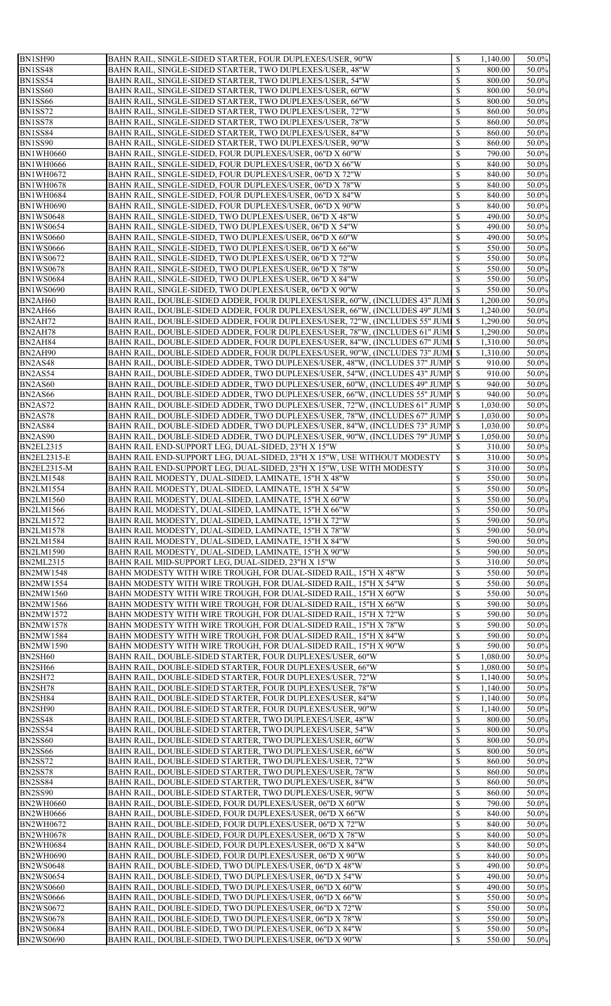| BN1SH90                              | BAHN RAIL, SINGLE-SIDED STARTER, FOUR DUPLEXES/USER, 90"W                                                          | $\mathcal{S}$                | 1,140.00         | 50.0%          |
|--------------------------------------|--------------------------------------------------------------------------------------------------------------------|------------------------------|------------------|----------------|
|                                      |                                                                                                                    |                              |                  |                |
| <b>BN1SS48</b>                       | BAHN RAIL, SINGLE-SIDED STARTER, TWO DUPLEXES/USER, 48"W                                                           | \$                           | 800.00           | 50.0%          |
| <b>BN1SS54</b>                       | BAHN RAIL, SINGLE-SIDED STARTER, TWO DUPLEXES/USER, 54"W                                                           | $\mathbb{S}$                 | 800.00           | 50.0%          |
| <b>BN1SS60</b>                       | BAHN RAIL, SINGLE-SIDED STARTER, TWO DUPLEXES/USER, 60"W                                                           | $\mathbb{S}$                 | 800.00           | 50.0%          |
| <b>BN1SS66</b>                       | BAHN RAIL, SINGLE-SIDED STARTER, TWO DUPLEXES/USER, 66"W                                                           | $\mathbb{S}$                 | 800.00           | 50.0%          |
| <b>BN1SS72</b>                       | BAHN RAIL, SINGLE-SIDED STARTER, TWO DUPLEXES/USER, 72"W                                                           | \$                           | 860.00           | 50.0%          |
| <b>BN1SS78</b>                       | BAHN RAIL, SINGLE-SIDED STARTER, TWO DUPLEXES/USER, 78"W                                                           | \$                           | 860.00           | 50.0%          |
| <b>BN1SS84</b>                       |                                                                                                                    |                              | 860.00           | 50.0%          |
|                                      | BAHN RAIL, SINGLE-SIDED STARTER, TWO DUPLEXES/USER, 84"W                                                           | $\mathbb{S}$                 |                  |                |
| <b>BN1SS90</b>                       | BAHN RAIL, SINGLE-SIDED STARTER, TWO DUPLEXES/USER, 90"W                                                           | S                            | 860.00           | 50.0%          |
| <b>BN1WH0660</b>                     | BAHN RAIL, SINGLE-SIDED, FOUR DUPLEXES/USER, 06"D X 60"W                                                           | \$                           | 790.00           | 50.0%          |
| <b>BN1WH0666</b>                     | BAHN RAIL, SINGLE-SIDED, FOUR DUPLEXES/USER, 06"D X 66"W                                                           | $\mathbb{S}$                 | 840.00           | 50.0%          |
| <b>BN1WH0672</b>                     | BAHN RAIL, SINGLE-SIDED, FOUR DUPLEXES/USER, 06"D X 72"W                                                           | \$                           | 840.00           | 50.0%          |
| <b>BN1WH0678</b>                     | BAHN RAIL, SINGLE-SIDED, FOUR DUPLEXES/USER, 06"D X 78"W                                                           | S                            | 840.00           | 50.0%          |
|                                      |                                                                                                                    |                              | 840.00           | 50.0%          |
| <b>BN1WH0684</b>                     | BAHN RAIL, SINGLE-SIDED, FOUR DUPLEXES/USER, 06"D X 84"W                                                           | \$                           |                  |                |
| <b>BN1WH0690</b>                     | BAHN RAIL, SINGLE-SIDED, FOUR DUPLEXES/USER, 06"D X 90"W                                                           | $\mathbb{S}$                 | 840.00           | 50.0%          |
| <b>BN1WS0648</b>                     | BAHN RAIL, SINGLE-SIDED, TWO DUPLEXES/USER, 06"D X 48"W                                                            | \$                           | 490.00           | 50.0%          |
| <b>BN1WS0654</b>                     | BAHN RAIL, SINGLE-SIDED, TWO DUPLEXES/USER, 06"D X 54"W                                                            | S                            | 490.00           | 50.0%          |
| <b>BN1WS0660</b>                     | BAHN RAIL, SINGLE-SIDED, TWO DUPLEXES/USER, 06"D X 60"W                                                            | \$                           | 490.00           | 50.0%          |
| <b>BN1WS0666</b>                     | BAHN RAIL, SINGLE-SIDED, TWO DUPLEXES/USER, 06"D X 66"W                                                            | \$                           | 550.00           | 50.0%          |
|                                      |                                                                                                                    |                              |                  | 50.0%          |
| <b>BN1WS0672</b>                     | BAHN RAIL, SINGLE-SIDED, TWO DUPLEXES/USER, 06"D X 72"W                                                            | $\mathbb{S}$                 | 550.00           |                |
| <b>BN1WS0678</b>                     | BAHN RAIL, SINGLE-SIDED, TWO DUPLEXES/USER, 06"D X 78"W                                                            | S                            | 550.00           | 50.0%          |
| <b>BN1WS0684</b>                     | BAHN RAIL, SINGLE-SIDED, TWO DUPLEXES/USER, 06"D X 84"W                                                            | S                            | 550.00           | 50.0%          |
| <b>BN1WS0690</b>                     | BAHN RAIL, SINGLE-SIDED, TWO DUPLEXES/USER, 06"D X 90"W                                                            | $\mathcal{S}$                | 550.00           | 50.0%          |
| BN2AH60                              | BAHN RAIL, DOUBLE-SIDED ADDER, FOUR DUPLEXES/USER, 60"W, (INCLUDES 43" JUMI \$                                     |                              | 1,200.00         | 50.0%          |
| BN2AH66                              | BAHN RAIL, DOUBLE-SIDED ADDER, FOUR DUPLEXES/USER, 66"W, (INCLUDES 49" JUMI \$                                     |                              | 1,240.00         | 50.0%          |
|                                      |                                                                                                                    |                              |                  |                |
| BN2AH72                              | BAHN RAIL, DOUBLE-SIDED ADDER, FOUR DUPLEXES/USER, 72"W, (INCLUDES 55" JUMI \$                                     |                              | 1,290.00         | 50.0%          |
| BN2AH78                              | BAHN RAIL, DOUBLE-SIDED ADDER, FOUR DUPLEXES/USER, 78"W, (INCLUDES 61" JUMI \$                                     |                              | 1,290.00         | 50.0%          |
| BN2AH84                              | BAHN RAIL, DOUBLE-SIDED ADDER, FOUR DUPLEXES/USER, 84"W, (INCLUDES 67" JUMI \$                                     |                              | 1,310.00         | 50.0%          |
| BN2AH90                              | BAHN RAIL, DOUBLE-SIDED ADDER, FOUR DUPLEXES/USER, 90"W, (INCLUDES 73" JUMI \$                                     |                              | 1,310.00         | 50.0%          |
| <b>BN2AS48</b>                       | BAHN RAIL, DOUBLE-SIDED ADDER, TWO DUPLEXES/USER, 48"W, (INCLUDES 37" JUMP  \$                                     |                              | 910.00           | 50.0%          |
|                                      |                                                                                                                    |                              |                  |                |
| BN2AS54                              | BAHN RAIL, DOUBLE-SIDED ADDER, TWO DUPLEXES/USER, 54"W, (INCLUDES 43" JUMP \$                                      |                              | 910.00           | 50.0%          |
| <b>BN2AS60</b>                       | BAHN RAIL, DOUBLE-SIDED ADDER, TWO DUPLEXES/USER, 60"W, (INCLUDES 49" JUMP \$                                      |                              | 940.00           | 50.0%          |
| <b>BN2AS66</b>                       | BAHN RAIL, DOUBLE-SIDED ADDER, TWO DUPLEXES/USER, 66"W, (INCLUDES 55" JUMP \\$                                     |                              | 940.00           | 50.0%          |
| <b>BN2AS72</b>                       | BAHN RAIL, DOUBLE-SIDED ADDER, TWO DUPLEXES/USER, 72"W, (INCLUDES 61" JUMP \$                                      |                              | 1,030.00         | 50.0%          |
| <b>BN2AS78</b>                       | BAHN RAIL, DOUBLE-SIDED ADDER, TWO DUPLEXES/USER, 78"W, (INCLUDES 67" JUMP \$                                      |                              | 1,030.00         | 50.0%          |
| <b>BN2AS84</b>                       | BAHN RAIL, DOUBLE-SIDED ADDER, TWO DUPLEXES/USER, 84"W, (INCLUDES 73" JUMP \$                                      |                              | 1,030.00         | 50.0%          |
|                                      |                                                                                                                    |                              |                  |                |
| <b>BN2AS90</b>                       | BAHN RAIL, DOUBLE-SIDED ADDER, TWO DUPLEXES/USER, 90"W, (INCLUDES 79" JUMP                                         | $\mathcal{S}$                | 1,050.00         | 50.0%          |
| <b>BN2EL2315</b>                     | BAHN RAIL END-SUPPORT LEG, DUAL-SIDED, 23"H X 15"W                                                                 | $\mathcal{S}$                | 310.00           | 50.0%          |
| <b>BN2EL2315-E</b>                   | BAHN RAIL END-SUPPORT LEG, DUAL-SIDED, 23"H X 15"W, USE WITHOUT MODESTY                                            | $\mathcal{S}$                | 310.00           | 50.0%          |
| <b>BN2EL2315-M</b>                   | BAHN RAIL END-SUPPORT LEG, DUAL-SIDED, 23"H X 15"W, USE WITH MODESTY                                               | $\mathbb{S}$                 | 310.00           | 50.0%          |
| <b>BN2LM1548</b>                     | BAHN RAIL MODESTY, DUAL-SIDED, LAMINATE, 15"H X 48"W                                                               | $\mathcal{S}$                | 550.00           | 50.0%          |
|                                      |                                                                                                                    |                              |                  | 50.0%          |
| <b>BN2LM1554</b>                     | BAHN RAIL MODESTY, DUAL-SIDED, LAMINATE, 15"H X 54"W                                                               | S                            | 550.00           |                |
| <b>BN2LM1560</b>                     | BAHN RAIL MODESTY, DUAL-SIDED, LAMINATE, 15"H X 60"W                                                               | $\mathbb{S}$                 | 550.00           | 50.0%          |
| <b>BN2LM1566</b>                     | BAHN RAIL MODESTY, DUAL-SIDED, LAMINATE, 15"H X 66"W                                                               | S                            | 550.00           | 50.0%          |
| <b>BN2LM1572</b>                     | BAHN RAIL MODESTY, DUAL-SIDED, LAMINATE, 15"H X 72"W                                                               | $\mathbb{S}$                 | 590.00           | 50.0%          |
| <b>BN2LM1578</b>                     | BAHN RAIL MODESTY, DUAL-SIDED, LAMINATE, 15"H X 78"W                                                               | $\mathbb{S}$                 | 590.00           | 50.0%          |
| <b>BN2LM1584</b>                     | BAHN RAIL MODESTY, DUAL-SIDED, LAMINATE, 15"H X 84"W                                                               | S                            | 590.00           | 50.0%          |
|                                      |                                                                                                                    |                              |                  |                |
| <b>BN2LM1590</b>                     | BAHN RAIL MODESTY, DUAL-SIDED, LAMINATE, 15"H X 90"W                                                               | \$                           | 590.00           | 50.0%          |
| <b>BN2ML2315</b>                     | BAHN RAIL MID-SUPPORT LEG, DUAL-SIDED, 23"H X 15"W                                                                 | \$                           | 310.00           | 50.0%          |
| <b>BN2MW1548</b>                     | BAHN MODESTY WITH WIRE TROUGH, FOR DUAL-SIDED RAIL, 15"H X 48"W                                                    | $\mathbb{S}$                 | 550.00           | 50.0%          |
| <b>BN2MW1554</b>                     | BAHN MODESTY WITH WIRE TROUGH, FOR DUAL-SIDED RAIL, 15"H X 54"W                                                    | $\mathbb{S}$                 | 550.00           | 50.0%          |
| <b>BN2MW1560</b>                     | BAHN MODESTY WITH WIRE TROUGH, FOR DUAL-SIDED RAIL, 15"H X 60"W                                                    | $\mathbb{S}$                 | 550.00           | 50.0%          |
| <b>BN2MW1566</b>                     | BAHN MODESTY WITH WIRE TROUGH, FOR DUAL-SIDED RAIL, 15"H X 66"W                                                    | $\mathbb{S}$                 | 590.00           | 50.0%          |
| <b>BN2MW1572</b>                     |                                                                                                                    |                              | 590.00           | 50.0%          |
|                                      | BAHN MODESTY WITH WIRE TROUGH, FOR DUAL-SIDED RAIL, 15"H X 72"W                                                    | S                            |                  |                |
| <b>BN2MW1578</b>                     | BAHN MODESTY WITH WIRE TROUGH, FOR DUAL-SIDED RAIL, 15"H X 78"W                                                    | \$                           | 590.00           | 50.0%          |
| <b>BN2MW1584</b>                     | BAHN MODESTY WITH WIRE TROUGH, FOR DUAL-SIDED RAIL, 15"H X 84"W                                                    | $\mathbb{S}$                 | 590.00           | 50.0%          |
| <b>BN2MW1590</b>                     | BAHN MODESTY WITH WIRE TROUGH, FOR DUAL-SIDED RAIL, 15"H X 90"W                                                    | $\mathbb{S}$                 | 590.00           | 50.0%          |
| BN2SH60                              | BAHN RAIL, DOUBLE-SIDED STARTER, FOUR DUPLEXES/USER, 60"W                                                          | $\mathbb{S}$                 | 1,080.00         | 50.0%          |
| <b>BN2SH66</b>                       | BAHN RAIL, DOUBLE-SIDED STARTER, FOUR DUPLEXES/USER, 66"W                                                          | $\mathbb{S}$                 | 1,080.00         | 50.0%          |
| <b>BN2SH72</b>                       |                                                                                                                    |                              |                  | 50.0%          |
|                                      | BAHN RAIL, DOUBLE-SIDED STARTER, FOUR DUPLEXES/USER, 72"W                                                          |                              | 1,140.00         |                |
| <b>BN2SH78</b>                       | BAHN RAIL, DOUBLE-SIDED STARTER, FOUR DUPLEXES/USER, 78"W                                                          | $\mathcal{S}$                | 1,140.00         | 50.0%          |
| <b>BN2SH84</b>                       | BAHN RAIL, DOUBLE-SIDED STARTER, FOUR DUPLEXES/USER, 84"W                                                          | $\mathbb{S}$                 | 1,140.00         | 50.0%          |
| <b>BN2SH90</b>                       | BAHN RAIL, DOUBLE-SIDED STARTER, FOUR DUPLEXES/USER, 90"W                                                          | $\mathcal{S}$                | 1,140.00         | 50.0%          |
| <b>BN2SS48</b>                       | BAHN RAIL, DOUBLE-SIDED STARTER, TWO DUPLEXES/USER, 48"W                                                           | $\mathbb{S}$                 | 800.00           | 50.0%          |
| <b>BN2SS54</b>                       | BAHN RAIL, DOUBLE-SIDED STARTER, TWO DUPLEXES/USER, 54"W                                                           | $\mathbb{S}$                 | 800.00           | 50.0%          |
| <b>BN2SS60</b>                       | BAHN RAIL, DOUBLE-SIDED STARTER, TWO DUPLEXES/USER, 60"W                                                           | $\mathbb{S}$                 | 800.00           | 50.0%          |
|                                      |                                                                                                                    |                              |                  |                |
| <b>BN2SS66</b>                       | BAHN RAIL, DOUBLE-SIDED STARTER, TWO DUPLEXES/USER, 66"W                                                           | \$                           | 800.00           | 50.0%          |
| <b>BN2SS72</b>                       | BAHN RAIL, DOUBLE-SIDED STARTER, TWO DUPLEXES/USER, 72"W                                                           | $\mathcal{S}$                | 860.00           | 50.0%          |
| <b>BN2SS78</b>                       | BAHN RAIL, DOUBLE-SIDED STARTER, TWO DUPLEXES/USER, 78"W                                                           | $\mathbb{S}$                 | 860.00           | 50.0%          |
| <b>BN2SS84</b>                       | BAHN RAIL, DOUBLE-SIDED STARTER, TWO DUPLEXES/USER, 84"W                                                           | $\mathbb{S}$                 | 860.00           | 50.0%          |
| <b>BN2SS90</b>                       | BAHN RAIL, DOUBLE-SIDED STARTER, TWO DUPLEXES/USER, 90"W                                                           | \$                           | 860.00           | 50.0%          |
| <b>BN2WH0660</b>                     | BAHN RAIL, DOUBLE-SIDED, FOUR DUPLEXES/USER, 06"D X 60"W                                                           | $\mathbb{S}$                 | 790.00           | 50.0%          |
|                                      |                                                                                                                    |                              |                  |                |
| <b>BN2WH0666</b>                     | BAHN RAIL, DOUBLE-SIDED, FOUR DUPLEXES/USER, 06"D X 66"W                                                           | \$                           | 840.00           | 50.0%          |
| <b>BN2WH0672</b>                     | BAHN RAIL, DOUBLE-SIDED, FOUR DUPLEXES/USER, 06"D X 72"W                                                           | $\mathbb{S}$                 | 840.00           | 50.0%          |
| <b>BN2WH0678</b>                     | BAHN RAIL, DOUBLE-SIDED, FOUR DUPLEXES/USER, 06"D X 78"W                                                           | \$                           | 840.00           | 50.0%          |
| <b>BN2WH0684</b>                     | BAHN RAIL, DOUBLE-SIDED, FOUR DUPLEXES/USER, 06"D X 84"W                                                           | $\mathbb{S}$                 | 840.00           | 50.0%          |
| <b>BN2WH0690</b>                     | BAHN RAIL, DOUBLE-SIDED, FOUR DUPLEXES/USER, 06"D X 90"W                                                           | $\mathbb{S}$                 | 840.00           | 50.0%          |
| <b>BN2WS0648</b>                     | BAHN RAIL, DOUBLE-SIDED, TWO DUPLEXES/USER, 06"D X 48"W                                                            | $\mathbb{S}$                 | 490.00           | 50.0%          |
|                                      |                                                                                                                    |                              |                  |                |
| <b>BN2WS0654</b>                     | BAHN RAIL, DOUBLE-SIDED, TWO DUPLEXES/USER, 06"D X 54"W                                                            | \$                           | 490.00           | 50.0%          |
| <b>BN2WS0660</b>                     | BAHN RAIL, DOUBLE-SIDED, TWO DUPLEXES/USER, 06"D X 60"W                                                            | $\mathbb{S}$                 | 490.00           | 50.0%          |
|                                      |                                                                                                                    | $\mathbb{S}$                 | 550.00           | 50.0%          |
| <b>BN2WS0666</b>                     | BAHN RAIL, DOUBLE-SIDED, TWO DUPLEXES/USER, 06"D X 66"W                                                            |                              |                  |                |
|                                      |                                                                                                                    |                              |                  |                |
|                                      | BAHN RAIL, DOUBLE-SIDED, TWO DUPLEXES/USER, 06"D X 72"W                                                            | $\mathcal{S}$                | 550.00           | 50.0%          |
| <b>BN2WS0672</b><br><b>BN2WS0678</b> | BAHN RAIL, DOUBLE-SIDED, TWO DUPLEXES/USER, 06"D X 78"W                                                            | $\mathcal{S}$                | 550.00           | 50.0%          |
| <b>BN2WS0684</b><br><b>BN2WS0690</b> | BAHN RAIL, DOUBLE-SIDED, TWO DUPLEXES/USER, 06"D X 84"W<br>BAHN RAIL, DOUBLE-SIDED, TWO DUPLEXES/USER, 06"D X 90"W | $\mathbb{S}$<br>$\mathbb{S}$ | 550.00<br>550.00 | 50.0%<br>50.0% |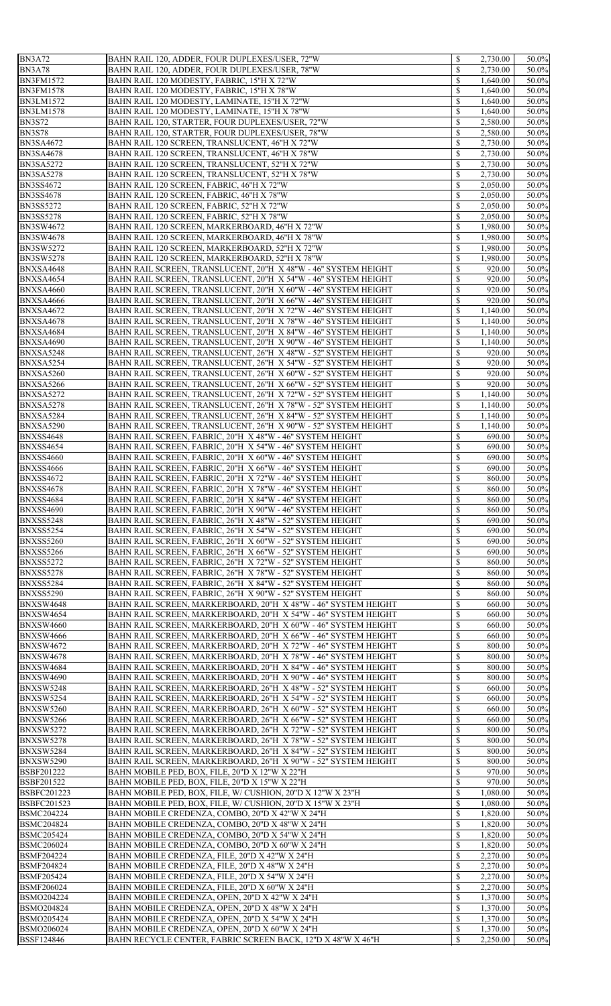| <b>BN3A72</b>                                                                                                                                                                                                                                                                                    | BAHN RAIL 120, ADDER, FOUR DUPLEXES/USER, 72"W                                                   | $\mathcal{S}$                  | 2,730.00             | 50.0%          |
|--------------------------------------------------------------------------------------------------------------------------------------------------------------------------------------------------------------------------------------------------------------------------------------------------|--------------------------------------------------------------------------------------------------|--------------------------------|----------------------|----------------|
|                                                                                                                                                                                                                                                                                                  |                                                                                                  |                                |                      |                |
| <b>BN3A78</b>                                                                                                                                                                                                                                                                                    | BAHN RAIL 120, ADDER, FOUR DUPLEXES/USER, 78"W                                                   | $\mathcal{S}$                  | 2,730.00             | 50.0%          |
| <b>BN3FM1572</b>                                                                                                                                                                                                                                                                                 | BAHN RAIL 120 MODESTY, FABRIC, 15"H X 72"W                                                       | $\mathbb{S}$                   | 1,640.00             | 50.0%          |
| <b>BN3FM1578</b>                                                                                                                                                                                                                                                                                 | BAHN RAIL 120 MODESTY, FABRIC, 15"H X 78"W                                                       | S                              | 1,640.00             | 50.0%          |
| <b>BN3LM1572</b>                                                                                                                                                                                                                                                                                 | BAHN RAIL 120 MODESTY, LAMINATE, 15"H X 72"W                                                     | $\mathbb{S}$                   | 1,640.00             | 50.0%          |
|                                                                                                                                                                                                                                                                                                  |                                                                                                  |                                |                      |                |
| <b>BN3LM1578</b>                                                                                                                                                                                                                                                                                 | BAHN RAIL 120 MODESTY, LAMINATE, 15"H X 78"W                                                     | S                              | 1,640.00             | 50.0%          |
| <b>BN3S72</b>                                                                                                                                                                                                                                                                                    | BAHN RAIL 120, STARTER, FOUR DUPLEXES/USER, 72"W                                                 | $\mathbb{S}$                   | 2,580.00             | 50.0%          |
| <b>BN3S78</b>                                                                                                                                                                                                                                                                                    | BAHN RAIL 120, STARTER, FOUR DUPLEXES/USER, 78"W                                                 | S                              | 2,580.00             | 50.0%          |
| <b>BN3SA4672</b>                                                                                                                                                                                                                                                                                 | BAHN RAIL 120 SCREEN, TRANSLUCENT, 46"H X 72"W                                                   | $\mathbb{S}$                   | 2,730.00             | 50.0%          |
|                                                                                                                                                                                                                                                                                                  |                                                                                                  |                                |                      |                |
| <b>BN3SA4678</b>                                                                                                                                                                                                                                                                                 | BAHN RAIL 120 SCREEN, TRANSLUCENT, 46"H X 78"W                                                   | $\mathbb{S}$                   | 2,730.00             | 50.0%          |
| <b>BN3SA5272</b>                                                                                                                                                                                                                                                                                 | BAHN RAIL 120 SCREEN, TRANSLUCENT, 52"H X 72"W                                                   | $\mathcal{S}$                  | 2,730.00             | 50.0%          |
| <b>BN3SA5278</b>                                                                                                                                                                                                                                                                                 | BAHN RAIL 120 SCREEN, TRANSLUCENT, 52"H X 78"W                                                   | $\mathcal{S}$                  | 2,730.00             | 50.0%          |
|                                                                                                                                                                                                                                                                                                  |                                                                                                  |                                |                      | 50.0%          |
| <b>BN3SS4672</b>                                                                                                                                                                                                                                                                                 | BAHN RAIL 120 SCREEN, FABRIC, 46"H X 72"W                                                        | $\mathbb{S}$                   | 2,050.00             |                |
| <b>BN3SS4678</b>                                                                                                                                                                                                                                                                                 | BAHN RAIL 120 SCREEN, FABRIC, 46"H X 78"W                                                        | $\mathbb{S}$                   | 2,050.00             | 50.0%          |
| <b>BN3SS5272</b>                                                                                                                                                                                                                                                                                 | BAHN RAIL 120 SCREEN, FABRIC, 52"H X 72"W                                                        | $\mathbb{S}$                   | 2,050.00             | 50.0%          |
| <b>BN3SS5278</b>                                                                                                                                                                                                                                                                                 | BAHN RAIL 120 SCREEN, FABRIC, 52"H X 78"W                                                        | S                              | 2,050.00             | 50.0%          |
|                                                                                                                                                                                                                                                                                                  |                                                                                                  |                                |                      |                |
| <b>BN3SW4672</b>                                                                                                                                                                                                                                                                                 | BAHN RAIL 120 SCREEN, MARKERBOARD, 46"H X 72"W                                                   | $\mathbb{S}$                   | 1,980.00             | 50.0%          |
| <b>BN3SW4678</b>                                                                                                                                                                                                                                                                                 | BAHN RAIL 120 SCREEN, MARKERBOARD, 46"H X 78"W                                                   | S                              | 1,980.00             | 50.0%          |
| <b>BN3SW5272</b>                                                                                                                                                                                                                                                                                 | BAHN RAIL 120 SCREEN, MARKERBOARD, 52"H X 72"W                                                   | $\mathcal{S}$                  | 1,980.00             | 50.0%          |
|                                                                                                                                                                                                                                                                                                  |                                                                                                  |                                |                      |                |
| <b>BN3SW5278</b>                                                                                                                                                                                                                                                                                 | BAHN RAIL 120 SCREEN, MARKERBOARD, 52"H X 78"W                                                   | S                              | 1,980.00             | 50.0%          |
| BNXSA4648                                                                                                                                                                                                                                                                                        | BAHN RAIL SCREEN, TRANSLUCENT, 20"H X 48"W - 46" SYSTEM HEIGHT                                   | $\mathbb{S}$                   | 920.00               | 50.0%          |
| BNXSA4654                                                                                                                                                                                                                                                                                        | BAHN RAIL SCREEN, TRANSLUCENT, 20"H X 54"W - 46" SYSTEM HEIGHT                                   | $\mathbb{S}$                   | 920.00               | 50.0%          |
| BNXSA4660                                                                                                                                                                                                                                                                                        |                                                                                                  |                                | 920.00               | 50.0%          |
|                                                                                                                                                                                                                                                                                                  | BAHN RAIL SCREEN, TRANSLUCENT, 20"H X 60"W - 46" SYSTEM HEIGHT                                   | $\mathbb{S}$                   |                      |                |
| BNXSA4666                                                                                                                                                                                                                                                                                        | BAHN RAIL SCREEN, TRANSLUCENT, 20"H X 66"W - 46" SYSTEM HEIGHT                                   | $\mathbb{S}$                   | 920.00               | 50.0%          |
| BNXSA4672                                                                                                                                                                                                                                                                                        | BAHN RAIL SCREEN, TRANSLUCENT, 20"H X 72"W - 46" SYSTEM HEIGHT                                   | $\mathbb{S}$                   | 1,140.00             | 50.0%          |
| <b>BNXSA4678</b>                                                                                                                                                                                                                                                                                 | BAHN RAIL SCREEN, TRANSLUCENT, 20"H X 78"W - 46" SYSTEM HEIGHT                                   | $\mathcal{S}$                  | 1,140.00             | 50.0%          |
|                                                                                                                                                                                                                                                                                                  |                                                                                                  |                                |                      |                |
| BNXSA4684                                                                                                                                                                                                                                                                                        | BAHN RAIL SCREEN, TRANSLUCENT, 20"H X 84"W - 46" SYSTEM HEIGHT                                   | $\mathcal{S}$                  | 1,140.00             | 50.0%          |
| BNXSA4690                                                                                                                                                                                                                                                                                        | BAHN RAIL SCREEN, TRANSLUCENT, 20"H X 90"W - 46" SYSTEM HEIGHT                                   | $\mathcal{S}$                  | 1,140.00             | 50.0%          |
| BNXSA5248                                                                                                                                                                                                                                                                                        | BAHN RAIL SCREEN, TRANSLUCENT, 26"H X 48"W - 52" SYSTEM HEIGHT                                   | $\mathbb{S}$                   | 920.00               | 50.0%          |
|                                                                                                                                                                                                                                                                                                  |                                                                                                  |                                |                      |                |
| BNXSA5254                                                                                                                                                                                                                                                                                        | BAHN RAIL SCREEN, TRANSLUCENT, 26"H X 54"W - 52" SYSTEM HEIGHT                                   |                                | 920.00               | $50.0\%$       |
| BNXSA5260                                                                                                                                                                                                                                                                                        | BAHN RAIL SCREEN, TRANSLUCENT, 26"H X 60"W - 52" SYSTEM HEIGHT                                   | $\mathcal{S}$                  | 920.00               | 50.0%          |
| BNXSA5266                                                                                                                                                                                                                                                                                        | BAHN RAIL SCREEN, TRANSLUCENT, 26"H X 66"W - 52" SYSTEM HEIGHT                                   | $\mathbb{S}$                   | 920.00               | 50.0%          |
| BNXSA5272                                                                                                                                                                                                                                                                                        | BAHN RAIL SCREEN, TRANSLUCENT, 26"H X 72"W - 52" SYSTEM HEIGHT                                   | $\mathcal{S}$                  | 1,140.00             | 50.0%          |
|                                                                                                                                                                                                                                                                                                  |                                                                                                  |                                |                      |                |
| BNXSA5278                                                                                                                                                                                                                                                                                        | BAHN RAIL SCREEN, TRANSLUCENT, 26"H X 78"W - 52" SYSTEM HEIGHT                                   | S                              | 1,140.00             | 50.0%          |
| BNXSA5284                                                                                                                                                                                                                                                                                        | BAHN RAIL SCREEN, TRANSLUCENT, 26"H X 84"W - 52" SYSTEM HEIGHT                                   | $\mathcal{S}$                  | 1,140.00             | 50.0%          |
| BNXSA5290                                                                                                                                                                                                                                                                                        | BAHN RAIL SCREEN, TRANSLUCENT, 26"H X 90"W - 52" SYSTEM HEIGHT                                   | $\mathbb{S}$                   | 1,140.00             | 50.0%          |
|                                                                                                                                                                                                                                                                                                  |                                                                                                  |                                | 690.00               | 50.0%          |
| <b>BNXSS4648</b>                                                                                                                                                                                                                                                                                 | BAHN RAIL SCREEN, FABRIC, 20"H X 48"W - 46" SYSTEM HEIGHT                                        | $\mathcal{S}$                  |                      |                |
| <b>BNXSS4654</b>                                                                                                                                                                                                                                                                                 | BAHN RAIL SCREEN, FABRIC, 20"H X 54"W - 46" SYSTEM HEIGHT                                        | S                              | 690.00               | 50.0%          |
| <b>BNXSS4660</b>                                                                                                                                                                                                                                                                                 | BAHN RAIL SCREEN, FABRIC, 20"H X 60"W - 46" SYSTEM HEIGHT                                        | $\mathcal{S}$                  | 690.00               | 50.0%          |
| <b>BNXSS4666</b>                                                                                                                                                                                                                                                                                 | BAHN RAIL SCREEN, FABRIC, 20"H X 66"W - 46" SYSTEM HEIGHT                                        | S                              | 690.00               | 50.0%          |
|                                                                                                                                                                                                                                                                                                  |                                                                                                  |                                |                      |                |
| <b>BNXSS4672</b>                                                                                                                                                                                                                                                                                 | BAHN RAIL SCREEN, FABRIC, 20"H X 72"W - 46" SYSTEM HEIGHT                                        | $\mathbb{S}$                   | 860.00               | 50.0%          |
| <b>BNXSS4678</b>                                                                                                                                                                                                                                                                                 | BAHN RAIL SCREEN, FABRIC, 20"H X 78"W - 46" SYSTEM HEIGHT                                        | $\mathbb{S}$                   | 860.00               | 50.0%          |
| <b>BNXSS4684</b>                                                                                                                                                                                                                                                                                 | BAHN RAIL SCREEN, FABRIC, 20"H X 84"W - 46" SYSTEM HEIGHT                                        | $\mathcal{S}$                  | 860.00               | 50.0%          |
|                                                                                                                                                                                                                                                                                                  |                                                                                                  |                                | 860.00               |                |
| <b>BNXSS4690</b>                                                                                                                                                                                                                                                                                 | BAHN RAIL SCREEN, FABRIC, 20"H X 90"W - 46" SYSTEM HEIGHT                                        | S                              |                      | 50.0%          |
| <b>BNXSS5248</b>                                                                                                                                                                                                                                                                                 | BAHN RAIL SCREEN, FABRIC, 26"H X 48"W - 52" SYSTEM HEIGHT                                        | $\mathcal{S}$                  | 690.00               | 50.0%          |
| <b>BNXSS5254</b>                                                                                                                                                                                                                                                                                 | BAHN RAIL SCREEN, FABRIC, 26"H X 54"W - 52" SYSTEM HEIGHT                                        | S                              | 690.00               | 50.0%          |
| <b>BNXSS5260</b>                                                                                                                                                                                                                                                                                 | BAHN RAIL SCREEN, FABRIC, 26"H X 60"W - 52" SYSTEM HEIGHT                                        | $\mathcal{S}$                  | 690.00               | 50.0%          |
|                                                                                                                                                                                                                                                                                                  |                                                                                                  |                                |                      |                |
| <b>BNXSS5266</b>                                                                                                                                                                                                                                                                                 | BAHN RAIL SCREEN, FABRIC, 26"H X 66"W - 52" SYSTEM HEIGHT                                        | $\mathbb{S}$                   | 690.00               | 50.0%          |
| <b>BNXSS5272</b>                                                                                                                                                                                                                                                                                 | BAHN RAIL SCREEN, FABRIC, 26"H X 72"W - 52" SYSTEM HEIGHT                                        | $\mathcal{S}$                  | 860.00               | 50.0%          |
| <b>BNXSS5278</b>                                                                                                                                                                                                                                                                                 | BAHN RAIL SCREEN, FABRIC, 26"H X 78"W - 52" SYSTEM HEIGHT                                        | S                              | 860.00               | 50.0%          |
| <b>BNXSS5284</b>                                                                                                                                                                                                                                                                                 | BAHN RAIL SCREEN, FABRIC, 26"H X 84"W - 52" SYSTEM HEIGHT                                        | $\mathcal{S}$                  | 860.00               | 50.0%          |
|                                                                                                                                                                                                                                                                                                  |                                                                                                  |                                |                      |                |
| <b>BNXSS5290</b>                                                                                                                                                                                                                                                                                 | BAHN RAIL SCREEN, FABRIC, 26"H X 90"W - 52" SYSTEM HEIGHT                                        | S                              | 860.00               | 50.0%          |
| <b>BNXSW4648</b>                                                                                                                                                                                                                                                                                 | BAHN RAIL SCREEN, MARKERBOARD, 20"H X 48"W - 46" SYSTEM HEIGHT                                   | $\mathbb{S}$                   | 660.00               | 50.0%          |
| <b>BNXSW4654</b>                                                                                                                                                                                                                                                                                 | BAHN RAIL SCREEN, MARKERBOARD, 20"H X 54"W - 46" SYSTEM HEIGHT                                   | $\mathbb{S}$                   | 660.00               | 50.0%          |
|                                                                                                                                                                                                                                                                                                  |                                                                                                  |                                |                      |                |
| <b>BNXSW4660</b>                                                                                                                                                                                                                                                                                 | BAHN RAIL SCREEN, MARKERBOARD, 20"H X 60"W - 46" SYSTEM HEIGHT                                   | $\mathcal{S}$                  | 660.00               | 50.0%          |
| <b>BNXSW4666</b>                                                                                                                                                                                                                                                                                 | BAHN RAIL SCREEN, MARKERBOARD, 20"H X 66"W - 46" SYSTEM HEIGHT                                   | $\mathbb{S}$                   | 660.00               | 50.0%          |
| <b>BNXSW4672</b>                                                                                                                                                                                                                                                                                 | BAHN RAIL SCREEN, MARKERBOARD, 20"H X 72"W - 46" SYSTEM HEIGHT                                   | $\mathcal{S}$                  | 800.00               | 50.0%          |
| <b>BNXSW4678</b>                                                                                                                                                                                                                                                                                 | BAHN RAIL SCREEN, MARKERBOARD, 20"H X 78"W - 46" SYSTEM HEIGHT                                   | $\mathbb{S}$                   | 800.00               | 50.0%          |
|                                                                                                                                                                                                                                                                                                  |                                                                                                  |                                |                      |                |
| <b>BNXSW4684</b>                                                                                                                                                                                                                                                                                 | BAHN RAIL SCREEN, MARKERBOARD, 20"H X 84"W - 46" SYSTEM HEIGHT                                   | S                              | 800.00               | 50.0%          |
| <b>BNXSW4690</b>                                                                                                                                                                                                                                                                                 | BAHN RAIL SCREEN, MARKERBOARD, 20"H X 90"W - 46" SYSTEM HEIGHT                                   |                                | 800.00               | 50.0%          |
| <b>BNXSW5248</b>                                                                                                                                                                                                                                                                                 | BAHN RAIL SCREEN, MARKERBOARD, 26"H X 48"W - 52" SYSTEM HEIGHT                                   | $\mathcal{S}$                  | 660.00               | 50.0%          |
| <b>BNXSW5254</b>                                                                                                                                                                                                                                                                                 | BAHN RAIL SCREEN, MARKERBOARD, 26"H X 54"W - 52" SYSTEM HEIGHT                                   | $\mathbb{S}$                   | 660.00               | 50.0%          |
|                                                                                                                                                                                                                                                                                                  |                                                                                                  |                                |                      |                |
| <b>BNXSW5260</b>                                                                                                                                                                                                                                                                                 | BAHN RAIL SCREEN, MARKERBOARD, 26"H X 60"W - 52" SYSTEM HEIGHT                                   | $\mathcal{S}$                  | 660.00               | 50.0%          |
| <b>BNXSW5266</b>                                                                                                                                                                                                                                                                                 | BAHN RAIL SCREEN, MARKERBOARD, 26"H X 66"W - 52" SYSTEM HEIGHT                                   | $\mathbb{S}$                   | 660.00               | 50.0%          |
|                                                                                                                                                                                                                                                                                                  | BAHN RAIL SCREEN, MARKERBOARD, 26"H X 72"W - 52" SYSTEM HEIGHT                                   | $\mathbb{S}$                   | 800.00               | 50.0%          |
|                                                                                                                                                                                                                                                                                                  |                                                                                                  | $\mathbb{S}$                   | 800.00               | 50.0%          |
|                                                                                                                                                                                                                                                                                                  |                                                                                                  |                                |                      |                |
|                                                                                                                                                                                                                                                                                                  | BAHN RAIL SCREEN, MARKERBOARD, 26"H X 78"W - 52" SYSTEM HEIGHT                                   |                                |                      |                |
|                                                                                                                                                                                                                                                                                                  | BAHN RAIL SCREEN, MARKERBOARD, 26"H X 84"W - 52" SYSTEM HEIGHT                                   | $\mathcal{S}$                  | 800.00               | 50.0%          |
|                                                                                                                                                                                                                                                                                                  | BAHN RAIL SCREEN, MARKERBOARD, 26"H X 90"W - 52" SYSTEM HEIGHT                                   | $\mathbb{S}$                   | 800.00               | 50.0%          |
|                                                                                                                                                                                                                                                                                                  |                                                                                                  |                                |                      |                |
|                                                                                                                                                                                                                                                                                                  | BAHN MOBILE PED, BOX, FILE, 20"D X 12"W X 22"H                                                   | $\mathcal{S}$                  | 970.00               | 50.0%          |
|                                                                                                                                                                                                                                                                                                  | BAHN MOBILE PED, BOX, FILE, 20"D X 15"W X 22"H                                                   | $\mathbb{S}$                   | 970.00               | 50.0%          |
|                                                                                                                                                                                                                                                                                                  | BAHN MOBILE PED, BOX, FILE, W/CUSHION, 20"D X 12"W X 23"H                                        | $\mathcal{S}$                  | 1,080.00             | 50.0%          |
|                                                                                                                                                                                                                                                                                                  | BAHN MOBILE PED, BOX, FILE, W/CUSHION, 20"D X 15"W X 23"H                                        | $\mathcal{S}$                  | 1,080.00             | 50.0%          |
|                                                                                                                                                                                                                                                                                                  |                                                                                                  |                                |                      |                |
|                                                                                                                                                                                                                                                                                                  | BAHN MOBILE CREDENZA, COMBO, 20"D X 42"W X 24"H                                                  | $\mathbb{S}$                   | 1,820.00             | 50.0%          |
|                                                                                                                                                                                                                                                                                                  | BAHN MOBILE CREDENZA, COMBO, 20"D X 48"W X 24"H                                                  | $\mathcal{S}$                  | 1,820.00             | 50.0%          |
|                                                                                                                                                                                                                                                                                                  | BAHN MOBILE CREDENZA, COMBO, 20"D X 54"W X 24"H                                                  | $\mathcal{S}$                  | 1,820.00             | 50.0%          |
|                                                                                                                                                                                                                                                                                                  |                                                                                                  |                                |                      |                |
|                                                                                                                                                                                                                                                                                                  | BAHN MOBILE CREDENZA, COMBO, 20"D X 60"W X 24"H                                                  | $\mathcal{S}$                  | 1,820.00             | 50.0%          |
|                                                                                                                                                                                                                                                                                                  | BAHN MOBILE CREDENZA, FILE, 20"D X 42"W X 24"H                                                   | $\mathcal{S}$                  | 2,270.00             | 50.0%          |
| <b>BNXSW5272</b><br><b>BNXSW5278</b><br><b>BNXSW5284</b><br><b>BNXSW5290</b><br><b>BSBF201222</b><br><b>BSBF201522</b><br><b>BSBFC201223</b><br><b>BSBFC201523</b><br><b>BSMC204224</b><br><b>BSMC204824</b><br><b>BSMC205424</b><br><b>BSMC206024</b><br><b>BSMF204224</b><br><b>BSMF204824</b> | BAHN MOBILE CREDENZA, FILE, 20"D X 48"W X 24"H                                                   | $\mathcal{S}$                  | 2,270.00             | 50.0%          |
|                                                                                                                                                                                                                                                                                                  |                                                                                                  |                                |                      |                |
| <b>BSMF205424</b>                                                                                                                                                                                                                                                                                | BAHN MOBILE CREDENZA, FILE, 20"D X 54"W X 24"H                                                   | $\mathcal{S}$                  | 2,270.00             | 50.0%          |
| <b>BSMF206024</b>                                                                                                                                                                                                                                                                                | BAHN MOBILE CREDENZA, FILE, 20"D X 60"W X 24"H                                                   | $\mathcal{S}$                  | 2,270.00             | 50.0%          |
| <b>BSMO204224</b>                                                                                                                                                                                                                                                                                | BAHN MOBILE CREDENZA, OPEN, 20"D X 42"W X 24"H                                                   | $\mathcal{S}$                  | 1,370.00             | 50.0%          |
| <b>BSMO204824</b>                                                                                                                                                                                                                                                                                |                                                                                                  | $\mathcal{S}$                  | 1,370.00             | 50.0%          |
|                                                                                                                                                                                                                                                                                                  | BAHN MOBILE CREDENZA, OPEN, 20"D X 48"W X 24"H                                                   |                                |                      |                |
| <b>BSMO205424</b><br><b>BSMO206024</b>                                                                                                                                                                                                                                                           | BAHN MOBILE CREDENZA, OPEN, 20"D X 54"W X 24"H<br>BAHN MOBILE CREDENZA, OPEN, 20"D X 60"W X 24"H | $\mathcal{S}$<br>$\mathcal{S}$ | 1,370.00<br>1,370.00 | 50.0%<br>50.0% |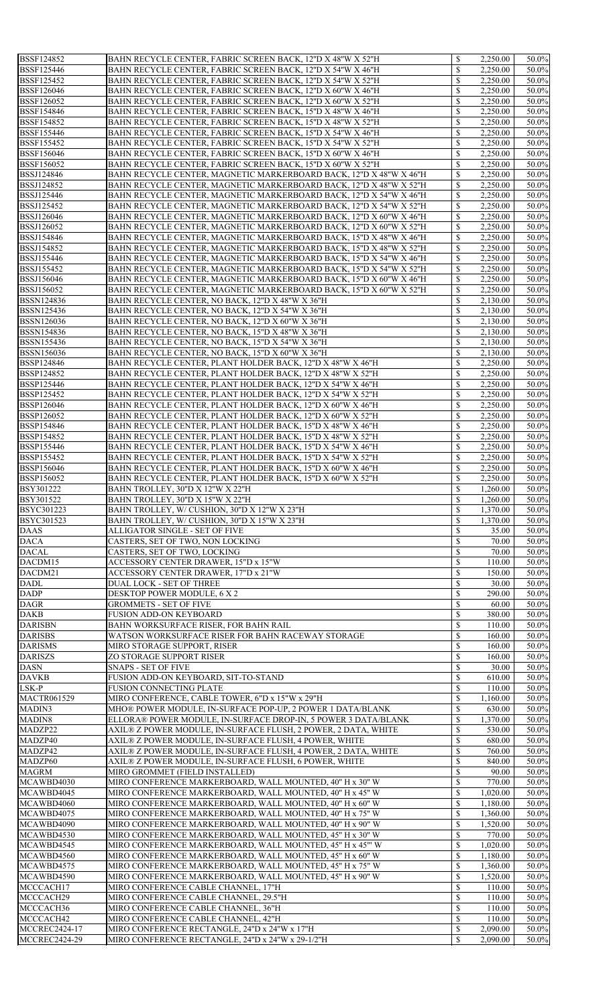| <b>BSSF124852</b>                            | BAHN RECYCLE CENTER, FABRIC SCREEN BACK, 12"D X 48"W X 52"H                                        | \$                            | 2,250.00             | 50.0%          |
|----------------------------------------------|----------------------------------------------------------------------------------------------------|-------------------------------|----------------------|----------------|
| <b>BSSF125446</b>                            | BAHN RECYCLE CENTER, FABRIC SCREEN BACK, 12"D X 54"W X 46"H                                        | \$                            | 2,250.00             | 50.0%          |
| <b>BSSF125452</b>                            | BAHN RECYCLE CENTER, FABRIC SCREEN BACK, 12"D X 54"W X 52"H                                        | \$                            | 2,250.00             | 50.0%          |
| <b>BSSF126046</b>                            | BAHN RECYCLE CENTER, FABRIC SCREEN BACK, 12"D X 60"W X 46"H                                        |                               |                      | 50.0%          |
|                                              |                                                                                                    |                               | 2,250.00             |                |
| <b>BSSF126052</b>                            | BAHN RECYCLE CENTER, FABRIC SCREEN BACK, 12"D X 60"W X 52"H                                        | \$                            | 2,250.00             | 50.0%          |
| <b>BSSF154846</b>                            | BAHN RECYCLE CENTER, FABRIC SCREEN BACK, 15"D X 48"W X 46"H                                        | \$                            | 2,250.00             | 50.0%          |
| <b>BSSF154852</b>                            | BAHN RECYCLE CENTER, FABRIC SCREEN BACK, 15"D X 48"W X 52"H                                        | \$                            | 2,250.00             | 50.0%          |
| <b>BSSF155446</b>                            | BAHN RECYCLE CENTER, FABRIC SCREEN BACK, 15"D X 54"W X 46"H                                        | \$                            | 2,250.00             | 50.0%          |
|                                              |                                                                                                    |                               |                      |                |
| <b>BSSF155452</b>                            | BAHN RECYCLE CENTER, FABRIC SCREEN BACK, 15"D X 54"W X 52"H                                        | \$                            | 2,250.00             | 50.0%          |
| <b>BSSF156046</b>                            | BAHN RECYCLE CENTER, FABRIC SCREEN BACK, 15"D X 60"W X 46"H                                        | \$                            | 2,250.00             | 50.0%          |
| <b>BSSF156052</b>                            | BAHN RECYCLE CENTER, FABRIC SCREEN BACK, 15"D X 60"W X 52"H                                        | \$                            | 2,250.00             | 50.0%          |
| <b>BSSJ124846</b>                            | BAHN RECYCLE CENTER, MAGNETIC MARKERBOARD BACK, 12"D X 48"W X 46"H                                 | $\mathbb{S}$                  | 2,250.00             | 50.0%          |
| <b>BSSJ124852</b>                            | BAHN RECYCLE CENTER, MAGNETIC MARKERBOARD BACK, 12"D X 48"W X 52"H                                 | \$                            | 2,250.00             | 50.0%          |
|                                              |                                                                                                    |                               |                      |                |
| <b>BSSJ125446</b>                            | BAHN RECYCLE CENTER, MAGNETIC MARKERBOARD BACK, 12"D X 54"W X 46"H                                 | \$                            | 2,250.00             | 50.0%          |
| <b>BSSJ125452</b>                            | BAHN RECYCLE CENTER, MAGNETIC MARKERBOARD BACK, 12"D X 54"W X 52"H                                 | \$                            | 2,250.00             | 50.0%          |
| <b>BSSJ126046</b>                            | BAHN RECYCLE CENTER, MAGNETIC MARKERBOARD BACK, 12"D X 60"W X 46"H                                 | $\mathbb{S}$                  | 2,250.00             | 50.0%          |
| <b>BSSJ126052</b>                            | BAHN RECYCLE CENTER, MAGNETIC MARKERBOARD BACK, 12"D X 60"W X 52"H                                 | \$                            | 2,250.00             | 50.0%          |
| <b>BSSJ154846</b>                            | BAHN RECYCLE CENTER, MAGNETIC MARKERBOARD BACK, 15"D X 48"W X 46"H                                 | \$                            | 2,250.00             | 50.0%          |
|                                              |                                                                                                    |                               |                      |                |
| <b>BSSJ154852</b>                            | BAHN RECYCLE CENTER, MAGNETIC MARKERBOARD BACK, 15"D X 48"W X 52"H                                 | \$                            | 2,250.00             | 50.0%          |
| <b>BSSJ155446</b>                            | BAHN RECYCLE CENTER, MAGNETIC MARKERBOARD BACK, 15"D X 54"W X 46"H                                 | $\mathbb{S}$                  | 2,250.00             | 50.0%          |
| <b>BSSJ155452</b>                            | BAHN RECYCLE CENTER, MAGNETIC MARKERBOARD BACK, 15"D X 54"W X 52"H                                 | \$                            | 2,250.00             | 50.0%          |
| <b>BSSJ156046</b>                            | BAHN RECYCLE CENTER, MAGNETIC MARKERBOARD BACK, 15"D X 60"W X 46"H                                 | \$                            | 2,250.00             | 50.0%          |
|                                              |                                                                                                    |                               |                      |                |
| <b>BSSJ156052</b>                            | BAHN RECYCLE CENTER, MAGNETIC MARKERBOARD BACK, 15"D X 60"W X 52"H                                 | \$                            | 2,250.00             | 50.0%          |
| <b>BSSN124836</b>                            | BAHN RECYCLE CENTER, NO BACK, 12"D X 48"W X 36"H                                                   |                               | 2,130.00             | 50.0%          |
| <b>BSSN125436</b>                            | BAHN RECYCLE CENTER, NO BACK, 12"D X 54"W X 36"H                                                   | \$                            | 2,130.00             | 50.0%          |
| <b>BSSN126036</b>                            | BAHN RECYCLE CENTER, NO BACK, 12"D X 60"W X 36"H                                                   | \$                            | 2,130.00             | 50.0%          |
| <b>BSSN154836</b>                            | BAHN RECYCLE CENTER, NO BACK, 15"D X 48"W X 36"H                                                   | \$                            | 2,130.00             | 50.0%          |
|                                              |                                                                                                    |                               |                      |                |
| <b>BSSN155436</b>                            | BAHN RECYCLE CENTER, NO BACK, 15"D X 54"W X 36"H                                                   |                               | 2,130.00             | 50.0%          |
| <b>BSSN156036</b>                            | BAHN RECYCLE CENTER, NO BACK, 15"D X 60"W X 36"H                                                   | \$                            | 2,130.00             | 50.0%          |
| <b>BSSP124846</b>                            | BAHN RECYCLE CENTER, PLANT HOLDER BACK, 12"D X 48"W X 46"H                                         | ℭ                             | 2,250.00             | 50.0%          |
| <b>BSSP124852</b>                            | BAHN RECYCLE CENTER, PLANT HOLDER BACK, 12"D X 48"W X 52"H                                         | \$                            | 2,250.00             | 50.0%          |
| <b>BSSP125446</b>                            | BAHN RECYCLE CENTER, PLANT HOLDER BACK, 12"D X 54"W X 46"H                                         | \$                            | 2,250.00             | 50.0%          |
|                                              |                                                                                                    |                               |                      |                |
| <b>BSSP125452</b>                            | BAHN RECYCLE CENTER, PLANT HOLDER BACK, 12"D X 54"W X 52"H                                         | \$                            | 2,250.00             | 50.0%          |
| <b>BSSP126046</b>                            | BAHN RECYCLE CENTER, PLANT HOLDER BACK, 12"D X 60"W X 46"H                                         |                               | 2,250.00             | 50.0%          |
| <b>BSSP126052</b>                            | BAHN RECYCLE CENTER, PLANT HOLDER BACK, 12"D X 60"W X 52"H                                         | \$                            | 2,250.00             | 50.0%          |
| <b>BSSP154846</b>                            | BAHN RECYCLE CENTER, PLANT HOLDER BACK, 15"D X 48"W X 46"H                                         | \$                            | 2,250.00             | 50.0%          |
| <b>BSSP154852</b>                            | BAHN RECYCLE CENTER, PLANT HOLDER BACK, 15"D X 48"W X 52"H                                         | \$                            | 2,250.00             | 50.0%          |
|                                              | BAHN RECYCLE CENTER, PLANT HOLDER BACK, 15"D X 54"W X 46"H                                         |                               |                      | 50.0%          |
| <b>BSSP155446</b>                            |                                                                                                    |                               | 2,250.00             |                |
| <b>BSSP155452</b>                            | BAHN RECYCLE CENTER, PLANT HOLDER BACK, 15"D X 54"W X 52"H                                         | \$                            | 2,250.00             | 50.0%          |
| <b>BSSP156046</b>                            | BAHN RECYCLE CENTER, PLANT HOLDER BACK, 15"D X 60"W X 46"H                                         | \$                            | 2,250.00             | 50.0%          |
| <b>BSSP156052</b>                            | BAHN RECYCLE CENTER, PLANT HOLDER BACK, 15"D X 60"W X 52"H                                         | \$                            | 2,250.00             | 50.0%          |
| <b>BSY301222</b>                             | BAHN TROLLEY, 30"D X 12"W X 22"H                                                                   | \$                            | 1,260.00             | 50.0%          |
| <b>BSY301522</b>                             | BAHN TROLLEY, 30"D X 15"W X 22"H                                                                   | \$                            | 1,260.00             | 50.0%          |
|                                              |                                                                                                    |                               |                      |                |
|                                              |                                                                                                    |                               |                      |                |
| <b>BSYC301223</b>                            | BAHN TROLLEY, W/ CUSHION, 30"D X 12"W X 23"H                                                       | \$                            | 1,370.00             | 50.0%          |
| <b>BSYC301523</b>                            | BAHN TROLLEY, W/ CUSHION, 30"D X 15"W X 23"H                                                       | \$                            | 1,370.00             | 50.0%          |
| <b>DAAS</b>                                  | <b>ALLIGATOR SINGLE - SET OF FIVE</b>                                                              |                               | 35.00                | 50.0%          |
|                                              |                                                                                                    |                               |                      |                |
| <b>DACA</b>                                  | CASTERS, SET OF TWO, NON LOCKING                                                                   |                               | 70.00                | 50.0%          |
| <b>DACAL</b>                                 | CASTERS, SET OF TWO, LOCKING                                                                       | \$                            | 70.00                | 50.0%          |
| DACDM15                                      | <b>ACCESSORY CENTER DRAWER, 15"D x 15"W</b>                                                        | \$                            | 110.00               | 50.0%          |
| DACDM21                                      | ACCESSORY CENTER DRAWER, 17"D x 21"W                                                               |                               | 150.00               | 50.0%          |
| <b>DADL</b>                                  | <b>DUAL LOCK - SET OF THREE</b>                                                                    | \$                            | 30.00                | 50.0%          |
| <b>DADP</b>                                  | DESKTOP POWER MODULE, 6 X 2                                                                        | \$                            | 290.00               | 50.0%          |
| <b>DAGR</b>                                  | <b>GROMMETS - SET OF FIVE</b>                                                                      | \$                            | 60.00                | 50.0%          |
|                                              |                                                                                                    |                               |                      |                |
| <b>DAKB</b>                                  | <b>FUSION ADD-ON KEYBOARD</b>                                                                      |                               | 380.00               | 50.0%          |
| <b>DARISBN</b>                               | BAHN WORKSURFACE RISER, FOR BAHN RAIL                                                              | \$                            | 110.00               | 50.0%          |
| <b>DARISBS</b>                               | WATSON WORKSURFACE RISER FOR BAHN RACEWAY STORAGE                                                  | \$                            | 160.00               | 50.0%          |
| <b>DARISMS</b>                               | MIRO STORAGE SUPPORT, RISER                                                                        | \$                            | 160.00               | 50.0%          |
| <b>DARISZS</b>                               | ZO STORAGE SUPPORT RISER                                                                           |                               | 160.00               | 50.0%          |
|                                              |                                                                                                    |                               |                      |                |
| <b>DASN</b>                                  | <b>SNAPS - SET OF FIVE</b>                                                                         |                               | 30.00                | 50.0%          |
| <b>DAVKB</b>                                 | FUSION ADD-ON KEYBOARD, SIT-TO-STAND                                                               |                               | 610.00               | 50.0%          |
| LSK-P                                        | <b>FUSION CONNECTING PLATE</b>                                                                     |                               | 110.00               | 50.0%          |
| <b>MACTR061529</b>                           | MIRO CONFERENCE, CABLE TOWER, 6"D x 15"W x 29"H                                                    | \$                            | 1,160.00             | 50.0%          |
| MADIN3                                       | MHO® POWER MODULE, IN-SURFACE POP-UP, 2 POWER 1 DATA/BLANK                                         | \$                            | 630.00               | 50.0%          |
|                                              |                                                                                                    | \$                            |                      |                |
| MADIN8                                       | ELLORA® POWER MODULE, IN-SURFACE DROP-IN, 5 POWER 3 DATA/BLANK                                     |                               | 1,370.00             | 50.0%          |
| MADZP22                                      | AXIL® Z POWER MODULE, IN-SURFACE FLUSH, 2 POWER, 2 DATA, WHITE                                     | \$                            | 530.00               | 50.0%          |
| MADZP40                                      | AXIL® Z POWER MODULE, IN-SURFACE FLUSH, 4 POWER, WHITE                                             | \$                            | 680.00               | 50.0%          |
| MADZP42                                      | AXIL® Z POWER MODULE, IN-SURFACE FLUSH, 4 POWER, 2 DATA, WHITE                                     | \$                            | 760.00               | 50.0%          |
| MADZP60                                      | AXIL® Z POWER MODULE, IN-SURFACE FLUSH, 6 POWER, WHITE                                             |                               | 840.00               | 50.0%          |
| <b>MAGRM</b>                                 | MIRO GROMMET (FIELD INSTALLED)                                                                     |                               | 90.00                | 50.0%          |
| MCAWBD4030                                   | MIRO CONFERENCE MARKERBOARD, WALL MOUNTED, 40" H x 30" W                                           | \$                            | 770.00               | 50.0%          |
|                                              |                                                                                                    |                               |                      |                |
| MCAWBD4045                                   | MIRO CONFERENCE MARKERBOARD, WALL MOUNTED, 40" H x 45" W                                           | \$                            | 1,020.00             | 50.0%          |
| MCAWBD4060                                   | MIRO CONFERENCE MARKERBOARD, WALL MOUNTED, 40" H x 60" W                                           | \$                            | 1,180.00             | 50.0%          |
| MCAWBD4075                                   | MIRO CONFERENCE MARKERBOARD, WALL MOUNTED, 40" H x 75" W                                           | \$                            | 1,360.00             | 50.0%          |
| MCAWBD4090                                   | MIRO CONFERENCE MARKERBOARD, WALL MOUNTED, 40" H x 90" W                                           | \$                            | 1,520.00             | 50.0%          |
| MCAWBD4530                                   | MIRO CONFERENCE MARKERBOARD, WALL MOUNTED, 45" H x 30" W                                           | \$                            | 770.00               | 50.0%          |
|                                              |                                                                                                    |                               |                      |                |
| MCAWBD4545                                   | MIRO CONFERENCE MARKERBOARD, WALL MOUNTED, 45" H x 45" W                                           |                               | 1,020.00             | 50.0%          |
| MCAWBD4560                                   | MIRO CONFERENCE MARKERBOARD, WALL MOUNTED, 45" H x 60" W                                           | \$                            | 1,180.00             | 50.0%          |
| MCAWBD4575                                   | MIRO CONFERENCE MARKERBOARD, WALL MOUNTED, 45" H x 75" W                                           | $\mathbb{S}$                  | 1,360.00             | 50.0%          |
| MCAWBD4590                                   | MIRO CONFERENCE MARKERBOARD, WALL MOUNTED, 45" H x 90" W                                           | \$                            | 1,520.00             | 50.0%          |
| MCCCACH17                                    | MIRO CONFERENCE CABLE CHANNEL, 17"H                                                                |                               | 110.00               | 50.0%          |
| MCCCACH29                                    | MIRO CONFERENCE CABLE CHANNEL, 29.5"H                                                              | \$                            | 110.00               | 50.0%          |
|                                              |                                                                                                    |                               |                      |                |
| MCCCACH36                                    | MIRO CONFERENCE CABLE CHANNEL, 36"H                                                                | \$                            | 110.00               | 50.0%          |
| MCCCACH42                                    | MIRO CONFERENCE CABLE CHANNEL, 42"H                                                                | \$                            | 110.00               | 50.0%          |
| <b>MCCREC2424-17</b><br><b>MCCREC2424-29</b> | MIRO CONFERENCE RECTANGLE, 24"D x 24"W x 17"H<br>MIRO CONFERENCE RECTANGLE, 24"D x 24"W x 29-1/2"H | $\mathbb{S}$<br>$\mathcal{S}$ | 2,090.00<br>2,090.00 | 50.0%<br>50.0% |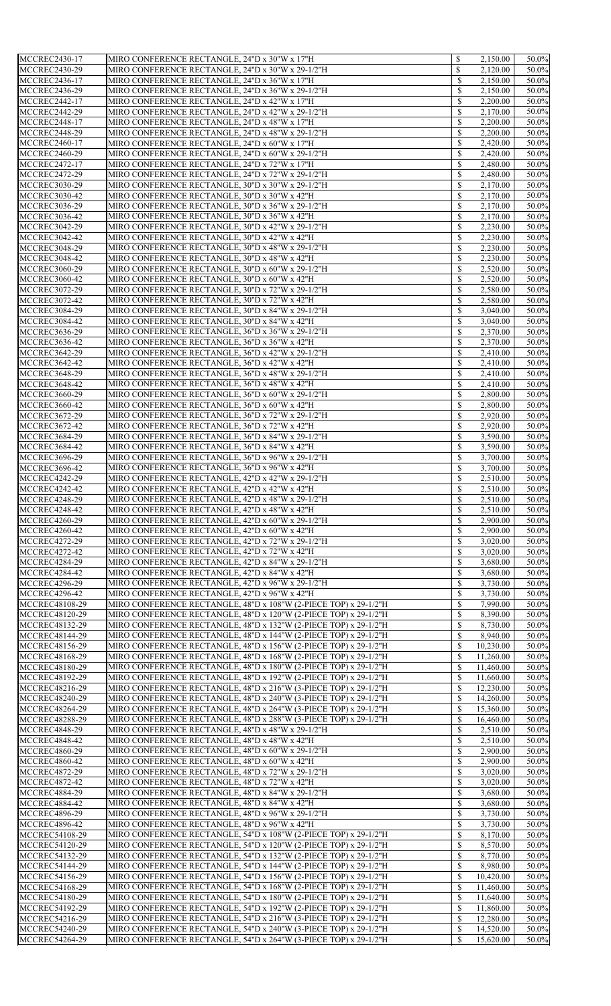| <b>MCCREC2430-17</b> | MIRO CONFERENCE RECTANGLE, 24"D x 30"W x 17"H                             | $\boldsymbol{\mathsf{S}}$ | 2,150.00  | 50.0% |
|----------------------|---------------------------------------------------------------------------|---------------------------|-----------|-------|
| <b>MCCREC2430-29</b> | MIRO CONFERENCE RECTANGLE, 24"D x 30"W x 29-1/2"H                         | $\mathcal{S}$             | 2,120.00  | 50.0% |
|                      |                                                                           |                           |           |       |
| <b>MCCREC2436-17</b> | MIRO CONFERENCE RECTANGLE, 24"D x 36"W x 17"H                             | \$                        | 2,150.00  | 50.0% |
| <b>MCCREC2436-29</b> | MIRO CONFERENCE RECTANGLE, 24"D x 36"W x 29-1/2"H                         | \$                        | 2,150.00  | 50.0% |
| <b>MCCREC2442-17</b> | MIRO CONFERENCE RECTANGLE, 24"D x 42"W x 17"H                             | \$                        | 2,200.00  | 50.0% |
| <b>MCCREC2442-29</b> | MIRO CONFERENCE RECTANGLE, 24"D x 42"W x 29-1/2"H                         | \$                        | 2,170.00  | 50.0% |
| <b>MCCREC2448-17</b> | MIRO CONFERENCE RECTANGLE, 24"D x 48"W x 17"H                             | \$                        | 2,200.00  | 50.0% |
|                      |                                                                           |                           |           | 50.0% |
| <b>MCCREC2448-29</b> | MIRO CONFERENCE RECTANGLE, 24"D x 48"W x 29-1/2"H                         | \$                        | 2,200.00  |       |
| <b>MCCREC2460-17</b> | MIRO CONFERENCE RECTANGLE, 24"D x 60"W x 17"H                             | \$                        | 2,420.00  | 50.0% |
| <b>MCCREC2460-29</b> | MIRO CONFERENCE RECTANGLE, 24"D x 60"W x 29-1/2"H                         | \$                        | 2,420.00  | 50.0% |
| <b>MCCREC2472-17</b> | MIRO CONFERENCE RECTANGLE, 24"D x 72"W x 17"H                             | \$                        | 2,480.00  | 50.0% |
| <b>MCCREC2472-29</b> | MIRO CONFERENCE RECTANGLE, 24"D x 72"W x 29-1/2"H                         | \$                        | 2,480.00  | 50.0% |
| <b>MCCREC3030-29</b> | MIRO CONFERENCE RECTANGLE, 30"D x 30"W x 29-1/2"H                         | \$                        | 2,170.00  | 50.0% |
| <b>MCCREC3030-42</b> | MIRO CONFERENCE RECTANGLE, 30"D x 30"W x 42"H                             | \$                        |           | 50.0% |
|                      |                                                                           |                           | 2,170.00  |       |
| MCCREC3036-29        | MIRO CONFERENCE RECTANGLE, 30"D x 36"W x 29-1/2"H                         | \$                        | 2,170.00  | 50.0% |
| <b>MCCREC3036-42</b> | MIRO CONFERENCE RECTANGLE, 30"D x 36"W x 42"H                             | \$                        | 2,170.00  | 50.0% |
| <b>MCCREC3042-29</b> | MIRO CONFERENCE RECTANGLE, 30"D x 42"W x 29-1/2"H                         | \$                        | 2,230.00  | 50.0% |
| <b>MCCREC3042-42</b> | MIRO CONFERENCE RECTANGLE, 30"D x 42"W x 42"H                             | \$                        | 2,230.00  | 50.0% |
| <b>MCCREC3048-29</b> | MIRO CONFERENCE RECTANGLE, 30"D x 48"W x 29-1/2"H                         | \$                        | 2,230.00  | 50.0% |
| <b>MCCREC3048-42</b> | MIRO CONFERENCE RECTANGLE, 30"D x 48"W x 42"H                             | \$                        | 2,230.00  | 50.0% |
|                      |                                                                           |                           |           |       |
| <b>MCCREC3060-29</b> | MIRO CONFERENCE RECTANGLE, 30"D x 60"W x 29-1/2"H                         | $\mathcal{S}$             | 2,520.00  | 50.0% |
| <b>MCCREC3060-42</b> | MIRO CONFERENCE RECTANGLE, 30"D x 60"W x 42"H                             | \$                        | 2,520.00  | 50.0% |
| <b>MCCREC3072-29</b> | MIRO CONFERENCE RECTANGLE, 30"D x 72"W x 29-1/2"H                         | \$                        | 2,580.00  | 50.0% |
| <b>MCCREC3072-42</b> | MIRO CONFERENCE RECTANGLE, 30"D x 72"W x 42"H                             | \$                        | 2,580.00  | 50.0% |
| <b>MCCREC3084-29</b> | MIRO CONFERENCE RECTANGLE, 30"D x 84"W x 29-1/2"H                         | $\mathcal{S}$             | 3,040.00  | 50.0% |
| MCCREC3084-42        | MIRO CONFERENCE RECTANGLE, 30"D x 84"W x 42"H                             | \$                        | 3,040.00  | 50.0% |
| <b>MCCREC3636-29</b> |                                                                           |                           |           |       |
|                      | MIRO CONFERENCE RECTANGLE, 36"D x 36"W x 29-1/2"H                         | \$                        | 2,370.00  | 50.0% |
| <b>MCCREC3636-42</b> | MIRO CONFERENCE RECTANGLE, 36"D x 36"W x 42"H                             | $\boldsymbol{\mathsf{S}}$ | 2,370.00  | 50.0% |
| <b>MCCREC3642-29</b> | MIRO CONFERENCE RECTANGLE, 36"D x 42"W x 29-1/2"H                         | $\mathcal{S}$             | 2,410.00  | 50.0% |
| <b>MCCREC3642-42</b> | MIRO CONFERENCE RECTANGLE, 36"D x 42"W x 42"H                             |                           | 2,410.00  | 50.0% |
| <b>MCCREC3648-29</b> | MIRO CONFERENCE RECTANGLE, 36"D x 48"W x 29-1/2"H                         | \$                        | 2,410.00  | 50.0% |
| MCCREC3648-42        | MIRO CONFERENCE RECTANGLE, 36"D x 48"W x 42"H                             | \$                        | 2,410.00  | 50.0% |
| <b>MCCREC3660-29</b> |                                                                           |                           |           | 50.0% |
|                      | MIRO CONFERENCE RECTANGLE, 36"D x 60"W x 29-1/2"H                         | \$                        | 2,800.00  |       |
| <b>MCCREC3660-42</b> | MIRO CONFERENCE RECTANGLE, 36"D x 60"W x 42"H                             | $\mathcal{S}$             | 2,800.00  | 50.0% |
| <b>MCCREC3672-29</b> | MIRO CONFERENCE RECTANGLE, 36"D x 72"W x 29-1/2"H                         | \$                        | 2,920.00  | 50.0% |
| MCCREC3672-42        | MIRO CONFERENCE RECTANGLE, 36"D x 72"W x 42"H                             | $\mathcal{S}$             | 2,920.00  | 50.0% |
| <b>MCCREC3684-29</b> | MIRO CONFERENCE RECTANGLE, 36"D x 84"W x 29-1/2"H                         | \$                        | 3,590.00  | 50.0% |
| MCCREC3684-42        | MIRO CONFERENCE RECTANGLE, 36"D x 84"W x 42"H                             | $\mathcal{S}$             | 3,590.00  | 50.0% |
|                      |                                                                           |                           |           |       |
| <b>MCCREC3696-29</b> | MIRO CONFERENCE RECTANGLE, 36"D x 96"W x 29-1/2"H                         | \$                        | 3,700.00  | 50.0% |
| <b>MCCREC3696-42</b> | MIRO CONFERENCE RECTANGLE, 36"D x 96"W x 42"H                             | $\mathcal{S}$             | 3,700.00  | 50.0% |
| <b>MCCREC4242-29</b> | MIRO CONFERENCE RECTANGLE, 42"D x 42"W x 29-1/2"H                         | \$                        | 2,510.00  | 50.0% |
| <b>MCCREC4242-42</b> | MIRO CONFERENCE RECTANGLE, 42"D x 42"W x 42"H                             | $\mathcal{S}$             | 2,510.00  | 50.0% |
| <b>MCCREC4248-29</b> | MIRO CONFERENCE RECTANGLE, 42"D x 48"W x 29-1/2"H                         | \$                        | 2,510.00  | 50.0% |
| MCCREC4248-42        | MIRO CONFERENCE RECTANGLE, 42"D x 48"W x 42"H                             | $\mathcal{S}$             | 2,510.00  | 50.0% |
| <b>MCCREC4260-29</b> |                                                                           | \$                        |           |       |
|                      | MIRO CONFERENCE RECTANGLE, 42"D x 60"W x 29-1/2"H                         |                           | 2,900.00  | 50.0% |
| <b>MCCREC4260-42</b> | MIRO CONFERENCE RECTANGLE, 42"D x 60"W x 42"H                             | $\mathcal{S}$             | 2,900.00  | 50.0% |
| <b>MCCREC4272-29</b> | MIRO CONFERENCE RECTANGLE, 42"D x 72"W x 29-1/2"H                         | \$                        | 3,020.00  | 50.0% |
| <b>MCCREC4272-42</b> | MIRO CONFERENCE RECTANGLE, 42"D x 72"W x 42"H                             | $\mathcal{S}$             | 3,020.00  | 50.0% |
| <b>MCCREC4284-29</b> | MIRO CONFERENCE RECTANGLE, 42"D x 84"W x 29-1/2"H                         | \$                        | 3,680.00  | 50.0% |
| <b>MCCREC4284-42</b> | MIRO CONFERENCE RECTANGLE, 42"D x 84"W x 42"H                             | $\mathcal{S}$             | 3,680.00  | 50.0% |
| <b>MCCREC4296-29</b> | MIRO CONFERENCE RECTANGLE, 42"D x 96"W x 29-1/2"H                         | $\mathbb{S}$              | 3,730.00  | 50.0% |
|                      |                                                                           |                           |           |       |
| <b>MCCREC4296-42</b> | MIRO CONFERENCE RECTANGLE, 42"D x 96"W x 42"H                             | \$                        | 3,730.00  | 50.0% |
| MCCREC48108-29       | MIRO CONFERENCE RECTANGLE, 48"D x 108"W (2-PIECE TOP) x 29-1/2"H          | \$                        | 7,990.00  | 50.0% |
| MCCREC48120-29       | MIRO CONFERENCE RECTANGLE, 48"D x 120"W (2-PIECE TOP) x 29-1/2"H          | $\mathcal{S}$             | 8,390.00  | 50.0% |
| MCCREC48132-29       | MIRO CONFERENCE RECTANGLE, 48"D x 132"W (2-PIECE TOP) x 29-1/2"H          | $\mathbb{S}$              | 8,730.00  | 50.0% |
| MCCREC48144-29       | MIRO CONFERENCE RECTANGLE, 48"D x 144"W (2-PIECE TOP) x 29-1/2"H          | $\mathcal{S}$             | 8,940.00  | 50.0% |
| MCCREC48156-29       | MIRO CONFERENCE RECTANGLE, 48"D x 156"W (2-PIECE TOP) x 29-1/2"H          | $\mathcal{S}$             | 10,230.00 | 50.0% |
|                      |                                                                           |                           |           |       |
| MCCREC48168-29       | MIRO CONFERENCE RECTANGLE, 48"D x 168"W (2-PIECE TOP) x 29-1/2"H          | $\mathbb{S}$              | 11,260.00 | 50.0% |
| MCCREC48180-29       | MIRO CONFERENCE RECTANGLE, 48"D x 180"W (2-PIECE TOP) x 29-1/2"H          | $\mathbb{S}$              | 11,460.00 | 50.0% |
| MCCREC48192-29       | MIRO CONFERENCE RECTANGLE, 48"D x 192"W (2-PIECE TOP) x 29-1/2"H          |                           | 11,660.00 | 50.0% |
| MCCREC48216-29       | MIRO CONFERENCE RECTANGLE, 48"D x 216"W (3-PIECE TOP) x 29-1/2"H          | $\mathbb{S}$              | 12,230.00 | 50.0% |
| MCCREC48240-29       | MIRO CONFERENCE RECTANGLE, $48$ "D x $240$ "W (3-PIECE TOP) x $29-1/2$ "H | $\mathbb{S}$              | 14,260.00 | 50.0% |
| MCCREC48264-29       | MIRO CONFERENCE RECTANGLE, 48"D x 264"W (3-PIECE TOP) x 29-1/2"H          | $\mathbb{S}$              | 15,360.00 | 50.0% |
| MCCREC48288-29       | MIRO CONFERENCE RECTANGLE, 48"D x 288"W (3-PIECE TOP) x 29-1/2"H          | $\mathbb{S}$              | 16,460.00 | 50.0% |
|                      |                                                                           |                           |           |       |
| <b>MCCREC4848-29</b> | MIRO CONFERENCE RECTANGLE, 48"D x 48"W x 29-1/2"H                         | $\mathbb{S}$              | 2,510.00  | 50.0% |
| MCCREC4848-42        | MIRO CONFERENCE RECTANGLE, 48"D x 48"W x 42"H                             | $\mathcal{S}$             | 2,510.00  | 50.0% |
| <b>MCCREC4860-29</b> | MIRO CONFERENCE RECTANGLE, 48"D x 60"W x 29-1/2"H                         | \$                        | 2,900.00  | 50.0% |
| <b>MCCREC4860-42</b> | MIRO CONFERENCE RECTANGLE, 48"D x 60"W x 42"H                             | $\mathbb{S}$              | 2,900.00  | 50.0% |
| <b>MCCREC4872-29</b> | MIRO CONFERENCE RECTANGLE, 48"D x 72"W x 29-1/2"H                         | $\mathbb{S}$              | 3,020.00  | 50.0% |
| MCCREC4872-42        | MIRO CONFERENCE RECTANGLE, 48"D x 72"W x 42"H                             | $\mathcal{S}$             | 3,020.00  | 50.0% |
| <b>MCCREC4884-29</b> | MIRO CONFERENCE RECTANGLE, 48"D x 84"W x 29-1/2"H                         | $\mathbb{S}$              | 3,680.00  | 50.0% |
|                      |                                                                           |                           |           |       |
| <b>MCCREC4884-42</b> | MIRO CONFERENCE RECTANGLE, 48"D x 84"W x 42"H                             | $\mathcal{S}$             | 3,680.00  | 50.0% |
| <b>MCCREC4896-29</b> | MIRO CONFERENCE RECTANGLE, 48"D x 96"W x 29-1/2"H                         | $\mathbb{S}$              | 3,730.00  | 50.0% |
| <b>MCCREC4896-42</b> | MIRO CONFERENCE RECTANGLE, 48"D x 96"W x 42"H                             | $\mathcal{S}$             | 3,730.00  | 50.0% |
| MCCREC54108-29       | MIRO CONFERENCE RECTANGLE, 54"D x 108"W (2-PIECE TOP) x 29-1/2"H          | \$                        | 8,170.00  | 50.0% |
| MCCREC54120-29       | MIRO CONFERENCE RECTANGLE, $54$ "D x 120"W (2-PIECE TOP) x 29-1/2"H       | $\mathcal{S}$             | 8,570.00  | 50.0% |
| MCCREC54132-29       | MIRO CONFERENCE RECTANGLE, 54"D x 132"W (2-PIECE TOP) x 29-1/2"H          | $\mathbb{S}$              | 8,770.00  | 50.0% |
|                      |                                                                           |                           |           |       |
| MCCREC54144-29       | MIRO CONFERENCE RECTANGLE, 54"D x 144"W (2-PIECE TOP) x 29-1/2"H          | $\mathbb{S}$              | 8,980.00  | 50.0% |
| MCCREC54156-29       | MIRO CONFERENCE RECTANGLE, 54"D x 156"W (2-PIECE TOP) x 29-1/2"H          | $\mathbb{S}$              | 10,420.00 | 50.0% |
| MCCREC54168-29       | MIRO CONFERENCE RECTANGLE, $54$ "D x $168$ "W (2-PIECE TOP) x $29-1/2$ "H | $\mathbb{S}$              | 11,460.00 | 50.0% |
| MCCREC54180-29       | MIRO CONFERENCE RECTANGLE, 54"D x 180"W (2-PIECE TOP) x 29-1/2"H          | $\mathbb{S}$              | 11,640.00 | 50.0% |
| MCCREC54192-29       | MIRO CONFERENCE RECTANGLE, 54"D x 192"W (2-PIECE TOP) x 29-1/2"H          | $\mathbb{S}$              | 11,860.00 | 50.0% |
| MCCREC54216-29       | MIRO CONFERENCE RECTANGLE, 54"D x 216"W (3-PIECE TOP) x 29-1/2"H          | $\mathbb{S}$              | 12,280.00 | 50.0% |
| MCCREC54240-29       |                                                                           |                           |           |       |
|                      | MIRO CONFERENCE RECTANGLE, $54$ "D x $240$ "W (3-PIECE TOP) x $29-1/2$ "H | $\mathbb{S}$              | 14,520.00 | 50.0% |
| MCCREC54264-29       | MIRO CONFERENCE RECTANGLE, 54"D x 264"W (3-PIECE TOP) x 29-1/2"H          | $\mathbb{S}$              | 15,620.00 | 50.0% |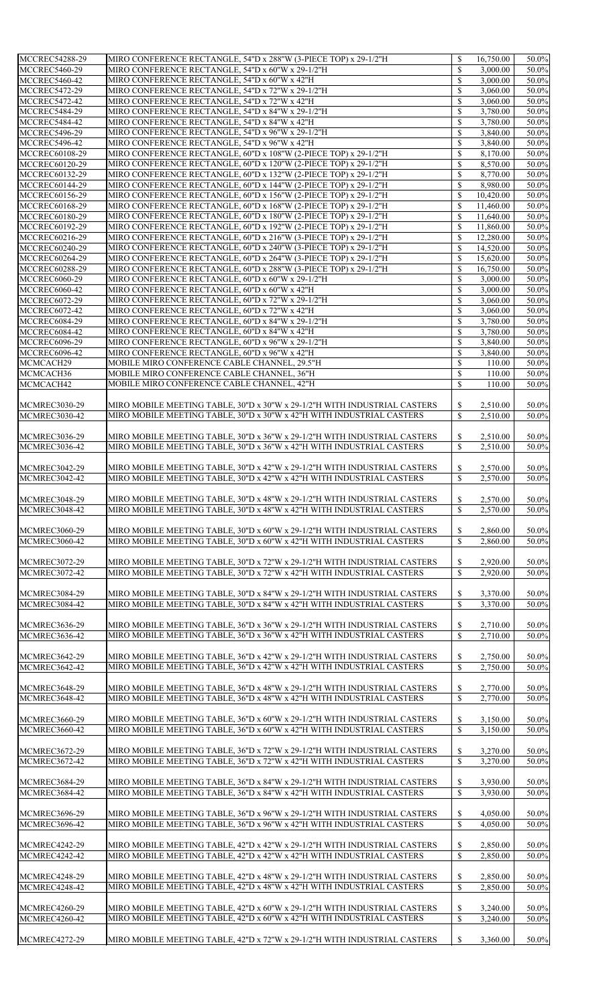| MCCREC54288-29        | MIRO CONFERENCE RECTANGLE, 54"D x 288"W (3-PIECE TOP) x 29-1/2"H          |                           | 16,750.00 | 50.0%    |
|-----------------------|---------------------------------------------------------------------------|---------------------------|-----------|----------|
| <b>MCCREC5460-29</b>  | MIRO CONFERENCE RECTANGLE, 54"D x 60"W x 29-1/2"H                         | $\mathbb{S}$              | 3,000.00  | 50.0%    |
| <b>MCCREC5460-42</b>  | MIRO CONFERENCE RECTANGLE, 54"D x 60"W x 42"H                             | \$                        | 3,000.00  | 50.0%    |
|                       |                                                                           |                           |           |          |
| <b>MCCREC5472-29</b>  | MIRO CONFERENCE RECTANGLE, 54"D x 72"W x 29-1/2"H                         | $\mathbb{S}$              | 3,060.00  | 50.0%    |
| <b>MCCREC5472-42</b>  | MIRO CONFERENCE RECTANGLE, 54"D x 72"W x 42"H                             | \$                        | 3,060.00  | 50.0%    |
| <b>MCCREC5484-29</b>  | MIRO CONFERENCE RECTANGLE, 54"D x 84"W x 29-1/2"H                         | \$                        | 3,780.00  | 50.0%    |
|                       |                                                                           |                           |           |          |
| <b>MCCREC5484-42</b>  | MIRO CONFERENCE RECTANGLE, 54"D x 84"W x 42"H                             | \$                        | 3,780.00  | 50.0%    |
| <b>MCCREC5496-29</b>  | MIRO CONFERENCE RECTANGLE, 54"D x 96"W x 29-1/2"H                         | \$                        | 3,840.00  | 50.0%    |
| <b>MCCREC5496-42</b>  | MIRO CONFERENCE RECTANGLE, 54"D x 96"W x 42"H                             | \$                        | 3,840.00  | 50.0%    |
|                       |                                                                           |                           |           |          |
| MCCREC60108-29        | MIRO CONFERENCE RECTANGLE, 60"D x 108"W (2-PIECE TOP) x 29-1/2"H          | \$                        | 8,170.00  | 50.0%    |
| MCCREC60120-29        | MIRO CONFERENCE RECTANGLE, 60"D x 120"W (2-PIECE TOP) x 29-1/2"H          | \$                        | 8,570.00  | 50.0%    |
| MCCREC60132-29        | MIRO CONFERENCE RECTANGLE, 60"D x 132"W (2-PIECE TOP) x 29-1/2"H          | \$                        | 8,770.00  | 50.0%    |
|                       |                                                                           |                           |           |          |
| MCCREC60144-29        | MIRO CONFERENCE RECTANGLE, 60"D x 144"W (2-PIECE TOP) x 29-1/2"H          | \$                        | 8,980.00  | 50.0%    |
| MCCREC60156-29        | MIRO CONFERENCE RECTANGLE, 60"D x 156"W (2-PIECE TOP) x 29-1/2"H          | $\mathbb{S}$              | 10,420.00 | 50.0%    |
| MCCREC60168-29        | MIRO CONFERENCE RECTANGLE, 60"D x 168"W (2-PIECE TOP) x 29-1/2"H          | \$                        | 11,460.00 | 50.0%    |
| MCCREC60180-29        |                                                                           | $\mathbb{S}$              |           | 50.0%    |
|                       | MIRO CONFERENCE RECTANGLE, 60"D x 180"W (2-PIECE TOP) x 29-1/2"H          |                           | 11,640.00 |          |
| MCCREC60192-29        | MIRO CONFERENCE RECTANGLE, 60"D x 192"W (2-PIECE TOP) x 29-1/2"H          | \$                        | 11,860.00 | 50.0%    |
| MCCREC60216-29        | MIRO CONFERENCE RECTANGLE, 60"D x 216"W (3-PIECE TOP) x 29-1/2"H          | $\mathbb{S}$              | 12,280.00 | 50.0%    |
| <b>MCCREC60240-29</b> | MIRO CONFERENCE RECTANGLE, 60"D x 240"W (3-PIECE TOP) x 29-1/2"H          | \$                        | 14,520.00 | 50.0%    |
|                       |                                                                           |                           |           |          |
| MCCREC60264-29        | MIRO CONFERENCE RECTANGLE, 60"D x 264"W (3-PIECE TOP) x 29-1/2"H          | $\mathbb{S}$              | 15,620.00 | 50.0%    |
| MCCREC60288-29        | MIRO CONFERENCE RECTANGLE, 60"D x 288"W (3-PIECE TOP) x 29-1/2"H          | \$                        | 16,750.00 | 50.0%    |
| <b>MCCREC6060-29</b>  | MIRO CONFERENCE RECTANGLE, 60"D x 60"W x 29-1/2"H                         | $\mathbb{S}$              | 3,000.00  | 50.0%    |
|                       |                                                                           |                           |           |          |
| <b>MCCREC6060-42</b>  | MIRO CONFERENCE RECTANGLE, 60"D x 60"W x 42"H                             | \$                        | 3,000.00  | 50.0%    |
| <b>MCCREC6072-29</b>  | MIRO CONFERENCE RECTANGLE, 60"D x 72"W x 29-1/2"H                         | $\mathbb{S}$              | 3,060.00  | 50.0%    |
| <b>MCCREC6072-42</b>  | MIRO CONFERENCE RECTANGLE, 60"D x 72"W x 42"H                             | \$                        | 3,060.00  | 50.0%    |
|                       |                                                                           |                           |           |          |
| <b>MCCREC6084-29</b>  | MIRO CONFERENCE RECTANGLE, 60"D x 84"W x 29-1/2"H                         | \$                        | 3,780.00  | 50.0%    |
| MCCREC6084-42         | MIRO CONFERENCE RECTANGLE, 60"D x 84"W x 42"H                             | \$                        | 3,780.00  | 50.0%    |
| <b>MCCREC6096-29</b>  | MIRO CONFERENCE RECTANGLE, 60"D x 96"W x 29-1/2"H                         | \$                        | 3,840.00  | 50.0%    |
|                       |                                                                           |                           |           |          |
| <b>MCCREC6096-42</b>  | MIRO CONFERENCE RECTANGLE, 60"D x 96"W x 42"H                             | \$                        | 3,840.00  | 50.0%    |
| MCMCACH29             | MOBILE MIRO CONFERENCE CABLE CHANNEL, 29.5"H                              |                           | 110.00    | 50.0%    |
| MCMCACH36             | MOBILE MIRO CONFERENCE CABLE CHANNEL, 36"H                                | \$                        | 110.00    | 50.0%    |
|                       |                                                                           |                           |           |          |
| MCMCACH42             | MOBILE MIRO CONFERENCE CABLE CHANNEL, 42"H                                | $\boldsymbol{\mathsf{S}}$ | 110.00    | 50.0%    |
|                       |                                                                           |                           |           |          |
| MCMREC3030-29         | MIRO MOBILE MEETING TABLE, 30"D x 30"W x 29-1/2"H WITH INDUSTRIAL CASTERS | \$                        | 2,510.00  | $50.0\%$ |
|                       |                                                                           |                           |           |          |
| MCMREC3030-42         | MIRO MOBILE MEETING TABLE, 30"D x 30"W x 42"H WITH INDUSTRIAL CASTERS     | $\mathbb{S}$              | 2,510.00  | 50.0%    |
|                       |                                                                           |                           |           |          |
| <b>MCMREC3036-29</b>  | MIRO MOBILE MEETING TABLE, 30"D x 36"W x 29-1/2"H WITH INDUSTRIAL CASTERS | \$                        | 2,510.00  | 50.0%    |
|                       |                                                                           |                           |           |          |
| MCMREC3036-42         | MIRO MOBILE MEETING TABLE, 30"D x 36"W x 42"H WITH INDUSTRIAL CASTERS     | $\mathcal{S}$             | 2,510.00  | 50.0%    |
|                       |                                                                           |                           |           |          |
| MCMREC3042-29         | MIRO MOBILE MEETING TABLE, 30"D x 42"W x 29-1/2"H WITH INDUSTRIAL CASTERS | \$                        | 2,570.00  | 50.0%    |
|                       |                                                                           |                           |           |          |
| <b>MCMREC3042-42</b>  | MIRO MOBILE MEETING TABLE, 30"D x 42"W x 42"H WITH INDUSTRIAL CASTERS     | \$                        | 2,570.00  | 50.0%    |
|                       |                                                                           |                           |           |          |
| <b>MCMREC3048-29</b>  | MIRO MOBILE MEETING TABLE, 30"D x 48"W x 29-1/2"H WITH INDUSTRIAL CASTERS | \$                        | 2,570.00  | 50.0%    |
|                       |                                                                           |                           |           |          |
| MCMREC3048-42         | MIRO MOBILE MEETING TABLE, 30"D x 48"W x 42"H WITH INDUSTRIAL CASTERS     |                           | 2,570.00  | 50.0%    |
|                       |                                                                           | $\mathcal{S}$             |           |          |
|                       |                                                                           |                           |           |          |
|                       |                                                                           |                           |           |          |
| MCMREC3060-29         | MIRO MOBILE MEETING TABLE, 30"D x 60"W x 29-1/2"H WITH INDUSTRIAL CASTERS | \$                        | 2,860.00  | $50.0\%$ |
| <b>MCMREC3060-42</b>  | MIRO MOBILE MEETING TABLE, 30"D x 60"W x 42"H WITH INDUSTRIAL CASTERS     | $\mathbb{S}$              | 2,860.00  | 50.0%    |
|                       |                                                                           |                           |           |          |
|                       |                                                                           |                           |           |          |
| <b>MCMREC3072-29</b>  | MIRO MOBILE MEETING TABLE, 30"D x 72"W x 29-1/2"H WITH INDUSTRIAL CASTERS | \$                        | 2,920.00  | 50.0%    |
| MCMREC3072-42         | MIRO MOBILE MEETING TABLE, 30"D x 72"W x 42"H WITH INDUSTRIAL CASTERS     | $\mathcal{S}$             | 2,920.00  | 50.0%    |
|                       |                                                                           |                           |           |          |
|                       |                                                                           |                           |           |          |
| MCMREC3084-29         | MIRO MOBILE MEETING TABLE, 30"D x 84"W x 29-1/2"H WITH INDUSTRIAL CASTERS | \$                        | 3,370.00  | 50.0%    |
| MCMREC3084-42         | MIRO MOBILE MEETING TABLE, 30"D x 84"W x 42"H WITH INDUSTRIAL CASTERS     | $\mathbb{S}$              | 3,370.00  | 50.0%    |
|                       |                                                                           |                           |           |          |
|                       |                                                                           |                           |           |          |
| MCMREC3636-29         | MIRO MOBILE MEETING TABLE, 36"D x 36"W x 29-1/2"H WITH INDUSTRIAL CASTERS | \$                        | 2,710.00  | 50.0%    |
| MCMREC3636-42         | MIRO MOBILE MEETING TABLE, 36"D x 36"W x 42"H WITH INDUSTRIAL CASTERS     | $\mathbb{S}$              | 2,710.00  | 50.0%    |
|                       |                                                                           |                           |           |          |
| MCMREC3642-29         | MIRO MOBILE MEETING TABLE, 36"D x 42"W x 29-1/2"H WITH INDUSTRIAL CASTERS | \$                        | 2,750.00  | 50.0%    |
|                       |                                                                           |                           |           |          |
| MCMREC3642-42         | MIRO MOBILE MEETING TABLE, 36"D x 42"W x 42"H WITH INDUSTRIAL CASTERS     | \$                        | 2,750.00  | 50.0%    |
|                       |                                                                           |                           |           |          |
| MCMREC3648-29         | MIRO MOBILE MEETING TABLE, 36"D x 48"W x 29-1/2"H WITH INDUSTRIAL CASTERS | $\mathbb{S}$              | 2,770.00  | 50.0%    |
| MCMREC3648-42         |                                                                           |                           |           |          |
|                       | MIRO MOBILE MEETING TABLE, 36"D x 48"W x 42"H WITH INDUSTRIAL CASTERS     | $\mathcal{S}$             | 2,770.00  | 50.0%    |
|                       |                                                                           |                           |           |          |
| MCMREC3660-29         | MIRO MOBILE MEETING TABLE, 36"D x 60"W x 29-1/2"H WITH INDUSTRIAL CASTERS | $\boldsymbol{\mathsf{S}}$ | 3,150.00  | 50.0%    |
| <b>MCMREC3660-42</b>  | MIRO MOBILE MEETING TABLE, 36"D x 60"W x 42"H WITH INDUSTRIAL CASTERS     | $\mathcal{S}$             | 3,150.00  | 50.0%    |
|                       |                                                                           |                           |           |          |
|                       |                                                                           |                           |           |          |
| MCMREC3672-29         | MIRO MOBILE MEETING TABLE, 36"D x 72"W x 29-1/2"H WITH INDUSTRIAL CASTERS | $\boldsymbol{\mathsf{S}}$ | 3,270.00  | 50.0%    |
| <b>MCMREC3672-42</b>  | MIRO MOBILE MEETING TABLE, 36"D x 72"W x 42"H WITH INDUSTRIAL CASTERS     | $\mathbb{S}$              | 3,270.00  | 50.0%    |
|                       |                                                                           |                           |           |          |
|                       |                                                                           |                           |           |          |
| MCMREC3684-29         | MIRO MOBILE MEETING TABLE, 36"D x 84"W x 29-1/2"H WITH INDUSTRIAL CASTERS | $\boldsymbol{\mathsf{S}}$ | 3,930.00  | 50.0%    |
| MCMREC3684-42         | MIRO MOBILE MEETING TABLE, 36"D x 84"W x 42"H WITH INDUSTRIAL CASTERS     | $\mathbb{S}$              | 3,930.00  | 50.0%    |
|                       |                                                                           |                           |           |          |
|                       |                                                                           |                           |           |          |
| <b>MCMREC3696-29</b>  | MIRO MOBILE MEETING TABLE, 36"D x 96"W x 29-1/2"H WITH INDUSTRIAL CASTERS | $\boldsymbol{\mathsf{S}}$ | 4,050.00  | 50.0%    |
| MCMREC3696-42         | MIRO MOBILE MEETING TABLE, 36"D x 96"W x 42"H WITH INDUSTRIAL CASTERS     | $\mathbb{S}$              | 4,050.00  | 50.0%    |
|                       |                                                                           |                           |           |          |
|                       |                                                                           |                           |           |          |
| MCMREC4242-29         | MIRO MOBILE MEETING TABLE, 42"D x 42"W x 29-1/2"H WITH INDUSTRIAL CASTERS | $\boldsymbol{\mathsf{S}}$ | 2,850.00  | 50.0%    |
| MCMREC4242-42         | MIRO MOBILE MEETING TABLE, 42"D x 42"W x 42"H WITH INDUSTRIAL CASTERS     | $\mathbb{S}$              | 2,850.00  | 50.0%    |
|                       |                                                                           |                           |           |          |
| <b>MCMREC4248-29</b>  |                                                                           | $\boldsymbol{\mathsf{S}}$ |           | 50.0%    |
|                       | MIRO MOBILE MEETING TABLE, 42"D x 48"W x 29-1/2"H WITH INDUSTRIAL CASTERS |                           | 2,850.00  |          |
| MCMREC4248-42         | MIRO MOBILE MEETING TABLE, 42"D x 48"W x 42"H WITH INDUSTRIAL CASTERS     | $\mathbb{S}$              | 2,850.00  | 50.0%    |
|                       |                                                                           |                           |           |          |
| <b>MCMREC4260-29</b>  | MIRO MOBILE MEETING TABLE, 42"D x 60"W x 29-1/2"H WITH INDUSTRIAL CASTERS | $\boldsymbol{\mathsf{S}}$ | 3,240.00  | 50.0%    |
|                       |                                                                           |                           |           |          |
| MCMREC4260-42         | MIRO MOBILE MEETING TABLE, 42"D x 60"W x 42"H WITH INDUSTRIAL CASTERS     | $\mathbb{S}$              | 3,240.00  | 50.0%    |
| MCMREC4272-29         | MIRO MOBILE MEETING TABLE, 42"D x 72"W x 29-1/2"H WITH INDUSTRIAL CASTERS | $\boldsymbol{\mathsf{S}}$ | 3,360.00  | 50.0%    |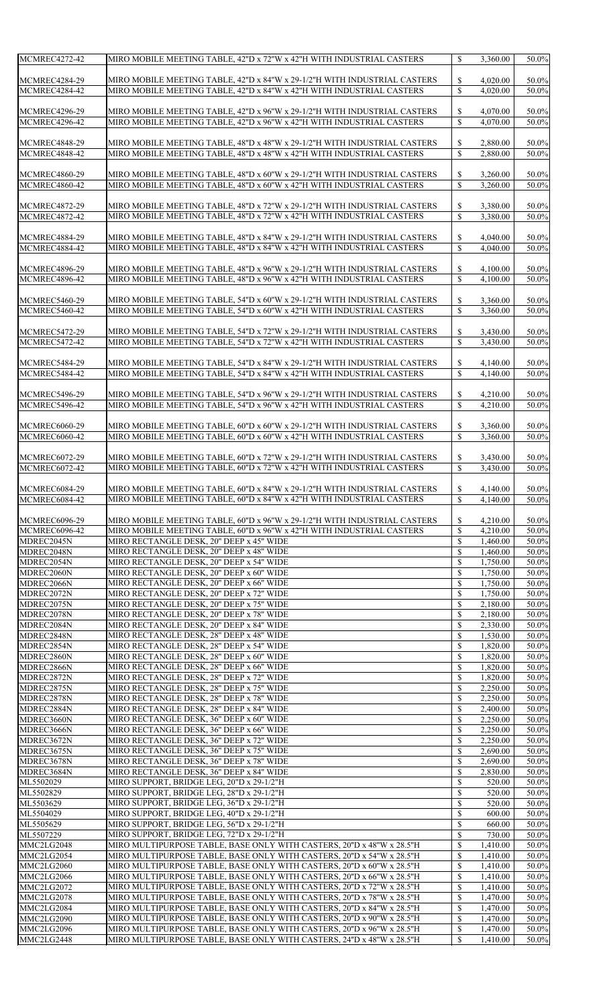| <b>MCMREC4272-42</b>                                                                                                                                                                                     | MIRO MOBILE MEETING TABLE, 42"D x 72"W x 42"H WITH INDUSTRIAL CASTERS                                                                              | $\mathbb{S}$                                           | 3,360.00             | 50.0%                                                                                                                                        |
|----------------------------------------------------------------------------------------------------------------------------------------------------------------------------------------------------------|----------------------------------------------------------------------------------------------------------------------------------------------------|--------------------------------------------------------|----------------------|----------------------------------------------------------------------------------------------------------------------------------------------|
| <b>MCMREC4284-29</b>                                                                                                                                                                                     | MIRO MOBILE MEETING TABLE, 42"D x 84"W x 29-1/2"H WITH INDUSTRIAL CASTERS                                                                          | $\boldsymbol{\mathsf{S}}$                              | 4,020.00             | 50.0%                                                                                                                                        |
| <b>MCMREC4284-42</b>                                                                                                                                                                                     | MIRO MOBILE MEETING TABLE, 42"D x 84"W x 42"H WITH INDUSTRIAL CASTERS                                                                              | $\mathcal{S}$                                          | 4,020.00             | 50.0%                                                                                                                                        |
|                                                                                                                                                                                                          |                                                                                                                                                    |                                                        |                      |                                                                                                                                              |
| <b>MCMREC4296-29</b>                                                                                                                                                                                     | MIRO MOBILE MEETING TABLE, 42"D x 96"W x 29-1/2"H WITH INDUSTRIAL CASTERS                                                                          | $\mathbb{S}$                                           | 4,070.00             | 50.0%                                                                                                                                        |
| <b>MCMREC4296-42</b>                                                                                                                                                                                     | MIRO MOBILE MEETING TABLE, 42"D x 96"W x 42"H WITH INDUSTRIAL CASTERS                                                                              | $\mathbb{S}$                                           | 4,070.00             | 50.0%                                                                                                                                        |
| <b>MCMREC4848-29</b>                                                                                                                                                                                     | MIRO MOBILE MEETING TABLE, 48"D x 48"W x 29-1/2"H WITH INDUSTRIAL CASTERS                                                                          | $\boldsymbol{\mathsf{S}}$                              | 2,880.00             | 50.0%                                                                                                                                        |
| <b>MCMREC4848-42</b>                                                                                                                                                                                     | MIRO MOBILE MEETING TABLE, 48"D x 48"W x 42"H WITH INDUSTRIAL CASTERS                                                                              | $\boldsymbol{\mathsf{S}}$                              | 2,880.00             | 50.0%                                                                                                                                        |
|                                                                                                                                                                                                          |                                                                                                                                                    |                                                        |                      |                                                                                                                                              |
| <b>MCMREC4860-29</b>                                                                                                                                                                                     | MIRO MOBILE MEETING TABLE, 48"D x 60"W x 29-1/2"H WITH INDUSTRIAL CASTERS                                                                          | $\mathbb{S}$                                           | 3,260.00             | 50.0%                                                                                                                                        |
| <b>MCMREC4860-42</b>                                                                                                                                                                                     | MIRO MOBILE MEETING TABLE, 48"D x 60"W x 42"H WITH INDUSTRIAL CASTERS                                                                              | $\boldsymbol{\mathsf{S}}$                              | 3,260.00             | 50.0%                                                                                                                                        |
| <b>MCMREC4872-29</b>                                                                                                                                                                                     | MIRO MOBILE MEETING TABLE, 48"D x 72"W x 29-1/2"H WITH INDUSTRIAL CASTERS                                                                          | $\boldsymbol{\mathsf{S}}$                              | 3,380.00             | 50.0%                                                                                                                                        |
| <b>MCMREC4872-42</b>                                                                                                                                                                                     | MIRO MOBILE MEETING TABLE, 48"D x 72"W x 42"H WITH INDUSTRIAL CASTERS                                                                              | $\boldsymbol{\mathsf{S}}$                              | 3,380.00             | 50.0%                                                                                                                                        |
|                                                                                                                                                                                                          |                                                                                                                                                    |                                                        |                      |                                                                                                                                              |
| <b>MCMREC4884-29</b><br><b>MCMREC4884-42</b>                                                                                                                                                             | MIRO MOBILE MEETING TABLE, 48"D x 84"W x 29-1/2"H WITH INDUSTRIAL CASTERS<br>MIRO MOBILE MEETING TABLE, 48"D x 84"W x 42"H WITH INDUSTRIAL CASTERS | $\boldsymbol{\mathsf{S}}$<br>$\boldsymbol{\mathsf{S}}$ | 4,040.00             | 50.0%<br>50.0%                                                                                                                               |
|                                                                                                                                                                                                          |                                                                                                                                                    |                                                        | 4,040.00             |                                                                                                                                              |
| <b>MCMREC4896-29</b>                                                                                                                                                                                     | MIRO MOBILE MEETING TABLE, 48"D x 96"W x 29-1/2"H WITH INDUSTRIAL CASTERS                                                                          | $\boldsymbol{\mathsf{S}}$                              | 4,100.00             | 50.0%                                                                                                                                        |
| <b>MCMREC4896-42</b>                                                                                                                                                                                     | MIRO MOBILE MEETING TABLE, 48"D x 96"W x 42"H WITH INDUSTRIAL CASTERS                                                                              | $\mathcal{S}$                                          | 4,100.00             | 50.0%                                                                                                                                        |
|                                                                                                                                                                                                          |                                                                                                                                                    |                                                        |                      |                                                                                                                                              |
| <b>MCMREC5460-29</b><br><b>MCMREC5460-42</b>                                                                                                                                                             | MIRO MOBILE MEETING TABLE, 54"D x 60"W x 29-1/2"H WITH INDUSTRIAL CASTERS<br>MIRO MOBILE MEETING TABLE, 54"D x 60"W x 42"H WITH INDUSTRIAL CASTERS | $\boldsymbol{\mathsf{S}}$<br>$\mathcal{S}$             | 3,360.00<br>3,360.00 | 50.0%<br>50.0%                                                                                                                               |
|                                                                                                                                                                                                          |                                                                                                                                                    |                                                        |                      |                                                                                                                                              |
| <b>MCMREC5472-29</b>                                                                                                                                                                                     | MIRO MOBILE MEETING TABLE, 54"D x 72"W x 29-1/2"H WITH INDUSTRIAL CASTERS                                                                          | $\boldsymbol{\mathsf{S}}$                              | 3,430.00             | 50.0%                                                                                                                                        |
| <b>MCMREC5472-42</b>                                                                                                                                                                                     | MIRO MOBILE MEETING TABLE, 54"D x 72"W x 42"H WITH INDUSTRIAL CASTERS                                                                              | $\mathcal{S}$                                          | 3,430.00             | 50.0%                                                                                                                                        |
| <b>MCMREC5484-29</b>                                                                                                                                                                                     | MIRO MOBILE MEETING TABLE, 54"D x 84"W x 29-1/2"H WITH INDUSTRIAL CASTERS                                                                          | $\mathbb{S}$                                           |                      |                                                                                                                                              |
| <b>MCMREC5484-42</b>                                                                                                                                                                                     | MIRO MOBILE MEETING TABLE, 54"D x 84"W x 42"H WITH INDUSTRIAL CASTERS                                                                              | $\mathbb{S}$                                           | 4,140.00<br>4,140.00 | 50.0%<br>50.0%                                                                                                                               |
|                                                                                                                                                                                                          |                                                                                                                                                    |                                                        |                      |                                                                                                                                              |
| <b>MCMREC5496-29</b>                                                                                                                                                                                     | MIRO MOBILE MEETING TABLE, 54"D x 96"W x 29-1/2"H WITH INDUSTRIAL CASTERS                                                                          | $\boldsymbol{\mathsf{S}}$                              | 4,210.00             | 50.0%                                                                                                                                        |
| <b>MCMREC5496-42</b>                                                                                                                                                                                     | MIRO MOBILE MEETING TABLE, 54"D x 96"W x 42"H WITH INDUSTRIAL CASTERS                                                                              | $\mathbb{S}$                                           | 4,210.00             | 50.0%                                                                                                                                        |
| <b>MCMREC6060-29</b>                                                                                                                                                                                     | MIRO MOBILE MEETING TABLE, 60"D x 60"W x 29-1/2"H WITH INDUSTRIAL CASTERS                                                                          | $\mathbb{S}$                                           | 3,360.00             | 50.0%                                                                                                                                        |
| <b>MCMREC6060-42</b>                                                                                                                                                                                     | MIRO MOBILE MEETING TABLE, 60"D x 60"W x 42"H WITH INDUSTRIAL CASTERS                                                                              | $\mathcal{S}$                                          | 3,360.00             | 50.0%                                                                                                                                        |
|                                                                                                                                                                                                          |                                                                                                                                                    |                                                        |                      |                                                                                                                                              |
| <b>MCMREC6072-29</b>                                                                                                                                                                                     | MIRO MOBILE MEETING TABLE, 60"D x 72"W x 29-1/2"H WITH INDUSTRIAL CASTERS                                                                          | $\boldsymbol{\mathsf{S}}$                              | 3,430.00             | 50.0%                                                                                                                                        |
| <b>MCMREC6072-42</b>                                                                                                                                                                                     | MIRO MOBILE MEETING TABLE, 60"D x 72"W x 42"H WITH INDUSTRIAL CASTERS                                                                              | $\mathcal{S}$                                          | 3,430.00             | 50.0%                                                                                                                                        |
| <b>MCMREC6084-29</b>                                                                                                                                                                                     | MIRO MOBILE MEETING TABLE, 60"D x 84"W x 29-1/2"H WITH INDUSTRIAL CASTERS                                                                          | $\mathbb{S}$                                           | 4,140.00             | 50.0%                                                                                                                                        |
| <b>MCMREC6084-42</b>                                                                                                                                                                                     | MIRO MOBILE MEETING TABLE, 60"D x 84"W x 42"H WITH INDUSTRIAL CASTERS                                                                              | $\mathcal{S}$                                          | 4,140.00             | 50.0%                                                                                                                                        |
|                                                                                                                                                                                                          |                                                                                                                                                    |                                                        |                      |                                                                                                                                              |
| <b>MCMREC6096-29</b>                                                                                                                                                                                     | MIRO MOBILE MEETING TABLE, 60"D x 96"W x 29-1/2"H WITH INDUSTRIAL CASTERS                                                                          | $\boldsymbol{\mathsf{S}}$                              | 4,210.00             | 50.0%                                                                                                                                        |
| <b>MCMREC6096-42</b><br>MDREC2045N                                                                                                                                                                       | MIRO MOBILE MEETING TABLE, 60"D x 96"W x 42"H WITH INDUSTRIAL CASTERS<br>MIRO RECTANGLE DESK, 20" DEEP x 45" WIDE                                  | $\mathcal{S}$<br>$\boldsymbol{\mathsf{S}}$             | 4,210.00<br>1,460.00 | 50.0%<br>50.0%                                                                                                                               |
| MDREC2048N                                                                                                                                                                                               | MIRO RECTANGLE DESK, 20" DEEP x 48" WIDE                                                                                                           | $\mathcal{S}$                                          | 1,460.00             | 50.0%                                                                                                                                        |
| MDREC2054N                                                                                                                                                                                               | MIRO RECTANGLE DESK, 20" DEEP x 54" WIDE                                                                                                           | $\boldsymbol{\mathsf{S}}$                              | 1,750.00             | 50.0%                                                                                                                                        |
| MDREC2060N                                                                                                                                                                                               | MIRO RECTANGLE DESK, 20" DEEP x 60" WIDE                                                                                                           | $\mathcal{S}$                                          | 1,750.00             | 50.0%                                                                                                                                        |
| MDREC2066N<br>MDREC2072N                                                                                                                                                                                 | MIRO RECTANGLE DESK, 20" DEEP x 66" WIDE<br>MIRO RECTANGLE DESK, 20" DEEP x 72" WIDE                                                               | $\boldsymbol{\mathsf{S}}$<br>$\mathcal{S}$             | 1,750.00<br>1,750.00 | 50.0%<br>50.0%                                                                                                                               |
| MDREC2075N                                                                                                                                                                                               | MIRO RECTANGLE DESK, 20" DEEP x 75" WIDE                                                                                                           | $\boldsymbol{\mathsf{S}}$                              | 2,180.00             | 50.0%                                                                                                                                        |
| MDREC2078N                                                                                                                                                                                               | MIRO RECTANGLE DESK, 20" DEEP x 78" WIDE                                                                                                           | $\mathcal{S}$                                          | 2,180.00             | 50.0%                                                                                                                                        |
| MDREC2084N                                                                                                                                                                                               | MIRO RECTANGLE DESK, 20" DEEP x 84" WIDE                                                                                                           | $\boldsymbol{\mathsf{S}}$                              | 2,330.00             | 50.0%                                                                                                                                        |
| MDREC2848N<br>MDREC2854N                                                                                                                                                                                 | MIRO RECTANGLE DESK, 28" DEEP x 48" WIDE<br>MIRO RECTANGLE DESK, 28" DEEP x 54" WIDE                                                               | $\mathcal{S}$<br>$\boldsymbol{\mathsf{S}}$             | 1,530.00<br>1,820.00 | 50.0%<br>50.0%                                                                                                                               |
| MDREC2860N                                                                                                                                                                                               | MIRO RECTANGLE DESK, 28" DEEP x 60" WIDE                                                                                                           | $\mathbb{S}$                                           | 1,820.00             | 50.0%                                                                                                                                        |
| MDREC2866N                                                                                                                                                                                               | MIRO RECTANGLE DESK, 28" DEEP x 66" WIDE                                                                                                           | $\boldsymbol{\mathsf{S}}$                              | 1,820.00             | 50.0%                                                                                                                                        |
| MDREC2872N                                                                                                                                                                                               | MIRO RECTANGLE DESK, 28" DEEP x 72" WIDE                                                                                                           | $\boldsymbol{\mathsf{S}}$                              | 1,820.00             | $50.0\%$                                                                                                                                     |
| MDREC2875N<br>MDREC2878N                                                                                                                                                                                 | MIRO RECTANGLE DESK, 28" DEEP x 75" WIDE<br>MIRO RECTANGLE DESK, 28" DEEP x 78" WIDE                                                               | $\mathcal{S}$                                          | 2,250.00<br>2,250.00 | 50.0%<br>50.0%                                                                                                                               |
| MDREC2884N                                                                                                                                                                                               | MIRO RECTANGLE DESK, 28" DEEP x 84" WIDE                                                                                                           | $\mathbb{S}$<br>$\boldsymbol{\mathsf{S}}$              | 2,400.00             | 50.0%                                                                                                                                        |
| MDREC3660N                                                                                                                                                                                               |                                                                                                                                                    |                                                        | 2,250.00             | 50.0%                                                                                                                                        |
| MDREC3666N                                                                                                                                                                                               | MIRO RECTANGLE DESK, 36" DEEP x 60" WIDE                                                                                                           | $\mathcal{S}$                                          |                      |                                                                                                                                              |
|                                                                                                                                                                                                          | MIRO RECTANGLE DESK, 36" DEEP x 66" WIDE                                                                                                           | $\boldsymbol{\mathsf{S}}$                              | 2,250.00             |                                                                                                                                              |
|                                                                                                                                                                                                          | MIRO RECTANGLE DESK, 36" DEEP x 72" WIDE                                                                                                           | $\mathcal{S}$                                          | 2,250.00             |                                                                                                                                              |
|                                                                                                                                                                                                          | MIRO RECTANGLE DESK, 36" DEEP x 75" WIDE                                                                                                           | $\boldsymbol{\mathsf{S}}$                              | 2,690.00             |                                                                                                                                              |
|                                                                                                                                                                                                          | MIRO RECTANGLE DESK, 36" DEEP x 78" WIDE<br>MIRO RECTANGLE DESK, 36" DEEP x 84" WIDE                                                               | $\mathcal{S}$<br>$\boldsymbol{\mathsf{S}}$             | 2,690.00<br>2,830.00 |                                                                                                                                              |
|                                                                                                                                                                                                          | MIRO SUPPORT, BRIDGE LEG, 20"D x 29-1/2"H                                                                                                          | $\mathcal{S}$                                          | 520.00               |                                                                                                                                              |
|                                                                                                                                                                                                          | MIRO SUPPORT, BRIDGE LEG, 28"D x 29-1/2"H                                                                                                          | $\boldsymbol{\mathsf{S}}$                              | 520.00               |                                                                                                                                              |
|                                                                                                                                                                                                          | MIRO SUPPORT, BRIDGE LEG, 36"D x 29-1/2"H                                                                                                          | $\mathbb{S}$                                           | 520.00               |                                                                                                                                              |
|                                                                                                                                                                                                          | MIRO SUPPORT, BRIDGE LEG, 40"D x 29-1/2"H                                                                                                          | $\boldsymbol{\mathsf{S}}$                              | 600.00<br>660.00     |                                                                                                                                              |
|                                                                                                                                                                                                          | MIRO SUPPORT, BRIDGE LEG, 56"D x 29-1/2"H<br>MIRO SUPPORT, BRIDGE LEG, 72"D x 29-1/2"H                                                             | $\mathcal{S}$<br>$\boldsymbol{\mathsf{S}}$             | 730.00               |                                                                                                                                              |
|                                                                                                                                                                                                          | MIRO MULTIPURPOSE TABLE, BASE ONLY WITH CASTERS, 20"D x 48"W x 28.5"H                                                                              | <sup>\$</sup>                                          | 1,410.00             |                                                                                                                                              |
|                                                                                                                                                                                                          | MIRO MULTIPURPOSE TABLE, BASE ONLY WITH CASTERS, 20"D x 54"W x 28.5"H                                                                              | $\boldsymbol{\mathsf{S}}$                              | 1,410.00             |                                                                                                                                              |
|                                                                                                                                                                                                          | MIRO MULTIPURPOSE TABLE, BASE ONLY WITH CASTERS, 20"D x 60"W x 28.5"H                                                                              | $\mathbb{S}$                                           | 1,410.00             |                                                                                                                                              |
| MDREC3672N<br>MDREC3675N<br>MDREC3678N<br>MDREC3684N<br>ML5502029<br>ML5502829<br>ML5503629<br>ML5504029<br>ML5505629<br>ML5507229<br>MMC2LG2048<br>MMC2LG2054<br>MMC2LG2060<br>MMC2LG2066<br>MMC2LG2072 | MIRO MULTIPURPOSE TABLE, BASE ONLY WITH CASTERS, 20"D x 66"W x 28.5"H<br>MIRO MULTIPURPOSE TABLE, BASE ONLY WITH CASTERS, 20"D x 72"W x 28.5"H     | $\mathcal{S}$<br><sup>\$</sup>                         | 1,410.00<br>1,410.00 | 50.0%<br>50.0%<br>50.0%<br>50.0%<br>50.0%<br>50.0%<br>50.0%<br>50.0%<br>50.0%<br>50.0%<br>50.0%<br>50.0%<br>50.0%<br>50.0%<br>50.0%<br>50.0% |
| MMC2LG2078                                                                                                                                                                                               | MIRO MULTIPURPOSE TABLE, BASE ONLY WITH CASTERS, 20"D x 78"W x 28.5"H                                                                              | $\boldsymbol{\mathsf{S}}$                              | 1,470.00             |                                                                                                                                              |
| MMC2LG2084                                                                                                                                                                                               | MIRO MULTIPURPOSE TABLE, BASE ONLY WITH CASTERS, 20"D x 84"W x 28.5"H                                                                              | $\mathbb{S}$                                           | 1,470.00             | 50.0%<br>50.0%                                                                                                                               |
| MMC2LG2090<br>MMC2LG2096                                                                                                                                                                                 | MIRO MULTIPURPOSE TABLE, BASE ONLY WITH CASTERS, 20"D x 90"W x 28.5"H<br>MIRO MULTIPURPOSE TABLE, BASE ONLY WITH CASTERS, 20"D x 96"W x 28.5"H     | $\boldsymbol{\mathsf{S}}$<br>$\mathbb{S}$              | 1,470.00<br>1,470.00 | 50.0%<br>50.0%                                                                                                                               |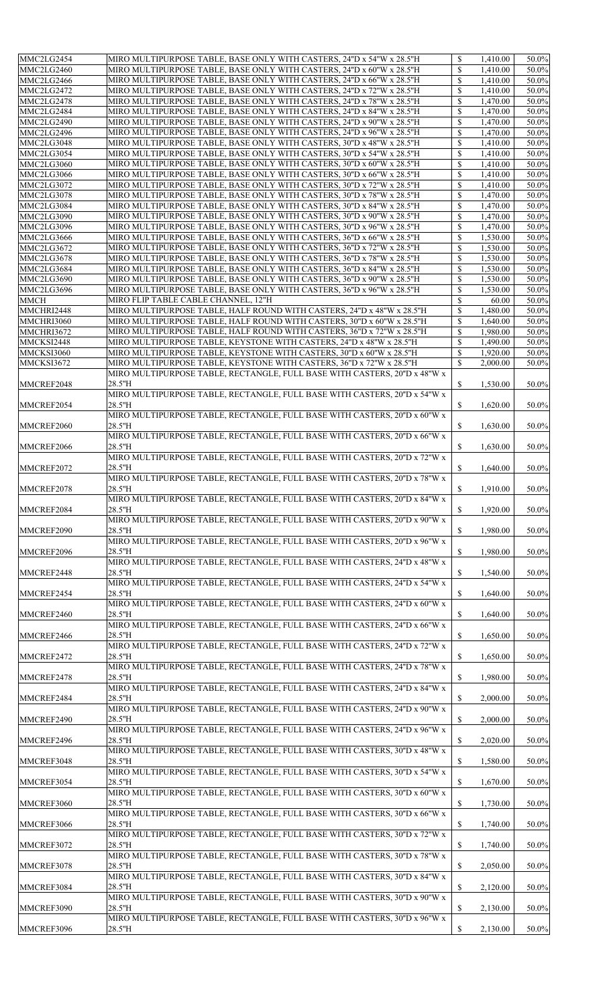| MMC2LG2460<br>MMC2LG2466<br>MMC2LG2472<br>MMC2LG2478                                                                                                                                             | MIRO MULTIPURPOSE TABLE, BASE ONLY WITH CASTERS, 24"D x 54"W x 28.5"H     | $\mathbb{S}$  | 1,410.00 | 50.0% |
|--------------------------------------------------------------------------------------------------------------------------------------------------------------------------------------------------|---------------------------------------------------------------------------|---------------|----------|-------|
|                                                                                                                                                                                                  | MIRO MULTIPURPOSE TABLE, BASE ONLY WITH CASTERS, 24"D x 60"W x 28.5"H     | $\mathbb{S}$  | 1,410.00 | 50.0% |
|                                                                                                                                                                                                  | MIRO MULTIPURPOSE TABLE, BASE ONLY WITH CASTERS, 24"D x 66"W x 28.5"H     | $\mathbb{S}$  | 1,410.00 | 50.0% |
|                                                                                                                                                                                                  | MIRO MULTIPURPOSE TABLE, BASE ONLY WITH CASTERS, 24"D x 72"W x 28.5"H     | $\mathbb{S}$  | 1,410.00 | 50.0% |
|                                                                                                                                                                                                  | MIRO MULTIPURPOSE TABLE, BASE ONLY WITH CASTERS, 24"D x 78"W x 28.5"H     | $\mathbb{S}$  | 1,470.00 | 50.0% |
| MMC2LG2484                                                                                                                                                                                       | MIRO MULTIPURPOSE TABLE, BASE ONLY WITH CASTERS, 24"D x 84"W x 28.5"H     | $\mathbb{S}$  | 1,470.00 | 50.0% |
| MMC2LG2490                                                                                                                                                                                       | MIRO MULTIPURPOSE TABLE, BASE ONLY WITH CASTERS, 24"D x 90"W x 28.5"H     | \$            | 1,470.00 | 50.0% |
| MMC2LG2496                                                                                                                                                                                       | MIRO MULTIPURPOSE TABLE, BASE ONLY WITH CASTERS, 24"D x 96"W x 28.5"H     | $\mathbb{S}$  | 1,470.00 | 50.0% |
| MMC2LG3048                                                                                                                                                                                       | MIRO MULTIPURPOSE TABLE, BASE ONLY WITH CASTERS, 30"D x 48"W x 28.5"H     | $\mathbb{S}$  | 1,410.00 | 50.0% |
| MMC2LG3054                                                                                                                                                                                       | MIRO MULTIPURPOSE TABLE, BASE ONLY WITH CASTERS, 30"D x 54"W x 28.5"H     | $\mathbb{S}$  | 1,410.00 | 50.0% |
| MMC2LG3060                                                                                                                                                                                       | MIRO MULTIPURPOSE TABLE, BASE ONLY WITH CASTERS, 30"D x 60"W x 28.5"H     | \$            | 1,410.00 | 50.0% |
| MMC2LG3066                                                                                                                                                                                       | MIRO MULTIPURPOSE TABLE, BASE ONLY WITH CASTERS, 30"D x 66"W x 28.5"H     | $\mathbb{S}$  | 1,410.00 | 50.0% |
| MMC2LG3072                                                                                                                                                                                       | MIRO MULTIPURPOSE TABLE, BASE ONLY WITH CASTERS, 30"D x 72"W x 28.5"H     | $\mathbb{S}$  | 1,410.00 | 50.0% |
| MMC2LG3078                                                                                                                                                                                       | MIRO MULTIPURPOSE TABLE, BASE ONLY WITH CASTERS, 30"D x 78"W x 28.5"H     | $\mathbb{S}$  | 1,470.00 | 50.0% |
| MMC2LG3084                                                                                                                                                                                       | MIRO MULTIPURPOSE TABLE, BASE ONLY WITH CASTERS, 30"D x 84"W x 28.5"H     | $\mathbb{S}$  | 1,470.00 | 50.0% |
| MMC2LG3090                                                                                                                                                                                       | MIRO MULTIPURPOSE TABLE, BASE ONLY WITH CASTERS, 30"D x 90"W x 28.5"H     | $\mathbb{S}$  | 1,470.00 | 50.0% |
| MMC2LG3096                                                                                                                                                                                       | MIRO MULTIPURPOSE TABLE, BASE ONLY WITH CASTERS, 30"D x 96"W x 28.5"H     | $\mathbb{S}$  | 1,470.00 | 50.0% |
| MMC2LG3666                                                                                                                                                                                       | MIRO MULTIPURPOSE TABLE, BASE ONLY WITH CASTERS, 36"D x 66"W x 28.5"H     | $\mathbb{S}$  | 1,530.00 | 50.0% |
| MMC2LG3672                                                                                                                                                                                       | MIRO MULTIPURPOSE TABLE, BASE ONLY WITH CASTERS, 36"D x 72"W x 28.5"H     | $\mathbb{S}$  | 1,530.00 | 50.0% |
| MMC2LG3678                                                                                                                                                                                       | MIRO MULTIPURPOSE TABLE, BASE ONLY WITH CASTERS, 36"D x 78"W x 28.5"H     | $\mathbb{S}$  | 1,530.00 | 50.0% |
| MMC2LG3684                                                                                                                                                                                       | MIRO MULTIPURPOSE TABLE, BASE ONLY WITH CASTERS, 36"D x 84"W x 28.5"H     | $\mathbb{S}$  | 1,530.00 | 50.0% |
| MMC2LG3690                                                                                                                                                                                       | MIRO MULTIPURPOSE TABLE, BASE ONLY WITH CASTERS, 36"D x 90"W x 28.5"H     | $\mathbb{S}$  | 1,530.00 | 50.0% |
| MMC2LG3696                                                                                                                                                                                       | MIRO MULTIPURPOSE TABLE, BASE ONLY WITH CASTERS, 36"D x 96"W x 28.5"H     | \$            | 1,530.00 | 50.0% |
| <b>MMCH</b>                                                                                                                                                                                      | MIRO FLIP TABLE CABLE CHANNEL, 12"H                                       | $\mathbb{S}$  | 60.00    | 50.0% |
| MMCHRI2448                                                                                                                                                                                       | MIRO MULTIPURPOSE TABLE, HALF ROUND WITH CASTERS, 24"D x 48"W x 28.5"H    | \$            | 1,480.00 | 50.0% |
| MMCHRI3060                                                                                                                                                                                       | MIRO MULTIPURPOSE TABLE, HALF ROUND WITH CASTERS, 30"D x 60"W x 28.5"H    | $\mathbb{S}$  | 1,640.00 | 50.0% |
| MMCHRI3672                                                                                                                                                                                       | MIRO MULTIPURPOSE TABLE, HALF ROUND WITH CASTERS, 36"D x 72"W x 28.5"H    | $\mathbb{S}$  | 1,980.00 | 50.0% |
| MMCKSI2448                                                                                                                                                                                       | MIRO MULTIPURPOSE TABLE, KEYSTONE WITH CASTERS, 24"D x 48"W x 28.5"H      | $\mathbb{S}$  | 1,490.00 | 50.0% |
|                                                                                                                                                                                                  |                                                                           |               |          |       |
| MMCKSI3060                                                                                                                                                                                       | MIRO MULTIPURPOSE TABLE, KEYSTONE WITH CASTERS, 30"D x 60"W x 28.5"H      |               | 1,920.00 | 50.0% |
| MMCKSI3672                                                                                                                                                                                       | MIRO MULTIPURPOSE TABLE, KEYSTONE WITH CASTERS, 36"D x 72"W x 28.5"H      | $\mathcal{S}$ | 2,000.00 | 50.0% |
|                                                                                                                                                                                                  | MIRO MULTIPURPOSE TABLE, RECTANGLE, FULL BASE WITH CASTERS, 20"D x 48"W x |               |          |       |
| MMCREF2048                                                                                                                                                                                       | 28.5"H                                                                    | $\mathbb{S}$  | 1,530.00 | 50.0% |
|                                                                                                                                                                                                  | MIRO MULTIPURPOSE TABLE, RECTANGLE, FULL BASE WITH CASTERS, 20"D x 54"W x |               |          |       |
| MMCREF2054                                                                                                                                                                                       | 28.5"H                                                                    | $\mathbb{S}$  | 1,620.00 | 50.0% |
|                                                                                                                                                                                                  | MIRO MULTIPURPOSE TABLE, RECTANGLE, FULL BASE WITH CASTERS, 20"D x 60"W x |               |          |       |
| MMCREF2060                                                                                                                                                                                       | 28.5"H                                                                    | $\mathbb{S}$  | 1,630.00 | 50.0% |
|                                                                                                                                                                                                  | MIRO MULTIPURPOSE TABLE, RECTANGLE, FULL BASE WITH CASTERS, 20"D x 66"W x |               |          |       |
| MMCREF2066                                                                                                                                                                                       | 28.5"H                                                                    | $\mathbb{S}$  | 1,630.00 | 50.0% |
|                                                                                                                                                                                                  | MIRO MULTIPURPOSE TABLE, RECTANGLE, FULL BASE WITH CASTERS, 20"D x 72"W x |               |          |       |
| MMCREF2072                                                                                                                                                                                       | 28.5"H                                                                    | $\mathbb{S}$  | 1,640.00 | 50.0% |
|                                                                                                                                                                                                  | MIRO MULTIPURPOSE TABLE, RECTANGLE, FULL BASE WITH CASTERS, 20"D x 78"W x |               |          |       |
| MMCREF2078                                                                                                                                                                                       | 28.5"H                                                                    | $\mathbb{S}$  | 1,910.00 | 50.0% |
|                                                                                                                                                                                                  |                                                                           |               |          |       |
|                                                                                                                                                                                                  | MIRO MULTIPURPOSE TABLE, RECTANGLE, FULL BASE WITH CASTERS, 20"D x 84"W x |               |          |       |
| MMCREF2084                                                                                                                                                                                       | 28.5"H                                                                    | $\mathbb{S}$  | 1,920.00 | 50.0% |
|                                                                                                                                                                                                  | MIRO MULTIPURPOSE TABLE, RECTANGLE, FULL BASE WITH CASTERS, 20"D x 90"W x |               |          |       |
| MMCREF2090                                                                                                                                                                                       | 28.5"H                                                                    | \$            | 1,980.00 | 50.0% |
|                                                                                                                                                                                                  | MIRO MULTIPURPOSE TABLE, RECTANGLE, FULL BASE WITH CASTERS, 20"D x 96"W x |               |          |       |
| MMCREF2096                                                                                                                                                                                       | 28.5"H                                                                    | $\mathbb{S}$  | 1,980.00 | 50.0% |
|                                                                                                                                                                                                  | MIRO MULTIPURPOSE TABLE, RECTANGLE, FULL BASE WITH CASTERS, 24"D x 48"W x |               |          |       |
| MMCREF2448                                                                                                                                                                                       | 28.5"H                                                                    | $\mathbb{S}$  | 1,540.00 | 50.0% |
|                                                                                                                                                                                                  | MIRO MULTIPURPOSE TABLE, RECTANGLE, FULL BASE WITH CASTERS, 24"D x 54"W x |               |          |       |
|                                                                                                                                                                                                  | 28.5"H                                                                    |               |          |       |
|                                                                                                                                                                                                  |                                                                           | $\mathbb{S}$  | 1,640.00 | 50.0% |
|                                                                                                                                                                                                  |                                                                           |               |          |       |
|                                                                                                                                                                                                  | MIRO MULTIPURPOSE TABLE, RECTANGLE, FULL BASE WITH CASTERS, 24"D x 60"W x |               |          |       |
|                                                                                                                                                                                                  | 28.5"H                                                                    | $\mathbb{S}$  | 1,640.00 | 50.0% |
|                                                                                                                                                                                                  | MIRO MULTIPURPOSE TABLE, RECTANGLE, FULL BASE WITH CASTERS, 24"D x 66"W x |               |          |       |
|                                                                                                                                                                                                  | 28.5"H                                                                    | $\mathbb{S}$  | 1,650.00 | 50.0% |
|                                                                                                                                                                                                  | MIRO MULTIPURPOSE TABLE, RECTANGLE, FULL BASE WITH CASTERS, 24"D x 72"W x |               |          |       |
|                                                                                                                                                                                                  | 28.5"H                                                                    | \$            | 1,650.00 | 50.0% |
|                                                                                                                                                                                                  | MIRO MULTIPURPOSE TABLE, RECTANGLE, FULL BASE WITH CASTERS, 24"D x 78"W x |               |          |       |
|                                                                                                                                                                                                  | 28.5"H                                                                    |               | 1,980.00 | 50.0% |
|                                                                                                                                                                                                  | MIRO MULTIPURPOSE TABLE, RECTANGLE, FULL BASE WITH CASTERS, 24"D x 84"W x |               |          |       |
|                                                                                                                                                                                                  | 28.5"H                                                                    | $\mathbb{S}$  | 2,000.00 | 50.0% |
|                                                                                                                                                                                                  | MIRO MULTIPURPOSE TABLE, RECTANGLE, FULL BASE WITH CASTERS, 24"D x 90"W x |               |          |       |
|                                                                                                                                                                                                  | 28.5"H                                                                    | \$            | 2,000.00 | 50.0% |
|                                                                                                                                                                                                  | MIRO MULTIPURPOSE TABLE, RECTANGLE, FULL BASE WITH CASTERS, 24"D x 96"W x |               |          |       |
|                                                                                                                                                                                                  | 28.5"H                                                                    | $\mathbb{S}$  | 2,020.00 | 50.0% |
|                                                                                                                                                                                                  | MIRO MULTIPURPOSE TABLE, RECTANGLE, FULL BASE WITH CASTERS, 30"D x 48"W x |               |          |       |
|                                                                                                                                                                                                  |                                                                           |               |          |       |
|                                                                                                                                                                                                  | 28.5"H                                                                    | $\mathbb{S}$  | 1,580.00 | 50.0% |
|                                                                                                                                                                                                  | MIRO MULTIPURPOSE TABLE, RECTANGLE, FULL BASE WITH CASTERS, 30"D x 54"W x |               |          |       |
|                                                                                                                                                                                                  | 28.5"H                                                                    | $\mathbb{S}$  | 1,670.00 | 50.0% |
|                                                                                                                                                                                                  | MIRO MULTIPURPOSE TABLE, RECTANGLE, FULL BASE WITH CASTERS, 30"D x 60"W x |               |          |       |
|                                                                                                                                                                                                  | 28.5"H                                                                    | $\mathbb{S}$  | 1,730.00 | 50.0% |
|                                                                                                                                                                                                  | MIRO MULTIPURPOSE TABLE, RECTANGLE, FULL BASE WITH CASTERS, 30"D x 66"W x |               |          |       |
|                                                                                                                                                                                                  | 28.5"H                                                                    | $\mathbb{S}$  | 1,740.00 | 50.0% |
|                                                                                                                                                                                                  | MIRO MULTIPURPOSE TABLE, RECTANGLE, FULL BASE WITH CASTERS, 30"D x 72"W x |               |          |       |
|                                                                                                                                                                                                  | 28.5"H                                                                    | $\mathbb{S}$  | 1,740.00 | 50.0% |
|                                                                                                                                                                                                  | MIRO MULTIPURPOSE TABLE, RECTANGLE, FULL BASE WITH CASTERS, 30"D x 78"W x |               |          |       |
|                                                                                                                                                                                                  | 28.5"H                                                                    | $\mathbb{S}$  | 2,050.00 | 50.0% |
| MMCREF2454<br>MMCREF2460<br>MMCREF2466<br>MMCREF2472<br>MMCREF2478<br>MMCREF2484<br>MMCREF2490<br>MMCREF2496<br>MMCREF3048<br>MMCREF3054<br>MMCREF3060<br>MMCREF3066<br>MMCREF3072<br>MMCREF3078 | MIRO MULTIPURPOSE TABLE, RECTANGLE, FULL BASE WITH CASTERS, 30"D x 84"W x |               |          |       |
| MMCREF3084                                                                                                                                                                                       | 28.5"H                                                                    | $\mathbb{S}$  | 2,120.00 | 50.0% |
|                                                                                                                                                                                                  | MIRO MULTIPURPOSE TABLE, RECTANGLE, FULL BASE WITH CASTERS, 30"D x 90"W x |               |          |       |
|                                                                                                                                                                                                  | 28.5"H                                                                    |               |          | 50.0% |
| MMCREF3090                                                                                                                                                                                       | MIRO MULTIPURPOSE TABLE, RECTANGLE, FULL BASE WITH CASTERS, 30"D x 96"W x | $\mathbb{S}$  | 2,130.00 |       |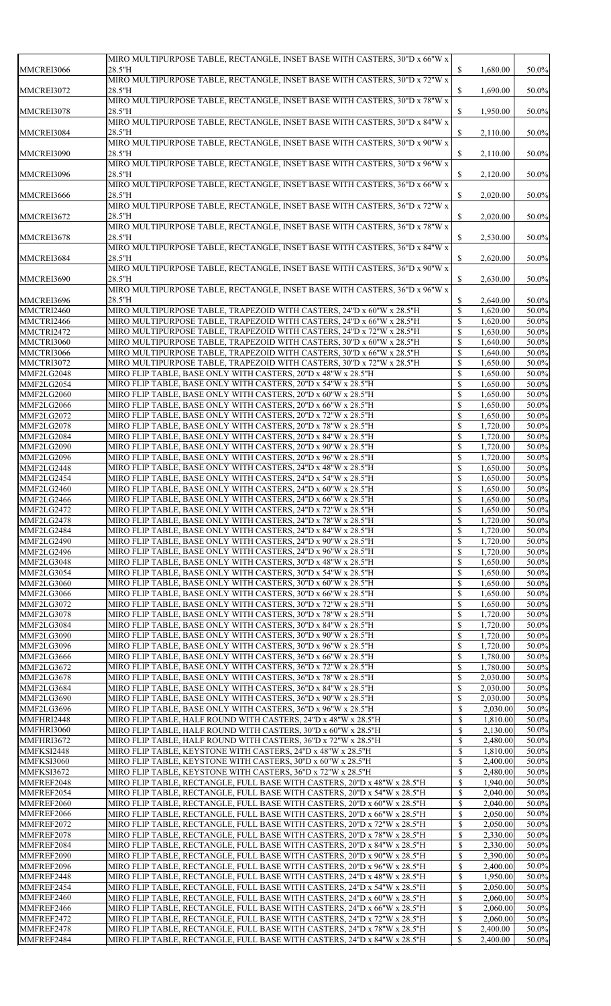|                                                      | MIRO MULTIPURPOSE TABLE, RECTANGLE, INSET BASE WITH CASTERS, 30"D x 66"W x                                                                           |                           |                      |                |
|------------------------------------------------------|------------------------------------------------------------------------------------------------------------------------------------------------------|---------------------------|----------------------|----------------|
| MMCREI3066                                           | 28.5"H                                                                                                                                               | $\mathbb{S}$              | 1,680.00             | 50.0%          |
|                                                      | MIRO MULTIPURPOSE TABLE, RECTANGLE, INSET BASE WITH CASTERS, 30"D x 72"W x                                                                           |                           |                      |                |
| MMCREI3072                                           | 28.5"H                                                                                                                                               | $\mathbb{S}$              | 1,690.00             | 50.0%          |
|                                                      | MIRO MULTIPURPOSE TABLE, RECTANGLE, INSET BASE WITH CASTERS, 30"D x 78"W x                                                                           |                           |                      |                |
| MMCREI3078                                           | 28.5"H                                                                                                                                               | $\mathbb{S}$              | 1,950.00             | 50.0%          |
|                                                      | MIRO MULTIPURPOSE TABLE, RECTANGLE, INSET BASE WITH CASTERS, 30"D x 84"W x                                                                           |                           |                      |                |
| MMCREI3084                                           | 28.5"H                                                                                                                                               | $\boldsymbol{\mathsf{S}}$ | 2,110.00             | 50.0%          |
|                                                      | MIRO MULTIPURPOSE TABLE, RECTANGLE, INSET BASE WITH CASTERS, 30"D x 90"W x                                                                           |                           |                      |                |
| MMCREI3090                                           | 28.5"H                                                                                                                                               | $\mathbb{S}$              | 2,110.00             | 50.0%          |
| MMCREI3096                                           | MIRO MULTIPURPOSE TABLE, RECTANGLE, INSET BASE WITH CASTERS, 30"D x 96"W x<br>28.5"H                                                                 | $\boldsymbol{\mathsf{S}}$ | 2,120.00             | 50.0%          |
|                                                      | MIRO MULTIPURPOSE TABLE, RECTANGLE, INSET BASE WITH CASTERS, 36"D x 66"W x                                                                           |                           |                      |                |
| MMCREI3666                                           | 28.5"H                                                                                                                                               | $\mathbb{S}$              | 2,020.00             | 50.0%          |
|                                                      | MIRO MULTIPURPOSE TABLE, RECTANGLE, INSET BASE WITH CASTERS, 36"D x 72"W x                                                                           |                           |                      |                |
| MMCREI3672                                           | 28.5"H                                                                                                                                               | $\boldsymbol{\mathsf{S}}$ | 2,020.00             | 50.0%          |
|                                                      | MIRO MULTIPURPOSE TABLE, RECTANGLE, INSET BASE WITH CASTERS, 36"D x 78"W x                                                                           |                           |                      |                |
| MMCREI3678                                           | 28.5"H                                                                                                                                               | $\mathbb{S}$              | 2,530.00             | 50.0%          |
|                                                      | MIRO MULTIPURPOSE TABLE, RECTANGLE, INSET BASE WITH CASTERS, 36"D x 84"W x                                                                           |                           |                      |                |
| MMCREI3684                                           | 28.5"H                                                                                                                                               | $\boldsymbol{\mathsf{S}}$ | 2,620.00             | 50.0%          |
|                                                      | MIRO MULTIPURPOSE TABLE, RECTANGLE, INSET BASE WITH CASTERS, 36"D x 90"W x                                                                           |                           |                      |                |
| MMCREI3690                                           | 28.5"H                                                                                                                                               | $\mathbb{S}$              | 2,630.00             | 50.0%          |
|                                                      | MIRO MULTIPURPOSE TABLE, RECTANGLE, INSET BASE WITH CASTERS, 36"D x 96"W x                                                                           |                           |                      |                |
| MMCREI3696                                           | 28.5"H                                                                                                                                               | <sup>\$</sup>             | 2,640.00             | 50.0%          |
| MMCTRI2460                                           | MIRO MULTIPURPOSE TABLE, TRAPEZOID WITH CASTERS, 24"D x 60"W x 28.5"H                                                                                | $\mathbb{S}$              | 1,620.00             | 50.0%          |
|                                                      |                                                                                                                                                      |                           |                      |                |
| MMCTRI2466                                           | MIRO MULTIPURPOSE TABLE, TRAPEZOID WITH CASTERS, 24"D x 66"W x 28.5"H                                                                                | $\mathbb{S}$              | 1,620.00             | 50.0%          |
| MMCTRI2472                                           | MIRO MULTIPURPOSE TABLE, TRAPEZOID WITH CASTERS, 24"D x 72"W x 28.5"H                                                                                | $\mathcal{S}$             | 1,630.00             | 50.0%          |
| MMCTRI3060                                           | MIRO MULTIPURPOSE TABLE, TRAPEZOID WITH CASTERS, 30"D x 60"W x 28.5"H                                                                                | $\mathbb{S}$              | 1,640.00             | 50.0%          |
| MMCTRI3066                                           | MIRO MULTIPURPOSE TABLE, TRAPEZOID WITH CASTERS, 30"D x 66"W x 28.5"H                                                                                | $\boldsymbol{\mathsf{S}}$ | 1,640.00             | 50.0%          |
| MMCTRI3072                                           | MIRO MULTIPURPOSE TABLE, TRAPEZOID WITH CASTERS, 30"D x 72"W x 28.5"H                                                                                | $\mathcal{S}$             | 1,650.00             | 50.0%          |
| MMF2LG2048                                           | MIRO FLIP TABLE, BASE ONLY WITH CASTERS, 20"D x 48"W x 28.5"H                                                                                        | $\mathbb{S}$              | 1,650.00             | 50.0%          |
| MMF2LG2054                                           | MIRO FLIP TABLE, BASE ONLY WITH CASTERS, 20"D x 54"W x 28.5"H                                                                                        | $\mathbb{S}$              | 1,650.00             | 50.0%          |
| MMF2LG2060                                           | MIRO FLIP TABLE, BASE ONLY WITH CASTERS, 20"D x 60"W x 28.5"H                                                                                        | $\mathcal{S}$             | 1,650.00             | 50.0%          |
| MMF2LG2066                                           | MIRO FLIP TABLE, BASE ONLY WITH CASTERS, 20"D x 66"W x 28.5"H                                                                                        | <sup>\$</sup>             | 1,650.00             | 50.0%          |
| MMF2LG2072                                           | MIRO FLIP TABLE, BASE ONLY WITH CASTERS, 20"D x 72"W x 28.5"H                                                                                        | $\mathcal{S}$             | 1,650.00             | 50.0%          |
|                                                      |                                                                                                                                                      |                           |                      |                |
| MMF2LG2078                                           | MIRO FLIP TABLE, BASE ONLY WITH CASTERS, 20"D x 78"W x 28.5"H                                                                                        | $\mathbb{S}$              | 1,720.00             | 50.0%          |
| MMF2LG2084                                           | MIRO FLIP TABLE, BASE ONLY WITH CASTERS, 20"D x 84"W x 28.5"H                                                                                        | $\mathcal{S}$             | 1,720.00             | 50.0%          |
| MMF2LG2090                                           | MIRO FLIP TABLE, BASE ONLY WITH CASTERS, 20"D x 90"W x 28.5"H                                                                                        | <sup>\$</sup>             | 1,720.00             | 50.0%          |
| MMF2LG2096                                           | MIRO FLIP TABLE, BASE ONLY WITH CASTERS, 20"D x 96"W x 28.5"H                                                                                        | $\mathcal{S}$             | 1,720.00             | 50.0%          |
| MMF2LG2448                                           | MIRO FLIP TABLE, BASE ONLY WITH CASTERS, 24"D x 48"W x 28.5"H                                                                                        | $\mathcal{S}$             | 1,650.00             | 50.0%          |
| MMF2LG2454                                           | MIRO FLIP TABLE, BASE ONLY WITH CASTERS, 24"D x 54"W x 28.5"H                                                                                        | $\mathcal{S}$             | 1,650.00             | 50.0%          |
| MMF2LG2460                                           | MIRO FLIP TABLE, BASE ONLY WITH CASTERS, 24"D x 60"W x 28.5"H                                                                                        | <sup>\$</sup>             | 1,650.00             | 50.0%          |
| MMF2LG2466                                           | MIRO FLIP TABLE, BASE ONLY WITH CASTERS, 24"D x 66"W x 28.5"H                                                                                        | $\mathcal{S}$             | 1,650.00             | 50.0%          |
| MMF2LG2472                                           | MIRO FLIP TABLE, BASE ONLY WITH CASTERS, 24"D x 72"W x 28.5"H                                                                                        | $\mathbb{S}$              | 1,650.00             | 50.0%          |
| MMF2LG2478                                           | MIRO FLIP TABLE, BASE ONLY WITH CASTERS, 24"D x 78"W x 28.5"H                                                                                        | $\boldsymbol{\mathsf{S}}$ | 1,720.00             | 50.0%          |
| MMF2LG2484                                           | MIRO FLIP TABLE, BASE ONLY WITH CASTERS, 24"D x 84"W x 28.5"H                                                                                        | <sup>\$</sup>             | 1,720.00             | 50.0%          |
| <b>MMF2LG2490</b>                                    | MIRO FLIP TABLE, BASE ONLY WITH CASTERS, 24"D x 90"W x 28.5"H                                                                                        | $\boldsymbol{\mathsf{S}}$ | 1,720.00             | 50.0%          |
|                                                      |                                                                                                                                                      |                           |                      |                |
| MMF2LG2496                                           | MIRO FLIP TABLE, BASE ONLY WITH CASTERS, 24"D x 96"W x 28.5"H                                                                                        | $\mathbb{S}$              | 1,720.00             | 50.0%          |
| <b>MMF2LG3048</b>                                    | MIRO FLIP TABLE, BASE ONLY WITH CASTERS, 30"D x 48"W x 28.5"H                                                                                        | $\mathcal{S}$             | 1,650.00             | 50.0%          |
| MMF2LG3054                                           | MIRO FLIP TABLE, BASE ONLY WITH CASTERS, 30"D x 54"W x 28.5"H                                                                                        | <sup>\$</sup>             | 1,650.00             | 50.0%          |
| MMF2LG3060                                           | MIRO FLIP TABLE, BASE ONLY WITH CASTERS, 30"D x 60"W x 28.5"H                                                                                        | $\mathcal{S}$             | 1,650.00             | 50.0%          |
| MMF2LG3066                                           | MIRO FLIP TABLE, BASE ONLY WITH CASTERS, 30"D x 66"W x 28.5"H                                                                                        | $\mathcal{S}$             | 1,650.00             | 50.0%          |
| <b>MMF2LG3072</b>                                    | MIRO FLIP TABLE, BASE ONLY WITH CASTERS, 30"D x 72"W x 28.5"H                                                                                        | $\mathcal{S}$             | 1,650.00             | 50.0%          |
| MMF2LG3078                                           | MIRO FLIP TABLE, BASE ONLY WITH CASTERS, 30"D x 78"W x 28.5"H                                                                                        | <sup>\$</sup>             | 1,720.00             | 50.0%          |
| MMF2LG3084                                           | MIRO FLIP TABLE, BASE ONLY WITH CASTERS, 30"D x 84"W x 28.5"H                                                                                        | $\boldsymbol{\mathsf{S}}$ | 1,720.00             | 50.0%          |
| MMF2LG3090                                           | MIRO FLIP TABLE, BASE ONLY WITH CASTERS, 30"D x 90"W x 28.5"H                                                                                        | $\mathcal{S}$             | 1,720.00             | 50.0%          |
| MMF2LG3096                                           | MIRO FLIP TABLE, BASE ONLY WITH CASTERS, 30"D x 96"W x 28.5"H                                                                                        | $\boldsymbol{\mathsf{S}}$ | 1,720.00             | 50.0%          |
| MMF2LG3666                                           | MIRO FLIP TABLE, BASE ONLY WITH CASTERS, 36"D x 66"W x 28.5"H                                                                                        | <sup>\$</sup>             | 1,780.00             | 50.0%          |
| MMF2LG3672                                           | MIRO FLIP TABLE, BASE ONLY WITH CASTERS, 36"D x 72"W x 28.5"H                                                                                        | $\boldsymbol{\mathsf{S}}$ | 1,780.00             | 50.0%          |
| MMF2LG3678                                           | MIRO FLIP TABLE, BASE ONLY WITH CASTERS, 36"D x 78"W x 28.5"H                                                                                        | $\mathcal{S}$             | 2,030.00             | 50.0%          |
| MMF2LG3684                                           | MIRO FLIP TABLE, BASE ONLY WITH CASTERS, 36"D x 84"W x 28.5"H                                                                                        | $\mathcal{S}$             | 2,030.00             | 50.0%          |
| <b>MMF2LG3690</b>                                    |                                                                                                                                                      |                           | 2,030.00             | 50.0%          |
|                                                      | MIRO FLIP TABLE, BASE ONLY WITH CASTERS, 36"D x 90"W x 28.5"H                                                                                        | $\boldsymbol{\mathsf{S}}$ |                      |                |
| MMF2LG3696                                           | MIRO FLIP TABLE, BASE ONLY WITH CASTERS, 36"D x 96"W x 28.5"H                                                                                        | \$                        | 2,030.00             | 50.0%          |
| MMFHRI2448                                           | MIRO FLIP TABLE, HALF ROUND WITH CASTERS, 24"D x 48"W x 28.5"H                                                                                       | \$                        | 1,810.00             | 50.0%          |
| MMFHRI3060                                           | MIRO FLIP TABLE, HALF ROUND WITH CASTERS, 30"D x 60"W x 28.5"H                                                                                       | \$                        | 2,130.00             | 50.0%          |
| MMFHRI3672                                           | MIRO FLIP TABLE, HALF ROUND WITH CASTERS, 36"D x 72"W x 28.5"H                                                                                       | \$                        | 2,480.00             | 50.0%          |
| MMFKSI2448                                           | MIRO FLIP TABLE, KEYSTONE WITH CASTERS, 24"D x 48"W x 28.5"H                                                                                         | \$                        | 1,810.00             | 50.0%          |
| MMFKSI3060                                           | MIRO FLIP TABLE, KEYSTONE WITH CASTERS, 30"D x 60"W x 28.5"H                                                                                         | \$                        | 2,400.00             | 50.0%          |
| MMFKSI3672                                           | MIRO FLIP TABLE, KEYSTONE WITH CASTERS, 36"D x 72"W x 28.5"H                                                                                         | \$                        | 2,480.00             | 50.0%          |
| MMFREF2048                                           | MIRO FLIP TABLE, RECTANGLE, FULL BASE WITH CASTERS, 20"D x 48"W x 28.5"H                                                                             | \$                        | 1,940.00             | 50.0%          |
| MMFREF2054                                           | MIRO FLIP TABLE, RECTANGLE, FULL BASE WITH CASTERS, 20"D x 54"W x 28.5"H                                                                             | \$                        | 2,040.00             | 50.0%          |
| MMFREF2060                                           | MIRO FLIP TABLE, RECTANGLE, FULL BASE WITH CASTERS, 20"D x 60"W x 28.5"H                                                                             | \$                        | 2,040.00             | 50.0%          |
| MMFREF2066                                           | MIRO FLIP TABLE, RECTANGLE, FULL BASE WITH CASTERS, 20"D x 66"W x 28.5"H                                                                             | \$                        |                      | 50.0%          |
|                                                      |                                                                                                                                                      |                           | 2,050.00             |                |
| MMFREF2072                                           | MIRO FLIP TABLE, RECTANGLE, FULL BASE WITH CASTERS, 20"D x 72"W x 28.5"H                                                                             | \$                        | 2,050.00             | 50.0%          |
| MMFREF2078                                           | MIRO FLIP TABLE, RECTANGLE, FULL BASE WITH CASTERS, 20"D x 78"W x 28.5"H                                                                             | \$                        | 2,330.00             | 50.0%          |
| MMFREF2084                                           | MIRO FLIP TABLE, RECTANGLE, FULL BASE WITH CASTERS, 20"D x 84"W x 28.5"H                                                                             | \$                        | 2,330.00             | 50.0%          |
|                                                      | MIRO FLIP TABLE, RECTANGLE, FULL BASE WITH CASTERS, 20"D x 90"W x 28.5"H                                                                             | \$                        | 2,390.00             | 50.0%          |
|                                                      |                                                                                                                                                      | \$                        | 2,400.00             | 50.0%          |
|                                                      | MIRO FLIP TABLE, RECTANGLE, FULL BASE WITH CASTERS, 20"D x 96"W x 28.5"H                                                                             |                           |                      |                |
|                                                      | MIRO FLIP TABLE, RECTANGLE, FULL BASE WITH CASTERS, 24"D x 48"W x 28.5"H                                                                             | \$                        | 1,950.00             | 50.0%          |
| MMFREF2090<br>MMFREF2096<br>MMFREF2448<br>MMFREF2454 | MIRO FLIP TABLE, RECTANGLE, FULL BASE WITH CASTERS, 24"D x 54"W x 28.5"H                                                                             | \$                        | 2,050.00             | 50.0%          |
| MMFREF2460                                           | MIRO FLIP TABLE, RECTANGLE, FULL BASE WITH CASTERS, 24"D x 60"W x 28.5"H                                                                             | \$                        | 2,060.00             | 50.0%          |
| MMFREF2466                                           |                                                                                                                                                      |                           |                      | 50.0%          |
|                                                      | MIRO FLIP TABLE, RECTANGLE, FULL BASE WITH CASTERS, 24"D x 66"W x 28.5"H                                                                             | \$                        | 2,060.00             |                |
| MMFREF2472<br>MMFREF2478                             | MIRO FLIP TABLE, RECTANGLE, FULL BASE WITH CASTERS, 24"D x 72"W x 28.5"H<br>MIRO FLIP TABLE, RECTANGLE, FULL BASE WITH CASTERS, 24"D x 78"W x 28.5"H | \$<br>$\mathbb{S}$        | 2,060.00<br>2,400.00 | 50.0%<br>50.0% |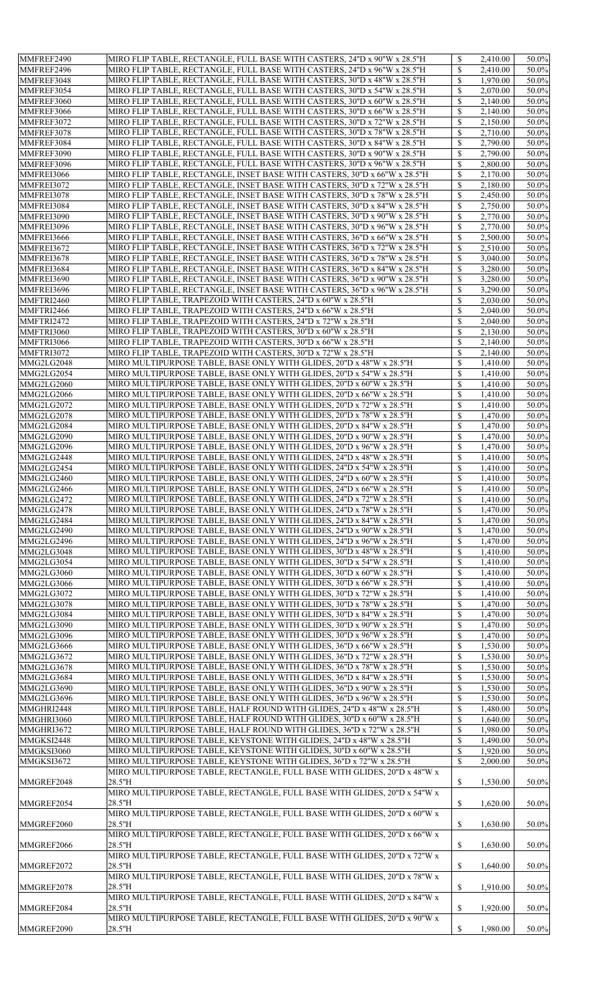| MMFREF2490 |                                                                           |                           |          |       |
|------------|---------------------------------------------------------------------------|---------------------------|----------|-------|
|            | MIRO FLIP TABLE, RECTANGLE, FULL BASE WITH CASTERS, 24"D x 90"W x 28.5"H  | $\mathbb{S}$              | 2,410.00 | 50.0% |
| MMFREF2496 | MIRO FLIP TABLE, RECTANGLE, FULL BASE WITH CASTERS, 24"D x 96"W x 28.5"H  | $\mathbb{S}$              | 2,410.00 | 50.0% |
| MMFREF3048 | MIRO FLIP TABLE, RECTANGLE, FULL BASE WITH CASTERS, 30"D x 48"W x 28.5"H  | $\mathcal{S}$             | 1,970.00 | 50.0% |
| MMFREF3054 | MIRO FLIP TABLE, RECTANGLE, FULL BASE WITH CASTERS, 30"D x 54"W x 28.5"H  | $\mathbb{S}$              |          | 50.0% |
|            |                                                                           |                           | 2,070.00 |       |
| MMFREF3060 | MIRO FLIP TABLE, RECTANGLE, FULL BASE WITH CASTERS, 30"D x 60"W x 28.5"H  | $\mathcal{S}$             | 2,140.00 | 50.0% |
| MMFREF3066 | MIRO FLIP TABLE, RECTANGLE, FULL BASE WITH CASTERS, 30"D x 66"W x 28.5"H  | $\mathbb{S}$              | 2,140.00 | 50.0% |
| MMFREF3072 | MIRO FLIP TABLE, RECTANGLE, FULL BASE WITH CASTERS, 30"D x 72"W x 28.5"H  | $\mathcal{S}$             | 2,150.00 | 50.0% |
| MMFREF3078 | MIRO FLIP TABLE, RECTANGLE, FULL BASE WITH CASTERS, 30"D x 78"W x 28.5"H  | $\mathbb{S}$              | 2,710.00 | 50.0% |
|            |                                                                           |                           |          |       |
| MMFREF3084 | MIRO FLIP TABLE, RECTANGLE, FULL BASE WITH CASTERS, 30"D x 84"W x 28.5"H  | $\mathcal{S}$             | 2,790.00 | 50.0% |
| MMFREF3090 | MIRO FLIP TABLE, RECTANGLE, FULL BASE WITH CASTERS, 30"D x 90"W x 28.5"H  | $\mathbb{S}$              | 2,790.00 | 50.0% |
| MMFREF3096 | MIRO FLIP TABLE, RECTANGLE, FULL BASE WITH CASTERS, 30"D x 96"W x 28.5"H  | $\mathcal{S}$             | 2,800.00 | 50.0% |
| MMFREI3066 | MIRO FLIP TABLE, RECTANGLE, INSET BASE WITH CASTERS, 30"D x 66"W x 28.5"H | $\mathbb{S}$              | 2,170.00 | 50.0% |
|            |                                                                           |                           |          |       |
| MMFREI3072 | MIRO FLIP TABLE, RECTANGLE, INSET BASE WITH CASTERS, 30"D x 72"W x 28.5"H | $\mathcal{S}$             | 2,180.00 | 50.0% |
| MMFREI3078 | MIRO FLIP TABLE, RECTANGLE, INSET BASE WITH CASTERS, 30"D x 78"W x 28.5"H | $\boldsymbol{\mathsf{S}}$ | 2,450.00 | 50.0% |
| MMFREI3084 | MIRO FLIP TABLE, RECTANGLE, INSET BASE WITH CASTERS, 30"D x 84"W x 28.5"H | \$                        | 2,750.00 | 50.0% |
| MMFREI3090 | MIRO FLIP TABLE, RECTANGLE, INSET BASE WITH CASTERS, 30"D x 90"W x 28.5"H | $\mathbb{S}$              | 2,770.00 | 50.0% |
| MMFREI3096 | MIRO FLIP TABLE, RECTANGLE, INSET BASE WITH CASTERS, 30"D x 96"W x 28.5"H | $\mathcal{S}$             |          | 50.0% |
|            |                                                                           |                           | 2,770.00 |       |
| MMFREI3666 | MIRO FLIP TABLE, RECTANGLE, INSET BASE WITH CASTERS, 36"D x 66"W x 28.5"H | $\mathbb{S}$              | 2,500.00 | 50.0% |
| MMFREI3672 | MIRO FLIP TABLE, RECTANGLE, INSET BASE WITH CASTERS, 36"D x 72"W x 28.5"H | $\mathcal{S}$             | 2,510.00 | 50.0% |
| MMFREI3678 | MIRO FLIP TABLE, RECTANGLE, INSET BASE WITH CASTERS, 36"D x 78"W x 28.5"H | $\mathbb{S}$              | 3,040.00 | 50.0% |
| MMFREI3684 | MIRO FLIP TABLE, RECTANGLE, INSET BASE WITH CASTERS, 36"D x 84"W x 28.5"H | $\mathcal{S}$             | 3,280.00 | 50.0% |
|            |                                                                           |                           |          |       |
| MMFREI3690 | MIRO FLIP TABLE, RECTANGLE, INSET BASE WITH CASTERS, 36"D x 90"W x 28.5"H | $\mathbb{S}$              | 3,280.00 | 50.0% |
| MMFREI3696 | MIRO FLIP TABLE, RECTANGLE, INSET BASE WITH CASTERS, 36"D x 96"W x 28.5"H | $\mathcal{S}$             | 3,290.00 | 50.0% |
| MMFTRI2460 | MIRO FLIP TABLE, TRAPEZOID WITH CASTERS, 24"D x 60"W x 28.5"H             | $\mathcal{S}$             | 2,030.00 | 50.0% |
| MMFTRI2466 | MIRO FLIP TABLE, TRAPEZOID WITH CASTERS, 24"D x 66"W x 28.5"H             | $\mathcal{S}$             | 2,040.00 | 50.0% |
|            |                                                                           |                           |          |       |
| MMFTRI2472 | MIRO FLIP TABLE, TRAPEZOID WITH CASTERS, 24"D x 72"W x 28.5"H             | \$                        | 2,040.00 | 50.0% |
| MMFTRI3060 | MIRO FLIP TABLE, TRAPEZOID WITH CASTERS, 30"D x 60"W x 28.5"H             | $\mathcal{S}$             | 2,130.00 | 50.0% |
| MMFTRI3066 | MIRO FLIP TABLE, TRAPEZOID WITH CASTERS, 30"D x 66"W x 28.5"H             | $\mathcal{S}$             | 2,140.00 | 50.0% |
| MMFTRI3072 | MIRO FLIP TABLE, TRAPEZOID WITH CASTERS, 30"D x 72"W x 28.5"H             | $\mathcal{S}$             | 2,140.00 | 50.0% |
|            |                                                                           |                           |          |       |
| MMG2LG2048 | MIRO MULTIPURPOSE TABLE, BASE ONLY WITH GLIDES, 20"D x 48"W x 28.5"H      | ९                         | 1,410.00 | 50.0% |
| MMG2LG2054 | MIRO MULTIPURPOSE TABLE, BASE ONLY WITH GLIDES, 20"D x 54"W x 28.5"H      | $\mathbb{S}$              | 1,410.00 | 50.0% |
| MMG2LG2060 | MIRO MULTIPURPOSE TABLE, BASE ONLY WITH GLIDES, 20"D x 60"W x 28.5"H      | $\mathbb{S}$              | 1,410.00 | 50.0% |
| MMG2LG2066 | MIRO MULTIPURPOSE TABLE, BASE ONLY WITH GLIDES, 20"D x 66"W x 28.5"H      | $\mathcal{S}$             | 1,410.00 | 50.0% |
|            |                                                                           |                           |          |       |
| MMG2LG2072 | MIRO MULTIPURPOSE TABLE, BASE ONLY WITH GLIDES, 20"D x 72"W x 28.5"H      | $\mathcal{S}$             | 1,410.00 | 50.0% |
| MMG2LG2078 | MIRO MULTIPURPOSE TABLE, BASE ONLY WITH GLIDES, 20"D x 78"W x 28.5"H      | $\mathcal{S}$             | 1,470.00 | 50.0% |
| MMG2LG2084 | MIRO MULTIPURPOSE TABLE, BASE ONLY WITH GLIDES, 20"D x 84"W x 28.5"H      | $\mathbb{S}$              | 1,470.00 | 50.0% |
| MMG2LG2090 | MIRO MULTIPURPOSE TABLE, BASE ONLY WITH GLIDES, 20"D x 90"W x 28.5"H      | $\mathcal{S}$             | 1,470.00 | 50.0% |
|            |                                                                           |                           |          |       |
| MMG2LG2096 | MIRO MULTIPURPOSE TABLE, BASE ONLY WITH GLIDES, 20"D x 96"W x 28.5"H      | $\mathcal{S}$             | 1,470.00 | 50.0% |
| MMG2LG2448 | MIRO MULTIPURPOSE TABLE, BASE ONLY WITH GLIDES, 24"D x 48"W x 28.5"H      | $\mathcal{S}$             | 1,410.00 | 50.0% |
| MMG2LG2454 | MIRO MULTIPURPOSE TABLE, BASE ONLY WITH GLIDES, 24"D x 54"W x 28.5"H      | $\mathcal{S}$             | 1,410.00 | 50.0% |
| MMG2LG2460 | MIRO MULTIPURPOSE TABLE, BASE ONLY WITH GLIDES, 24"D x 60"W x 28.5"H      | $\mathcal{S}$             |          | 50.0% |
|            |                                                                           |                           | 1,410.00 |       |
| MMG2LG2466 | MIRO MULTIPURPOSE TABLE, BASE ONLY WITH GLIDES, 24"D x 66"W x 28.5"H      | $\mathcal{S}$             | 1,410.00 | 50.0% |
| MMG2LG2472 | MIRO MULTIPURPOSE TABLE, BASE ONLY WITH GLIDES, 24"D x 72"W x 28.5"H      | $\mathcal{S}$             | 1,410.00 | 50.0% |
| MMG2LG2478 | MIRO MULTIPURPOSE TABLE, BASE ONLY WITH GLIDES, 24"D x 78"W x 28.5"H      | $\mathcal{S}$             | 1,470.00 | 50.0% |
|            |                                                                           |                           |          |       |
|            |                                                                           |                           |          |       |
| MMG2LG2484 | MIRO MULTIPURPOSE TABLE, BASE ONLY WITH GLIDES, 24"D x 84"W x 28.5"H      | $\mathcal{S}$             | 1,470.00 | 50.0% |
| MMG2LG2490 | MIRO MULTIPURPOSE TABLE, BASE ONLY WITH GLIDES, 24"D x 90"W x 28.5"H      | $\mathcal{S}$             | 1,470.00 | 50.0% |
| MMG2LG2496 | MIRO MULTIPURPOSE TABLE, BASE ONLY WITH GLIDES, 24"D x 96"W x 28.5"H      | $\mathcal{S}$             | 1,470.00 | 50.0% |
|            |                                                                           |                           |          |       |
| MMG2LG3048 | MIRO MULTIPURPOSE TABLE, BASE ONLY WITH GLIDES, 30"D x 48"W x 28.5"H      | $\mathbb{S}$              | 1,410.00 | 50.0% |
| MMG2LG3054 | MIRO MULTIPURPOSE TABLE, BASE ONLY WITH GLIDES, 30"D x 54"W x 28.5"H      | $\mathcal{S}$             | 1,410.00 | 50.0% |
| MMG2LG3060 | MIRO MULTIPURPOSE TABLE, BASE ONLY WITH GLIDES, 30"D x 60"W x 28.5"H      | $\mathbb{S}$              | 1,410.00 | 50.0% |
| MMG2LG3066 | MIRO MULTIPURPOSE TABLE, BASE ONLY WITH GLIDES, 30"D x 66"W x 28.5"H      | $\mathcal{S}$             | 1,410.00 | 50.0% |
|            |                                                                           | $\mathbb{S}$              |          |       |
| MMG2LG3072 | MIRO MULTIPURPOSE TABLE, BASE ONLY WITH GLIDES, 30"D x 72"W x 28.5"H      |                           | 1,410.00 | 50.0% |
| MMG2LG3078 | MIRO MULTIPURPOSE TABLE, BASE ONLY WITH GLIDES, 30"D x 78"W x 28.5"H      | $\mathcal{S}$             | 1,470.00 | 50.0% |
| MMG2LG3084 | MIRO MULTIPURPOSE TABLE, BASE ONLY WITH GLIDES, 30"D x 84"W x 28.5"H      | $\mathbb{S}$              | 1,470.00 | 50.0% |
| MMG2LG3090 | MIRO MULTIPURPOSE TABLE, BASE ONLY WITH GLIDES, 30"D x 90"W x 28.5"H      | $\mathcal{S}$             | 1,470.00 | 50.0% |
| MMG2LG3096 | MIRO MULTIPURPOSE TABLE, BASE ONLY WITH GLIDES, 30"D x 96"W x 28.5"H      | $\mathcal{S}$             | 1,470.00 | 50.0% |
|            |                                                                           |                           |          |       |
| MMG2LG3666 | MIRO MULTIPURPOSE TABLE, BASE ONLY WITH GLIDES, 36"D x 66"W x 28.5"H      | $\mathcal{S}$             | 1,530.00 | 50.0% |
| MMG2LG3672 | MIRO MULTIPURPOSE TABLE, BASE ONLY WITH GLIDES, 36"D x 72"W x 28.5"H      | $\mathcal{S}$             | 1,530.00 | 50.0% |
| MMG2LG3678 | MIRO MULTIPURPOSE TABLE, BASE ONLY WITH GLIDES, 36"D x 78"W x 28.5"H      | $\mathcal{S}$             | 1,530.00 | 50.0% |
| MMG2LG3684 | MIRO MULTIPURPOSE TABLE, BASE ONLY WITH GLIDES, 36"D x 84"W x 28.5"H      |                           | 1,530.00 | 50.0% |
|            | MIRO MULTIPURPOSE TABLE, BASE ONLY WITH GLIDES, 36"D x 90"W x 28.5"H      | $\mathbb{S}$              | 1,530.00 | 50.0% |
| MMG2LG3690 |                                                                           |                           |          |       |
| MMG2LG3696 | MIRO MULTIPURPOSE TABLE, BASE ONLY WITH GLIDES, 36"D x 96"W x 28.5"H      | \$                        | 1,530.00 | 50.0% |
| MMGHRI2448 | MIRO MULTIPURPOSE TABLE, HALF ROUND WITH GLIDES, 24"D x 48"W x 28.5"H     | $\mathcal{S}$             | 1,480.00 | 50.0% |
| MMGHRI3060 | MIRO MULTIPURPOSE TABLE, HALF ROUND WITH GLIDES, 30"D x 60"W x 28.5"H     | $\mathcal{S}$             | 1,640.00 | 50.0% |
| MMGHRI3672 | MIRO MULTIPURPOSE TABLE, HALF ROUND WITH GLIDES, 36"D x 72"W x 28.5"H     | \$                        | 1,980.00 | 50.0% |
|            |                                                                           |                           |          |       |
| MMGKSI2448 | MIRO MULTIPURPOSE TABLE, KEYSTONE WITH GLIDES, 24"D x 48"W x 28.5"H       | $\boldsymbol{\mathsf{S}}$ | 1,490.00 | 50.0% |
| MMGKSI3060 | MIRO MULTIPURPOSE TABLE, KEYSTONE WITH GLIDES, 30"D x 60"W x 28.5"H       | $\mathbb{S}$              | 1,920.00 | 50.0% |
| MMGKSI3672 | MIRO MULTIPURPOSE TABLE, KEYSTONE WITH GLIDES, 36"D x 72"W x 28.5"H       | $\mathbb{S}$              | 2,000.00 | 50.0% |
|            | MIRO MULTIPURPOSE TABLE, RECTANGLE, FULL BASE WITH GLIDES, 20"D x 48"W x  |                           |          |       |
| MMGREF2048 | 28.5"H                                                                    | $\mathbb{S}$              | 1,530.00 | 50.0% |
|            |                                                                           |                           |          |       |
|            | MIRO MULTIPURPOSE TABLE, RECTANGLE, FULL BASE WITH GLIDES, 20"D x 54"W x  |                           |          |       |
| MMGREF2054 | 28.5"H                                                                    | $\mathbb{S}$              | 1,620.00 | 50.0% |
|            | MIRO MULTIPURPOSE TABLE, RECTANGLE, FULL BASE WITH GLIDES, 20"D x 60"W x  |                           |          |       |
|            | 28.5"H                                                                    | $\mathbb{S}$              | 1,630.00 | 50.0% |
|            |                                                                           |                           |          |       |
| MMGREF2060 | MIRO MULTIPURPOSE TABLE, RECTANGLE, FULL BASE WITH GLIDES, 20"D x 66"W x  |                           |          |       |
| MMGREF2066 | 28.5"H                                                                    | $\mathbb{S}$              | 1,630.00 | 50.0% |
|            | MIRO MULTIPURPOSE TABLE, RECTANGLE, FULL BASE WITH GLIDES, 20"D x 72"W x  |                           |          |       |
| MMGREF2072 | 28.5"H                                                                    | $\mathbb{S}$              | 1,640.00 | 50.0% |
|            |                                                                           |                           |          |       |
|            | MIRO MULTIPURPOSE TABLE, RECTANGLE, FULL BASE WITH GLIDES, 20"D x 78"W x  |                           |          |       |
| MMGREF2078 | 28.5"H                                                                    | $\mathbb{S}$              | 1,910.00 | 50.0% |
|            | MIRO MULTIPURPOSE TABLE, RECTANGLE, FULL BASE WITH GLIDES, 20"D x 84"W x  |                           |          |       |
| MMGREF2084 | 28.5"H                                                                    | $\mathbb{S}$              | 1,920.00 | 50.0% |
|            | MIRO MULTIPURPOSE TABLE, RECTANGLE, FULL BASE WITH GLIDES, 20"D x 90"W x  |                           |          |       |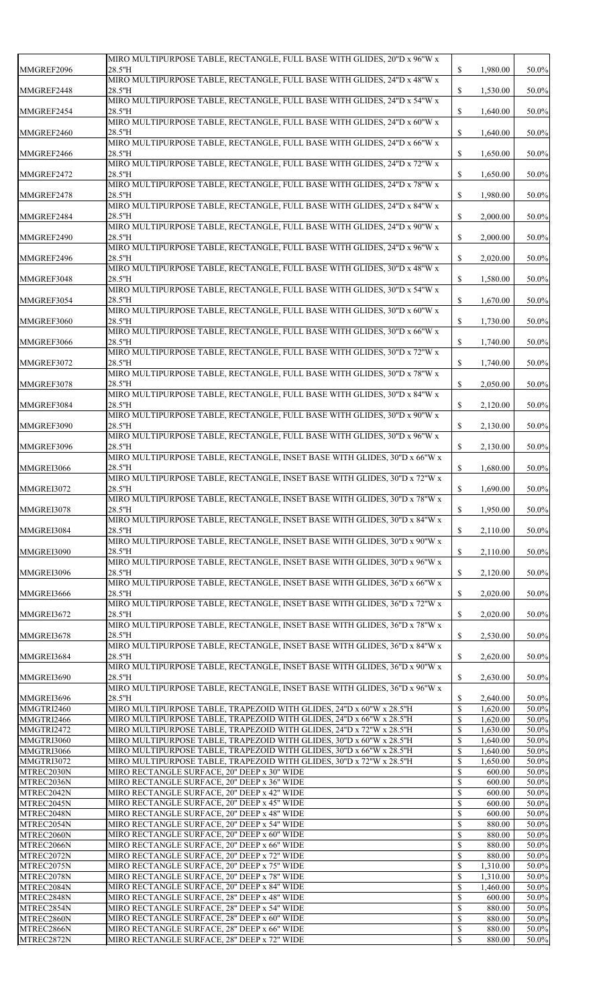|                                                                                                                                                                                                                | MIRO MULTIPURPOSE TABLE, RECTANGLE, FULL BASE WITH GLIDES, 20"D x 96"W x                   |                                            |                      |                |
|----------------------------------------------------------------------------------------------------------------------------------------------------------------------------------------------------------------|--------------------------------------------------------------------------------------------|--------------------------------------------|----------------------|----------------|
| MMGREF2096                                                                                                                                                                                                     | 28.5"H<br>MIRO MULTIPURPOSE TABLE, RECTANGLE, FULL BASE WITH GLIDES, 24"D x 48"W x         | $\boldsymbol{\mathsf{S}}$                  | 1,980.00             | 50.0%          |
| MMGREF2448                                                                                                                                                                                                     | 28.5"H                                                                                     | $\boldsymbol{\mathsf{S}}$                  | 1,530.00             | 50.0%          |
| MMGREF2454                                                                                                                                                                                                     | MIRO MULTIPURPOSE TABLE, RECTANGLE, FULL BASE WITH GLIDES, 24"D x 54"W x<br>28.5"H         | $\boldsymbol{\mathsf{S}}$                  | 1,640.00             | 50.0%          |
|                                                                                                                                                                                                                | MIRO MULTIPURPOSE TABLE, RECTANGLE, FULL BASE WITH GLIDES, 24"D x 60"W x                   |                                            |                      |                |
| MMGREF2460                                                                                                                                                                                                     | 28.5"H<br>MIRO MULTIPURPOSE TABLE, RECTANGLE, FULL BASE WITH GLIDES, 24"D x 66"W x         | $\boldsymbol{\mathsf{S}}$                  | 1,640.00             | 50.0%          |
| MMGREF2466                                                                                                                                                                                                     | 28.5"H                                                                                     | $\mathbb{S}$                               | 1,650.00             | 50.0%          |
|                                                                                                                                                                                                                | MIRO MULTIPURPOSE TABLE, RECTANGLE, FULL BASE WITH GLIDES, 24"D x 72"W x                   |                                            |                      |                |
| MMGREF2472                                                                                                                                                                                                     | 28.5"H<br>MIRO MULTIPURPOSE TABLE, RECTANGLE, FULL BASE WITH GLIDES, 24"D x 78"W x         | $\boldsymbol{\mathsf{S}}$                  | 1,650.00             | 50.0%          |
| MMGREF2478                                                                                                                                                                                                     | 28.5"H                                                                                     | $\boldsymbol{\mathsf{S}}$                  | 1,980.00             | 50.0%          |
| MMGREF2484                                                                                                                                                                                                     | MIRO MULTIPURPOSE TABLE, RECTANGLE, FULL BASE WITH GLIDES, 24"D x 84"W x<br>28.5"H         | $\boldsymbol{\mathsf{S}}$                  | 2,000.00             | 50.0%          |
|                                                                                                                                                                                                                | MIRO MULTIPURPOSE TABLE, RECTANGLE, FULL BASE WITH GLIDES, 24"D x 90"W x                   |                                            |                      |                |
| MMGREF2490                                                                                                                                                                                                     | 28.5''H<br>MIRO MULTIPURPOSE TABLE, RECTANGLE, FULL BASE WITH GLIDES, 24"D x 96"W x        | $\boldsymbol{\mathsf{S}}$                  | 2,000.00             | 50.0%          |
| MMGREF2496                                                                                                                                                                                                     | 28.5"H                                                                                     | $\boldsymbol{\mathsf{S}}$                  | 2,020.00             | 50.0%          |
| MMGREF3048                                                                                                                                                                                                     | MIRO MULTIPURPOSE TABLE, RECTANGLE, FULL BASE WITH GLIDES, 30"D x 48"W x<br>28.5"H         |                                            |                      | 50.0%          |
|                                                                                                                                                                                                                | MIRO MULTIPURPOSE TABLE, RECTANGLE, FULL BASE WITH GLIDES, 30"D x 54"W x                   | $\mathbb{S}$                               | 1,580.00             |                |
| MMGREF3054                                                                                                                                                                                                     | 28.5"H                                                                                     | $\boldsymbol{\mathsf{S}}$                  | 1,670.00             | 50.0%          |
| MMGREF3060                                                                                                                                                                                                     | MIRO MULTIPURPOSE TABLE, RECTANGLE, FULL BASE WITH GLIDES, 30"D x 60"W x<br>28.5"H         | $\boldsymbol{\mathsf{S}}$                  | 1,730.00             | 50.0%          |
|                                                                                                                                                                                                                | MIRO MULTIPURPOSE TABLE, RECTANGLE, FULL BASE WITH GLIDES, 30"D x 66"W x                   |                                            |                      |                |
| MMGREF3066                                                                                                                                                                                                     | 28.5"H<br>MIRO MULTIPURPOSE TABLE, RECTANGLE, FULL BASE WITH GLIDES, 30"D x 72"W x         | $\boldsymbol{\mathsf{S}}$                  | 1,740.00             | 50.0%          |
| MMGREF3072                                                                                                                                                                                                     | $28.5$ "H                                                                                  | $\mathbb{S}$                               | 1,740.00             | 50.0%          |
|                                                                                                                                                                                                                | MIRO MULTIPURPOSE TABLE, RECTANGLE, FULL BASE WITH GLIDES, 30"D x 78"W x                   |                                            |                      |                |
| MMGREF3078                                                                                                                                                                                                     | 28.5"H<br>MIRO MULTIPURPOSE TABLE, RECTANGLE, FULL BASE WITH GLIDES, 30"D x 84"W x         | $\boldsymbol{\mathsf{S}}$                  | 2,050.00             | 50.0%          |
| MMGREF3084                                                                                                                                                                                                     | 28.5"H                                                                                     | $\boldsymbol{\mathsf{S}}$                  | 2,120.00             | 50.0%          |
| MMGREF3090                                                                                                                                                                                                     | MIRO MULTIPURPOSE TABLE, RECTANGLE, FULL BASE WITH GLIDES, 30"D x 90"W x<br>28.5"H         | $\boldsymbol{\mathsf{S}}$                  | 2,130.00             | 50.0%          |
|                                                                                                                                                                                                                | MIRO MULTIPURPOSE TABLE, RECTANGLE, FULL BASE WITH GLIDES, 30"D x 96"W x                   |                                            |                      |                |
| MMGREF3096                                                                                                                                                                                                     | 28.5"H                                                                                     | $\boldsymbol{\mathsf{S}}$                  | 2,130.00             | 50.0%          |
| MMGREI3066                                                                                                                                                                                                     | MIRO MULTIPURPOSE TABLE, RECTANGLE, INSET BASE WITH GLIDES, 30"D x 66"W x<br>28.5"H        | $\mathbb{S}$                               | 1,680.00             | 50.0%          |
|                                                                                                                                                                                                                | MIRO MULTIPURPOSE TABLE, RECTANGLE, INSET BASE WITH GLIDES, 30"D x 72"W x                  |                                            |                      |                |
| MMGREI3072                                                                                                                                                                                                     | 28.5"H<br>MIRO MULTIPURPOSE TABLE, RECTANGLE, INSET BASE WITH GLIDES, 30"D x 78"W x        | $\boldsymbol{\mathsf{S}}$                  | 1,690.00             | 50.0%          |
| MMGREI3078                                                                                                                                                                                                     | 28.5"H                                                                                     | $\mathbb{S}$                               | 1,950.00             | 50.0%          |
| MMGREI3084                                                                                                                                                                                                     | MIRO MULTIPURPOSE TABLE, RECTANGLE, INSET BASE WITH GLIDES, 30"D x 84"W x<br>28.5"H        | $\boldsymbol{\mathsf{S}}$                  | 2,110.00             | 50.0%          |
|                                                                                                                                                                                                                | MIRO MULTIPURPOSE TABLE, RECTANGLE, INSET BASE WITH GLIDES, 30"D x 90"W x                  |                                            |                      |                |
| MMGREI3090                                                                                                                                                                                                     | 28.5"H                                                                                     | $\boldsymbol{\mathsf{S}}$                  | 2,110.00             | 50.0%          |
| MMGREI3096                                                                                                                                                                                                     | MIRO MULTIPURPOSE TABLE, RECTANGLE, INSET BASE WITH GLIDES, 30"D x 96"W x<br>28.5"H        | $\boldsymbol{\mathsf{S}}$                  | 2,120.00             | 50.0%          |
|                                                                                                                                                                                                                | MIRO MULTIPURPOSE TABLE, RECTANGLE, INSET BASE WITH GLIDES, 36"D x 66"W x                  |                                            |                      |                |
| MMGREI3666                                                                                                                                                                                                     | 28.5"H<br>MIRO MULTIPURPOSE TABLE, RECTANGLE, INSET BASE WITH GLIDES, 36"D x 72"W x        | $\mathbb{S}$                               | 2,020.00             | 50.0%          |
| MMGREI3672                                                                                                                                                                                                     | 28.5"H                                                                                     | $\boldsymbol{\mathsf{S}}$                  | 2,020.00             | 50.0%          |
| MMGREI3678                                                                                                                                                                                                     | MIRO MULTIPURPOSE TABLE, RECTANGLE, INSET BASE WITH GLIDES, 36"D x 78"W x<br>28.5"H        | $\boldsymbol{\mathsf{S}}$                  | 2,530.00             | 50.0%          |
|                                                                                                                                                                                                                | MIRO MULTIPURPOSE TABLE, RECTANGLE, INSET BASE WITH GLIDES, 36"D x 84"W x                  |                                            |                      |                |
| MMGREI3684                                                                                                                                                                                                     | 28.5"H                                                                                     | $\boldsymbol{\mathsf{S}}$                  | 2,620.00             | 50.0%          |
| MMGREI3690                                                                                                                                                                                                     | MIRO MULTIPURPOSE TABLE, RECTANGLE, INSET BASE WITH GLIDES, 36"D x 90"W x<br>28.5''H       |                                            | 2,630.00             | 50.0%          |
|                                                                                                                                                                                                                | MIRO MULTIPURPOSE TABLE, RECTANGLE, INSET BASE WITH GLIDES, 36"D x 96"W x                  |                                            |                      |                |
| MMGREI3696<br>MMGTRI2460                                                                                                                                                                                       | 28.5"H<br>MIRO MULTIPURPOSE TABLE, TRAPEZOID WITH GLIDES, 24"D x 60"W x 28.5"H             | $\mathbb{S}$<br>$\mathcal{S}$              | 2,640.00<br>1,620.00 | 50.0%<br>50.0% |
| MMGTRI2466                                                                                                                                                                                                     | MIRO MULTIPURPOSE TABLE, TRAPEZOID WITH GLIDES, 24"D x 66"W x 28.5"H                       | $\mathbb{S}$                               | 1,620.00             | 50.0%          |
| MMGTRI2472                                                                                                                                                                                                     | MIRO MULTIPURPOSE TABLE, TRAPEZOID WITH GLIDES, 24"D x 72"W x 28.5"H                       | $\mathcal{S}$                              | 1,630.00             | 50.0%          |
|                                                                                                                                                                                                                | MIRO MULTIPURPOSE TABLE, TRAPEZOID WITH GLIDES, 30"D x 60"W x 28.5"H                       | $\mathcal{S}$                              | 1,640.00             | 50.0%          |
|                                                                                                                                                                                                                |                                                                                            |                                            | 1,640.00             | 50.0%          |
|                                                                                                                                                                                                                |                                                                                            |                                            |                      |                |
|                                                                                                                                                                                                                | MIRO MULTIPURPOSE TABLE, TRAPEZOID WITH GLIDES, 30"D x 66"W x 28.5"H                       | $\mathcal{S}$                              |                      |                |
|                                                                                                                                                                                                                | MIRO MULTIPURPOSE TABLE, TRAPEZOID WITH GLIDES, 30"D x 72"W x 28.5"H                       | $\mathbb{S}$                               | 1,650.00             | 50.0%          |
|                                                                                                                                                                                                                | MIRO RECTANGLE SURFACE, 20" DEEP x 30" WIDE                                                | $\boldsymbol{\mathsf{S}}$                  | 600.00               | 50.0%          |
|                                                                                                                                                                                                                | MIRO RECTANGLE SURFACE, 20" DEEP x 36" WIDE                                                | $\mathcal{S}$                              | 600.00               | 50.0%          |
|                                                                                                                                                                                                                | MIRO RECTANGLE SURFACE, 20" DEEP x 42" WIDE                                                | $\boldsymbol{\mathsf{S}}$                  | 600.00               | 50.0%          |
|                                                                                                                                                                                                                | MIRO RECTANGLE SURFACE, 20" DEEP x 45" WIDE                                                | $\mathbb{S}$                               | 600.00               | 50.0%          |
|                                                                                                                                                                                                                | MIRO RECTANGLE SURFACE, 20" DEEP x 48" WIDE                                                | $\boldsymbol{\mathsf{S}}$                  | 600.00               | 50.0%          |
|                                                                                                                                                                                                                | MIRO RECTANGLE SURFACE, 20" DEEP x 54" WIDE                                                | $\boldsymbol{\mathsf{S}}$                  | 880.00               | 50.0%          |
|                                                                                                                                                                                                                | MIRO RECTANGLE SURFACE, 20" DEEP x 60" WIDE                                                | $\boldsymbol{\mathsf{S}}$                  | 880.00               | 50.0%          |
|                                                                                                                                                                                                                | MIRO RECTANGLE SURFACE, 20" DEEP x 66" WIDE                                                | $\mathcal{S}$                              | 880.00               | 50.0%          |
|                                                                                                                                                                                                                | MIRO RECTANGLE SURFACE, 20" DEEP x 72" WIDE                                                | $\boldsymbol{\mathsf{S}}$                  | 880.00               | 50.0%          |
|                                                                                                                                                                                                                | MIRO RECTANGLE SURFACE, 20" DEEP x 75" WIDE                                                | $\mathcal{S}$                              | 1,310.00             | 50.0%          |
|                                                                                                                                                                                                                | MIRO RECTANGLE SURFACE, 20" DEEP x 78" WIDE                                                | $\boldsymbol{\mathsf{S}}$                  | 1,310.00             | 50.0%          |
| MMGTRI3060<br>MMGTRI3066<br>MMGTRI3072<br>MTREC2030N<br>MTREC2036N<br>MTREC2042N<br>MTREC2045N<br>MTREC2048N<br>MTREC2054N<br>MTREC2060N<br>MTREC2066N<br>MTREC2072N<br>MTREC2075N<br>MTREC2078N<br>MTREC2084N | MIRO RECTANGLE SURFACE, 20" DEEP x 84" WIDE                                                | $\mathbb{S}$                               | 1,460.00             | 50.0%          |
| MTREC2848N                                                                                                                                                                                                     | MIRO RECTANGLE SURFACE, 28" DEEP x 48" WIDE                                                | $\boldsymbol{\mathsf{S}}$                  | 600.00               | 50.0%          |
| MTREC2854N                                                                                                                                                                                                     | MIRO RECTANGLE SURFACE, 28" DEEP x 54" WIDE                                                | $\mathcal{S}$                              | 880.00               | 50.0%          |
| MTREC2860N<br>MTREC2866N                                                                                                                                                                                       | MIRO RECTANGLE SURFACE, 28" DEEP x 60" WIDE<br>MIRO RECTANGLE SURFACE, 28" DEEP x 66" WIDE | $\boldsymbol{\mathsf{S}}$<br>$\mathcal{S}$ | 880.00<br>880.00     | 50.0%<br>50.0% |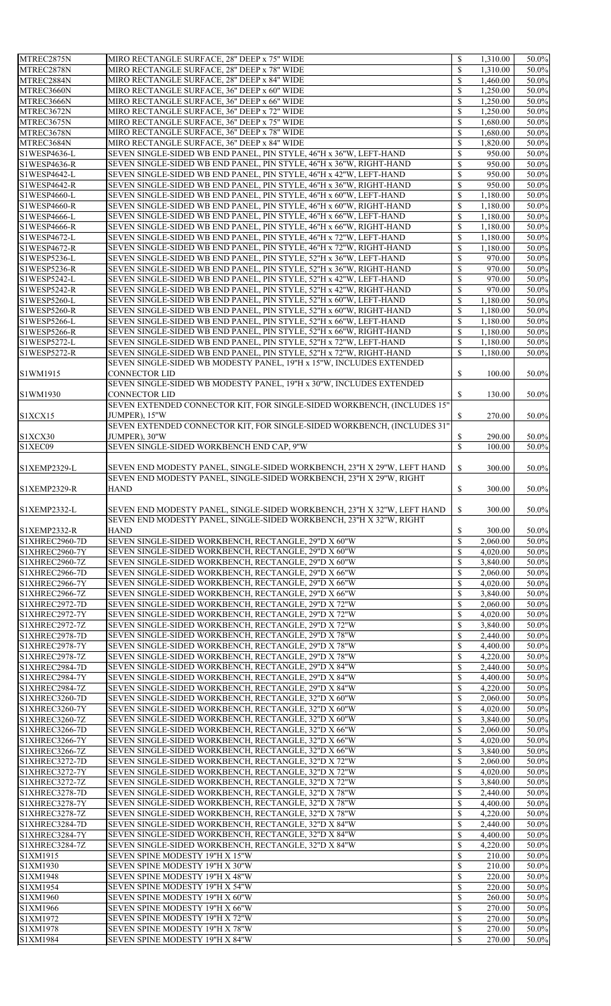| MIRO RECTANGLE SURFACE, 28" DEEP x 75" WIDE<br>MIRO RECTANGLE SURFACE, 28" DEEP x 78" WIDE<br>MIRO RECTANGLE SURFACE, 28" DEEP x 84" WIDE<br>MIRO RECTANGLE SURFACE, 36" DEEP x 60" WIDE<br>MIRO RECTANGLE SURFACE, 36" DEEP x 66" WIDE<br>MIRO RECTANGLE SURFACE, 36" DEEP x 72" WIDE<br>MIRO RECTANGLE SURFACE, 36" DEEP x 75" WIDE<br>MIRO RECTANGLE SURFACE, 36" DEEP x 78" WIDE<br>MIRO RECTANGLE SURFACE, 36" DEEP x 84" WIDE<br>SEVEN SINGLE-SIDED WB END PANEL, PIN STYLE, 46"H x 36"W, LEFT-HAND<br>SEVEN SINGLE-SIDED WB END PANEL, PIN STYLE, 46"H x 36"W, RIGHT-HAND<br>SEVEN SINGLE-SIDED WB END PANEL, PIN STYLE, 46"H x 42"W, LEFT-HAND<br>SEVEN SINGLE-SIDED WB END PANEL, PIN STYLE, 46"H x 36"W, RIGHT-HAND<br>SEVEN SINGLE-SIDED WB END PANEL, PIN STYLE, 46"H x 60"W, LEFT-HAND<br>SEVEN SINGLE-SIDED WB END PANEL, PIN STYLE, 46"H x 60"W, RIGHT-HAND<br>SEVEN SINGLE-SIDED WB END PANEL, PIN STYLE, 46"H x 66"W, LEFT-HAND<br>SEVEN SINGLE-SIDED WB END PANEL, PIN STYLE, 46"H x 66"W, RIGHT-HAND<br>SEVEN SINGLE-SIDED WB END PANEL, PIN STYLE, 46"H x 72"W, LEFT-HAND | $\mathcal{S}$<br>$\mathcal{S}$<br>$\mathcal{S}$<br>$\mathbb{S}$<br>$\mathcal{S}$<br>$\mathcal{S}$<br>$\mathcal{S}$<br>$\mathbb{S}$<br>$\mathcal{S}$<br>$\mathcal{S}$<br>$\boldsymbol{\mathsf{S}}$<br>$\mathcal{S}$<br>$\mathcal{S}$<br>$\mathcal{S}$<br>$\mathcal{S}$<br>$\mathbb{S}$                                                                                                                                                                                                                                                                                                                                                                                                                                                                                                                                                                                                                                                                                                                                                                                                                                                                                                                                                                                                                                                                                                    | 1,310.00<br>1,310.00<br>1,460.00<br>1,250.00<br>1,250.00<br>1,250.00<br>1,680.00<br>1,680.00<br>1,820.00<br>950.00<br>950.00<br>950.00<br>950.00                                                                                                                                                                                                                                                                                                                                                                                                                    | 50.0%<br>50.0%<br>50.0%<br>50.0%<br>50.0%<br>50.0%<br>50.0%<br>50.0%                                                                                                                                                                       |
|-----------------------------------------------------------------------------------------------------------------------------------------------------------------------------------------------------------------------------------------------------------------------------------------------------------------------------------------------------------------------------------------------------------------------------------------------------------------------------------------------------------------------------------------------------------------------------------------------------------------------------------------------------------------------------------------------------------------------------------------------------------------------------------------------------------------------------------------------------------------------------------------------------------------------------------------------------------------------------------------------------------------------------------------------------------------------------------------------|------------------------------------------------------------------------------------------------------------------------------------------------------------------------------------------------------------------------------------------------------------------------------------------------------------------------------------------------------------------------------------------------------------------------------------------------------------------------------------------------------------------------------------------------------------------------------------------------------------------------------------------------------------------------------------------------------------------------------------------------------------------------------------------------------------------------------------------------------------------------------------------------------------------------------------------------------------------------------------------------------------------------------------------------------------------------------------------------------------------------------------------------------------------------------------------------------------------------------------------------------------------------------------------------------------------------------------------------------------------------------------------|---------------------------------------------------------------------------------------------------------------------------------------------------------------------------------------------------------------------------------------------------------------------------------------------------------------------------------------------------------------------------------------------------------------------------------------------------------------------------------------------------------------------------------------------------------------------|--------------------------------------------------------------------------------------------------------------------------------------------------------------------------------------------------------------------------------------------|
|                                                                                                                                                                                                                                                                                                                                                                                                                                                                                                                                                                                                                                                                                                                                                                                                                                                                                                                                                                                                                                                                                               |                                                                                                                                                                                                                                                                                                                                                                                                                                                                                                                                                                                                                                                                                                                                                                                                                                                                                                                                                                                                                                                                                                                                                                                                                                                                                                                                                                                          |                                                                                                                                                                                                                                                                                                                                                                                                                                                                                                                                                                     |                                                                                                                                                                                                                                            |
|                                                                                                                                                                                                                                                                                                                                                                                                                                                                                                                                                                                                                                                                                                                                                                                                                                                                                                                                                                                                                                                                                               |                                                                                                                                                                                                                                                                                                                                                                                                                                                                                                                                                                                                                                                                                                                                                                                                                                                                                                                                                                                                                                                                                                                                                                                                                                                                                                                                                                                          |                                                                                                                                                                                                                                                                                                                                                                                                                                                                                                                                                                     |                                                                                                                                                                                                                                            |
|                                                                                                                                                                                                                                                                                                                                                                                                                                                                                                                                                                                                                                                                                                                                                                                                                                                                                                                                                                                                                                                                                               |                                                                                                                                                                                                                                                                                                                                                                                                                                                                                                                                                                                                                                                                                                                                                                                                                                                                                                                                                                                                                                                                                                                                                                                                                                                                                                                                                                                          |                                                                                                                                                                                                                                                                                                                                                                                                                                                                                                                                                                     |                                                                                                                                                                                                                                            |
|                                                                                                                                                                                                                                                                                                                                                                                                                                                                                                                                                                                                                                                                                                                                                                                                                                                                                                                                                                                                                                                                                               |                                                                                                                                                                                                                                                                                                                                                                                                                                                                                                                                                                                                                                                                                                                                                                                                                                                                                                                                                                                                                                                                                                                                                                                                                                                                                                                                                                                          |                                                                                                                                                                                                                                                                                                                                                                                                                                                                                                                                                                     |                                                                                                                                                                                                                                            |
|                                                                                                                                                                                                                                                                                                                                                                                                                                                                                                                                                                                                                                                                                                                                                                                                                                                                                                                                                                                                                                                                                               |                                                                                                                                                                                                                                                                                                                                                                                                                                                                                                                                                                                                                                                                                                                                                                                                                                                                                                                                                                                                                                                                                                                                                                                                                                                                                                                                                                                          |                                                                                                                                                                                                                                                                                                                                                                                                                                                                                                                                                                     |                                                                                                                                                                                                                                            |
|                                                                                                                                                                                                                                                                                                                                                                                                                                                                                                                                                                                                                                                                                                                                                                                                                                                                                                                                                                                                                                                                                               |                                                                                                                                                                                                                                                                                                                                                                                                                                                                                                                                                                                                                                                                                                                                                                                                                                                                                                                                                                                                                                                                                                                                                                                                                                                                                                                                                                                          |                                                                                                                                                                                                                                                                                                                                                                                                                                                                                                                                                                     |                                                                                                                                                                                                                                            |
|                                                                                                                                                                                                                                                                                                                                                                                                                                                                                                                                                                                                                                                                                                                                                                                                                                                                                                                                                                                                                                                                                               |                                                                                                                                                                                                                                                                                                                                                                                                                                                                                                                                                                                                                                                                                                                                                                                                                                                                                                                                                                                                                                                                                                                                                                                                                                                                                                                                                                                          |                                                                                                                                                                                                                                                                                                                                                                                                                                                                                                                                                                     |                                                                                                                                                                                                                                            |
|                                                                                                                                                                                                                                                                                                                                                                                                                                                                                                                                                                                                                                                                                                                                                                                                                                                                                                                                                                                                                                                                                               |                                                                                                                                                                                                                                                                                                                                                                                                                                                                                                                                                                                                                                                                                                                                                                                                                                                                                                                                                                                                                                                                                                                                                                                                                                                                                                                                                                                          |                                                                                                                                                                                                                                                                                                                                                                                                                                                                                                                                                                     |                                                                                                                                                                                                                                            |
|                                                                                                                                                                                                                                                                                                                                                                                                                                                                                                                                                                                                                                                                                                                                                                                                                                                                                                                                                                                                                                                                                               |                                                                                                                                                                                                                                                                                                                                                                                                                                                                                                                                                                                                                                                                                                                                                                                                                                                                                                                                                                                                                                                                                                                                                                                                                                                                                                                                                                                          |                                                                                                                                                                                                                                                                                                                                                                                                                                                                                                                                                                     |                                                                                                                                                                                                                                            |
|                                                                                                                                                                                                                                                                                                                                                                                                                                                                                                                                                                                                                                                                                                                                                                                                                                                                                                                                                                                                                                                                                               |                                                                                                                                                                                                                                                                                                                                                                                                                                                                                                                                                                                                                                                                                                                                                                                                                                                                                                                                                                                                                                                                                                                                                                                                                                                                                                                                                                                          |                                                                                                                                                                                                                                                                                                                                                                                                                                                                                                                                                                     |                                                                                                                                                                                                                                            |
|                                                                                                                                                                                                                                                                                                                                                                                                                                                                                                                                                                                                                                                                                                                                                                                                                                                                                                                                                                                                                                                                                               |                                                                                                                                                                                                                                                                                                                                                                                                                                                                                                                                                                                                                                                                                                                                                                                                                                                                                                                                                                                                                                                                                                                                                                                                                                                                                                                                                                                          |                                                                                                                                                                                                                                                                                                                                                                                                                                                                                                                                                                     | 50.0%                                                                                                                                                                                                                                      |
|                                                                                                                                                                                                                                                                                                                                                                                                                                                                                                                                                                                                                                                                                                                                                                                                                                                                                                                                                                                                                                                                                               |                                                                                                                                                                                                                                                                                                                                                                                                                                                                                                                                                                                                                                                                                                                                                                                                                                                                                                                                                                                                                                                                                                                                                                                                                                                                                                                                                                                          |                                                                                                                                                                                                                                                                                                                                                                                                                                                                                                                                                                     | 50.0%                                                                                                                                                                                                                                      |
|                                                                                                                                                                                                                                                                                                                                                                                                                                                                                                                                                                                                                                                                                                                                                                                                                                                                                                                                                                                                                                                                                               |                                                                                                                                                                                                                                                                                                                                                                                                                                                                                                                                                                                                                                                                                                                                                                                                                                                                                                                                                                                                                                                                                                                                                                                                                                                                                                                                                                                          |                                                                                                                                                                                                                                                                                                                                                                                                                                                                                                                                                                     | 50.0%                                                                                                                                                                                                                                      |
|                                                                                                                                                                                                                                                                                                                                                                                                                                                                                                                                                                                                                                                                                                                                                                                                                                                                                                                                                                                                                                                                                               |                                                                                                                                                                                                                                                                                                                                                                                                                                                                                                                                                                                                                                                                                                                                                                                                                                                                                                                                                                                                                                                                                                                                                                                                                                                                                                                                                                                          |                                                                                                                                                                                                                                                                                                                                                                                                                                                                                                                                                                     |                                                                                                                                                                                                                                            |
|                                                                                                                                                                                                                                                                                                                                                                                                                                                                                                                                                                                                                                                                                                                                                                                                                                                                                                                                                                                                                                                                                               |                                                                                                                                                                                                                                                                                                                                                                                                                                                                                                                                                                                                                                                                                                                                                                                                                                                                                                                                                                                                                                                                                                                                                                                                                                                                                                                                                                                          |                                                                                                                                                                                                                                                                                                                                                                                                                                                                                                                                                                     | 50.0%                                                                                                                                                                                                                                      |
|                                                                                                                                                                                                                                                                                                                                                                                                                                                                                                                                                                                                                                                                                                                                                                                                                                                                                                                                                                                                                                                                                               |                                                                                                                                                                                                                                                                                                                                                                                                                                                                                                                                                                                                                                                                                                                                                                                                                                                                                                                                                                                                                                                                                                                                                                                                                                                                                                                                                                                          |                                                                                                                                                                                                                                                                                                                                                                                                                                                                                                                                                                     | 50.0%                                                                                                                                                                                                                                      |
|                                                                                                                                                                                                                                                                                                                                                                                                                                                                                                                                                                                                                                                                                                                                                                                                                                                                                                                                                                                                                                                                                               |                                                                                                                                                                                                                                                                                                                                                                                                                                                                                                                                                                                                                                                                                                                                                                                                                                                                                                                                                                                                                                                                                                                                                                                                                                                                                                                                                                                          | 1,180.00                                                                                                                                                                                                                                                                                                                                                                                                                                                                                                                                                            | 50.0%                                                                                                                                                                                                                                      |
|                                                                                                                                                                                                                                                                                                                                                                                                                                                                                                                                                                                                                                                                                                                                                                                                                                                                                                                                                                                                                                                                                               |                                                                                                                                                                                                                                                                                                                                                                                                                                                                                                                                                                                                                                                                                                                                                                                                                                                                                                                                                                                                                                                                                                                                                                                                                                                                                                                                                                                          |                                                                                                                                                                                                                                                                                                                                                                                                                                                                                                                                                                     |                                                                                                                                                                                                                                            |
|                                                                                                                                                                                                                                                                                                                                                                                                                                                                                                                                                                                                                                                                                                                                                                                                                                                                                                                                                                                                                                                                                               |                                                                                                                                                                                                                                                                                                                                                                                                                                                                                                                                                                                                                                                                                                                                                                                                                                                                                                                                                                                                                                                                                                                                                                                                                                                                                                                                                                                          | 1,180.00                                                                                                                                                                                                                                                                                                                                                                                                                                                                                                                                                            | 50.0%                                                                                                                                                                                                                                      |
|                                                                                                                                                                                                                                                                                                                                                                                                                                                                                                                                                                                                                                                                                                                                                                                                                                                                                                                                                                                                                                                                                               |                                                                                                                                                                                                                                                                                                                                                                                                                                                                                                                                                                                                                                                                                                                                                                                                                                                                                                                                                                                                                                                                                                                                                                                                                                                                                                                                                                                          | 1,180.00                                                                                                                                                                                                                                                                                                                                                                                                                                                                                                                                                            | 50.0%                                                                                                                                                                                                                                      |
|                                                                                                                                                                                                                                                                                                                                                                                                                                                                                                                                                                                                                                                                                                                                                                                                                                                                                                                                                                                                                                                                                               | $\mathcal{S}$                                                                                                                                                                                                                                                                                                                                                                                                                                                                                                                                                                                                                                                                                                                                                                                                                                                                                                                                                                                                                                                                                                                                                                                                                                                                                                                                                                            | 1,180.00                                                                                                                                                                                                                                                                                                                                                                                                                                                                                                                                                            | 50.0%                                                                                                                                                                                                                                      |
|                                                                                                                                                                                                                                                                                                                                                                                                                                                                                                                                                                                                                                                                                                                                                                                                                                                                                                                                                                                                                                                                                               |                                                                                                                                                                                                                                                                                                                                                                                                                                                                                                                                                                                                                                                                                                                                                                                                                                                                                                                                                                                                                                                                                                                                                                                                                                                                                                                                                                                          |                                                                                                                                                                                                                                                                                                                                                                                                                                                                                                                                                                     |                                                                                                                                                                                                                                            |
|                                                                                                                                                                                                                                                                                                                                                                                                                                                                                                                                                                                                                                                                                                                                                                                                                                                                                                                                                                                                                                                                                               | $\mathcal{S}$                                                                                                                                                                                                                                                                                                                                                                                                                                                                                                                                                                                                                                                                                                                                                                                                                                                                                                                                                                                                                                                                                                                                                                                                                                                                                                                                                                            | 1,180.00                                                                                                                                                                                                                                                                                                                                                                                                                                                                                                                                                            | 50.0%                                                                                                                                                                                                                                      |
| SEVEN SINGLE-SIDED WB END PANEL, PIN STYLE, 46"H x 72"W, RIGHT-HAND                                                                                                                                                                                                                                                                                                                                                                                                                                                                                                                                                                                                                                                                                                                                                                                                                                                                                                                                                                                                                           | $\mathcal{S}$                                                                                                                                                                                                                                                                                                                                                                                                                                                                                                                                                                                                                                                                                                                                                                                                                                                                                                                                                                                                                                                                                                                                                                                                                                                                                                                                                                            | 1,180.00                                                                                                                                                                                                                                                                                                                                                                                                                                                                                                                                                            | 50.0%                                                                                                                                                                                                                                      |
| SEVEN SINGLE-SIDED WB END PANEL, PIN STYLE, 52"H x 36"W, LEFT-HAND                                                                                                                                                                                                                                                                                                                                                                                                                                                                                                                                                                                                                                                                                                                                                                                                                                                                                                                                                                                                                            | $\mathcal{S}$                                                                                                                                                                                                                                                                                                                                                                                                                                                                                                                                                                                                                                                                                                                                                                                                                                                                                                                                                                                                                                                                                                                                                                                                                                                                                                                                                                            | 970.00                                                                                                                                                                                                                                                                                                                                                                                                                                                                                                                                                              | 50.0%                                                                                                                                                                                                                                      |
|                                                                                                                                                                                                                                                                                                                                                                                                                                                                                                                                                                                                                                                                                                                                                                                                                                                                                                                                                                                                                                                                                               |                                                                                                                                                                                                                                                                                                                                                                                                                                                                                                                                                                                                                                                                                                                                                                                                                                                                                                                                                                                                                                                                                                                                                                                                                                                                                                                                                                                          |                                                                                                                                                                                                                                                                                                                                                                                                                                                                                                                                                                     |                                                                                                                                                                                                                                            |
| SEVEN SINGLE-SIDED WB END PANEL, PIN STYLE, 52"H x 36"W, RIGHT-HAND                                                                                                                                                                                                                                                                                                                                                                                                                                                                                                                                                                                                                                                                                                                                                                                                                                                                                                                                                                                                                           | $\boldsymbol{\mathsf{S}}$                                                                                                                                                                                                                                                                                                                                                                                                                                                                                                                                                                                                                                                                                                                                                                                                                                                                                                                                                                                                                                                                                                                                                                                                                                                                                                                                                                | 970.00                                                                                                                                                                                                                                                                                                                                                                                                                                                                                                                                                              | 50.0%                                                                                                                                                                                                                                      |
| SEVEN SINGLE-SIDED WB END PANEL, PIN STYLE, 52"H x 42"W, LEFT-HAND                                                                                                                                                                                                                                                                                                                                                                                                                                                                                                                                                                                                                                                                                                                                                                                                                                                                                                                                                                                                                            | $\mathcal{S}$                                                                                                                                                                                                                                                                                                                                                                                                                                                                                                                                                                                                                                                                                                                                                                                                                                                                                                                                                                                                                                                                                                                                                                                                                                                                                                                                                                            | 970.00                                                                                                                                                                                                                                                                                                                                                                                                                                                                                                                                                              | 50.0%                                                                                                                                                                                                                                      |
|                                                                                                                                                                                                                                                                                                                                                                                                                                                                                                                                                                                                                                                                                                                                                                                                                                                                                                                                                                                                                                                                                               |                                                                                                                                                                                                                                                                                                                                                                                                                                                                                                                                                                                                                                                                                                                                                                                                                                                                                                                                                                                                                                                                                                                                                                                                                                                                                                                                                                                          |                                                                                                                                                                                                                                                                                                                                                                                                                                                                                                                                                                     | 50.0%                                                                                                                                                                                                                                      |
|                                                                                                                                                                                                                                                                                                                                                                                                                                                                                                                                                                                                                                                                                                                                                                                                                                                                                                                                                                                                                                                                                               |                                                                                                                                                                                                                                                                                                                                                                                                                                                                                                                                                                                                                                                                                                                                                                                                                                                                                                                                                                                                                                                                                                                                                                                                                                                                                                                                                                                          |                                                                                                                                                                                                                                                                                                                                                                                                                                                                                                                                                                     |                                                                                                                                                                                                                                            |
|                                                                                                                                                                                                                                                                                                                                                                                                                                                                                                                                                                                                                                                                                                                                                                                                                                                                                                                                                                                                                                                                                               |                                                                                                                                                                                                                                                                                                                                                                                                                                                                                                                                                                                                                                                                                                                                                                                                                                                                                                                                                                                                                                                                                                                                                                                                                                                                                                                                                                                          |                                                                                                                                                                                                                                                                                                                                                                                                                                                                                                                                                                     | 50.0%                                                                                                                                                                                                                                      |
| SEVEN SINGLE-SIDED WB END PANEL, PIN STYLE, 52"H x 60"W, RIGHT-HAND                                                                                                                                                                                                                                                                                                                                                                                                                                                                                                                                                                                                                                                                                                                                                                                                                                                                                                                                                                                                                           | $\mathcal{S}$                                                                                                                                                                                                                                                                                                                                                                                                                                                                                                                                                                                                                                                                                                                                                                                                                                                                                                                                                                                                                                                                                                                                                                                                                                                                                                                                                                            | 1,180.00                                                                                                                                                                                                                                                                                                                                                                                                                                                                                                                                                            | 50.0%                                                                                                                                                                                                                                      |
|                                                                                                                                                                                                                                                                                                                                                                                                                                                                                                                                                                                                                                                                                                                                                                                                                                                                                                                                                                                                                                                                                               |                                                                                                                                                                                                                                                                                                                                                                                                                                                                                                                                                                                                                                                                                                                                                                                                                                                                                                                                                                                                                                                                                                                                                                                                                                                                                                                                                                                          |                                                                                                                                                                                                                                                                                                                                                                                                                                                                                                                                                                     | 50.0%                                                                                                                                                                                                                                      |
|                                                                                                                                                                                                                                                                                                                                                                                                                                                                                                                                                                                                                                                                                                                                                                                                                                                                                                                                                                                                                                                                                               |                                                                                                                                                                                                                                                                                                                                                                                                                                                                                                                                                                                                                                                                                                                                                                                                                                                                                                                                                                                                                                                                                                                                                                                                                                                                                                                                                                                          |                                                                                                                                                                                                                                                                                                                                                                                                                                                                                                                                                                     |                                                                                                                                                                                                                                            |
|                                                                                                                                                                                                                                                                                                                                                                                                                                                                                                                                                                                                                                                                                                                                                                                                                                                                                                                                                                                                                                                                                               |                                                                                                                                                                                                                                                                                                                                                                                                                                                                                                                                                                                                                                                                                                                                                                                                                                                                                                                                                                                                                                                                                                                                                                                                                                                                                                                                                                                          |                                                                                                                                                                                                                                                                                                                                                                                                                                                                                                                                                                     | 50.0%                                                                                                                                                                                                                                      |
| SEVEN SINGLE-SIDED WB END PANEL, PIN STYLE, 52"H x 72"W, LEFT-HAND                                                                                                                                                                                                                                                                                                                                                                                                                                                                                                                                                                                                                                                                                                                                                                                                                                                                                                                                                                                                                            | $\mathcal{S}$                                                                                                                                                                                                                                                                                                                                                                                                                                                                                                                                                                                                                                                                                                                                                                                                                                                                                                                                                                                                                                                                                                                                                                                                                                                                                                                                                                            | 1,180.00                                                                                                                                                                                                                                                                                                                                                                                                                                                                                                                                                            | 50.0%                                                                                                                                                                                                                                      |
|                                                                                                                                                                                                                                                                                                                                                                                                                                                                                                                                                                                                                                                                                                                                                                                                                                                                                                                                                                                                                                                                                               |                                                                                                                                                                                                                                                                                                                                                                                                                                                                                                                                                                                                                                                                                                                                                                                                                                                                                                                                                                                                                                                                                                                                                                                                                                                                                                                                                                                          |                                                                                                                                                                                                                                                                                                                                                                                                                                                                                                                                                                     | 50.0%                                                                                                                                                                                                                                      |
|                                                                                                                                                                                                                                                                                                                                                                                                                                                                                                                                                                                                                                                                                                                                                                                                                                                                                                                                                                                                                                                                                               |                                                                                                                                                                                                                                                                                                                                                                                                                                                                                                                                                                                                                                                                                                                                                                                                                                                                                                                                                                                                                                                                                                                                                                                                                                                                                                                                                                                          |                                                                                                                                                                                                                                                                                                                                                                                                                                                                                                                                                                     |                                                                                                                                                                                                                                            |
|                                                                                                                                                                                                                                                                                                                                                                                                                                                                                                                                                                                                                                                                                                                                                                                                                                                                                                                                                                                                                                                                                               |                                                                                                                                                                                                                                                                                                                                                                                                                                                                                                                                                                                                                                                                                                                                                                                                                                                                                                                                                                                                                                                                                                                                                                                                                                                                                                                                                                                          |                                                                                                                                                                                                                                                                                                                                                                                                                                                                                                                                                                     |                                                                                                                                                                                                                                            |
| <b>CONNECTOR LID</b>                                                                                                                                                                                                                                                                                                                                                                                                                                                                                                                                                                                                                                                                                                                                                                                                                                                                                                                                                                                                                                                                          |                                                                                                                                                                                                                                                                                                                                                                                                                                                                                                                                                                                                                                                                                                                                                                                                                                                                                                                                                                                                                                                                                                                                                                                                                                                                                                                                                                                          |                                                                                                                                                                                                                                                                                                                                                                                                                                                                                                                                                                     | 50.0%                                                                                                                                                                                                                                      |
|                                                                                                                                                                                                                                                                                                                                                                                                                                                                                                                                                                                                                                                                                                                                                                                                                                                                                                                                                                                                                                                                                               |                                                                                                                                                                                                                                                                                                                                                                                                                                                                                                                                                                                                                                                                                                                                                                                                                                                                                                                                                                                                                                                                                                                                                                                                                                                                                                                                                                                          |                                                                                                                                                                                                                                                                                                                                                                                                                                                                                                                                                                     |                                                                                                                                                                                                                                            |
|                                                                                                                                                                                                                                                                                                                                                                                                                                                                                                                                                                                                                                                                                                                                                                                                                                                                                                                                                                                                                                                                                               |                                                                                                                                                                                                                                                                                                                                                                                                                                                                                                                                                                                                                                                                                                                                                                                                                                                                                                                                                                                                                                                                                                                                                                                                                                                                                                                                                                                          |                                                                                                                                                                                                                                                                                                                                                                                                                                                                                                                                                                     | 50.0%                                                                                                                                                                                                                                      |
|                                                                                                                                                                                                                                                                                                                                                                                                                                                                                                                                                                                                                                                                                                                                                                                                                                                                                                                                                                                                                                                                                               |                                                                                                                                                                                                                                                                                                                                                                                                                                                                                                                                                                                                                                                                                                                                                                                                                                                                                                                                                                                                                                                                                                                                                                                                                                                                                                                                                                                          |                                                                                                                                                                                                                                                                                                                                                                                                                                                                                                                                                                     |                                                                                                                                                                                                                                            |
|                                                                                                                                                                                                                                                                                                                                                                                                                                                                                                                                                                                                                                                                                                                                                                                                                                                                                                                                                                                                                                                                                               |                                                                                                                                                                                                                                                                                                                                                                                                                                                                                                                                                                                                                                                                                                                                                                                                                                                                                                                                                                                                                                                                                                                                                                                                                                                                                                                                                                                          |                                                                                                                                                                                                                                                                                                                                                                                                                                                                                                                                                                     |                                                                                                                                                                                                                                            |
| JUMPER), 15"W                                                                                                                                                                                                                                                                                                                                                                                                                                                                                                                                                                                                                                                                                                                                                                                                                                                                                                                                                                                                                                                                                 |                                                                                                                                                                                                                                                                                                                                                                                                                                                                                                                                                                                                                                                                                                                                                                                                                                                                                                                                                                                                                                                                                                                                                                                                                                                                                                                                                                                          | 270.00                                                                                                                                                                                                                                                                                                                                                                                                                                                                                                                                                              | 50.0%                                                                                                                                                                                                                                      |
|                                                                                                                                                                                                                                                                                                                                                                                                                                                                                                                                                                                                                                                                                                                                                                                                                                                                                                                                                                                                                                                                                               |                                                                                                                                                                                                                                                                                                                                                                                                                                                                                                                                                                                                                                                                                                                                                                                                                                                                                                                                                                                                                                                                                                                                                                                                                                                                                                                                                                                          |                                                                                                                                                                                                                                                                                                                                                                                                                                                                                                                                                                     |                                                                                                                                                                                                                                            |
|                                                                                                                                                                                                                                                                                                                                                                                                                                                                                                                                                                                                                                                                                                                                                                                                                                                                                                                                                                                                                                                                                               |                                                                                                                                                                                                                                                                                                                                                                                                                                                                                                                                                                                                                                                                                                                                                                                                                                                                                                                                                                                                                                                                                                                                                                                                                                                                                                                                                                                          |                                                                                                                                                                                                                                                                                                                                                                                                                                                                                                                                                                     |                                                                                                                                                                                                                                            |
|                                                                                                                                                                                                                                                                                                                                                                                                                                                                                                                                                                                                                                                                                                                                                                                                                                                                                                                                                                                                                                                                                               |                                                                                                                                                                                                                                                                                                                                                                                                                                                                                                                                                                                                                                                                                                                                                                                                                                                                                                                                                                                                                                                                                                                                                                                                                                                                                                                                                                                          |                                                                                                                                                                                                                                                                                                                                                                                                                                                                                                                                                                     | 50.0%                                                                                                                                                                                                                                      |
|                                                                                                                                                                                                                                                                                                                                                                                                                                                                                                                                                                                                                                                                                                                                                                                                                                                                                                                                                                                                                                                                                               | $\mathcal{S}$                                                                                                                                                                                                                                                                                                                                                                                                                                                                                                                                                                                                                                                                                                                                                                                                                                                                                                                                                                                                                                                                                                                                                                                                                                                                                                                                                                            | 100.00                                                                                                                                                                                                                                                                                                                                                                                                                                                                                                                                                              | 50.0%                                                                                                                                                                                                                                      |
|                                                                                                                                                                                                                                                                                                                                                                                                                                                                                                                                                                                                                                                                                                                                                                                                                                                                                                                                                                                                                                                                                               |                                                                                                                                                                                                                                                                                                                                                                                                                                                                                                                                                                                                                                                                                                                                                                                                                                                                                                                                                                                                                                                                                                                                                                                                                                                                                                                                                                                          |                                                                                                                                                                                                                                                                                                                                                                                                                                                                                                                                                                     |                                                                                                                                                                                                                                            |
|                                                                                                                                                                                                                                                                                                                                                                                                                                                                                                                                                                                                                                                                                                                                                                                                                                                                                                                                                                                                                                                                                               |                                                                                                                                                                                                                                                                                                                                                                                                                                                                                                                                                                                                                                                                                                                                                                                                                                                                                                                                                                                                                                                                                                                                                                                                                                                                                                                                                                                          |                                                                                                                                                                                                                                                                                                                                                                                                                                                                                                                                                                     |                                                                                                                                                                                                                                            |
|                                                                                                                                                                                                                                                                                                                                                                                                                                                                                                                                                                                                                                                                                                                                                                                                                                                                                                                                                                                                                                                                                               |                                                                                                                                                                                                                                                                                                                                                                                                                                                                                                                                                                                                                                                                                                                                                                                                                                                                                                                                                                                                                                                                                                                                                                                                                                                                                                                                                                                          |                                                                                                                                                                                                                                                                                                                                                                                                                                                                                                                                                                     | 50.0%                                                                                                                                                                                                                                      |
| SEVEN END MODESTY PANEL, SINGLE-SIDED WORKBENCH, 23"H X 29"W, RIGHT                                                                                                                                                                                                                                                                                                                                                                                                                                                                                                                                                                                                                                                                                                                                                                                                                                                                                                                                                                                                                           |                                                                                                                                                                                                                                                                                                                                                                                                                                                                                                                                                                                                                                                                                                                                                                                                                                                                                                                                                                                                                                                                                                                                                                                                                                                                                                                                                                                          |                                                                                                                                                                                                                                                                                                                                                                                                                                                                                                                                                                     |                                                                                                                                                                                                                                            |
| <b>HAND</b>                                                                                                                                                                                                                                                                                                                                                                                                                                                                                                                                                                                                                                                                                                                                                                                                                                                                                                                                                                                                                                                                                   |                                                                                                                                                                                                                                                                                                                                                                                                                                                                                                                                                                                                                                                                                                                                                                                                                                                                                                                                                                                                                                                                                                                                                                                                                                                                                                                                                                                          |                                                                                                                                                                                                                                                                                                                                                                                                                                                                                                                                                                     | 50.0%                                                                                                                                                                                                                                      |
|                                                                                                                                                                                                                                                                                                                                                                                                                                                                                                                                                                                                                                                                                                                                                                                                                                                                                                                                                                                                                                                                                               |                                                                                                                                                                                                                                                                                                                                                                                                                                                                                                                                                                                                                                                                                                                                                                                                                                                                                                                                                                                                                                                                                                                                                                                                                                                                                                                                                                                          |                                                                                                                                                                                                                                                                                                                                                                                                                                                                                                                                                                     |                                                                                                                                                                                                                                            |
|                                                                                                                                                                                                                                                                                                                                                                                                                                                                                                                                                                                                                                                                                                                                                                                                                                                                                                                                                                                                                                                                                               |                                                                                                                                                                                                                                                                                                                                                                                                                                                                                                                                                                                                                                                                                                                                                                                                                                                                                                                                                                                                                                                                                                                                                                                                                                                                                                                                                                                          |                                                                                                                                                                                                                                                                                                                                                                                                                                                                                                                                                                     |                                                                                                                                                                                                                                            |
| SEVEN END MODESTY PANEL, SINGLE-SIDED WORKBENCH, 23"H X 32"W, LEFT HAND                                                                                                                                                                                                                                                                                                                                                                                                                                                                                                                                                                                                                                                                                                                                                                                                                                                                                                                                                                                                                       |                                                                                                                                                                                                                                                                                                                                                                                                                                                                                                                                                                                                                                                                                                                                                                                                                                                                                                                                                                                                                                                                                                                                                                                                                                                                                                                                                                                          | 300.00                                                                                                                                                                                                                                                                                                                                                                                                                                                                                                                                                              | 50.0%                                                                                                                                                                                                                                      |
|                                                                                                                                                                                                                                                                                                                                                                                                                                                                                                                                                                                                                                                                                                                                                                                                                                                                                                                                                                                                                                                                                               |                                                                                                                                                                                                                                                                                                                                                                                                                                                                                                                                                                                                                                                                                                                                                                                                                                                                                                                                                                                                                                                                                                                                                                                                                                                                                                                                                                                          |                                                                                                                                                                                                                                                                                                                                                                                                                                                                                                                                                                     |                                                                                                                                                                                                                                            |
|                                                                                                                                                                                                                                                                                                                                                                                                                                                                                                                                                                                                                                                                                                                                                                                                                                                                                                                                                                                                                                                                                               |                                                                                                                                                                                                                                                                                                                                                                                                                                                                                                                                                                                                                                                                                                                                                                                                                                                                                                                                                                                                                                                                                                                                                                                                                                                                                                                                                                                          |                                                                                                                                                                                                                                                                                                                                                                                                                                                                                                                                                                     |                                                                                                                                                                                                                                            |
|                                                                                                                                                                                                                                                                                                                                                                                                                                                                                                                                                                                                                                                                                                                                                                                                                                                                                                                                                                                                                                                                                               |                                                                                                                                                                                                                                                                                                                                                                                                                                                                                                                                                                                                                                                                                                                                                                                                                                                                                                                                                                                                                                                                                                                                                                                                                                                                                                                                                                                          |                                                                                                                                                                                                                                                                                                                                                                                                                                                                                                                                                                     | 50.0%                                                                                                                                                                                                                                      |
|                                                                                                                                                                                                                                                                                                                                                                                                                                                                                                                                                                                                                                                                                                                                                                                                                                                                                                                                                                                                                                                                                               |                                                                                                                                                                                                                                                                                                                                                                                                                                                                                                                                                                                                                                                                                                                                                                                                                                                                                                                                                                                                                                                                                                                                                                                                                                                                                                                                                                                          |                                                                                                                                                                                                                                                                                                                                                                                                                                                                                                                                                                     | 50.0%                                                                                                                                                                                                                                      |
|                                                                                                                                                                                                                                                                                                                                                                                                                                                                                                                                                                                                                                                                                                                                                                                                                                                                                                                                                                                                                                                                                               |                                                                                                                                                                                                                                                                                                                                                                                                                                                                                                                                                                                                                                                                                                                                                                                                                                                                                                                                                                                                                                                                                                                                                                                                                                                                                                                                                                                          |                                                                                                                                                                                                                                                                                                                                                                                                                                                                                                                                                                     | 50.0%                                                                                                                                                                                                                                      |
|                                                                                                                                                                                                                                                                                                                                                                                                                                                                                                                                                                                                                                                                                                                                                                                                                                                                                                                                                                                                                                                                                               |                                                                                                                                                                                                                                                                                                                                                                                                                                                                                                                                                                                                                                                                                                                                                                                                                                                                                                                                                                                                                                                                                                                                                                                                                                                                                                                                                                                          |                                                                                                                                                                                                                                                                                                                                                                                                                                                                                                                                                                     | 50.0%                                                                                                                                                                                                                                      |
|                                                                                                                                                                                                                                                                                                                                                                                                                                                                                                                                                                                                                                                                                                                                                                                                                                                                                                                                                                                                                                                                                               |                                                                                                                                                                                                                                                                                                                                                                                                                                                                                                                                                                                                                                                                                                                                                                                                                                                                                                                                                                                                                                                                                                                                                                                                                                                                                                                                                                                          |                                                                                                                                                                                                                                                                                                                                                                                                                                                                                                                                                                     |                                                                                                                                                                                                                                            |
|                                                                                                                                                                                                                                                                                                                                                                                                                                                                                                                                                                                                                                                                                                                                                                                                                                                                                                                                                                                                                                                                                               |                                                                                                                                                                                                                                                                                                                                                                                                                                                                                                                                                                                                                                                                                                                                                                                                                                                                                                                                                                                                                                                                                                                                                                                                                                                                                                                                                                                          |                                                                                                                                                                                                                                                                                                                                                                                                                                                                                                                                                                     | 50.0%                                                                                                                                                                                                                                      |
| SEVEN SINGLE-SIDED WORKBENCH, RECTANGLE, 29"D X 66"W                                                                                                                                                                                                                                                                                                                                                                                                                                                                                                                                                                                                                                                                                                                                                                                                                                                                                                                                                                                                                                          |                                                                                                                                                                                                                                                                                                                                                                                                                                                                                                                                                                                                                                                                                                                                                                                                                                                                                                                                                                                                                                                                                                                                                                                                                                                                                                                                                                                          |                                                                                                                                                                                                                                                                                                                                                                                                                                                                                                                                                                     | 50.0%                                                                                                                                                                                                                                      |
|                                                                                                                                                                                                                                                                                                                                                                                                                                                                                                                                                                                                                                                                                                                                                                                                                                                                                                                                                                                                                                                                                               |                                                                                                                                                                                                                                                                                                                                                                                                                                                                                                                                                                                                                                                                                                                                                                                                                                                                                                                                                                                                                                                                                                                                                                                                                                                                                                                                                                                          |                                                                                                                                                                                                                                                                                                                                                                                                                                                                                                                                                                     | 50.0%                                                                                                                                                                                                                                      |
|                                                                                                                                                                                                                                                                                                                                                                                                                                                                                                                                                                                                                                                                                                                                                                                                                                                                                                                                                                                                                                                                                               |                                                                                                                                                                                                                                                                                                                                                                                                                                                                                                                                                                                                                                                                                                                                                                                                                                                                                                                                                                                                                                                                                                                                                                                                                                                                                                                                                                                          |                                                                                                                                                                                                                                                                                                                                                                                                                                                                                                                                                                     |                                                                                                                                                                                                                                            |
|                                                                                                                                                                                                                                                                                                                                                                                                                                                                                                                                                                                                                                                                                                                                                                                                                                                                                                                                                                                                                                                                                               |                                                                                                                                                                                                                                                                                                                                                                                                                                                                                                                                                                                                                                                                                                                                                                                                                                                                                                                                                                                                                                                                                                                                                                                                                                                                                                                                                                                          |                                                                                                                                                                                                                                                                                                                                                                                                                                                                                                                                                                     | 50.0%                                                                                                                                                                                                                                      |
| SEVEN SINGLE-SIDED WORKBENCH, RECTANGLE, 29"D X 72"W                                                                                                                                                                                                                                                                                                                                                                                                                                                                                                                                                                                                                                                                                                                                                                                                                                                                                                                                                                                                                                          | $\mathcal{S}$                                                                                                                                                                                                                                                                                                                                                                                                                                                                                                                                                                                                                                                                                                                                                                                                                                                                                                                                                                                                                                                                                                                                                                                                                                                                                                                                                                            | 4,020.00                                                                                                                                                                                                                                                                                                                                                                                                                                                                                                                                                            | 50.0%                                                                                                                                                                                                                                      |
|                                                                                                                                                                                                                                                                                                                                                                                                                                                                                                                                                                                                                                                                                                                                                                                                                                                                                                                                                                                                                                                                                               |                                                                                                                                                                                                                                                                                                                                                                                                                                                                                                                                                                                                                                                                                                                                                                                                                                                                                                                                                                                                                                                                                                                                                                                                                                                                                                                                                                                          |                                                                                                                                                                                                                                                                                                                                                                                                                                                                                                                                                                     | 50.0%                                                                                                                                                                                                                                      |
|                                                                                                                                                                                                                                                                                                                                                                                                                                                                                                                                                                                                                                                                                                                                                                                                                                                                                                                                                                                                                                                                                               |                                                                                                                                                                                                                                                                                                                                                                                                                                                                                                                                                                                                                                                                                                                                                                                                                                                                                                                                                                                                                                                                                                                                                                                                                                                                                                                                                                                          |                                                                                                                                                                                                                                                                                                                                                                                                                                                                                                                                                                     |                                                                                                                                                                                                                                            |
|                                                                                                                                                                                                                                                                                                                                                                                                                                                                                                                                                                                                                                                                                                                                                                                                                                                                                                                                                                                                                                                                                               |                                                                                                                                                                                                                                                                                                                                                                                                                                                                                                                                                                                                                                                                                                                                                                                                                                                                                                                                                                                                                                                                                                                                                                                                                                                                                                                                                                                          |                                                                                                                                                                                                                                                                                                                                                                                                                                                                                                                                                                     | 50.0%                                                                                                                                                                                                                                      |
| SEVEN SINGLE-SIDED WORKBENCH, RECTANGLE, 29"D X 78"W                                                                                                                                                                                                                                                                                                                                                                                                                                                                                                                                                                                                                                                                                                                                                                                                                                                                                                                                                                                                                                          | $\boldsymbol{\mathsf{S}}$                                                                                                                                                                                                                                                                                                                                                                                                                                                                                                                                                                                                                                                                                                                                                                                                                                                                                                                                                                                                                                                                                                                                                                                                                                                                                                                                                                | 4,400.00                                                                                                                                                                                                                                                                                                                                                                                                                                                                                                                                                            | 50.0%                                                                                                                                                                                                                                      |
|                                                                                                                                                                                                                                                                                                                                                                                                                                                                                                                                                                                                                                                                                                                                                                                                                                                                                                                                                                                                                                                                                               |                                                                                                                                                                                                                                                                                                                                                                                                                                                                                                                                                                                                                                                                                                                                                                                                                                                                                                                                                                                                                                                                                                                                                                                                                                                                                                                                                                                          |                                                                                                                                                                                                                                                                                                                                                                                                                                                                                                                                                                     | 50.0%                                                                                                                                                                                                                                      |
|                                                                                                                                                                                                                                                                                                                                                                                                                                                                                                                                                                                                                                                                                                                                                                                                                                                                                                                                                                                                                                                                                               |                                                                                                                                                                                                                                                                                                                                                                                                                                                                                                                                                                                                                                                                                                                                                                                                                                                                                                                                                                                                                                                                                                                                                                                                                                                                                                                                                                                          |                                                                                                                                                                                                                                                                                                                                                                                                                                                                                                                                                                     |                                                                                                                                                                                                                                            |
|                                                                                                                                                                                                                                                                                                                                                                                                                                                                                                                                                                                                                                                                                                                                                                                                                                                                                                                                                                                                                                                                                               |                                                                                                                                                                                                                                                                                                                                                                                                                                                                                                                                                                                                                                                                                                                                                                                                                                                                                                                                                                                                                                                                                                                                                                                                                                                                                                                                                                                          |                                                                                                                                                                                                                                                                                                                                                                                                                                                                                                                                                                     | 50.0%                                                                                                                                                                                                                                      |
| SEVEN SINGLE-SIDED WORKBENCH, RECTANGLE, 29"D X 84"W                                                                                                                                                                                                                                                                                                                                                                                                                                                                                                                                                                                                                                                                                                                                                                                                                                                                                                                                                                                                                                          | $\boldsymbol{\mathsf{S}}$                                                                                                                                                                                                                                                                                                                                                                                                                                                                                                                                                                                                                                                                                                                                                                                                                                                                                                                                                                                                                                                                                                                                                                                                                                                                                                                                                                | 2,440.00                                                                                                                                                                                                                                                                                                                                                                                                                                                                                                                                                            |                                                                                                                                                                                                                                            |
| SEVEN SINGLE-SIDED WORKBENCH, RECTANGLE, 29"D X 84"W                                                                                                                                                                                                                                                                                                                                                                                                                                                                                                                                                                                                                                                                                                                                                                                                                                                                                                                                                                                                                                          | $\boldsymbol{\mathsf{S}}$                                                                                                                                                                                                                                                                                                                                                                                                                                                                                                                                                                                                                                                                                                                                                                                                                                                                                                                                                                                                                                                                                                                                                                                                                                                                                                                                                                | 4,400.00                                                                                                                                                                                                                                                                                                                                                                                                                                                                                                                                                            | 50.0%                                                                                                                                                                                                                                      |
|                                                                                                                                                                                                                                                                                                                                                                                                                                                                                                                                                                                                                                                                                                                                                                                                                                                                                                                                                                                                                                                                                               | $\mathcal{S}$                                                                                                                                                                                                                                                                                                                                                                                                                                                                                                                                                                                                                                                                                                                                                                                                                                                                                                                                                                                                                                                                                                                                                                                                                                                                                                                                                                            |                                                                                                                                                                                                                                                                                                                                                                                                                                                                                                                                                                     | 50.0%                                                                                                                                                                                                                                      |
| SEVEN SINGLE-SIDED WORKBENCH, RECTANGLE, 29"D X 84"W                                                                                                                                                                                                                                                                                                                                                                                                                                                                                                                                                                                                                                                                                                                                                                                                                                                                                                                                                                                                                                          |                                                                                                                                                                                                                                                                                                                                                                                                                                                                                                                                                                                                                                                                                                                                                                                                                                                                                                                                                                                                                                                                                                                                                                                                                                                                                                                                                                                          | 4,220.00                                                                                                                                                                                                                                                                                                                                                                                                                                                                                                                                                            |                                                                                                                                                                                                                                            |
| SEVEN SINGLE-SIDED WORKBENCH, RECTANGLE, 32"D X 60"W                                                                                                                                                                                                                                                                                                                                                                                                                                                                                                                                                                                                                                                                                                                                                                                                                                                                                                                                                                                                                                          | $\mathbb{S}$                                                                                                                                                                                                                                                                                                                                                                                                                                                                                                                                                                                                                                                                                                                                                                                                                                                                                                                                                                                                                                                                                                                                                                                                                                                                                                                                                                             | 2,060.00                                                                                                                                                                                                                                                                                                                                                                                                                                                                                                                                                            | 50.0%                                                                                                                                                                                                                                      |
| SEVEN SINGLE-SIDED WORKBENCH, RECTANGLE, 32"D X 60"W                                                                                                                                                                                                                                                                                                                                                                                                                                                                                                                                                                                                                                                                                                                                                                                                                                                                                                                                                                                                                                          | $\boldsymbol{\mathsf{S}}$                                                                                                                                                                                                                                                                                                                                                                                                                                                                                                                                                                                                                                                                                                                                                                                                                                                                                                                                                                                                                                                                                                                                                                                                                                                                                                                                                                | 4,020.00                                                                                                                                                                                                                                                                                                                                                                                                                                                                                                                                                            | 50.0%                                                                                                                                                                                                                                      |
| SEVEN SINGLE-SIDED WORKBENCH, RECTANGLE, 32"D X 60"W                                                                                                                                                                                                                                                                                                                                                                                                                                                                                                                                                                                                                                                                                                                                                                                                                                                                                                                                                                                                                                          | $\mathbb{S}$                                                                                                                                                                                                                                                                                                                                                                                                                                                                                                                                                                                                                                                                                                                                                                                                                                                                                                                                                                                                                                                                                                                                                                                                                                                                                                                                                                             | 3,840.00                                                                                                                                                                                                                                                                                                                                                                                                                                                                                                                                                            | 50.0%                                                                                                                                                                                                                                      |
|                                                                                                                                                                                                                                                                                                                                                                                                                                                                                                                                                                                                                                                                                                                                                                                                                                                                                                                                                                                                                                                                                               |                                                                                                                                                                                                                                                                                                                                                                                                                                                                                                                                                                                                                                                                                                                                                                                                                                                                                                                                                                                                                                                                                                                                                                                                                                                                                                                                                                                          |                                                                                                                                                                                                                                                                                                                                                                                                                                                                                                                                                                     |                                                                                                                                                                                                                                            |
| SEVEN SINGLE-SIDED WORKBENCH, RECTANGLE, 32"D X 66"W                                                                                                                                                                                                                                                                                                                                                                                                                                                                                                                                                                                                                                                                                                                                                                                                                                                                                                                                                                                                                                          | $\mathcal{S}$                                                                                                                                                                                                                                                                                                                                                                                                                                                                                                                                                                                                                                                                                                                                                                                                                                                                                                                                                                                                                                                                                                                                                                                                                                                                                                                                                                            | 2,060.00                                                                                                                                                                                                                                                                                                                                                                                                                                                                                                                                                            | 50.0%                                                                                                                                                                                                                                      |
| SEVEN SINGLE-SIDED WORKBENCH, RECTANGLE, 32"D X 66"W                                                                                                                                                                                                                                                                                                                                                                                                                                                                                                                                                                                                                                                                                                                                                                                                                                                                                                                                                                                                                                          | $\mathcal{S}$                                                                                                                                                                                                                                                                                                                                                                                                                                                                                                                                                                                                                                                                                                                                                                                                                                                                                                                                                                                                                                                                                                                                                                                                                                                                                                                                                                            | 4,020.00                                                                                                                                                                                                                                                                                                                                                                                                                                                                                                                                                            | 50.0%                                                                                                                                                                                                                                      |
| SEVEN SINGLE-SIDED WORKBENCH, RECTANGLE, 32"D X 66"W                                                                                                                                                                                                                                                                                                                                                                                                                                                                                                                                                                                                                                                                                                                                                                                                                                                                                                                                                                                                                                          | $\boldsymbol{\mathsf{S}}$                                                                                                                                                                                                                                                                                                                                                                                                                                                                                                                                                                                                                                                                                                                                                                                                                                                                                                                                                                                                                                                                                                                                                                                                                                                                                                                                                                | 3,840.00                                                                                                                                                                                                                                                                                                                                                                                                                                                                                                                                                            | 50.0%                                                                                                                                                                                                                                      |
|                                                                                                                                                                                                                                                                                                                                                                                                                                                                                                                                                                                                                                                                                                                                                                                                                                                                                                                                                                                                                                                                                               |                                                                                                                                                                                                                                                                                                                                                                                                                                                                                                                                                                                                                                                                                                                                                                                                                                                                                                                                                                                                                                                                                                                                                                                                                                                                                                                                                                                          |                                                                                                                                                                                                                                                                                                                                                                                                                                                                                                                                                                     |                                                                                                                                                                                                                                            |
| SEVEN SINGLE-SIDED WORKBENCH, RECTANGLE, 32"D X 72"W                                                                                                                                                                                                                                                                                                                                                                                                                                                                                                                                                                                                                                                                                                                                                                                                                                                                                                                                                                                                                                          | $\mathcal{S}$                                                                                                                                                                                                                                                                                                                                                                                                                                                                                                                                                                                                                                                                                                                                                                                                                                                                                                                                                                                                                                                                                                                                                                                                                                                                                                                                                                            | 2,060.00                                                                                                                                                                                                                                                                                                                                                                                                                                                                                                                                                            | 50.0%                                                                                                                                                                                                                                      |
| SEVEN SINGLE-SIDED WORKBENCH, RECTANGLE, 32"D X 72"W                                                                                                                                                                                                                                                                                                                                                                                                                                                                                                                                                                                                                                                                                                                                                                                                                                                                                                                                                                                                                                          | $\boldsymbol{\mathsf{S}}$                                                                                                                                                                                                                                                                                                                                                                                                                                                                                                                                                                                                                                                                                                                                                                                                                                                                                                                                                                                                                                                                                                                                                                                                                                                                                                                                                                | 4,020.00                                                                                                                                                                                                                                                                                                                                                                                                                                                                                                                                                            | 50.0%                                                                                                                                                                                                                                      |
| SEVEN SINGLE-SIDED WORKBENCH, RECTANGLE, 32"D X 72"W                                                                                                                                                                                                                                                                                                                                                                                                                                                                                                                                                                                                                                                                                                                                                                                                                                                                                                                                                                                                                                          | $\mathcal{S}$                                                                                                                                                                                                                                                                                                                                                                                                                                                                                                                                                                                                                                                                                                                                                                                                                                                                                                                                                                                                                                                                                                                                                                                                                                                                                                                                                                            | 3,840.00                                                                                                                                                                                                                                                                                                                                                                                                                                                                                                                                                            | 50.0%                                                                                                                                                                                                                                      |
|                                                                                                                                                                                                                                                                                                                                                                                                                                                                                                                                                                                                                                                                                                                                                                                                                                                                                                                                                                                                                                                                                               |                                                                                                                                                                                                                                                                                                                                                                                                                                                                                                                                                                                                                                                                                                                                                                                                                                                                                                                                                                                                                                                                                                                                                                                                                                                                                                                                                                                          |                                                                                                                                                                                                                                                                                                                                                                                                                                                                                                                                                                     |                                                                                                                                                                                                                                            |
| SEVEN SINGLE-SIDED WORKBENCH, RECTANGLE, 32"D X 78"W                                                                                                                                                                                                                                                                                                                                                                                                                                                                                                                                                                                                                                                                                                                                                                                                                                                                                                                                                                                                                                          | $\boldsymbol{\mathsf{S}}$                                                                                                                                                                                                                                                                                                                                                                                                                                                                                                                                                                                                                                                                                                                                                                                                                                                                                                                                                                                                                                                                                                                                                                                                                                                                                                                                                                | 2,440.00                                                                                                                                                                                                                                                                                                                                                                                                                                                                                                                                                            | 50.0%                                                                                                                                                                                                                                      |
| SEVEN SINGLE-SIDED WORKBENCH, RECTANGLE, 32"D X 78"W                                                                                                                                                                                                                                                                                                                                                                                                                                                                                                                                                                                                                                                                                                                                                                                                                                                                                                                                                                                                                                          | <sup>\$</sup>                                                                                                                                                                                                                                                                                                                                                                                                                                                                                                                                                                                                                                                                                                                                                                                                                                                                                                                                                                                                                                                                                                                                                                                                                                                                                                                                                                            | 4,400.00                                                                                                                                                                                                                                                                                                                                                                                                                                                                                                                                                            | 50.0%                                                                                                                                                                                                                                      |
| SEVEN SINGLE-SIDED WORKBENCH, RECTANGLE, 32"D X 78"W                                                                                                                                                                                                                                                                                                                                                                                                                                                                                                                                                                                                                                                                                                                                                                                                                                                                                                                                                                                                                                          | $\boldsymbol{\mathsf{S}}$                                                                                                                                                                                                                                                                                                                                                                                                                                                                                                                                                                                                                                                                                                                                                                                                                                                                                                                                                                                                                                                                                                                                                                                                                                                                                                                                                                | 4,220.00                                                                                                                                                                                                                                                                                                                                                                                                                                                                                                                                                            | 50.0%                                                                                                                                                                                                                                      |
|                                                                                                                                                                                                                                                                                                                                                                                                                                                                                                                                                                                                                                                                                                                                                                                                                                                                                                                                                                                                                                                                                               |                                                                                                                                                                                                                                                                                                                                                                                                                                                                                                                                                                                                                                                                                                                                                                                                                                                                                                                                                                                                                                                                                                                                                                                                                                                                                                                                                                                          |                                                                                                                                                                                                                                                                                                                                                                                                                                                                                                                                                                     |                                                                                                                                                                                                                                            |
| SEVEN SINGLE-SIDED WORKBENCH, RECTANGLE, 32"D X 84"W                                                                                                                                                                                                                                                                                                                                                                                                                                                                                                                                                                                                                                                                                                                                                                                                                                                                                                                                                                                                                                          | $\mathcal{S}$                                                                                                                                                                                                                                                                                                                                                                                                                                                                                                                                                                                                                                                                                                                                                                                                                                                                                                                                                                                                                                                                                                                                                                                                                                                                                                                                                                            | 2,440.00                                                                                                                                                                                                                                                                                                                                                                                                                                                                                                                                                            | 50.0%                                                                                                                                                                                                                                      |
| SEVEN SINGLE-SIDED WORKBENCH, RECTANGLE, 32"D X 84"W                                                                                                                                                                                                                                                                                                                                                                                                                                                                                                                                                                                                                                                                                                                                                                                                                                                                                                                                                                                                                                          | $\boldsymbol{\mathsf{S}}$                                                                                                                                                                                                                                                                                                                                                                                                                                                                                                                                                                                                                                                                                                                                                                                                                                                                                                                                                                                                                                                                                                                                                                                                                                                                                                                                                                | 4,400.00                                                                                                                                                                                                                                                                                                                                                                                                                                                                                                                                                            | 50.0%                                                                                                                                                                                                                                      |
| SEVEN SINGLE-SIDED WORKBENCH, RECTANGLE, 32"D X 84"W                                                                                                                                                                                                                                                                                                                                                                                                                                                                                                                                                                                                                                                                                                                                                                                                                                                                                                                                                                                                                                          | $\mathbb{S}$                                                                                                                                                                                                                                                                                                                                                                                                                                                                                                                                                                                                                                                                                                                                                                                                                                                                                                                                                                                                                                                                                                                                                                                                                                                                                                                                                                             | 4,220.00                                                                                                                                                                                                                                                                                                                                                                                                                                                                                                                                                            | 50.0%                                                                                                                                                                                                                                      |
|                                                                                                                                                                                                                                                                                                                                                                                                                                                                                                                                                                                                                                                                                                                                                                                                                                                                                                                                                                                                                                                                                               |                                                                                                                                                                                                                                                                                                                                                                                                                                                                                                                                                                                                                                                                                                                                                                                                                                                                                                                                                                                                                                                                                                                                                                                                                                                                                                                                                                                          |                                                                                                                                                                                                                                                                                                                                                                                                                                                                                                                                                                     |                                                                                                                                                                                                                                            |
| SEVEN SPINE MODESTY 19"H X 15"W                                                                                                                                                                                                                                                                                                                                                                                                                                                                                                                                                                                                                                                                                                                                                                                                                                                                                                                                                                                                                                                               | $\boldsymbol{\mathsf{S}}$                                                                                                                                                                                                                                                                                                                                                                                                                                                                                                                                                                                                                                                                                                                                                                                                                                                                                                                                                                                                                                                                                                                                                                                                                                                                                                                                                                | 210.00                                                                                                                                                                                                                                                                                                                                                                                                                                                                                                                                                              | 50.0%                                                                                                                                                                                                                                      |
| SEVEN SPINE MODESTY 19"H X 30"W                                                                                                                                                                                                                                                                                                                                                                                                                                                                                                                                                                                                                                                                                                                                                                                                                                                                                                                                                                                                                                                               | $\mathcal{S}$                                                                                                                                                                                                                                                                                                                                                                                                                                                                                                                                                                                                                                                                                                                                                                                                                                                                                                                                                                                                                                                                                                                                                                                                                                                                                                                                                                            | 210.00                                                                                                                                                                                                                                                                                                                                                                                                                                                                                                                                                              | 50.0%                                                                                                                                                                                                                                      |
| SEVEN SPINE MODESTY 19"H X 48"W                                                                                                                                                                                                                                                                                                                                                                                                                                                                                                                                                                                                                                                                                                                                                                                                                                                                                                                                                                                                                                                               | $\boldsymbol{\mathsf{S}}$                                                                                                                                                                                                                                                                                                                                                                                                                                                                                                                                                                                                                                                                                                                                                                                                                                                                                                                                                                                                                                                                                                                                                                                                                                                                                                                                                                | 220.00                                                                                                                                                                                                                                                                                                                                                                                                                                                                                                                                                              | 50.0%                                                                                                                                                                                                                                      |
|                                                                                                                                                                                                                                                                                                                                                                                                                                                                                                                                                                                                                                                                                                                                                                                                                                                                                                                                                                                                                                                                                               |                                                                                                                                                                                                                                                                                                                                                                                                                                                                                                                                                                                                                                                                                                                                                                                                                                                                                                                                                                                                                                                                                                                                                                                                                                                                                                                                                                                          |                                                                                                                                                                                                                                                                                                                                                                                                                                                                                                                                                                     |                                                                                                                                                                                                                                            |
| SEVEN SPINE MODESTY 19"H X 54"W                                                                                                                                                                                                                                                                                                                                                                                                                                                                                                                                                                                                                                                                                                                                                                                                                                                                                                                                                                                                                                                               | $\mathcal{S}$                                                                                                                                                                                                                                                                                                                                                                                                                                                                                                                                                                                                                                                                                                                                                                                                                                                                                                                                                                                                                                                                                                                                                                                                                                                                                                                                                                            | 220.00                                                                                                                                                                                                                                                                                                                                                                                                                                                                                                                                                              | 50.0%                                                                                                                                                                                                                                      |
| SEVEN SPINE MODESTY 19"H X 60"W                                                                                                                                                                                                                                                                                                                                                                                                                                                                                                                                                                                                                                                                                                                                                                                                                                                                                                                                                                                                                                                               | $\boldsymbol{\mathsf{S}}$                                                                                                                                                                                                                                                                                                                                                                                                                                                                                                                                                                                                                                                                                                                                                                                                                                                                                                                                                                                                                                                                                                                                                                                                                                                                                                                                                                | 260.00                                                                                                                                                                                                                                                                                                                                                                                                                                                                                                                                                              | 50.0%                                                                                                                                                                                                                                      |
| SEVEN SPINE MODESTY 19"H X 66"W                                                                                                                                                                                                                                                                                                                                                                                                                                                                                                                                                                                                                                                                                                                                                                                                                                                                                                                                                                                                                                                               | $\mathcal{S}$                                                                                                                                                                                                                                                                                                                                                                                                                                                                                                                                                                                                                                                                                                                                                                                                                                                                                                                                                                                                                                                                                                                                                                                                                                                                                                                                                                            | 270.00                                                                                                                                                                                                                                                                                                                                                                                                                                                                                                                                                              | 50.0%                                                                                                                                                                                                                                      |
| SEVEN SPINE MODESTY 19"H X 72"W                                                                                                                                                                                                                                                                                                                                                                                                                                                                                                                                                                                                                                                                                                                                                                                                                                                                                                                                                                                                                                                               |                                                                                                                                                                                                                                                                                                                                                                                                                                                                                                                                                                                                                                                                                                                                                                                                                                                                                                                                                                                                                                                                                                                                                                                                                                                                                                                                                                                          | 270.00                                                                                                                                                                                                                                                                                                                                                                                                                                                                                                                                                              | 50.0%                                                                                                                                                                                                                                      |
| SEVEN SPINE MODESTY 19"H X 78"W                                                                                                                                                                                                                                                                                                                                                                                                                                                                                                                                                                                                                                                                                                                                                                                                                                                                                                                                                                                                                                                               | $\boldsymbol{\mathsf{S}}$<br>$\mathcal{S}$                                                                                                                                                                                                                                                                                                                                                                                                                                                                                                                                                                                                                                                                                                                                                                                                                                                                                                                                                                                                                                                                                                                                                                                                                                                                                                                                               | 270.00                                                                                                                                                                                                                                                                                                                                                                                                                                                                                                                                                              | 50.0%                                                                                                                                                                                                                                      |
|                                                                                                                                                                                                                                                                                                                                                                                                                                                                                                                                                                                                                                                                                                                                                                                                                                                                                                                                                                                                                                                                                               | SEVEN SINGLE-SIDED WB END PANEL, PIN STYLE, 52"H x 42"W, RIGHT-HAND<br>SEVEN SINGLE-SIDED WB END PANEL, PIN STYLE, 52"H x 60"W, LEFT-HAND<br>SEVEN SINGLE-SIDED WB END PANEL, PIN STYLE, 52"H x 66"W, LEFT-HAND<br>SEVEN SINGLE-SIDED WB END PANEL, PIN STYLE, 52"H x 66"W, RIGHT-HAND<br>SEVEN SINGLE-SIDED WB END PANEL, PIN STYLE, 52"H x 72"W, RIGHT-HAND<br>SEVEN SINGLE-SIDED WB MODESTY PANEL, 19"H x 15"W, INCLUDES EXTENDED<br>SEVEN SINGLE-SIDED WB MODESTY PANEL, 19"H x 30"W, INCLUDES EXTENDED<br><b>CONNECTOR LID</b><br>SEVEN EXTENDED CONNECTOR KIT, FOR SINGLE-SIDED WORKBENCH, (INCLUDES 15"<br>SEVEN EXTENDED CONNECTOR KIT, FOR SINGLE-SIDED WORKBENCH, (INCLUDES 31"<br>JUMPER), 30"W<br>SEVEN SINGLE-SIDED WORKBENCH END CAP, 9"W<br>SEVEN END MODESTY PANEL, SINGLE-SIDED WORKBENCH, 23"H X 29"W, LEFT HAND<br>SEVEN END MODESTY PANEL, SINGLE-SIDED WORKBENCH, 23"H X 32"W, RIGHT<br><b>HAND</b><br>SEVEN SINGLE-SIDED WORKBENCH, RECTANGLE, 29"D X 60"W<br>SEVEN SINGLE-SIDED WORKBENCH, RECTANGLE, 29"D X 60"W<br>SEVEN SINGLE-SIDED WORKBENCH, RECTANGLE, 29"D X 60"W<br>SEVEN SINGLE-SIDED WORKBENCH, RECTANGLE, 29"D X 66"W<br>SEVEN SINGLE-SIDED WORKBENCH, RECTANGLE, 29"D X 66"W<br>SEVEN SINGLE-SIDED WORKBENCH, RECTANGLE, 29"D X 72"W<br>SEVEN SINGLE-SIDED WORKBENCH, RECTANGLE, 29"D X 72"W<br>SEVEN SINGLE-SIDED WORKBENCH, RECTANGLE, 29"D X 78"W | $\boldsymbol{\mathsf{S}}$<br>$\mathbb{S}$<br>$\mathcal{S}$<br>$\mathcal{S}$<br>$\mathcal{S}$<br>$\boldsymbol{\mathsf{S}}$<br>$\boldsymbol{\mathsf{S}}$<br>$\boldsymbol{\mathsf{S}}$<br>$\boldsymbol{\mathsf{S}}$<br>$\mathbb{S}$<br>$\boldsymbol{\mathsf{S}}$<br>$\mathbb{S}$<br><sup>\$</sup><br>$\mathbb{S}$<br>$\mathcal{S}$<br>$\boldsymbol{\mathsf{S}}$<br>$\mathcal{S}$<br>$\mathcal{S}$<br>$\mathcal{S}$<br>$\boldsymbol{\mathsf{S}}$<br>$\boldsymbol{\mathsf{S}}$<br>$\mathcal{S}$<br>$\mathcal{S}$<br>SEVEN SINGLE-SIDED WORKBENCH, RECTANGLE, 29"D X 78"W | 970.00<br>1,180.00<br>1,180.00<br>1,180.00<br>1,180.00<br>100.00<br>130.00<br>290.00<br>300.00<br>300.00<br>300.00<br>2,060.00<br>4,020.00<br>3,840.00<br>2,060.00<br>4,020.00<br>3,840.00<br>2,060.00<br>3,840.00<br>2,440.00<br>4,220.00 |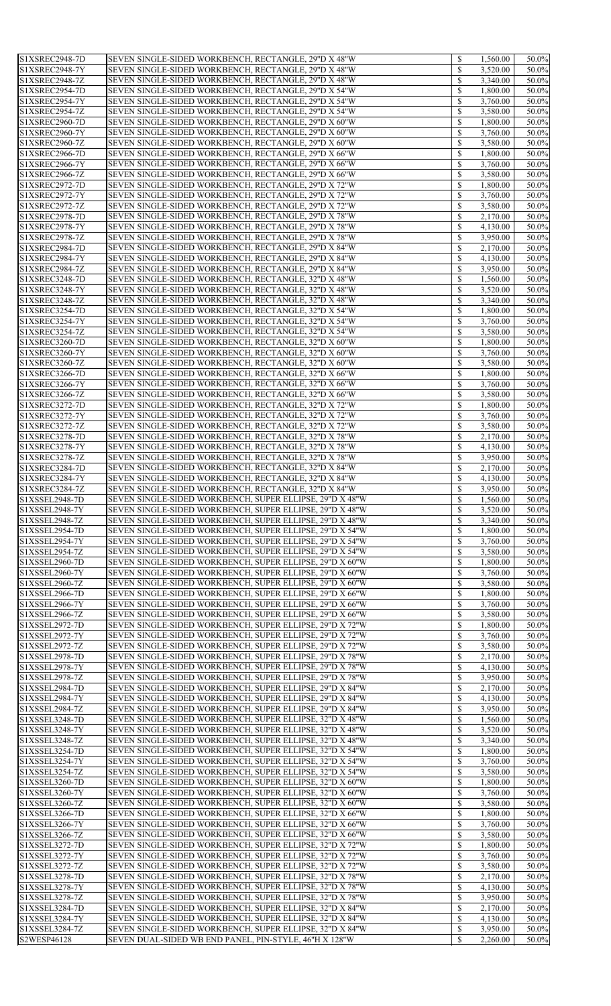| S1XSREC2948-7D                |                                                                                                                    | $\mathbb{S}$                 |                      |                |
|-------------------------------|--------------------------------------------------------------------------------------------------------------------|------------------------------|----------------------|----------------|
|                               | SEVEN SINGLE-SIDED WORKBENCH, RECTANGLE, 29"D X 48"W                                                               |                              | 1,560.00             | 50.0%          |
| S1XSREC2948-7Y                | SEVEN SINGLE-SIDED WORKBENCH, RECTANGLE, 29"D X 48"W                                                               | $\mathcal{S}$                | 3,520.00             | 50.0%          |
| S1XSREC2948-7Z                | SEVEN SINGLE-SIDED WORKBENCH, RECTANGLE, 29"D X 48"W                                                               | \$                           | 3,340.00             | 50.0%          |
| S1XSREC2954-7D                | SEVEN SINGLE-SIDED WORKBENCH, RECTANGLE, 29"D X 54"W                                                               | \$                           | 1,800.00             | 50.0%          |
|                               |                                                                                                                    |                              |                      |                |
| S1XSREC2954-7Y                | SEVEN SINGLE-SIDED WORKBENCH, RECTANGLE, 29"D X 54"W                                                               | $\mathcal{S}$                | 3,760.00             | 50.0%          |
| S1XSREC2954-7Z                | SEVEN SINGLE-SIDED WORKBENCH, RECTANGLE, 29"D X 54"W                                                               | $\mathcal{S}$                | 3,580.00             | 50.0%          |
| S1XSREC2960-7D                | SEVEN SINGLE-SIDED WORKBENCH, RECTANGLE, 29"D X 60"W                                                               | \$                           | 1,800.00             | 50.0%          |
| S1XSREC2960-7Y                | SEVEN SINGLE-SIDED WORKBENCH, RECTANGLE, 29"D X 60"W                                                               | $\mathcal{S}$                | 3,760.00             | 50.0%          |
|                               | SEVEN SINGLE-SIDED WORKBENCH, RECTANGLE, 29"D X 60"W                                                               |                              |                      |                |
| S1XSREC2960-7Z                |                                                                                                                    | $\mathcal{S}$                | 3,580.00             | 50.0%          |
| S1XSREC2966-7D                | SEVEN SINGLE-SIDED WORKBENCH, RECTANGLE, 29"D X 66"W                                                               | $\mathcal{S}$                | 1,800.00             | 50.0%          |
| S1XSREC2966-7Y                | SEVEN SINGLE-SIDED WORKBENCH, RECTANGLE, 29"D X 66"W                                                               | \$                           | 3,760.00             | 50.0%          |
| S1XSREC2966-7Z                | SEVEN SINGLE-SIDED WORKBENCH, RECTANGLE, 29"D X 66"W                                                               | $\mathcal{S}$                | 3,580.00             | 50.0%          |
| S1XSREC2972-7D                | SEVEN SINGLE-SIDED WORKBENCH, RECTANGLE, 29"D X 72"W                                                               | $\mathcal{S}$                | 1,800.00             | 50.0%          |
|                               |                                                                                                                    |                              |                      |                |
| S1XSREC2972-7Y                | SEVEN SINGLE-SIDED WORKBENCH, RECTANGLE, 29"D X 72"W                                                               | $\mathcal{S}$                | 3,760.00             | 50.0%          |
| S1XSREC2972-7Z                | SEVEN SINGLE-SIDED WORKBENCH, RECTANGLE, 29"D X 72"W                                                               | \$                           | 3,580.00             | 50.0%          |
| S1XSREC2978-7D                | SEVEN SINGLE-SIDED WORKBENCH, RECTANGLE, 29"D X 78"W                                                               | $\mathcal{S}$                | 2,170.00             | 50.0%          |
| S1XSREC2978-7Y                | SEVEN SINGLE-SIDED WORKBENCH, RECTANGLE, 29"D X 78"W                                                               | $\mathcal{S}$                | 4,130.00             | 50.0%          |
|                               |                                                                                                                    |                              |                      |                |
| S1XSREC2978-7Z                | SEVEN SINGLE-SIDED WORKBENCH, RECTANGLE, 29"D X 78"W                                                               | $\mathcal{S}$                | 3,950.00             | 50.0%          |
| S1XSREC2984-7D                | SEVEN SINGLE-SIDED WORKBENCH, RECTANGLE, 29"D X 84"W                                                               | \$                           | 2,170.00             | 50.0%          |
| S1XSREC2984-7Y                | SEVEN SINGLE-SIDED WORKBENCH, RECTANGLE, 29"D X 84"W                                                               | $\boldsymbol{\mathsf{S}}$    | 4,130.00             | 50.0%          |
| S1XSREC2984-7Z                | SEVEN SINGLE-SIDED WORKBENCH, RECTANGLE, 29"D X 84"W                                                               | $\mathcal{S}$                | 3,950.00             | 50.0%          |
|                               |                                                                                                                    |                              |                      |                |
| S1XSREC3248-7D                | SEVEN SINGLE-SIDED WORKBENCH, RECTANGLE, 32"D X 48"W                                                               | $\boldsymbol{\mathsf{S}}$    | 1,560.00             | 50.0%          |
| S1XSREC3248-7Y                | SEVEN SINGLE-SIDED WORKBENCH, RECTANGLE, 32"D X 48"W                                                               | \$                           | 3,520.00             | 50.0%          |
| S1XSREC3248-7Z                | SEVEN SINGLE-SIDED WORKBENCH, RECTANGLE, 32"D X 48"W                                                               | $\mathbb{S}$                 | 3,340.00             | 50.0%          |
| S1XSREC3254-7D                | SEVEN SINGLE-SIDED WORKBENCH, RECTANGLE, 32"D X 54"W                                                               | \$                           | 1,800.00             | 50.0%          |
|                               |                                                                                                                    |                              |                      |                |
| S1XSREC3254-7Y                | SEVEN SINGLE-SIDED WORKBENCH, RECTANGLE, 32"D X 54"W                                                               | $\boldsymbol{\mathsf{S}}$    | 3,760.00             | 50.0%          |
| S1XSREC3254-7Z                | SEVEN SINGLE-SIDED WORKBENCH, RECTANGLE, 32"D X 54"W                                                               | \$                           | 3,580.00             | 50.0%          |
| S1XSREC3260-7D                | SEVEN SINGLE-SIDED WORKBENCH, RECTANGLE, 32"D X 60"W                                                               | $\mathcal{S}$                | 1,800.00             | 50.0%          |
| S1XSREC3260-7Y                | SEVEN SINGLE-SIDED WORKBENCH, RECTANGLE, 32"D X 60"W                                                               | \$                           | 3,760.00             | 50.0%          |
|                               |                                                                                                                    |                              |                      |                |
| S1XSREC3260-7Z                | SEVEN SINGLE-SIDED WORKBENCH, RECTANGLE, 32"D X 60"W                                                               |                              | 3,580.00             | 50.0%          |
| S1XSREC3266-7D                | SEVEN SINGLE-SIDED WORKBENCH, RECTANGLE, 32"D X 66"W                                                               | $\mathbb{S}$                 | 1,800.00             | 50.0%          |
| S1XSREC3266-7Y                | SEVEN SINGLE-SIDED WORKBENCH, RECTANGLE, 32"D X 66"W                                                               | $\mathbb{S}$                 | 3,760.00             | 50.0%          |
| S1XSREC3266-7Z                | SEVEN SINGLE-SIDED WORKBENCH, RECTANGLE, 32"D X 66"W                                                               | \$                           | 3,580.00             | 50.0%          |
|                               |                                                                                                                    |                              |                      |                |
| S1XSREC3272-7D                | SEVEN SINGLE-SIDED WORKBENCH, RECTANGLE, 32"D X 72"W                                                               | \$                           | 1,800.00             | 50.0%          |
| S1XSREC3272-7Y                | SEVEN SINGLE-SIDED WORKBENCH, RECTANGLE, 32"D X 72"W                                                               | $\mathcal{S}$                | 3,760.00             | 50.0%          |
| S1XSREC3272-7Z                | SEVEN SINGLE-SIDED WORKBENCH, RECTANGLE, 32"D X 72"W                                                               | $\mathcal{S}$                | 3,580.00             | 50.0%          |
| S1XSREC3278-7D                | SEVEN SINGLE-SIDED WORKBENCH, RECTANGLE, 32"D X 78"W                                                               | \$                           | 2,170.00             | 50.0%          |
|                               |                                                                                                                    |                              |                      |                |
| S1XSREC3278-7Y                | SEVEN SINGLE-SIDED WORKBENCH, RECTANGLE, 32"D X 78"W                                                               | $\mathcal{S}$                | 4,130.00             | 50.0%          |
| S1XSREC3278-7Z                | SEVEN SINGLE-SIDED WORKBENCH, RECTANGLE, 32"D X 78"W                                                               | $\mathcal{S}$                | 3,950.00             | 50.0%          |
| S1XSREC3284-7D                | SEVEN SINGLE-SIDED WORKBENCH, RECTANGLE, 32"D X 84"W                                                               | $\mathcal{S}$                | 2,170.00             | 50.0%          |
| S1XSREC3284-7Y                | SEVEN SINGLE-SIDED WORKBENCH, RECTANGLE, 32"D X 84"W                                                               | \$                           | 4,130.00             | 50.0%          |
|                               |                                                                                                                    |                              |                      |                |
| S1XSREC3284-7Z                | SEVEN SINGLE-SIDED WORKBENCH, RECTANGLE, 32"D X 84"W                                                               | $\mathbb{S}$                 | 3,950.00             | 50.0%          |
| S1XSSEL2948-7D                | SEVEN SINGLE-SIDED WORKBENCH, SUPER ELLIPSE, 29"D X 48"W                                                           | $\mathcal{S}$                | 1,560.00             | 50.0%          |
| S1XSSEL2948-7Y                | SEVEN SINGLE-SIDED WORKBENCH, SUPER ELLIPSE, 29"D X 48"W                                                           | $\mathcal{S}$                | 3,520.00             | 50.0%          |
| S1XSSEL2948-7Z                | SEVEN SINGLE-SIDED WORKBENCH, SUPER ELLIPSE, 29"D X 48"W                                                           | \$                           | 3,340.00             | 50.0%          |
| S1XSSEL2954-7D                |                                                                                                                    | $\mathcal{S}$                |                      |                |
|                               | SEVEN SINGLE-SIDED WORKBENCH, SUPER ELLIPSE, 29"D X 54"W                                                           |                              | 1,800.00             | 50.0%          |
| S1XSSEL2954-7Y                | SEVEN SINGLE-SIDED WORKBENCH, SUPER ELLIPSE, 29"D X 54"W                                                           | $\mathcal{S}$                | 3,760.00             | 50.0%          |
| S1XSSEL2954-7Z                | SEVEN SINGLE-SIDED WORKBENCH, SUPER ELLIPSE, 29"D X 54"W                                                           | $\mathcal{S}$                | 3,580.00             | 50.0%          |
| S1XSSEL2960-7D                | SEVEN SINGLE-SIDED WORKBENCH, SUPER ELLIPSE, 29"D X 60"W                                                           | $\mathcal{S}$                | 1,800.00             | 50.0%          |
| S1XSSEL2960-7Y                | SEVEN SINGLE-SIDED WORKBENCH, SUPER ELLIPSE, 29"D X 60"W                                                           | $\mathcal{S}$                | 3,760.00             | 50.0%          |
|                               |                                                                                                                    |                              |                      |                |
| S1XSSEL2960-7Z                | SEVEN SINGLE-SIDED WORKBENCH, SUPER ELLIPSE, 29"D X 60"W                                                           | $\mathcal{S}$                | 3,580.00             | 50.0%          |
| S1XSSEL2966-7D                | SEVEN SINGLE-SIDED WORKBENCH, SUPER ELLIPSE, 29"D X 66"W                                                           | $\mathcal{S}$                | 1,800.00             | 50.0%          |
| S1XSSEL2966-7Y                | SEVEN SINGLE-SIDED WORKBENCH, SUPER ELLIPSE, 29"D X 66"W                                                           | \$                           | 3,760.00             | 50.0%          |
| S1XSSEL2966-7Z                | SEVEN SINGLE-SIDED WORKBENCH, SUPER ELLIPSE, 29"D X 66"W                                                           | $\mathcal{S}$                | 3,580.00             | 50.0%          |
| S1XSSEL2972-7D                | SEVEN SINGLE-SIDED WORKBENCH, SUPER ELLIPSE, 29"D X 72"W                                                           | $\mathcal{S}$                | 1,800.00             | 50.0%          |
|                               |                                                                                                                    |                              |                      |                |
| S1XSSEL2972-7Y                | SEVEN SINGLE-SIDED WORKBENCH, SUPER ELLIPSE, 29"D X 72"W                                                           | $\mathcal{S}$                | 3,760.00             | 50.0%          |
| S1XSSEL2972-7Z                | SEVEN SINGLE-SIDED WORKBENCH, SUPER ELLIPSE, 29"D X 72"W                                                           | $\mathbb{S}$                 | 3,580.00             | 50.0%          |
| S1XSSEL2978-7D                | SEVEN SINGLE-SIDED WORKBENCH, SUPER ELLIPSE, 29"D X 78"W                                                           | $\mathcal{S}$                | 2,170.00             | 50.0%          |
| S1XSSEL2978-7Y                | SEVEN SINGLE-SIDED WORKBENCH, SUPER ELLIPSE, 29"D X 78"W                                                           | $\mathbb{S}$                 | 4,130.00             | 50.0%          |
|                               |                                                                                                                    |                              |                      |                |
| S1XSSEL2978-7Z                | SEVEN SINGLE-SIDED WORKBENCH, SUPER ELLIPSE, 29"D X 78"W                                                           |                              | 3,950.00             | 50.0%          |
| S1XSSEL2984-7D                | SEVEN SINGLE-SIDED WORKBENCH, SUPER ELLIPSE, 29"D X 84"W                                                           | $\mathbb{S}$                 | 2,170.00             | 50.0%          |
| $S1XSEL2984-7Y$               | SEVEN SINGLE-SIDED WORKBENCH, SUPER ELLIPSE, 29"D X 84"W                                                           | $\mathcal{S}$                | 4,130.00             | 50.0%          |
| S1XSSEL2984-7Z                | SEVEN SINGLE-SIDED WORKBENCH, SUPER ELLIPSE, 29"D X 84"W                                                           | $\mathbb{S}$                 | 3,950.00             | 50.0%          |
| $S1XSEL3248-7D$               | SEVEN SINGLE-SIDED WORKBENCH, SUPER ELLIPSE, 32"D X 48"W                                                           | $\mathcal{S}$                | 1,560.00             | 50.0%          |
|                               |                                                                                                                    |                              |                      |                |
| S1XSSEL3248-7Y                | SEVEN SINGLE-SIDED WORKBENCH, SUPER ELLIPSE, 32"D X 48"W                                                           | $\mathbb{S}$                 | 3,520.00             | 50.0%          |
| S1XSSEL3248-7Z                | SEVEN SINGLE-SIDED WORKBENCH, SUPER ELLIPSE, 32"D X 48"W                                                           | $\mathcal{S}$                | 3,340.00             | 50.0%          |
| S1XSSEL3254-7D                | SEVEN SINGLE-SIDED WORKBENCH, SUPER ELLIPSE, 32"D X 54"W                                                           | $\mathbb{S}$                 | 1,800.00             | 50.0%          |
| $S1XSEL3254-7Y$               | SEVEN SINGLE-SIDED WORKBENCH, SUPER ELLIPSE, 32"D X 54"W                                                           | $\mathcal{S}$                | 3,760.00             | 50.0%          |
| S1XSSEL3254-7Z                | SEVEN SINGLE-SIDED WORKBENCH, SUPER ELLIPSE, 32"D X 54"W                                                           | $\mathbb{S}$                 | 3,580.00             | 50.0%          |
|                               |                                                                                                                    |                              |                      |                |
| S1XSSEL3260-7D                | SEVEN SINGLE-SIDED WORKBENCH, SUPER ELLIPSE, 32"D X 60"W                                                           | $\mathcal{S}$                | 1,800.00             | 50.0%          |
| S1XSSEL3260-7Y                |                                                                                                                    |                              |                      | 50.0%          |
| $S1XSEL3260-7Z$               | SEVEN SINGLE-SIDED WORKBENCH, SUPER ELLIPSE, 32"D X 60"W                                                           | $\mathbb{S}$                 | 3,760.00             |                |
| S1XSSEL3266-7D                | SEVEN SINGLE-SIDED WORKBENCH, SUPER ELLIPSE, 32"D X 60"W                                                           | $\mathbb{S}$                 | 3,580.00             | 50.0%          |
|                               |                                                                                                                    | $\mathbb{S}$                 |                      |                |
|                               | SEVEN SINGLE-SIDED WORKBENCH, SUPER ELLIPSE, 32"D X 66"W                                                           |                              | 1,800.00             | 50.0%          |
| S1XSSEL3266-7Y                | SEVEN SINGLE-SIDED WORKBENCH, SUPER ELLIPSE, 32"D X 66"W                                                           | $\mathcal{S}$                | 3,760.00             | 50.0%          |
| S1XSSEL3266-7Z                | SEVEN SINGLE-SIDED WORKBENCH, SUPER ELLIPSE, 32"D X 66"W                                                           | $\mathbb{S}$                 | 3,580.00             | 50.0%          |
| S1XSSEL3272-7D                | SEVEN SINGLE-SIDED WORKBENCH, SUPER ELLIPSE, 32"D X 72"W                                                           | $\mathcal{S}$                | 1,800.00             | 50.0%          |
| S1XSSEL3272-7Y                | SEVEN SINGLE-SIDED WORKBENCH, SUPER ELLIPSE, 32"D X 72"W                                                           | $\mathbb{S}$                 | 3,760.00             | 50.0%          |
|                               |                                                                                                                    |                              |                      |                |
| S1XSSEL3272-7Z                | SEVEN SINGLE-SIDED WORKBENCH, SUPER ELLIPSE, 32"D X 72"W                                                           | $\mathcal{S}$                | 3,580.00             | 50.0%          |
| S1XSSEL3278-7D                | SEVEN SINGLE-SIDED WORKBENCH, SUPER ELLIPSE, 32"D X 78"W                                                           | $\mathbb{S}$                 | 2,170.00             | 50.0%          |
| $S1XSEL3278-7Y$               | SEVEN SINGLE-SIDED WORKBENCH, SUPER ELLIPSE, 32"D X 78"W                                                           | $\mathcal{S}$                | 4,130.00             | 50.0%          |
| S1XSSEL3278-7Z                | SEVEN SINGLE-SIDED WORKBENCH, SUPER ELLIPSE, 32"D X 78"W                                                           | $\mathbb{S}$                 | 3,950.00             | 50.0%          |
| S1XSSEL3284-7D                | SEVEN SINGLE-SIDED WORKBENCH, SUPER ELLIPSE, 32"D X 84"W                                                           | $\mathbb{S}$                 | 2,170.00             | 50.0%          |
|                               |                                                                                                                    |                              |                      |                |
| S1XSSEL3284-7Y                | SEVEN SINGLE-SIDED WORKBENCH, SUPER ELLIPSE, 32"D X 84"W                                                           | $\mathbb{S}$                 | 4,130.00             | 50.0%          |
| S1XSSEL3284-7Z<br>S2WESP46128 | SEVEN SINGLE-SIDED WORKBENCH, SUPER ELLIPSE, 32"D X 84"W<br>SEVEN DUAL-SIDED WB END PANEL, PIN-STYLE, 46"H X 128"W | $\mathbb{S}$<br>$\mathbb{S}$ | 3,950.00<br>2,260.00 | 50.0%<br>50.0% |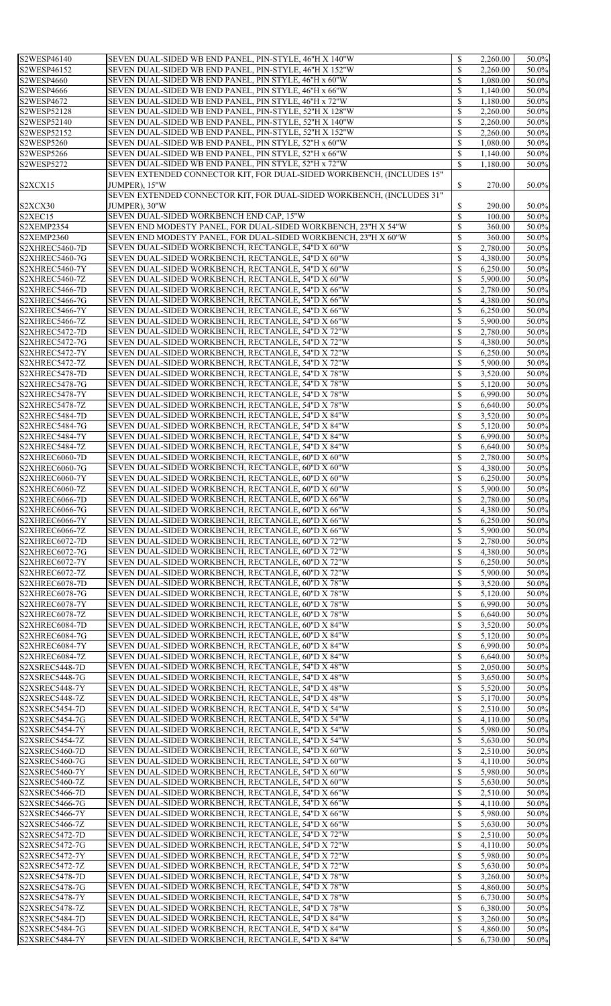| S2WESP46140                      | SEVEN DUAL-SIDED WB END PANEL, PIN-STYLE, 46"H X 140"W                                                   | $\mathbb{S}$                 | 2,260.00             | 50.0%          |
|----------------------------------|----------------------------------------------------------------------------------------------------------|------------------------------|----------------------|----------------|
| S2WESP46152                      | SEVEN DUAL-SIDED WB END PANEL, PIN-STYLE, 46"H X 152"W                                                   | \$                           | 2,260.00             | 50.0%          |
| S2WESP4660                       |                                                                                                          |                              |                      |                |
|                                  | SEVEN DUAL-SIDED WB END PANEL, PIN STYLE, 46"H x 60"W                                                    | \$                           | 1,080.00             | 50.0%          |
| S2WESP4666                       | SEVEN DUAL-SIDED WB END PANEL, PIN STYLE, 46"H x 66"W                                                    | \$                           | 1,140.00             | 50.0%          |
|                                  |                                                                                                          |                              |                      |                |
| S2WESP4672                       | SEVEN DUAL-SIDED WB END PANEL, PIN STYLE, 46"H x 72"W                                                    | \$                           | 1,180.00             | 50.0%          |
| S2WESP52128                      | SEVEN DUAL-SIDED WB END PANEL, PIN-STYLE, 52"H X 128"W                                                   | \$                           | 2,260.00             | 50.0%          |
| S2WESP52140                      | SEVEN DUAL-SIDED WB END PANEL, PIN-STYLE, 52"H X 140"W                                                   | \$                           | 2,260.00             | 50.0%          |
|                                  |                                                                                                          |                              |                      |                |
| S2WESP52152                      | SEVEN DUAL-SIDED WB END PANEL, PIN-STYLE, 52"H X 152"W                                                   | $\mathcal{S}$                | 2,260.00             | 50.0%          |
| <b>S2WESP5260</b>                | SEVEN DUAL-SIDED WB END PANEL, PIN STYLE, 52"H x 60"W                                                    | $\mathbb{S}$                 | 1,080.00             | 50.0%          |
|                                  |                                                                                                          |                              |                      |                |
| S2WESP5266                       | SEVEN DUAL-SIDED WB END PANEL, PIN STYLE, 52"H x 66"W                                                    | $\mathbb{S}$                 | 1,140.00             | 50.0%          |
| <b>S2WESP5272</b>                | SEVEN DUAL-SIDED WB END PANEL, PIN STYLE, 52"H x 72"W                                                    | $\mathbb{S}$                 | 1,180.00             | 50.0%          |
|                                  |                                                                                                          |                              |                      |                |
|                                  | SEVEN EXTENDED CONNECTOR KIT, FOR DUAL-SIDED WORKBENCH, (INCLUDES 15"                                    |                              |                      |                |
| S2XCX15                          | JUMPER), 15"W                                                                                            | \$                           | 270.00               | 50.0%          |
|                                  |                                                                                                          |                              |                      |                |
|                                  | SEVEN EXTENDED CONNECTOR KIT, FOR DUAL-SIDED WORKBENCH, (INCLUDES 31"                                    |                              |                      |                |
| S2XCX30                          | JUMPER), 30"W                                                                                            | \$                           | 290.00               | 50.0%          |
| S2XEC15                          | SEVEN DUAL-SIDED WORKBENCH END CAP, 15"W                                                                 | $\mathbb{S}$                 | 100.00               | 50.0%          |
|                                  |                                                                                                          |                              |                      |                |
| S2XEMP2354                       | SEVEN END MODESTY PANEL, FOR DUAL-SIDED WORKBENCH, 23"H X 54"W                                           | \$                           | 360.00               | 50.0%          |
| S2XEMP2360                       | SEVEN END MODESTY PANEL, FOR DUAL-SIDED WORKBENCH, 23"H X 60"W                                           | \$                           | 360.00               | 50.0%          |
|                                  |                                                                                                          |                              |                      |                |
| S2XHREC5460-7D                   | SEVEN DUAL-SIDED WORKBENCH, RECTANGLE, 54"D X 60"W                                                       | \$                           | 2,780.00             | 50.0%          |
| <b>S2XHREC5460-7G</b>            | SEVEN DUAL-SIDED WORKBENCH, RECTANGLE, 54"D X 60"W                                                       | $\mathcal{S}$                | 4,380.00             | 50.0%          |
|                                  |                                                                                                          |                              |                      |                |
| S2XHREC5460-7Y                   | SEVEN DUAL-SIDED WORKBENCH, RECTANGLE, 54"D X 60"W                                                       | \$                           | 6,250.00             | 50.0%          |
| <b>S2XHREC5460-7Z</b>            | SEVEN DUAL-SIDED WORKBENCH, RECTANGLE, 54"D X 60"W                                                       | \$                           | 5,900.00             | 50.0%          |
| S2XHREC5466-7D                   |                                                                                                          | \$                           |                      | 50.0%          |
|                                  | SEVEN DUAL-SIDED WORKBENCH, RECTANGLE, 54"D X 66"W                                                       |                              | 2,780.00             |                |
| <b>S2XHREC5466-7G</b>            | SEVEN DUAL-SIDED WORKBENCH, RECTANGLE, 54"D X 66"W                                                       | $\mathcal{S}$                | 4,380.00             | 50.0%          |
| S2XHREC5466-7Y                   | SEVEN DUAL-SIDED WORKBENCH, RECTANGLE, 54"D X 66"W                                                       | $\mathbb{S}$                 | 6,250.00             | 50.0%          |
|                                  |                                                                                                          |                              |                      |                |
| <b>S2XHREC5466-7Z</b>            | SEVEN DUAL-SIDED WORKBENCH, RECTANGLE, 54"D X 66"W                                                       | $\mathcal{S}$                | 5,900.00             | 50.0%          |
| S2XHREC5472-7D                   | SEVEN DUAL-SIDED WORKBENCH, RECTANGLE, 54"D X 72"W                                                       | \$                           | 2,780.00             | 50.0%          |
|                                  |                                                                                                          |                              |                      |                |
| <b>S2XHREC5472-7G</b>            | SEVEN DUAL-SIDED WORKBENCH, RECTANGLE, 54"D X 72"W                                                       | $\mathcal{S}$                | 4,380.00             | 50.0%          |
| S2XHREC5472-7Y                   | SEVEN DUAL-SIDED WORKBENCH, RECTANGLE, 54"D X 72"W                                                       | \$                           | 6,250.00             | 50.0%          |
|                                  |                                                                                                          |                              |                      |                |
| S2XHREC5472-7Z                   | SEVEN DUAL-SIDED WORKBENCH, RECTANGLE, 54"D X 72"W                                                       |                              | 5,900.00             | 50.0%          |
| S2XHREC5478-7D                   | SEVEN DUAL-SIDED WORKBENCH, RECTANGLE, 54"D X 78"W                                                       | $\mathbb{S}$                 | 3,520.00             | 50.0%          |
|                                  |                                                                                                          |                              |                      |                |
| <b>S2XHREC5478-7G</b>            | SEVEN DUAL-SIDED WORKBENCH, RECTANGLE, 54"D X 78"W                                                       | \$                           | 5,120.00             | 50.0%          |
| S2XHREC5478-7Y                   | SEVEN DUAL-SIDED WORKBENCH, RECTANGLE, 54"D X 78"W                                                       | \$                           | 6,990.00             | 50.0%          |
|                                  |                                                                                                          |                              |                      |                |
| <b>S2XHREC5478-7Z</b>            | SEVEN DUAL-SIDED WORKBENCH, RECTANGLE, 54"D X 78"W                                                       | \$                           | 6,640.00             | 50.0%          |
| S2XHREC5484-7D                   | SEVEN DUAL-SIDED WORKBENCH, RECTANGLE, 54"D X 84"W                                                       | $\mathbb{S}$                 | 3,520.00             | 50.0%          |
| <b>S2XHREC5484-7G</b>            | SEVEN DUAL-SIDED WORKBENCH, RECTANGLE, 54"D X 84"W                                                       | \$                           | 5,120.00             | 50.0%          |
|                                  |                                                                                                          |                              |                      |                |
| S2XHREC5484-7Y                   | SEVEN DUAL-SIDED WORKBENCH, RECTANGLE, 54"D X 84"W                                                       | $\mathbb{S}$                 | 6,990.00             | 50.0%          |
| <b>S2XHREC5484-7Z</b>            | SEVEN DUAL-SIDED WORKBENCH, RECTANGLE, 54"D X 84"W                                                       | \$                           | 6,640.00             | 50.0%          |
|                                  |                                                                                                          |                              |                      |                |
| <b>S2XHREC6060-7D</b>            | SEVEN DUAL-SIDED WORKBENCH, RECTANGLE, 60"D X 60"W                                                       | $\mathbb{S}$                 | 2,780.00             | 50.0%          |
| <b>S2XHREC6060-7G</b>            | SEVEN DUAL-SIDED WORKBENCH, RECTANGLE, 60"D X 60"W                                                       | \$                           | 4,380.00             | 50.0%          |
|                                  |                                                                                                          |                              |                      |                |
| S2XHREC6060-7Y                   | SEVEN DUAL-SIDED WORKBENCH, RECTANGLE, 60"D X 60"W                                                       | \$                           | 6,250.00             | 50.0%          |
| <b>S2XHREC6060-7Z</b>            | SEVEN DUAL-SIDED WORKBENCH, RECTANGLE, 60"D X 60"W                                                       | \$                           | 5,900.00             | 50.0%          |
| S2XHREC6066-7D                   | SEVEN DUAL-SIDED WORKBENCH, RECTANGLE, 60"D X 66"W                                                       | \$                           |                      | 50.0%          |
|                                  |                                                                                                          |                              | 2,780.00             |                |
| <b>S2XHREC6066-7G</b>            | SEVEN DUAL-SIDED WORKBENCH, RECTANGLE, 60"D X 66"W                                                       | $\mathbb{S}$                 | 4,380.00             | 50.0%          |
| S2XHREC6066-7Y                   | SEVEN DUAL-SIDED WORKBENCH, RECTANGLE, 60"D X 66"W                                                       | $\mathbb{S}$                 | 6,250.00             | 50.0%          |
|                                  |                                                                                                          |                              |                      |                |
| <b>S2XHREC6066-7Z</b>            | SEVEN DUAL-SIDED WORKBENCH, RECTANGLE, 60"D X 66"W                                                       | \$                           | 5,900.00             | 50.0%          |
| <b>S2XHREC6072-7D</b>            | SEVEN DUAL-SIDED WORKBENCH, RECTANGLE, 60"D X 72"W                                                       | $\mathbb{S}$                 | 2,780.00             | 50.0%          |
|                                  |                                                                                                          |                              |                      |                |
| <b>S2XHREC6072-7G</b>            | SEVEN DUAL-SIDED WORKBENCH, RECTANGLE, 60"D X 72"W                                                       | \$                           | 4,380.00             | 50.0%          |
| S2XHREC6072-7Y                   | SEVEN DUAL-SIDED WORKBENCH, RECTANGLE, 60"D X 72"W                                                       | $\mathbb{S}$                 | 6,250.00             | 50.0%          |
| <b>S2XHREC6072-7Z</b>            |                                                                                                          | \$                           |                      |                |
|                                  | SEVEN DUAL-SIDED WORKBENCH, RECTANGLE, 60"D X 72"W                                                       |                              | 5,900.00             | 50.0%          |
| S2XHREC6078-7D                   | SEVEN DUAL-SIDED WORKBENCH, RECTANGLE, 60"D X 78"W                                                       | $\mathbb{S}$                 | 3,520.00             | 50.0%          |
| <b>S2XHREC6078-7G</b>            | SEVEN DUAL-SIDED WORKBENCH, RECTANGLE, 60"D X 78"W                                                       | \$                           | 5,120.00             | 50.0%          |
|                                  |                                                                                                          |                              |                      |                |
| S2XHREC6078-7Y                   | SEVEN DUAL-SIDED WORKBENCH, RECTANGLE, 60"D X 78"W                                                       | $\mathbb{S}$                 | 6,990.00             | 50.0%          |
| <b>S2XHREC6078-7Z</b>            | SEVEN DUAL-SIDED WORKBENCH, RECTANGLE, 60"D X 78"W                                                       | \$                           | 6,640.00             | 50.0%          |
|                                  |                                                                                                          |                              |                      |                |
| S2XHREC6084-7D                   | SEVEN DUAL-SIDED WORKBENCH, RECTANGLE, 60"D X 84"W                                                       | $\mathbb{S}$                 | 3,520.00             | 50.0%          |
| S2XHREC6084-7G                   | SEVEN DUAL-SIDED WORKBENCH, RECTANGLE, 60"D X 84"W                                                       | \$                           | 5,120.00             | 50.0%          |
|                                  |                                                                                                          |                              |                      |                |
| S2XHREC6084-7Y                   | SEVEN DUAL-SIDED WORKBENCH, RECTANGLE, 60"D X 84"W                                                       | \$                           | 6,990.00             | 50.0%          |
| S2XHREC6084-7Z                   | SEVEN DUAL-SIDED WORKBENCH, RECTANGLE, 60"D X 84"W                                                       | $\mathbb{S}$                 | 6,640.00             | 50.0%          |
| S2XSREC5448-7D                   | SEVEN DUAL-SIDED WORKBENCH, RECTANGLE, 54"D X 48"W                                                       | $\boldsymbol{\mathsf{S}}$    | 2,050.00             | 50.0%          |
|                                  |                                                                                                          |                              |                      |                |
| S2XSREC5448-7G                   | SEVEN DUAL-SIDED WORKBENCH, RECTANGLE, 54"D X 48"W                                                       |                              | 3,650.00             | 50.0%          |
| S2XSREC5448-7Y                   | SEVEN DUAL-SIDED WORKBENCH, RECTANGLE, 54"D X 48"W                                                       | $\mathbb{S}$                 | 5,520.00             | 50.0%          |
|                                  |                                                                                                          |                              |                      |                |
| S2XSREC5448-7Z                   | SEVEN DUAL-SIDED WORKBENCH, RECTANGLE, 54"D X 48"W                                                       | \$                           | 5,170.00             | 50.0%          |
| S2XSREC5454-7D                   | SEVEN DUAL-SIDED WORKBENCH, RECTANGLE, 54"D X 54"W                                                       | $\mathbb{S}$                 | 2,510.00             | 50.0%          |
| S2XSREC5454-7G                   | SEVEN DUAL-SIDED WORKBENCH, RECTANGLE, 54"D X 54"W                                                       | \$                           | 4,110.00             | 50.0%          |
|                                  |                                                                                                          |                              |                      |                |
| S2XSREC5454-7Y                   | SEVEN DUAL-SIDED WORKBENCH, RECTANGLE, 54"D X 54"W                                                       | $\mathbb{S}$                 | 5,980.00             | 50.0%          |
| S2XSREC5454-7Z                   | SEVEN DUAL-SIDED WORKBENCH, RECTANGLE, 54"D X 54"W                                                       | \$                           | 5,630.00             | 50.0%          |
|                                  |                                                                                                          |                              |                      |                |
| <b>S2XSREC5460-7D</b>            | SEVEN DUAL-SIDED WORKBENCH, RECTANGLE, 54"D X 60"W                                                       | $\mathbb{S}$                 | 2,510.00             | 50.0%          |
| S2XSREC5460-7G                   | SEVEN DUAL-SIDED WORKBENCH, RECTANGLE, 54"D X 60"W                                                       | \$                           | 4,110.00             | 50.0%          |
|                                  |                                                                                                          |                              |                      |                |
| S2XSREC5460-7Y                   | SEVEN DUAL-SIDED WORKBENCH, RECTANGLE, 54"D X 60"W                                                       | $\mathbb{S}$                 | 5,980.00             | 50.0%          |
| S2XSREC5460-7Z                   | SEVEN DUAL-SIDED WORKBENCH, RECTANGLE, 54"D X 60"W                                                       | \$                           | 5,630.00             | 50.0%          |
| S2XSREC5466-7D                   | SEVEN DUAL-SIDED WORKBENCH, RECTANGLE, 54"D X 66"W                                                       | $\mathbb{S}$                 |                      | 50.0%          |
|                                  |                                                                                                          |                              | 2,510.00             |                |
| S2XSREC5466-7G                   | SEVEN DUAL-SIDED WORKBENCH, RECTANGLE, 54"D X 66"W                                                       | $\mathbb{S}$                 | 4,110.00             | 50.0%          |
| S2XSREC5466-7Y                   | SEVEN DUAL-SIDED WORKBENCH, RECTANGLE, 54"D X 66"W                                                       | \$                           | 5,980.00             | 50.0%          |
|                                  |                                                                                                          |                              |                      |                |
| S2XSREC5466-7Z                   | SEVEN DUAL-SIDED WORKBENCH, RECTANGLE, 54"D X 66"W                                                       | $\mathbb{S}$                 | 5,630.00             | 50.0%          |
| S2XSREC5472-7D                   | SEVEN DUAL-SIDED WORKBENCH, RECTANGLE, 54"D X 72"W                                                       | $\mathbb{S}$                 | 2,510.00             | 50.0%          |
|                                  |                                                                                                          |                              |                      |                |
| S2XSREC5472-7G                   | SEVEN DUAL-SIDED WORKBENCH, RECTANGLE, 54"D X 72"W                                                       | $\mathbb{S}$                 | 4,110.00             | 50.0%          |
| S2XSREC5472-7Y                   | SEVEN DUAL-SIDED WORKBENCH, RECTANGLE, 54"D X 72"W                                                       | $\mathbb{S}$                 | 5,980.00             | 50.0%          |
|                                  |                                                                                                          |                              |                      |                |
| S2XSREC5472-7Z                   | SEVEN DUAL-SIDED WORKBENCH, RECTANGLE, 54"D X 72"W                                                       | \$                           | 5,630.00             | 50.0%          |
| S2XSREC5478-7D                   | SEVEN DUAL-SIDED WORKBENCH, RECTANGLE, 54"D X 78"W                                                       | $\mathbb{S}$                 | 3,260.00             | 50.0%          |
|                                  |                                                                                                          |                              |                      |                |
| S2XSREC5478-7G                   | SEVEN DUAL-SIDED WORKBENCH, RECTANGLE, 54"D X 78"W                                                       | \$                           | 4,860.00             | 50.0%          |
| S2XSREC5478-7Y                   | SEVEN DUAL-SIDED WORKBENCH, RECTANGLE, 54"D X 78"W                                                       | $\mathbb{S}$                 | 6,730.00             | 50.0%          |
| S2XSREC5478-7Z                   | SEVEN DUAL-SIDED WORKBENCH, RECTANGLE, 54"D X 78"W                                                       | \$                           | 6,380.00             | 50.0%          |
|                                  |                                                                                                          |                              |                      |                |
|                                  |                                                                                                          |                              |                      |                |
| S2XSREC5484-7D                   | SEVEN DUAL-SIDED WORKBENCH, RECTANGLE, 54"D X 84"W                                                       | $\mathbb{S}$                 | 3,260.00             | 50.0%          |
|                                  |                                                                                                          |                              |                      |                |
| S2XSREC5484-7G<br>S2XSREC5484-7Y | SEVEN DUAL-SIDED WORKBENCH, RECTANGLE, 54"D X 84"W<br>SEVEN DUAL-SIDED WORKBENCH, RECTANGLE, 54"D X 84"W | $\mathbb{S}$<br>$\mathbb{S}$ | 4,860.00<br>6,730.00 | 50.0%<br>50.0% |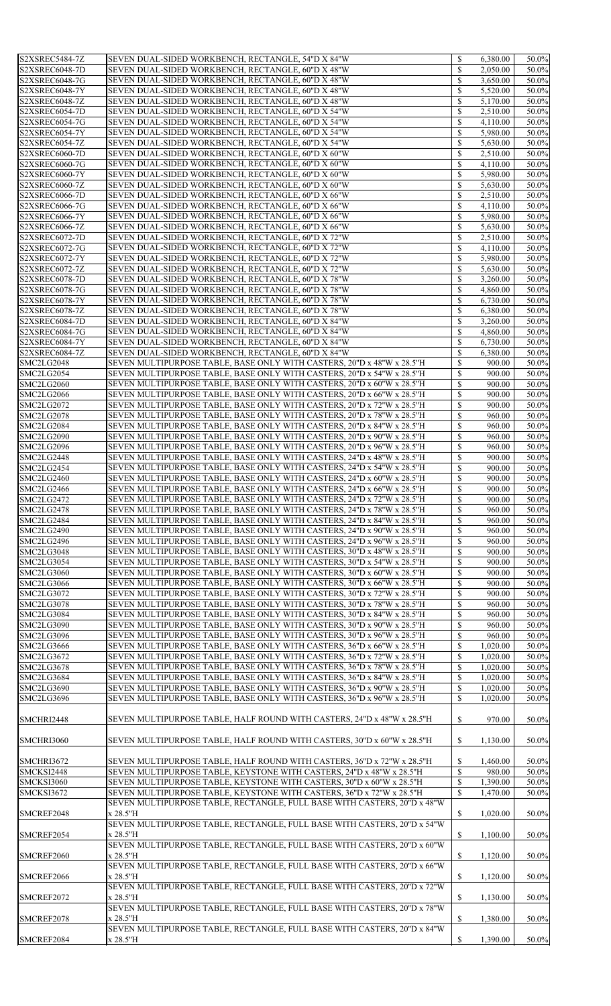| S2XSREC5484-7Z        | SEVEN DUAL-SIDED WORKBENCH, RECTANGLE, 54"D X 84"W                       | $\mathcal{S}$             | 6,380.00 | 50.0% |
|-----------------------|--------------------------------------------------------------------------|---------------------------|----------|-------|
| S2XSREC6048-7D        | SEVEN DUAL-SIDED WORKBENCH, RECTANGLE, 60"D X 48"W                       | $\mathcal{S}$             | 2,050.00 | 50.0% |
| S2XSREC6048-7G        | SEVEN DUAL-SIDED WORKBENCH, RECTANGLE, 60"D X 48"W                       | \$                        | 3,650.00 | 50.0% |
| S2XSREC6048-7Y        | SEVEN DUAL-SIDED WORKBENCH, RECTANGLE, 60"D X 48"W                       | $\boldsymbol{\mathsf{S}}$ | 5,520.00 | 50.0% |
|                       |                                                                          |                           |          |       |
| S2XSREC6048-7Z        | SEVEN DUAL-SIDED WORKBENCH, RECTANGLE, 60"D X 48"W                       | \$                        | 5,170.00 | 50.0% |
| S2XSREC6054-7D        | SEVEN DUAL-SIDED WORKBENCH, RECTANGLE, 60"D X 54"W                       | $\mathcal{S}$             | 2,510.00 | 50.0% |
| S2XSREC6054-7G        | SEVEN DUAL-SIDED WORKBENCH, RECTANGLE, 60"D X 54"W                       | \$                        | 4,110.00 | 50.0% |
|                       |                                                                          |                           |          |       |
| S2XSREC6054-7Y        | SEVEN DUAL-SIDED WORKBENCH, RECTANGLE, 60"D X 54"W                       | $\mathcal{S}$             | 5,980.00 | 50.0% |
| S2XSREC6054-7Z        | SEVEN DUAL-SIDED WORKBENCH, RECTANGLE, 60"D X 54"W                       | $\mathcal{S}$             | 5,630.00 | 50.0% |
| S2XSREC6060-7D        | SEVEN DUAL-SIDED WORKBENCH, RECTANGLE, 60"D X 60"W                       | $\mathcal{S}$             | 2,510.00 | 50.0% |
| S2XSREC6060-7G        | SEVEN DUAL-SIDED WORKBENCH, RECTANGLE, 60"D X 60"W                       | \$                        | 4,110.00 | 50.0% |
|                       |                                                                          |                           |          |       |
| S2XSREC6060-7Y        | SEVEN DUAL-SIDED WORKBENCH, RECTANGLE, 60"D X 60"W                       | $\boldsymbol{\mathsf{S}}$ | 5,980.00 | 50.0% |
| S2XSREC6060-7Z        | SEVEN DUAL-SIDED WORKBENCH, RECTANGLE, 60"D X 60"W                       | $\mathcal{S}$             | 5,630.00 | 50.0% |
| <b>S2XSREC6066-7D</b> | SEVEN DUAL-SIDED WORKBENCH, RECTANGLE, 60"D X 66"W                       | \$                        | 2,510.00 | 50.0% |
|                       |                                                                          |                           |          |       |
| S2XSREC6066-7G        | SEVEN DUAL-SIDED WORKBENCH, RECTANGLE, 60"D X 66"W                       | \$                        | 4,110.00 | 50.0% |
| S2XSREC6066-7Y        | SEVEN DUAL-SIDED WORKBENCH, RECTANGLE, 60"D X 66"W                       | $\mathcal{S}$             | 5,980.00 | 50.0% |
| S2XSREC6066-7Z        | SEVEN DUAL-SIDED WORKBENCH, RECTANGLE, 60"D X 66"W                       | $\mathcal{S}$             | 5,630.00 | 50.0% |
| S2XSREC6072-7D        | SEVEN DUAL-SIDED WORKBENCH, RECTANGLE, 60"D X 72"W                       | $\mathcal{S}$             | 2,510.00 | 50.0% |
|                       |                                                                          |                           |          |       |
| S2XSREC6072-7G        | SEVEN DUAL-SIDED WORKBENCH, RECTANGLE, 60"D X 72"W                       | \$                        | 4,110.00 | 50.0% |
| S2XSREC6072-7Y        | SEVEN DUAL-SIDED WORKBENCH, RECTANGLE, 60"D X 72"W                       | $\mathcal{S}$             | 5,980.00 | 50.0% |
| S2XSREC6072-7Z        | SEVEN DUAL-SIDED WORKBENCH, RECTANGLE, 60"D X 72"W                       | $\mathcal{S}$             | 5,630.00 | 50.0% |
|                       |                                                                          |                           |          |       |
| <b>S2XSREC6078-7D</b> | SEVEN DUAL-SIDED WORKBENCH, RECTANGLE, 60"D X 78"W                       | $\mathcal{S}$             | 3,260.00 | 50.0% |
| S2XSREC6078-7G        | SEVEN DUAL-SIDED WORKBENCH, RECTANGLE, 60"D X 78"W                       | \$                        | 4,860.00 | 50.0% |
| S2XSREC6078-7Y        | SEVEN DUAL-SIDED WORKBENCH, RECTANGLE, 60"D X 78"W                       | $\boldsymbol{\mathsf{S}}$ | 6,730.00 | 50.0% |
|                       |                                                                          |                           |          |       |
| S2XSREC6078-7Z        | SEVEN DUAL-SIDED WORKBENCH, RECTANGLE, 60"D X 78"W                       | $\mathcal{S}$             | 6,380.00 | 50.0% |
| S2XSREC6084-7D        | SEVEN DUAL-SIDED WORKBENCH, RECTANGLE, 60"D X 84"W                       | $\mathcal{S}$             | 3,260.00 | 50.0% |
| S2XSREC6084-7G        | SEVEN DUAL-SIDED WORKBENCH, RECTANGLE, 60"D X 84"W                       | \$                        | 4,860.00 | 50.0% |
| S2XSREC6084-7Y        | SEVEN DUAL-SIDED WORKBENCH, RECTANGLE, 60"D X 84"W                       | $\mathcal{S}$             | 6,730.00 | 50.0% |
|                       |                                                                          |                           |          |       |
| S2XSREC6084-7Z        | SEVEN DUAL-SIDED WORKBENCH, RECTANGLE, 60"D X 84"W                       | $\mathcal{S}$             | 6,380.00 | 50.0% |
| SMC2LG2048            | SEVEN MULTIPURPOSE TABLE, BASE ONLY WITH CASTERS, 20"D x 48"W x 28.5"H   |                           | 900.00   | 50.0% |
| SMC2LG2054            | SEVEN MULTIPURPOSE TABLE, BASE ONLY WITH CASTERS, 20"D x 54"W x 28.5"H   | $\mathbb{S}$              | 900.00   | 50.0% |
|                       |                                                                          |                           |          |       |
| SMC2LG2060            | SEVEN MULTIPURPOSE TABLE, BASE ONLY WITH CASTERS, 20"D x 60"W x 28.5"H   | $\mathbb{S}$              | 900.00   | 50.0% |
| SMC2LG2066            | SEVEN MULTIPURPOSE TABLE, BASE ONLY WITH CASTERS, 20"D x 66"W x 28.5"H   | \$                        | 900.00   | 50.0% |
| SMC2LG2072            | SEVEN MULTIPURPOSE TABLE, BASE ONLY WITH CASTERS, 20"D x 72"W x 28.5"H   | $\mathcal{S}$             | 900.00   | 50.0% |
| SMC2LG2078            | SEVEN MULTIPURPOSE TABLE, BASE ONLY WITH CASTERS, 20"D x 78"W x 28.5"H   | $\mathcal{S}$             | 960.00   | 50.0% |
|                       |                                                                          |                           |          |       |
| SMC2LG2084            | SEVEN MULTIPURPOSE TABLE, BASE ONLY WITH CASTERS, 20"D x 84"W x 28.5"H   | $\boldsymbol{\mathsf{S}}$ | 960.00   | 50.0% |
| SMC2LG2090            | SEVEN MULTIPURPOSE TABLE, BASE ONLY WITH CASTERS, 20"D x 90"W x 28.5"H   | \$                        | 960.00   | 50.0% |
| SMC2LG2096            | SEVEN MULTIPURPOSE TABLE, BASE ONLY WITH CASTERS, 20"D x 96"W x 28.5"H   | $\mathcal{S}$             | 960.00   | 50.0% |
|                       |                                                                          |                           |          |       |
| SMC2LG2448            | SEVEN MULTIPURPOSE TABLE, BASE ONLY WITH CASTERS, 24"D x 48"W x 28.5"H   | $\mathcal{S}$             | 900.00   | 50.0% |
| SMC2LG2454            | SEVEN MULTIPURPOSE TABLE, BASE ONLY WITH CASTERS, 24"D x 54"W x 28.5"H   | $\boldsymbol{\mathsf{S}}$ | 900.00   | 50.0% |
| SMC2LG2460            | SEVEN MULTIPURPOSE TABLE, BASE ONLY WITH CASTERS, 24"D x 60"W x 28.5"H   | \$                        | 900.00   | 50.0% |
|                       |                                                                          |                           |          |       |
| SMC2LG2466            | SEVEN MULTIPURPOSE TABLE, BASE ONLY WITH CASTERS, 24"D x 66"W x 28.5"H   | $\mathcal{S}$             | 900.00   | 50.0% |
| SMC2LG2472            | SEVEN MULTIPURPOSE TABLE, BASE ONLY WITH CASTERS, 24"D x 72"W x 28.5"H   | $\mathcal{S}$             | 900.00   | 50.0% |
| SMC2LG2478            | SEVEN MULTIPURPOSE TABLE, BASE ONLY WITH CASTERS, 24"D x 78"W x 28.5"H   | $\boldsymbol{\mathsf{S}}$ | 960.00   | 50.0% |
| SMC2LG2484            | SEVEN MULTIPURPOSE TABLE, BASE ONLY WITH CASTERS, 24"D x 84"W x 28.5"H   | \$                        | 960.00   | 50.0% |
|                       |                                                                          |                           |          |       |
| SMC2LG2490            | SEVEN MULTIPURPOSE TABLE, BASE ONLY WITH CASTERS, 24"D x 90"W x 28.5"H   | $\mathcal{S}$             | 960.00   | 50.0% |
| SMC2LG2496            | SEVEN MULTIPURPOSE TABLE, BASE ONLY WITH CASTERS, 24"D x 96"W x 28.5"H   | $\mathcal{S}$             | 960.00   | 50.0% |
| SMC2LG3048            | SEVEN MULTIPURPOSE TABLE, BASE ONLY WITH CASTERS, 30"D x 48"W x 28.5"H   | $\boldsymbol{\mathsf{S}}$ | 900.00   | 50.0% |
|                       |                                                                          |                           |          |       |
| SMC2LG3054            | SEVEN MULTIPURPOSE TABLE, BASE ONLY WITH CASTERS, 30"D x 54"W x 28.5"H   | \$                        | 900.00   | 50.0% |
| SMC2LG3060            | SEVEN MULTIPURPOSE TABLE, BASE ONLY WITH CASTERS, 30"D x 60"W x 28.5"H   | $\mathcal{S}$             | 900.00   | 50.0% |
| SMC2LG3066            | SEVEN MULTIPURPOSE TABLE, BASE ONLY WITH CASTERS, 30"D x 66"W x 28.5"H   | $\mathcal{S}$             | 900.00   | 50.0% |
|                       |                                                                          |                           |          |       |
| SMC2LG3072            | SEVEN MULTIPURPOSE TABLE, BASE ONLY WITH CASTERS, 30"D x 72"W x 28.5"H   | $\boldsymbol{\mathsf{S}}$ | 900.00   | 50.0% |
| SMC2LG3078            | SEVEN MULTIPURPOSE TABLE, BASE ONLY WITH CASTERS, 30"D x 78"W x 28.5"H   | \$                        | 960.00   | 50.0% |
| SMC2LG3084            | SEVEN MULTIPURPOSE TABLE, BASE ONLY WITH CASTERS, 30"D x 84"W x 28.5"H   | $\mathcal{S}$             | 960.00   | 50.0% |
| <b>SMC2LG3090</b>     | SEVEN MULTIPURPOSE TABLE, BASE ONLY WITH CASTERS, 30"D x 90"W x 28.5"H   |                           |          | 50.0% |
|                       |                                                                          | $\mathcal{S}$             | 960.00   |       |
| SMC2LG3096            | SEVEN MULTIPURPOSE TABLE, BASE ONLY WITH CASTERS, 30"D x 96"W x 28.5"H   | $\mathcal{S}$             | 960.00   | 50.0% |
| SMC2LG3666            | SEVEN MULTIPURPOSE TABLE, BASE ONLY WITH CASTERS, 36"D x 66"W x 28.5"H   | $\mathcal{S}$             | 1,020.00 | 50.0% |
| SMC2LG3672            | SEVEN MULTIPURPOSE TABLE, BASE ONLY WITH CASTERS, 36"D x 72"W x 28.5"H   | $\mathcal{S}$             | 1,020.00 | 50.0% |
|                       |                                                                          |                           |          |       |
| SMC2LG3678            | SEVEN MULTIPURPOSE TABLE, BASE ONLY WITH CASTERS, 36"D x 78"W x 28.5"H   | $\mathcal{S}$             | 1,020.00 | 50.0% |
| SMC2LG3684            | SEVEN MULTIPURPOSE TABLE, BASE ONLY WITH CASTERS, 36"D x 84"W x 28.5"H   |                           | 1,020.00 | 50.0% |
| SMC2LG3690            | SEVEN MULTIPURPOSE TABLE, BASE ONLY WITH CASTERS, 36"D x 90"W x 28.5"H   | $\mathbb{S}$              | 1,020.00 | 50.0% |
| SMC2LG3696            | SEVEN MULTIPURPOSE TABLE, BASE ONLY WITH CASTERS, 36"D x 96"W x 28.5"H   | $\boldsymbol{\mathsf{S}}$ | 1,020.00 | 50.0% |
|                       |                                                                          |                           |          |       |
| SMCHRI2448            | SEVEN MULTIPURPOSE TABLE, HALF ROUND WITH CASTERS, 24"D x 48"W x 28.5"H  | $\mathbb{S}$              | 970.00   | 50.0% |
| SMCHRI3060            | SEVEN MULTIPURPOSE TABLE, HALF ROUND WITH CASTERS, 30"D x 60"W x 28.5"H  | $\mathbb{S}$              | 1,130.00 | 50.0% |
|                       | SEVEN MULTIPURPOSE TABLE, HALF ROUND WITH CASTERS, 36"D x 72"W x 28.5"H  |                           |          | 50.0% |
| SMCHRI3672            |                                                                          | $\mathbb{S}$              | 1,460.00 |       |
| SMCKSI2448            | SEVEN MULTIPURPOSE TABLE, KEYSTONE WITH CASTERS, 24"D x 48"W x 28.5"H    | $\mathbb{S}$              | 980.00   | 50.0% |
| SMCKSI3060            | SEVEN MULTIPURPOSE TABLE, KEYSTONE WITH CASTERS, 30"D x 60"W x 28.5"H    | $\mathcal{S}$             | 1,390.00 | 50.0% |
| SMCKSI3672            | SEVEN MULTIPURPOSE TABLE, KEYSTONE WITH CASTERS, 36"D x 72"W x 28.5"H    | $\mathcal{S}$             | 1,470.00 | 50.0% |
|                       |                                                                          |                           |          |       |
|                       | SEVEN MULTIPURPOSE TABLE, RECTANGLE, FULL BASE WITH CASTERS, 20"D x 48"W |                           |          |       |
| SMCREF2048            | x 28.5"H                                                                 | $\mathcal{S}$             | 1,020.00 | 50.0% |
|                       | SEVEN MULTIPURPOSE TABLE, RECTANGLE, FULL BASE WITH CASTERS, 20"D x 54"W |                           |          |       |
| SMCREF2054            | x 28.5"H                                                                 | $\mathcal{S}$             | 1,100.00 | 50.0% |
|                       |                                                                          |                           |          |       |
|                       | SEVEN MULTIPURPOSE TABLE, RECTANGLE, FULL BASE WITH CASTERS, 20"D x 60"W |                           |          |       |
| SMCREF2060            | x 28.5"H                                                                 | $\mathcal{S}$             | 1,120.00 | 50.0% |
|                       | SEVEN MULTIPURPOSE TABLE, RECTANGLE, FULL BASE WITH CASTERS, 20"D x 66"W |                           |          |       |
| SMCREF2066            | x 28.5"H                                                                 |                           |          |       |
|                       |                                                                          | $\mathcal{S}$             | 1,120.00 | 50.0% |
|                       | SEVEN MULTIPURPOSE TABLE, RECTANGLE, FULL BASE WITH CASTERS, 20"D x 72"W |                           |          |       |
| SMCREF2072            | x 28.5"H                                                                 | $\mathcal{S}$             | 1,130.00 | 50.0% |
|                       | SEVEN MULTIPURPOSE TABLE, RECTANGLE, FULL BASE WITH CASTERS, 20"D x 78"W |                           |          |       |
|                       | x 28.5"H                                                                 |                           |          |       |
| SMCREF2078            |                                                                          | $\mathcal{S}$             | 1,380.00 | 50.0% |
|                       | SEVEN MULTIPURPOSE TABLE, RECTANGLE, FULL BASE WITH CASTERS, 20"D x 84"W |                           |          |       |
| SMCREF2084            | x 28.5"H                                                                 | $\mathbb{S}$              | 1,390.00 | 50.0% |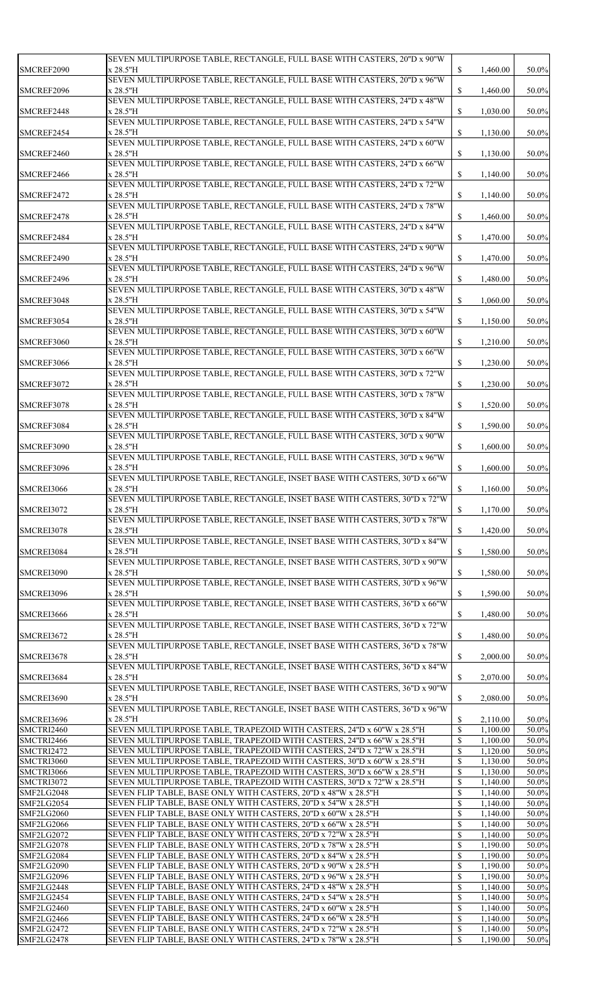| $\mathbb{S}$<br>1,460.00<br>50.0%<br>x 28.5"H<br>SEVEN MULTIPURPOSE TABLE, RECTANGLE, FULL BASE WITH CASTERS, 20"D x 96"W<br>50.0%<br>SMCREF2096<br>x 28.5"H<br>$\mathbb{S}$<br>1,460.00<br>SEVEN MULTIPURPOSE TABLE, RECTANGLE, FULL BASE WITH CASTERS, 24"D x 48"W<br>$\mathbb{S}$<br>1,030.00<br>50.0%<br>x 28.5"H<br>SEVEN MULTIPURPOSE TABLE, RECTANGLE, FULL BASE WITH CASTERS, 24"D x 54"W<br>$\mathbb{S}$<br>50.0%<br>SMCREF2454<br>x 28.5"H<br>1,130.00<br>SEVEN MULTIPURPOSE TABLE, RECTANGLE, FULL BASE WITH CASTERS, 24"D x 60"W<br>$\mathbb{S}$<br>x 28.5"H<br>1,130.00<br>50.0%<br>SEVEN MULTIPURPOSE TABLE, RECTANGLE, FULL BASE WITH CASTERS, 24"D x 66"W<br>\$<br>50.0%<br>SMCREF2466<br>x 28.5"H<br>1,140.00<br>SEVEN MULTIPURPOSE TABLE, RECTANGLE, FULL BASE WITH CASTERS, 24"D x 72"W<br>$\mathbb{S}$<br>x 28.5"H<br>1,140.00<br>50.0%<br>SEVEN MULTIPURPOSE TABLE, RECTANGLE, FULL BASE WITH CASTERS, 24"D x 78"W<br>50.0%<br>x 28.5"H<br>$\mathbb{S}$<br>1,460.00<br>SEVEN MULTIPURPOSE TABLE, RECTANGLE, FULL BASE WITH CASTERS, 24"D x 84"W<br>$\mathbb{S}$<br>SMCREF2484<br>x 28.5"H<br>1,470.00<br>50.0%<br>SEVEN MULTIPURPOSE TABLE, RECTANGLE, FULL BASE WITH CASTERS, 24"D x 90"W<br>\$<br>50.0%<br>x 28.5"H<br>1,470.00<br>SEVEN MULTIPURPOSE TABLE, RECTANGLE, FULL BASE WITH CASTERS, 24"D x 96"W<br>$\mathbb{S}$<br>50.0%<br>SMCREF2496<br>x 28.5"H<br>1,480.00<br>SEVEN MULTIPURPOSE TABLE, RECTANGLE, FULL BASE WITH CASTERS, 30"D x 48"W<br>$\mathbb{S}$<br>1,060.00<br>50.0%<br>x 28.5"H<br>SEVEN MULTIPURPOSE TABLE, RECTANGLE, FULL BASE WITH CASTERS, 30"D x 54"W<br>$\mathbb{S}$<br>x 28.5"H<br>1,150.00<br>50.0%<br>SEVEN MULTIPURPOSE TABLE, RECTANGLE, FULL BASE WITH CASTERS, 30"D x 60"W<br>$\mathbb{S}$<br>50.0%<br>SMCREF3060<br>x 28.5"H<br>1,210.00<br>SEVEN MULTIPURPOSE TABLE, RECTANGLE, FULL BASE WITH CASTERS, 30"D x 66"W<br>1,230.00<br>x 28.5"H<br>SEVEN MULTIPURPOSE TABLE, RECTANGLE, FULL BASE WITH CASTERS, 30"D x 72"W<br>SMCREF3072<br>$\mathbb{S}$<br>50.0%<br>x 28.5"H<br>1,230.00<br>SEVEN MULTIPURPOSE TABLE, RECTANGLE, FULL BASE WITH CASTERS, 30"D x 78"W<br>SMCREF3078<br>x 28.5"H<br>\$<br>1,520.00<br>50.0%<br>SEVEN MULTIPURPOSE TABLE, RECTANGLE, FULL BASE WITH CASTERS, 30"D x 84"W<br>$\mathbb{S}$<br>1,590.00<br>50.0%<br>x 28.5"H<br>SEVEN MULTIPURPOSE TABLE, RECTANGLE, FULL BASE WITH CASTERS, 30"D x 90"W<br>50.0%<br>SMCREF3090<br>x 28.5"H<br>$\mathbb{S}$<br>1,600.00<br>SEVEN MULTIPURPOSE TABLE, RECTANGLE, FULL BASE WITH CASTERS, 30"D x 96"W<br>$\mathbb{S}$<br>1,600.00<br>50.0%<br>x 28.5"H<br>SEVEN MULTIPURPOSE TABLE, RECTANGLE, INSET BASE WITH CASTERS, 30"D x 66"W<br>x 28.5"H<br>$\mathbb{S}$<br>1,160.00<br>50.0%<br>SEVEN MULTIPURPOSE TABLE, RECTANGLE, INSET BASE WITH CASTERS, 30"D x 72"W<br>$\mathbb{S}$<br>SMCREI3072<br>x 28.5"H<br>1,170.00<br>50.0%<br>SEVEN MULTIPURPOSE TABLE, RECTANGLE, INSET BASE WITH CASTERS, 30"D x 78"W<br>50.0%<br>x 28.5"H<br>$\mathbb{S}$<br>1,420.00<br>SEVEN MULTIPURPOSE TABLE, RECTANGLE, INSET BASE WITH CASTERS, 30"D x 84"W<br>$\mathbb{S}$<br>x 28.5"H<br>1,580.00<br>50.0%<br>SEVEN MULTIPURPOSE TABLE, RECTANGLE, INSET BASE WITH CASTERS, 30"D x 90"W<br>50.0%<br>SMCREI3090<br>x 28.5"H<br>\$<br>1,580.00<br>SEVEN MULTIPURPOSE TABLE, RECTANGLE, INSET BASE WITH CASTERS, 30"D x 96"W<br>$\mathbb{S}$<br>x 28.5"H<br>1,590.00<br>50.0%<br>SEVEN MULTIPURPOSE TABLE, RECTANGLE, INSET BASE WITH CASTERS, 36"D x 66"W<br>$\mathbb{S}$<br>50.0%<br>x 28.5"H<br>1,480.00<br>SEVEN MULTIPURPOSE TABLE, RECTANGLE, INSET BASE WITH CASTERS, 36"D x 72"W<br>$\mathbb{S}$<br>SMCREI3672<br>x 28.5"H<br>1,480.00<br>50.0%<br>SEVEN MULTIPURPOSE TABLE, RECTANGLE, INSET BASE WITH CASTERS, 36"D x 78"W<br>x 28.5"H<br>$\mathbb{S}$<br>2,000.00<br>50.0%<br>SEVEN MULTIPURPOSE TABLE, RECTANGLE, INSET BASE WITH CASTERS, 36"D x 84"W<br>2,070.00<br>$50.0\%$<br>SMCREI3684<br>x 28.5"H<br>SEVEN MULTIPURPOSE TABLE, RECTANGLE, INSET BASE WITH CASTERS, 36"D x 90"W<br>50.0%<br>SMCREI3690<br>$\mathbb{S}$<br>2,080.00<br>x 28.5"H<br>SEVEN MULTIPURPOSE TABLE, RECTANGLE, INSET BASE WITH CASTERS, 36"D x 96"W<br>x 28.5"H<br>$\mathbb{S}$<br>2,110.00<br>$50.0\%$<br>$\mathcal{S}$<br>SEVEN MULTIPURPOSE TABLE, TRAPEZOID WITH CASTERS, 24"D x 60"W x 28.5"H<br>1,100.00<br>50.0%<br>$\mathcal{S}$<br>SMCTRI2466<br>SEVEN MULTIPURPOSE TABLE, TRAPEZOID WITH CASTERS, 24"D x 66"W x 28.5"H<br>50.0%<br>1,100.00<br>$\mathbb{S}$<br>SMCTRI2472<br>SEVEN MULTIPURPOSE TABLE, TRAPEZOID WITH CASTERS, 24"D x 72"W x 28.5"H<br>50.0%<br>1,120.00<br>$\mathcal{S}$<br>50.0%<br>SEVEN MULTIPURPOSE TABLE, TRAPEZOID WITH CASTERS, 30"D x 60"W x 28.5"H<br>1,130.00<br>$\mathcal{S}$<br>50.0%<br>SEVEN MULTIPURPOSE TABLE, TRAPEZOID WITH CASTERS, 30"D x 66"W x 28.5"H<br>1,130.00<br>$\mathcal{S}$<br>50.0%<br>SEVEN MULTIPURPOSE TABLE, TRAPEZOID WITH CASTERS, 30"D x 72"W x 28.5"H<br>1,140.00<br>$\mathbb{S}$<br><b>SMF2LG2048</b><br>50.0%<br>SEVEN FLIP TABLE, BASE ONLY WITH CASTERS, 20"D x 48"W x 28.5"H<br>1,140.00<br>$\mathcal{S}$<br>SMF2LG2054<br>50.0%<br>SEVEN FLIP TABLE, BASE ONLY WITH CASTERS, 20"D x 54"W x 28.5"H<br>1,140.00<br>$\mathbb{S}$<br>SMF2LG2060<br>50.0%<br>SEVEN FLIP TABLE, BASE ONLY WITH CASTERS, 20"D x 60"W x 28.5"H<br>1,140.00<br>\$<br>50.0%<br>SEVEN FLIP TABLE, BASE ONLY WITH CASTERS, 20"D x 66"W x 28.5"H<br>1,140.00<br>\$<br>50.0%<br>SEVEN FLIP TABLE, BASE ONLY WITH CASTERS, 20"D x 72"W x 28.5"H<br>1,140.00<br>$\mathcal{S}$<br>50.0%<br>SEVEN FLIP TABLE, BASE ONLY WITH CASTERS, 20"D x 78"W x 28.5"H<br>1,190.00<br>$\mathcal{S}$<br>SMF2LG2084<br>50.0%<br>SEVEN FLIP TABLE, BASE ONLY WITH CASTERS, 20"D x 84"W x 28.5"H<br>1,190.00<br>$\mathcal{S}$<br><b>SMF2LG2090</b><br>50.0%<br>SEVEN FLIP TABLE, BASE ONLY WITH CASTERS, 20"D x 90"W x 28.5"H<br>1,190.00<br>\$<br>50.0%<br>SEVEN FLIP TABLE, BASE ONLY WITH CASTERS, 20"D x 96"W x 28.5"H<br>1,190.00<br>$\mathcal{S}$<br>50.0%<br>SEVEN FLIP TABLE, BASE ONLY WITH CASTERS, 24"D x 48"W x 28.5"H<br>1,140.00<br>$\mathcal{S}$<br>50.0%<br>SEVEN FLIP TABLE, BASE ONLY WITH CASTERS, 24"D x 54"W x 28.5"H<br>1,140.00<br>$\mathcal{S}$<br>50.0%<br>SEVEN FLIP TABLE, BASE ONLY WITH CASTERS, 24"D x 60"W x 28.5"H<br>1,140.00<br>$\mathcal{S}$<br>SMF2LG2466<br>SEVEN FLIP TABLE, BASE ONLY WITH CASTERS, 24"D x 66"W x 28.5"H<br>1,140.00<br>50.0%<br>$\mathcal{S}$<br><b>SMF2LG2472</b><br>50.0%<br>SEVEN FLIP TABLE, BASE ONLY WITH CASTERS, 24"D x 72"W x 28.5"H<br>1,140.00<br>$\boldsymbol{\mathsf{S}}$<br>50.0%<br>SEVEN FLIP TABLE, BASE ONLY WITH CASTERS, 24"D x 78"W x 28.5"H<br>1,190.00 |                   | SEVEN MULTIPURPOSE TABLE, RECTANGLE, FULL BASE WITH CASTERS, 20"D x 90"W |  |       |
|--------------------------------------------------------------------------------------------------------------------------------------------------------------------------------------------------------------------------------------------------------------------------------------------------------------------------------------------------------------------------------------------------------------------------------------------------------------------------------------------------------------------------------------------------------------------------------------------------------------------------------------------------------------------------------------------------------------------------------------------------------------------------------------------------------------------------------------------------------------------------------------------------------------------------------------------------------------------------------------------------------------------------------------------------------------------------------------------------------------------------------------------------------------------------------------------------------------------------------------------------------------------------------------------------------------------------------------------------------------------------------------------------------------------------------------------------------------------------------------------------------------------------------------------------------------------------------------------------------------------------------------------------------------------------------------------------------------------------------------------------------------------------------------------------------------------------------------------------------------------------------------------------------------------------------------------------------------------------------------------------------------------------------------------------------------------------------------------------------------------------------------------------------------------------------------------------------------------------------------------------------------------------------------------------------------------------------------------------------------------------------------------------------------------------------------------------------------------------------------------------------------------------------------------------------------------------------------------------------------------------------------------------------------------------------------------------------------------------------------------------------------------------------------------------------------------------------------------------------------------------------------------------------------------------------------------------------------------------------------------------------------------------------------------------------------------------------------------------------------------------------------------------------------------------------------------------------------------------------------------------------------------------------------------------------------------------------------------------------------------------------------------------------------------------------------------------------------------------------------------------------------------------------------------------------------------------------------------------------------------------------------------------------------------------------------------------------------------------------------------------------------------------------------------------------------------------------------------------------------------------------------------------------------------------------------------------------------------------------------------------------------------------------------------------------------------------------------------------------------------------------------------------------------------------------------------------------------------------------------------------------------------------------------------------------------------------------------------------------------------------------------------------------------------------------------------------------------------------------------------------------------------------------------------------------------------------------------------------------------------------------------------------------------------------------------------------------------------------------------------------------------------------------------------------------------------------------------------------------------------------------------------------------------------------------------------------------------------------------------------------------------------------------------------------------------------------------------------------------------------------------------------------------------------------------------------------------------------------------------------------------------------------------------------------------------------------------------------------------------------------------------------------------------------------------------------------------------------------------------------------------------------------------------------------------------------------------------------------------------------------------------------------------------------------------------------------------------------------------------------------------------------------------------------------------------------------------------------------------------------------------------------------------------------------------------------------------------------------------------------------------------------------------------------------------------------------------------------------------------------------------------------------------------------------------------------------------------------------------------------------------------------------------------------------------------------------------------------------------------------------------------------------------------------------------------------------------------------------------------------------------------------------------------------------------------------------------------------------------------------------------------------------------------------------|-------------------|--------------------------------------------------------------------------|--|-------|
|                                                                                                                                                                                                                                                                                                                                                                                                                                                                                                                                                                                                                                                                                                                                                                                                                                                                                                                                                                                                                                                                                                                                                                                                                                                                                                                                                                                                                                                                                                                                                                                                                                                                                                                                                                                                                                                                                                                                                                                                                                                                                                                                                                                                                                                                                                                                                                                                                                                                                                                                                                                                                                                                                                                                                                                                                                                                                                                                                                                                                                                                                                                                                                                                                                                                                                                                                                                                                                                                                                                                                                                                                                                                                                                                                                                                                                                                                                                                                                                                                                                                                                                                                                                                                                                                                                                                                                                                                                                                                                                                                                                                                                                                                                                                                                                                                                                                                                                                                                                                                                                                                                                                                                                                                                                                                                                                                                                                                                                                                                                                                                                                                                                                                                                                                                                                                                                                                                                                                                                                                                                                                                                                                                                                                                                                                                                                                                                                                                                                                                                                                                                                                                                                          | SMCREF2090        |                                                                          |  |       |
|                                                                                                                                                                                                                                                                                                                                                                                                                                                                                                                                                                                                                                                                                                                                                                                                                                                                                                                                                                                                                                                                                                                                                                                                                                                                                                                                                                                                                                                                                                                                                                                                                                                                                                                                                                                                                                                                                                                                                                                                                                                                                                                                                                                                                                                                                                                                                                                                                                                                                                                                                                                                                                                                                                                                                                                                                                                                                                                                                                                                                                                                                                                                                                                                                                                                                                                                                                                                                                                                                                                                                                                                                                                                                                                                                                                                                                                                                                                                                                                                                                                                                                                                                                                                                                                                                                                                                                                                                                                                                                                                                                                                                                                                                                                                                                                                                                                                                                                                                                                                                                                                                                                                                                                                                                                                                                                                                                                                                                                                                                                                                                                                                                                                                                                                                                                                                                                                                                                                                                                                                                                                                                                                                                                                                                                                                                                                                                                                                                                                                                                                                                                                                                                                          |                   |                                                                          |  |       |
|                                                                                                                                                                                                                                                                                                                                                                                                                                                                                                                                                                                                                                                                                                                                                                                                                                                                                                                                                                                                                                                                                                                                                                                                                                                                                                                                                                                                                                                                                                                                                                                                                                                                                                                                                                                                                                                                                                                                                                                                                                                                                                                                                                                                                                                                                                                                                                                                                                                                                                                                                                                                                                                                                                                                                                                                                                                                                                                                                                                                                                                                                                                                                                                                                                                                                                                                                                                                                                                                                                                                                                                                                                                                                                                                                                                                                                                                                                                                                                                                                                                                                                                                                                                                                                                                                                                                                                                                                                                                                                                                                                                                                                                                                                                                                                                                                                                                                                                                                                                                                                                                                                                                                                                                                                                                                                                                                                                                                                                                                                                                                                                                                                                                                                                                                                                                                                                                                                                                                                                                                                                                                                                                                                                                                                                                                                                                                                                                                                                                                                                                                                                                                                                                          |                   |                                                                          |  |       |
|                                                                                                                                                                                                                                                                                                                                                                                                                                                                                                                                                                                                                                                                                                                                                                                                                                                                                                                                                                                                                                                                                                                                                                                                                                                                                                                                                                                                                                                                                                                                                                                                                                                                                                                                                                                                                                                                                                                                                                                                                                                                                                                                                                                                                                                                                                                                                                                                                                                                                                                                                                                                                                                                                                                                                                                                                                                                                                                                                                                                                                                                                                                                                                                                                                                                                                                                                                                                                                                                                                                                                                                                                                                                                                                                                                                                                                                                                                                                                                                                                                                                                                                                                                                                                                                                                                                                                                                                                                                                                                                                                                                                                                                                                                                                                                                                                                                                                                                                                                                                                                                                                                                                                                                                                                                                                                                                                                                                                                                                                                                                                                                                                                                                                                                                                                                                                                                                                                                                                                                                                                                                                                                                                                                                                                                                                                                                                                                                                                                                                                                                                                                                                                                                          | SMCREF2448        |                                                                          |  |       |
|                                                                                                                                                                                                                                                                                                                                                                                                                                                                                                                                                                                                                                                                                                                                                                                                                                                                                                                                                                                                                                                                                                                                                                                                                                                                                                                                                                                                                                                                                                                                                                                                                                                                                                                                                                                                                                                                                                                                                                                                                                                                                                                                                                                                                                                                                                                                                                                                                                                                                                                                                                                                                                                                                                                                                                                                                                                                                                                                                                                                                                                                                                                                                                                                                                                                                                                                                                                                                                                                                                                                                                                                                                                                                                                                                                                                                                                                                                                                                                                                                                                                                                                                                                                                                                                                                                                                                                                                                                                                                                                                                                                                                                                                                                                                                                                                                                                                                                                                                                                                                                                                                                                                                                                                                                                                                                                                                                                                                                                                                                                                                                                                                                                                                                                                                                                                                                                                                                                                                                                                                                                                                                                                                                                                                                                                                                                                                                                                                                                                                                                                                                                                                                                                          |                   |                                                                          |  |       |
|                                                                                                                                                                                                                                                                                                                                                                                                                                                                                                                                                                                                                                                                                                                                                                                                                                                                                                                                                                                                                                                                                                                                                                                                                                                                                                                                                                                                                                                                                                                                                                                                                                                                                                                                                                                                                                                                                                                                                                                                                                                                                                                                                                                                                                                                                                                                                                                                                                                                                                                                                                                                                                                                                                                                                                                                                                                                                                                                                                                                                                                                                                                                                                                                                                                                                                                                                                                                                                                                                                                                                                                                                                                                                                                                                                                                                                                                                                                                                                                                                                                                                                                                                                                                                                                                                                                                                                                                                                                                                                                                                                                                                                                                                                                                                                                                                                                                                                                                                                                                                                                                                                                                                                                                                                                                                                                                                                                                                                                                                                                                                                                                                                                                                                                                                                                                                                                                                                                                                                                                                                                                                                                                                                                                                                                                                                                                                                                                                                                                                                                                                                                                                                                                          |                   |                                                                          |  |       |
|                                                                                                                                                                                                                                                                                                                                                                                                                                                                                                                                                                                                                                                                                                                                                                                                                                                                                                                                                                                                                                                                                                                                                                                                                                                                                                                                                                                                                                                                                                                                                                                                                                                                                                                                                                                                                                                                                                                                                                                                                                                                                                                                                                                                                                                                                                                                                                                                                                                                                                                                                                                                                                                                                                                                                                                                                                                                                                                                                                                                                                                                                                                                                                                                                                                                                                                                                                                                                                                                                                                                                                                                                                                                                                                                                                                                                                                                                                                                                                                                                                                                                                                                                                                                                                                                                                                                                                                                                                                                                                                                                                                                                                                                                                                                                                                                                                                                                                                                                                                                                                                                                                                                                                                                                                                                                                                                                                                                                                                                                                                                                                                                                                                                                                                                                                                                                                                                                                                                                                                                                                                                                                                                                                                                                                                                                                                                                                                                                                                                                                                                                                                                                                                                          | SMCREF2460        |                                                                          |  |       |
|                                                                                                                                                                                                                                                                                                                                                                                                                                                                                                                                                                                                                                                                                                                                                                                                                                                                                                                                                                                                                                                                                                                                                                                                                                                                                                                                                                                                                                                                                                                                                                                                                                                                                                                                                                                                                                                                                                                                                                                                                                                                                                                                                                                                                                                                                                                                                                                                                                                                                                                                                                                                                                                                                                                                                                                                                                                                                                                                                                                                                                                                                                                                                                                                                                                                                                                                                                                                                                                                                                                                                                                                                                                                                                                                                                                                                                                                                                                                                                                                                                                                                                                                                                                                                                                                                                                                                                                                                                                                                                                                                                                                                                                                                                                                                                                                                                                                                                                                                                                                                                                                                                                                                                                                                                                                                                                                                                                                                                                                                                                                                                                                                                                                                                                                                                                                                                                                                                                                                                                                                                                                                                                                                                                                                                                                                                                                                                                                                                                                                                                                                                                                                                                                          |                   |                                                                          |  |       |
|                                                                                                                                                                                                                                                                                                                                                                                                                                                                                                                                                                                                                                                                                                                                                                                                                                                                                                                                                                                                                                                                                                                                                                                                                                                                                                                                                                                                                                                                                                                                                                                                                                                                                                                                                                                                                                                                                                                                                                                                                                                                                                                                                                                                                                                                                                                                                                                                                                                                                                                                                                                                                                                                                                                                                                                                                                                                                                                                                                                                                                                                                                                                                                                                                                                                                                                                                                                                                                                                                                                                                                                                                                                                                                                                                                                                                                                                                                                                                                                                                                                                                                                                                                                                                                                                                                                                                                                                                                                                                                                                                                                                                                                                                                                                                                                                                                                                                                                                                                                                                                                                                                                                                                                                                                                                                                                                                                                                                                                                                                                                                                                                                                                                                                                                                                                                                                                                                                                                                                                                                                                                                                                                                                                                                                                                                                                                                                                                                                                                                                                                                                                                                                                                          |                   |                                                                          |  |       |
|                                                                                                                                                                                                                                                                                                                                                                                                                                                                                                                                                                                                                                                                                                                                                                                                                                                                                                                                                                                                                                                                                                                                                                                                                                                                                                                                                                                                                                                                                                                                                                                                                                                                                                                                                                                                                                                                                                                                                                                                                                                                                                                                                                                                                                                                                                                                                                                                                                                                                                                                                                                                                                                                                                                                                                                                                                                                                                                                                                                                                                                                                                                                                                                                                                                                                                                                                                                                                                                                                                                                                                                                                                                                                                                                                                                                                                                                                                                                                                                                                                                                                                                                                                                                                                                                                                                                                                                                                                                                                                                                                                                                                                                                                                                                                                                                                                                                                                                                                                                                                                                                                                                                                                                                                                                                                                                                                                                                                                                                                                                                                                                                                                                                                                                                                                                                                                                                                                                                                                                                                                                                                                                                                                                                                                                                                                                                                                                                                                                                                                                                                                                                                                                                          | SMCREF2472        |                                                                          |  |       |
|                                                                                                                                                                                                                                                                                                                                                                                                                                                                                                                                                                                                                                                                                                                                                                                                                                                                                                                                                                                                                                                                                                                                                                                                                                                                                                                                                                                                                                                                                                                                                                                                                                                                                                                                                                                                                                                                                                                                                                                                                                                                                                                                                                                                                                                                                                                                                                                                                                                                                                                                                                                                                                                                                                                                                                                                                                                                                                                                                                                                                                                                                                                                                                                                                                                                                                                                                                                                                                                                                                                                                                                                                                                                                                                                                                                                                                                                                                                                                                                                                                                                                                                                                                                                                                                                                                                                                                                                                                                                                                                                                                                                                                                                                                                                                                                                                                                                                                                                                                                                                                                                                                                                                                                                                                                                                                                                                                                                                                                                                                                                                                                                                                                                                                                                                                                                                                                                                                                                                                                                                                                                                                                                                                                                                                                                                                                                                                                                                                                                                                                                                                                                                                                                          | SMCREF2478        |                                                                          |  |       |
|                                                                                                                                                                                                                                                                                                                                                                                                                                                                                                                                                                                                                                                                                                                                                                                                                                                                                                                                                                                                                                                                                                                                                                                                                                                                                                                                                                                                                                                                                                                                                                                                                                                                                                                                                                                                                                                                                                                                                                                                                                                                                                                                                                                                                                                                                                                                                                                                                                                                                                                                                                                                                                                                                                                                                                                                                                                                                                                                                                                                                                                                                                                                                                                                                                                                                                                                                                                                                                                                                                                                                                                                                                                                                                                                                                                                                                                                                                                                                                                                                                                                                                                                                                                                                                                                                                                                                                                                                                                                                                                                                                                                                                                                                                                                                                                                                                                                                                                                                                                                                                                                                                                                                                                                                                                                                                                                                                                                                                                                                                                                                                                                                                                                                                                                                                                                                                                                                                                                                                                                                                                                                                                                                                                                                                                                                                                                                                                                                                                                                                                                                                                                                                                                          |                   |                                                                          |  |       |
|                                                                                                                                                                                                                                                                                                                                                                                                                                                                                                                                                                                                                                                                                                                                                                                                                                                                                                                                                                                                                                                                                                                                                                                                                                                                                                                                                                                                                                                                                                                                                                                                                                                                                                                                                                                                                                                                                                                                                                                                                                                                                                                                                                                                                                                                                                                                                                                                                                                                                                                                                                                                                                                                                                                                                                                                                                                                                                                                                                                                                                                                                                                                                                                                                                                                                                                                                                                                                                                                                                                                                                                                                                                                                                                                                                                                                                                                                                                                                                                                                                                                                                                                                                                                                                                                                                                                                                                                                                                                                                                                                                                                                                                                                                                                                                                                                                                                                                                                                                                                                                                                                                                                                                                                                                                                                                                                                                                                                                                                                                                                                                                                                                                                                                                                                                                                                                                                                                                                                                                                                                                                                                                                                                                                                                                                                                                                                                                                                                                                                                                                                                                                                                                                          |                   |                                                                          |  |       |
|                                                                                                                                                                                                                                                                                                                                                                                                                                                                                                                                                                                                                                                                                                                                                                                                                                                                                                                                                                                                                                                                                                                                                                                                                                                                                                                                                                                                                                                                                                                                                                                                                                                                                                                                                                                                                                                                                                                                                                                                                                                                                                                                                                                                                                                                                                                                                                                                                                                                                                                                                                                                                                                                                                                                                                                                                                                                                                                                                                                                                                                                                                                                                                                                                                                                                                                                                                                                                                                                                                                                                                                                                                                                                                                                                                                                                                                                                                                                                                                                                                                                                                                                                                                                                                                                                                                                                                                                                                                                                                                                                                                                                                                                                                                                                                                                                                                                                                                                                                                                                                                                                                                                                                                                                                                                                                                                                                                                                                                                                                                                                                                                                                                                                                                                                                                                                                                                                                                                                                                                                                                                                                                                                                                                                                                                                                                                                                                                                                                                                                                                                                                                                                                                          | SMCREF2490        |                                                                          |  |       |
|                                                                                                                                                                                                                                                                                                                                                                                                                                                                                                                                                                                                                                                                                                                                                                                                                                                                                                                                                                                                                                                                                                                                                                                                                                                                                                                                                                                                                                                                                                                                                                                                                                                                                                                                                                                                                                                                                                                                                                                                                                                                                                                                                                                                                                                                                                                                                                                                                                                                                                                                                                                                                                                                                                                                                                                                                                                                                                                                                                                                                                                                                                                                                                                                                                                                                                                                                                                                                                                                                                                                                                                                                                                                                                                                                                                                                                                                                                                                                                                                                                                                                                                                                                                                                                                                                                                                                                                                                                                                                                                                                                                                                                                                                                                                                                                                                                                                                                                                                                                                                                                                                                                                                                                                                                                                                                                                                                                                                                                                                                                                                                                                                                                                                                                                                                                                                                                                                                                                                                                                                                                                                                                                                                                                                                                                                                                                                                                                                                                                                                                                                                                                                                                                          |                   |                                                                          |  |       |
|                                                                                                                                                                                                                                                                                                                                                                                                                                                                                                                                                                                                                                                                                                                                                                                                                                                                                                                                                                                                                                                                                                                                                                                                                                                                                                                                                                                                                                                                                                                                                                                                                                                                                                                                                                                                                                                                                                                                                                                                                                                                                                                                                                                                                                                                                                                                                                                                                                                                                                                                                                                                                                                                                                                                                                                                                                                                                                                                                                                                                                                                                                                                                                                                                                                                                                                                                                                                                                                                                                                                                                                                                                                                                                                                                                                                                                                                                                                                                                                                                                                                                                                                                                                                                                                                                                                                                                                                                                                                                                                                                                                                                                                                                                                                                                                                                                                                                                                                                                                                                                                                                                                                                                                                                                                                                                                                                                                                                                                                                                                                                                                                                                                                                                                                                                                                                                                                                                                                                                                                                                                                                                                                                                                                                                                                                                                                                                                                                                                                                                                                                                                                                                                                          |                   |                                                                          |  |       |
|                                                                                                                                                                                                                                                                                                                                                                                                                                                                                                                                                                                                                                                                                                                                                                                                                                                                                                                                                                                                                                                                                                                                                                                                                                                                                                                                                                                                                                                                                                                                                                                                                                                                                                                                                                                                                                                                                                                                                                                                                                                                                                                                                                                                                                                                                                                                                                                                                                                                                                                                                                                                                                                                                                                                                                                                                                                                                                                                                                                                                                                                                                                                                                                                                                                                                                                                                                                                                                                                                                                                                                                                                                                                                                                                                                                                                                                                                                                                                                                                                                                                                                                                                                                                                                                                                                                                                                                                                                                                                                                                                                                                                                                                                                                                                                                                                                                                                                                                                                                                                                                                                                                                                                                                                                                                                                                                                                                                                                                                                                                                                                                                                                                                                                                                                                                                                                                                                                                                                                                                                                                                                                                                                                                                                                                                                                                                                                                                                                                                                                                                                                                                                                                                          | SMCREF3048        |                                                                          |  |       |
|                                                                                                                                                                                                                                                                                                                                                                                                                                                                                                                                                                                                                                                                                                                                                                                                                                                                                                                                                                                                                                                                                                                                                                                                                                                                                                                                                                                                                                                                                                                                                                                                                                                                                                                                                                                                                                                                                                                                                                                                                                                                                                                                                                                                                                                                                                                                                                                                                                                                                                                                                                                                                                                                                                                                                                                                                                                                                                                                                                                                                                                                                                                                                                                                                                                                                                                                                                                                                                                                                                                                                                                                                                                                                                                                                                                                                                                                                                                                                                                                                                                                                                                                                                                                                                                                                                                                                                                                                                                                                                                                                                                                                                                                                                                                                                                                                                                                                                                                                                                                                                                                                                                                                                                                                                                                                                                                                                                                                                                                                                                                                                                                                                                                                                                                                                                                                                                                                                                                                                                                                                                                                                                                                                                                                                                                                                                                                                                                                                                                                                                                                                                                                                                                          | SMCREF3054        |                                                                          |  |       |
|                                                                                                                                                                                                                                                                                                                                                                                                                                                                                                                                                                                                                                                                                                                                                                                                                                                                                                                                                                                                                                                                                                                                                                                                                                                                                                                                                                                                                                                                                                                                                                                                                                                                                                                                                                                                                                                                                                                                                                                                                                                                                                                                                                                                                                                                                                                                                                                                                                                                                                                                                                                                                                                                                                                                                                                                                                                                                                                                                                                                                                                                                                                                                                                                                                                                                                                                                                                                                                                                                                                                                                                                                                                                                                                                                                                                                                                                                                                                                                                                                                                                                                                                                                                                                                                                                                                                                                                                                                                                                                                                                                                                                                                                                                                                                                                                                                                                                                                                                                                                                                                                                                                                                                                                                                                                                                                                                                                                                                                                                                                                                                                                                                                                                                                                                                                                                                                                                                                                                                                                                                                                                                                                                                                                                                                                                                                                                                                                                                                                                                                                                                                                                                                                          |                   |                                                                          |  |       |
|                                                                                                                                                                                                                                                                                                                                                                                                                                                                                                                                                                                                                                                                                                                                                                                                                                                                                                                                                                                                                                                                                                                                                                                                                                                                                                                                                                                                                                                                                                                                                                                                                                                                                                                                                                                                                                                                                                                                                                                                                                                                                                                                                                                                                                                                                                                                                                                                                                                                                                                                                                                                                                                                                                                                                                                                                                                                                                                                                                                                                                                                                                                                                                                                                                                                                                                                                                                                                                                                                                                                                                                                                                                                                                                                                                                                                                                                                                                                                                                                                                                                                                                                                                                                                                                                                                                                                                                                                                                                                                                                                                                                                                                                                                                                                                                                                                                                                                                                                                                                                                                                                                                                                                                                                                                                                                                                                                                                                                                                                                                                                                                                                                                                                                                                                                                                                                                                                                                                                                                                                                                                                                                                                                                                                                                                                                                                                                                                                                                                                                                                                                                                                                                                          |                   |                                                                          |  |       |
|                                                                                                                                                                                                                                                                                                                                                                                                                                                                                                                                                                                                                                                                                                                                                                                                                                                                                                                                                                                                                                                                                                                                                                                                                                                                                                                                                                                                                                                                                                                                                                                                                                                                                                                                                                                                                                                                                                                                                                                                                                                                                                                                                                                                                                                                                                                                                                                                                                                                                                                                                                                                                                                                                                                                                                                                                                                                                                                                                                                                                                                                                                                                                                                                                                                                                                                                                                                                                                                                                                                                                                                                                                                                                                                                                                                                                                                                                                                                                                                                                                                                                                                                                                                                                                                                                                                                                                                                                                                                                                                                                                                                                                                                                                                                                                                                                                                                                                                                                                                                                                                                                                                                                                                                                                                                                                                                                                                                                                                                                                                                                                                                                                                                                                                                                                                                                                                                                                                                                                                                                                                                                                                                                                                                                                                                                                                                                                                                                                                                                                                                                                                                                                                                          | SMCREF3066        |                                                                          |  | 50.0% |
|                                                                                                                                                                                                                                                                                                                                                                                                                                                                                                                                                                                                                                                                                                                                                                                                                                                                                                                                                                                                                                                                                                                                                                                                                                                                                                                                                                                                                                                                                                                                                                                                                                                                                                                                                                                                                                                                                                                                                                                                                                                                                                                                                                                                                                                                                                                                                                                                                                                                                                                                                                                                                                                                                                                                                                                                                                                                                                                                                                                                                                                                                                                                                                                                                                                                                                                                                                                                                                                                                                                                                                                                                                                                                                                                                                                                                                                                                                                                                                                                                                                                                                                                                                                                                                                                                                                                                                                                                                                                                                                                                                                                                                                                                                                                                                                                                                                                                                                                                                                                                                                                                                                                                                                                                                                                                                                                                                                                                                                                                                                                                                                                                                                                                                                                                                                                                                                                                                                                                                                                                                                                                                                                                                                                                                                                                                                                                                                                                                                                                                                                                                                                                                                                          |                   |                                                                          |  |       |
|                                                                                                                                                                                                                                                                                                                                                                                                                                                                                                                                                                                                                                                                                                                                                                                                                                                                                                                                                                                                                                                                                                                                                                                                                                                                                                                                                                                                                                                                                                                                                                                                                                                                                                                                                                                                                                                                                                                                                                                                                                                                                                                                                                                                                                                                                                                                                                                                                                                                                                                                                                                                                                                                                                                                                                                                                                                                                                                                                                                                                                                                                                                                                                                                                                                                                                                                                                                                                                                                                                                                                                                                                                                                                                                                                                                                                                                                                                                                                                                                                                                                                                                                                                                                                                                                                                                                                                                                                                                                                                                                                                                                                                                                                                                                                                                                                                                                                                                                                                                                                                                                                                                                                                                                                                                                                                                                                                                                                                                                                                                                                                                                                                                                                                                                                                                                                                                                                                                                                                                                                                                                                                                                                                                                                                                                                                                                                                                                                                                                                                                                                                                                                                                                          |                   |                                                                          |  |       |
|                                                                                                                                                                                                                                                                                                                                                                                                                                                                                                                                                                                                                                                                                                                                                                                                                                                                                                                                                                                                                                                                                                                                                                                                                                                                                                                                                                                                                                                                                                                                                                                                                                                                                                                                                                                                                                                                                                                                                                                                                                                                                                                                                                                                                                                                                                                                                                                                                                                                                                                                                                                                                                                                                                                                                                                                                                                                                                                                                                                                                                                                                                                                                                                                                                                                                                                                                                                                                                                                                                                                                                                                                                                                                                                                                                                                                                                                                                                                                                                                                                                                                                                                                                                                                                                                                                                                                                                                                                                                                                                                                                                                                                                                                                                                                                                                                                                                                                                                                                                                                                                                                                                                                                                                                                                                                                                                                                                                                                                                                                                                                                                                                                                                                                                                                                                                                                                                                                                                                                                                                                                                                                                                                                                                                                                                                                                                                                                                                                                                                                                                                                                                                                                                          |                   |                                                                          |  |       |
|                                                                                                                                                                                                                                                                                                                                                                                                                                                                                                                                                                                                                                                                                                                                                                                                                                                                                                                                                                                                                                                                                                                                                                                                                                                                                                                                                                                                                                                                                                                                                                                                                                                                                                                                                                                                                                                                                                                                                                                                                                                                                                                                                                                                                                                                                                                                                                                                                                                                                                                                                                                                                                                                                                                                                                                                                                                                                                                                                                                                                                                                                                                                                                                                                                                                                                                                                                                                                                                                                                                                                                                                                                                                                                                                                                                                                                                                                                                                                                                                                                                                                                                                                                                                                                                                                                                                                                                                                                                                                                                                                                                                                                                                                                                                                                                                                                                                                                                                                                                                                                                                                                                                                                                                                                                                                                                                                                                                                                                                                                                                                                                                                                                                                                                                                                                                                                                                                                                                                                                                                                                                                                                                                                                                                                                                                                                                                                                                                                                                                                                                                                                                                                                                          | SMCREF3084        |                                                                          |  |       |
|                                                                                                                                                                                                                                                                                                                                                                                                                                                                                                                                                                                                                                                                                                                                                                                                                                                                                                                                                                                                                                                                                                                                                                                                                                                                                                                                                                                                                                                                                                                                                                                                                                                                                                                                                                                                                                                                                                                                                                                                                                                                                                                                                                                                                                                                                                                                                                                                                                                                                                                                                                                                                                                                                                                                                                                                                                                                                                                                                                                                                                                                                                                                                                                                                                                                                                                                                                                                                                                                                                                                                                                                                                                                                                                                                                                                                                                                                                                                                                                                                                                                                                                                                                                                                                                                                                                                                                                                                                                                                                                                                                                                                                                                                                                                                                                                                                                                                                                                                                                                                                                                                                                                                                                                                                                                                                                                                                                                                                                                                                                                                                                                                                                                                                                                                                                                                                                                                                                                                                                                                                                                                                                                                                                                                                                                                                                                                                                                                                                                                                                                                                                                                                                                          |                   |                                                                          |  |       |
|                                                                                                                                                                                                                                                                                                                                                                                                                                                                                                                                                                                                                                                                                                                                                                                                                                                                                                                                                                                                                                                                                                                                                                                                                                                                                                                                                                                                                                                                                                                                                                                                                                                                                                                                                                                                                                                                                                                                                                                                                                                                                                                                                                                                                                                                                                                                                                                                                                                                                                                                                                                                                                                                                                                                                                                                                                                                                                                                                                                                                                                                                                                                                                                                                                                                                                                                                                                                                                                                                                                                                                                                                                                                                                                                                                                                                                                                                                                                                                                                                                                                                                                                                                                                                                                                                                                                                                                                                                                                                                                                                                                                                                                                                                                                                                                                                                                                                                                                                                                                                                                                                                                                                                                                                                                                                                                                                                                                                                                                                                                                                                                                                                                                                                                                                                                                                                                                                                                                                                                                                                                                                                                                                                                                                                                                                                                                                                                                                                                                                                                                                                                                                                                                          |                   |                                                                          |  |       |
|                                                                                                                                                                                                                                                                                                                                                                                                                                                                                                                                                                                                                                                                                                                                                                                                                                                                                                                                                                                                                                                                                                                                                                                                                                                                                                                                                                                                                                                                                                                                                                                                                                                                                                                                                                                                                                                                                                                                                                                                                                                                                                                                                                                                                                                                                                                                                                                                                                                                                                                                                                                                                                                                                                                                                                                                                                                                                                                                                                                                                                                                                                                                                                                                                                                                                                                                                                                                                                                                                                                                                                                                                                                                                                                                                                                                                                                                                                                                                                                                                                                                                                                                                                                                                                                                                                                                                                                                                                                                                                                                                                                                                                                                                                                                                                                                                                                                                                                                                                                                                                                                                                                                                                                                                                                                                                                                                                                                                                                                                                                                                                                                                                                                                                                                                                                                                                                                                                                                                                                                                                                                                                                                                                                                                                                                                                                                                                                                                                                                                                                                                                                                                                                                          | SMCREF3096        |                                                                          |  |       |
|                                                                                                                                                                                                                                                                                                                                                                                                                                                                                                                                                                                                                                                                                                                                                                                                                                                                                                                                                                                                                                                                                                                                                                                                                                                                                                                                                                                                                                                                                                                                                                                                                                                                                                                                                                                                                                                                                                                                                                                                                                                                                                                                                                                                                                                                                                                                                                                                                                                                                                                                                                                                                                                                                                                                                                                                                                                                                                                                                                                                                                                                                                                                                                                                                                                                                                                                                                                                                                                                                                                                                                                                                                                                                                                                                                                                                                                                                                                                                                                                                                                                                                                                                                                                                                                                                                                                                                                                                                                                                                                                                                                                                                                                                                                                                                                                                                                                                                                                                                                                                                                                                                                                                                                                                                                                                                                                                                                                                                                                                                                                                                                                                                                                                                                                                                                                                                                                                                                                                                                                                                                                                                                                                                                                                                                                                                                                                                                                                                                                                                                                                                                                                                                                          | SMCREI3066        |                                                                          |  |       |
|                                                                                                                                                                                                                                                                                                                                                                                                                                                                                                                                                                                                                                                                                                                                                                                                                                                                                                                                                                                                                                                                                                                                                                                                                                                                                                                                                                                                                                                                                                                                                                                                                                                                                                                                                                                                                                                                                                                                                                                                                                                                                                                                                                                                                                                                                                                                                                                                                                                                                                                                                                                                                                                                                                                                                                                                                                                                                                                                                                                                                                                                                                                                                                                                                                                                                                                                                                                                                                                                                                                                                                                                                                                                                                                                                                                                                                                                                                                                                                                                                                                                                                                                                                                                                                                                                                                                                                                                                                                                                                                                                                                                                                                                                                                                                                                                                                                                                                                                                                                                                                                                                                                                                                                                                                                                                                                                                                                                                                                                                                                                                                                                                                                                                                                                                                                                                                                                                                                                                                                                                                                                                                                                                                                                                                                                                                                                                                                                                                                                                                                                                                                                                                                                          |                   |                                                                          |  |       |
|                                                                                                                                                                                                                                                                                                                                                                                                                                                                                                                                                                                                                                                                                                                                                                                                                                                                                                                                                                                                                                                                                                                                                                                                                                                                                                                                                                                                                                                                                                                                                                                                                                                                                                                                                                                                                                                                                                                                                                                                                                                                                                                                                                                                                                                                                                                                                                                                                                                                                                                                                                                                                                                                                                                                                                                                                                                                                                                                                                                                                                                                                                                                                                                                                                                                                                                                                                                                                                                                                                                                                                                                                                                                                                                                                                                                                                                                                                                                                                                                                                                                                                                                                                                                                                                                                                                                                                                                                                                                                                                                                                                                                                                                                                                                                                                                                                                                                                                                                                                                                                                                                                                                                                                                                                                                                                                                                                                                                                                                                                                                                                                                                                                                                                                                                                                                                                                                                                                                                                                                                                                                                                                                                                                                                                                                                                                                                                                                                                                                                                                                                                                                                                                                          |                   |                                                                          |  |       |
|                                                                                                                                                                                                                                                                                                                                                                                                                                                                                                                                                                                                                                                                                                                                                                                                                                                                                                                                                                                                                                                                                                                                                                                                                                                                                                                                                                                                                                                                                                                                                                                                                                                                                                                                                                                                                                                                                                                                                                                                                                                                                                                                                                                                                                                                                                                                                                                                                                                                                                                                                                                                                                                                                                                                                                                                                                                                                                                                                                                                                                                                                                                                                                                                                                                                                                                                                                                                                                                                                                                                                                                                                                                                                                                                                                                                                                                                                                                                                                                                                                                                                                                                                                                                                                                                                                                                                                                                                                                                                                                                                                                                                                                                                                                                                                                                                                                                                                                                                                                                                                                                                                                                                                                                                                                                                                                                                                                                                                                                                                                                                                                                                                                                                                                                                                                                                                                                                                                                                                                                                                                                                                                                                                                                                                                                                                                                                                                                                                                                                                                                                                                                                                                                          | SMCREI3078        |                                                                          |  |       |
|                                                                                                                                                                                                                                                                                                                                                                                                                                                                                                                                                                                                                                                                                                                                                                                                                                                                                                                                                                                                                                                                                                                                                                                                                                                                                                                                                                                                                                                                                                                                                                                                                                                                                                                                                                                                                                                                                                                                                                                                                                                                                                                                                                                                                                                                                                                                                                                                                                                                                                                                                                                                                                                                                                                                                                                                                                                                                                                                                                                                                                                                                                                                                                                                                                                                                                                                                                                                                                                                                                                                                                                                                                                                                                                                                                                                                                                                                                                                                                                                                                                                                                                                                                                                                                                                                                                                                                                                                                                                                                                                                                                                                                                                                                                                                                                                                                                                                                                                                                                                                                                                                                                                                                                                                                                                                                                                                                                                                                                                                                                                                                                                                                                                                                                                                                                                                                                                                                                                                                                                                                                                                                                                                                                                                                                                                                                                                                                                                                                                                                                                                                                                                                                                          | SMCREI3084        |                                                                          |  |       |
|                                                                                                                                                                                                                                                                                                                                                                                                                                                                                                                                                                                                                                                                                                                                                                                                                                                                                                                                                                                                                                                                                                                                                                                                                                                                                                                                                                                                                                                                                                                                                                                                                                                                                                                                                                                                                                                                                                                                                                                                                                                                                                                                                                                                                                                                                                                                                                                                                                                                                                                                                                                                                                                                                                                                                                                                                                                                                                                                                                                                                                                                                                                                                                                                                                                                                                                                                                                                                                                                                                                                                                                                                                                                                                                                                                                                                                                                                                                                                                                                                                                                                                                                                                                                                                                                                                                                                                                                                                                                                                                                                                                                                                                                                                                                                                                                                                                                                                                                                                                                                                                                                                                                                                                                                                                                                                                                                                                                                                                                                                                                                                                                                                                                                                                                                                                                                                                                                                                                                                                                                                                                                                                                                                                                                                                                                                                                                                                                                                                                                                                                                                                                                                                                          |                   |                                                                          |  |       |
|                                                                                                                                                                                                                                                                                                                                                                                                                                                                                                                                                                                                                                                                                                                                                                                                                                                                                                                                                                                                                                                                                                                                                                                                                                                                                                                                                                                                                                                                                                                                                                                                                                                                                                                                                                                                                                                                                                                                                                                                                                                                                                                                                                                                                                                                                                                                                                                                                                                                                                                                                                                                                                                                                                                                                                                                                                                                                                                                                                                                                                                                                                                                                                                                                                                                                                                                                                                                                                                                                                                                                                                                                                                                                                                                                                                                                                                                                                                                                                                                                                                                                                                                                                                                                                                                                                                                                                                                                                                                                                                                                                                                                                                                                                                                                                                                                                                                                                                                                                                                                                                                                                                                                                                                                                                                                                                                                                                                                                                                                                                                                                                                                                                                                                                                                                                                                                                                                                                                                                                                                                                                                                                                                                                                                                                                                                                                                                                                                                                                                                                                                                                                                                                                          |                   |                                                                          |  |       |
|                                                                                                                                                                                                                                                                                                                                                                                                                                                                                                                                                                                                                                                                                                                                                                                                                                                                                                                                                                                                                                                                                                                                                                                                                                                                                                                                                                                                                                                                                                                                                                                                                                                                                                                                                                                                                                                                                                                                                                                                                                                                                                                                                                                                                                                                                                                                                                                                                                                                                                                                                                                                                                                                                                                                                                                                                                                                                                                                                                                                                                                                                                                                                                                                                                                                                                                                                                                                                                                                                                                                                                                                                                                                                                                                                                                                                                                                                                                                                                                                                                                                                                                                                                                                                                                                                                                                                                                                                                                                                                                                                                                                                                                                                                                                                                                                                                                                                                                                                                                                                                                                                                                                                                                                                                                                                                                                                                                                                                                                                                                                                                                                                                                                                                                                                                                                                                                                                                                                                                                                                                                                                                                                                                                                                                                                                                                                                                                                                                                                                                                                                                                                                                                                          | SMCREI3096        |                                                                          |  |       |
|                                                                                                                                                                                                                                                                                                                                                                                                                                                                                                                                                                                                                                                                                                                                                                                                                                                                                                                                                                                                                                                                                                                                                                                                                                                                                                                                                                                                                                                                                                                                                                                                                                                                                                                                                                                                                                                                                                                                                                                                                                                                                                                                                                                                                                                                                                                                                                                                                                                                                                                                                                                                                                                                                                                                                                                                                                                                                                                                                                                                                                                                                                                                                                                                                                                                                                                                                                                                                                                                                                                                                                                                                                                                                                                                                                                                                                                                                                                                                                                                                                                                                                                                                                                                                                                                                                                                                                                                                                                                                                                                                                                                                                                                                                                                                                                                                                                                                                                                                                                                                                                                                                                                                                                                                                                                                                                                                                                                                                                                                                                                                                                                                                                                                                                                                                                                                                                                                                                                                                                                                                                                                                                                                                                                                                                                                                                                                                                                                                                                                                                                                                                                                                                                          | SMCREI3666        |                                                                          |  |       |
|                                                                                                                                                                                                                                                                                                                                                                                                                                                                                                                                                                                                                                                                                                                                                                                                                                                                                                                                                                                                                                                                                                                                                                                                                                                                                                                                                                                                                                                                                                                                                                                                                                                                                                                                                                                                                                                                                                                                                                                                                                                                                                                                                                                                                                                                                                                                                                                                                                                                                                                                                                                                                                                                                                                                                                                                                                                                                                                                                                                                                                                                                                                                                                                                                                                                                                                                                                                                                                                                                                                                                                                                                                                                                                                                                                                                                                                                                                                                                                                                                                                                                                                                                                                                                                                                                                                                                                                                                                                                                                                                                                                                                                                                                                                                                                                                                                                                                                                                                                                                                                                                                                                                                                                                                                                                                                                                                                                                                                                                                                                                                                                                                                                                                                                                                                                                                                                                                                                                                                                                                                                                                                                                                                                                                                                                                                                                                                                                                                                                                                                                                                                                                                                                          |                   |                                                                          |  |       |
|                                                                                                                                                                                                                                                                                                                                                                                                                                                                                                                                                                                                                                                                                                                                                                                                                                                                                                                                                                                                                                                                                                                                                                                                                                                                                                                                                                                                                                                                                                                                                                                                                                                                                                                                                                                                                                                                                                                                                                                                                                                                                                                                                                                                                                                                                                                                                                                                                                                                                                                                                                                                                                                                                                                                                                                                                                                                                                                                                                                                                                                                                                                                                                                                                                                                                                                                                                                                                                                                                                                                                                                                                                                                                                                                                                                                                                                                                                                                                                                                                                                                                                                                                                                                                                                                                                                                                                                                                                                                                                                                                                                                                                                                                                                                                                                                                                                                                                                                                                                                                                                                                                                                                                                                                                                                                                                                                                                                                                                                                                                                                                                                                                                                                                                                                                                                                                                                                                                                                                                                                                                                                                                                                                                                                                                                                                                                                                                                                                                                                                                                                                                                                                                                          |                   |                                                                          |  |       |
|                                                                                                                                                                                                                                                                                                                                                                                                                                                                                                                                                                                                                                                                                                                                                                                                                                                                                                                                                                                                                                                                                                                                                                                                                                                                                                                                                                                                                                                                                                                                                                                                                                                                                                                                                                                                                                                                                                                                                                                                                                                                                                                                                                                                                                                                                                                                                                                                                                                                                                                                                                                                                                                                                                                                                                                                                                                                                                                                                                                                                                                                                                                                                                                                                                                                                                                                                                                                                                                                                                                                                                                                                                                                                                                                                                                                                                                                                                                                                                                                                                                                                                                                                                                                                                                                                                                                                                                                                                                                                                                                                                                                                                                                                                                                                                                                                                                                                                                                                                                                                                                                                                                                                                                                                                                                                                                                                                                                                                                                                                                                                                                                                                                                                                                                                                                                                                                                                                                                                                                                                                                                                                                                                                                                                                                                                                                                                                                                                                                                                                                                                                                                                                                                          | SMCREI3678        |                                                                          |  |       |
|                                                                                                                                                                                                                                                                                                                                                                                                                                                                                                                                                                                                                                                                                                                                                                                                                                                                                                                                                                                                                                                                                                                                                                                                                                                                                                                                                                                                                                                                                                                                                                                                                                                                                                                                                                                                                                                                                                                                                                                                                                                                                                                                                                                                                                                                                                                                                                                                                                                                                                                                                                                                                                                                                                                                                                                                                                                                                                                                                                                                                                                                                                                                                                                                                                                                                                                                                                                                                                                                                                                                                                                                                                                                                                                                                                                                                                                                                                                                                                                                                                                                                                                                                                                                                                                                                                                                                                                                                                                                                                                                                                                                                                                                                                                                                                                                                                                                                                                                                                                                                                                                                                                                                                                                                                                                                                                                                                                                                                                                                                                                                                                                                                                                                                                                                                                                                                                                                                                                                                                                                                                                                                                                                                                                                                                                                                                                                                                                                                                                                                                                                                                                                                                                          |                   |                                                                          |  |       |
|                                                                                                                                                                                                                                                                                                                                                                                                                                                                                                                                                                                                                                                                                                                                                                                                                                                                                                                                                                                                                                                                                                                                                                                                                                                                                                                                                                                                                                                                                                                                                                                                                                                                                                                                                                                                                                                                                                                                                                                                                                                                                                                                                                                                                                                                                                                                                                                                                                                                                                                                                                                                                                                                                                                                                                                                                                                                                                                                                                                                                                                                                                                                                                                                                                                                                                                                                                                                                                                                                                                                                                                                                                                                                                                                                                                                                                                                                                                                                                                                                                                                                                                                                                                                                                                                                                                                                                                                                                                                                                                                                                                                                                                                                                                                                                                                                                                                                                                                                                                                                                                                                                                                                                                                                                                                                                                                                                                                                                                                                                                                                                                                                                                                                                                                                                                                                                                                                                                                                                                                                                                                                                                                                                                                                                                                                                                                                                                                                                                                                                                                                                                                                                                                          |                   |                                                                          |  |       |
|                                                                                                                                                                                                                                                                                                                                                                                                                                                                                                                                                                                                                                                                                                                                                                                                                                                                                                                                                                                                                                                                                                                                                                                                                                                                                                                                                                                                                                                                                                                                                                                                                                                                                                                                                                                                                                                                                                                                                                                                                                                                                                                                                                                                                                                                                                                                                                                                                                                                                                                                                                                                                                                                                                                                                                                                                                                                                                                                                                                                                                                                                                                                                                                                                                                                                                                                                                                                                                                                                                                                                                                                                                                                                                                                                                                                                                                                                                                                                                                                                                                                                                                                                                                                                                                                                                                                                                                                                                                                                                                                                                                                                                                                                                                                                                                                                                                                                                                                                                                                                                                                                                                                                                                                                                                                                                                                                                                                                                                                                                                                                                                                                                                                                                                                                                                                                                                                                                                                                                                                                                                                                                                                                                                                                                                                                                                                                                                                                                                                                                                                                                                                                                                                          |                   |                                                                          |  |       |
|                                                                                                                                                                                                                                                                                                                                                                                                                                                                                                                                                                                                                                                                                                                                                                                                                                                                                                                                                                                                                                                                                                                                                                                                                                                                                                                                                                                                                                                                                                                                                                                                                                                                                                                                                                                                                                                                                                                                                                                                                                                                                                                                                                                                                                                                                                                                                                                                                                                                                                                                                                                                                                                                                                                                                                                                                                                                                                                                                                                                                                                                                                                                                                                                                                                                                                                                                                                                                                                                                                                                                                                                                                                                                                                                                                                                                                                                                                                                                                                                                                                                                                                                                                                                                                                                                                                                                                                                                                                                                                                                                                                                                                                                                                                                                                                                                                                                                                                                                                                                                                                                                                                                                                                                                                                                                                                                                                                                                                                                                                                                                                                                                                                                                                                                                                                                                                                                                                                                                                                                                                                                                                                                                                                                                                                                                                                                                                                                                                                                                                                                                                                                                                                                          | SMCREI3696        |                                                                          |  |       |
|                                                                                                                                                                                                                                                                                                                                                                                                                                                                                                                                                                                                                                                                                                                                                                                                                                                                                                                                                                                                                                                                                                                                                                                                                                                                                                                                                                                                                                                                                                                                                                                                                                                                                                                                                                                                                                                                                                                                                                                                                                                                                                                                                                                                                                                                                                                                                                                                                                                                                                                                                                                                                                                                                                                                                                                                                                                                                                                                                                                                                                                                                                                                                                                                                                                                                                                                                                                                                                                                                                                                                                                                                                                                                                                                                                                                                                                                                                                                                                                                                                                                                                                                                                                                                                                                                                                                                                                                                                                                                                                                                                                                                                                                                                                                                                                                                                                                                                                                                                                                                                                                                                                                                                                                                                                                                                                                                                                                                                                                                                                                                                                                                                                                                                                                                                                                                                                                                                                                                                                                                                                                                                                                                                                                                                                                                                                                                                                                                                                                                                                                                                                                                                                                          | SMCTRI2460        |                                                                          |  |       |
|                                                                                                                                                                                                                                                                                                                                                                                                                                                                                                                                                                                                                                                                                                                                                                                                                                                                                                                                                                                                                                                                                                                                                                                                                                                                                                                                                                                                                                                                                                                                                                                                                                                                                                                                                                                                                                                                                                                                                                                                                                                                                                                                                                                                                                                                                                                                                                                                                                                                                                                                                                                                                                                                                                                                                                                                                                                                                                                                                                                                                                                                                                                                                                                                                                                                                                                                                                                                                                                                                                                                                                                                                                                                                                                                                                                                                                                                                                                                                                                                                                                                                                                                                                                                                                                                                                                                                                                                                                                                                                                                                                                                                                                                                                                                                                                                                                                                                                                                                                                                                                                                                                                                                                                                                                                                                                                                                                                                                                                                                                                                                                                                                                                                                                                                                                                                                                                                                                                                                                                                                                                                                                                                                                                                                                                                                                                                                                                                                                                                                                                                                                                                                                                                          |                   |                                                                          |  |       |
|                                                                                                                                                                                                                                                                                                                                                                                                                                                                                                                                                                                                                                                                                                                                                                                                                                                                                                                                                                                                                                                                                                                                                                                                                                                                                                                                                                                                                                                                                                                                                                                                                                                                                                                                                                                                                                                                                                                                                                                                                                                                                                                                                                                                                                                                                                                                                                                                                                                                                                                                                                                                                                                                                                                                                                                                                                                                                                                                                                                                                                                                                                                                                                                                                                                                                                                                                                                                                                                                                                                                                                                                                                                                                                                                                                                                                                                                                                                                                                                                                                                                                                                                                                                                                                                                                                                                                                                                                                                                                                                                                                                                                                                                                                                                                                                                                                                                                                                                                                                                                                                                                                                                                                                                                                                                                                                                                                                                                                                                                                                                                                                                                                                                                                                                                                                                                                                                                                                                                                                                                                                                                                                                                                                                                                                                                                                                                                                                                                                                                                                                                                                                                                                                          | SMCTRI3060        |                                                                          |  |       |
|                                                                                                                                                                                                                                                                                                                                                                                                                                                                                                                                                                                                                                                                                                                                                                                                                                                                                                                                                                                                                                                                                                                                                                                                                                                                                                                                                                                                                                                                                                                                                                                                                                                                                                                                                                                                                                                                                                                                                                                                                                                                                                                                                                                                                                                                                                                                                                                                                                                                                                                                                                                                                                                                                                                                                                                                                                                                                                                                                                                                                                                                                                                                                                                                                                                                                                                                                                                                                                                                                                                                                                                                                                                                                                                                                                                                                                                                                                                                                                                                                                                                                                                                                                                                                                                                                                                                                                                                                                                                                                                                                                                                                                                                                                                                                                                                                                                                                                                                                                                                                                                                                                                                                                                                                                                                                                                                                                                                                                                                                                                                                                                                                                                                                                                                                                                                                                                                                                                                                                                                                                                                                                                                                                                                                                                                                                                                                                                                                                                                                                                                                                                                                                                                          | SMCTRI3066        |                                                                          |  |       |
|                                                                                                                                                                                                                                                                                                                                                                                                                                                                                                                                                                                                                                                                                                                                                                                                                                                                                                                                                                                                                                                                                                                                                                                                                                                                                                                                                                                                                                                                                                                                                                                                                                                                                                                                                                                                                                                                                                                                                                                                                                                                                                                                                                                                                                                                                                                                                                                                                                                                                                                                                                                                                                                                                                                                                                                                                                                                                                                                                                                                                                                                                                                                                                                                                                                                                                                                                                                                                                                                                                                                                                                                                                                                                                                                                                                                                                                                                                                                                                                                                                                                                                                                                                                                                                                                                                                                                                                                                                                                                                                                                                                                                                                                                                                                                                                                                                                                                                                                                                                                                                                                                                                                                                                                                                                                                                                                                                                                                                                                                                                                                                                                                                                                                                                                                                                                                                                                                                                                                                                                                                                                                                                                                                                                                                                                                                                                                                                                                                                                                                                                                                                                                                                                          | SMCTRI3072        |                                                                          |  |       |
|                                                                                                                                                                                                                                                                                                                                                                                                                                                                                                                                                                                                                                                                                                                                                                                                                                                                                                                                                                                                                                                                                                                                                                                                                                                                                                                                                                                                                                                                                                                                                                                                                                                                                                                                                                                                                                                                                                                                                                                                                                                                                                                                                                                                                                                                                                                                                                                                                                                                                                                                                                                                                                                                                                                                                                                                                                                                                                                                                                                                                                                                                                                                                                                                                                                                                                                                                                                                                                                                                                                                                                                                                                                                                                                                                                                                                                                                                                                                                                                                                                                                                                                                                                                                                                                                                                                                                                                                                                                                                                                                                                                                                                                                                                                                                                                                                                                                                                                                                                                                                                                                                                                                                                                                                                                                                                                                                                                                                                                                                                                                                                                                                                                                                                                                                                                                                                                                                                                                                                                                                                                                                                                                                                                                                                                                                                                                                                                                                                                                                                                                                                                                                                                                          |                   |                                                                          |  |       |
|                                                                                                                                                                                                                                                                                                                                                                                                                                                                                                                                                                                                                                                                                                                                                                                                                                                                                                                                                                                                                                                                                                                                                                                                                                                                                                                                                                                                                                                                                                                                                                                                                                                                                                                                                                                                                                                                                                                                                                                                                                                                                                                                                                                                                                                                                                                                                                                                                                                                                                                                                                                                                                                                                                                                                                                                                                                                                                                                                                                                                                                                                                                                                                                                                                                                                                                                                                                                                                                                                                                                                                                                                                                                                                                                                                                                                                                                                                                                                                                                                                                                                                                                                                                                                                                                                                                                                                                                                                                                                                                                                                                                                                                                                                                                                                                                                                                                                                                                                                                                                                                                                                                                                                                                                                                                                                                                                                                                                                                                                                                                                                                                                                                                                                                                                                                                                                                                                                                                                                                                                                                                                                                                                                                                                                                                                                                                                                                                                                                                                                                                                                                                                                                                          |                   |                                                                          |  |       |
|                                                                                                                                                                                                                                                                                                                                                                                                                                                                                                                                                                                                                                                                                                                                                                                                                                                                                                                                                                                                                                                                                                                                                                                                                                                                                                                                                                                                                                                                                                                                                                                                                                                                                                                                                                                                                                                                                                                                                                                                                                                                                                                                                                                                                                                                                                                                                                                                                                                                                                                                                                                                                                                                                                                                                                                                                                                                                                                                                                                                                                                                                                                                                                                                                                                                                                                                                                                                                                                                                                                                                                                                                                                                                                                                                                                                                                                                                                                                                                                                                                                                                                                                                                                                                                                                                                                                                                                                                                                                                                                                                                                                                                                                                                                                                                                                                                                                                                                                                                                                                                                                                                                                                                                                                                                                                                                                                                                                                                                                                                                                                                                                                                                                                                                                                                                                                                                                                                                                                                                                                                                                                                                                                                                                                                                                                                                                                                                                                                                                                                                                                                                                                                                                          | <b>SMF2LG2066</b> |                                                                          |  |       |
|                                                                                                                                                                                                                                                                                                                                                                                                                                                                                                                                                                                                                                                                                                                                                                                                                                                                                                                                                                                                                                                                                                                                                                                                                                                                                                                                                                                                                                                                                                                                                                                                                                                                                                                                                                                                                                                                                                                                                                                                                                                                                                                                                                                                                                                                                                                                                                                                                                                                                                                                                                                                                                                                                                                                                                                                                                                                                                                                                                                                                                                                                                                                                                                                                                                                                                                                                                                                                                                                                                                                                                                                                                                                                                                                                                                                                                                                                                                                                                                                                                                                                                                                                                                                                                                                                                                                                                                                                                                                                                                                                                                                                                                                                                                                                                                                                                                                                                                                                                                                                                                                                                                                                                                                                                                                                                                                                                                                                                                                                                                                                                                                                                                                                                                                                                                                                                                                                                                                                                                                                                                                                                                                                                                                                                                                                                                                                                                                                                                                                                                                                                                                                                                                          | <b>SMF2LG2072</b> |                                                                          |  |       |
|                                                                                                                                                                                                                                                                                                                                                                                                                                                                                                                                                                                                                                                                                                                                                                                                                                                                                                                                                                                                                                                                                                                                                                                                                                                                                                                                                                                                                                                                                                                                                                                                                                                                                                                                                                                                                                                                                                                                                                                                                                                                                                                                                                                                                                                                                                                                                                                                                                                                                                                                                                                                                                                                                                                                                                                                                                                                                                                                                                                                                                                                                                                                                                                                                                                                                                                                                                                                                                                                                                                                                                                                                                                                                                                                                                                                                                                                                                                                                                                                                                                                                                                                                                                                                                                                                                                                                                                                                                                                                                                                                                                                                                                                                                                                                                                                                                                                                                                                                                                                                                                                                                                                                                                                                                                                                                                                                                                                                                                                                                                                                                                                                                                                                                                                                                                                                                                                                                                                                                                                                                                                                                                                                                                                                                                                                                                                                                                                                                                                                                                                                                                                                                                                          | <b>SMF2LG2078</b> |                                                                          |  |       |
|                                                                                                                                                                                                                                                                                                                                                                                                                                                                                                                                                                                                                                                                                                                                                                                                                                                                                                                                                                                                                                                                                                                                                                                                                                                                                                                                                                                                                                                                                                                                                                                                                                                                                                                                                                                                                                                                                                                                                                                                                                                                                                                                                                                                                                                                                                                                                                                                                                                                                                                                                                                                                                                                                                                                                                                                                                                                                                                                                                                                                                                                                                                                                                                                                                                                                                                                                                                                                                                                                                                                                                                                                                                                                                                                                                                                                                                                                                                                                                                                                                                                                                                                                                                                                                                                                                                                                                                                                                                                                                                                                                                                                                                                                                                                                                                                                                                                                                                                                                                                                                                                                                                                                                                                                                                                                                                                                                                                                                                                                                                                                                                                                                                                                                                                                                                                                                                                                                                                                                                                                                                                                                                                                                                                                                                                                                                                                                                                                                                                                                                                                                                                                                                                          |                   |                                                                          |  |       |
|                                                                                                                                                                                                                                                                                                                                                                                                                                                                                                                                                                                                                                                                                                                                                                                                                                                                                                                                                                                                                                                                                                                                                                                                                                                                                                                                                                                                                                                                                                                                                                                                                                                                                                                                                                                                                                                                                                                                                                                                                                                                                                                                                                                                                                                                                                                                                                                                                                                                                                                                                                                                                                                                                                                                                                                                                                                                                                                                                                                                                                                                                                                                                                                                                                                                                                                                                                                                                                                                                                                                                                                                                                                                                                                                                                                                                                                                                                                                                                                                                                                                                                                                                                                                                                                                                                                                                                                                                                                                                                                                                                                                                                                                                                                                                                                                                                                                                                                                                                                                                                                                                                                                                                                                                                                                                                                                                                                                                                                                                                                                                                                                                                                                                                                                                                                                                                                                                                                                                                                                                                                                                                                                                                                                                                                                                                                                                                                                                                                                                                                                                                                                                                                                          | <b>SMF2LG2096</b> |                                                                          |  |       |
|                                                                                                                                                                                                                                                                                                                                                                                                                                                                                                                                                                                                                                                                                                                                                                                                                                                                                                                                                                                                                                                                                                                                                                                                                                                                                                                                                                                                                                                                                                                                                                                                                                                                                                                                                                                                                                                                                                                                                                                                                                                                                                                                                                                                                                                                                                                                                                                                                                                                                                                                                                                                                                                                                                                                                                                                                                                                                                                                                                                                                                                                                                                                                                                                                                                                                                                                                                                                                                                                                                                                                                                                                                                                                                                                                                                                                                                                                                                                                                                                                                                                                                                                                                                                                                                                                                                                                                                                                                                                                                                                                                                                                                                                                                                                                                                                                                                                                                                                                                                                                                                                                                                                                                                                                                                                                                                                                                                                                                                                                                                                                                                                                                                                                                                                                                                                                                                                                                                                                                                                                                                                                                                                                                                                                                                                                                                                                                                                                                                                                                                                                                                                                                                                          | SMF2LG2448        |                                                                          |  |       |
|                                                                                                                                                                                                                                                                                                                                                                                                                                                                                                                                                                                                                                                                                                                                                                                                                                                                                                                                                                                                                                                                                                                                                                                                                                                                                                                                                                                                                                                                                                                                                                                                                                                                                                                                                                                                                                                                                                                                                                                                                                                                                                                                                                                                                                                                                                                                                                                                                                                                                                                                                                                                                                                                                                                                                                                                                                                                                                                                                                                                                                                                                                                                                                                                                                                                                                                                                                                                                                                                                                                                                                                                                                                                                                                                                                                                                                                                                                                                                                                                                                                                                                                                                                                                                                                                                                                                                                                                                                                                                                                                                                                                                                                                                                                                                                                                                                                                                                                                                                                                                                                                                                                                                                                                                                                                                                                                                                                                                                                                                                                                                                                                                                                                                                                                                                                                                                                                                                                                                                                                                                                                                                                                                                                                                                                                                                                                                                                                                                                                                                                                                                                                                                                                          | SMF2LG2454        |                                                                          |  |       |
|                                                                                                                                                                                                                                                                                                                                                                                                                                                                                                                                                                                                                                                                                                                                                                                                                                                                                                                                                                                                                                                                                                                                                                                                                                                                                                                                                                                                                                                                                                                                                                                                                                                                                                                                                                                                                                                                                                                                                                                                                                                                                                                                                                                                                                                                                                                                                                                                                                                                                                                                                                                                                                                                                                                                                                                                                                                                                                                                                                                                                                                                                                                                                                                                                                                                                                                                                                                                                                                                                                                                                                                                                                                                                                                                                                                                                                                                                                                                                                                                                                                                                                                                                                                                                                                                                                                                                                                                                                                                                                                                                                                                                                                                                                                                                                                                                                                                                                                                                                                                                                                                                                                                                                                                                                                                                                                                                                                                                                                                                                                                                                                                                                                                                                                                                                                                                                                                                                                                                                                                                                                                                                                                                                                                                                                                                                                                                                                                                                                                                                                                                                                                                                                                          | SMF2LG2460        |                                                                          |  |       |
|                                                                                                                                                                                                                                                                                                                                                                                                                                                                                                                                                                                                                                                                                                                                                                                                                                                                                                                                                                                                                                                                                                                                                                                                                                                                                                                                                                                                                                                                                                                                                                                                                                                                                                                                                                                                                                                                                                                                                                                                                                                                                                                                                                                                                                                                                                                                                                                                                                                                                                                                                                                                                                                                                                                                                                                                                                                                                                                                                                                                                                                                                                                                                                                                                                                                                                                                                                                                                                                                                                                                                                                                                                                                                                                                                                                                                                                                                                                                                                                                                                                                                                                                                                                                                                                                                                                                                                                                                                                                                                                                                                                                                                                                                                                                                                                                                                                                                                                                                                                                                                                                                                                                                                                                                                                                                                                                                                                                                                                                                                                                                                                                                                                                                                                                                                                                                                                                                                                                                                                                                                                                                                                                                                                                                                                                                                                                                                                                                                                                                                                                                                                                                                                                          |                   |                                                                          |  |       |
|                                                                                                                                                                                                                                                                                                                                                                                                                                                                                                                                                                                                                                                                                                                                                                                                                                                                                                                                                                                                                                                                                                                                                                                                                                                                                                                                                                                                                                                                                                                                                                                                                                                                                                                                                                                                                                                                                                                                                                                                                                                                                                                                                                                                                                                                                                                                                                                                                                                                                                                                                                                                                                                                                                                                                                                                                                                                                                                                                                                                                                                                                                                                                                                                                                                                                                                                                                                                                                                                                                                                                                                                                                                                                                                                                                                                                                                                                                                                                                                                                                                                                                                                                                                                                                                                                                                                                                                                                                                                                                                                                                                                                                                                                                                                                                                                                                                                                                                                                                                                                                                                                                                                                                                                                                                                                                                                                                                                                                                                                                                                                                                                                                                                                                                                                                                                                                                                                                                                                                                                                                                                                                                                                                                                                                                                                                                                                                                                                                                                                                                                                                                                                                                                          | <b>SMF2LG2478</b> |                                                                          |  |       |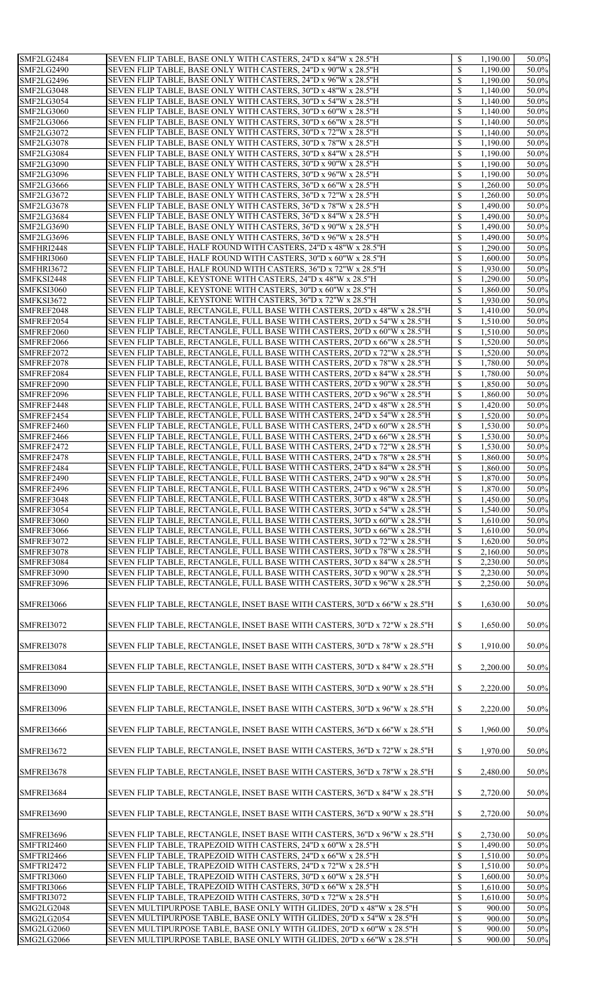| SMF2LG2484               |                                                                                                                                                |                           |                  |                |
|--------------------------|------------------------------------------------------------------------------------------------------------------------------------------------|---------------------------|------------------|----------------|
|                          | SEVEN FLIP TABLE, BASE ONLY WITH CASTERS, 24"D x 84"W x 28.5"H                                                                                 | $\mathbb{S}$              | 1,190.00         | 50.0%          |
| SMF2LG2490               | SEVEN FLIP TABLE, BASE ONLY WITH CASTERS, 24"D x 90"W x 28.5"H                                                                                 | \$                        | 1,190.00         | 50.0%          |
| SMF2LG2496               | SEVEN FLIP TABLE, BASE ONLY WITH CASTERS, 24"D x 96"W x 28.5"H                                                                                 | \$                        | 1,190.00         | 50.0%          |
| SMF2LG3048               | SEVEN FLIP TABLE, BASE ONLY WITH CASTERS, 30"D x 48"W x 28.5"H                                                                                 | \$                        | 1,140.00         | 50.0%          |
|                          |                                                                                                                                                |                           |                  |                |
| SMF2LG3054               | SEVEN FLIP TABLE, BASE ONLY WITH CASTERS, 30"D x 54"W x 28.5"H                                                                                 | \$                        | 1,140.00         | 50.0%          |
| <b>SMF2LG3060</b>        | SEVEN FLIP TABLE, BASE ONLY WITH CASTERS, 30"D x 60"W x 28.5"H                                                                                 | \$                        | 1,140.00         | 50.0%          |
| <b>SMF2LG3066</b>        | SEVEN FLIP TABLE, BASE ONLY WITH CASTERS, 30"D x 66"W x 28.5"H                                                                                 | \$                        | 1,140.00         | 50.0%          |
| SMF2LG3072               | SEVEN FLIP TABLE, BASE ONLY WITH CASTERS, 30"D x 72"W x 28.5"H                                                                                 | \$                        | 1,140.00         | 50.0%          |
|                          |                                                                                                                                                |                           |                  |                |
| <b>SMF2LG3078</b>        | SEVEN FLIP TABLE, BASE ONLY WITH CASTERS, 30"D x 78"W x 28.5"H                                                                                 | \$                        | 1,190.00         | 50.0%          |
| SMF2LG3084               | SEVEN FLIP TABLE, BASE ONLY WITH CASTERS, 30"D x 84"W x 28.5"H                                                                                 | \$                        | 1,190.00         | 50.0%          |
| <b>SMF2LG3090</b>        | SEVEN FLIP TABLE, BASE ONLY WITH CASTERS, 30"D x 90"W x 28.5"H                                                                                 | \$                        | 1,190.00         | 50.0%          |
|                          |                                                                                                                                                |                           |                  |                |
| SMF2LG3096               | SEVEN FLIP TABLE, BASE ONLY WITH CASTERS, 30"D x 96"W x 28.5"H                                                                                 | \$                        | 1,190.00         | 50.0%          |
| SMF2LG3666               | SEVEN FLIP TABLE, BASE ONLY WITH CASTERS, 36"D x 66"W x 28.5"H                                                                                 | \$                        | 1,260.00         | 50.0%          |
| <b>SMF2LG3672</b>        | SEVEN FLIP TABLE, BASE ONLY WITH CASTERS, 36"D x 72"W x 28.5"H                                                                                 | \$                        | 1,260.00         | 50.0%          |
| <b>SMF2LG3678</b>        | SEVEN FLIP TABLE, BASE ONLY WITH CASTERS, 36"D x 78"W x 28.5"H                                                                                 | \$                        | 1,490.00         | 50.0%          |
|                          |                                                                                                                                                |                           |                  |                |
| SMF2LG3684               | SEVEN FLIP TABLE, BASE ONLY WITH CASTERS, 36"D x 84"W x 28.5"H                                                                                 | \$                        | 1,490.00         | 50.0%          |
| <b>SMF2LG3690</b>        | SEVEN FLIP TABLE, BASE ONLY WITH CASTERS, 36"D x 90"W x 28.5"H                                                                                 | \$                        | 1,490.00         | 50.0%          |
| <b>SMF2LG3696</b>        | SEVEN FLIP TABLE, BASE ONLY WITH CASTERS, 36"D x 96"W x 28.5"H                                                                                 | \$                        | 1,490.00         | 50.0%          |
| SMFHRI2448               | SEVEN FLIP TABLE, HALF ROUND WITH CASTERS, 24"D x 48"W x 28.5"H                                                                                | \$                        | 1,290.00         | 50.0%          |
|                          |                                                                                                                                                |                           |                  |                |
| SMFHRI3060               | SEVEN FLIP TABLE, HALF ROUND WITH CASTERS, 30"D x 60"W x 28.5"H                                                                                | \$                        | 1,600.00         | 50.0%          |
| SMFHRI3672               | SEVEN FLIP TABLE, HALF ROUND WITH CASTERS, 36"D x 72"W x 28.5"H                                                                                | \$                        | 1,930.00         | 50.0%          |
| SMFKSI2448               | SEVEN FLIP TABLE, KEYSTONE WITH CASTERS, 24"D x 48"W x 28.5"H                                                                                  | \$                        | 1,290.00         | 50.0%          |
|                          |                                                                                                                                                | \$                        |                  |                |
| SMFKSI3060               | SEVEN FLIP TABLE, KEYSTONE WITH CASTERS, 30"D x 60"W x 28.5"H                                                                                  |                           | 1,860.00         | 50.0%          |
| SMFKSI3672               | SEVEN FLIP TABLE, KEYSTONE WITH CASTERS, 36"D x 72"W x 28.5"H                                                                                  | \$                        | 1,930.00         | 50.0%          |
| SMFREF2048               | SEVEN FLIP TABLE, RECTANGLE, FULL BASE WITH CASTERS, 20"D x 48"W x 28.5"H                                                                      | $\mathbb{S}$              | 1,410.00         | 50.0%          |
| SMFREF2054               | SEVEN FLIP TABLE, RECTANGLE, FULL BASE WITH CASTERS, 20"D x 54"W x 28.5"H                                                                      | $\mathbb{S}$              | 1,510.00         | 50.0%          |
|                          |                                                                                                                                                |                           |                  |                |
| SMFREF2060               | SEVEN FLIP TABLE, RECTANGLE, FULL BASE WITH CASTERS, 20"D x 60"W x 28.5"H                                                                      | \$                        | 1,510.00         | 50.0%          |
| SMFREF2066               | SEVEN FLIP TABLE, RECTANGLE, FULL BASE WITH CASTERS, 20"D x 66"W x 28.5"H                                                                      | $\mathbb{S}$              | 1,520.00         | 50.0%          |
| SMFREF2072               | SEVEN FLIP TABLE, RECTANGLE, FULL BASE WITH CASTERS, 20"D x 72"W x 28.5"H                                                                      | \$                        | 1,520.00         | 50.0%          |
| SMFREF2078               |                                                                                                                                                |                           |                  |                |
|                          | SEVEN FLIP TABLE, RECTANGLE, FULL BASE WITH CASTERS, 20"D x 78"W x 28.5"H                                                                      |                           | 1,780.00         | 50.0%          |
| SMFREF2084               | SEVEN FLIP TABLE, RECTANGLE, FULL BASE WITH CASTERS, 20"D x 84"W x 28.5"H                                                                      | $\mathbb{S}$              | 1,780.00         | 50.0%          |
| SMFREF2090               | SEVEN FLIP TABLE, RECTANGLE, FULL BASE WITH CASTERS, 20"D x 90"W x 28.5"H                                                                      | \$                        | 1,850.00         | 50.0%          |
| SMFREF2096               | SEVEN FLIP TABLE, RECTANGLE, FULL BASE WITH CASTERS, 20"D x 96"W x 28.5"H                                                                      | \$                        | 1,860.00         | 50.0%          |
|                          |                                                                                                                                                |                           |                  |                |
| SMFREF2448               | SEVEN FLIP TABLE, RECTANGLE, FULL BASE WITH CASTERS, 24"D x 48"W x 28.5"H                                                                      | $\mathbb{S}$              | 1,420.00         | 50.0%          |
| SMFREF2454               | SEVEN FLIP TABLE, RECTANGLE, FULL BASE WITH CASTERS, 24"D x 54"W x 28.5"H                                                                      | \$                        | 1,520.00         | 50.0%          |
| SMFREF2460               | SEVEN FLIP TABLE, RECTANGLE, FULL BASE WITH CASTERS, 24"D x 60"W x 28.5"H                                                                      | \$                        | 1,530.00         | 50.0%          |
|                          |                                                                                                                                                |                           |                  |                |
| SMFREF2466               | SEVEN FLIP TABLE, RECTANGLE, FULL BASE WITH CASTERS, 24"D x 66"W x 28.5"H                                                                      | \$                        | 1,530.00         | 50.0%          |
| SMFREF2472               | SEVEN FLIP TABLE, RECTANGLE, FULL BASE WITH CASTERS, 24"D x 72"W x 28.5"H                                                                      | $\mathbb{S}$              | 1,530.00         | 50.0%          |
| SMFREF2478               | SEVEN FLIP TABLE, RECTANGLE, FULL BASE WITH CASTERS, 24"D x 78"W x 28.5"H                                                                      | \$                        | 1,860.00         | 50.0%          |
| SMFREF2484               | SEVEN FLIP TABLE, RECTANGLE, FULL BASE WITH CASTERS, 24"D x 84"W x 28.5"H                                                                      | \$                        | 1,860.00         | 50.0%          |
|                          |                                                                                                                                                |                           |                  |                |
| SMFREF2490               | SEVEN FLIP TABLE, RECTANGLE, FULL BASE WITH CASTERS, 24"D x 90"W x 28.5"H                                                                      | \$                        | 1,870.00         | 50.0%          |
| SMFREF2496               | SEVEN FLIP TABLE, RECTANGLE, FULL BASE WITH CASTERS, 24"D x 96"W x 28.5"H                                                                      | \$                        | 1,870.00         | 50.0%          |
| SMFREF3048               | SEVEN FLIP TABLE, RECTANGLE, FULL BASE WITH CASTERS, 30"D x 48"W x 28.5"H                                                                      | \$                        | 1,450.00         | 50.0%          |
| SMFREF3054               |                                                                                                                                                | \$                        |                  |                |
|                          | SEVEN FLIP TABLE, RECTANGLE, FULL BASE WITH CASTERS, 30"D x 54"W x 28.5"H                                                                      |                           | 1,540.00         | 50.0%          |
| SMFREF3060               | SEVEN FLIP TABLE, RECTANGLE, FULL BASE WITH CASTERS, 30"D x 60"W x 28.5"H                                                                      | \$                        | 1,610.00         | 50.0%          |
| SMFREF3066               |                                                                                                                                                |                           |                  |                |
|                          | SEVEN FLIP TABLE, RECTANGLE, FULL BASE WITH CASTERS, 30"D x 66"W x 28.5"H                                                                      | $\mathbb{S}$              |                  | 50.0%          |
|                          |                                                                                                                                                |                           | 1,610.00         |                |
| SMFREF3072               | SEVEN FLIP TABLE, RECTANGLE, FULL BASE WITH CASTERS, 30"D x 72"W x 28.5"H                                                                      | \$                        | 1,620.00         | 50.0%          |
| SMFREF3078               | SEVEN FLIP TABLE, RECTANGLE, FULL BASE WITH CASTERS, 30"D x 78"W x 28.5"H                                                                      | \$                        | 2,160.00         | 50.0%          |
| SMFREF3084               | SEVEN FLIP TABLE, RECTANGLE, FULL BASE WITH CASTERS, 30"D x 84"W x 28.5"H                                                                      | \$                        | 2,230.00         | 50.0%          |
|                          |                                                                                                                                                |                           |                  |                |
| SMFREF3090               | SEVEN FLIP TABLE, RECTANGLE, FULL BASE WITH CASTERS, 30"D x 90"W x 28.5"H                                                                      | $\mathbb{S}$              | 2,230.00         | 50.0%          |
| SMFREF3096               | SEVEN FLIP TABLE, RECTANGLE, FULL BASE WITH CASTERS, 30"D x 96"W x 28.5"H                                                                      | \$                        | 2,250.00         | 50.0%          |
| SMFREI3066               | SEVEN FLIP TABLE, RECTANGLE, INSET BASE WITH CASTERS, 30"D x 66"W x 28.5"H                                                                     | \$                        | 1,630.00         | 50.0%          |
| SMFREI3072               | SEVEN FLIP TABLE, RECTANGLE, INSET BASE WITH CASTERS, 30"D x 72"W x 28.5"H                                                                     | \$                        | 1,650.00         | 50.0%          |
| SMFREI3078               | SEVEN FLIP TABLE, RECTANGLE, INSET BASE WITH CASTERS, 30"D x 78"W x 28.5"H                                                                     | \$                        | 1,910.00         | 50.0%          |
| SMFREI3084               | SEVEN FLIP TABLE, RECTANGLE, INSET BASE WITH CASTERS, 30"D x 84"W x 28.5"H                                                                     | \$                        | 2,200.00         | 50.0%          |
| SMFREI3090               | SEVEN FLIP TABLE, RECTANGLE, INSET BASE WITH CASTERS, 30"D x 90"W x 28.5"H                                                                     | $\boldsymbol{\mathsf{S}}$ | 2,220.00         | 50.0%          |
| SMFREI3096               | SEVEN FLIP TABLE, RECTANGLE, INSET BASE WITH CASTERS, 30"D x 96"W x 28.5"H                                                                     | \$                        | 2,220.00         | 50.0%          |
| SMFREI3666               | SEVEN FLIP TABLE, RECTANGLE, INSET BASE WITH CASTERS, 36"D x 66"W x 28.5"H                                                                     | $\boldsymbol{\mathsf{S}}$ | 1,960.00         | 50.0%          |
| SMFREI3672               | SEVEN FLIP TABLE, RECTANGLE, INSET BASE WITH CASTERS, 36"D x 72"W x 28.5"H                                                                     | \$                        | 1,970.00         | $50.0\%$       |
| SMFREI3678               | SEVEN FLIP TABLE, RECTANGLE, INSET BASE WITH CASTERS, 36"D x 78"W x 28.5"H                                                                     | $\boldsymbol{\mathsf{S}}$ | 2,480.00         | 50.0%          |
|                          |                                                                                                                                                |                           |                  |                |
| SMFREI3684               | SEVEN FLIP TABLE, RECTANGLE, INSET BASE WITH CASTERS, 36"D x 84"W x 28.5"H                                                                     | \$                        | 2,720.00         | 50.0%          |
| SMFREI3690               | SEVEN FLIP TABLE, RECTANGLE, INSET BASE WITH CASTERS, 36"D x 90"W x 28.5"H                                                                     | $\boldsymbol{\mathsf{S}}$ | 2,720.00         | 50.0%          |
| SMFREI3696               | SEVEN FLIP TABLE, RECTANGLE, INSET BASE WITH CASTERS, 36"D x 96"W x 28.5"H                                                                     | \$                        | 2,730.00         | 50.0%          |
| SMFTRI2460               | SEVEN FLIP TABLE, TRAPEZOID WITH CASTERS, 24"D x 60"W x 28.5"H                                                                                 | $\boldsymbol{\mathsf{S}}$ | 1,490.00         | 50.0%          |
|                          |                                                                                                                                                |                           |                  |                |
| SMFTRI2466               | SEVEN FLIP TABLE, TRAPEZOID WITH CASTERS, 24"D x 66"W x 28.5"H                                                                                 | $\boldsymbol{\mathsf{S}}$ | 1,510.00         | 50.0%          |
| SMFTRI2472               | SEVEN FLIP TABLE, TRAPEZOID WITH CASTERS, 24"D x 72"W x 28.5"H                                                                                 | $\mathbb{S}$              | 1,510.00         | 50.0%          |
| SMFTRI3060               | SEVEN FLIP TABLE, TRAPEZOID WITH CASTERS, 30"D x 60"W x 28.5"H                                                                                 | \$                        | 1,600.00         | 50.0%          |
| SMFTRI3066               | SEVEN FLIP TABLE, TRAPEZOID WITH CASTERS, 30"D x 66"W x 28.5"H                                                                                 | \$                        | 1,610.00         | 50.0%          |
| SMFTRI3072               | SEVEN FLIP TABLE, TRAPEZOID WITH CASTERS, 30"D x 72"W x 28.5"H                                                                                 | \$                        | 1,610.00         | 50.0%          |
|                          |                                                                                                                                                |                           |                  |                |
| SMG2LG2048               | SEVEN MULTIPURPOSE TABLE, BASE ONLY WITH GLIDES, 20"D x 48"W x 28.5"H                                                                          | $\mathbb{S}$              | 900.00           | 50.0%          |
| SMG2LG2054               | SEVEN MULTIPURPOSE TABLE, BASE ONLY WITH GLIDES, 20"D x 54"W x 28.5"H                                                                          | $\boldsymbol{\mathsf{S}}$ | 900.00           | 50.0%          |
| SMG2LG2060<br>SMG2LG2066 | SEVEN MULTIPURPOSE TABLE, BASE ONLY WITH GLIDES, 20"D x 60"W x 28.5"H<br>SEVEN MULTIPURPOSE TABLE, BASE ONLY WITH GLIDES, 20"D x 66"W x 28.5"H | \$<br>$\mathbb{S}$        | 900.00<br>900.00 | 50.0%<br>50.0% |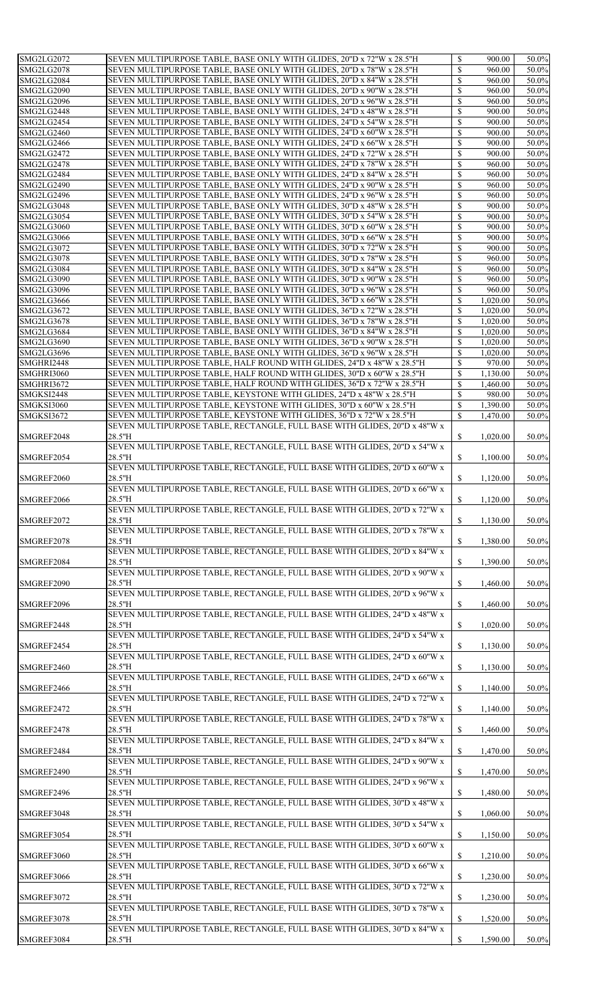| SMG2LG2072        | SEVEN MULTIPURPOSE TABLE, BASE ONLY WITH GLIDES, 20"D x 72"W x 28.5"H               | $\mathcal{S}$             | 900.00   | 50.0%    |
|-------------------|-------------------------------------------------------------------------------------|---------------------------|----------|----------|
| <b>SMG2LG2078</b> | SEVEN MULTIPURPOSE TABLE, BASE ONLY WITH GLIDES, 20"D x 78"W x 28.5"H               | $\mathcal{S}$             | 960.00   | 50.0%    |
| SMG2LG2084        | SEVEN MULTIPURPOSE TABLE, BASE ONLY WITH GLIDES, 20"D x 84"W x 28.5"H               | \$                        | 960.00   | 50.0%    |
| SMG2LG2090        | SEVEN MULTIPURPOSE TABLE, BASE ONLY WITH GLIDES, 20"D x 90"W x 28.5"H               | $\mathcal{S}$             | 960.00   | 50.0%    |
| <b>SMG2LG2096</b> | SEVEN MULTIPURPOSE TABLE, BASE ONLY WITH GLIDES, 20"D x 96"W x 28.5"H               | $\boldsymbol{\mathsf{S}}$ | 960.00   | 50.0%    |
| SMG2LG2448        | SEVEN MULTIPURPOSE TABLE, BASE ONLY WITH GLIDES, 24"D x 48"W x 28.5"H               | $\mathcal{S}$             | 900.00   | 50.0%    |
| SMG2LG2454        | SEVEN MULTIPURPOSE TABLE, BASE ONLY WITH GLIDES, 24"D x 54"W x 28.5"H               | $\boldsymbol{\mathsf{S}}$ | 900.00   | 50.0%    |
| SMG2LG2460        | SEVEN MULTIPURPOSE TABLE, BASE ONLY WITH GLIDES, 24"D x 60"W x 28.5"H               | $\mathcal{S}$             | 900.00   | 50.0%    |
| SMG2LG2466        | SEVEN MULTIPURPOSE TABLE, BASE ONLY WITH GLIDES, 24"D x 66"W x 28.5"H               | $\boldsymbol{\mathsf{S}}$ | 900.00   | 50.0%    |
| <b>SMG2LG2472</b> | SEVEN MULTIPURPOSE TABLE, BASE ONLY WITH GLIDES, 24"D x 72"W x 28.5"H               | $\mathcal{S}$             | 900.00   | 50.0%    |
| SMG2LG2478        | SEVEN MULTIPURPOSE TABLE, BASE ONLY WITH GLIDES, 24"D x 78"W x 28.5"H               | $\boldsymbol{\mathsf{S}}$ | 960.00   | 50.0%    |
| SMG2LG2484        | SEVEN MULTIPURPOSE TABLE, BASE ONLY WITH GLIDES, 24"D x 84"W x 28.5"H               | $\mathcal{S}$             | 960.00   | 50.0%    |
| SMG2LG2490        | SEVEN MULTIPURPOSE TABLE, BASE ONLY WITH GLIDES, 24"D x 90"W x 28.5"H               | $\boldsymbol{\mathsf{S}}$ | 960.00   | 50.0%    |
| <b>SMG2LG2496</b> | SEVEN MULTIPURPOSE TABLE, BASE ONLY WITH GLIDES, 24"D x 96"W x 28.5"H               | $\mathcal{S}$             | 960.00   | 50.0%    |
| SMG2LG3048        | SEVEN MULTIPURPOSE TABLE, BASE ONLY WITH GLIDES, 30"D x 48"W x 28.5"H               | $\mathbb{S}$              | 900.00   | 50.0%    |
| SMG2LG3054        | SEVEN MULTIPURPOSE TABLE, BASE ONLY WITH GLIDES, 30"D x 54"W x 28.5"H               | $\mathcal{S}$             | 900.00   | 50.0%    |
| SMG2LG3060        | SEVEN MULTIPURPOSE TABLE, BASE ONLY WITH GLIDES, 30"D x 60"W x 28.5"H               | $\boldsymbol{\mathsf{S}}$ | 900.00   | 50.0%    |
| SMG2LG3066        | SEVEN MULTIPURPOSE TABLE, BASE ONLY WITH GLIDES, 30"D x 66"W x 28.5"H               | $\mathcal{S}$             | 900.00   | 50.0%    |
| SMG2LG3072        | SEVEN MULTIPURPOSE TABLE, BASE ONLY WITH GLIDES, 30"D x 72"W x 28.5"H               | $\mathbb{S}$              | 900.00   | 50.0%    |
| SMG2LG3078        | SEVEN MULTIPURPOSE TABLE, BASE ONLY WITH GLIDES, 30"D x 78"W x 28.5"H               | $\mathcal{S}$             | 960.00   | 50.0%    |
| SMG2LG3084        | SEVEN MULTIPURPOSE TABLE, BASE ONLY WITH GLIDES, 30"D x 84"W x 28.5"H               | $\boldsymbol{\mathsf{S}}$ | 960.00   | 50.0%    |
| <b>SMG2LG3090</b> | SEVEN MULTIPURPOSE TABLE, BASE ONLY WITH GLIDES, 30"D x 90"W x 28.5"H               | $\mathcal{S}$             | 960.00   | 50.0%    |
| SMG2LG3096        | SEVEN MULTIPURPOSE TABLE, BASE ONLY WITH GLIDES, 30"D x 96"W x 28.5"H               | $\mathbb{S}$              | 960.00   | 50.0%    |
| SMG2LG3666        | SEVEN MULTIPURPOSE TABLE, BASE ONLY WITH GLIDES, 36"D x 66"W x 28.5"H               | $\mathbb{S}$              | 1,020.00 | 50.0%    |
| SMG2LG3672        | SEVEN MULTIPURPOSE TABLE, BASE ONLY WITH GLIDES, 36"D x 72"W x 28.5"H               | $\mathbb{S}$              | 1,020.00 | 50.0%    |
| SMG2LG3678        | SEVEN MULTIPURPOSE TABLE, BASE ONLY WITH GLIDES, 36"D x 78"W x 28.5"H               | $\mathbb{S}$              | 1,020.00 | 50.0%    |
| SMG2LG3684        | SEVEN MULTIPURPOSE TABLE, BASE ONLY WITH GLIDES, 36"D x 84"W x 28.5"H               | $\mathbb{S}$              | 1,020.00 | 50.0%    |
| SMG2LG3690        | SEVEN MULTIPURPOSE TABLE, BASE ONLY WITH GLIDES, 36"D x 90"W x 28.5"H               | $\mathbb{S}$              | 1,020.00 | 50.0%    |
| SMG2LG3696        | SEVEN MULTIPURPOSE TABLE, BASE ONLY WITH GLIDES, 36"D x 96"W x 28.5"H               | \$                        | 1,020.00 | 50.0%    |
| SMGHRI2448        | SEVEN MULTIPURPOSE TABLE, HALF ROUND WITH GLIDES, 24"D x 48"W x 28.5"H              | $\mathcal{L}$             | 970.00   | 50.0%    |
| SMGHRI3060        | SEVEN MULTIPURPOSE TABLE, HALF ROUND WITH GLIDES, 30"D x 60"W x 28.5"H              | $\mathbb{S}$              | 1,130.00 | 50.0%    |
| SMGHRI3672        | SEVEN MULTIPURPOSE TABLE, HALF ROUND WITH GLIDES, 36"D x 72"W x 28.5"H              | \$                        | 1,460.00 | 50.0%    |
| SMGKSI2448        | SEVEN MULTIPURPOSE TABLE, KEYSTONE WITH GLIDES, 24"D x 48"W x 28.5"H                | \$                        | 980.00   | 50.0%    |
| SMGKSI3060        | SEVEN MULTIPURPOSE TABLE, KEYSTONE WITH GLIDES, 30"D x 60"W x 28.5"H                | $\mathbb{S}$              | 1,390.00 | 50.0%    |
| SMGKSI3672        | SEVEN MULTIPURPOSE TABLE, KEYSTONE WITH GLIDES, 36"D x 72"W x 28.5"H                | $\mathbb{S}$              | 1,470.00 | 50.0%    |
|                   | SEVEN MULTIPURPOSE TABLE, RECTANGLE, FULL BASE WITH GLIDES, 20"D x 48"W x           |                           |          |          |
| SMGREF2048        | 28.5"H                                                                              | $\mathbb{S}$              | 1,020.00 | 50.0%    |
|                   | SEVEN MULTIPURPOSE TABLE, RECTANGLE, FULL BASE WITH GLIDES, 20"D x 54"W x           |                           |          |          |
| SMGREF2054        | 28.5"H                                                                              | $\mathbb{S}$              | 1,100.00 | 50.0%    |
|                   | SEVEN MULTIPURPOSE TABLE, RECTANGLE, FULL BASE WITH GLIDES, 20"D x 60"W x           |                           |          |          |
| SMGREF2060        | 28.5"H                                                                              | $\mathbb{S}$              | 1,120.00 | 50.0%    |
|                   | SEVEN MULTIPURPOSE TABLE, RECTANGLE, FULL BASE WITH GLIDES, 20"D x 66"W x           |                           |          |          |
| SMGREF2066        | 28.5"H                                                                              | $\mathbb{S}$              | 1,120.00 | 50.0%    |
|                   | SEVEN MULTIPURPOSE TABLE, RECTANGLE, FULL BASE WITH GLIDES, 20"D x 72"W x           |                           |          |          |
| SMGREF2072        | 28.5"H                                                                              | $\mathbb{S}$              | 1,130.00 | 50.0%    |
|                   | SEVEN MULTIPURPOSE TABLE, RECTANGLE, FULL BASE WITH GLIDES, 20"D x 78"W x           |                           |          |          |
| SMGREF2078        | 28.5"H                                                                              | $\mathbb{S}$              | 1,380.00 | 50.0%    |
|                   | SEVEN MULTIPURPOSE TABLE, RECTANGLE, FULL BASE WITH GLIDES, 20"D x 84"W x           |                           |          |          |
| SMGREF2084        | 28.5"H                                                                              | $\mathbb{S}$              | 1,390.00 | 50.0%    |
|                   | SEVEN MULTIPURPOSE TABLE, RECTANGLE, FULL BASE WITH GLIDES, 20"D x 90"W x           |                           |          |          |
| SMGREF2090        | 28.5"H                                                                              | $\mathbb{S}$              | 1,460.00 | 50.0%    |
|                   | SEVEN MULTIPURPOSE TABLE, RECTANGLE, FULL BASE WITH GLIDES, 20"D x 96"W x           |                           |          |          |
| SMGREF2096        | 28.5"H                                                                              | $\mathbb{S}$              | 1,460.00 | 50.0%    |
|                   | SEVEN MULTIPURPOSE TABLE, RECTANGLE, FULL BASE WITH GLIDES, 24"D x 48"W x           |                           |          |          |
| SMGREF2448        | 28.5"H                                                                              | $\mathbb{S}$              | 1,020.00 | 50.0%    |
|                   | SEVEN MULTIPURPOSE TABLE, RECTANGLE, FULL BASE WITH GLIDES, 24"D x 54"W x           |                           |          |          |
| SMGREF2454        | 28.5"H                                                                              | $\mathbb{S}$              | 1,130.00 | 50.0%    |
|                   | SEVEN MULTIPURPOSE TABLE, RECTANGLE, FULL BASE WITH GLIDES, 24"D x 60"W x           |                           |          |          |
| SMGREF2460        | 28.5"H                                                                              | $\mathbb{S}$              | 1,130.00 | 50.0%    |
|                   | SEVEN MULTIPURPOSE TABLE, RECTANGLE, FULL BASE WITH GLIDES, 24"D x 66"W x           |                           |          |          |
| SMGREF2466        | 28.5"H                                                                              | $\mathbb{S}$              | 1,140.00 | 50.0%    |
|                   | SEVEN MULTIPURPOSE TABLE, RECTANGLE, FULL BASE WITH GLIDES, 24"D x 72"W x           |                           |          |          |
| SMGREF2472        | 28.5"H                                                                              | $\mathbb{S}$              | 1,140.00 | 50.0%    |
|                   | SEVEN MULTIPURPOSE TABLE, RECTANGLE, FULL BASE WITH GLIDES, 24"D x 78"W x           |                           |          |          |
| SMGREF2478        | 28.5"H                                                                              | $\mathbb{S}$              | 1,460.00 | 50.0%    |
|                   | SEVEN MULTIPURPOSE TABLE, RECTANGLE, FULL BASE WITH GLIDES, 24"D x 84"W x           |                           |          |          |
| SMGREF2484        | 28.5"H                                                                              | $\mathbb{S}$              | 1,470.00 | 50.0%    |
|                   | SEVEN MULTIPURPOSE TABLE, RECTANGLE, FULL BASE WITH GLIDES, 24"D x 90"W x           |                           |          |          |
| SMGREF2490        | 28.5"H<br>SEVEN MULTIPURPOSE TABLE, RECTANGLE, FULL BASE WITH GLIDES, 24"D x 96"W x | $\mathbb{S}$              | 1,470.00 | 50.0%    |
| SMGREF2496        | 28.5"H                                                                              | $\mathbb{S}$              | 1,480.00 | 50.0%    |
|                   | SEVEN MULTIPURPOSE TABLE, RECTANGLE, FULL BASE WITH GLIDES, 30"D x 48"W x           |                           |          |          |
| SMGREF3048        | 28.5"H                                                                              | $\mathbb{S}$              | 1,060.00 | 50.0%    |
|                   | SEVEN MULTIPURPOSE TABLE, RECTANGLE, FULL BASE WITH GLIDES, 30"D x 54"W x           |                           |          |          |
| SMGREF3054        | 28.5"H                                                                              | $\mathbb{S}$              | 1,150.00 | 50.0%    |
|                   | SEVEN MULTIPURPOSE TABLE, RECTANGLE, FULL BASE WITH GLIDES, 30"D x 60"W x           |                           |          |          |
| SMGREF3060        | 28.5"H                                                                              | $\mathbb{S}$              | 1,210.00 | 50.0%    |
|                   | SEVEN MULTIPURPOSE TABLE, RECTANGLE, FULL BASE WITH GLIDES, 30"D x 66"W x           |                           |          |          |
| SMGREF3066        | 28.5"H                                                                              | $\mathbb{S}$              | 1,230.00 | 50.0%    |
|                   | SEVEN MULTIPURPOSE TABLE, RECTANGLE, FULL BASE WITH GLIDES, 30"D x 72"W x           |                           |          |          |
| SMGREF3072        | 28.5"H                                                                              | $\mathbb{S}$              | 1,230.00 | 50.0%    |
|                   | SEVEN MULTIPURPOSE TABLE, RECTANGLE, FULL BASE WITH GLIDES, 30"D x 78"W x           |                           |          |          |
| SMGREF3078        | 28.5"H                                                                              | $\mathbb{S}$              | 1,520.00 | 50.0%    |
|                   | SEVEN MULTIPURPOSE TABLE, RECTANGLE, FULL BASE WITH GLIDES, 30"D x 84"W x           |                           |          |          |
| SMGREF3084        | 28.5"H                                                                              | $\mathbb{S}$              | 1,590.00 | $50.0\%$ |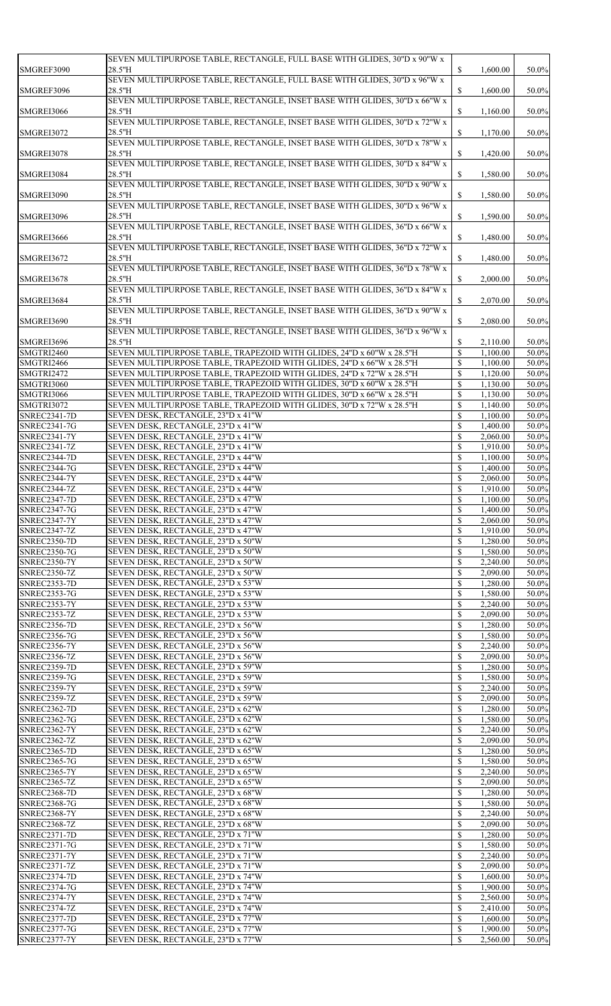|                                            | SEVEN MULTIPURPOSE TABLE, RECTANGLE, FULL BASE WITH GLIDES, 30"D x 90"W x            |                                            |                      |                |
|--------------------------------------------|--------------------------------------------------------------------------------------|--------------------------------------------|----------------------|----------------|
| SMGREF3090                                 | 28.5"H                                                                               | $\mathbb{S}$                               | 1,600.00             | 50.0%          |
|                                            | SEVEN MULTIPURPOSE TABLE, RECTANGLE, FULL BASE WITH GLIDES, 30"D x 96"W x            |                                            |                      |                |
| SMGREF3096                                 | 28.5"H                                                                               | $\mathbb{S}$                               | 1,600.00             | 50.0%          |
|                                            | SEVEN MULTIPURPOSE TABLE, RECTANGLE, INSET BASE WITH GLIDES, 30"D x 66"W x           |                                            |                      |                |
| SMGREI3066                                 | 28.5"H<br>SEVEN MULTIPURPOSE TABLE, RECTANGLE, INSET BASE WITH GLIDES, 30"D x 72"W x | $\mathbb{S}$                               | 1,160.00             | 50.0%          |
| SMGREI3072                                 | 28.5"H                                                                               | $\mathbb{S}$                               | 1,170.00             | 50.0%          |
|                                            | SEVEN MULTIPURPOSE TABLE, RECTANGLE, INSET BASE WITH GLIDES, 30"D x 78"W x           |                                            |                      |                |
| SMGREI3078                                 | 28.5"H                                                                               | $\mathbb{S}$                               | 1,420.00             | 50.0%          |
|                                            | SEVEN MULTIPURPOSE TABLE, RECTANGLE, INSET BASE WITH GLIDES, 30"D x 84"W x           |                                            |                      |                |
| SMGREI3084                                 | 28.5"H                                                                               | $\mathbb{S}$                               | 1,580.00             | 50.0%          |
|                                            | SEVEN MULTIPURPOSE TABLE, RECTANGLE, INSET BASE WITH GLIDES, 30"D x 90"W x           |                                            |                      |                |
| SMGREI3090                                 | 28.5"H                                                                               | $\mathbb{S}$                               | 1,580.00             | 50.0%          |
|                                            | SEVEN MULTIPURPOSE TABLE, RECTANGLE, INSET BASE WITH GLIDES, 30"D x 96"W x           |                                            |                      |                |
| SMGREI3096                                 | 28.5"H<br>SEVEN MULTIPURPOSE TABLE, RECTANGLE, INSET BASE WITH GLIDES, 36"D x 66"W x | $\mathbb{S}$                               | 1,590.00             | 50.0%          |
| SMGREI3666                                 | 28.5"H                                                                               | $\mathbb{S}$                               | 1,480.00             | 50.0%          |
|                                            | SEVEN MULTIPURPOSE TABLE, RECTANGLE, INSET BASE WITH GLIDES, 36"D x 72"W x           |                                            |                      |                |
| SMGREI3672                                 | 28.5"H                                                                               | $\mathbb{S}$                               | 1,480.00             | 50.0%          |
|                                            | SEVEN MULTIPURPOSE TABLE, RECTANGLE, INSET BASE WITH GLIDES, 36"D x 78"W x           |                                            |                      |                |
| SMGREI3678                                 | 28.5"H                                                                               | $\mathbb{S}$                               | 2,000.00             | 50.0%          |
|                                            | SEVEN MULTIPURPOSE TABLE, RECTANGLE, INSET BASE WITH GLIDES, 36"D x 84"W x           |                                            |                      |                |
| SMGREI3684                                 | 28.5"H                                                                               | $\mathbb{S}$                               | 2,070.00             | 50.0%          |
|                                            | SEVEN MULTIPURPOSE TABLE, RECTANGLE, INSET BASE WITH GLIDES, 36"D x 90"W x           |                                            |                      |                |
| SMGREI3690                                 | 28.5"H<br>SEVEN MULTIPURPOSE TABLE, RECTANGLE, INSET BASE WITH GLIDES, 36"D x 96"W x | $\mathbb{S}$                               | 2,080.00             | 50.0%          |
| SMGREI3696                                 | 28.5"H                                                                               | \$                                         | 2,110.00             | 50.0%          |
| SMGTRI2460                                 | SEVEN MULTIPURPOSE TABLE, TRAPEZOID WITH GLIDES, 24"D x 60"W x 28.5"H                | \$                                         | 1,100.00             | 50.0%          |
| SMGTRI2466                                 | SEVEN MULTIPURPOSE TABLE, TRAPEZOID WITH GLIDES, 24"D x 66"W x 28.5"H                |                                            | 1,100.00             | 50.0%          |
| SMGTRI2472                                 | SEVEN MULTIPURPOSE TABLE, TRAPEZOID WITH GLIDES, 24"D x 72"W x 28.5"H                | $\mathcal{S}$                              | 1,120.00             | 50.0%          |
| SMGTRI3060                                 | SEVEN MULTIPURPOSE TABLE, TRAPEZOID WITH GLIDES, 30"D x 60"W x 28.5"H                | $\boldsymbol{\mathsf{S}}$                  | 1,130.00             | 50.0%          |
| SMGTRI3066                                 | SEVEN MULTIPURPOSE TABLE, TRAPEZOID WITH GLIDES, 30"D x 66"W x 28.5"H                | $\mathcal{S}$                              | 1,130.00             | 50.0%          |
| SMGTRI3072                                 | SEVEN MULTIPURPOSE TABLE, TRAPEZOID WITH GLIDES, 30"D x 72"W x 28.5"H                | $\mathcal{S}$                              | 1,140.00             | 50.0%          |
| SNREC2341-7D                               | SEVEN DESK, RECTANGLE, 23"D x 41"W                                                   | $\mathcal{S}$                              | 1,100.00             | 50.0%          |
| <b>SNREC2341-7G</b>                        | SEVEN DESK, RECTANGLE, 23"D x 41"W                                                   | $\boldsymbol{\mathsf{S}}$                  | 1,400.00             | 50.0%          |
| <b>SNREC2341-7Y</b>                        | SEVEN DESK, RECTANGLE, 23"D x 41"W                                                   | \$                                         | 2,060.00             | 50.0%          |
| <b>SNREC2341-7Z</b>                        | SEVEN DESK, RECTANGLE, 23"D x 41"W                                                   | $\boldsymbol{\mathsf{S}}$                  | 1,910.00             | 50.0%          |
| <b>SNREC2344-7D</b><br><b>SNREC2344-7G</b> | SEVEN DESK, RECTANGLE, 23"D x 44"W                                                   | $\mathcal{S}$                              | 1,100.00             | 50.0%<br>50.0% |
| SNREC2344-7Y                               | SEVEN DESK, RECTANGLE, 23"D x 44"W<br>SEVEN DESK, RECTANGLE, 23"D x 44"W             | $\boldsymbol{\mathsf{S}}$<br>$\mathcal{S}$ | 1,400.00<br>2,060.00 | 50.0%          |
| SNREC2344-7Z                               | SEVEN DESK, RECTANGLE, 23"D x 44"W                                                   | $\boldsymbol{\mathsf{S}}$                  | 1,910.00             | 50.0%          |
| <b>SNREC2347-7D</b>                        | SEVEN DESK, RECTANGLE, 23"D x 47"W                                                   | $\mathcal{S}$                              | 1,100.00             | 50.0%          |
| <b>SNREC2347-7G</b>                        | SEVEN DESK, RECTANGLE, 23"D x 47"W                                                   | $\mathcal{S}$                              | 1,400.00             | 50.0%          |
| SNREC2347-7Y                               | SEVEN DESK, RECTANGLE, 23"D x 47"W                                                   | $\mathcal{S}$                              | 2,060.00             | 50.0%          |
| SNREC2347-7Z                               | SEVEN DESK, RECTANGLE, 23"D x 47"W                                                   | $\boldsymbol{\mathsf{S}}$                  | 1,910.00             | 50.0%          |
| <b>SNREC2350-7D</b>                        | SEVEN DESK, RECTANGLE, 23"D x 50"W                                                   | $\mathcal{S}$                              | 1,280.00             | 50.0%          |
| <b>SNREC2350-7G</b>                        | SEVEN DESK, RECTANGLE, 23"D x 50"W                                                   | $\boldsymbol{\mathsf{S}}$                  | 1,580.00             | 50.0%          |
| <b>SNREC2350-7Y</b>                        | SEVEN DESK, RECTANGLE, 23"D x 50"W                                                   | $\mathcal{S}$                              | 2,240.00             | 50.0%          |
| <b>SNREC2350-7Z</b><br><b>SNREC2353-7D</b> | SEVEN DESK, RECTANGLE, 23"D x 50"W                                                   | $\boldsymbol{\mathsf{S}}$                  | 2,090.00             | 50.0%<br>50.0% |
| <b>SNREC2353-7G</b>                        | SEVEN DESK, RECTANGLE, 23"D x 53"W<br>SEVEN DESK, RECTANGLE, 23"D x 53"W             | $\mathcal{S}$<br>$\boldsymbol{\mathsf{S}}$ | 1,280.00<br>1,580.00 | 50.0%          |
| <b>SNREC2353-7Y</b>                        | SEVEN DESK, RECTANGLE, 23"D x 53"W                                                   | \$                                         | 2,240.00             | 50.0%          |
| <b>SNREC2353-7Z</b>                        | SEVEN DESK, RECTANGLE, 23"D x 53"W                                                   | $\boldsymbol{\mathsf{S}}$                  | 2,090.00             | 50.0%          |
| <b>SNREC2356-7D</b>                        | SEVEN DESK, RECTANGLE, 23"D x 56"W                                                   | $\mathcal{S}$                              | 1,280.00             | 50.0%          |
| <b>SNREC2356-7G</b>                        | SEVEN DESK, RECTANGLE, 23"D x 56"W                                                   | $\boldsymbol{\mathsf{S}}$                  | 1,580.00             | 50.0%          |
| SNREC2356-7Y                               | SEVEN DESK, RECTANGLE, 23"D x 56"W                                                   | $\mathcal{S}$                              | 2,240.00             | 50.0%          |
| <b>SNREC2356-7Z</b>                        | SEVEN DESK, RECTANGLE, 23"D x 56"W                                                   | $\boldsymbol{\mathsf{S}}$                  | 2,090.00             | 50.0%          |
| SNREC2359-7D                               | SEVEN DESK, RECTANGLE, 23"D x 59"W                                                   | $\boldsymbol{\mathsf{S}}$                  | 1,280.00             | 50.0%          |
| <b>SNREC2359-7G</b>                        | SEVEN DESK, RECTANGLE, 23"D x 59"W                                                   |                                            | 1,580.00             | 50.0%          |
| <b>SNREC2359-7Y</b>                        | SEVEN DESK, RECTANGLE, 23"D x 59"W                                                   | $\mathcal{S}$                              | 2,240.00             | $50.0\%$       |
| <b>SNREC2359-7Z</b><br><b>SNREC2362-7D</b> | SEVEN DESK, RECTANGLE, 23"D x 59"W<br>SEVEN DESK, RECTANGLE, 23"D x 62"W             | $\boldsymbol{\mathsf{S}}$<br>$\mathcal{S}$ | 2,090.00<br>1,280.00 | 50.0%<br>50.0% |
| <b>SNREC2362-7G</b>                        | SEVEN DESK, RECTANGLE, 23"D x 62"W                                                   | $\mathcal{S}$                              | 1,580.00             | 50.0%          |
| <b>SNREC2362-7Y</b>                        | SEVEN DESK, RECTANGLE, 23"D x 62"W                                                   | $\mathcal{S}$                              | 2,240.00             | 50.0%          |
| <b>SNREC2362-7Z</b>                        | SEVEN DESK, RECTANGLE, 23"D x 62"W                                                   | $\mathcal{S}$                              | 2,090.00             | 50.0%          |
| <b>SNREC2365-7D</b>                        | SEVEN DESK, RECTANGLE, 23"D x 65"W                                                   | $\mathcal{S}$                              | 1,280.00             | 50.0%          |
| <b>SNREC2365-7G</b>                        | SEVEN DESK, RECTANGLE, 23"D x 65"W                                                   | $\boldsymbol{\mathsf{S}}$                  | 1,580.00             | 50.0%          |
| <b>SNREC2365-7Y</b>                        | SEVEN DESK, RECTANGLE, 23"D x 65"W                                                   | $\mathcal{S}$                              | 2,240.00             | 50.0%          |
| <b>SNREC2365-7Z</b>                        | SEVEN DESK, RECTANGLE, 23"D x 65"W                                                   | $\mathcal{S}$                              | 2,090.00             | 50.0%          |
| <b>SNREC2368-7D</b>                        | SEVEN DESK, RECTANGLE, 23"D x 68"W                                                   | $\mathcal{S}$                              | 1,280.00             | 50.0%          |
| <b>SNREC2368-7G</b>                        | SEVEN DESK, RECTANGLE, 23"D x 68"W                                                   | $\mathcal{S}$                              | 1,580.00             | 50.0%          |
| <b>SNREC2368-7Y</b><br><b>SNREC2368-7Z</b> | SEVEN DESK, RECTANGLE, 23"D x 68"W<br>SEVEN DESK, RECTANGLE, 23"D x 68"W             | $\mathcal{S}$<br>$\mathcal{S}$             | 2,240.00<br>2,090.00 | 50.0%<br>50.0% |
| <b>SNREC2371-7D</b>                        | SEVEN DESK, RECTANGLE, 23"D x 71"W                                                   | $\mathcal{S}$                              | 1,280.00             | 50.0%          |
| <b>SNREC2371-7G</b>                        | SEVEN DESK, RECTANGLE, 23"D x 71"W                                                   | $\boldsymbol{\mathsf{S}}$                  | 1,580.00             | 50.0%          |
| <b>SNREC2371-7Y</b>                        | SEVEN DESK, RECTANGLE, 23"D x 71"W                                                   | $\mathcal{S}$                              | 2,240.00             | 50.0%          |
| <b>SNREC2371-7Z</b>                        | SEVEN DESK, RECTANGLE, 23"D x 71"W                                                   | $\mathcal{S}$                              | 2,090.00             | 50.0%          |
| <b>SNREC2374-7D</b>                        | SEVEN DESK, RECTANGLE, 23"D x 74"W                                                   | $\mathcal{S}$                              | 1,600.00             | 50.0%          |
| SNREC2374-7G                               | SEVEN DESK, RECTANGLE, 23"D x 74"W                                                   | $\boldsymbol{\mathsf{S}}$                  | 1,900.00             | 50.0%          |
| SNREC2374-7Y                               | SEVEN DESK, RECTANGLE, 23"D x 74"W                                                   | $\mathcal{S}$                              | 2,560.00             | 50.0%          |
| SNREC2374-7Z                               | SEVEN DESK, RECTANGLE, 23"D x 74"W                                                   | $\mathcal{S}$                              | 2,410.00             | 50.0%          |
| <b>SNREC2377-7D</b>                        | SEVEN DESK, RECTANGLE, 23"D x 77"W                                                   | $\mathcal{S}$                              | 1,600.00             | 50.0%          |
| <b>SNREC2377-7G</b><br><b>SNREC2377-7Y</b> | SEVEN DESK, RECTANGLE, 23"D x 77"W                                                   | $\mathcal{S}$                              | 1,900.00             | 50.0%          |
|                                            | SEVEN DESK, RECTANGLE, 23"D x 77"W                                                   | $\boldsymbol{\mathsf{S}}$                  | 2,560.00             | 50.0%          |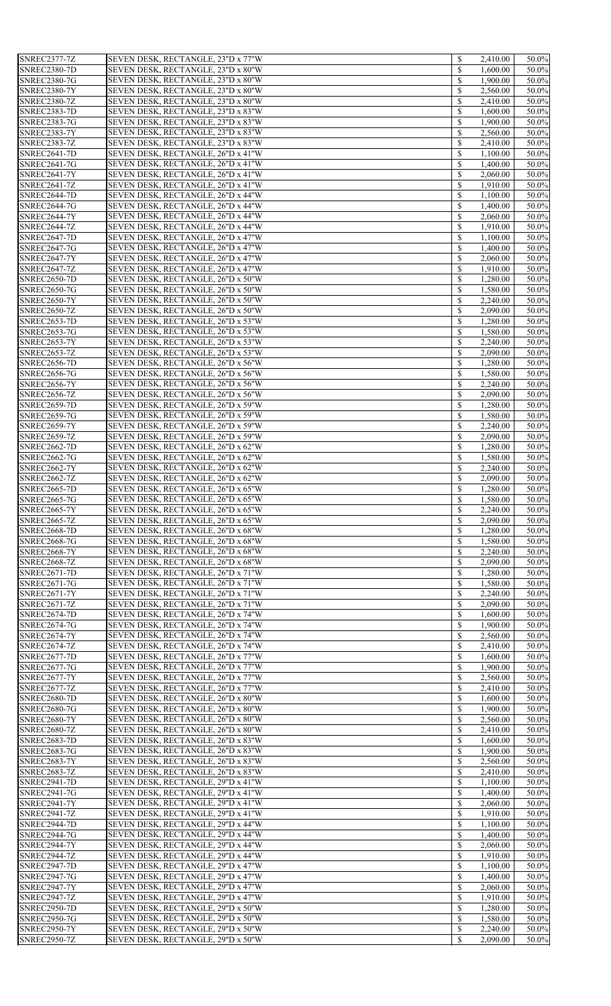| <b>SNREC2377-7Z</b> | SEVEN DESK, RECTANGLE, 23"D x 77"W | $\mathcal{S}$             | 2,410.00 | 50.0% |
|---------------------|------------------------------------|---------------------------|----------|-------|
| <b>SNREC2380-7D</b> | SEVEN DESK, RECTANGLE, 23"D x 80"W | $\mathcal{S}$             | 1,600.00 | 50.0% |
| <b>SNREC2380-7G</b> | SEVEN DESK, RECTANGLE, 23"D x 80"W | $\boldsymbol{\mathsf{S}}$ | 1,900.00 | 50.0% |
| <b>SNREC2380-7Y</b> | SEVEN DESK, RECTANGLE, 23"D x 80"W | $\mathcal{S}$             | 2,560.00 | 50.0% |
|                     |                                    |                           |          |       |
| <b>SNREC2380-7Z</b> | SEVEN DESK, RECTANGLE, 23"D x 80"W | $\boldsymbol{\mathsf{S}}$ | 2,410.00 | 50.0% |
| <b>SNREC2383-7D</b> | SEVEN DESK, RECTANGLE, 23"D x 83"W | $\mathcal{S}$             | 1,600.00 | 50.0% |
| <b>SNREC2383-7G</b> | SEVEN DESK, RECTANGLE, 23"D x 83"W | $\boldsymbol{\mathsf{S}}$ | 1,900.00 | 50.0% |
|                     |                                    |                           |          |       |
| SNREC2383-7Y        | SEVEN DESK, RECTANGLE, 23"D x 83"W | $\mathcal{S}$             | 2,560.00 | 50.0% |
| <b>SNREC2383-7Z</b> | SEVEN DESK, RECTANGLE, 23"D x 83"W | $\boldsymbol{\mathsf{S}}$ | 2,410.00 | 50.0% |
| <b>SNREC2641-7D</b> | SEVEN DESK, RECTANGLE, 26"D x 41"W | $\mathcal{S}$             | 1,100.00 | 50.0% |
|                     |                                    |                           |          |       |
| <b>SNREC2641-7G</b> | SEVEN DESK, RECTANGLE, 26"D x 41"W | $\boldsymbol{\mathsf{S}}$ | 1,400.00 | 50.0% |
| SNREC2641-7Y        | SEVEN DESK, RECTANGLE, 26"D x 41"W | $\mathcal{S}$             | 2,060.00 | 50.0% |
| <b>SNREC2641-7Z</b> | SEVEN DESK, RECTANGLE, 26"D x 41"W | $\boldsymbol{\mathsf{S}}$ | 1,910.00 | 50.0% |
|                     |                                    |                           |          |       |
| SNREC2644-7D        | SEVEN DESK, RECTANGLE, 26"D x 44"W | $\boldsymbol{\mathsf{S}}$ | 1,100.00 | 50.0% |
| <b>SNREC2644-7G</b> | SEVEN DESK, RECTANGLE, 26"D x 44"W | $\boldsymbol{\mathsf{S}}$ | 1,400.00 | 50.0% |
| SNREC2644-7Y        | SEVEN DESK, RECTANGLE, 26"D x 44"W | $\mathcal{S}$             | 2,060.00 | 50.0% |
| <b>SNREC2644-7Z</b> | SEVEN DESK, RECTANGLE, 26"D x 44"W | $\boldsymbol{\mathsf{S}}$ | 1,910.00 | 50.0% |
|                     |                                    |                           |          |       |
| <b>SNREC2647-7D</b> | SEVEN DESK, RECTANGLE, 26"D x 47"W | $\mathcal{S}$             | 1,100.00 | 50.0% |
| <b>SNREC2647-7G</b> | SEVEN DESK, RECTANGLE, 26"D x 47"W | $\boldsymbol{\mathsf{S}}$ | 1,400.00 | 50.0% |
| SNREC2647-7Y        | SEVEN DESK, RECTANGLE, 26"D x 47"W | $\mathcal{S}$             | 2,060.00 | 50.0% |
|                     |                                    |                           |          |       |
| <b>SNREC2647-7Z</b> | SEVEN DESK, RECTANGLE, 26"D x 47"W | $\boldsymbol{\mathsf{S}}$ | 1,910.00 | 50.0% |
| <b>SNREC2650-7D</b> | SEVEN DESK, RECTANGLE, 26"D x 50"W | $\mathcal{S}$             | 1,280.00 | 50.0% |
| <b>SNREC2650-7G</b> | SEVEN DESK, RECTANGLE, 26"D x 50"W | $\boldsymbol{\mathsf{S}}$ | 1,580.00 | 50.0% |
|                     |                                    |                           |          |       |
| SNREC2650-7Y        | SEVEN DESK, RECTANGLE, 26"D x 50"W | $\mathcal{S}$             | 2,240.00 | 50.0% |
| <b>SNREC2650-7Z</b> | SEVEN DESK, RECTANGLE, 26"D x 50"W | $\boldsymbol{\mathsf{S}}$ | 2,090.00 | 50.0% |
| <b>SNREC2653-7D</b> | SEVEN DESK, RECTANGLE, 26"D x 53"W | $\boldsymbol{\mathsf{S}}$ | 1,280.00 | 50.0% |
|                     |                                    |                           |          |       |
| <b>SNREC2653-7G</b> | SEVEN DESK, RECTANGLE, 26"D x 53"W | $\boldsymbol{\mathsf{S}}$ | 1,580.00 | 50.0% |
| SNREC2653-7Y        | SEVEN DESK, RECTANGLE, 26"D x 53"W | $\mathcal{S}$             | 2,240.00 | 50.0% |
| <b>SNREC2653-7Z</b> | SEVEN DESK, RECTANGLE, 26"D x 53"W | $\boldsymbol{\mathsf{S}}$ | 2,090.00 | 50.0% |
|                     |                                    |                           |          |       |
| <b>SNREC2656-7D</b> | SEVEN DESK, RECTANGLE, 26"D x 56"W | $\mathcal{S}$             | 1,280.00 | 50.0% |
| <b>SNREC2656-7G</b> | SEVEN DESK, RECTANGLE, 26"D x 56"W | $\mathbb{S}$              | 1,580.00 | 50.0% |
| SNREC2656-7Y        | SEVEN DESK, RECTANGLE, 26"D x 56"W | $\boldsymbol{\mathsf{S}}$ | 2,240.00 | 50.0% |
| <b>SNREC2656-7Z</b> | SEVEN DESK, RECTANGLE, 26"D x 56"W | $\boldsymbol{\mathsf{S}}$ | 2,090.00 | 50.0% |
|                     |                                    |                           |          |       |
| <b>SNREC2659-7D</b> | SEVEN DESK, RECTANGLE, 26"D x 59"W | $\mathcal{S}$             | 1,280.00 | 50.0% |
| <b>SNREC2659-7G</b> | SEVEN DESK, RECTANGLE, 26"D x 59"W | $\mathbb{S}$              | 1,580.00 | 50.0% |
| SNREC2659-7Y        | SEVEN DESK, RECTANGLE, 26"D x 59"W | $\mathcal{S}$             | 2,240.00 | 50.0% |
|                     |                                    |                           |          |       |
| <b>SNREC2659-7Z</b> | SEVEN DESK, RECTANGLE, 26"D x 59"W | $\boldsymbol{\mathsf{S}}$ | 2,090.00 | 50.0% |
| <b>SNREC2662-7D</b> | SEVEN DESK, RECTANGLE, 26"D x 62"W | $\mathbb{S}$              | 1,280.00 | 50.0% |
| <b>SNREC2662-7G</b> | SEVEN DESK, RECTANGLE, 26"D x 62"W | $\boldsymbol{\mathsf{S}}$ | 1,580.00 | 50.0% |
|                     |                                    |                           |          |       |
| SNREC2662-7Y        | SEVEN DESK, RECTANGLE, 26"D x 62"W | $\mathcal{S}$             | 2,240.00 | 50.0% |
| <b>SNREC2662-7Z</b> | SEVEN DESK, RECTANGLE, 26"D x 62"W | $\boldsymbol{\mathsf{S}}$ | 2,090.00 | 50.0% |
| <b>SNREC2665-7D</b> | SEVEN DESK, RECTANGLE, 26"D x 65"W | $\mathbb{S}$              | 1,280.00 | 50.0% |
|                     |                                    |                           |          |       |
| <b>SNREC2665-7G</b> | SEVEN DESK, RECTANGLE, 26"D x 65"W | $\boldsymbol{\mathsf{S}}$ | 1,580.00 | 50.0% |
| SNREC2665-7Y        | SEVEN DESK, RECTANGLE, 26"D x 65"W | $\boldsymbol{\mathsf{S}}$ | 2,240.00 | 50.0% |
| <b>SNREC2665-7Z</b> | SEVEN DESK, RECTANGLE, 26"D x 65"W | $\boldsymbol{\mathsf{S}}$ | 2,090.00 | 50.0% |
|                     |                                    |                           |          |       |
| <b>SNREC2668-7D</b> | SEVEN DESK, RECTANGLE, 26"D x 68"W | $\mathbb{S}$              | 1,280.00 | 50.0% |
| <b>SNREC2668-7G</b> | SEVEN DESK, RECTANGLE, 26"D x 68"W | $\boldsymbol{\mathsf{S}}$ | 1,580.00 | 50.0% |
| SNREC2668-7Y        | SEVEN DESK, RECTANGLE, 26"D x 68"W | $\mathcal{S}$             | 2,240.00 | 50.0% |
| <b>SNREC2668-7Z</b> | SEVEN DESK, RECTANGLE, 26"D x 68"W | $\boldsymbol{\mathsf{S}}$ | 2,090.00 | 50.0% |
|                     |                                    |                           |          |       |
| <b>SNREC2671-7D</b> | SEVEN DESK, RECTANGLE, 26"D x 71"W | $\mathbb{S}$              | 1,280.00 | 50.0% |
| <b>SNREC2671-7G</b> | SEVEN DESK, RECTANGLE, 26"D x 71"W | $\boldsymbol{\mathsf{S}}$ | 1,580.00 | 50.0% |
| SNREC2671-7Y        | SEVEN DESK, RECTANGLE, 26"D x 71"W | $\mathcal{S}$             | 2,240.00 | 50.0% |
|                     |                                    |                           |          |       |
| <b>SNREC2671-7Z</b> | SEVEN DESK, RECTANGLE, 26"D x 71"W | $\boldsymbol{\mathsf{S}}$ | 2,090.00 | 50.0% |
| <b>SNREC2674-7D</b> | SEVEN DESK, RECTANGLE, 26"D x 74"W | <sup>\$</sup>             | 1,600.00 | 50.0% |
| <b>SNREC2674-7G</b> | SEVEN DESK, RECTANGLE, 26"D x 74"W | $\boldsymbol{\mathsf{S}}$ | 1,900.00 | 50.0% |
| <b>SNREC2674-7Y</b> |                                    |                           | 2,560.00 |       |
|                     | SEVEN DESK, RECTANGLE, 26"D x 74"W | $\mathcal{S}$             |          | 50.0% |
| <b>SNREC2674-7Z</b> | SEVEN DESK, RECTANGLE, 26"D x 74"W | $\boldsymbol{\mathsf{S}}$ | 2,410.00 | 50.0% |
| <b>SNREC2677-7D</b> | SEVEN DESK, RECTANGLE, 26"D x 77"W | $\mathbb{S}$              | 1,600.00 | 50.0% |
| <b>SNREC2677-7G</b> | SEVEN DESK, RECTANGLE, 26"D x 77"W | $\mathcal{S}$             | 1,900.00 | 50.0% |
|                     |                                    |                           |          |       |
| SNREC2677-7Y        | SEVEN DESK, RECTANGLE, 26"D x 77"W | $\mathcal{S}$             | 2,560.00 | 50.0% |
| <b>SNREC2677-7Z</b> | SEVEN DESK, RECTANGLE, 26"D x 77"W | $\mathbb{S}$              | 2,410.00 | 50.0% |
| <b>SNREC2680-7D</b> | SEVEN DESK, RECTANGLE, 26"D x 80"W | $\mathbb{S}$              | 1,600.00 | 50.0% |
| <b>SNREC2680-7G</b> | SEVEN DESK, RECTANGLE, 26"D x 80"W | $\mathcal{S}$             | 1,900.00 | 50.0% |
|                     |                                    |                           |          |       |
| SNREC2680-7Y        | SEVEN DESK, RECTANGLE, 26"D x 80"W | $\mathbb{S}$              | 2,560.00 | 50.0% |
| <b>SNREC2680-7Z</b> | SEVEN DESK, RECTANGLE, 26"D x 80"W | $\mathcal{S}$             | 2,410.00 | 50.0% |
| <b>SNREC2683-7D</b> | SEVEN DESK, RECTANGLE, 26"D x 83"W | $\mathbb{S}$              | 1,600.00 | 50.0% |
|                     | SEVEN DESK, RECTANGLE, 26"D x 83"W |                           |          |       |
| <b>SNREC2683-7G</b> |                                    | $\mathcal{S}$             | 1,900.00 | 50.0% |
| SNREC2683-7Y        | SEVEN DESK, RECTANGLE, 26"D x 83"W | $\mathbb{S}$              | 2,560.00 | 50.0% |
| <b>SNREC2683-7Z</b> | SEVEN DESK, RECTANGLE, 26"D x 83"W | $\mathcal{S}$             | 2,410.00 | 50.0% |
| <b>SNREC2941-7D</b> | SEVEN DESK, RECTANGLE, 29"D x 41"W | $\mathcal{S}$             | 1,100.00 | 50.0% |
|                     |                                    |                           |          |       |
| <b>SNREC2941-7G</b> | SEVEN DESK, RECTANGLE, 29"D x 41"W | $\mathcal{S}$             | 1,400.00 | 50.0% |
| SNREC2941-7Y        | SEVEN DESK, RECTANGLE, 29"D x 41"W | <sup>\$</sup>             | 2,060.00 | 50.0% |
| <b>SNREC2941-7Z</b> | SEVEN DESK, RECTANGLE, 29"D x 41"W | $\mathcal{S}$             | 1,910.00 | 50.0% |
|                     |                                    |                           |          |       |
| <b>SNREC2944-7D</b> | SEVEN DESK, RECTANGLE, 29"D x 44"W | $\mathcal{S}$             | 1,100.00 | 50.0% |
| <b>SNREC2944-7G</b> | SEVEN DESK, RECTANGLE, 29"D x 44"W | $\mathcal{S}$             | 1,400.00 | 50.0% |
| SNREC2944-7Y        | SEVEN DESK, RECTANGLE, 29"D x 44"W | <sup>\$</sup>             | 2,060.00 | 50.0% |
|                     |                                    |                           |          |       |
| <b>SNREC2944-7Z</b> | SEVEN DESK, RECTANGLE, 29"D x 44"W | $\mathcal{S}$             | 1,910.00 | 50.0% |
| <b>SNREC2947-7D</b> | SEVEN DESK, RECTANGLE, 29"D x 47"W | $\mathbb{S}$              | 1,100.00 | 50.0% |
|                     | SEVEN DESK, RECTANGLE, 29"D x 47"W | $\mathcal{S}$             | 1,400.00 | 50.0% |
|                     | SEVEN DESK, RECTANGLE, 29"D x 47"W |                           |          | 50.0% |
| <b>SNREC2947-7G</b> |                                    | <sup>\$</sup>             | 2,060.00 |       |
| <b>SNREC2947-7Y</b> |                                    | $\mathcal{S}$             | 1,910.00 | 50.0% |
| <b>SNREC2947-7Z</b> | SEVEN DESK, RECTANGLE, 29"D x 47"W |                           |          |       |
|                     |                                    |                           |          |       |
| <b>SNREC2950-7D</b> | SEVEN DESK, RECTANGLE, 29"D x 50"W | $\mathcal{S}$             | 1,280.00 | 50.0% |
| <b>SNREC2950-7G</b> | SEVEN DESK, RECTANGLE, 29"D x 50"W | $\mathcal{S}$             | 1,580.00 | 50.0% |
| <b>SNREC2950-7Y</b> | SEVEN DESK, RECTANGLE, 29"D x 50"W | <sup>\$</sup>             | 2,240.00 | 50.0% |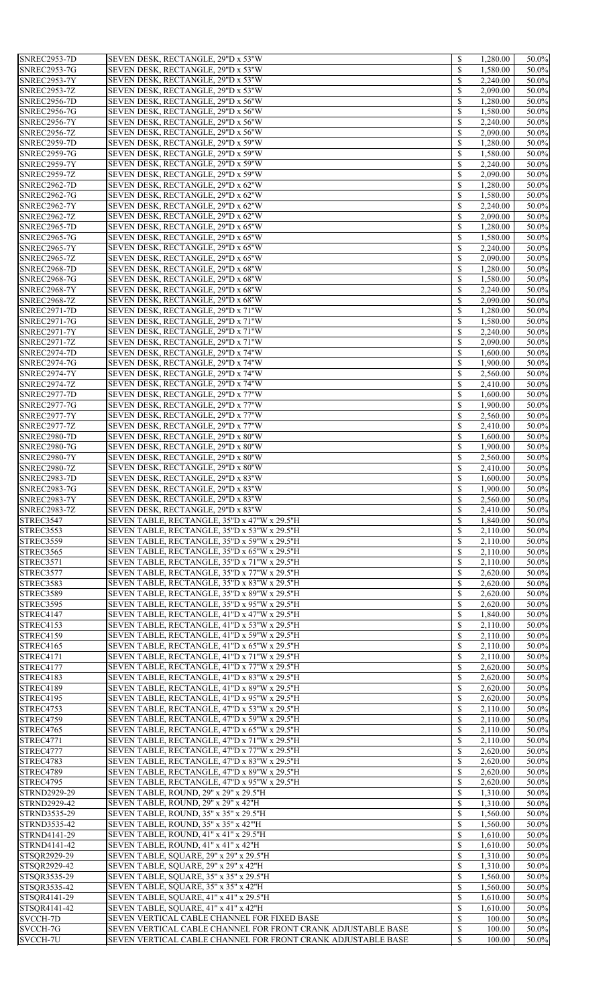| SNREC2953-7D        | SEVEN DESK, RECTANGLE, 29"D x 53"W                           | $\mathbb{S}$              | 1,280.00 | 50.0% |
|---------------------|--------------------------------------------------------------|---------------------------|----------|-------|
|                     |                                                              |                           |          |       |
| <b>SNREC2953-7G</b> | SEVEN DESK, RECTANGLE, 29"D x 53"W                           | \$                        | 1,580.00 | 50.0% |
| <b>SNREC2953-7Y</b> | SEVEN DESK, RECTANGLE, 29"D x 53"W                           | $\mathcal{S}$             | 2,240.00 | 50.0% |
| <b>SNREC2953-7Z</b> | SEVEN DESK, RECTANGLE, 29"D x 53"W                           | \$                        | 2,090.00 | 50.0% |
| <b>SNREC2956-7D</b> | SEVEN DESK, RECTANGLE, 29"D x 56"W                           | $\mathcal{S}$             | 1,280.00 | 50.0% |
| <b>SNREC2956-7G</b> | SEVEN DESK, RECTANGLE, 29"D x 56"W                           | \$                        | 1,580.00 | 50.0% |
| <b>SNREC2956-7Y</b> | SEVEN DESK, RECTANGLE, 29"D x 56"W                           | $\mathcal{S}$             | 2,240.00 | 50.0% |
|                     |                                                              |                           |          |       |
| <b>SNREC2956-7Z</b> | SEVEN DESK, RECTANGLE, 29"D x 56"W                           | $\boldsymbol{\mathsf{S}}$ | 2,090.00 | 50.0% |
| <b>SNREC2959-7D</b> | SEVEN DESK, RECTANGLE, 29"D x 59"W                           | $\mathcal{S}$             | 1,280.00 | 50.0% |
| <b>SNREC2959-7G</b> | SEVEN DESK, RECTANGLE, 29"D x 59"W                           | $\mathcal{S}$             | 1,580.00 | 50.0% |
| <b>SNREC2959-7Y</b> | SEVEN DESK, RECTANGLE, 29"D x 59"W                           | $\mathcal{S}$             | 2,240.00 | 50.0% |
| <b>SNREC2959-7Z</b> | SEVEN DESK, RECTANGLE, 29"D x 59"W                           | $\boldsymbol{\mathsf{S}}$ | 2,090.00 | 50.0% |
| <b>SNREC2962-7D</b> | SEVEN DESK, RECTANGLE, 29"D x 62"W                           | $\mathcal{S}$             | 1,280.00 | 50.0% |
|                     |                                                              |                           |          |       |
| <b>SNREC2962-7G</b> | SEVEN DESK, RECTANGLE, 29"D x 62"W                           | $\mathcal{S}$             | 1,580.00 | 50.0% |
| <b>SNREC2962-7Y</b> | SEVEN DESK, RECTANGLE, 29"D x 62"W                           | $\mathcal{S}$             | 2,240.00 | 50.0% |
| <b>SNREC2962-7Z</b> | SEVEN DESK, RECTANGLE, 29"D x 62"W                           | $\boldsymbol{\mathsf{S}}$ | 2,090.00 | 50.0% |
| <b>SNREC2965-7D</b> | SEVEN DESK, RECTANGLE, 29"D x 65"W                           | $\mathcal{S}$             | 1,280.00 | 50.0% |
| <b>SNREC2965-7G</b> | SEVEN DESK, RECTANGLE, 29"D x 65"W                           | $\mathcal{S}$             | 1,580.00 | 50.0% |
| <b>SNREC2965-7Y</b> | SEVEN DESK, RECTANGLE, 29"D x 65"W                           | $\mathcal{S}$             | 2,240.00 | 50.0% |
|                     |                                                              |                           |          |       |
| <b>SNREC2965-7Z</b> | SEVEN DESK, RECTANGLE, 29"D x 65"W                           | $\boldsymbol{\mathsf{S}}$ | 2,090.00 | 50.0% |
| <b>SNREC2968-7D</b> | SEVEN DESK, RECTANGLE, 29"D x 68"W                           | $\mathcal{S}$             | 1,280.00 | 50.0% |
| <b>SNREC2968-7G</b> | SEVEN DESK, RECTANGLE, 29"D x 68"W                           | $\mathcal{S}$             | 1,580.00 | 50.0% |
| <b>SNREC2968-7Y</b> | SEVEN DESK, RECTANGLE, 29"D x 68"W                           | $\mathcal{S}$             | 2,240.00 | 50.0% |
| <b>SNREC2968-7Z</b> | SEVEN DESK, RECTANGLE, 29"D x 68"W                           | $\boldsymbol{\mathsf{S}}$ | 2,090.00 | 50.0% |
| <b>SNREC2971-7D</b> | SEVEN DESK, RECTANGLE, 29"D x 71"W                           | $\mathcal{S}$             | 1,280.00 | 50.0% |
|                     |                                                              |                           |          |       |
| <b>SNREC2971-7G</b> | SEVEN DESK, RECTANGLE, 29"D x 71"W                           | $\mathcal{S}$             | 1,580.00 | 50.0% |
| <b>SNREC2971-7Y</b> | SEVEN DESK, RECTANGLE, 29"D x 71"W                           | $\mathcal{S}$             | 2,240.00 | 50.0% |
| <b>SNREC2971-7Z</b> | SEVEN DESK, RECTANGLE, 29"D x 71"W                           | $\mathcal{S}$             | 2,090.00 | 50.0% |
| <b>SNREC2974-7D</b> | SEVEN DESK, RECTANGLE, 29"D x 74"W                           | $\mathcal{S}$             | 1,600.00 | 50.0% |
|                     |                                                              |                           |          |       |
| <b>SNREC2974-7G</b> | SEVEN DESK, RECTANGLE, 29"D x 74"W                           |                           | 1,900.00 | 50.0% |
| SNREC2974-7Y        | SEVEN DESK, RECTANGLE, 29"D x 74"W                           | \$                        | 2,560.00 | 50.0% |
| <b>SNREC2974-7Z</b> | SEVEN DESK, RECTANGLE, 29"D x 74"W                           | $\boldsymbol{\mathsf{S}}$ | 2,410.00 | 50.0% |
| <b>SNREC2977-7D</b> | SEVEN DESK, RECTANGLE, 29"D x 77"W                           | $\mathcal{S}$             | 1,600.00 | 50.0% |
| <b>SNREC2977-7G</b> | SEVEN DESK, RECTANGLE, 29"D x 77"W                           | $\mathcal{S}$             | 1,900.00 | 50.0% |
| <b>SNREC2977-7Y</b> | SEVEN DESK, RECTANGLE, 29"D x 77"W                           | \$                        | 2,560.00 | 50.0% |
|                     |                                                              |                           |          |       |
| <b>SNREC2977-7Z</b> | SEVEN DESK, RECTANGLE, 29"D x 77"W                           | $\boldsymbol{\mathsf{S}}$ | 2,410.00 | 50.0% |
| <b>SNREC2980-7D</b> | SEVEN DESK, RECTANGLE, 29"D x 80"W                           | $\mathcal{S}$             | 1,600.00 | 50.0% |
| <b>SNREC2980-7G</b> | SEVEN DESK, RECTANGLE, 29"D x 80"W                           | $\mathcal{S}$             | 1,900.00 | 50.0% |
| <b>SNREC2980-7Y</b> | SEVEN DESK, RECTANGLE, 29"D x 80"W                           | \$                        | 2,560.00 | 50.0% |
| <b>SNREC2980-7Z</b> | SEVEN DESK, RECTANGLE, 29"D x 80"W                           | $\mathcal{S}$             | 2,410.00 | 50.0% |
| <b>SNREC2983-7D</b> | SEVEN DESK, RECTANGLE, 29"D x 83"W                           | $\mathcal{S}$             |          | 50.0% |
|                     |                                                              |                           | 1,600.00 |       |
| <b>SNREC2983-7G</b> | SEVEN DESK, RECTANGLE, 29"D x 83"W                           | $\mathcal{S}$             | 1,900.00 | 50.0% |
| <b>SNREC2983-7Y</b> | SEVEN DESK, RECTANGLE, 29"D x 83"W                           | \$                        | 2,560.00 | 50.0% |
| <b>SNREC2983-7Z</b> | SEVEN DESK, RECTANGLE, 29"D x 83"W                           | $\mathcal{S}$             | 2,410.00 | 50.0% |
| STREC3547           | SEVEN TABLE, RECTANGLE, 35"D x 47"W x 29.5"H                 | $\mathcal{S}$             | 1,840.00 | 50.0% |
| STREC3553           | SEVEN TABLE, RECTANGLE, 35"D x 53"W x 29.5"H                 | $\mathcal{S}$             | 2,110.00 | 50.0% |
|                     |                                                              |                           |          |       |
| <b>STREC3559</b>    | SEVEN TABLE, RECTANGLE, 35"D x 59"W x 29.5"H                 | \$                        | 2,110.00 | 50.0% |
| STREC3565           | SEVEN TABLE, RECTANGLE, 35"D x 65"W x 29.5"H                 | $\boldsymbol{\mathsf{S}}$ | 2,110.00 | 50.0% |
| <b>STREC3571</b>    | SEVEN TABLE, RECTANGLE, 35"D x 71"W x 29.5"H                 | $\mathcal{S}$             | 2,110.00 | 50.0% |
| STREC3577           | SEVEN TABLE, RECTANGLE, 35"D x 77"W x 29.5"H                 | $\mathcal{S}$             | 2,620.00 | 50.0% |
| STREC3583           | SEVEN TABLE, RECTANGLE, 35"D x 83"W x 29.5"H                 | $\mathcal{S}$             | 2,620.00 | 50.0% |
|                     |                                                              |                           |          |       |
| <b>STREC3589</b>    | SEVEN TABLE, RECTANGLE, 35"D x 89"W x 29.5"H                 | $\mathcal{S}$             | 2,620.00 | 50.0% |
| <b>STREC3595</b>    | SEVEN TABLE, RECTANGLE, 35"D x 95"W x 29.5"H                 | $\mathcal{S}$             | 2,620.00 | 50.0% |
| STREC4147           | SEVEN TABLE, RECTANGLE, 41"D x 47"W x 29.5"H                 | $\mathcal{S}$             | 1,840.00 | 50.0% |
| <b>STREC4153</b>    | SEVEN TABLE, RECTANGLE, 41"D x 53"W x 29.5"H                 | $\mathcal{S}$             | 2,110.00 | 50.0% |
| <b>STREC4159</b>    | SEVEN TABLE, RECTANGLE, 41"D x 59"W x 29.5"H                 | $\mathcal{S}$             | 2,110.00 | 50.0% |
| <b>STREC4165</b>    | SEVEN TABLE, RECTANGLE, 41"D x 65"W x 29.5"H                 | $\mathcal{S}$             | 2,110.00 | 50.0% |
|                     |                                                              |                           |          |       |
| <b>STREC4171</b>    | SEVEN TABLE, RECTANGLE, 41"D x 71"W x 29.5"H                 | $\mathcal{S}$             | 2,110.00 | 50.0% |
| <b>STREC4177</b>    | SEVEN TABLE, RECTANGLE, 41"D x 77"W x 29.5"H                 | \$                        | 2,620.00 | 50.0% |
| STREC4183           | SEVEN TABLE, RECTANGLE, 41"D x 83"W x 29.5"H                 |                           | 2,620.00 | 50.0% |
| STREC4189           | SEVEN TABLE, RECTANGLE, 41"D x 89"W x 29.5"H                 | $\mathcal{S}$             | 2,620.00 | 50.0% |
| STREC4195           | SEVEN TABLE, RECTANGLE, 41"D x 95"W x 29.5"H                 | $\boldsymbol{\mathsf{S}}$ | 2,620.00 | 50.0% |
| <b>STREC4753</b>    | SEVEN TABLE, RECTANGLE, 47"D x 53"W x 29.5"H                 | $\mathcal{S}$             | 2,110.00 | 50.0% |
|                     |                                                              |                           |          |       |
| STREC4759           | SEVEN TABLE, RECTANGLE, 47"D x 59"W x 29.5"H                 | $\mathcal{S}$             | 2,110.00 | 50.0% |
| STREC4765           | SEVEN TABLE, RECTANGLE, 47"D x 65"W x 29.5"H                 | \$                        | 2,110.00 | 50.0% |
| <b>STREC4771</b>    | SEVEN TABLE, RECTANGLE, 47"D x 71"W x 29.5"H                 | $\mathcal{S}$             | 2,110.00 | 50.0% |
| STREC4777           | SEVEN TABLE, RECTANGLE, 47"D x 77"W x 29.5"H                 | \$                        | 2,620.00 | 50.0% |
| STREC4783           | SEVEN TABLE, RECTANGLE, 47"D x 83"W x 29.5"H                 | $\mathcal{S}$             | 2,620.00 | 50.0% |
| <b>STREC4789</b>    | SEVEN TABLE, RECTANGLE, 47"D x 89"W x 29.5"H                 | \$                        | 2,620.00 | 50.0% |
| <b>STREC4795</b>    | SEVEN TABLE, RECTANGLE, 47"D x 95"W x 29.5"H                 | $\mathcal{S}$             | 2,620.00 | 50.0% |
|                     |                                                              |                           |          |       |
| STRND2929-29        | SEVEN TABLE, ROUND, 29" x 29" x 29.5"H                       | $\mathcal{S}$             | 1,310.00 | 50.0% |
| <b>STRND2929-42</b> | SEVEN TABLE, ROUND, 29" x 29" x 42"H                         | $\mathcal{S}$             | 1,310.00 | 50.0% |
| STRND3535-29        | SEVEN TABLE, ROUND, 35" x 35" x 29.5"H                       | \$                        | 1,560.00 | 50.0% |
| STRND3535-42        | SEVEN TABLE, ROUND, 35" x 35" x 42"H                         | $\mathcal{S}$             | 1,560.00 | 50.0% |
| STRND4141-29        | SEVEN TABLE, ROUND, 41" x 41" x 29.5"H                       | $\mathcal{S}$             | 1,610.00 | 50.0% |
| STRND4141-42        | SEVEN TABLE, ROUND, 41" x 41" x 42"H                         | $\mathcal{S}$             | 1,610.00 | 50.0% |
|                     |                                                              |                           |          |       |
| STSQR2929-29        | SEVEN TABLE, SQUARE, 29" x 29" x 29.5"H                      | \$                        | 1,310.00 | 50.0% |
| STSQR2929-42        | SEVEN TABLE, SQUARE, 29" x 29" x 42"H                        | $\mathcal{S}$             | 1,310.00 | 50.0% |
| STSQR3535-29        | SEVEN TABLE, SQUARE, 35" x 35" x 29.5"H                      | $\mathcal{S}$             | 1,560.00 | 50.0% |
| STSQR3535-42        | SEVEN TABLE, SQUARE, 35" x 35" x 42"H                        | $\mathcal{S}$             | 1,560.00 | 50.0% |
| STSQR4141-29        | SEVEN TABLE, SQUARE, 41" x 41" x 29.5"H                      | $\mathcal{S}$             | 1,610.00 | 50.0% |
|                     |                                                              | $\mathcal{S}$             | 1,610.00 | 50.0% |
| STSQR4141-42        | SEVEN TABLE, SQUARE, 41" x 41" x 42"H                        |                           |          |       |
| SVCCH-7D            | SEVEN VERTICAL CABLE CHANNEL FOR FIXED BASE                  | $\mathcal{S}$             | 100.00   | 50.0% |
| SVCCH-7G            | SEVEN VERTICAL CABLE CHANNEL FOR FRONT CRANK ADJUSTABLE BASE | $\mathbb{S}$              | 100.00   | 50.0% |
| <b>SVCCH-7U</b>     | SEVEN VERTICAL CABLE CHANNEL FOR FRONT CRANK ADJUSTABLE BASE | $\mathbb{S}$              | 100.00   | 50.0% |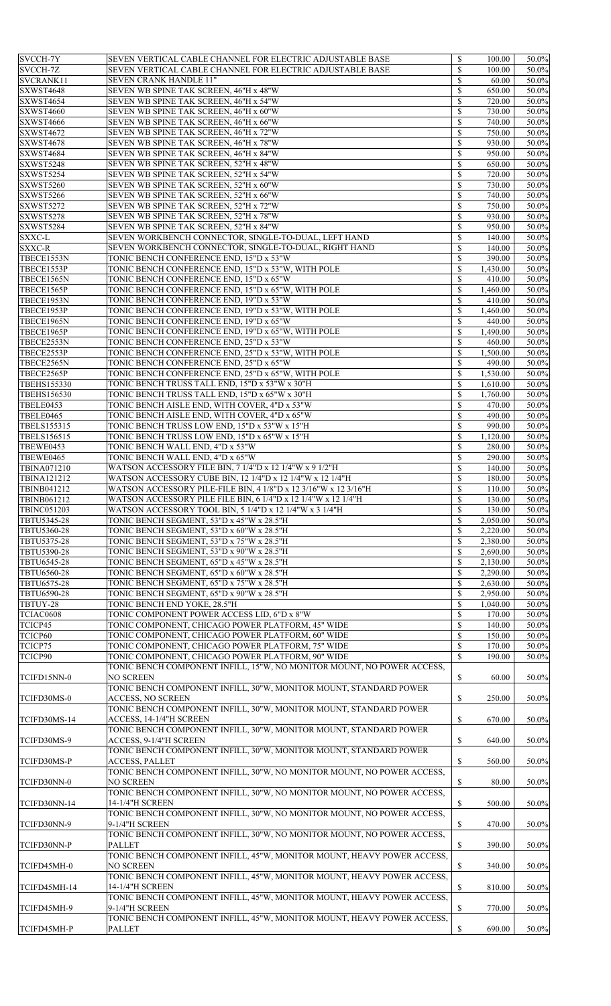| SVCCH-7Y                                   | SEVEN VERTICAL CABLE CHANNEL FOR ELECTRIC ADJUSTABLE BASE                               | $\mathbb{S}$              | 100.00   | 50.0%    |
|--------------------------------------------|-----------------------------------------------------------------------------------------|---------------------------|----------|----------|
| SVCCH-7Z                                   | SEVEN VERTICAL CABLE CHANNEL FOR ELECTRIC ADJUSTABLE BASE                               | $\mathcal{S}$             | 100.00   | 50.0%    |
|                                            |                                                                                         |                           |          |          |
| SVCRANK11                                  | SEVEN CRANK HANDLE 11"                                                                  | $\mathcal{S}$             | 60.00    | 50.0%    |
| SXWST4648                                  | SEVEN WB SPINE TAK SCREEN, 46"H x 48"W                                                  | $\mathcal{S}$             | 650.00   | 50.0%    |
| SXWST4654                                  | SEVEN WB SPINE TAK SCREEN, 46"H x 54"W                                                  | $\mathcal{S}$             | 720.00   | 50.0%    |
| SXWST4660                                  | SEVEN WB SPINE TAK SCREEN, 46"H x 60"W                                                  | $\boldsymbol{\mathsf{S}}$ | 730.00   | 50.0%    |
| SXWST4666                                  | SEVEN WB SPINE TAK SCREEN, 46"H x 66"W                                                  | $\mathcal{S}$             | 740.00   | 50.0%    |
|                                            |                                                                                         |                           |          |          |
| <b>SXWST4672</b>                           | SEVEN WB SPINE TAK SCREEN, 46"H x 72"W                                                  | $\mathcal{S}$             | 750.00   | 50.0%    |
| SXWST4678                                  | SEVEN WB SPINE TAK SCREEN, 46"H x 78"W                                                  | $\mathcal{S}$             | 930.00   | 50.0%    |
| SXWST4684                                  | SEVEN WB SPINE TAK SCREEN, 46"H x 84"W                                                  | $\boldsymbol{\mathsf{S}}$ | 950.00   | 50.0%    |
| SXWST5248                                  | SEVEN WB SPINE TAK SCREEN, 52"H x 48"W                                                  | $\mathcal{S}$             | 650.00   | 50.0%    |
|                                            |                                                                                         |                           |          |          |
| <b>SXWST5254</b>                           | SEVEN WB SPINE TAK SCREEN, 52"H x 54"W                                                  | $\mathcal{S}$             | 720.00   | 50.0%    |
| SXWST5260                                  | SEVEN WB SPINE TAK SCREEN, 52"H x 60"W                                                  | $\mathcal{S}$             | 730.00   | 50.0%    |
| SXWST5266                                  | SEVEN WB SPINE TAK SCREEN, 52"H x 66"W                                                  | $\mathcal{S}$             | 740.00   | 50.0%    |
| SXWST5272                                  | SEVEN WB SPINE TAK SCREEN, 52"H x 72"W                                                  | $\mathcal{S}$             | 750.00   | 50.0%    |
|                                            |                                                                                         |                           |          |          |
| SXWST5278                                  | SEVEN WB SPINE TAK SCREEN, 52"H x 78"W                                                  | $\mathcal{S}$             | 930.00   | 50.0%    |
| SXWST5284                                  | SEVEN WB SPINE TAK SCREEN, 52"H x 84"W                                                  | $\mathcal{S}$             | 950.00   | 50.0%    |
| SXXC-L                                     | SEVEN WORKBENCH CONNECTOR, SINGLE-TO-DUAL, LEFT HAND                                    | $\mathcal{S}$             | 140.00   | 50.0%    |
|                                            | SEVEN WORKBENCH CONNECTOR, SINGLE-TO-DUAL, RIGHT HAND                                   |                           |          |          |
| $SXXC-R$                                   |                                                                                         | $\mathcal{S}$             | 140.00   | 50.0%    |
| TBECE1553N                                 | TONIC BENCH CONFERENCE END, 15"D x 53"W                                                 | $\mathcal{S}$             | 390.00   | 50.0%    |
| TBECE1553P                                 | TONIC BENCH CONFERENCE END, 15"D x 53"W, WITH POLE                                      | $\mathcal{S}$             | 1,430.00 | 50.0%    |
| TBECE1565N                                 | TONIC BENCH CONFERENCE END, 15"D x 65"W                                                 | $\mathcal{S}$             | 410.00   | 50.0%    |
|                                            |                                                                                         |                           |          |          |
| TBECE1565P                                 | TONIC BENCH CONFERENCE END, 15"D x 65"W, WITH POLE                                      | $\mathcal{S}$             | 1,460.00 | 50.0%    |
| TBECE1953N                                 | TONIC BENCH CONFERENCE END, 19"D x 53"W                                                 | $\mathcal{S}$             | 410.00   | 50.0%    |
| TBECE1953P                                 | TONIC BENCH CONFERENCE END, 19"D x 53"W, WITH POLE                                      | $\mathcal{S}$             | 1,460.00 | 50.0%    |
|                                            |                                                                                         |                           |          |          |
| TBECE1965N                                 | TONIC BENCH CONFERENCE END, 19"D x 65"W                                                 | $\mathcal{S}$             | 440.00   | 50.0%    |
| TBECE1965P                                 | TONIC BENCH CONFERENCE END, 19"D x 65"W, WITH POLE                                      | $\mathcal{S}$             | 1,490.00 | 50.0%    |
| TBECE2553N                                 | TONIC BENCH CONFERENCE END, 25"D x 53"W                                                 | $\mathcal{S}$             | 460.00   | 50.0%    |
| TBECE2553P                                 | TONIC BENCH CONFERENCE END, 25"D x 53"W, WITH POLE                                      | $\mathcal{S}$             | 1,500.00 | 50.0%    |
|                                            |                                                                                         |                           |          |          |
| TBECE2565N                                 | TONIC BENCH CONFERENCE END, 25"D x 65"W                                                 |                           | 490.00   | $50.0\%$ |
| TBECE2565P                                 | TONIC BENCH CONFERENCE END, 25"D x 65"W, WITH POLE                                      | $\mathbb{S}$              | 1,530.00 | 50.0%    |
| <b>TBEHS155330</b>                         | TONIC BENCH TRUSS TALL END, 15"D x 53"W x 30"H                                          | $\mathcal{S}$             | 1,610.00 | 50.0%    |
| <b>TBEHS156530</b>                         | TONIC BENCH TRUSS TALL END, 15"D x 65"W x 30"H                                          | $\mathcal{S}$             | 1,760.00 | 50.0%    |
|                                            |                                                                                         |                           |          |          |
| TBELE0453                                  | TONIC BENCH AISLE END, WITH COVER, 4"D x 53"W                                           | $\mathcal{S}$             | 470.00   | 50.0%    |
| <b>TBELE0465</b>                           | TONIC BENCH AISLE END, WITH COVER, 4"D x 65"W                                           | $\mathcal{S}$             | 490.00   | 50.0%    |
| <b>TBELS155315</b>                         | TONIC BENCH TRUSS LOW END, 15"D x 53"W x 15"H                                           | $\boldsymbol{\mathsf{S}}$ | 990.00   | 50.0%    |
| <b>TBELS156515</b>                         | TONIC BENCH TRUSS LOW END, 15"D x 65"W x 15"H                                           | $\mathcal{S}$             | 1,120.00 | 50.0%    |
|                                            |                                                                                         |                           |          |          |
| <b>TBEWE0453</b>                           | TONIC BENCH WALL END, 4"D x 53"W                                                        | $\mathcal{S}$             | 280.00   | 50.0%    |
| <b>TBEWE0465</b>                           | TONIC BENCH WALL END, 4"D x 65"W                                                        | $\mathcal{S}$             | 290.00   | 50.0%    |
| TBINA071210                                | WATSON ACCESSORY FILE BIN, 7 1/4"D x 12 1/4"W x 9 1/2"H                                 | $\boldsymbol{\mathsf{S}}$ | 140.00   | 50.0%    |
|                                            |                                                                                         |                           |          |          |
| TBINA121212                                | WATSON ACCESSORY CUBE BIN, 12 1/4"D x 12 1/4"W x 12 1/4"H                               | $\mathcal{S}$             | 180.00   | 50.0%    |
| TBINB041212                                | WATSON ACCESSORY PILE-FILE BIN, 4 1/8"D x 12 3/16"W x 12 3/16"H                         | $\mathcal{S}$             | 110.00   | 50.0%    |
| TBINB061212                                | WATSON ACCESSORY PILE FILE BIN, 6 1/4"D x 12 1/4"W x 12 1/4"H                           | $\mathcal{S}$             | 130.00   | 50.0%    |
|                                            |                                                                                         |                           |          |          |
| <b>TBINC051203</b>                         | WATSON ACCESSORY TOOL BIN, 5 1/4"D x 12 1/4"W x 3 1/4"H                                 | $\mathcal{S}$             | 130.00   | 50.0%    |
| TBTU5345-28                                | TONIC BENCH SEGMENT, 53"D x 45"W x 28.5"H                                               | $\mathcal{S}$             | 2,050.00 | 50.0%    |
| TBTU5360-28                                | TONIC BENCH SEGMENT, 53"D x 60"W x 28.5"H                                               | $\mathcal{S}$             | 2,220.00 | 50.0%    |
| TBTU5375-28                                | TONIC BENCH SEGMENT, 53"D x 75"W x 28.5"H                                               | $\mathcal{S}$             | 2,380.00 | 50.0%    |
|                                            |                                                                                         |                           |          |          |
| TBTU5390-28                                | TONIC BENCH SEGMENT, 53"D x 90"W x 28.5"H                                               | $\mathcal{S}$             | 2,690.00 | 50.0%    |
| TBTU6545-28                                | TONIC BENCH SEGMENT, 65"D x 45"W x 28.5"H                                               | $\mathcal{S}$             | 2,130.00 | 50.0%    |
| TBTU6560-28                                | TONIC BENCH SEGMENT, 65"D x 60"W x 28.5"H                                               | $\boldsymbol{\mathsf{S}}$ | 2,290.00 | 50.0%    |
| TBTU6575-28                                | TONIC BENCH SEGMENT, 65"D x 75"W x 28.5"H                                               | $\mathcal{S}$             | 2,630.00 | 50.0%    |
|                                            |                                                                                         |                           |          |          |
| TBTU6590-28                                | TONIC BENCH SEGMENT, 65"D x 90"W x 28.5"H                                               | $\mathcal{S}$             | 2,950.00 | 50.0%    |
| TBTUY-28                                   | TONIC BENCH END YOKE, 28.5"H                                                            | $\mathcal{S}$             | 1,040.00 | 50.0%    |
| TCIAC0608                                  | TONIC COMPONENT POWER ACCESS LID, 6"D x 8"W                                             | $\mathcal{S}$             | 170.00   | 50.0%    |
|                                            |                                                                                         |                           |          |          |
| TCICP45                                    | TONIC COMPONENT, CHICAGO POWER PLATFORM, 45" WIDE                                       | $\mathcal{S}$             | 140.00   | 50.0%    |
| TCICP60                                    | TONIC COMPONENT, CHICAGO POWER PLATFORM, 60" WIDE                                       | $\boldsymbol{\mathsf{S}}$ | 150.00   | 50.0%    |
| TCICP75                                    | TONIC COMPONENT, CHICAGO POWER PLATFORM, 75" WIDE                                       | $\mathcal{S}$             | 170.00   | 50.0%    |
| TCICP90                                    | TONIC COMPONENT, CHICAGO POWER PLATFORM, 90" WIDE                                       | $\mathcal{S}$             | 190.00   | 50.0%    |
|                                            |                                                                                         |                           |          |          |
|                                            | TONIC BENCH COMPONENT INFILL, 15"W, NO MONITOR MOUNT, NO POWER ACCESS,                  |                           |          |          |
| TCIFD15NN-0                                | <b>NO SCREEN</b>                                                                        | $\mathbb{S}$              | 60.00    | 50.0%    |
|                                            | TONIC BENCH COMPONENT INFILL, 30"W, MONITOR MOUNT, STANDARD POWER                       |                           |          |          |
| TCIFD30MS-0                                | <b>ACCESS, NO SCREEN</b>                                                                | $\mathbb{S}$              | 250.00   | 50.0%    |
|                                            |                                                                                         |                           |          |          |
|                                            | TONIC BENCH COMPONENT INFILL, 30"W, MONITOR MOUNT, STANDARD POWER                       |                           |          |          |
| TCIFD30MS-14                               | ACCESS, 14-1/4"H SCREEN                                                                 | $\mathbb{S}$              | 670.00   | 50.0%    |
|                                            | TONIC BENCH COMPONENT INFILL, 30"W, MONITOR MOUNT, STANDARD POWER                       |                           |          |          |
| TCIFD30MS-9                                | ACCESS, 9-1/4"H SCREEN                                                                  | $\mathbb{S}$              | 640.00   | 50.0%    |
|                                            |                                                                                         |                           |          |          |
|                                            | TONIC BENCH COMPONENT INFILL, 30"W, MONITOR MOUNT, STANDARD POWER                       |                           |          |          |
| TCIFD30MS-P                                | <b>ACCESS, PALLET</b>                                                                   | $\mathbb{S}$              | 560.00   | 50.0%    |
|                                            | TONIC BENCH COMPONENT INFILL, 30"W, NO MONITOR MOUNT, NO POWER ACCESS,                  |                           |          |          |
| TCIFD30NN-0                                | <b>NO SCREEN</b>                                                                        |                           | 80.00    | 50.0%    |
|                                            |                                                                                         | $\mathbb{S}$              |          |          |
|                                            | TONIC BENCH COMPONENT INFILL, 30"W, NO MONITOR MOUNT, NO POWER ACCESS,                  |                           |          |          |
| TCIFD30NN-14                               | 14-1/4"H SCREEN                                                                         | $\mathbb{S}$              | 500.00   | 50.0%    |
|                                            | TONIC BENCH COMPONENT INFILL, 30"W, NO MONITOR MOUNT, NO POWER ACCESS,                  |                           |          |          |
|                                            |                                                                                         |                           |          |          |
| TCIFD30NN-9                                | 9-1/4"H SCREEN                                                                          | $\mathbb{S}$              | 470.00   | 50.0%    |
|                                            | TONIC BENCH COMPONENT INFILL, 30"W, NO MONITOR MOUNT, NO POWER ACCESS,                  |                           |          |          |
| TCIFD30NN-P                                | <b>PALLET</b>                                                                           | $\mathbb{S}$              | 390.00   | 50.0%    |
|                                            |                                                                                         |                           |          |          |
|                                            | TONIC BENCH COMPONENT INFILL, 45"W, MONITOR MOUNT, HEAVY POWER ACCESS,                  |                           |          |          |
| TCIFD45MH-0                                | <b>NO SCREEN</b>                                                                        | $\mathbb{S}$              | 340.00   | 50.0%    |
|                                            | TONIC BENCH COMPONENT INFILL, 45"W, MONITOR MOUNT, HEAVY POWER ACCESS,                  |                           |          |          |
|                                            | 14-1/4"H SCREEN                                                                         | $\mathbb{S}$              | 810.00   | 50.0%    |
|                                            |                                                                                         |                           |          |          |
|                                            |                                                                                         |                           |          |          |
|                                            | TONIC BENCH COMPONENT INFILL, 45"W, MONITOR MOUNT, HEAVY POWER ACCESS,                  |                           |          |          |
|                                            | 9-1/4"H SCREEN                                                                          | $\mathbb{S}$              | 770.00   | 50.0%    |
|                                            |                                                                                         |                           |          |          |
| TCIFD45MH-14<br>TCIFD45MH-9<br>TCIFD45MH-P | TONIC BENCH COMPONENT INFILL, 45"W, MONITOR MOUNT, HEAVY POWER ACCESS,<br><b>PALLET</b> | $\mathbb{S}$              | 690.00   | 50.0%    |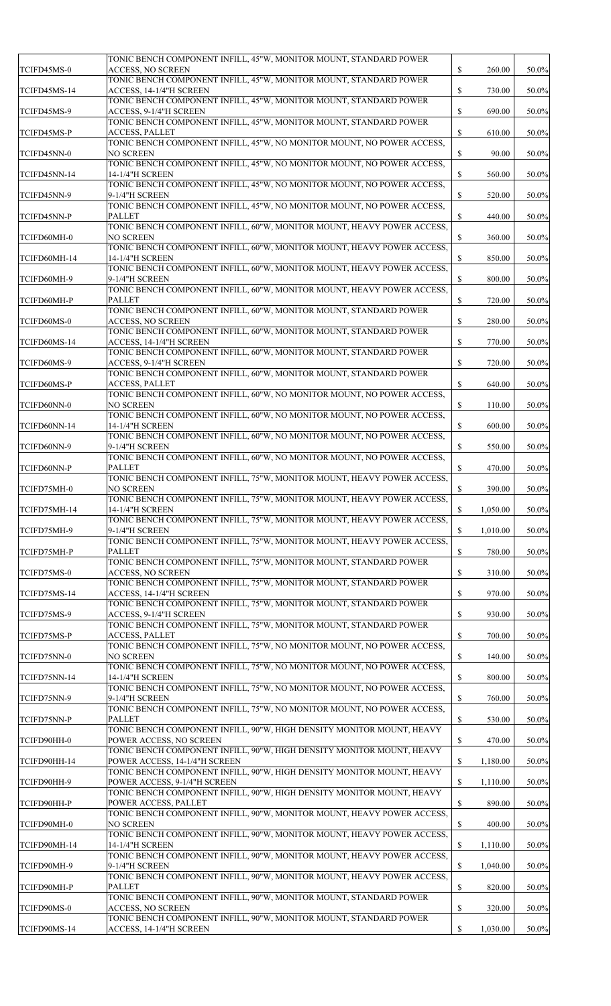|                    | TONIC BENCH COMPONENT INFILL, 45"W, MONITOR MOUNT, STANDARD POWER                                      |              |          |       |
|--------------------|--------------------------------------------------------------------------------------------------------|--------------|----------|-------|
| TCIFD45MS-0        | <b>ACCESS, NO SCREEN</b><br>TONIC BENCH COMPONENT INFILL, 45"W, MONITOR MOUNT, STANDARD POWER          | $\mathbb{S}$ | 260.00   | 50.0% |
| TCIFD45MS-14       | ACCESS, 14-1/4"H SCREEN                                                                                | $\mathbb{S}$ | 730.00   | 50.0% |
| TCIFD45MS-9        | TONIC BENCH COMPONENT INFILL, 45"W, MONITOR MOUNT, STANDARD POWER<br>ACCESS, 9-1/4"H SCREEN            | $\mathbb{S}$ | 690.00   | 50.0% |
| TCIFD45MS-P        | TONIC BENCH COMPONENT INFILL, 45"W, MONITOR MOUNT, STANDARD POWER<br><b>ACCESS, PALLET</b>             | $\mathbb{S}$ | 610.00   | 50.0% |
|                    | TONIC BENCH COMPONENT INFILL, 45"W, NO MONITOR MOUNT, NO POWER ACCESS,                                 |              |          |       |
| TCIFD45NN-0        | <b>NO SCREEN</b><br>TONIC BENCH COMPONENT INFILL, 45"W, NO MONITOR MOUNT, NO POWER ACCESS,             | $\mathbb{S}$ | 90.00    | 50.0% |
| TCIFD45NN-14       | 14-1/4"H SCREEN<br>TONIC BENCH COMPONENT INFILL, 45"W, NO MONITOR MOUNT, NO POWER ACCESS,              | $\mathbb{S}$ | 560.00   | 50.0% |
| TCIFD45NN-9        | 9-1/4"H SCREEN                                                                                         | $\mathbb{S}$ | 520.00   | 50.0% |
| TCIFD45NN-P        | TONIC BENCH COMPONENT INFILL, 45"W, NO MONITOR MOUNT, NO POWER ACCESS,<br><b>PALLET</b>                | $\mathbb{S}$ | 440.00   | 50.0% |
| TCIFD60MH-0        | TONIC BENCH COMPONENT INFILL, 60"W, MONITOR MOUNT, HEAVY POWER ACCESS,<br><b>NO SCREEN</b>             | $\mathbb{S}$ | 360.00   | 50.0% |
| TCIFD60MH-14       | TONIC BENCH COMPONENT INFILL, 60"W, MONITOR MOUNT, HEAVY POWER ACCESS,<br>14-1/4"H SCREEN              | $\mathbb{S}$ | 850.00   | 50.0% |
| TCIFD60MH-9        | TONIC BENCH COMPONENT INFILL, 60"W, MONITOR MOUNT, HEAVY POWER ACCESS,<br>9-1/4"H SCREEN               | $\mathbb{S}$ | 800.00   | 50.0% |
| TCIFD60MH-P        | TONIC BENCH COMPONENT INFILL, 60"W, MONITOR MOUNT, HEAVY POWER ACCESS,<br><b>PALLET</b>                | $\mathbb{S}$ | 720.00   | 50.0% |
| TCIFD60MS-0        | TONIC BENCH COMPONENT INFILL, 60"W, MONITOR MOUNT, STANDARD POWER<br><b>ACCESS, NO SCREEN</b>          | $\mathbb{S}$ | 280.00   | 50.0% |
| TCIFD60MS-14       | TONIC BENCH COMPONENT INFILL, 60"W, MONITOR MOUNT, STANDARD POWER<br>ACCESS, 14-1/4"H SCREEN           | $\mathbb{S}$ | 770.00   | 50.0% |
|                    | TONIC BENCH COMPONENT INFILL, 60"W, MONITOR MOUNT, STANDARD POWER                                      |              |          |       |
| TCIFD60MS-9        | ACCESS, 9-1/4"H SCREEN<br>TONIC BENCH COMPONENT INFILL, 60"W, MONITOR MOUNT, STANDARD POWER            |              | 720.00   | 50.0% |
| <b>TCIFD60MS-P</b> | <b>ACCESS, PALLET</b><br>TONIC BENCH COMPONENT INFILL, 60"W, NO MONITOR MOUNT, NO POWER ACCESS,        | $\mathbb{S}$ | 640.00   | 50.0% |
| TCIFD60NN-0        | <b>NO SCREEN</b><br>TONIC BENCH COMPONENT INFILL, 60"W, NO MONITOR MOUNT, NO POWER ACCESS,             | $\mathbb{S}$ | 110.00   | 50.0% |
| TCIFD60NN-14       | 14-1/4"H SCREEN<br>TONIC BENCH COMPONENT INFILL, 60"W, NO MONITOR MOUNT, NO POWER ACCESS,              | $\mathbb{S}$ | 600.00   | 50.0% |
| TCIFD60NN-9        | 9-1/4"H SCREEN<br>TONIC BENCH COMPONENT INFILL, 60"W, NO MONITOR MOUNT, NO POWER ACCESS,               | \$           | 550.00   | 50.0% |
| TCIFD60NN-P        | <b>PALLET</b>                                                                                          | $\mathbb{S}$ | 470.00   | 50.0% |
| TCIFD75MH-0        | TONIC BENCH COMPONENT INFILL, 75"W, MONITOR MOUNT, HEAVY POWER ACCESS,<br><b>NO SCREEN</b>             | $\mathbb{S}$ | 390.00   | 50.0% |
| TCIFD75MH-14       | TONIC BENCH COMPONENT INFILL, 75"W, MONITOR MOUNT, HEAVY POWER ACCESS,<br>14-1/4"H SCREEN              | $\mathbb{S}$ | 1,050.00 | 50.0% |
| TCIFD75MH-9        | TONIC BENCH COMPONENT INFILL, 75"W, MONITOR MOUNT, HEAVY POWER ACCESS,<br>9-1/4"H SCREEN               | $\mathbb{S}$ | 1,010.00 | 50.0% |
| TCIFD75MH-P        | TONIC BENCH COMPONENT INFILL, 75"W, MONITOR MOUNT, HEAVY POWER ACCESS,<br><b>PALLET</b>                | $\mathbb{S}$ | 780.00   | 50.0% |
| TCIFD75MS-0        | TONIC BENCH COMPONENT INFILL, 75"W, MONITOR MOUNT, STANDARD POWER<br><b>ACCESS, NO SCREEN</b>          | $\mathbb{S}$ | 310.00   | 50.0% |
| TCIFD75MS-14       | TONIC BENCH COMPONENT INFILL, 75"W, MONITOR MOUNT, STANDARD POWER<br>ACCESS, 14-1/4"H SCREEN           | $\mathbb{S}$ | 970.00   | 50.0% |
| TCIFD75MS-9        | TONIC BENCH COMPONENT INFILL, 75"W, MONITOR MOUNT, STANDARD POWER<br>ACCESS, 9-1/4"H SCREEN            | $\mathbb{S}$ | 930.00   | 50.0% |
|                    | TONIC BENCH COMPONENT INFILL, 75"W, MONITOR MOUNT, STANDARD POWER                                      |              |          |       |
| TCIFD75MS-P        | <b>ACCESS, PALLET</b><br>TONIC BENCH COMPONENT INFILL, 75"W, NO MONITOR MOUNT, NO POWER ACCESS,        | $\mathbb{S}$ | 700.00   | 50.0% |
| TCIFD75NN-0        | <b>NO SCREEN</b><br>TONIC BENCH COMPONENT INFILL, 75"W, NO MONITOR MOUNT, NO POWER ACCESS,             | $\mathbb{S}$ | 140.00   | 50.0% |
| TCIFD75NN-14       | 14-1/4"H SCREEN<br>TONIC BENCH COMPONENT INFILL, 75"W, NO MONITOR MOUNT, NO POWER ACCESS,              |              | 800.00   | 50.0% |
| TCIFD75NN-9        | 9-1/4"H SCREEN                                                                                         | $\mathbb{S}$ | 760.00   | 50.0% |
| TCIFD75NN-P        | TONIC BENCH COMPONENT INFILL, 75"W, NO MONITOR MOUNT, NO POWER ACCESS,<br><b>PALLET</b>                | $\mathbb{S}$ | 530.00   | 50.0% |
| TCIFD90HH-0        | TONIC BENCH COMPONENT INFILL, 90"W, HIGH DENSITY MONITOR MOUNT, HEAVY<br>POWER ACCESS, NO SCREEN       | $\mathbb{S}$ | 470.00   | 50.0% |
| TCIFD90HH-14       | TONIC BENCH COMPONENT INFILL, 90"W, HIGH DENSITY MONITOR MOUNT, HEAVY<br>POWER ACCESS, 14-1/4"H SCREEN | $\mathbb{S}$ | 1,180.00 | 50.0% |
| TCIFD90HH-9        | TONIC BENCH COMPONENT INFILL, 90"W, HIGH DENSITY MONITOR MOUNT, HEAVY<br>POWER ACCESS, 9-1/4"H SCREEN  | $\mathbb{S}$ | 1,110.00 | 50.0% |
| TCIFD90HH-P        | TONIC BENCH COMPONENT INFILL, 90"W, HIGH DENSITY MONITOR MOUNT, HEAVY<br>POWER ACCESS, PALLET          | $\mathbb{S}$ | 890.00   | 50.0% |
| TCIFD90MH-0        | TONIC BENCH COMPONENT INFILL, 90"W, MONITOR MOUNT, HEAVY POWER ACCESS,<br><b>NO SCREEN</b>             | $\mathbb{S}$ | 400.00   | 50.0% |
|                    | TONIC BENCH COMPONENT INFILL, 90"W, MONITOR MOUNT, HEAVY POWER ACCESS,                                 |              |          |       |
| TCIFD90MH-14       | 14-1/4"H SCREEN<br>TONIC BENCH COMPONENT INFILL, 90"W, MONITOR MOUNT, HEAVY POWER ACCESS,              | $\mathbb{S}$ | 1,110.00 | 50.0% |
| TCIFD90MH-9        | 9-1/4"H SCREEN<br>TONIC BENCH COMPONENT INFILL, 90"W, MONITOR MOUNT, HEAVY POWER ACCESS,               | $\mathbb{S}$ | 1,040.00 | 50.0% |
| TCIFD90MH-P        | <b>PALLET</b><br>TONIC BENCH COMPONENT INFILL, 90"W, MONITOR MOUNT, STANDARD POWER                     | $\mathbb{S}$ | 820.00   | 50.0% |
| TCIFD90MS-0        | <b>ACCESS, NO SCREEN</b>                                                                               | $\mathbb{S}$ | 320.00   | 50.0% |
| TCIFD90MS-14       | TONIC BENCH COMPONENT INFILL, 90"W, MONITOR MOUNT, STANDARD POWER<br>ACCESS, 14-1/4"H SCREEN           | \$           | 1,030.00 | 50.0% |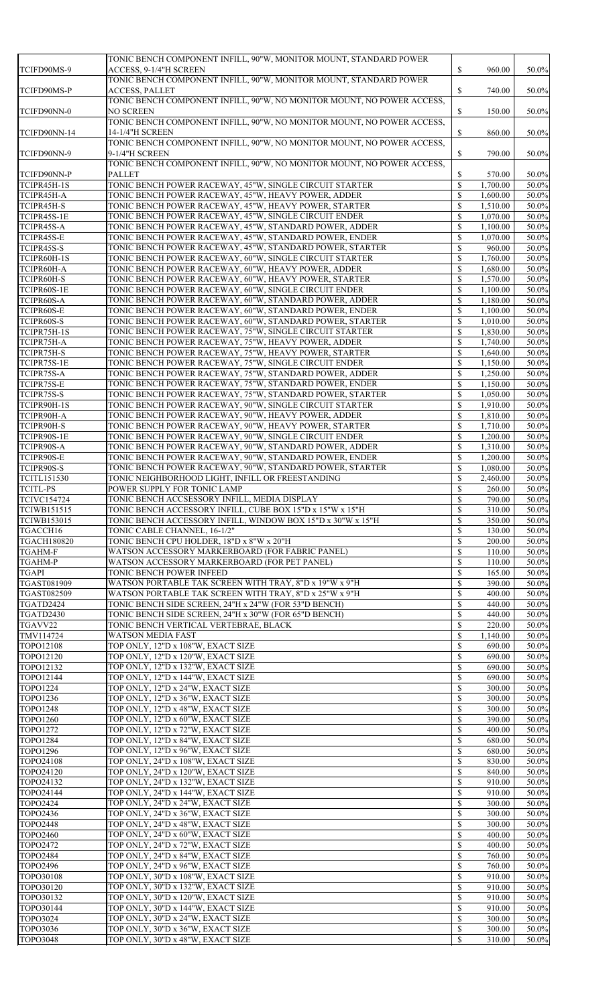|                                    | TONIC BENCH COMPONENT INFILL, 90"W, MONITOR MOUNT, STANDARD POWER      |                                           |                  |                |
|------------------------------------|------------------------------------------------------------------------|-------------------------------------------|------------------|----------------|
| TCIFD90MS-9                        | ACCESS, 9-1/4"H SCREEN                                                 | \$                                        | 960.00           | 50.0%          |
|                                    | TONIC BENCH COMPONENT INFILL, 90"W, MONITOR MOUNT, STANDARD POWER      |                                           |                  |                |
|                                    |                                                                        |                                           |                  |                |
| TCIFD90MS-P                        | <b>ACCESS, PALLET</b>                                                  | $\mathbb{S}$                              | 740.00           | 50.0%          |
|                                    | TONIC BENCH COMPONENT INFILL, 90"W, NO MONITOR MOUNT, NO POWER ACCESS, |                                           |                  |                |
| TCIFD90NN-0                        | <b>NO SCREEN</b>                                                       | $\mathbb{S}$                              | 150.00           | 50.0%          |
|                                    | TONIC BENCH COMPONENT INFILL, 90"W, NO MONITOR MOUNT, NO POWER ACCESS, |                                           |                  |                |
| TCIFD90NN-14                       | 14-1/4"H SCREEN                                                        | $\mathbb{S}$                              | 860.00           | 50.0%          |
|                                    | TONIC BENCH COMPONENT INFILL, 90"W, NO MONITOR MOUNT, NO POWER ACCESS, |                                           |                  |                |
| TCIFD90NN-9                        | 9-1/4"H SCREEN                                                         | $\mathbb{S}$                              | 790.00           | 50.0%          |
|                                    | TONIC BENCH COMPONENT INFILL, 90"W, NO MONITOR MOUNT, NO POWER ACCESS, |                                           |                  |                |
| TCIFD90NN-P                        | <b>PALLET</b>                                                          | \$                                        | 570.00           | 50.0%          |
| TCIPR45H-1S                        |                                                                        | $\mathbb{S}$                              | 1,700.00         | 50.0%          |
|                                    | TONIC BENCH POWER RACEWAY, 45"W, SINGLE CIRCUIT STARTER                |                                           |                  |                |
| TCIPR45H-A                         | TONIC BENCH POWER RACEWAY, 45"W, HEAVY POWER, ADDER                    | \$                                        | 1,600.00         | 50.0%          |
| TCIPR45H-S                         | TONIC BENCH POWER RACEWAY, 45"W, HEAVY POWER, STARTER                  | \$                                        | 1,510.00         | 50.0%          |
| TCIPR45S-1E                        | TONIC BENCH POWER RACEWAY, 45"W, SINGLE CIRCUIT ENDER                  | \$                                        | 1,070.00         | 50.0%          |
| TCIPR45S-A                         | TONIC BENCH POWER RACEWAY, 45"W, STANDARD POWER, ADDER                 | $\mathbb{S}$                              | 1,100.00         | 50.0%          |
| TCIPR45S-E                         | TONIC BENCH POWER RACEWAY, 45"W, STANDARD POWER, ENDER                 | \$                                        | 1,070.00         | 50.0%          |
| TCIPR45S-S                         | TONIC BENCH POWER RACEWAY, 45"W, STANDARD POWER, STARTER               | \$                                        | 960.00           | 50.0%          |
| TCIPR60H-1S                        | TONIC BENCH POWER RACEWAY, 60"W, SINGLE CIRCUIT STARTER                | \$                                        | 1,760.00         | 50.0%          |
|                                    |                                                                        |                                           |                  |                |
| TCIPR60H-A                         | TONIC BENCH POWER RACEWAY, 60"W, HEAVY POWER, ADDER                    | \$                                        | 1,680.00         | 50.0%          |
| TCIPR60H-S                         | TONIC BENCH POWER RACEWAY, 60"W, HEAVY POWER, STARTER                  | \$                                        | 1,570.00         | 50.0%          |
| TCIPR60S-1E                        | TONIC BENCH POWER RACEWAY, 60"W, SINGLE CIRCUIT ENDER                  | \$                                        | 1,100.00         | 50.0%          |
| TCIPR60S-A                         | TONIC BENCH POWER RACEWAY, 60"W, STANDARD POWER, ADDER                 | \$                                        | 1,180.00         | 50.0%          |
| TCIPR60S-E                         | TONIC BENCH POWER RACEWAY, 60"W, STANDARD POWER, ENDER                 | $\mathbb{S}$                              | 1,100.00         | 50.0%          |
| TCIPR60S-S                         | TONIC BENCH POWER RACEWAY, 60"W, STANDARD POWER, STARTER               | \$                                        | 1,010.00         | 50.0%          |
| TCIPR75H-1S                        | TONIC BENCH POWER RACEWAY, 75"W, SINGLE CIRCUIT STARTER                | \$                                        | 1,830.00         | 50.0%          |
| TCIPR75H-A                         | TONIC BENCH POWER RACEWAY, 75"W, HEAVY POWER, ADDER                    | \$                                        |                  | 50.0%          |
|                                    |                                                                        |                                           | 1,740.00         |                |
| TCIPR75H-S                         | TONIC BENCH POWER RACEWAY, 75"W, HEAVY POWER, STARTER                  | \$                                        | 1,640.00         | 50.0%          |
| TCIPR75S-1E                        | TONIC BENCH POWER RACEWAY, 75"W, SINGLE CIRCUIT ENDER                  | <sup>\$</sup>                             | 1,150.00         | 50.0%          |
| TCIPR75S-A                         | TONIC BENCH POWER RACEWAY, 75"W, STANDARD POWER, ADDER                 | $\mathbb{S}$                              | 1,250.00         | 50.0%          |
| TCIPR75S-E                         | TONIC BENCH POWER RACEWAY, 75"W, STANDARD POWER, ENDER                 | $\mathcal{S}$                             | 1,150.00         | 50.0%          |
| TCIPR75S-S                         | TONIC BENCH POWER RACEWAY, 75"W, STANDARD POWER, STARTER               | $\mathbb{S}$                              | 1,050.00         | 50.0%          |
| TCIPR90H-1S                        | TONIC BENCH POWER RACEWAY, 90"W, SINGLE CIRCUIT STARTER                | $\mathcal{S}$                             | 1,910.00         | 50.0%          |
| TCIPR90H-A                         | TONIC BENCH POWER RACEWAY, 90"W, HEAVY POWER, ADDER                    | $\mathcal{S}$                             | 1,810.00         | 50.0%          |
|                                    |                                                                        |                                           |                  |                |
| TCIPR90H-S                         | TONIC BENCH POWER RACEWAY, 90"W, HEAVY POWER, STARTER                  | \$                                        | 1,710.00         | 50.0%          |
| TCIPR90S-1E                        | TONIC BENCH POWER RACEWAY, 90"W, SINGLE CIRCUIT ENDER                  | \$                                        | 1,200.00         | 50.0%          |
| TCIPR90S-A                         | TONIC BENCH POWER RACEWAY, 90"W, STANDARD POWER, ADDER                 | \$                                        | 1,310.00         | 50.0%          |
| TCIPR90S-E                         | TONIC BENCH POWER RACEWAY, 90"W, STANDARD POWER, ENDER                 | \$                                        | 1,200.00         | 50.0%          |
| TCIPR90S-S                         | TONIC BENCH POWER RACEWAY, 90"W, STANDARD POWER, STARTER               | \$                                        | 1,080.00         | 50.0%          |
| TCITL151530                        | TONIC NEIGHBORHOOD LIGHT, INFILL OR FREESTANDING                       | \$                                        | 2,460.00         | 50.0%          |
| <b>TCITL-PS</b>                    | POWER SUPPLY FOR TONIC LAMP                                            | \$                                        | 260.00           | 50.0%          |
| <b>TCIVC154724</b>                 | TONIC BENCH ACCSESSORY INFILL, MEDIA DISPLAY                           | \$                                        | 790.00           | 50.0%          |
|                                    |                                                                        |                                           |                  |                |
| <b>TCIWB151515</b>                 | TONIC BENCH ACCESSORY INFILL, CUBE BOX 15"D x 15"W x 15"H              | \$                                        | 310.00           | 50.0%          |
| <b>TCIWB153015</b>                 | TONIC BENCH ACCESSORY INFILL, WINDOW BOX 15"D x 30"W x 15"H            | \$                                        | 350.00           | 50.0%          |
| TGACCH16                           | TONIC CABLE CHANNEL, 16-1/2"                                           | \$                                        | 130.00           | 50.0%          |
| <b>TGACH180820</b>                 | TONIC BENCH CPU HOLDER, 18"D x 8"W x 20"H                              | \$                                        | 200.00           | 50.0%          |
| <b>TGAHM-F</b>                     | WATSON ACCESSORY MARKERBOARD (FOR FABRIC PANEL)                        | \$                                        | 110.00           | 50.0%          |
| <b>TGAHM-P</b>                     | WATSON ACCESSORY MARKERBOARD (FOR PET PANEL)                           | \$                                        | 110.00           | 50.0%          |
| <b>TGAPI</b>                       | TONIC BENCH POWER INFEED                                               | \$                                        | 165.00           | 50.0%          |
| TGAST081909                        | WATSON PORTABLE TAK SCREEN WITH TRAY, 8"D x 19"W x 9"H                 | \$                                        | 390.00           | 50.0%          |
|                                    |                                                                        |                                           |                  |                |
| TGAST082509                        | WATSON PORTABLE TAK SCREEN WITH TRAY, 8"D x 25"W x 9"H                 | \$                                        | 400.00           | 50.0%          |
| TGATD2424                          | TONIC BENCH SIDE SCREEN, 24"H x 24"W (FOR 53"D BENCH)                  | \$                                        | 440.00           | 50.0%          |
| TGATD2430                          | TONIC BENCH SIDE SCREEN, 24"H x 30"W (FOR 65"D BENCH)                  | \$                                        | 440.00           | 50.0%          |
| TGAVV22                            | TONIC BENCH VERTICAL VERTEBRAE, BLACK                                  | $\mathcal{S}$                             | 220.00           | 50.0%          |
| TMV114724                          | <b>WATSON MEDIA FAST</b>                                               | \$                                        | 1,140.00         | 50.0%          |
| TOPO12108                          | TOP ONLY, 12"D x 108"W, EXACT SIZE                                     | \$                                        | 690.00           | 50.0%          |
| TOPO12120                          | TOP ONLY, 12"D x 120"W, EXACT SIZE                                     | $\boldsymbol{\mathsf{S}}$                 | 690.00           | 50.0%          |
| TOPO12132                          | TOP ONLY, 12"D x 132"W, EXACT SIZE                                     | \$                                        | 690.00           | 50.0%          |
| TOPO12144                          |                                                                        |                                           |                  |                |
|                                    | TOP ONLY, 12"D x 144"W, EXACT SIZE                                     |                                           | 690.00           | 50.0%          |
| <b>TOPO1224</b>                    | TOP ONLY, 12"D x 24"W, EXACT SIZE                                      | $\mathbb{S}$                              | 300.00           | 50.0%          |
| <b>TOPO1236</b>                    | TOP ONLY, 12"D x 36"W, EXACT SIZE                                      | $\boldsymbol{\mathsf{S}}$                 | 300.00           | 50.0%          |
| <b>TOPO1248</b>                    | TOP ONLY, 12"D x 48"W, EXACT SIZE                                      | \$                                        | 300.00           | 50.0%          |
| <b>TOPO1260</b>                    | TOP ONLY, 12"D x 60"W, EXACT SIZE                                      | $\boldsymbol{\mathsf{S}}$                 | 390.00           | 50.0%          |
| TOPO1272                           | TOP ONLY, 12"D x 72"W, EXACT SIZE                                      | \$                                        | 400.00           | 50.0%          |
| <b>TOPO1284</b>                    | TOP ONLY, 12"D x 84"W, EXACT SIZE                                      | \$                                        | 680.00           | 50.0%          |
| TOPO1296                           | TOP ONLY, 12"D x 96"W, EXACT SIZE                                      | \$                                        | 680.00           | 50.0%          |
| TOPO24108                          | TOP ONLY, 24"D x 108"W, EXACT SIZE                                     | $\boldsymbol{\mathsf{S}}$                 | 830.00           | 50.0%          |
| TOPO24120                          |                                                                        |                                           | 840.00           | 50.0%          |
|                                    | TOP ONLY, 24"D x 120"W, EXACT SIZE                                     | \$                                        |                  |                |
| TOPO24132                          | TOP ONLY, 24"D x 132"W, EXACT SIZE                                     | \$                                        | 910.00           | 50.0%          |
| TOPO24144                          | TOP ONLY, 24"D x 144"W, EXACT SIZE                                     | \$                                        | 910.00           | 50.0%          |
| <b>TOPO2424</b>                    | TOP ONLY, 24"D x 24"W, EXACT SIZE                                      | $\boldsymbol{\mathsf{S}}$                 | 300.00           | 50.0%          |
| TOPO2436                           | TOP ONLY, 24"D x 36"W, EXACT SIZE                                      | \$                                        | 300.00           | 50.0%          |
| <b>TOPO2448</b>                    | TOP ONLY, 24"D x 48"W, EXACT SIZE                                      | \$                                        | 300.00           | 50.0%          |
| <b>TOPO2460</b>                    | TOP ONLY, 24"D x 60"W, EXACT SIZE                                      | \$                                        | 400.00           | 50.0%          |
| <b>TOPO2472</b>                    | TOP ONLY, 24"D x 72"W, EXACT SIZE                                      | $\boldsymbol{\mathsf{S}}$                 | 400.00           | 50.0%          |
| <b>TOPO2484</b>                    | TOP ONLY, 24"D x 84"W, EXACT SIZE                                      | \$                                        | 760.00           | 50.0%          |
|                                    |                                                                        |                                           |                  |                |
| <b>TOPO2496</b>                    |                                                                        | \$                                        | 760.00           | 50.0%          |
|                                    | TOP ONLY, 24"D x 96"W, EXACT SIZE                                      |                                           |                  |                |
| TOPO30108                          | TOP ONLY, 30"D x 108"W, EXACT SIZE                                     | \$                                        | 910.00           | 50.0%          |
| TOPO30120                          | TOP ONLY, 30"D x 132"W, EXACT SIZE                                     | $\boldsymbol{\mathsf{S}}$                 | 910.00           | 50.0%          |
| TOPO30132                          | TOP ONLY, 30"D x 120"W, EXACT SIZE                                     | \$                                        | 910.00           | 50.0%          |
| TOPO30144                          | TOP ONLY, 30"D x 144"W, EXACT SIZE                                     | \$                                        | 910.00           | 50.0%          |
| <b>TOPO3024</b>                    | TOP ONLY, 30"D x 24"W, EXACT SIZE                                      | \$                                        | 300.00           | 50.0%          |
|                                    |                                                                        |                                           |                  |                |
| <b>TOPO3036</b><br><b>TOPO3048</b> | TOP ONLY, 30"D x 36"W, EXACT SIZE<br>TOP ONLY, 30"D x 48"W, EXACT SIZE | $\boldsymbol{\mathsf{S}}$<br>$\mathbb{S}$ | 300.00<br>310.00 | 50.0%<br>50.0% |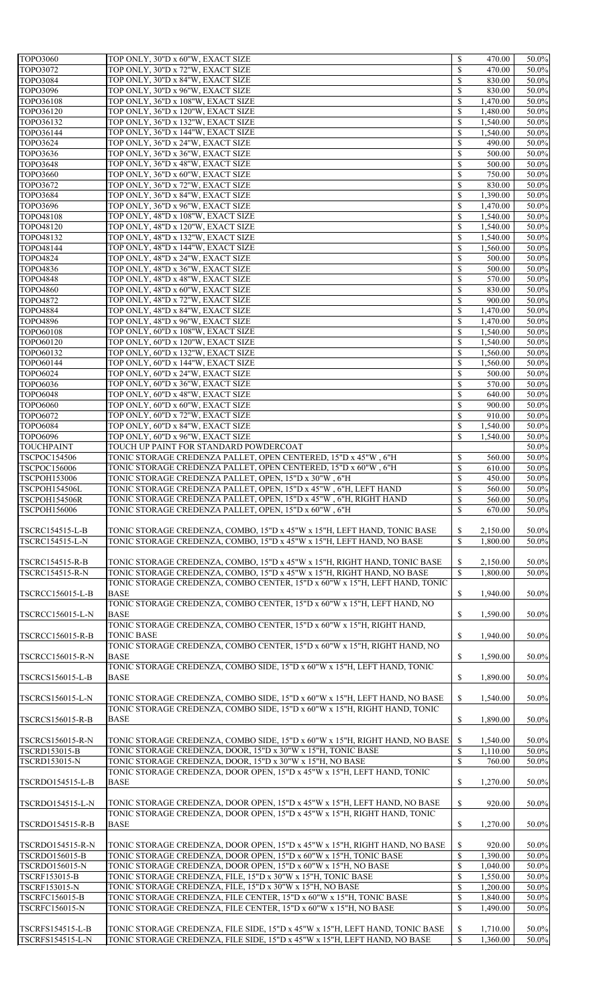| TOPO3060                                         |                                                                                                                                                                                                                                   |                           |                      |                |
|--------------------------------------------------|-----------------------------------------------------------------------------------------------------------------------------------------------------------------------------------------------------------------------------------|---------------------------|----------------------|----------------|
|                                                  | TOP ONLY, 30"D x 60"W, EXACT SIZE                                                                                                                                                                                                 | $\mathbb{S}$              | 470.00               | 50.0%          |
| TOPO3072                                         | TOP ONLY, 30"D x 72"W, EXACT SIZE                                                                                                                                                                                                 | \$                        | 470.00               | 50.0%          |
| <b>TOPO3084</b>                                  | TOP ONLY, 30"D x 84"W, EXACT SIZE                                                                                                                                                                                                 | \$                        | 830.00               | 50.0%          |
| <b>TOPO3096</b>                                  | TOP ONLY, 30"D x 96"W, EXACT SIZE                                                                                                                                                                                                 | \$                        | 830.00               | 50.0%          |
|                                                  |                                                                                                                                                                                                                                   |                           |                      |                |
| TOPO36108                                        | TOP ONLY, 36"D x 108"W, EXACT SIZE                                                                                                                                                                                                | \$                        | 1,470.00             | 50.0%          |
| TOPO36120                                        | TOP ONLY, 36"D x 120"W, EXACT SIZE                                                                                                                                                                                                | $\boldsymbol{\mathsf{S}}$ | 1,480.00             | 50.0%          |
| TOPO36132                                        | TOP ONLY, 36"D x 132"W, EXACT SIZE                                                                                                                                                                                                | \$                        | 1,540.00             | 50.0%          |
|                                                  |                                                                                                                                                                                                                                   |                           |                      |                |
| TOPO36144                                        | TOP ONLY, 36"D x 144"W, EXACT SIZE                                                                                                                                                                                                | \$                        | 1,540.00             | 50.0%          |
| <b>TOPO3624</b>                                  | TOP ONLY, 36"D x 24"W, EXACT SIZE                                                                                                                                                                                                 | \$                        | 490.00               | 50.0%          |
| <b>TOPO3636</b>                                  | TOP ONLY, 36"D x 36"W, EXACT SIZE                                                                                                                                                                                                 | \$                        | 500.00               | 50.0%          |
| <b>TOPO3648</b>                                  | TOP ONLY, 36"D x 48"W, EXACT SIZE                                                                                                                                                                                                 | \$                        | 500.00               | 50.0%          |
|                                                  |                                                                                                                                                                                                                                   |                           |                      |                |
| <b>TOPO3660</b>                                  | TOP ONLY, 36"D x 60"W, EXACT SIZE                                                                                                                                                                                                 | \$                        | 750.00               | 50.0%          |
| <b>TOPO3672</b>                                  | TOP ONLY, 36"D x 72"W, EXACT SIZE                                                                                                                                                                                                 | \$                        | 830.00               | 50.0%          |
| <b>TOPO3684</b>                                  | TOP ONLY, 36"D x 84"W, EXACT SIZE                                                                                                                                                                                                 | $\boldsymbol{\mathsf{S}}$ | 1,390.00             | 50.0%          |
|                                                  |                                                                                                                                                                                                                                   |                           |                      |                |
| <b>TOPO3696</b>                                  | TOP ONLY, 36"D x 96"W, EXACT SIZE                                                                                                                                                                                                 | \$                        | 1,470.00             | 50.0%          |
| TOPO48108                                        | TOP ONLY, 48"D x 108"W, EXACT SIZE                                                                                                                                                                                                | \$                        | 1,540.00             | 50.0%          |
| TOPO48120                                        | TOP ONLY, 48"D x 120"W, EXACT SIZE                                                                                                                                                                                                | \$                        | 1,540.00             | 50.0%          |
|                                                  |                                                                                                                                                                                                                                   |                           |                      |                |
| TOPO48132                                        | TOP ONLY, 48"D x 132"W, EXACT SIZE                                                                                                                                                                                                | \$                        | 1,540.00             | 50.0%          |
| TOPO48144                                        | TOP ONLY, 48"D x 144"W, EXACT SIZE                                                                                                                                                                                                | \$                        | 1,560.00             | 50.0%          |
| <b>TOPO4824</b>                                  | TOP ONLY, 48"D x 24"W, EXACT SIZE                                                                                                                                                                                                 | \$                        | 500.00               | 50.0%          |
|                                                  |                                                                                                                                                                                                                                   |                           |                      |                |
| <b>TOPO4836</b>                                  | TOP ONLY, 48"D x 36"W, EXACT SIZE                                                                                                                                                                                                 | \$                        | 500.00               | 50.0%          |
| <b>TOPO4848</b>                                  | TOP ONLY, 48"D x 48"W, EXACT SIZE                                                                                                                                                                                                 | \$                        | 570.00               | 50.0%          |
| <b>TOPO4860</b>                                  | TOP ONLY, 48"D x 60"W, EXACT SIZE                                                                                                                                                                                                 | \$                        | 830.00               | 50.0%          |
|                                                  |                                                                                                                                                                                                                                   |                           |                      |                |
| <b>TOPO4872</b>                                  | TOP ONLY, 48"D x 72"W, EXACT SIZE                                                                                                                                                                                                 | \$                        | 900.00               | 50.0%          |
| <b>TOPO4884</b>                                  | TOP ONLY, 48"D x 84"W, EXACT SIZE                                                                                                                                                                                                 | \$                        | 1,470.00             | 50.0%          |
| <b>TOPO4896</b>                                  | TOP ONLY, 48"D x 96"W, EXACT SIZE                                                                                                                                                                                                 | \$                        | 1,470.00             | 50.0%          |
|                                                  |                                                                                                                                                                                                                                   |                           |                      |                |
| TOPO60108                                        | TOP ONLY, 60"D x 108"W, EXACT SIZE                                                                                                                                                                                                | $\boldsymbol{\mathsf{S}}$ | 1,540.00             | 50.0%          |
| TOPO60120                                        | TOP ONLY, 60"D x 120"W, EXACT SIZE                                                                                                                                                                                                | \$                        | 1,540.00             | 50.0%          |
| TOPO60132                                        | TOP ONLY, 60"D x 132"W, EXACT SIZE                                                                                                                                                                                                | \$                        | 1,560.00             | 50.0%          |
|                                                  |                                                                                                                                                                                                                                   |                           |                      |                |
| TOPO60144                                        | TOP ONLY, 60"D x 144"W, EXACT SIZE                                                                                                                                                                                                |                           | 1,560.00             | 50.0%          |
| <b>TOPO6024</b>                                  | TOP ONLY, 60"D x 24"W, EXACT SIZE                                                                                                                                                                                                 | $\mathbb{S}$              | 500.00               | 50.0%          |
| <b>TOPO6036</b>                                  | TOP ONLY, 60"D x 36"W, EXACT SIZE                                                                                                                                                                                                 | \$                        | 570.00               | 50.0%          |
|                                                  |                                                                                                                                                                                                                                   |                           |                      |                |
| <b>TOPO6048</b>                                  | TOP ONLY, 60"D x 48"W, EXACT SIZE                                                                                                                                                                                                 | \$                        | 640.00               | 50.0%          |
| <b>TOPO6060</b>                                  | TOP ONLY, 60"D x 60"W, EXACT SIZE                                                                                                                                                                                                 | \$                        | 900.00               | 50.0%          |
| <b>TOPO6072</b>                                  | TOP ONLY, 60"D x 72"W, EXACT SIZE                                                                                                                                                                                                 | \$                        | 910.00               | 50.0%          |
|                                                  |                                                                                                                                                                                                                                   |                           |                      |                |
| <b>TOPO6084</b>                                  | TOP ONLY, 60"D x 84"W, EXACT SIZE                                                                                                                                                                                                 | \$                        | 1,540.00             | 50.0%          |
| <b>TOPO6096</b>                                  | TOP ONLY, 60"D x 96"W, EXACT SIZE                                                                                                                                                                                                 | $\mathbb{S}$              | 1,540.00             | 50.0%          |
| <b>TOUCHPAINT</b>                                | TOUCH UP PAINT FOR STANDARD POWDERCOAT                                                                                                                                                                                            |                           |                      | 50.0%          |
|                                                  |                                                                                                                                                                                                                                   |                           |                      |                |
| <b>TSCPOC154506</b>                              | TONIC STORAGE CREDENZA PALLET, OPEN CENTERED, 15"D x 45"W , 6"H                                                                                                                                                                   | \$                        | 560.00               | 50.0%          |
| <b>TSCPOC156006</b>                              | TONIC STORAGE CREDENZA PALLET, OPEN CENTERED, 15"D x 60"W , 6"H                                                                                                                                                                   | \$                        | 610.00               | 50.0%          |
| <b>TSCPOH153006</b>                              | TONIC STORAGE CREDENZA PALLET, OPEN, 15"D x 30"W, 6"H                                                                                                                                                                             | \$                        | 450.00               | 50.0%          |
|                                                  |                                                                                                                                                                                                                                   |                           |                      |                |
| TSCPOH154506L                                    | TONIC STORAGE CREDENZA PALLET, OPEN, 15"D x 45"W , 6"H, LEFT HAND                                                                                                                                                                 | \$                        | 560.00               | 50.0%          |
| <b>TSCPOH154506R</b>                             | TONIC STORAGE CREDENZA PALLET, OPEN, 15"D x 45"W, 6"H, RIGHT HAND                                                                                                                                                                 | \$                        | 560.00               | 50.0%          |
| <b>TSCPOH156006</b>                              | TONIC STORAGE CREDENZA PALLET, OPEN, 15"D x 60"W , 6"H                                                                                                                                                                            | $\mathbb{S}$              | 670.00               | 50.0%          |
|                                                  |                                                                                                                                                                                                                                   |                           |                      |                |
| <b>TSCRC154515-L-B</b><br><b>TSCRC154515-L-N</b> | TONIC STORAGE CREDENZA, COMBO, 15"D x 45"W x 15"H, LEFT HAND, TONIC BASE<br>TONIC STORAGE CREDENZA, COMBO, 15"D x 45"W x 15"H, LEFT HAND, NO BASE                                                                                 | \$<br>$\mathbb{S}$        | 2,150.00<br>1,800.00 | 50.0%<br>50.0% |
| <b>TSCRC154515-R-B</b><br><b>TSCRC154515-R-N</b> | TONIC STORAGE CREDENZA, COMBO, 15"D x 45"W x 15"H, RIGHT HAND, TONIC BASE<br>TONIC STORAGE CREDENZA, COMBO, 15"D x 45"W x 15"H, RIGHT HAND, NO BASE<br>TONIC STORAGE CREDENZA, COMBO CENTER, 15"D x 60"W x 15"H, LEFT HAND, TONIC | \$<br>$\mathbb{S}$        | 2,150.00<br>1,800.00 | 50.0%<br>50.0% |
| <b>TSCRCC156015-L-B</b>                          | <b>BASE</b><br>TONIC STORAGE CREDENZA, COMBO CENTER, 15"D x 60"W x 15"H, LEFT HAND, NO                                                                                                                                            | $\mathbb{S}$              | 1,940.00             | 50.0%          |
| <b>TSCRCC156015-L-N</b>                          | <b>BASE</b><br>TONIC STORAGE CREDENZA, COMBO CENTER, 15"D x 60"W x 15"H, RIGHT HAND,                                                                                                                                              | \$                        | 1,590.00             | 50.0%          |
| <b>TSCRCC156015-R-B</b>                          | <b>TONIC BASE</b><br>TONIC STORAGE CREDENZA, COMBO CENTER, 15"D x 60"W x 15"H, RIGHT HAND, NO                                                                                                                                     | $\mathbb{S}$              | 1,940.00             | 50.0%          |
| <b>TSCRCC156015-R-N</b>                          | <b>BASE</b><br>TONIC STORAGE CREDENZA, COMBO SIDE, 15"D x 60"W x 15"H, LEFT HAND, TONIC                                                                                                                                           | $\mathbb{S}$              | 1,590.00             | 50.0%          |
| <b>TSCRCS156015-L-B</b>                          | <b>BASE</b>                                                                                                                                                                                                                       |                           | 1,890.00             | 50.0%          |
| <b>TSCRCS156015-L-N</b>                          | TONIC STORAGE CREDENZA, COMBO SIDE, 15"D x 60"W x 15"H, LEFT HAND, NO BASE<br>TONIC STORAGE CREDENZA, COMBO SIDE, 15"D x 60"W x 15"H, RIGHT HAND, TONIC                                                                           | $\mathbb{S}$              | 1,540.00             | 50.0%          |
| <b>TSCRCS156015-R-B</b>                          | <b>BASE</b>                                                                                                                                                                                                                       | \$                        | 1,890.00             | 50.0%          |
| <b>TSCRCS156015-R-N</b><br><b>TSCRD153015-B</b>  | TONIC STORAGE CREDENZA, COMBO SIDE, 15"D x 60"W x 15"H, RIGHT HAND, NO BASE<br>TONIC STORAGE CREDENZA, DOOR, 15"D x 30"W x 15"H, TONIC BASE                                                                                       | $\mathbb{S}$<br>\$        | 1,540.00<br>1,110.00 | 50.0%<br>50.0% |
| <b>TSCRD153015-N</b>                             | TONIC STORAGE CREDENZA, DOOR, 15"D x 30"W x 15"H, NO BASE                                                                                                                                                                         | $\mathbb{S}$              | 760.00               |                |
|                                                  |                                                                                                                                                                                                                                   |                           |                      | 50.0%          |
|                                                  | TONIC STORAGE CREDENZA, DOOR OPEN, 15"D x 45"W x 15"H, LEFT HAND, TONIC                                                                                                                                                           |                           |                      |                |
| <b>TSCRDO154515-L-B</b>                          |                                                                                                                                                                                                                                   |                           |                      |                |
|                                                  | <b>BASE</b>                                                                                                                                                                                                                       | \$                        | 1,270.00             | 50.0%          |
| <b>TSCRDO154515-L-N</b>                          | TONIC STORAGE CREDENZA, DOOR OPEN, 15"D x 45"W x 15"H, LEFT HAND, NO BASE                                                                                                                                                         | \$                        | 920.00               | 50.0%          |
| <b>TSCRDO154515-R-B</b>                          | TONIC STORAGE CREDENZA, DOOR OPEN, 15"D x 45"W x 15"H, RIGHT HAND, TONIC<br><b>BASE</b>                                                                                                                                           | \$                        | 1,270.00             | 50.0%          |
|                                                  |                                                                                                                                                                                                                                   |                           |                      |                |
| <b>TSCRDO154515-R-N</b>                          | TONIC STORAGE CREDENZA, DOOR OPEN, 15"D x 45"W x 15"H, RIGHT HAND, NO BASE                                                                                                                                                        | \$                        | 920.00               | 50.0%          |
|                                                  |                                                                                                                                                                                                                                   |                           |                      |                |
| <b>TSCRDO156015-B</b>                            | TONIC STORAGE CREDENZA, DOOR OPEN, 15"D x 60"W x 15"H, TONIC BASE                                                                                                                                                                 | $\mathbb{S}$              | 1,390.00             | 50.0%          |
| <b>TSCRDO156015-N</b>                            | TONIC STORAGE CREDENZA, DOOR OPEN, 15"D x 60"W x 15"H, NO BASE                                                                                                                                                                    | \$                        | 1,040.00             | 50.0%          |
| <b>TSCRF153015-B</b>                             | TONIC STORAGE CREDENZA, FILE, 15"D x 30"W x 15"H, TONIC BASE                                                                                                                                                                      | \$                        | 1,550.00             | 50.0%          |
| <b>TSCRF153015-N</b>                             | TONIC STORAGE CREDENZA, FILE, 15"D x 30"W x 15"H, NO BASE                                                                                                                                                                         | \$                        | 1,200.00             | 50.0%          |
|                                                  |                                                                                                                                                                                                                                   |                           |                      |                |
| <b>TSCRFC156015-B</b>                            | TONIC STORAGE CREDENZA, FILE CENTER, 15"D x 60"W x 15"H, TONIC BASE                                                                                                                                                               | \$                        | 1,840.00             | 50.0%          |
| <b>TSCRFC156015-N</b>                            | TONIC STORAGE CREDENZA, FILE CENTER, 15"D x 60"W x 15"H, NO BASE                                                                                                                                                                  | $\mathbb{S}$              | 1,490.00             | 50.0%          |
|                                                  |                                                                                                                                                                                                                                   |                           |                      |                |
| <b>TSCRFS154515-L-B</b>                          | TONIC STORAGE CREDENZA, FILE SIDE, 15"D x 45"W x 15"H, LEFT HAND, TONIC BASE                                                                                                                                                      | \$                        |                      | 50.0%          |
| <b>TSCRFS154515-L-N</b>                          | TONIC STORAGE CREDENZA, FILE SIDE, 15"D x 45"W x 15"H, LEFT HAND, NO BASE                                                                                                                                                         | $\mathcal{S}$             | 1,710.00<br>1,360.00 | 50.0%          |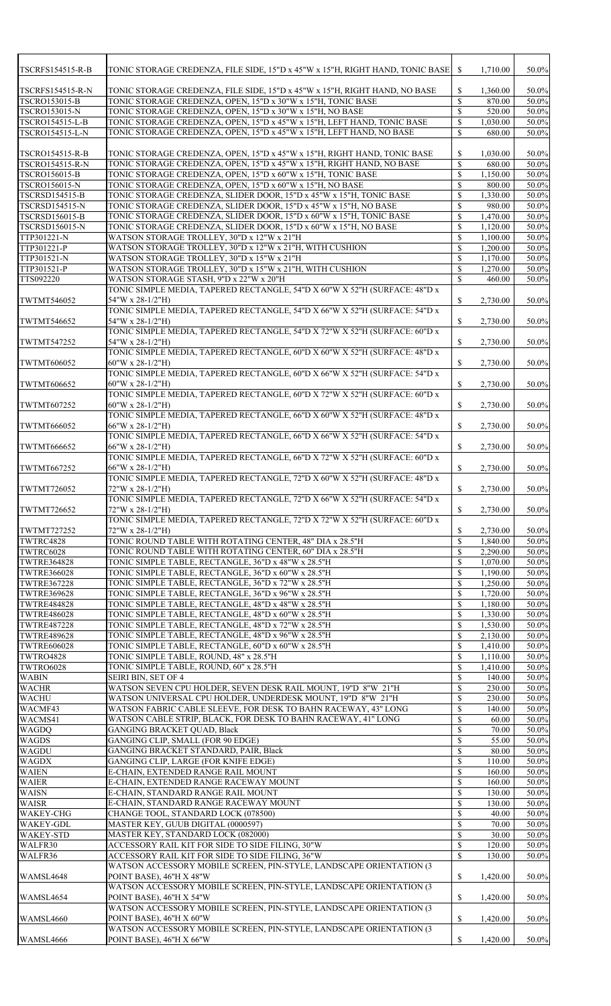| <b>TSCRFS154515-R-B</b> | TONIC STORAGE CREDENZA, FILE SIDE, 15"D x 45"W x 15"H, RIGHT HAND, TONIC BASE   \$ |                           | 1,710.00 | 50.0%    |
|-------------------------|------------------------------------------------------------------------------------|---------------------------|----------|----------|
|                         |                                                                                    |                           |          |          |
| <b>TSCRFS154515-R-N</b> | TONIC STORAGE CREDENZA, FILE SIDE, 15"D x 45"W x 15"H, RIGHT HAND, NO BASE         | $\boldsymbol{\mathsf{S}}$ | 1,360.00 | 50.0%    |
| TSCRO153015-B           | TONIC STORAGE CREDENZA, OPEN, 15"D x 30"W x 15"H, TONIC BASE                       | $\mathcal{S}$             | 870.00   | 50.0%    |
| <b>TSCRO153015-N</b>    | TONIC STORAGE CREDENZA, OPEN, 15"D x 30"W x 15"H, NO BASE                          | $\mathcal{S}$             | 520.00   | 50.0%    |
| TSCRO154515-L-B         | TONIC STORAGE CREDENZA, OPEN, 15"D x 45"W x 15"H, LEFT HAND, TONIC BASE            | $\boldsymbol{\mathsf{S}}$ | 1,030.00 | 50.0%    |
| TSCRO154515-L-N         | TONIC STORAGE CREDENZA, OPEN, 15"D x 45"W x 15"H, LEFT HAND, NO BASE               | $\boldsymbol{\mathsf{S}}$ | 680.00   | 50.0%    |
|                         |                                                                                    |                           |          |          |
| <b>TSCRO154515-R-B</b>  | TONIC STORAGE CREDENZA, OPEN, 15"D x 45"W x 15"H, RIGHT HAND, TONIC BASE           | $\mathbb{S}$              | 1,030.00 | 50.0%    |
| <b>TSCRO154515-R-N</b>  | TONIC STORAGE CREDENZA, OPEN, 15"D x 45"W x 15"H, RIGHT HAND, NO BASE              | $\mathcal{S}$             | 680.00   | 50.0%    |
| <b>TSCRO156015-B</b>    | TONIC STORAGE CREDENZA, OPEN, 15"D x 60"W x 15"H, TONIC BASE                       | $\mathcal{S}$             | 1,150.00 | 50.0%    |
| <b>TSCRO156015-N</b>    | TONIC STORAGE CREDENZA, OPEN, 15"D x 60"W x 15"H, NO BASE                          | $\mathcal{S}$             | 800.00   | 50.0%    |
| <b>TSCRSD154515-B</b>   | TONIC STORAGE CREDENZA, SLIDER DOOR, 15"D x 45"W x 15"H, TONIC BASE                | $\boldsymbol{\mathsf{S}}$ | 1,330.00 | 50.0%    |
| <b>TSCRSD154515-N</b>   | TONIC STORAGE CREDENZA, SLIDER DOOR, 15"D x 45"W x 15"H, NO BASE                   | $\mathcal{S}$             | 980.00   | 50.0%    |
| <b>TSCRSD156015-B</b>   | TONIC STORAGE CREDENZA, SLIDER DOOR, 15"D x 60"W x 15"H, TONIC BASE                | $\mathcal{S}$             | 1,470.00 | 50.0%    |
| <b>TSCRSD156015-N</b>   | TONIC STORAGE CREDENZA, SLIDER DOOR, 15"D x 60"W x 15"H, NO BASE                   | $\boldsymbol{\mathsf{S}}$ | 1,120.00 | 50.0%    |
| TTP301221-N             | WATSON STORAGE TROLLEY, 30"D x 12"W x 21"H                                         | $\mathcal{S}$             | 1,100.00 | 50.0%    |
| TTP301221-P             | WATSON STORAGE TROLLEY, 30"D x 12"W x 21"H, WITH CUSHION                           | $\boldsymbol{\mathsf{S}}$ | 1,200.00 | 50.0%    |
| TTP301521-N             | WATSON STORAGE TROLLEY, 30"D x 15"W x 21"H                                         | $\mathcal{S}$             | 1,170.00 | 50.0%    |
|                         |                                                                                    |                           |          | 50.0%    |
| TTP301521-P             | WATSON STORAGE TROLLEY, 30"D x 15"W x 21"H, WITH CUSHION                           | $\boldsymbol{\mathsf{S}}$ | 1,270.00 |          |
| TTS092220               | WATSON STORAGE STASH, 9"D x 22"W x 20"H                                            | $\mathcal{S}$             | 460.00   | 50.0%    |
|                         | TONIC SIMPLE MEDIA, TAPERED RECTANGLE, 54"D X 60"W X 52"H (SURFACE: 48"D x         |                           |          |          |
| TWTMT546052             | 54"W x 28-1/2"H)                                                                   | $\boldsymbol{\mathsf{S}}$ | 2,730.00 | 50.0%    |
|                         | TONIC SIMPLE MEDIA, TAPERED RECTANGLE, 54"D X 66"W X 52"H (SURFACE: 54"D x         |                           |          |          |
| TWTMT546652             | 54"W x 28-1/2"H)                                                                   | $\mathbb{S}$              | 2,730.00 | 50.0%    |
|                         | TONIC SIMPLE MEDIA, TAPERED RECTANGLE, 54"D X 72"W X 52"H (SURFACE: 60"D x         |                           |          |          |
| TWTMT547252             | 54"W x 28-1/2"H)                                                                   | $\mathbb{S}$              | 2,730.00 | 50.0%    |
|                         |                                                                                    |                           |          |          |
|                         | TONIC SIMPLE MEDIA, TAPERED RECTANGLE, 60"D X 60"W X 52"H (SURFACE: 48"D x         |                           |          |          |
| <b>TWTMT606052</b>      | $60''W \times 28-1/2''H$                                                           | <sup>S</sup>              | 2,730.00 | 50.0%    |
|                         | TONIC SIMPLE MEDIA, TAPERED RECTANGLE, 60"D X 66"W X 52"H (SURFACE: 54"D x         |                           |          |          |
| TWTMT606652             | $60''W \times 28-1/2''H$                                                           | $\mathbb{S}$              | 2,730.00 | 50.0%    |
|                         | TONIC SIMPLE MEDIA, TAPERED RECTANGLE, 60"D X 72"W X 52"H (SURFACE: 60"D x         |                           |          |          |
| TWTMT607252             | $60''W \times 28-1/2''H$                                                           | $\boldsymbol{\mathsf{S}}$ | 2,730.00 | 50.0%    |
|                         | TONIC SIMPLE MEDIA, TAPERED RECTANGLE, 66"D X 60"W X 52"H (SURFACE: 48"D x         |                           |          |          |
| TWTMT666052             | $66''W \times 28-1/2''H$                                                           | $\mathbb{S}$              | 2,730.00 | 50.0%    |
|                         | TONIC SIMPLE MEDIA, TAPERED RECTANGLE, 66"D X 66"W X 52"H (SURFACE: 54"D x         |                           |          |          |
|                         |                                                                                    |                           |          |          |
| TWTMT666652             | 66"W x 28-1/2"H)                                                                   | $\boldsymbol{\mathsf{S}}$ | 2,730.00 | 50.0%    |
|                         | TONIC SIMPLE MEDIA, TAPERED RECTANGLE, 66"D X 72"W X 52"H (SURFACE: 60"D x         |                           |          |          |
| TWTMT667252             | $66''W \times 28-1/2''H$                                                           | $\mathbb{S}$              | 2,730.00 | 50.0%    |
|                         | TONIC SIMPLE MEDIA, TAPERED RECTANGLE, 72"D X 60"W X 52"H (SURFACE: 48"D x         |                           |          |          |
| TWTMT726052             | 72"W x 28-1/2"H)                                                                   | $\boldsymbol{\mathsf{S}}$ | 2,730.00 | 50.0%    |
|                         | TONIC SIMPLE MEDIA, TAPERED RECTANGLE, 72"D X 66"W X 52"H (SURFACE: 54"D x         |                           |          |          |
| TWTMT726652             | 72"W x 28-1/2"H)                                                                   | $\mathbb{S}$              | 2,730.00 | 50.0%    |
|                         | TONIC SIMPLE MEDIA, TAPERED RECTANGLE, 72"D X 72"W X 52"H (SURFACE: 60"D x         |                           |          |          |
| TWTMT727252             | 72"W x 28-1/2"H)                                                                   | $\mathbb{S}$              | 2,730.00 | 50.0%    |
| TWTRC4828               | TONIC ROUND TABLE WITH ROTATING CENTER, 48" DIA x 28.5"H                           | $\mathcal{S}$             | 1,840.00 | 50.0%    |
|                         |                                                                                    |                           |          |          |
| TWTRC6028               | TONIC ROUND TABLE WITH ROTATING CENTER, 60" DIA x 28.5"H                           | $\mathcal{S}$             | 2,290.00 | 50.0%    |
| <b>TWTRE364828</b>      | TONIC SIMPLE TABLE, RECTANGLE, 36"D x 48"W x 28.5"H                                | $\mathcal{S}$             | 1,070.00 | 50.0%    |
| <b>TWTRE366028</b>      | TONIC SIMPLE TABLE, RECTANGLE, 36"D x 60"W x 28.5"H                                | $\mathcal{S}$             | 1,190.00 | 50.0%    |
| <b>TWTRE367228</b>      | TONIC SIMPLE TABLE, RECTANGLE, 36"D x 72"W x 28.5"H                                | $\mathcal{S}$             | 1,250.00 | 50.0%    |
| <b>TWTRE369628</b>      | TONIC SIMPLE TABLE, RECTANGLE, 36"D x 96"W x 28.5"H                                | $\mathcal{S}$             | 1,720.00 | 50.0%    |
| <b>TWTRE484828</b>      | TONIC SIMPLE TABLE, RECTANGLE, 48"D x 48"W x 28.5"H                                | $\mathcal{S}$             | 1,180.00 | 50.0%    |
| <b>TWTRE486028</b>      | TONIC SIMPLE TABLE, RECTANGLE, 48"D x 60"W x 28.5"H                                | $\mathbb{S}$              | 1,330.00 | 50.0%    |
| <b>TWTRE487228</b>      | TONIC SIMPLE TABLE, RECTANGLE, 48"D x 72"W x 28.5"H                                | $\mathcal{S}$             | 1,530.00 | 50.0%    |
| <b>TWTRE489628</b>      | TONIC SIMPLE TABLE, RECTANGLE, 48"D x 96"W x 28.5"H                                | $\mathcal{S}$             | 2,130.00 | 50.0%    |
| <b>TWTRE606028</b>      | TONIC SIMPLE TABLE, RECTANGLE, 60"D x 60"W x 28.5"H                                | $\mathcal{S}$             | 1,410.00 | 50.0%    |
| TWTRO4828               | TONIC SIMPLE TABLE, ROUND, 48" x 28.5"H                                            | $\mathbb{S}$              | 1,110.00 | 50.0%    |
|                         |                                                                                    |                           |          |          |
| <b>TWTRO6028</b>        | TONIC SIMPLE TABLE, ROUND, 60" x 28.5"H                                            | $\mathbb{S}$              | 1,410.00 | 50.0%    |
| <b>WABIN</b>            | <b>SEIRI BIN, SET OF 4</b>                                                         | <sup>\$</sup>             | 140.00   | $50.0\%$ |
| <b>WACHR</b>            | WATSON SEVEN CPU HOLDER, SEVEN DESK RAIL MOUNT, 19"D 8"W 21"H                      | $\mathbb{S}$              | 230.00   | 50.0%    |
| <b>WACHU</b>            | WATSON UNIVERSAL CPU HOLDER, UNDERDESK MOUNT, 19"D 8"W 21"H                        | $\boldsymbol{\mathsf{S}}$ | 230.00   | 50.0%    |
| WACMF43                 | WATSON FABRIC CABLE SLEEVE, FOR DESK TO BAHN RACEWAY, 43" LONG                     | $\boldsymbol{\mathsf{S}}$ | 140.00   | 50.0%    |
| WACMS41                 | WATSON CABLE STRIP, BLACK, FOR DESK TO BAHN RACEWAY, 41" LONG                      | $\mathcal{S}$             | 60.00    | 50.0%    |
| <b>WAGDQ</b>            | <b>GANGING BRACKET OUAD, Black</b>                                                 | $\mathcal{S}$             | 70.00    | 50.0%    |
| <b>WAGDS</b>            | GANGING CLIP, SMALL (FOR 90 EDGE)                                                  | $\mathcal{S}$             | 55.00    | 50.0%    |
| <b>WAGDU</b>            | GANGING BRACKET STANDARD, PAIR, Black                                              | $\mathcal{S}$             | 80.00    | 50.0%    |
| <b>WAGDX</b>            | GANGING CLIP, LARGE (FOR KNIFE EDGE)                                               | $\mathcal{S}$             | 110.00   | 50.0%    |
| <b>WAIEN</b>            | E-CHAIN, EXTENDED RANGE RAIL MOUNT                                                 | $\mathcal{S}$             | 160.00   | 50.0%    |
| <b>WAIER</b>            | E-CHAIN, EXTENDED RANGE RACEWAY MOUNT                                              | $\mathcal{S}$             | 160.00   | 50.0%    |
|                         |                                                                                    |                           |          |          |
| <b>WAISN</b>            | E-CHAIN, STANDARD RANGE RAIL MOUNT                                                 | $\mathcal{S}$             | 130.00   | 50.0%    |
| <b>WAISR</b>            | E-CHAIN, STANDARD RANGE RACEWAY MOUNT                                              | $\mathcal{S}$             | 130.00   | 50.0%    |
| <b>WAKEY-CHG</b>        | CHANGE TOOL, STANDARD LOCK (078500)                                                | $\mathcal{S}$             | 40.00    | 50.0%    |
| <b>WAKEY-GDL</b>        | MASTER KEY, GUUB DIGITAL (0000597)                                                 | $\mathcal{S}$             | 70.00    | 50.0%    |
| <b>WAKEY-STD</b>        | MASTER KEY, STANDARD LOCK (082000)                                                 | $\mathcal{S}$             | 30.00    | 50.0%    |
| WALFR30                 | ACCESSORY RAIL KIT FOR SIDE TO SIDE FILING, 30"W                                   | $\mathcal{S}$             | 120.00   | 50.0%    |
| WALFR36                 | ACCESSORY RAIL KIT FOR SIDE TO SIDE FILING, 36"W                                   | $\mathcal{S}$             | 130.00   | 50.0%    |
|                         | WATSON ACCESSORY MOBILE SCREEN, PIN-STYLE, LANDSCAPE ORIENTATION (3                |                           |          |          |
|                         |                                                                                    |                           |          |          |
| WAMSL4648               | POINT BASE), 46"H X 48"W                                                           | $\boldsymbol{\mathsf{S}}$ | 1,420.00 | 50.0%    |
|                         | WATSON ACCESSORY MOBILE SCREEN, PIN-STYLE, LANDSCAPE ORIENTATION (3                |                           |          |          |
|                         | POINT BASE), 46"H X 54"W                                                           | $\boldsymbol{\mathsf{S}}$ | 1,420.00 | 50.0%    |
| WAMSL4654               |                                                                                    |                           |          |          |
|                         | WATSON ACCESSORY MOBILE SCREEN, PIN-STYLE, LANDSCAPE ORIENTATION (3                |                           |          |          |
|                         | POINT BASE), 46"H X 60"W                                                           | $\boldsymbol{\mathsf{S}}$ | 1,420.00 |          |
| WAMSL4660               | WATSON ACCESSORY MOBILE SCREEN, PIN-STYLE, LANDSCAPE ORIENTATION (3                |                           |          | 50.0%    |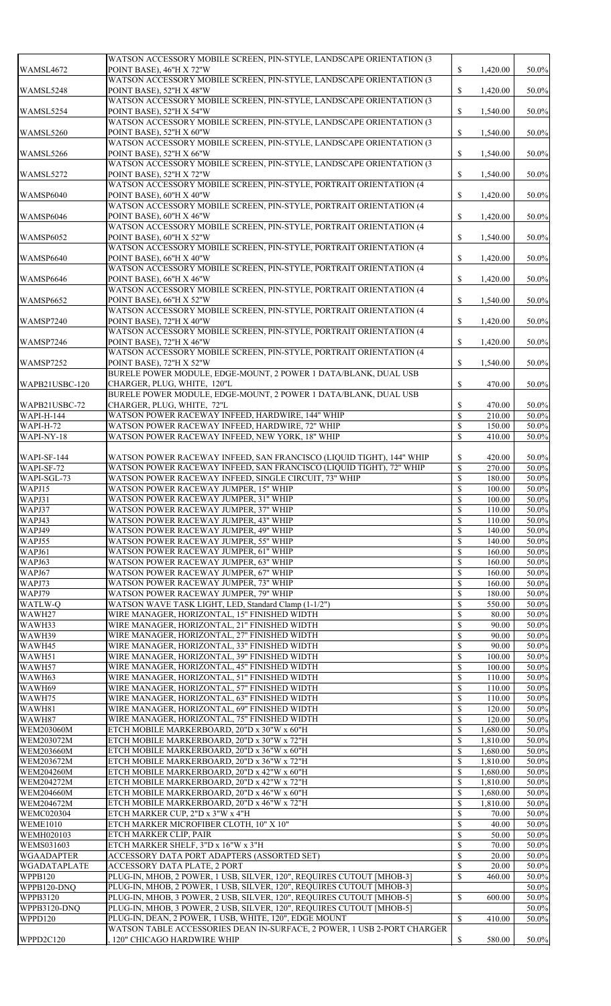| WAMSL4672                              | WATSON ACCESSORY MOBILE SCREEN, PIN-STYLE, LANDSCAPE ORIENTATION (3<br>POINT BASE), 46"H X 72"W                                   | $\mathbb{S}$                   | 1,420.00             | 50.0%          |
|----------------------------------------|-----------------------------------------------------------------------------------------------------------------------------------|--------------------------------|----------------------|----------------|
|                                        | WATSON ACCESSORY MOBILE SCREEN, PIN-STYLE, LANDSCAPE ORIENTATION (3                                                               |                                |                      |                |
| WAMSL5248                              | POINT BASE), 52"H X 48"W                                                                                                          | $\mathbb{S}$                   | 1,420.00             | 50.0%          |
| WAMSL5254                              | WATSON ACCESSORY MOBILE SCREEN, PIN-STYLE, LANDSCAPE ORIENTATION (3<br>POINT BASE), 52"H X 54"W                                   | $\mathbb{S}$                   |                      | 50.0%          |
|                                        | WATSON ACCESSORY MOBILE SCREEN, PIN-STYLE, LANDSCAPE ORIENTATION (3                                                               |                                | 1,540.00             |                |
| WAMSL5260                              | POINT BASE), 52"H X 60"W                                                                                                          | $\mathbb{S}$                   | 1,540.00             | 50.0%          |
|                                        | WATSON ACCESSORY MOBILE SCREEN, PIN-STYLE, LANDSCAPE ORIENTATION (3                                                               |                                |                      |                |
| WAMSL5266                              | POINT BASE), 52"H X 66"W<br>WATSON ACCESSORY MOBILE SCREEN, PIN-STYLE, LANDSCAPE ORIENTATION (3                                   | $\mathbb{S}$                   | 1,540.00             | 50.0%          |
| WAMSL5272                              | POINT BASE), 52"H X 72"W                                                                                                          | $\mathbb{S}$                   | 1,540.00             | 50.0%          |
|                                        | WATSON ACCESSORY MOBILE SCREEN, PIN-STYLE, PORTRAIT ORIENTATION (4                                                                |                                |                      |                |
| WAMSP6040                              | POINT BASE), 60"H X 40"W                                                                                                          | $\mathbb{S}$                   | 1,420.00             | 50.0%          |
| WAMSP6046                              | WATSON ACCESSORY MOBILE SCREEN, PIN-STYLE, PORTRAIT ORIENTATION (4<br>POINT BASE), 60"H X 46"W                                    | $\mathbb{S}$                   | 1,420.00             | 50.0%          |
|                                        | WATSON ACCESSORY MOBILE SCREEN, PIN-STYLE, PORTRAIT ORIENTATION (4                                                                |                                |                      |                |
| WAMSP6052                              | POINT BASE), 60"H X 52"W                                                                                                          | $\mathbb{S}$                   | 1,540.00             | 50.0%          |
|                                        | WATSON ACCESSORY MOBILE SCREEN, PIN-STYLE, PORTRAIT ORIENTATION (4                                                                |                                |                      |                |
| WAMSP6640                              | POINT BASE), 66"H X 40"W<br>WATSON ACCESSORY MOBILE SCREEN, PIN-STYLE, PORTRAIT ORIENTATION (4                                    | $\mathbb{S}$                   | 1,420.00             | 50.0%          |
| WAMSP6646                              | POINT BASE), 66"H X 46"W                                                                                                          | $\mathbb{S}$                   | 1,420.00             | 50.0%          |
|                                        | WATSON ACCESSORY MOBILE SCREEN, PIN-STYLE, PORTRAIT ORIENTATION (4                                                                |                                |                      |                |
| WAMSP6652                              | POINT BASE), 66"H X 52"W<br>WATSON ACCESSORY MOBILE SCREEN, PIN-STYLE, PORTRAIT ORIENTATION (4                                    | $\mathbb{S}$                   | 1,540.00             | 50.0%          |
| WAMSP7240                              | POINT BASE), 72"H X 40"W                                                                                                          | $\mathbb{S}$                   | 1,420.00             | 50.0%          |
|                                        | WATSON ACCESSORY MOBILE SCREEN, PIN-STYLE, PORTRAIT ORIENTATION (4                                                                |                                |                      |                |
| WAMSP7246                              | POINT BASE), 72"H X 46"W                                                                                                          | $\mathbb{S}$                   | 1,420.00             | 50.0%          |
|                                        | WATSON ACCESSORY MOBILE SCREEN, PIN-STYLE, PORTRAIT ORIENTATION (4                                                                |                                |                      |                |
| WAMSP7252                              | POINT BASE), 72"H X 52"W<br>BURELE POWER MODULE, EDGE-MOUNT, 2 POWER 1 DATA/BLANK, DUAL USB                                       |                                | 1,540.00             | 50.0%          |
| WAPB21USBC-120                         | CHARGER, PLUG, WHITE, 120"L                                                                                                       | $\boldsymbol{\mathsf{S}}$      | 470.00               | 50.0%          |
|                                        | BURELE POWER MODULE, EDGE-MOUNT, 2 POWER 1 DATA/BLANK, DUAL USB                                                                   |                                |                      |                |
| WAPB21USBC-72                          | CHARGER, PLUG, WHITE, 72"L                                                                                                        | \$<br>$\mathbb{S}$             | 470.00               | 50.0%          |
| WAPI-H-144<br>WAPI-H-72                | WATSON POWER RACEWAY INFEED, HARDWIRE, 144" WHIP<br>WATSON POWER RACEWAY INFEED, HARDWIRE, 72" WHIP                               | $\mathbb{S}$                   | 210.00<br>150.00     | 50.0%<br>50.0% |
| WAPI-NY-18                             | WATSON POWER RACEWAY INFEED, NEW YORK, 18" WHIP                                                                                   | $\mathbb{S}$                   | 410.00               | 50.0%          |
|                                        |                                                                                                                                   |                                |                      |                |
| WAPI-SF-144                            | WATSON POWER RACEWAY INFEED, SAN FRANCISCO (LIQUID TIGHT), 144" WHIP                                                              | $\boldsymbol{\mathsf{S}}$      | 420.00               | 50.0%          |
| WAPI-SF-72                             | WATSON POWER RACEWAY INFEED, SAN FRANCISCO (LIQUID TIGHT), 72" WHIP                                                               | $\mathbb{S}$                   | 270.00               | 50.0%          |
| WAPI-SGL-73                            | WATSON POWER RACEWAY INFEED, SINGLE CIRCUIT, 73" WHIP                                                                             | $\mathcal{S}$                  | 180.00               | 50.0%          |
| WAPJ15<br>WAPJ31                       | WATSON POWER RACEWAY JUMPER, 15" WHIP<br>WATSON POWER RACEWAY JUMPER, 31" WHIP                                                    | $\mathcal{S}$<br>$\mathcal{S}$ | 100.00<br>100.00     | 50.0%<br>50.0% |
| WAPJ37                                 | WATSON POWER RACEWAY JUMPER, 37" WHIP                                                                                             | $\mathbb{S}$                   | 110.00               | 50.0%          |
| WAPJ43                                 | WATSON POWER RACEWAY JUMPER, 43" WHIP                                                                                             | $\mathcal{S}$                  | 110.00               | 50.0%          |
| WAPJ49                                 | WATSON POWER RACEWAY JUMPER, 49" WHIP                                                                                             | $\mathcal{S}$                  | 140.00               | 50.0%          |
| WAPJ55                                 | WATSON POWER RACEWAY JUMPER, 55" WHIP                                                                                             | $\mathbb{S}$                   | 140.00               | 50.0%          |
| WAPJ61                                 | WATSON POWER RACEWAY JUMPER, 61" WHIP                                                                                             | $\mathbb{S}$                   | 160.00               | 50.0%          |
| WAPJ63                                 | WATSON POWER RACEWAY JUMPER, 63" WHIP                                                                                             | $\mathcal{S}$                  | 160.00               | 50.0%          |
| WAPJ67                                 | WATSON POWER RACEWAY JUMPER, 67" WHIP                                                                                             | $\mathcal{S}$                  | 160.00               | 50.0%          |
| WAPJ73                                 | WATSON POWER RACEWAY JUMPER, 73" WHIP                                                                                             | $\mathbb{S}$                   | 160.00               | 50.0%          |
| WAPJ79                                 | WATSON POWER RACEWAY JUMPER, 79" WHIP                                                                                             | $\mathbb{S}$                   | 180.00               | 50.0%          |
| WATLW-Q                                | WATSON WAVE TASK LIGHT, LED, Standard Clamp (1-1/2")                                                                              | $\mathbb{S}$                   | 550.00               | 50.0%          |
| WAWH27                                 | WIRE MANAGER, HORIZONTAL, 15" FINISHED WIDTH                                                                                      | $\mathcal{S}$                  | 80.00                | 50.0%          |
| WAWH33                                 | WIRE MANAGER, HORIZONTAL, 21" FINISHED WIDTH                                                                                      | $\mathcal{S}$                  | 90.00                | 50.0%          |
| WAWH39                                 | WIRE MANAGER, HORIZONTAL, 27" FINISHED WIDTH                                                                                      | $\mathbb{S}$                   | 90.00                | 50.0%          |
| WAWH45                                 | WIRE MANAGER, HORIZONTAL, 33" FINISHED WIDTH                                                                                      | $\mathbb{S}$                   | 90.00                | 50.0%          |
| WAWH51                                 | WIRE MANAGER, HORIZONTAL, 39" FINISHED WIDTH                                                                                      | $\mathcal{S}$                  | 100.00               | 50.0%          |
| WAWH57                                 | WIRE MANAGER, HORIZONTAL, 45" FINISHED WIDTH                                                                                      | \$                             | 100.00               | 50.0%          |
| WAWH63                                 | WIRE MANAGER, HORIZONTAL, 51" FINISHED WIDTH                                                                                      |                                | 110.00               | $50.0\%$       |
| WAWH69                                 | WIRE MANAGER, HORIZONTAL, 57" FINISHED WIDTH                                                                                      | $\mathbb{S}$                   | 110.00               | 50.0%          |
| WAWH75                                 | WIRE MANAGER, HORIZONTAL, 63" FINISHED WIDTH                                                                                      | $\mathbb{S}$                   | 110.00               | 50.0%          |
| WAWH81                                 | WIRE MANAGER, HORIZONTAL, 69" FINISHED WIDTH                                                                                      | \$                             | 120.00               | 50.0%          |
| WAWH87                                 | WIRE MANAGER, HORIZONTAL, 75" FINISHED WIDTH                                                                                      | $\mathcal{S}$                  | 120.00               | 50.0%          |
| <b>WEM203060M</b>                      | ETCH MOBILE MARKERBOARD, 20"D x 30"W x 60"H                                                                                       | $\mathcal{S}$                  | 1,680.00             | 50.0%          |
| WEM203072M                             | ETCH MOBILE MARKERBOARD, 20"D x 30"W x 72"H                                                                                       | $\mathbb{S}$                   | 1,810.00             | 50.0%          |
| <b>WEM203660M</b><br><b>WEM203672M</b> | ETCH MOBILE MARKERBOARD, 20"D x 36"W x 60"H<br>ETCH MOBILE MARKERBOARD, 20"D x 36"W x 72"H                                        | $\mathbb{S}$<br>$\mathcal{S}$  | 1,680.00<br>1,810.00 | 50.0%<br>50.0% |
| <b>WEM204260M</b>                      | ETCH MOBILE MARKERBOARD, 20"D x 42"W x 60"H                                                                                       | $\mathbb{S}$                   | 1,680.00             | 50.0%          |
| WEM204272M                             | ETCH MOBILE MARKERBOARD, 20"D x 42"W x 72"H                                                                                       | $\mathbb{S}$                   | 1,810.00             | 50.0%          |
| <b>WEM204660M</b>                      | ETCH MOBILE MARKERBOARD, 20"D x 46"W x 60"H                                                                                       | $\mathbb{S}$                   | 1,680.00             | 50.0%          |
| WEM204672M                             | ETCH MOBILE MARKERBOARD, 20"D x 46"W x 72"H                                                                                       | $\mathcal{S}$                  | 1,810.00             | 50.0%          |
| <b>WEMC020304</b>                      | ETCH MARKER CUP, 2"D x 3"W x 4"H                                                                                                  | \$                             | 70.00                | 50.0%          |
| <b>WEME1010</b>                        | ETCH MARKER MICROFIBER CLOTH, 10" X 10"                                                                                           | $\mathbb{S}$                   | 40.00                | 50.0%          |
| <b>WEMH020103</b>                      | ETCH MARKER CLIP, PAIR                                                                                                            | \$                             | 50.00                | 50.0%          |
| <b>WEMS031603</b>                      | ETCH MARKER SHELF, 3"D x 16"W x 3"H                                                                                               | $\mathcal{S}$                  | 70.00                | 50.0%          |
| <b>WGAADAPTER</b>                      | ACCESSORY DATA PORT ADAPTERS (ASSORTED SET)                                                                                       | \$                             | 20.00                | 50.0%          |
| <b>WGADATAPLATE</b>                    | <b>ACCESSORY DATA PLATE, 2 PORT</b>                                                                                               | $\mathbb{S}$                   | 20.00                | 50.0%          |
| WPPB120                                | PLUG-IN, MHOB, 2 POWER, 1 USB, SILVER, 120", REQUIRES CUTOUT [MHOB-3]                                                             | $\mathbb{S}$                   | 460.00               | 50.0%          |
| WPPB120-DNQ                            | PLUG-IN, MHOB, 2 POWER, 1 USB, SILVER, 120", REQUIRES CUTOUT [MHOB-3]                                                             |                                |                      | 50.0%          |
| <b>WPPB3120</b>                        | PLUG-IN, MHOB, 3 POWER, 2 USB, SILVER, 120", REQUIRES CUTOUT [MHOB-5]                                                             | $\mathbb{S}$                   | 600.00               | 50.0%          |
| WPPB3120-DNQ                           | PLUG-IN, MHOB, 3 POWER, 2 USB, SILVER, 120", REQUIRES CUTOUT [MHOB-5]                                                             |                                |                      | 50.0%          |
| WPPD120                                | PLUG-IN, DEAN, 2 POWER, 1 USB, WHITE, 120", EDGE MOUNT<br>WATSON TABLE ACCESSORIES DEAN IN-SURFACE, 2 POWER, 1 USB 2-PORT CHARGER | $\mathcal{S}$                  | 410.00               | 50.0%          |
| WPPD2C120                              | , 120" CHICAGO HARDWIRE WHIP                                                                                                      | \$                             | 580.00               | 50.0%          |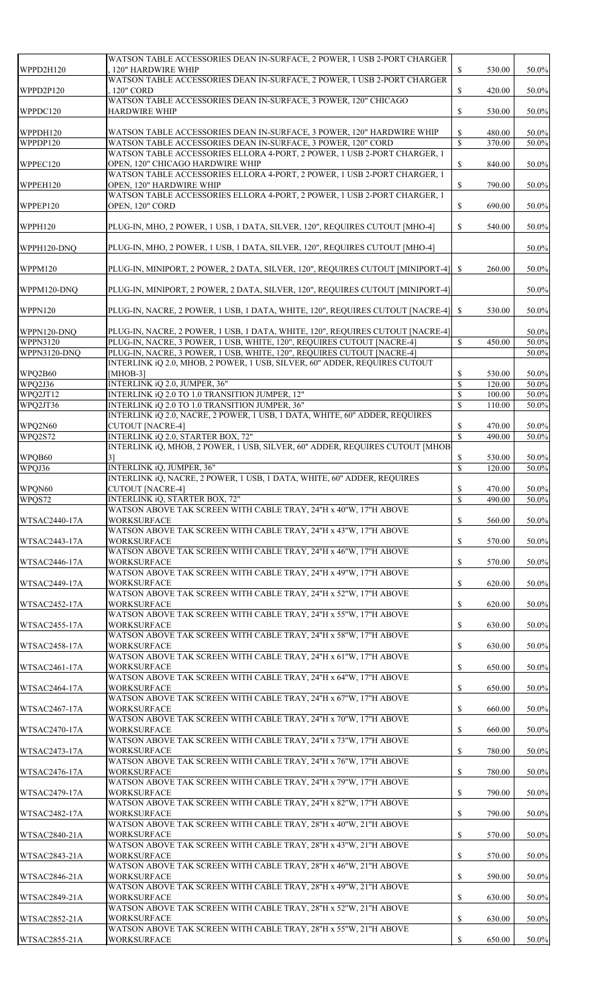| WPPD2H120                                       | WATSON TABLE ACCESSORIES DEAN IN-SURFACE, 2 POWER, 1 USB 2-PORT CHARGER<br><b>120" HARDWIRE WHIP</b>                                     | $\mathbb{S}$              | 530.00 | 50.0%          |
|-------------------------------------------------|------------------------------------------------------------------------------------------------------------------------------------------|---------------------------|--------|----------------|
| WPPD2P120                                       | WATSON TABLE ACCESSORIES DEAN IN-SURFACE, 2 POWER, 1 USB 2-PORT CHARGER<br>120" CORD                                                     | $\mathbb{S}$              | 420.00 | 50.0%          |
| WPPDC120                                        | WATSON TABLE ACCESSORIES DEAN IN-SURFACE, 3 POWER, 120" CHICAGO<br><b>HARDWIRE WHIP</b>                                                  | $\boldsymbol{\mathsf{S}}$ | 530.00 | 50.0%          |
|                                                 |                                                                                                                                          |                           |        |                |
| WPPDH120                                        | WATSON TABLE ACCESSORIES DEAN IN-SURFACE, 3 POWER, 120" HARDWIRE WHIP                                                                    | $\boldsymbol{\mathsf{S}}$ | 480.00 | 50.0%          |
| WPPDP120                                        | WATSON TABLE ACCESSORIES DEAN IN-SURFACE, 3 POWER, 120" CORD<br>WATSON TABLE ACCESSORIES ELLORA 4-PORT, 2 POWER, 1 USB 2-PORT CHARGER, 1 | $\mathbb{S}$              | 370.00 | 50.0%          |
| WPPEC120                                        | OPEN, 120" CHICAGO HARDWIRE WHIP<br>WATSON TABLE ACCESSORIES ELLORA 4-PORT, 2 POWER, 1 USB 2-PORT CHARGER, 1                             | $\boldsymbol{\mathsf{S}}$ | 840.00 | 50.0%          |
| WPPEH120                                        | OPEN, 120" HARDWIRE WHIP<br>WATSON TABLE ACCESSORIES ELLORA 4-PORT, 2 POWER, 1 USB 2-PORT CHARGER, 1                                     | $\boldsymbol{\mathsf{S}}$ | 790.00 | 50.0%          |
| WPPEP120                                        | OPEN, 120" CORD                                                                                                                          | $\boldsymbol{\mathsf{S}}$ | 690.00 | 50.0%          |
| WPPH120                                         | PLUG-IN, MHO, 2 POWER, 1 USB, 1 DATA, SILVER, 120", REQUIRES CUTOUT [MHO-4]                                                              | $\boldsymbol{\mathsf{S}}$ | 540.00 | 50.0%          |
| WPPH120-DNQ                                     | PLUG-IN, MHO, 2 POWER, 1 USB, 1 DATA, SILVER, 120", REQUIRES CUTOUT [MHO-4]                                                              |                           |        | 50.0%          |
| <b>WPPM120</b>                                  | PLUG-IN, MINIPORT, 2 POWER, 2 DATA, SILVER, 120", REQUIRES CUTOUT [MINIPORT-4]] \$                                                       |                           | 260.00 | 50.0%          |
| WPPM120-DNQ                                     | PLUG-IN, MINIPORT, 2 POWER, 2 DATA, SILVER, 120", REQUIRES CUTOUT [MINIPORT-4]                                                           |                           |        | 50.0%          |
| WPPN120                                         | PLUG-IN, NACRE, 2 POWER, 1 USB, 1 DATA, WHITE, 120", REQUIRES CUTOUT [NACRE-4]] \$                                                       |                           | 530.00 | 50.0%          |
| WPPN120-DNQ                                     | PLUG-IN, NACRE, 2 POWER, 1 USB, 1 DATA, WHITE, 120", REQUIRES CUTOUT [NACRE-4]                                                           |                           |        | 50.0%          |
| <b>WPPN3120</b>                                 | PLUG-IN, NACRE, 3 POWER, 1 USB, WHITE, 120", REQUIRES CUTOUT [NACRE-4]                                                                   | $\mathbb{S}$              | 450.00 | 50.0%          |
| WPPN3120-DNQ                                    | PLUG-IN, NACRE, 3 POWER, 1 USB, WHITE, 120", REQUIRES CUTOUT [NACRE-4]                                                                   |                           |        | 50.0%          |
|                                                 | INTERLINK iQ 2.0, MHOB, 2 POWER, 1 USB, SILVER, 60" ADDER, REQUIRES CUTOUT                                                               |                           |        |                |
| WPQ2B60                                         | [ $MHOB-3$ ]                                                                                                                             | $\boldsymbol{\mathsf{S}}$ | 530.00 | 50.0%          |
| WPQ2J36                                         | INTERLINK iQ 2.0, JUMPER, 36"                                                                                                            | $\mathcal{S}$             | 120.00 | 50.0%          |
| WPQ2JT12                                        | INTERLINK iQ 2.0 TO 1.0 TRANSITION JUMPER, 12"                                                                                           | $\mathbb{S}$              | 100.00 | 50.0%          |
| WPQ2JT36                                        | INTERLINK iQ 2.0 TO 1.0 TRANSITION JUMPER, 36"<br>INTERLINK iQ 2.0, NACRE, 2 POWER, 1 USB, 1 DATA, WHITE, 60" ADDER, REQUIRES            | $\mathbb{S}$              | 110.00 | 50.0%          |
| WPQ2N60                                         | <b>CUTOUT [NACRE-4]</b>                                                                                                                  | $\boldsymbol{\mathsf{S}}$ | 470.00 | 50.0%          |
| WPQ2S72                                         | INTERLINK iQ 2.0, STARTER BOX, 72"                                                                                                       | $\overline{\mathcal{S}}$  | 490.00 | 50.0%          |
|                                                 | INTERLINK iQ, MHOB, 2 POWER, 1 USB, SILVER, 60" ADDER, REQUIRES CUTOUT [MHOB-                                                            |                           |        |                |
| WPQB60                                          | 3                                                                                                                                        | $\boldsymbol{\mathsf{S}}$ | 530.00 | 50.0%          |
| WPQJ36                                          | <b>INTERLINK iQ, JUMPER, 36"</b>                                                                                                         | $\mathcal{S}$             | 120.00 | 50.0%          |
|                                                 | INTERLINK iQ, NACRE, 2 POWER, 1 USB, 1 DATA, WHITE, 60" ADDER, REQUIRES                                                                  |                           |        |                |
| WPQN60                                          | <b>CUTOUT [NACRE-4]</b>                                                                                                                  | $\mathbb{S}$              | 470.00 | 50.0%          |
| WPQS72                                          | INTERLINK iQ, STARTER BOX, 72"                                                                                                           | $\mathbb{S}$              | 490.00 | 50.0%          |
|                                                 | WATSON ABOVE TAK SCREEN WITH CABLE TRAY, 24"H x 40"W, 17"H ABOVE                                                                         |                           |        |                |
| WTSAC2440-17A                                   | <b>WORKSURFACE</b><br>WATSON ABOVE TAK SCREEN WITH CABLE TRAY, 24"H x 43"W, 17"H ABOVE                                                   | $\boldsymbol{\mathsf{S}}$ | 560.00 | 50.0%          |
| WTSAC2443-17A                                   | <b>WORKSURFACE</b>                                                                                                                       | $\boldsymbol{\mathsf{S}}$ | 570.00 | 50.0%          |
|                                                 | WATSON ABOVE TAK SCREEN WITH CABLE TRAY, 24"H x 46"W, 17"H ABOVE                                                                         |                           |        |                |
| WTSAC2446-17A                                   | <b>WORKSURFACE</b>                                                                                                                       | $\boldsymbol{\mathsf{S}}$ | 570.00 | 50.0%          |
|                                                 | WATSON ABOVE TAK SCREEN WITH CABLE TRAY, 24"H x 49"W, 17"H ABOVE                                                                         |                           |        |                |
| WTSAC2449-17A                                   | <b>WORKSURFACE</b>                                                                                                                       | $\boldsymbol{\mathsf{S}}$ | 620.00 | 50.0%          |
|                                                 | WATSON ABOVE TAK SCREEN WITH CABLE TRAY, 24"H x 52"W, 17"H ABOVE                                                                         |                           |        |                |
| WTSAC2452-17A                                   | <b>WORKSURFACE</b>                                                                                                                       | $\boldsymbol{\mathsf{S}}$ | 620.00 | 50.0%          |
| WTSAC2455-17A                                   | WATSON ABOVE TAK SCREEN WITH CABLE TRAY, 24"H x 55"W, 17"H ABOVE<br><b>WORKSURFACE</b>                                                   | $\boldsymbol{\mathsf{S}}$ | 630.00 | 50.0%          |
|                                                 | WATSON ABOVE TAK SCREEN WITH CABLE TRAY, 24"H x 58"W, 17"H ABOVE<br><b>WORKSURFACE</b>                                                   |                           |        |                |
| WTSAC2458-17A                                   | WATSON ABOVE TAK SCREEN WITH CABLE TRAY, 24"H x 61"W, 17"H ABOVE                                                                         | $\boldsymbol{\mathsf{S}}$ | 630.00 | 50.0%          |
| WTSAC2461-17A                                   | <b>WORKSURFACE</b>                                                                                                                       | $\boldsymbol{\mathsf{S}}$ | 650.00 | 50.0%          |
|                                                 | WATSON ABOVE TAK SCREEN WITH CABLE TRAY, 24"H x 64"W, 17"H ABOVE                                                                         |                           |        |                |
| WTSAC2464-17A                                   | <b>WORKSURFACE</b>                                                                                                                       | $\boldsymbol{\mathsf{S}}$ | 650.00 | 50.0%          |
| WTSAC2467-17A                                   | WATSON ABOVE TAK SCREEN WITH CABLE TRAY, 24"H x 67"W, 17"H ABOVE<br><b>WORKSURFACE</b>                                                   | $\boldsymbol{\mathsf{S}}$ | 660.00 | 50.0%          |
|                                                 | WATSON ABOVE TAK SCREEN WITH CABLE TRAY, 24"H x 70"W, 17"H ABOVE                                                                         |                           |        |                |
| WTSAC2470-17A                                   | <b>WORKSURFACE</b><br>WATSON ABOVE TAK SCREEN WITH CABLE TRAY, 24"H x 73"W, 17"H ABOVE                                                   | $\boldsymbol{\mathsf{S}}$ | 660.00 | 50.0%          |
| WTSAC2473-17A                                   | <b>WORKSURFACE</b>                                                                                                                       | $\boldsymbol{\mathsf{S}}$ | 780.00 | 50.0%          |
|                                                 | WATSON ABOVE TAK SCREEN WITH CABLE TRAY, 24"H x 76"W, 17"H ABOVE                                                                         |                           |        |                |
| WTSAC2476-17A                                   | <b>WORKSURFACE</b>                                                                                                                       | $\boldsymbol{\mathsf{S}}$ | 780.00 | 50.0%          |
|                                                 | WATSON ABOVE TAK SCREEN WITH CABLE TRAY, 24"H x 79"W, 17"H ABOVE                                                                         |                           |        |                |
| WTSAC2479-17A                                   | <b>WORKSURFACE</b>                                                                                                                       | $\boldsymbol{\mathsf{S}}$ | 790.00 | 50.0%          |
| WTSAC2482-17A                                   | WATSON ABOVE TAK SCREEN WITH CABLE TRAY, 24"H x 82"W, 17"H ABOVE<br><b>WORKSURFACE</b>                                                   | $\boldsymbol{\mathsf{S}}$ | 790.00 | 50.0%          |
|                                                 | WATSON ABOVE TAK SCREEN WITH CABLE TRAY, 28"H x 40"W, 21"H ABOVE                                                                         |                           |        |                |
| WTSAC2840-21A                                   | <b>WORKSURFACE</b>                                                                                                                       | $\boldsymbol{\mathsf{S}}$ | 570.00 | 50.0%          |
|                                                 | WATSON ABOVE TAK SCREEN WITH CABLE TRAY, 28"H x 43"W, 21"H ABOVE                                                                         |                           |        |                |
| WTSAC2843-21A                                   | <b>WORKSURFACE</b><br>WATSON ABOVE TAK SCREEN WITH CABLE TRAY, 28"H x 46"W, 21"H ABOVE                                                   | $\boldsymbol{\mathsf{S}}$ | 570.00 | 50.0%          |
|                                                 | <b>WORKSURFACE</b>                                                                                                                       | $\boldsymbol{\mathsf{S}}$ | 590.00 | 50.0%          |
|                                                 |                                                                                                                                          |                           |        |                |
|                                                 | WATSON ABOVE TAK SCREEN WITH CABLE TRAY, 28"H x 49"W, 21"H ABOVE                                                                         |                           |        |                |
|                                                 | <b>WORKSURFACE</b><br>WATSON ABOVE TAK SCREEN WITH CABLE TRAY, 28"H x 52"W, 21"H ABOVE                                                   | $\boldsymbol{\mathsf{S}}$ | 630.00 |                |
|                                                 | <b>WORKSURFACE</b>                                                                                                                       | $\boldsymbol{\mathsf{S}}$ | 630.00 |                |
| WTSAC2846-21A<br>WTSAC2849-21A<br>WTSAC2852-21A | WATSON ABOVE TAK SCREEN WITH CABLE TRAY, 28"H x 55"W, 21"H ABOVE                                                                         |                           |        | 50.0%<br>50.0% |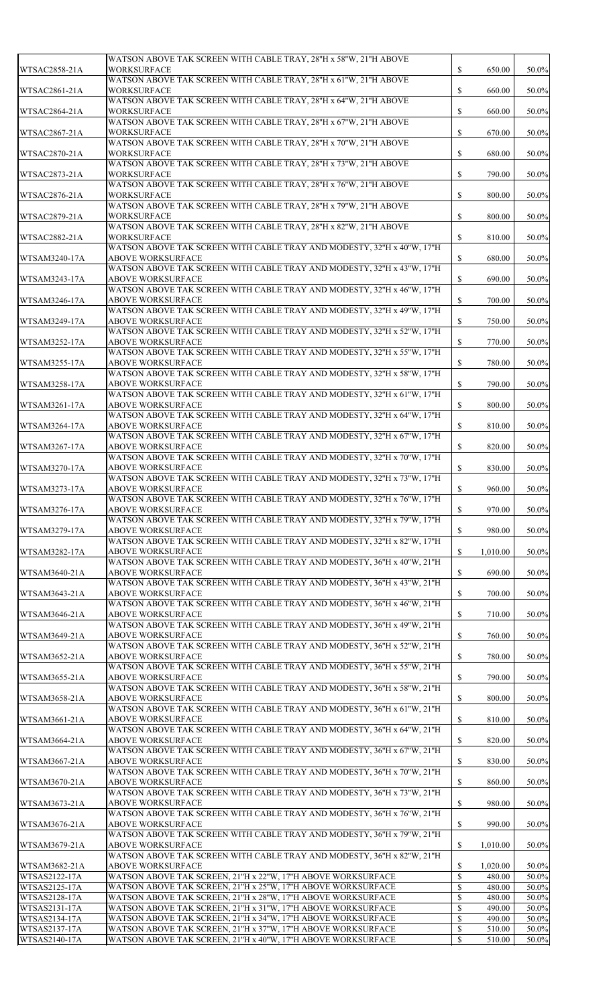| WTSAC2858-21A                  | WATSON ABOVE TAK SCREEN WITH CABLE TRAY, 28"H x 58"W, 21"H ABOVE                                                             |                               |                  |                |
|--------------------------------|------------------------------------------------------------------------------------------------------------------------------|-------------------------------|------------------|----------------|
|                                | <b>WORKSURFACE</b><br>WATSON ABOVE TAK SCREEN WITH CABLE TRAY, 28"H x 61"W, 21"H ABOVE                                       | $\boldsymbol{\mathsf{S}}$     | 650.00           | 50.0%          |
| WTSAC2861-21A                  | <b>WORKSURFACE</b><br>WATSON ABOVE TAK SCREEN WITH CABLE TRAY, 28"H x 64"W, 21"H ABOVE                                       | $\boldsymbol{\mathsf{S}}$     | 660.00           | 50.0%          |
| WTSAC2864-21A                  | <b>WORKSURFACE</b>                                                                                                           | $\boldsymbol{\mathsf{S}}$     | 660.00           | 50.0%          |
| WTSAC2867-21A                  | WATSON ABOVE TAK SCREEN WITH CABLE TRAY, 28"H x 67"W, 21"H ABOVE<br><b>WORKSURFACE</b>                                       | $\boldsymbol{\mathsf{S}}$     | 670.00           | 50.0%          |
|                                | WATSON ABOVE TAK SCREEN WITH CABLE TRAY, 28"H x 70"W, 21"H ABOVE                                                             |                               |                  |                |
| WTSAC2870-21A                  | <b>WORKSURFACE</b><br>WATSON ABOVE TAK SCREEN WITH CABLE TRAY, 28"H x 73"W, 21"H ABOVE                                       | $\boldsymbol{\mathsf{S}}$     | 680.00           | 50.0%          |
| WTSAC2873-21A                  | <b>WORKSURFACE</b>                                                                                                           | $\boldsymbol{\mathsf{S}}$     | 790.00           | 50.0%          |
| WTSAC2876-21A                  | WATSON ABOVE TAK SCREEN WITH CABLE TRAY, 28"H x 76"W, 21"H ABOVE<br><b>WORKSURFACE</b>                                       | $\boldsymbol{\mathsf{S}}$     | 800.00           | 50.0%          |
|                                | WATSON ABOVE TAK SCREEN WITH CABLE TRAY, 28"H x 79"W, 21"H ABOVE                                                             |                               |                  |                |
| WTSAC2879-21A                  | <b>WORKSURFACE</b><br>WATSON ABOVE TAK SCREEN WITH CABLE TRAY, 28"H x 82"W, 21"H ABOVE                                       | $\boldsymbol{\mathsf{S}}$     | 800.00           | 50.0%          |
| WTSAC2882-21A                  | <b>WORKSURFACE</b>                                                                                                           | $\boldsymbol{\mathsf{S}}$     | 810.00           | 50.0%          |
| WTSAM3240-17A                  | WATSON ABOVE TAK SCREEN WITH CABLE TRAY AND MODESTY, 32"H x 40"W, 17"H<br><b>ABOVE WORKSURFACE</b>                           | $\boldsymbol{\mathsf{S}}$     | 680.00           | 50.0%          |
| WTSAM3243-17A                  | WATSON ABOVE TAK SCREEN WITH CABLE TRAY AND MODESTY, 32"H x 43"W, 17"H<br><b>ABOVE WORKSURFACE</b>                           | $\boldsymbol{\mathsf{S}}$     | 690.00           | 50.0%          |
|                                | WATSON ABOVE TAK SCREEN WITH CABLE TRAY AND MODESTY, 32"H x 46"W, 17"H                                                       |                               |                  |                |
| WTSAM3246-17A                  | <b>ABOVE WORKSURFACE</b><br>WATSON ABOVE TAK SCREEN WITH CABLE TRAY AND MODESTY, 32"H x 49"W, 17"H                           | $\boldsymbol{\mathsf{S}}$     | 700.00           | 50.0%          |
| WTSAM3249-17A                  | <b>ABOVE WORKSURFACE</b>                                                                                                     | $\boldsymbol{\mathsf{S}}$     | 750.00           | 50.0%          |
| WTSAM3252-17A                  | WATSON ABOVE TAK SCREEN WITH CABLE TRAY AND MODESTY, 32"H x 52"W, 17"H<br><b>ABOVE WORKSURFACE</b>                           | $\boldsymbol{\mathsf{S}}$     | 770.00           | 50.0%          |
|                                | WATSON ABOVE TAK SCREEN WITH CABLE TRAY AND MODESTY, 32"H x 55"W, 17"H                                                       |                               |                  |                |
| <b>WTSAM3255-17A</b>           | <b>ABOVE WORKSURFACE</b><br>WATSON ABOVE TAK SCREEN WITH CABLE TRAY AND MODESTY, 32"H x 58"W, 17"H                           | $\boldsymbol{\mathsf{S}}$     | 780.00           | 50.0%          |
| WTSAM3258-17A                  | <b>ABOVE WORKSURFACE</b>                                                                                                     | $\boldsymbol{\mathsf{S}}$     | 790.00           | 50.0%          |
| WTSAM3261-17A                  | WATSON ABOVE TAK SCREEN WITH CABLE TRAY AND MODESTY, 32"H x 61"W, 17"H<br><b>ABOVE WORKSURFACE</b>                           | $\boldsymbol{\mathsf{S}}$     | 800.00           | 50.0%          |
|                                | WATSON ABOVE TAK SCREEN WITH CABLE TRAY AND MODESTY, 32"H x 64"W, 17"H                                                       |                               |                  |                |
| WTSAM3264-17A                  | <b>ABOVE WORKSURFACE</b><br>WATSON ABOVE TAK SCREEN WITH CABLE TRAY AND MODESTY, 32"H x 67"W, 17"H                           | $\mathbb{S}$                  | 810.00           | 50.0%          |
| WTSAM3267-17A                  | <b>ABOVE WORKSURFACE</b>                                                                                                     | $\boldsymbol{\mathsf{S}}$     | 820.00           | 50.0%          |
| WTSAM3270-17A                  | WATSON ABOVE TAK SCREEN WITH CABLE TRAY AND MODESTY, 32"H x 70"W, 17"H<br><b>ABOVE WORKSURFACE</b>                           | $\mathbb{S}$                  | 830.00           | 50.0%          |
|                                | WATSON ABOVE TAK SCREEN WITH CABLE TRAY AND MODESTY, 32"H x 73"W, 17"H                                                       |                               |                  |                |
| WTSAM3273-17A                  | <b>ABOVE WORKSURFACE</b><br>WATSON ABOVE TAK SCREEN WITH CABLE TRAY AND MODESTY, 32"H x 76"W, 17"H                           | $\boldsymbol{\mathsf{S}}$     | 960.00           | 50.0%          |
| WTSAM3276-17A                  | <b>ABOVE WORKSURFACE</b>                                                                                                     | $\boldsymbol{\mathsf{S}}$     | 970.00           | 50.0%          |
| WTSAM3279-17A                  | WATSON ABOVE TAK SCREEN WITH CABLE TRAY AND MODESTY, 32"H x 79"W, 17"H<br><b>ABOVE WORKSURFACE</b>                           | $\boldsymbol{\mathsf{S}}$     | 980.00           | 50.0%          |
| WTSAM3282-17A                  | WATSON ABOVE TAK SCREEN WITH CABLE TRAY AND MODESTY, 32"H x 82"W, 17"H<br><b>ABOVE WORKSURFACE</b>                           | $\mathbb{S}$                  | 1,010.00         | 50.0%          |
|                                | WATSON ABOVE TAK SCREEN WITH CABLE TRAY AND MODESTY, 36"H x 40"W, 21"H                                                       |                               |                  |                |
| WTSAM3640-21A                  | <b>ABOVE WORKSURFACE</b><br>WATSON ABOVE TAK SCREEN WITH CABLE TRAY AND MODESTY, 36"H x 43"W, 21"H                           | $\boldsymbol{\mathsf{S}}$     | 690.00           | 50.0%          |
| WTSAM3643-21A                  | <b>ABOVE WORKSURFACE</b>                                                                                                     | $\mathbb{S}$                  | 700.00           | 50.0%          |
| WTSAM3646-21A                  | WATSON ABOVE TAK SCREEN WITH CABLE TRAY AND MODESTY, 36"H x 46"W, 21"H<br><b>ABOVE WORKSURFACE</b>                           | $\boldsymbol{\mathsf{S}}$     | 710.00           | 50.0%          |
|                                | WATSON ABOVE TAK SCREEN WITH CABLE TRAY AND MODESTY, 36"H x 49"W, 21"H                                                       |                               |                  |                |
| WTSAM3649-21A                  | <b>ABOVE WORKSURFACE</b><br>WATSON ABOVE TAK SCREEN WITH CABLE TRAY AND MODESTY, 36"H x 52"W, 21"H                           | $\mathbb{S}$                  | 760.00           | 50.0%          |
| WTSAM3652-21A                  | <b>ABOVE WORKSURFACE</b>                                                                                                     | $\boldsymbol{\mathsf{S}}$     | 780.00           | 50.0%          |
| WTSAM3655-21A                  | WATSON ABOVE TAK SCREEN WITH CABLE TRAY AND MODESTY, 36"H x 55"W, 21"H<br><b>ABOVE WORKSURFACE</b>                           | $\boldsymbol{\mathsf{S}}$     | 790.00           | 50.0%          |
|                                | WATSON ABOVE TAK SCREEN WITH CABLE TRAY AND MODESTY, 36"H x 58"W, 21"H                                                       |                               |                  |                |
| WTSAM3658-21A                  | <b>ABOVE WORKSURFACE</b><br>WATSON ABOVE TAK SCREEN WITH CABLE TRAY AND MODESTY, 36"H x 61"W, 21"H                           | $\boldsymbol{\mathsf{S}}$     | 800.00           | 50.0%          |
| WTSAM3661-21A                  | <b>ABOVE WORKSURFACE</b>                                                                                                     | $\boldsymbol{\mathsf{S}}$     | 810.00           | 50.0%          |
| WTSAM3664-21A                  | WATSON ABOVE TAK SCREEN WITH CABLE TRAY AND MODESTY, 36"H x 64"W, 21"H<br><b>ABOVE WORKSURFACE</b>                           | $\boldsymbol{\mathsf{S}}$     | 820.00           | 50.0%          |
| WTSAM3667-21A                  | WATSON ABOVE TAK SCREEN WITH CABLE TRAY AND MODESTY, 36"H x 67"W, 21"H<br><b>ABOVE WORKSURFACE</b>                           |                               |                  |                |
|                                | WATSON ABOVE TAK SCREEN WITH CABLE TRAY AND MODESTY, 36"H x 70"W, 21"H                                                       | $\boldsymbol{\mathsf{S}}$     | 830.00           | 50.0%          |
| WTSAM3670-21A                  | <b>ABOVE WORKSURFACE</b><br>WATSON ABOVE TAK SCREEN WITH CABLE TRAY AND MODESTY, 36"H x 73"W, 21"H                           | $\boldsymbol{\mathsf{S}}$     | 860.00           | 50.0%          |
| WTSAM3673-21A                  | <b>ABOVE WORKSURFACE</b>                                                                                                     | $\boldsymbol{\mathsf{S}}$     | 980.00           | 50.0%          |
| WTSAM3676-21A                  | WATSON ABOVE TAK SCREEN WITH CABLE TRAY AND MODESTY, 36"H x 76"W, 21"H<br><b>ABOVE WORKSURFACE</b>                           | $\boldsymbol{\mathsf{S}}$     | 990.00           | 50.0%          |
|                                | WATSON ABOVE TAK SCREEN WITH CABLE TRAY AND MODESTY, 36"H x 79"W, 21"H                                                       |                               |                  |                |
| WTSAM3679-21A                  | <b>ABOVE WORKSURFACE</b><br>WATSON ABOVE TAK SCREEN WITH CABLE TRAY AND MODESTY, 36"H x 82"W, 21"H                           | $\boldsymbol{\mathsf{S}}$     | 1,010.00         | 50.0%          |
| WTSAM3682-21A                  | <b>ABOVE WORKSURFACE</b>                                                                                                     | $\boldsymbol{\mathsf{S}}$     | 1,020.00         | 50.0%          |
| WTSAS2122-17A<br>WTSAS2125-17A | WATSON ABOVE TAK SCREEN, 21"H x 22"W, 17"H ABOVE WORKSURFACE<br>WATSON ABOVE TAK SCREEN, 21"H x 25"W, 17"H ABOVE WORKSURFACE | $\mathbb{S}$<br>$\mathcal{S}$ | 480.00<br>480.00 | 50.0%<br>50.0% |
| WTSAS2128-17A                  | WATSON ABOVE TAK SCREEN, 21"H x 28"W, 17"H ABOVE WORKSURFACE                                                                 | $\mathbb{S}$                  | 480.00           | 50.0%          |
| WTSAS2131-17A                  | WATSON ABOVE TAK SCREEN, 21"H x 31"W, 17"H ABOVE WORKSURFACE                                                                 | $\mathcal{S}$                 | 490.00           | 50.0%          |
| WTSAS2134-17A                  | WATSON ABOVE TAK SCREEN, 21"H x 34"W, 17"H ABOVE WORKSURFACE                                                                 | $\mathbb{S}$                  | 490.00           | 50.0%          |
|                                | WATSON ABOVE TAK SCREEN, 21"H x 37"W, 17"H ABOVE WORKSURFACE                                                                 | $\mathcal{S}$                 | 510.00           | 50.0%          |
| WTSAS2137-17A<br>WTSAS2140-17A | WATSON ABOVE TAK SCREEN, 21"H x 40"W, 17"H ABOVE WORKSURFACE                                                                 | $\mathbb{S}$                  | 510.00           | 50.0%          |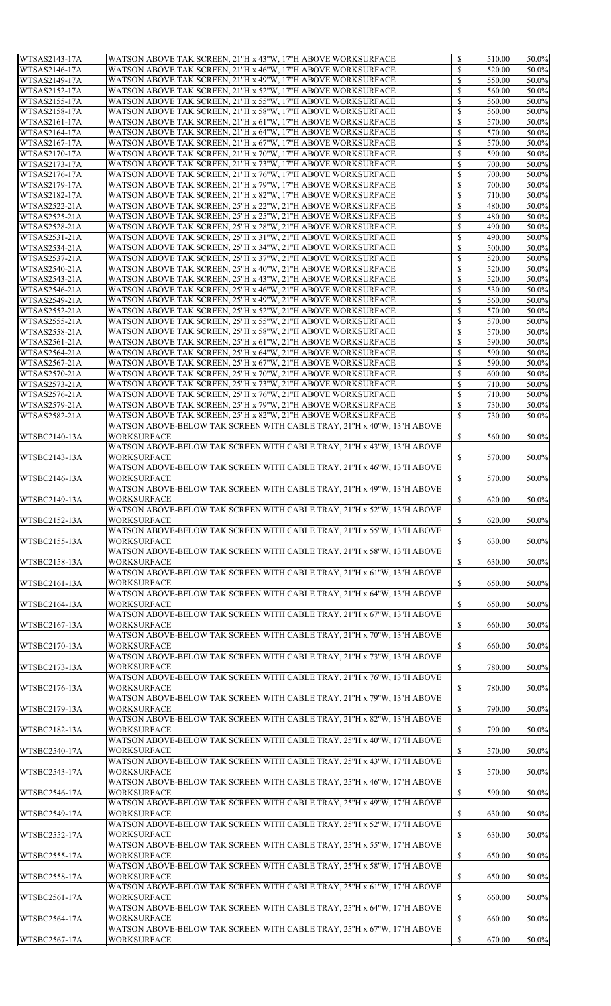| WTSAS2143-17A        | WATSON ABOVE TAK SCREEN, 21"H x 43"W, 17"H ABOVE WORKSURFACE           | \$                        | 510.00 | 50.0%    |
|----------------------|------------------------------------------------------------------------|---------------------------|--------|----------|
| WTSAS2146-17A        | WATSON ABOVE TAK SCREEN, 21"H x 46"W, 17"H ABOVE WORKSURFACE           | \$                        | 520.00 | 50.0%    |
| WTSAS2149-17A        | WATSON ABOVE TAK SCREEN, 21"H x 49"W, 17"H ABOVE WORKSURFACE           | \$                        | 550.00 | 50.0%    |
| WTSAS2152-17A        | WATSON ABOVE TAK SCREEN, 21"H x 52"W, 17"H ABOVE WORKSURFACE           | $\mathbb{S}$              | 560.00 | 50.0%    |
| WTSAS2155-17A        | WATSON ABOVE TAK SCREEN, 21"H x 55"W, 17"H ABOVE WORKSURFACE           | \$                        | 560.00 | 50.0%    |
|                      |                                                                        |                           |        |          |
| WTSAS2158-17A        | WATSON ABOVE TAK SCREEN, 21"H x 58"W, 17"H ABOVE WORKSURFACE           | \$                        | 560.00 | 50.0%    |
| WTSAS2161-17A        | WATSON ABOVE TAK SCREEN, 21"H x 61"W, 17"H ABOVE WORKSURFACE           | \$                        | 570.00 | 50.0%    |
| WTSAS2164-17A        | WATSON ABOVE TAK SCREEN, 21"H x 64"W, 17"H ABOVE WORKSURFACE           | $\mathbb{S}$              | 570.00 | 50.0%    |
| WTSAS2167-17A        | WATSON ABOVE TAK SCREEN, 21"H x 67"W, 17"H ABOVE WORKSURFACE           | \$                        | 570.00 | 50.0%    |
| WTSAS2170-17A        | WATSON ABOVE TAK SCREEN, 21"H x 70"W, 17"H ABOVE WORKSURFACE           | \$                        | 590.00 | 50.0%    |
| WTSAS2173-17A        | WATSON ABOVE TAK SCREEN, 21"H x 73"W, 17"H ABOVE WORKSURFACE           | \$                        | 700.00 | 50.0%    |
| WTSAS2176-17A        |                                                                        | $\mathbb{S}$              | 700.00 | 50.0%    |
|                      | WATSON ABOVE TAK SCREEN, 21"H x 76"W, 17"H ABOVE WORKSURFACE           |                           |        |          |
| WTSAS2179-17A        | WATSON ABOVE TAK SCREEN, 21"H x 79"W, 17"H ABOVE WORKSURFACE           | \$                        | 700.00 | 50.0%    |
| WTSAS2182-17A        | WATSON ABOVE TAK SCREEN, 21"H x 82"W, 17"H ABOVE WORKSURFACE           | \$                        | 710.00 | 50.0%    |
| WTSAS2522-21A        | WATSON ABOVE TAK SCREEN, 25"H x 22"W, 21"H ABOVE WORKSURFACE           | \$                        | 480.00 | 50.0%    |
| WTSAS2525-21A        | WATSON ABOVE TAK SCREEN, 25"H x 25"W, 21"H ABOVE WORKSURFACE           | \$                        | 480.00 | 50.0%    |
| WTSAS2528-21A        | WATSON ABOVE TAK SCREEN, 25"H x 28"W, 21"H ABOVE WORKSURFACE           | \$                        | 490.00 | 50.0%    |
| WTSAS2531-21A        | WATSON ABOVE TAK SCREEN, 25"H x 31"W, 21"H ABOVE WORKSURFACE           | \$                        | 490.00 | 50.0%    |
|                      |                                                                        |                           |        |          |
| WTSAS2534-21A        | WATSON ABOVE TAK SCREEN, 25"H x 34"W, 21"H ABOVE WORKSURFACE           | \$                        | 500.00 | 50.0%    |
| WTSAS2537-21A        | WATSON ABOVE TAK SCREEN, 25"H x 37"W, 21"H ABOVE WORKSURFACE           | \$                        | 520.00 | 50.0%    |
| WTSAS2540-21A        | WATSON ABOVE TAK SCREEN, 25"H x 40"W, 21"H ABOVE WORKSURFACE           | \$                        | 520.00 | 50.0%    |
| WTSAS2543-21A        | WATSON ABOVE TAK SCREEN, 25"H x 43"W, 21"H ABOVE WORKSURFACE           | \$                        | 520.00 | 50.0%    |
| WTSAS2546-21A        | WATSON ABOVE TAK SCREEN, 25"H x 46"W, 21"H ABOVE WORKSURFACE           | \$                        | 530.00 | 50.0%    |
|                      |                                                                        |                           |        |          |
| WTSAS2549-21A        | WATSON ABOVE TAK SCREEN, 25"H x 49"W, 21"H ABOVE WORKSURFACE           | $\mathbb{S}$              | 560.00 | 50.0%    |
| WTSAS2552-21A        | WATSON ABOVE TAK SCREEN, 25"H x 52"W, 21"H ABOVE WORKSURFACE           | \$                        | 570.00 | 50.0%    |
| WTSAS2555-21A        | WATSON ABOVE TAK SCREEN, 25"H x 55"W, 21"H ABOVE WORKSURFACE           | \$                        | 570.00 | 50.0%    |
| WTSAS2558-21A        | WATSON ABOVE TAK SCREEN, 25"H x 58"W, 21"H ABOVE WORKSURFACE           | \$                        | 570.00 | 50.0%    |
| WTSAS2561-21A        | WATSON ABOVE TAK SCREEN, 25"H x 61"W, 21"H ABOVE WORKSURFACE           | $\mathbb{S}$              | 590.00 | 50.0%    |
| WTSAS2564-21A        | WATSON ABOVE TAK SCREEN, 25"H x 64"W, 21"H ABOVE WORKSURFACE           | \$                        | 590.00 | 50.0%    |
|                      |                                                                        |                           |        |          |
| WTSAS2567-21A        | WATSON ABOVE TAK SCREEN, 25"H x 67"W, 21"H ABOVE WORKSURFACE           |                           | 590.00 | 50.0%    |
| WTSAS2570-21A        | WATSON ABOVE TAK SCREEN, 25"H x 70"W, 21"H ABOVE WORKSURFACE           |                           | 600.00 | 50.0%    |
| WTSAS2573-21A        | WATSON ABOVE TAK SCREEN, 25"H x 73"W, 21"H ABOVE WORKSURFACE           | $\mathbb{S}$              | 710.00 | 50.0%    |
| WTSAS2576-21A        | WATSON ABOVE TAK SCREEN, 25"H x 76"W, 21"H ABOVE WORKSURFACE           | \$                        | 710.00 | 50.0%    |
| WTSAS2579-21A        | WATSON ABOVE TAK SCREEN, 25"H x 79"W, 21"H ABOVE WORKSURFACE           | $\mathbb{S}$              | 730.00 | 50.0%    |
| WTSAS2582-21A        | WATSON ABOVE TAK SCREEN, 25"H x 82"W, 21"H ABOVE WORKSURFACE           | $\mathbb{S}$              | 730.00 | 50.0%    |
|                      | WATSON ABOVE-BELOW TAK SCREEN WITH CABLE TRAY, 21"H x 40"W, 13"H ABOVE |                           |        |          |
|                      |                                                                        |                           |        |          |
| $WTSBC2140-13A$      | <b>WORKSURFACE</b>                                                     | $\mathbb{S}$              | 560.00 | 50.0%    |
|                      | WATSON ABOVE-BELOW TAK SCREEN WITH CABLE TRAY, 21"H x 43"W, 13"H ABOVE |                           |        |          |
| WTSBC2143-13A        | <b>WORKSURFACE</b>                                                     | $\mathbb{S}$              | 570.00 | 50.0%    |
|                      | WATSON ABOVE-BELOW TAK SCREEN WITH CABLE TRAY, 21"H x 46"W, 13"H ABOVE |                           |        |          |
| WTSBC2146-13A        | <b>WORKSURFACE</b>                                                     | $\mathbb{S}$              | 570.00 | 50.0%    |
|                      | WATSON ABOVE-BELOW TAK SCREEN WITH CABLE TRAY, 21"H x 49"W, 13"H ABOVE |                           |        |          |
|                      |                                                                        |                           |        |          |
| WTSBC2149-13A        | <b>WORKSURFACE</b>                                                     | $\mathbb{S}$              | 620.00 | 50.0%    |
|                      | WATSON ABOVE-BELOW TAK SCREEN WITH CABLE TRAY, 21"H x 52"W, 13"H ABOVE |                           |        |          |
| WTSBC2152-13A        | <b>WORKSURFACE</b>                                                     | $\boldsymbol{\mathsf{S}}$ | 620.00 | 50.0%    |
|                      | WATSON ABOVE-BELOW TAK SCREEN WITH CABLE TRAY, 21"H x 55"W, 13"H ABOVE |                           |        |          |
| WTSBC2155-13A        | <b>WORKSURFACE</b>                                                     | $\mathbb{S}$              | 630.00 | 50.0%    |
|                      | WATSON ABOVE-BELOW TAK SCREEN WITH CABLE TRAY, 21"H x 58"W, 13"H ABOVE |                           |        |          |
|                      |                                                                        |                           |        |          |
| WTSBC2158-13A        | <b>WORKSURFACE</b>                                                     | $\boldsymbol{\mathsf{S}}$ | 630.00 | 50.0%    |
|                      | WATSON ABOVE-BELOW TAK SCREEN WITH CABLE TRAY, 21"H x 61"W, 13"H ABOVE |                           |        |          |
| WTSBC2161-13A        | <b>WORKSURFACE</b>                                                     | $\mathbb{S}$              | 650.00 | 50.0%    |
|                      | WATSON ABOVE-BELOW TAK SCREEN WITH CABLE TRAY, 21"H x 64"W, 13"H ABOVE |                           |        |          |
| WTSBC2164-13A        | <b>WORKSURFACE</b>                                                     | $\mathbb{S}$              | 650.00 | 50.0%    |
|                      | WATSON ABOVE-BELOW TAK SCREEN WITH CABLE TRAY, 21"H x 67"W, 13"H ABOVE |                           |        |          |
|                      |                                                                        |                           |        |          |
| WTSBC2167-13A        | <b>WORKSURFACE</b>                                                     | $\mathbb{S}$              | 660.00 | 50.0%    |
|                      | WATSON ABOVE-BELOW TAK SCREEN WITH CABLE TRAY, 21"H x 70"W, 13"H ABOVE |                           |        |          |
| WTSBC2170-13A        | <b>WORKSURFACE</b>                                                     | $\mathbb{S}$              | 660.00 | 50.0%    |
|                      | WATSON ABOVE-BELOW TAK SCREEN WITH CABLE TRAY, 21"H x 73"W, 13"H ABOVE |                           |        |          |
| WTSBC2173-13A        | <b>WORKSURFACE</b>                                                     | $\boldsymbol{\mathsf{S}}$ | 780.00 | 50.0%    |
|                      | WATSON ABOVE-BELOW TAK SCREEN WITH CABLE TRAY, 21"H x 76"W, 13"H ABOVE |                           |        |          |
|                      |                                                                        |                           |        |          |
| WTSBC2176-13A        | WORKSURFACE                                                            | $\mathbb{S}$              | 780.00 | 50.0%    |
|                      | WATSON ABOVE-BELOW TAK SCREEN WITH CABLE TRAY, 21"H x 79"W, 13"H ABOVE |                           |        |          |
| WTSBC2179-13A        | <b>WORKSURFACE</b>                                                     | $\boldsymbol{\mathsf{S}}$ | 790.00 | 50.0%    |
|                      | WATSON ABOVE-BELOW TAK SCREEN WITH CABLE TRAY, 21"H x 82"W, 13"H ABOVE |                           |        |          |
| WTSBC2182-13A        | WORKSURFACE                                                            | $\boldsymbol{\mathsf{S}}$ | 790.00 | 50.0%    |
|                      | WATSON ABOVE-BELOW TAK SCREEN WITH CABLE TRAY, 25"H x 40"W, 17"H ABOVE |                           |        |          |
| WTSBC2540-17A        | <b>WORKSURFACE</b>                                                     | $\mathbb{S}$              | 570.00 | 50.0%    |
|                      | WATSON ABOVE-BELOW TAK SCREEN WITH CABLE TRAY, 25"H x 43"W, 17"H ABOVE |                           |        |          |
|                      |                                                                        |                           |        |          |
| WTSBC2543-17A        | WORKSURFACE                                                            | $\mathbb{S}$              | 570.00 | 50.0%    |
|                      | WATSON ABOVE-BELOW TAK SCREEN WITH CABLE TRAY, 25"H x 46"W, 17"H ABOVE |                           |        |          |
| WTSBC2546-17A        | <b>WORKSURFACE</b>                                                     | $\mathbb{S}$              | 590.00 | 50.0%    |
|                      | WATSON ABOVE-BELOW TAK SCREEN WITH CABLE TRAY, 25"H x 49"W, 17"H ABOVE |                           |        |          |
| WTSBC2549-17A        | <b>WORKSURFACE</b>                                                     | $\mathbb{S}$              | 630.00 | 50.0%    |
|                      | WATSON ABOVE-BELOW TAK SCREEN WITH CABLE TRAY, 25"H x 52"W, 17"H ABOVE |                           |        |          |
|                      |                                                                        |                           |        |          |
| WTSBC2552-17A        | <b>WORKSURFACE</b>                                                     | $\mathbb{S}$              | 630.00 | 50.0%    |
|                      | WATSON ABOVE-BELOW TAK SCREEN WITH CABLE TRAY, 25"H x 55"W, 17"H ABOVE |                           |        |          |
| WTSBC2555-17A        | <b>WORKSURFACE</b>                                                     | $\mathbb{S}$              | 650.00 | 50.0%    |
|                      | WATSON ABOVE-BELOW TAK SCREEN WITH CABLE TRAY, 25"H x 58"W, 17"H ABOVE |                           |        |          |
| WTSBC2558-17A        | <b>WORKSURFACE</b>                                                     | $\mathbb{S}$              | 650.00 | 50.0%    |
|                      | WATSON ABOVE-BELOW TAK SCREEN WITH CABLE TRAY, 25"H x 61"W, 17"H ABOVE |                           |        |          |
|                      |                                                                        |                           |        |          |
| <b>WTSBC2561-17A</b> | <b>WORKSURFACE</b>                                                     | $\mathbb{S}$              | 660.00 | 50.0%    |
|                      | WATSON ABOVE-BELOW TAK SCREEN WITH CABLE TRAY, 25"H x 64"W, 17"H ABOVE |                           |        |          |
| WTSBC2564-17A        | <b>WORKSURFACE</b>                                                     | $\mathbb{S}$              | 660.00 | 50.0%    |
|                      | WATSON ABOVE-BELOW TAK SCREEN WITH CABLE TRAY, 25"H x 67"W, 17"H ABOVE |                           |        |          |
| WTSBC2567-17A        | <b>WORKSURFACE</b>                                                     | $\mathbb{S}$              | 670.00 | $50.0\%$ |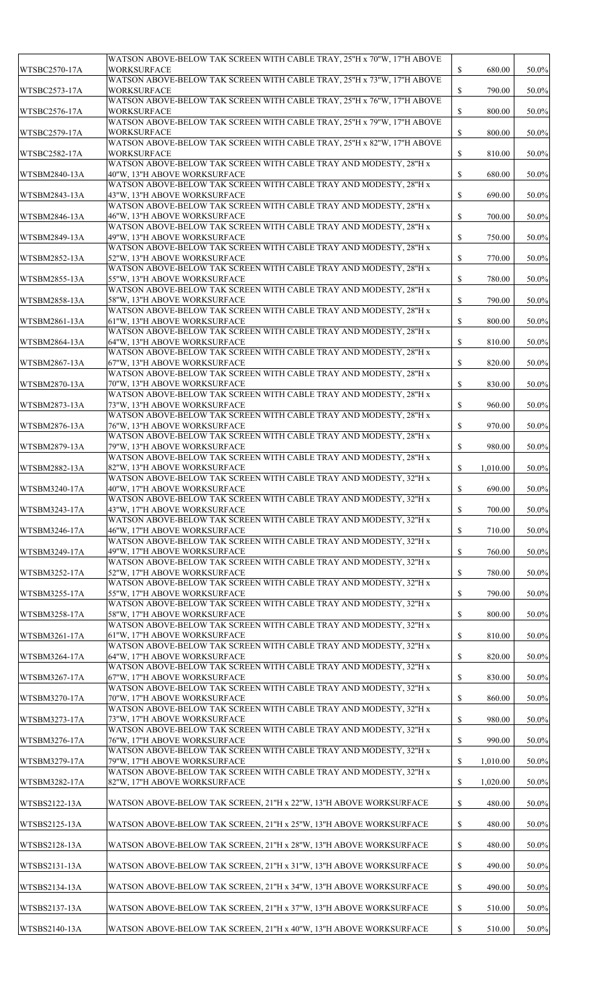|                      | WATSON ABOVE-BELOW TAK SCREEN WITH CABLE TRAY, 25"H x 70"W, 17"H ABOVE                            |              |          |       |
|----------------------|---------------------------------------------------------------------------------------------------|--------------|----------|-------|
| WTSBC2570-17A        | <b>WORKSURFACE</b><br>WATSON ABOVE-BELOW TAK SCREEN WITH CABLE TRAY, 25"H x 73"W, 17"H ABOVE      | $\mathbb{S}$ | 680.00   | 50.0% |
| WTSBC2573-17A        | <b>WORKSURFACE</b><br>WATSON ABOVE-BELOW TAK SCREEN WITH CABLE TRAY, 25"H x 76"W, 17"H ABOVE      | $\mathbb{S}$ | 790.00   | 50.0% |
| WTSBC2576-17A        | <b>WORKSURFACE</b>                                                                                | $\mathbb{S}$ | 800.00   | 50.0% |
| WTSBC2579-17A        | WATSON ABOVE-BELOW TAK SCREEN WITH CABLE TRAY, 25"H x 79"W, 17"H ABOVE<br><b>WORKSURFACE</b>      | $\mathbb{S}$ | 800.00   | 50.0% |
| WTSBC2582-17A        | WATSON ABOVE-BELOW TAK SCREEN WITH CABLE TRAY, 25"H x 82"W, 17"H ABOVE<br><b>WORKSURFACE</b>      |              |          | 50.0% |
|                      | WATSON ABOVE-BELOW TAK SCREEN WITH CABLE TRAY AND MODESTY, 28"H x                                 | $\mathbb{S}$ | 810.00   |       |
| WTSBM2840-13A        | 40"W, 13"H ABOVE WORKSURFACE<br>WATSON ABOVE-BELOW TAK SCREEN WITH CABLE TRAY AND MODESTY, 28"H x | $\mathbb{S}$ | 680.00   | 50.0% |
| WTSBM2843-13A        | 43"W, 13"H ABOVE WORKSURFACE                                                                      | $\mathbb{S}$ | 690.00   | 50.0% |
| WTSBM2846-13A        | WATSON ABOVE-BELOW TAK SCREEN WITH CABLE TRAY AND MODESTY, 28"H x<br>46"W, 13"H ABOVE WORKSURFACE | $\mathbb{S}$ | 700.00   | 50.0% |
| WTSBM2849-13A        | WATSON ABOVE-BELOW TAK SCREEN WITH CABLE TRAY AND MODESTY, 28"H x<br>49"W, 13"H ABOVE WORKSURFACE | $\mathbb{S}$ | 750.00   | 50.0% |
|                      | WATSON ABOVE-BELOW TAK SCREEN WITH CABLE TRAY AND MODESTY, 28"H x                                 |              |          |       |
| WTSBM2852-13A        | 52"W, 13"H ABOVE WORKSURFACE<br>WATSON ABOVE-BELOW TAK SCREEN WITH CABLE TRAY AND MODESTY, 28"H x | \$           | 770.00   | 50.0% |
| WTSBM2855-13A        | 55"W, 13"H ABOVE WORKSURFACE<br>WATSON ABOVE-BELOW TAK SCREEN WITH CABLE TRAY AND MODESTY, 28"H x | $\mathbb{S}$ | 780.00   | 50.0% |
| WTSBM2858-13A        | 58"W, 13"H ABOVE WORKSURFACE                                                                      | $\mathbb{S}$ | 790.00   | 50.0% |
| WTSBM2861-13A        | WATSON ABOVE-BELOW TAK SCREEN WITH CABLE TRAY AND MODESTY, 28"H x<br>61"W, 13"H ABOVE WORKSURFACE | $\mathbb{S}$ | 800.00   | 50.0% |
| <b>WTSBM2864-13A</b> | WATSON ABOVE-BELOW TAK SCREEN WITH CABLE TRAY AND MODESTY, 28"H x<br>64"W, 13"H ABOVE WORKSURFACE | $\mathbb{S}$ | 810.00   | 50.0% |
|                      | WATSON ABOVE-BELOW TAK SCREEN WITH CABLE TRAY AND MODESTY, 28"H x                                 |              |          |       |
| WTSBM2867-13A        | 67"W, 13"H ABOVE WORKSURFACE<br>WATSON ABOVE-BELOW TAK SCREEN WITH CABLE TRAY AND MODESTY, 28"H x |              | 820.00   | 50.0% |
| WTSBM2870-13A        | 70"W, 13"H ABOVE WORKSURFACE<br>WATSON ABOVE-BELOW TAK SCREEN WITH CABLE TRAY AND MODESTY, 28"H x | $\mathbb{S}$ | 830.00   | 50.0% |
| WTSBM2873-13A        | 73"W, 13"H ABOVE WORKSURFACE                                                                      | $\mathbb{S}$ | 960.00   | 50.0% |
| <b>WTSBM2876-13A</b> | WATSON ABOVE-BELOW TAK SCREEN WITH CABLE TRAY AND MODESTY, 28"H x<br>76"W, 13"H ABOVE WORKSURFACE | $\mathbb{S}$ | 970.00   | 50.0% |
| WTSBM2879-13A        | WATSON ABOVE-BELOW TAK SCREEN WITH CABLE TRAY AND MODESTY, 28"H x                                 | $\mathbb{S}$ | 980.00   | 50.0% |
|                      | 79"W, 13"H ABOVE WORKSURFACE<br>WATSON ABOVE-BELOW TAK SCREEN WITH CABLE TRAY AND MODESTY, 28"H x |              |          |       |
| <b>WTSBM2882-13A</b> | 82"W, 13"H ABOVE WORKSURFACE<br>WATSON ABOVE-BELOW TAK SCREEN WITH CABLE TRAY AND MODESTY, 32"H x | $\mathbb{S}$ | 1,010.00 | 50.0% |
| WTSBM3240-17A        | 40"W, 17"H ABOVE WORKSURFACE                                                                      | $\mathbb{S}$ | 690.00   | 50.0% |
| WTSBM3243-17A        | WATSON ABOVE-BELOW TAK SCREEN WITH CABLE TRAY AND MODESTY, 32"H x<br>43"W, 17"H ABOVE WORKSURFACE | $\mathbb{S}$ | 700.00   | 50.0% |
| WTSBM3246-17A        | WATSON ABOVE-BELOW TAK SCREEN WITH CABLE TRAY AND MODESTY, 32"H x<br>46"W, 17"H ABOVE WORKSURFACE | $\mathbb{S}$ | 710.00   | 50.0% |
|                      | WATSON ABOVE-BELOW TAK SCREEN WITH CABLE TRAY AND MODESTY, 32"H x                                 |              |          |       |
| WTSBM3249-17A        | 49"W, 17"H ABOVE WORKSURFACE<br>WATSON ABOVE-BELOW TAK SCREEN WITH CABLE TRAY AND MODESTY, 32"H x | $\mathbb{S}$ | 760.00   | 50.0% |
| WTSBM3252-17A        | 52"W, 17"H ABOVE WORKSURFACE<br>WATSON ABOVE-BELOW TAK SCREEN WITH CABLE TRAY AND MODESTY, 32"H x | \$           | 780.00   | 50.0% |
| WTSBM3255-17A        | 55"W, 17"H ABOVE WORKSURFACE                                                                      | $\mathbb{S}$ | 790.00   | 50.0% |
| WTSBM3258-17A        | WATSON ABOVE-BELOW TAK SCREEN WITH CABLE TRAY AND MODESTY, 32"H x<br>58"W, 17"H ABOVE WORKSURFACE | $\mathbb{S}$ | 800.00   | 50.0% |
| WTSBM3261-17A        | WATSON ABOVE-BELOW TAK SCREEN WITH CABLE TRAY AND MODESTY, 32"H x<br>61"W, 17"H ABOVE WORKSURFACE | $\mathbb{S}$ | 810.00   | 50.0% |
|                      | WATSON ABOVE-BELOW TAK SCREEN WITH CABLE TRAY AND MODESTY, 32"H x                                 |              |          |       |
| WTSBM3264-17A        | 64"W, 17"H ABOVE WORKSURFACE<br>WATSON ABOVE-BELOW TAK SCREEN WITH CABLE TRAY AND MODESTY, 32"H x | $\mathbb{S}$ | 820.00   | 50.0% |
| WTSBM3267-17A        | 67"W, 17"H ABOVE WORKSURFACE<br>WATSON ABOVE-BELOW TAK SCREEN WITH CABLE TRAY AND MODESTY, 32"H x |              | 830.00   | 50.0% |
| WTSBM3270-17A        | 70"W, 17"H ABOVE WORKSURFACE                                                                      | $\mathbb{S}$ | 860.00   | 50.0% |
| WTSBM3273-17A        | WATSON ABOVE-BELOW TAK SCREEN WITH CABLE TRAY AND MODESTY, 32"H x<br>73"W, 17"H ABOVE WORKSURFACE | $\mathbb{S}$ | 980.00   | 50.0% |
| WTSBM3276-17A        | WATSON ABOVE-BELOW TAK SCREEN WITH CABLE TRAY AND MODESTY, 32"H x<br>76"W, 17"H ABOVE WORKSURFACE | $\mathbb{S}$ | 990.00   | 50.0% |
|                      | WATSON ABOVE-BELOW TAK SCREEN WITH CABLE TRAY AND MODESTY, 32"H x                                 |              |          |       |
| WTSBM3279-17A        | 79"W, 17"H ABOVE WORKSURFACE<br>WATSON ABOVE-BELOW TAK SCREEN WITH CABLE TRAY AND MODESTY, 32"H x | $\mathbb{S}$ | 1,010.00 | 50.0% |
| WTSBM3282-17A        | 82"W, 17"H ABOVE WORKSURFACE                                                                      | $\mathbb{S}$ | 1,020.00 | 50.0% |
| WTSBS2122-13A        | WATSON ABOVE-BELOW TAK SCREEN, 21"H x 22"W, 13"H ABOVE WORKSURFACE                                | \$           | 480.00   | 50.0% |
| WTSBS2125-13A        | WATSON ABOVE-BELOW TAK SCREEN, 21"H x 25"W, 13"H ABOVE WORKSURFACE                                | $\mathbb{S}$ | 480.00   | 50.0% |
| WTSBS2128-13A        | WATSON ABOVE-BELOW TAK SCREEN, 21"H x 28"W, 13"H ABOVE WORKSURFACE                                | \$           | 480.00   | 50.0% |
|                      |                                                                                                   |              |          |       |
| WTSBS2131-13A        | WATSON ABOVE-BELOW TAK SCREEN, 21"H x 31"W, 13"H ABOVE WORKSURFACE                                | $\mathbb{S}$ | 490.00   | 50.0% |
| WTSBS2134-13A        | WATSON ABOVE-BELOW TAK SCREEN, 21"H x 34"W, 13"H ABOVE WORKSURFACE                                | \$           | 490.00   | 50.0% |
| WTSBS2137-13A        | WATSON ABOVE-BELOW TAK SCREEN, 21"H x 37"W, 13"H ABOVE WORKSURFACE                                | $\mathbb{S}$ | 510.00   | 50.0% |
| WTSBS2140-13A        | WATSON ABOVE-BELOW TAK SCREEN, 21"H x 40"W, 13"H ABOVE WORKSURFACE                                | $\mathbb{S}$ | 510.00   | 50.0% |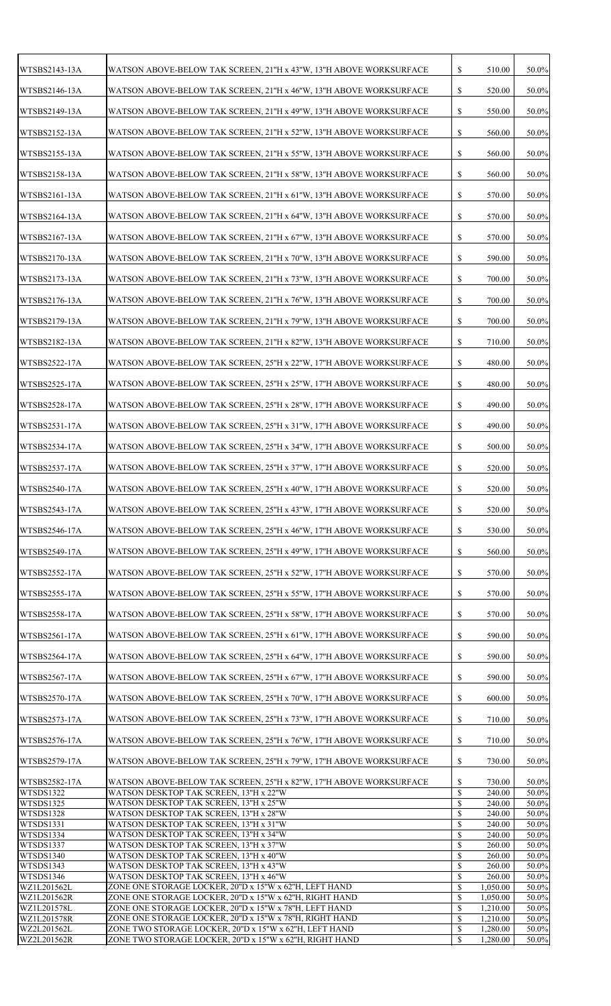| WTSBS2143-13A              | WATSON ABOVE-BELOW TAK SCREEN, 21"H x 43"W, 13"H ABOVE WORKSURFACE                                                | $\mathbb{S}$                 | 510.00               | 50.0%          |
|----------------------------|-------------------------------------------------------------------------------------------------------------------|------------------------------|----------------------|----------------|
| WTSBS2146-13A              | WATSON ABOVE-BELOW TAK SCREEN, 21"H x 46"W, 13"H ABOVE WORKSURFACE                                                | $\mathbb{S}$                 | 520.00               | 50.0%          |
| WTSBS2149-13A              | WATSON ABOVE-BELOW TAK SCREEN, 21"H x 49"W, 13"H ABOVE WORKSURFACE                                                | $\mathbb{S}$                 | 550.00               | 50.0%          |
| WTSBS2152-13A              | WATSON ABOVE-BELOW TAK SCREEN, 21"H x 52"W, 13"H ABOVE WORKSURFACE                                                | $\mathbb{S}$                 | 560.00               | 50.0%          |
| WTSBS2155-13A              | WATSON ABOVE-BELOW TAK SCREEN, 21"H x 55"W, 13"H ABOVE WORKSURFACE                                                | $\mathbb{S}$                 | 560.00               | 50.0%          |
| WTSBS2158-13A              | WATSON ABOVE-BELOW TAK SCREEN, 21"H x 58"W, 13"H ABOVE WORKSURFACE                                                | $\mathbb{S}$                 | 560.00               | 50.0%          |
| WTSBS2161-13A              | WATSON ABOVE-BELOW TAK SCREEN, 21"H x 61"W, 13"H ABOVE WORKSURFACE                                                | $\mathbb{S}$                 | 570.00               | 50.0%          |
| WTSBS2164-13A              | WATSON ABOVE-BELOW TAK SCREEN, 21"H x 64"W, 13"H ABOVE WORKSURFACE                                                | $\mathbb{S}$                 | 570.00               | 50.0%          |
| WTSBS2167-13A              | WATSON ABOVE-BELOW TAK SCREEN, 21"H x 67"W, 13"H ABOVE WORKSURFACE                                                | $\mathbb{S}$                 | 570.00               | 50.0%          |
| WTSBS2170-13A              | WATSON ABOVE-BELOW TAK SCREEN, 21"H x 70"W, 13"H ABOVE WORKSURFACE                                                | $\mathbb{S}$                 | 590.00               | 50.0%          |
| WTSBS2173-13A              | WATSON ABOVE-BELOW TAK SCREEN, 21"H x 73"W, 13"H ABOVE WORKSURFACE                                                | \$                           | 700.00               | 50.0%          |
| WTSBS2176-13A              | WATSON ABOVE-BELOW TAK SCREEN, 21"H x 76"W, 13"H ABOVE WORKSURFACE                                                | $\mathbb{S}$                 | 700.00               | 50.0%          |
| WTSBS2179-13A              | WATSON ABOVE-BELOW TAK SCREEN, 21"H x 79"W, 13"H ABOVE WORKSURFACE                                                | \$                           | 700.00               | 50.0%          |
|                            |                                                                                                                   |                              |                      |                |
| WTSBS2182-13A              | WATSON ABOVE-BELOW TAK SCREEN, 21"H x 82"W, 13"H ABOVE WORKSURFACE                                                | $\mathbb{S}$                 | 710.00               | 50.0%          |
| WTSBS2522-17A              | WATSON ABOVE-BELOW TAK SCREEN, 25"H x 22"W, 17"H ABOVE WORKSURFACE                                                | \$                           | 480.00               | 50.0%          |
| <b>WTSBS2525-17A</b>       | WATSON ABOVE-BELOW TAK SCREEN, 25"H x 25"W, 17"H ABOVE WORKSURFACE                                                | $\mathbb{S}$                 | 480.00               | 50.0%          |
| <b>WTSBS2528-17A</b>       | WATSON ABOVE-BELOW TAK SCREEN, 25"H x 28"W, 17"H ABOVE WORKSURFACE                                                | $\mathbb{S}$                 | 490.00               | 50.0%          |
| <b>WTSBS2531-17A</b>       | WATSON ABOVE-BELOW TAK SCREEN, 25"H x 31"W, 17"H ABOVE WORKSURFACE                                                | $\mathbb{S}$                 | 490.00               | 50.0%          |
| WTSBS2534-17A              | WATSON ABOVE-BELOW TAK SCREEN, 25"H x 34"W, 17"H ABOVE WORKSURFACE                                                | $\mathbb{S}$                 | 500.00               | 50.0%          |
| <b>WTSBS2537-17A</b>       | WATSON ABOVE-BELOW TAK SCREEN, 25"H x 37"W, 17"H ABOVE WORKSURFACE                                                | $\mathbb{S}$                 | 520.00               | 50.0%          |
| WTSBS2540-17A              | WATSON ABOVE-BELOW TAK SCREEN, 25"H x 40"W, 17"H ABOVE WORKSURFACE                                                | $\mathbb{S}$                 | 520.00               | 50.0%          |
| WTSBS2543-17A              | WATSON ABOVE-BELOW TAK SCREEN, 25"H x 43"W, 17"H ABOVE WORKSURFACE                                                | $\mathbb{S}$                 | 520.00               | 50.0%          |
| WTSBS2546-17A              | WATSON ABOVE-BELOW TAK SCREEN, 25"H x 46"W, 17"H ABOVE WORKSURFACE                                                | $\mathbb{S}$                 | 530.00               | 50.0%          |
| <b>WTSBS2549-17A</b>       | WATSON ABOVE-BELOW TAK SCREEN, 25"H x 49"W, 17"H ABOVE WORKSURFACE                                                | $\mathbb{S}$                 | 560.00               | 50.0%          |
| <b>WTSBS2552-17A</b>       | WATSON ABOVE-BELOW TAK SCREEN, 25"H x 52"W, 17"H ABOVE WORKSURFACE                                                | $\mathbb{S}$                 | 570.00               | 50.0%          |
| WTSBS2555-17A              | WATSON ABOVE-BELOW TAK SCREEN, 25"H x 55"W, 17"H ABOVE WORKSURFACE                                                | $\mathbb{S}$                 | 570.00               | 50.0%          |
| <b>WTSBS2558-17A</b>       | WATSON ABOVE-BELOW TAK SCREEN, 25"H x 58"W, 17"H ABOVE WORKSURFACE                                                | $\mathbb{S}$                 | 570.00               | 50.0%          |
| WTSBS2561-17A              | WATSON ABOVE-BELOW TAK SCREEN, 25"H x 61"W, 17"H ABOVE WORKSURFACE                                                | $\mathbb{S}$                 | 590.00               | 50.0%          |
| <b>WTSBS2564-17A</b>       | WATSON ABOVE-BELOW TAK SCREEN, 25"H x 64"W, 17"H ABOVE WORKSURFACE                                                | $\mathbb{S}$                 | 590.00               | 50.0%          |
| WTSBS2567-17A              | WATSON ABOVE-BELOW TAK SCREEN, 25"H x 67"W, 17"H ABOVE WORKSURFACE                                                | \$                           | 590.00               | 50.0%          |
| WTSBS2570-17A              | WATSON ABOVE-BELOW TAK SCREEN, 25"H x 70"W, 17"H ABOVE WORKSURFACE                                                | $\mathbb{S}$                 | 600.00               | 50.0%          |
| WTSBS2573-17A              | WATSON ABOVE-BELOW TAK SCREEN, 25"H x 73"W, 17"H ABOVE WORKSURFACE                                                | $\mathbb{S}$                 | 710.00               | 50.0%          |
| <b>WTSBS2576-17A</b>       | WATSON ABOVE-BELOW TAK SCREEN, 25"H x 76"W, 17"H ABOVE WORKSURFACE                                                | \$                           | 710.00               | 50.0%          |
| WTSBS2579-17A              | WATSON ABOVE-BELOW TAK SCREEN, 25"H x 79"W, 17"H ABOVE WORKSURFACE                                                | \$                           | 730.00               | 50.0%          |
| WTSBS2582-17A              | WATSON ABOVE-BELOW TAK SCREEN, 25"H x 82"W, 17"H ABOVE WORKSURFACE                                                | \$                           | 730.00               | 50.0%          |
| WTSDS1322<br>WTSDS1325     | WATSON DESKTOP TAK SCREEN, 13"H x 22"W<br>WATSON DESKTOP TAK SCREEN, 13"H x 25"W                                  | \$<br>\$                     | 240.00<br>240.00     | 50.0%<br>50.0% |
| WTSDS1328                  | WATSON DESKTOP TAK SCREEN, 13"H x 28"W                                                                            | \$                           | 240.00               | 50.0%          |
| WTSDS1331                  | WATSON DESKTOP TAK SCREEN, 13"H x 31"W                                                                            | \$                           | 240.00               | 50.0%          |
| WTSDS1334                  | WATSON DESKTOP TAK SCREEN, 13"H x 34"W                                                                            | \$                           | 240.00               | 50.0%          |
| WTSDS1337<br>WTSDS1340     | WATSON DESKTOP TAK SCREEN, 13"H x 37"W<br>WATSON DESKTOP TAK SCREEN, 13"H x 40"W                                  | \$<br>\$                     | 260.00<br>260.00     | 50.0%<br>50.0% |
| WTSDS1343                  | WATSON DESKTOP TAK SCREEN, 13"H x 43"W                                                                            | \$                           | 260.00               | 50.0%          |
| WTSDS1346                  | WATSON DESKTOP TAK SCREEN, 13"H x 46"W                                                                            | \$                           | 260.00               | 50.0%          |
| WZ1L201562L                | ZONE ONE STORAGE LOCKER, 20"D x 15"W x 62"H, LEFT HAND                                                            | \$                           | 1,050.00             | 50.0%          |
| WZ1L201562R                | ZONE ONE STORAGE LOCKER, 20"D x 15"W x 62"H, RIGHT HAND                                                           | \$                           | 1,050.00             | 50.0%          |
| WZ1L201578L<br>WZ1L201578R | ZONE ONE STORAGE LOCKER, 20"D x 15"W x 78"H, LEFT HAND                                                            | $\mathbb{S}$<br>$\mathbb{S}$ | 1,210.00             | 50.0%          |
| WZ2L201562L                | ZONE ONE STORAGE LOCKER, 20"D x 15"W x 78"H, RIGHT HAND<br>ZONE TWO STORAGE LOCKER, 20"D x 15"W x 62"H, LEFT HAND | \$                           | 1,210.00<br>1,280.00 | 50.0%<br>50.0% |
| WZ2L201562R                | ZONE TWO STORAGE LOCKER, 20"D x 15"W x 62"H, RIGHT HAND                                                           | $\mathbb{S}$                 | 1,280.00             | 50.0%          |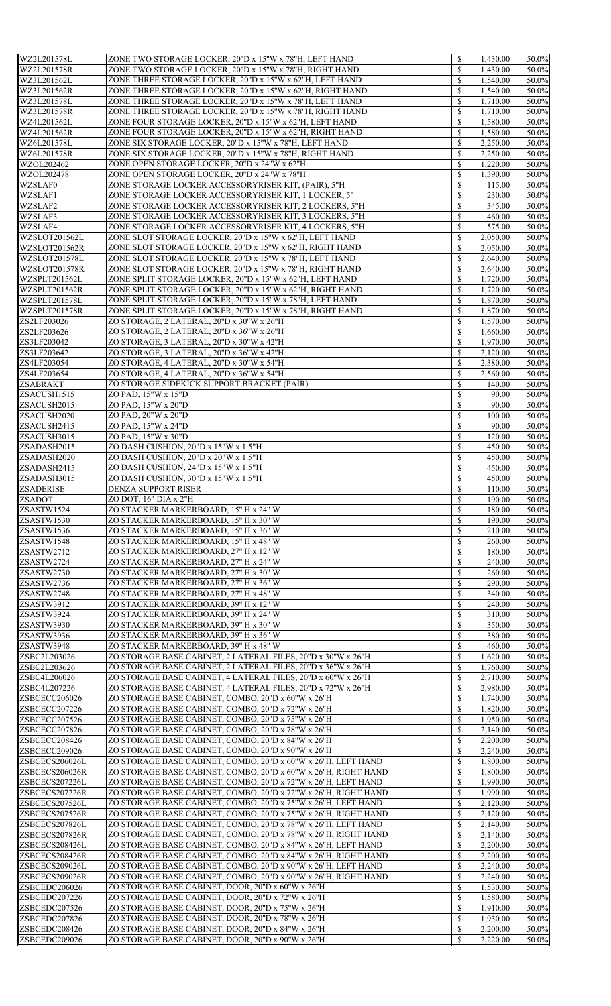| WZ2L201578L      | ZONE TWO STORAGE LOCKER, 20"D x 15"W x 78"H, LEFT HAND         | \$           | 1,430.00 | 50.0% |
|------------------|----------------------------------------------------------------|--------------|----------|-------|
| WZ2L201578R      | ZONE TWO STORAGE LOCKER, 20"D x 15"W x 78"H, RIGHT HAND        | $\mathbb{S}$ | 1,430.00 | 50.0% |
| WZ3L201562L      | ZONE THREE STORAGE LOCKER, 20"D x 15"W x 62"H, LEFT HAND       | \$           | 1,540.00 | 50.0% |
| WZ3L201562R      | ZONE THREE STORAGE LOCKER, 20"D x 15"W x 62"H, RIGHT HAND      | \$           | 1,540.00 | 50.0% |
|                  |                                                                |              |          |       |
| WZ3L201578L      | ZONE THREE STORAGE LOCKER, 20"D x 15"W x 78"H, LEFT HAND       | \$           | 1,710.00 | 50.0% |
| WZ3L201578R      | ZONE THREE STORAGE LOCKER, 20"D x 15"W x 78"H, RIGHT HAND      | \$           | 1,710.00 | 50.0% |
| WZ4L201562L      | ZONE FOUR STORAGE LOCKER, 20"D x 15"W x 62"H, LEFT HAND        | \$           | 1,580.00 | 50.0% |
| WZ4L201562R      | ZONE FOUR STORAGE LOCKER, 20"D x 15"W x 62"H, RIGHT HAND       | \$           | 1,580.00 | 50.0% |
|                  |                                                                |              |          |       |
| WZ6L201578L      | ZONE SIX STORAGE LOCKER, 20"D x 15"W x 78"H, LEFT HAND         | \$           | 2,250.00 | 50.0% |
| WZ6L201578R      | ZONE SIX STORAGE LOCKER, 20"D x 15"W x 78"H, RIGHT HAND        | \$           | 2,250.00 | 50.0% |
| WZOL202462       | ZONE OPEN STORAGE LOCKER, 20"D x 24"W x 62"H                   | \$           | 1,220.00 | 50.0% |
| WZOL202478       | ZONE OPEN STORAGE LOCKER, 20"D x 24"W x 78"H                   | \$           | 1,390.00 | 50.0% |
|                  |                                                                |              |          |       |
| WZSLAF0          | ZONE STORAGE LOCKER ACCESSORYRISER KIT, (PAIR), 5"H            | \$           | 115.00   | 50.0% |
| WZSLAF1          | ZONE STORAGE LOCKER ACCESSORYRISER KIT, 1 LOCKER, 5"           | \$           | 230.00   | 50.0% |
| WZSLAF2          | ZONE STORAGE LOCKER ACCESSORYRISER KIT, 2 LOCKERS, 5"H         | \$           | 345.00   | 50.0% |
| WZSLAF3          | ZONE STORAGE LOCKER ACCESSORYRISER KIT, 3 LOCKERS, 5"H         | \$           | 460.00   | 50.0% |
|                  |                                                                |              |          |       |
| WZSLAF4          | ZONE STORAGE LOCKER ACCESSORYRISER KIT, 4 LOCKERS, 5"H         | \$           | 575.00   | 50.0% |
| WZSLOT201562L    | ZONE SLOT STORAGE LOCKER, 20"D x 15"W x 62"H, LEFT HAND        | \$           | 2,050.00 | 50.0% |
| WZSLOT201562R    | ZONE SLOT STORAGE LOCKER, 20"D x 15"W x 62"H, RIGHT HAND       | \$           | 2,050.00 | 50.0% |
| WZSLOT201578L    | ZONE SLOT STORAGE LOCKER, 20"D x 15"W x 78"H, LEFT HAND        | \$           | 2,640.00 | 50.0% |
|                  |                                                                |              |          |       |
| WZSLOT201578R    | ZONE SLOT STORAGE LOCKER, 20"D x 15"W x 78"H, RIGHT HAND       | \$           | 2,640.00 | 50.0% |
| WZSPLT201562L    | ZONE SPLIT STORAGE LOCKER, 20"D x 15"W x 62"H, LEFT HAND       | \$           | 1,720.00 | 50.0% |
| WZSPLT201562R    | ZONE SPLIT STORAGE LOCKER, 20"D x 15"W x 62"H, RIGHT HAND      | \$           | 1,720.00 | 50.0% |
| WZSPLT201578L    | ZONE SPLIT STORAGE LOCKER, 20"D x 15"W x 78"H, LEFT HAND       | \$           | 1,870.00 | 50.0% |
|                  |                                                                |              |          |       |
| WZSPLT201578R    | ZONE SPLIT STORAGE LOCKER, 20"D x 15"W x 78"H, RIGHT HAND      | \$           | 1,870.00 | 50.0% |
| ZS2LF203026      | ZO STORAGE, 2 LATERAL, 20"D x 30"W x 26"H                      | \$           | 1,570.00 | 50.0% |
| ZS2LF203626      | ZO STORAGE, 2 LATERAL, 20"D x 36"W x 26"H                      | \$           | 1,660.00 | 50.0% |
| ZS3LF203042      | ZO STORAGE, 3 LATERAL, 20"D x 30"W x 42"H                      | \$           | 1,970.00 | 50.0% |
|                  |                                                                |              |          |       |
| ZS3LF203642      | ZO STORAGE, 3 LATERAL, 20"D x 36"W x 42"H                      | \$           | 2,120.00 | 50.0% |
| ZS4LF203054      | ZO STORAGE, 4 LATERAL, 20"D x 30"W x 54"H                      | $\mathbb{S}$ | 2,380.00 | 50.0% |
| ZS4LF203654      | ZO STORAGE, 4 LATERAL, 20"D x 36"W x 54"H                      | \$           | 2,560.00 | 50.0% |
| <b>ZSABRAKT</b>  | ZO STORAGE SIDEKICK SUPPORT BRACKET (PAIR)                     | \$           | 140.00   | 50.0% |
|                  |                                                                |              |          |       |
| ZSACUSH1515      | ZO PAD, 15"W x 15"D                                            | \$           | 90.00    | 50.0% |
| ZSACUSH2015      | ZO PAD, 15"W x 20"D                                            | \$           | 90.00    | 50.0% |
| ZSACUSH2020      | ZO PAD, 20"W x 20"D                                            | \$           | 100.00   | 50.0% |
| ZSACUSH2415      | ZO PAD, 15"W x 24"D                                            | \$           | 90.00    | 50.0% |
|                  |                                                                |              |          |       |
| ZSACUSH3015      | ZO PAD, 15"W x 30"D                                            | \$           | 120.00   | 50.0% |
| ZSADASH2015      | ZO DASH CUSHION, 20"D x 15"W x 1.5"H                           | \$           | 450.00   | 50.0% |
| ZSADASH2020      | ZO DASH CUSHION, 20"D x 20"W x 1.5"H                           | \$           | 450.00   | 50.0% |
| ZSADASH2415      | ZO DASH CUSHION, 24"D x 15"W x 1.5"H                           | \$           | 450.00   | 50.0% |
|                  |                                                                |              |          |       |
| ZSADASH3015      | ZO DASH CUSHION, 30"D x 15"W x 1.5"H                           | \$           | 450.00   | 50.0% |
| <b>ZSADERISE</b> | <b>DENZA SUPPORT RISER</b>                                     | \$           | 110.00   | 50.0% |
| <b>ZSADOT</b>    | ZO DOT, 16" DIA x 2"H                                          | \$           | 190.00   | 50.0% |
| ZSASTW1524       | ZO STACKER MARKERBOARD, 15" H x 24" W                          | \$           | 180.00   | 50.0% |
|                  |                                                                |              |          |       |
| ZSASTW1530       | ZO STACKER MARKERBOARD, 15" H x 30" W                          | \$           | 190.00   | 50.0% |
| ZSASTW1536       | ZO STACKER MARKERBOARD, 15" H x 36" W                          | \$           | 210.00   | 50.0% |
| ZSASTW1548       | ZO STACKER MARKERBOARD, 15" H x 48" W                          | \$           | 260.00   | 50.0% |
| ZSASTW2712       | ZO STACKER MARKERBOARD, 27" H x 12" W                          | \$           | 180.00   | 50.0% |
|                  |                                                                |              |          |       |
| ZSASTW2724       | ZO STACKER MARKERBOARD, 27" H x 24" W                          | \$           | 240.00   | 50.0% |
| ZSASTW2730       | ZO STACKER MARKERBOARD, 27" H x 30" W                          | \$           | 260.00   | 50.0% |
| ZSASTW2736       | ZO STACKER MARKERBOARD, 27" H x 36" W                          | \$           | 290.00   | 50.0% |
| ZSASTW2748       | ZO STACKER MARKERBOARD, 27" H x 48" W                          | \$           | 340.00   | 50.0% |
|                  |                                                                |              |          |       |
| ZSASTW3912       | ZO STACKER MARKERBOARD, 39" H x 12" W                          | \$           | 240.00   | 50.0% |
| ZSASTW3924       | ZO STACKER MARKERBOARD, 39" H x 24" W                          | \$           | 310.00   | 50.0% |
| ZSASTW3930       | ZO STACKER MARKERBOARD, 39" H x 30" W                          | \$           | 350.00   | 50.0% |
| ZSASTW3936       | ZO STACKER MARKERBOARD, 39" H x 36" W                          | \$           | 380.00   | 50.0% |
|                  |                                                                |              |          |       |
| ZSASTW3948       | ZO STACKER MARKERBOARD, 39" H x 48" W                          | \$           | 460.00   | 50.0% |
| ZSBC2L203026     | ZO STORAGE BASE CABINET, 2 LATERAL FILES, 20"D x 30"W x 26"H   | \$           | 1,620.00 | 50.0% |
| ZSBC2L203626     | ZO STORAGE BASE CABINET, 2 LATERAL FILES, 20"D x 36"W x 26"H   |              | 1,760.00 | 50.0% |
| ZSBC4L206026     | ZO STORAGE BASE CABINET, 4 LATERAL FILES, 20"D x 60"W x 26"H   | $\mathbb{S}$ | 2,710.00 | 50.0% |
| ZSBC4L207226     | ZO STORAGE BASE CABINET, 4 LATERAL FILES, 20"D x 72"W x 26"H   | \$           | 2,980.00 | 50.0% |
|                  |                                                                |              |          |       |
| ZSBCECC206026    | ZO STORAGE BASE CABINET, COMBO, 20"D x 60"W x 26"H             | $\mathbb{S}$ | 1,740.00 | 50.0% |
| ZSBCECC207226    | ZO STORAGE BASE CABINET, COMBO, 20"D x 72"W x 26"H             | \$           | 1,820.00 | 50.0% |
| ZSBCECC207526    | ZO STORAGE BASE CABINET, COMBO, 20"D x 75"W x 26"H             | \$           | 1,950.00 | 50.0% |
| ZSBCECC207826    | ZO STORAGE BASE CABINET, COMBO, 20"D x 78"W x 26"H             | \$           | 2,140.00 | 50.0% |
| ZSBCECC208426    | ZO STORAGE BASE CABINET, COMBO, 20"D x 84"W x 26"H             | \$           | 2,200.00 | 50.0% |
|                  |                                                                |              |          |       |
| ZSBCECC209026    | ZO STORAGE BASE CABINET, COMBO, 20"D x 90"W x 26"H             | \$           | 2,240.00 | 50.0% |
| ZSBCECS206026L   | ZO STORAGE BASE CABINET, COMBO, 20"D x 60"W x 26"H, LEFT HAND  | \$           | 1,800.00 | 50.0% |
| ZSBCECS206026R   | ZO STORAGE BASE CABINET, COMBO, 20"D x 60"W x 26"H, RIGHT HAND | \$           | 1,800.00 | 50.0% |
| ZSBCECS207226L   | ZO STORAGE BASE CABINET, COMBO, 20"D x 72"W x 26"H, LEFT HAND  | \$           | 1,990.00 | 50.0% |
|                  |                                                                |              |          |       |
| ZSBCECS207226R   | ZO STORAGE BASE CABINET, COMBO, 20"D x 72"W x 26"H, RIGHT HAND | \$           | 1,990.00 | 50.0% |
| ZSBCECS207526L   | ZO STORAGE BASE CABINET, COMBO, 20"D x 75"W x 26"H, LEFT HAND  | \$           | 2,120.00 | 50.0% |
| ZSBCECS207526R   | ZO STORAGE BASE CABINET, COMBO, 20"D x 75"W x 26"H, RIGHT HAND | \$           | 2,120.00 | 50.0% |
| ZSBCECS207826L   | ZO STORAGE BASE CABINET, COMBO, 20"D x 78"W x 26"H, LEFT HAND  | \$           | 2,140.00 | 50.0% |
|                  |                                                                | \$           |          |       |
| ZSBCECS207826R   | ZO STORAGE BASE CABINET, COMBO, 20"D x 78"W x 26"H, RIGHT HAND |              | 2,140.00 | 50.0% |
| ZSBCECS208426L   | ZO STORAGE BASE CABINET, COMBO, 20"D x 84"W x 26"H, LEFT HAND  | \$           | 2,200.00 | 50.0% |
| ZSBCECS208426R   | ZO STORAGE BASE CABINET, COMBO, 20"D x 84"W x 26"H, RIGHT HAND | $\mathbb{S}$ | 2,200.00 | 50.0% |
| ZSBCECS209026L   | ZO STORAGE BASE CABINET, COMBO, 20"D x 90"W x 26"H, LEFT HAND  | \$           | 2,240.00 | 50.0% |
| ZSBCECS209026R   | ZO STORAGE BASE CABINET, COMBO, 20"D x 90"W x 26"H, RIGHT HAND | \$           | 2,240.00 | 50.0% |
|                  |                                                                |              |          |       |
| ZSBCEDC206026    | ZO STORAGE BASE CABINET, DOOR, 20"D x 60"W x 26"H              | \$           | 1,530.00 | 50.0% |
| ZSBCEDC207226    | ZO STORAGE BASE CABINET, DOOR, 20"D x 72"W x 26"H              | \$           | 1,580.00 | 50.0% |
| ZSBCEDC207526    | ZO STORAGE BASE CABINET, DOOR, 20"D x 75"W x 26"H              | \$           | 1,910.00 | 50.0% |
| ZSBCEDC207826    | ZO STORAGE BASE CABINET, DOOR, 20"D x 78"W x 26"H              | \$           | 1,930.00 | 50.0% |
|                  |                                                                |              |          |       |
| ZSBCEDC208426    | ZO STORAGE BASE CABINET, DOOR, 20"D x 84"W x 26"H              | $\mathbb{S}$ | 2,200.00 | 50.0% |
| ZSBCEDC209026    | ZO STORAGE BASE CABINET, DOOR, 20"D x 90"W x 26"H              | $\mathbb{S}$ | 2,220.00 | 50.0% |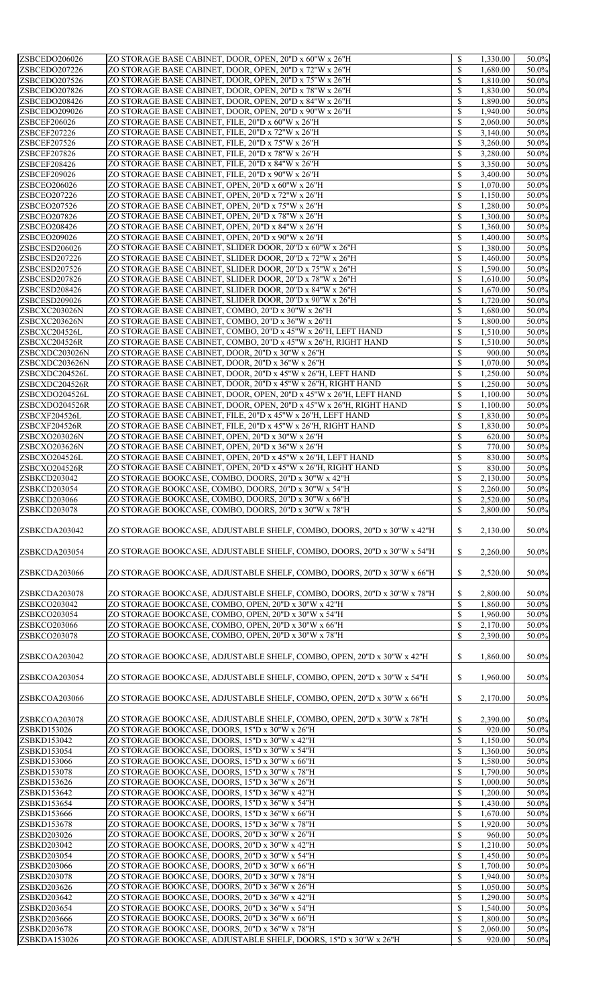| ZSBCEDO206026                | ZO STORAGE BASE CABINET, DOOR, OPEN, 20"D x 60"W x 26"H                                                            | $\mathbb{S}$                 | 1,330.00             | 50.0%          |
|------------------------------|--------------------------------------------------------------------------------------------------------------------|------------------------------|----------------------|----------------|
| ZSBCEDO207226                | ZO STORAGE BASE CABINET, DOOR, OPEN, 20"D x 72"W x 26"H                                                            | $\mathbb{S}$                 | 1,680.00             | 50.0%          |
| ZSBCEDO207526                | ZO STORAGE BASE CABINET, DOOR, OPEN, 20"D x 75"W x 26"H                                                            | \$                           | 1,810.00             | 50.0%          |
| ZSBCEDO207826                | ZO STORAGE BASE CABINET, DOOR, OPEN, 20"D x 78"W x 26"H                                                            | \$                           | 1,830.00             | 50.0%          |
| ZSBCEDO208426                | ZO STORAGE BASE CABINET, DOOR, OPEN, 20"D x 84"W x 26"H                                                            | \$                           | 1,890.00             | 50.0%          |
| ZSBCEDO209026                | ZO STORAGE BASE CABINET, DOOR, OPEN, 20"D x 90"W x 26"H                                                            | \$                           | 1,940.00             | 50.0%          |
| <b>ZSBCEF206026</b>          | ZO STORAGE BASE CABINET, FILE, 20"D x 60"W x 26"H                                                                  | \$                           | 2,060.00             | 50.0%          |
| <b>ZSBCEF207226</b>          | ZO STORAGE BASE CABINET, FILE, 20"D x 72"W x 26"H                                                                  | \$                           | 3,140.00             | 50.0%          |
| <b>ZSBCEF207526</b>          | ZO STORAGE BASE CABINET, FILE, 20"D x 75"W x 26"H                                                                  | \$                           | 3,260.00             | 50.0%          |
| <b>ZSBCEF207826</b>          | ZO STORAGE BASE CABINET, FILE, 20"D x 78"W x 26"H                                                                  | \$                           | 3,280.00             | 50.0%          |
| <b>ZSBCEF208426</b>          | ZO STORAGE BASE CABINET, FILE, 20"D x 84"W x 26"H                                                                  | \$                           |                      | 50.0%          |
|                              |                                                                                                                    |                              | 3,350.00             |                |
| <b>ZSBCEF209026</b>          | ZO STORAGE BASE CABINET, FILE, 20"D x 90"W x 26"H                                                                  | \$                           | 3,400.00             | 50.0%          |
| ZSBCEO206026                 | ZO STORAGE BASE CABINET, OPEN, 20"D x 60"W x 26"H                                                                  | \$                           | 1,070.00             | 50.0%          |
| <b>ZSBCEO207226</b>          | ZO STORAGE BASE CABINET, OPEN, 20"D x 72"W x 26"H                                                                  | $\mathbb{S}$                 | 1,150.00             | 50.0%          |
| ZSBCEO207526                 | ZO STORAGE BASE CABINET, OPEN, 20"D x 75"W x 26"H                                                                  | \$                           | 1,280.00             | 50.0%          |
| <b>ZSBCEO207826</b>          | ZO STORAGE BASE CABINET, OPEN, 20"D x 78"W x 26"H                                                                  | \$                           | 1,300.00             | 50.0%          |
| ZSBCEO208426                 | ZO STORAGE BASE CABINET, OPEN, 20"D x 84"W x 26"H                                                                  | \$                           | 1,360.00             | 50.0%          |
| <b>ZSBCEO209026</b>          | ZO STORAGE BASE CABINET, OPEN, 20"D x 90"W x 26"H                                                                  | \$                           | 1,400.00             | 50.0%          |
| ZSBCESD206026                | ZO STORAGE BASE CABINET, SLIDER DOOR, 20"D x 60"W x 26"H                                                           | \$                           | 1,380.00             | 50.0%          |
| ZSBCESD207226                | ZO STORAGE BASE CABINET, SLIDER DOOR, 20"D x 72"W x 26"H                                                           | \$                           | 1,460.00             | 50.0%          |
| ZSBCESD207526                | ZO STORAGE BASE CABINET, SLIDER DOOR, 20"D x 75"W x 26"H                                                           | \$                           | 1,590.00             | 50.0%          |
| ZSBCESD207826                | ZO STORAGE BASE CABINET, SLIDER DOOR, 20"D x 78"W x 26"H                                                           | \$                           | 1,610.00             | 50.0%          |
| ZSBCESD208426                | ZO STORAGE BASE CABINET, SLIDER DOOR, 20"D x 84"W x 26"H                                                           | \$                           | 1,670.00             | 50.0%          |
| ZSBCESD209026                | ZO STORAGE BASE CABINET, SLIDER DOOR, 20"D x 90"W x 26"H                                                           | \$                           | 1,720.00             | 50.0%          |
| ZSBCXC203026N                | ZO STORAGE BASE CABINET, COMBO, 20"D x 30"W x 26"H                                                                 | \$                           | 1,680.00             | 50.0%          |
| ZSBCXC203626N                | ZO STORAGE BASE CABINET, COMBO, 20"D x 36"W x 26"H                                                                 | \$                           | 1,800.00             | 50.0%          |
| ZSBCXC204526L                | ZO STORAGE BASE CABINET, COMBO, 20"D x 45"W x 26"H, LEFT HAND                                                      | \$                           | 1,510.00             | 50.0%          |
| ZSBCXC204526R                | ZO STORAGE BASE CABINET, COMBO, 20"D x 45"W x 26"H, RIGHT HAND                                                     | \$                           | 1,510.00             | 50.0%          |
| ZSBCXDC203026N               | ZO STORAGE BASE CABINET, DOOR, 20"D x 30"W x 26"H                                                                  | \$                           | 900.00               | 50.0%          |
| ZSBCXDC203626N               | ZO STORAGE BASE CABINET, DOOR, 20"D x 36"W x 26"H                                                                  | $\mathbb{S}$                 | 1,070.00             | 50.0%          |
| ZSBCXDC204526L               | ZO STORAGE BASE CABINET, DOOR, 20"D x 45"W x 26"H, LEFT HAND                                                       | $\mathbb{S}$                 | 1,250.00             | 50.0%          |
| ZSBCXDC204526R               | ZO STORAGE BASE CABINET, DOOR, 20"D x 45"W x 26"H, RIGHT HAND                                                      | \$                           | 1,250.00             | 50.0%          |
| ZSBCXDO204526L               | ZO STORAGE BASE CABINET, DOOR, OPEN, 20"D x 45"W x 26"H, LEFT HAND                                                 | \$                           | 1,100.00             | 50.0%          |
| ZSBCXDO204526R               | ZO STORAGE BASE CABINET, DOOR, OPEN, 20"D x 45"W x 26"H, RIGHT HAND                                                | $\mathbb{S}$                 | 1,100.00             | 50.0%          |
| ZSBCXF204526L                | ZO STORAGE BASE CABINET, FILE, 20"D x 45"W x 26"H, LEFT HAND                                                       | \$                           | 1,830.00             | 50.0%          |
| ZSBCXF204526R                | ZO STORAGE BASE CABINET, FILE, 20"D x 45"W x 26"H, RIGHT HAND                                                      | \$                           | 1,830.00             | 50.0%          |
| ZSBCXO203026N                | ZO STORAGE BASE CABINET, OPEN, 20"D x 30"W x 26"H                                                                  | \$                           | 620.00               | 50.0%          |
| ZSBCXO203626N                | ZO STORAGE BASE CABINET, OPEN, 20"D x 36"W x 26"H                                                                  | \$                           | 770.00               | 50.0%          |
| ZSBCXO204526L                | ZO STORAGE BASE CABINET, OPEN, 20"D x 45"W x 26"H, LEFT HAND                                                       | \$                           | 830.00               | 50.0%          |
| ZSBCXO204526R                | ZO STORAGE BASE CABINET, OPEN, 20"D x 45"W x 26"H, RIGHT HAND                                                      | \$                           | 830.00               | 50.0%          |
| ZSBKCD203042                 | ZO STORAGE BOOKCASE, COMBO, DOORS, 20"D x 30"W x 42"H                                                              | \$                           | 2,130.00             | 50.0%          |
| ZSBKCD203054                 | ZO STORAGE BOOKCASE, COMBO, DOORS, 20"D x 30"W x 54"H                                                              | \$                           | 2,260.00             | 50.0%          |
| <b>ZSBKCD203066</b>          | ZO STORAGE BOOKCASE, COMBO, DOORS, 20"D x 30"W x 66"H                                                              | \$                           | 2,520.00             | 50.0%          |
|                              |                                                                                                                    |                              |                      |                |
| <b>ZSBKCD203078</b>          |                                                                                                                    | $\mathbb{S}$                 | 2,800.00             | 50.0%          |
|                              | ZO STORAGE BOOKCASE, COMBO, DOORS, 20"D x 30"W x 78"H                                                              |                              |                      |                |
|                              |                                                                                                                    | \$                           |                      | 50.0%          |
| ZSBKCDA203042                | ZO STORAGE BOOKCASE, ADJUSTABLE SHELF, COMBO, DOORS, 20"D x 30"W x 42"H                                            |                              | 2,130.00             |                |
| ZSBKCDA203054                |                                                                                                                    | \$                           | 2,260.00             | 50.0%          |
|                              | ZO STORAGE BOOKCASE, ADJUSTABLE SHELF, COMBO, DOORS, 20"D x 30"W x 54"H                                            |                              |                      |                |
|                              |                                                                                                                    | \$                           | 2,520.00             | 50.0%          |
| ZSBKCDA203066                | ZO STORAGE BOOKCASE, ADJUSTABLE SHELF, COMBO, DOORS, 20"D x 30"W x 66"H                                            |                              |                      |                |
| ZSBKCDA203078                | ZO STORAGE BOOKCASE, ADJUSTABLE SHELF, COMBO, DOORS, 20"D x 30"W x 78"H                                            |                              |                      |                |
|                              |                                                                                                                    | \$                           | 2,800.00             | 50.0%          |
| ZSBKCO203042<br>ZSBKCO203054 | ZO STORAGE BOOKCASE, COMBO, OPEN, 20"D x 30"W x 42"H<br>ZO STORAGE BOOKCASE, COMBO, OPEN, 20"D x 30"W x 54"H       | \$<br>$\mathbb{S}$           | 1,860.00<br>1,960.00 | 50.0%<br>50.0% |
| ZSBKCO203066                 | ZO STORAGE BOOKCASE, COMBO, OPEN, 20"D x 30"W x 66"H                                                               | \$                           | 2,170.00             | 50.0%          |
| <b>ZSBKCO203078</b>          |                                                                                                                    | $\mathbb{S}$                 | 2,390.00             | 50.0%          |
|                              | ZO STORAGE BOOKCASE, COMBO, OPEN, 20"D x 30"W x 78"H                                                               |                              |                      |                |
| ZSBKCOA203042                |                                                                                                                    | \$                           |                      | 50.0%          |
|                              | ZO STORAGE BOOKCASE, ADJUSTABLE SHELF, COMBO, OPEN, 20"D x 30"W x 42"H                                             |                              | 1,860.00             |                |
|                              |                                                                                                                    |                              |                      |                |
| ZSBKCOA203054                | ZO STORAGE BOOKCASE, ADJUSTABLE SHELF, COMBO, OPEN, 20"D x 30"W x 54"H                                             |                              | 1,960.00             | 50.0%          |
|                              |                                                                                                                    |                              |                      | 50.0%          |
| ZSBKCOA203066                | ZO STORAGE BOOKCASE, ADJUSTABLE SHELF, COMBO, OPEN, 20"D x 30"W x 66"H                                             | $\mathbb{S}$                 | 2,170.00             |                |
|                              |                                                                                                                    |                              |                      |                |
| ZSBKCOA203078<br>ZSBKD153026 | ZO STORAGE BOOKCASE, ADJUSTABLE SHELF, COMBO, OPEN, 20"D x 30"W x 78"H                                             | \$                           | 2,390.00             | 50.0%          |
| ZSBKD153042                  | ZO STORAGE BOOKCASE, DOORS, 15"D x 30"W x 26"H                                                                     | $\mathbb{S}$                 | 920.00               | 50.0%<br>50.0% |
|                              | ZO STORAGE BOOKCASE, DOORS, 15"D x 30"W x 42"H                                                                     | \$                           | 1,150.00             |                |
| ZSBKD153054                  | ZO STORAGE BOOKCASE, DOORS, 15"D x 30"W x 54"H                                                                     | \$                           | 1,360.00             | 50.0%          |
| ZSBKD153066<br>ZSBKD153078   | ZO STORAGE BOOKCASE, DOORS, 15"D x 30"W x 66"H<br>ZO STORAGE BOOKCASE, DOORS, 15"D x 30"W x 78"H                   | $\mathbb{S}$<br>\$           | 1,580.00<br>1,790.00 | 50.0%<br>50.0% |
| ZSBKD153626                  | ZO STORAGE BOOKCASE, DOORS, 15"D x 36"W x 26"H                                                                     | $\mathbb{S}$                 | 1,000.00             | 50.0%          |
| ZSBKD153642                  | ZO STORAGE BOOKCASE, DOORS, 15"D x 36"W x 42"H                                                                     | $\mathbb{S}$                 | 1,200.00             | 50.0%          |
|                              |                                                                                                                    |                              |                      |                |
| ZSBKD153654                  | ZO STORAGE BOOKCASE, DOORS, 15"D x 36"W x 54"H                                                                     | $\mathbb{S}$                 | 1,430.00             | 50.0%          |
| ZSBKD153666                  | ZO STORAGE BOOKCASE, DOORS, 15"D x 36"W x 66"H                                                                     | $\mathbb{S}$                 | 1,670.00             | 50.0%          |
| ZSBKD153678                  | ZO STORAGE BOOKCASE, DOORS, 15"D x 36"W x 78"H                                                                     | $\mathbb{S}$                 | 1,920.00             | 50.0%          |
| ZSBKD203026                  | ZO STORAGE BOOKCASE, DOORS, 20"D x 30"W x 26"H                                                                     | $\mathbb{S}$                 | 960.00               | 50.0%          |
| ZSBKD203042                  | ZO STORAGE BOOKCASE, DOORS, 20"D x 30"W x 42"H                                                                     | $\mathbb{S}$                 | 1,210.00             | 50.0%          |
| ZSBKD203054                  | ZO STORAGE BOOKCASE, DOORS, 20"D x 30"W x 54"H                                                                     | $\mathbb{S}$                 | 1,450.00             | 50.0%          |
| ZSBKD203066                  | ZO STORAGE BOOKCASE, DOORS, 20"D x 30"W x 66"H                                                                     | $\mathbb{S}$                 | 1,700.00             | 50.0%          |
| ZSBKD203078                  | ZO STORAGE BOOKCASE, DOORS, 20"D x 30"W x 78"H                                                                     | $\mathbb{S}$                 | 1,940.00             | 50.0%          |
| ZSBKD203626                  | ZO STORAGE BOOKCASE, DOORS, 20"D x 36"W x 26"H                                                                     | $\mathbb{S}$                 | 1,050.00             | 50.0%          |
| ZSBKD203642                  | ZO STORAGE BOOKCASE, DOORS, 20"D x 36"W x 42"H                                                                     | $\mathbb{S}$                 | 1,290.00             | 50.0%          |
| ZSBKD203654                  | ZO STORAGE BOOKCASE, DOORS, 20"D x 36"W x 54"H                                                                     | $\mathbb{S}$                 | 1,540.00             | 50.0%          |
| ZSBKD203666                  | ZO STORAGE BOOKCASE, DOORS, 20"D x 36"W x 66"H                                                                     | $\mathbb{S}$                 | 1,800.00             | 50.0%          |
| ZSBKD203678<br>ZSBKDA153026  | ZO STORAGE BOOKCASE, DOORS, 20"D x 36"W x 78"H<br>ZO STORAGE BOOKCASE, ADJUSTABLE SHELF, DOORS, 15"D x 30"W x 26"H | $\mathbb{S}$<br>$\mathbb{S}$ | 2,060.00<br>920.00   | 50.0%<br>50.0% |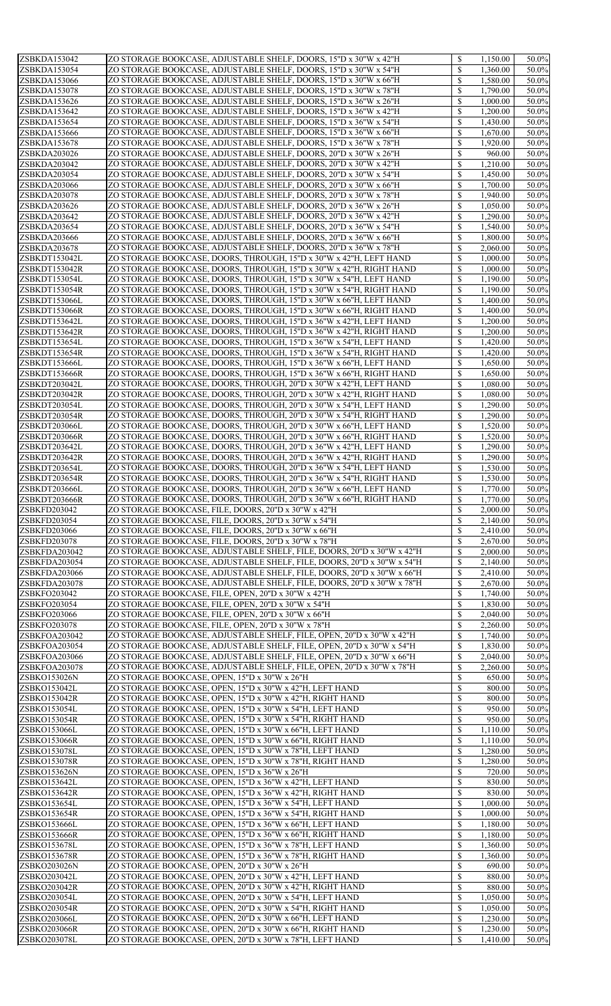| ZSBKDA153042<br>ZSBKDA153054<br>ZSBKDA153066                                                                                                                                                                                                                                                                                                                  | ZO STORAGE BOOKCASE, ADJUSTABLE SHELF, DOORS, 15"D x 30"W x 42"H                                                      |                                           | 1,150.00             | 50.0%          |
|---------------------------------------------------------------------------------------------------------------------------------------------------------------------------------------------------------------------------------------------------------------------------------------------------------------------------------------------------------------|-----------------------------------------------------------------------------------------------------------------------|-------------------------------------------|----------------------|----------------|
|                                                                                                                                                                                                                                                                                                                                                               |                                                                                                                       | $\boldsymbol{\mathsf{S}}$                 |                      |                |
|                                                                                                                                                                                                                                                                                                                                                               | ZO STORAGE BOOKCASE, ADJUSTABLE SHELF, DOORS, 15"D x 30"W x 54"H                                                      | $\mathcal{S}$                             | 1,360.00             | 50.0%          |
|                                                                                                                                                                                                                                                                                                                                                               | ZO STORAGE BOOKCASE, ADJUSTABLE SHELF, DOORS, 15"D x 30"W x 66"H                                                      | \$                                        | 1,580.00             | 50.0%          |
| ZSBKDA153078                                                                                                                                                                                                                                                                                                                                                  | ZO STORAGE BOOKCASE, ADJUSTABLE SHELF, DOORS, 15"D x 30"W x 78"H                                                      | $\mathbb{S}$                              | 1,790.00             | 50.0%          |
|                                                                                                                                                                                                                                                                                                                                                               |                                                                                                                       |                                           |                      |                |
| ZSBKDA153626                                                                                                                                                                                                                                                                                                                                                  | ZO STORAGE BOOKCASE, ADJUSTABLE SHELF, DOORS, 15"D x 36"W x 26"H                                                      | \$                                        | 1,000.00             | 50.0%          |
| ZSBKDA153642                                                                                                                                                                                                                                                                                                                                                  | ZO STORAGE BOOKCASE, ADJUSTABLE SHELF, DOORS, 15"D x 36"W x 42"H                                                      | $\mathbb{S}$                              | 1,200.00             | 50.0%          |
| ZSBKDA153654                                                                                                                                                                                                                                                                                                                                                  | ZO STORAGE BOOKCASE, ADJUSTABLE SHELF, DOORS, 15"D x 36"W x 54"H                                                      | $\boldsymbol{\mathsf{S}}$                 | 1,430.00             | 50.0%          |
| ZSBKDA153666                                                                                                                                                                                                                                                                                                                                                  |                                                                                                                       | $\mathbb{S}$                              |                      | 50.0%          |
|                                                                                                                                                                                                                                                                                                                                                               | ZO STORAGE BOOKCASE, ADJUSTABLE SHELF, DOORS, 15"D x 36"W x 66"H                                                      |                                           | 1,670.00             |                |
| ZSBKDA153678                                                                                                                                                                                                                                                                                                                                                  | ZO STORAGE BOOKCASE, ADJUSTABLE SHELF, DOORS, 15"D x 36"W x 78"H                                                      | $\boldsymbol{\mathsf{S}}$                 | 1,920.00             | 50.0%          |
| ZSBKDA203026                                                                                                                                                                                                                                                                                                                                                  | ZO STORAGE BOOKCASE, ADJUSTABLE SHELF, DOORS, 20"D x 30"W x 26"H                                                      | $\mathcal{S}$                             | 960.00               | 50.0%          |
| ZSBKDA203042                                                                                                                                                                                                                                                                                                                                                  | ZO STORAGE BOOKCASE, ADJUSTABLE SHELF, DOORS, 20"D x 30"W x 42"H                                                      | $\boldsymbol{\mathsf{S}}$                 | 1,210.00             | 50.0%          |
|                                                                                                                                                                                                                                                                                                                                                               |                                                                                                                       |                                           |                      |                |
| ZSBKDA203054                                                                                                                                                                                                                                                                                                                                                  | ZO STORAGE BOOKCASE, ADJUSTABLE SHELF, DOORS, 20"D x 30"W x 54"H                                                      | $\mathbb{S}$                              | 1,450.00             | 50.0%          |
| ZSBKDA203066                                                                                                                                                                                                                                                                                                                                                  | ZO STORAGE BOOKCASE, ADJUSTABLE SHELF, DOORS, 20"D x 30"W x 66"H                                                      | \$                                        | 1,700.00             | 50.0%          |
| ZSBKDA203078                                                                                                                                                                                                                                                                                                                                                  | ZO STORAGE BOOKCASE, ADJUSTABLE SHELF, DOORS, 20"D x 30"W x 78"H                                                      | $\mathcal{S}$                             | 1,940.00             | 50.0%          |
| ZSBKDA203626                                                                                                                                                                                                                                                                                                                                                  | ZO STORAGE BOOKCASE, ADJUSTABLE SHELF, DOORS, 20"D x 36"W x 26"H                                                      | $\boldsymbol{\mathsf{S}}$                 |                      | 50.0%          |
|                                                                                                                                                                                                                                                                                                                                                               |                                                                                                                       |                                           | 1,050.00             |                |
| ZSBKDA203642                                                                                                                                                                                                                                                                                                                                                  | ZO STORAGE BOOKCASE, ADJUSTABLE SHELF, DOORS, 20"D x 36"W x 42"H                                                      | $\mathcal{S}$                             | 1,290.00             | 50.0%          |
| ZSBKDA203654                                                                                                                                                                                                                                                                                                                                                  | ZO STORAGE BOOKCASE, ADJUSTABLE SHELF, DOORS, 20"D x 36"W x 54"H                                                      | $\boldsymbol{\mathsf{S}}$                 | 1,540.00             | 50.0%          |
| ZSBKDA203666                                                                                                                                                                                                                                                                                                                                                  | ZO STORAGE BOOKCASE, ADJUSTABLE SHELF, DOORS, 20"D x 36"W x 66"H                                                      | $\mathcal{S}$                             | 1,800.00             | 50.0%          |
|                                                                                                                                                                                                                                                                                                                                                               |                                                                                                                       |                                           |                      |                |
| ZSBKDA203678                                                                                                                                                                                                                                                                                                                                                  | ZO STORAGE BOOKCASE, ADJUSTABLE SHELF, DOORS, 20"D x 36"W x 78"H                                                      | $\boldsymbol{\mathsf{S}}$                 | 2,060.00             | 50.0%          |
| ZSBKDT153042L                                                                                                                                                                                                                                                                                                                                                 | ZO STORAGE BOOKCASE, DOORS, THROUGH, 15"D x 30"W x 42"H, LEFT HAND                                                    | $\mathcal{S}$                             | 1,000.00             | 50.0%          |
| ZSBKDT153042R                                                                                                                                                                                                                                                                                                                                                 | ZO STORAGE BOOKCASE, DOORS, THROUGH, 15"D x 30"W x 42"H, RIGHT HAND                                                   | $\boldsymbol{\mathsf{S}}$                 | 1,000.00             | 50.0%          |
|                                                                                                                                                                                                                                                                                                                                                               |                                                                                                                       |                                           |                      |                |
| ZSBKDT153054L                                                                                                                                                                                                                                                                                                                                                 | ZO STORAGE BOOKCASE, DOORS, THROUGH, 15"D x 30"W x 54"H, LEFT HAND                                                    | $\mathcal{S}$                             | 1,190.00             | 50.0%          |
| ZSBKDT153054R                                                                                                                                                                                                                                                                                                                                                 | ZO STORAGE BOOKCASE, DOORS, THROUGH, 15"D x 30"W x 54"H, RIGHT HAND                                                   | $\boldsymbol{\mathsf{S}}$                 | 1,190.00             | 50.0%          |
| ZSBKDT153066L                                                                                                                                                                                                                                                                                                                                                 | ZO STORAGE BOOKCASE, DOORS, THROUGH, 15"D x 30"W x 66"H, LEFT HAND                                                    | $\mathbb{S}$                              | 1,400.00             | 50.0%          |
|                                                                                                                                                                                                                                                                                                                                                               |                                                                                                                       |                                           |                      |                |
| ZSBKDT153066R                                                                                                                                                                                                                                                                                                                                                 | ZO STORAGE BOOKCASE, DOORS, THROUGH, 15"D x 30"W x 66"H, RIGHT HAND                                                   | $\boldsymbol{\mathsf{S}}$                 | 1,400.00             | 50.0%          |
| ZSBKDT153642L                                                                                                                                                                                                                                                                                                                                                 | ZO STORAGE BOOKCASE, DOORS, THROUGH, 15"D x 36"W x 42"H, LEFT HAND                                                    | $\mathcal{S}$                             | 1,200.00             | 50.0%          |
| ZSBKDT153642R                                                                                                                                                                                                                                                                                                                                                 | ZO STORAGE BOOKCASE, DOORS, THROUGH, 15"D x 36"W x 42"H, RIGHT HAND                                                   | $\boldsymbol{\mathsf{S}}$                 | 1,200.00             | 50.0%          |
|                                                                                                                                                                                                                                                                                                                                                               |                                                                                                                       |                                           |                      |                |
| ZSBKDT153654L                                                                                                                                                                                                                                                                                                                                                 | ZO STORAGE BOOKCASE, DOORS, THROUGH, 15"D x 36"W x 54"H, LEFT HAND                                                    | $\mathcal{S}$                             | 1,420.00             | 50.0%          |
| ZSBKDT153654R                                                                                                                                                                                                                                                                                                                                                 | ZO STORAGE BOOKCASE, DOORS, THROUGH, 15"D x 36"W x 54"H, RIGHT HAND                                                   | $\boldsymbol{\mathsf{S}}$                 | 1,420.00             | 50.0%          |
| ZSBKDT153666L                                                                                                                                                                                                                                                                                                                                                 | ZO STORAGE BOOKCASE, DOORS, THROUGH, 15"D x 36"W x 66"H, LEFT HAND                                                    | $\mathbb{S}$                              | 1,650.00             | 50.0%          |
| ZSBKDT153666R                                                                                                                                                                                                                                                                                                                                                 | ZO STORAGE BOOKCASE, DOORS, THROUGH, 15"D x 36"W x 66"H, RIGHT HAND                                                   | $\mathbb{S}$                              | 1,650.00             | 50.0%          |
|                                                                                                                                                                                                                                                                                                                                                               |                                                                                                                       |                                           |                      |                |
| ZSBKDT203042L                                                                                                                                                                                                                                                                                                                                                 | ZO STORAGE BOOKCASE, DOORS, THROUGH, 20"D x 30"W x 42"H, LEFT HAND                                                    | $\mathbb{S}$                              | 1,080.00             | 50.0%          |
| ZSBKDT203042R                                                                                                                                                                                                                                                                                                                                                 | ZO STORAGE BOOKCASE, DOORS, THROUGH, 20"D x 30"W x 42"H, RIGHT HAND                                                   | $\mathcal{S}$                             | 1,080.00             | 50.0%          |
| ZSBKDT203054L                                                                                                                                                                                                                                                                                                                                                 | ZO STORAGE BOOKCASE, DOORS, THROUGH, 20"D x 30"W x 54"H, LEFT HAND                                                    | $\mathcal{S}$                             | 1,290.00             | 50.0%          |
| ZSBKDT203054R                                                                                                                                                                                                                                                                                                                                                 |                                                                                                                       |                                           | 1,290.00             | 50.0%          |
|                                                                                                                                                                                                                                                                                                                                                               | ZO STORAGE BOOKCASE, DOORS, THROUGH, 20"D x 30"W x 54"H, RIGHT HAND                                                   | \$                                        |                      |                |
| ZSBKDT203066L                                                                                                                                                                                                                                                                                                                                                 | ZO STORAGE BOOKCASE, DOORS, THROUGH, 20"D x 30"W x 66"H, LEFT HAND                                                    | $\mathbb{S}$                              | 1,520.00             | 50.0%          |
| ZSBKDT203066R                                                                                                                                                                                                                                                                                                                                                 | ZO STORAGE BOOKCASE, DOORS, THROUGH, 20"D x 30"W x 66"H, RIGHT HAND                                                   | $\boldsymbol{\mathsf{S}}$                 | 1,520.00             | 50.0%          |
| ZSBKDT203642L                                                                                                                                                                                                                                                                                                                                                 | ZO STORAGE BOOKCASE, DOORS, THROUGH, 20"D x 36"W x 42"H, LEFT HAND                                                    |                                           | 1,290.00             | 50.0%          |
|                                                                                                                                                                                                                                                                                                                                                               |                                                                                                                       | $\mathbb{S}$                              |                      |                |
| ZSBKDT203642R                                                                                                                                                                                                                                                                                                                                                 | ZO STORAGE BOOKCASE, DOORS, THROUGH, 20"D x 36"W x 42"H, RIGHT HAND                                                   | $\boldsymbol{\mathsf{S}}$                 | 1,290.00             | 50.0%          |
| ZSBKDT203654L                                                                                                                                                                                                                                                                                                                                                 | ZO STORAGE BOOKCASE, DOORS, THROUGH, 20"D x 36"W x 54"H, LEFT HAND                                                    | $\mathcal{S}$                             | 1,530.00             | 50.0%          |
| ZSBKDT203654R                                                                                                                                                                                                                                                                                                                                                 | ZO STORAGE BOOKCASE, DOORS, THROUGH, 20"D x 36"W x 54"H, RIGHT HAND                                                   | $\boldsymbol{\mathsf{S}}$                 | 1,530.00             | 50.0%          |
|                                                                                                                                                                                                                                                                                                                                                               |                                                                                                                       |                                           |                      |                |
| ZSBKDT203666L                                                                                                                                                                                                                                                                                                                                                 | ZO STORAGE BOOKCASE, DOORS, THROUGH, 20"D x 36"W x 66"H, LEFT HAND                                                    | $\mathbb{S}$                              | 1,770.00             | 50.0%          |
| ZSBKDT203666R                                                                                                                                                                                                                                                                                                                                                 | ZO STORAGE BOOKCASE, DOORS, THROUGH, 20"D x 36"W x 66"H, RIGHT HAND                                                   | $\boldsymbol{\mathsf{S}}$                 | 1,770.00             | 50.0%          |
| ZSBKFD203042                                                                                                                                                                                                                                                                                                                                                  | ZO STORAGE BOOKCASE, FILE, DOORS, 20"D x 30"W x 42"H                                                                  | $\mathcal{S}$                             | 2,000.00             | 50.0%          |
|                                                                                                                                                                                                                                                                                                                                                               |                                                                                                                       |                                           |                      |                |
| ZSBKFD203054                                                                                                                                                                                                                                                                                                                                                  | ZO STORAGE BOOKCASE, FILE, DOORS, 20"D x 30"W x 54"H                                                                  | $\boldsymbol{\mathsf{S}}$                 | 2,140.00             | 50.0%          |
| ZSBKFD203066                                                                                                                                                                                                                                                                                                                                                  | ZO STORAGE BOOKCASE, FILE, DOORS, 20"D x 30"W x 66"H                                                                  | $\boldsymbol{\mathsf{S}}$                 | 2,410.00             | 50.0%          |
| ZSBKFD203078                                                                                                                                                                                                                                                                                                                                                  | ZO STORAGE BOOKCASE, FILE, DOORS, 20"D x 30"W x 78"H                                                                  | $\boldsymbol{\mathsf{S}}$                 | 2,670.00             | 50.0%          |
| ZSBKFDA203042                                                                                                                                                                                                                                                                                                                                                 | ZO STORAGE BOOKCASE, ADJUSTABLE SHELF, FILE, DOORS, 20"D x 30"W x 42"H                                                | $\mathbb{S}$                              | 2,000.00             | 50.0%          |
|                                                                                                                                                                                                                                                                                                                                                               |                                                                                                                       |                                           |                      |                |
| ZSBKFDA203054                                                                                                                                                                                                                                                                                                                                                 | ZO STORAGE BOOKCASE, ADJUSTABLE SHELF, FILE, DOORS, 20"D x 30"W x 54"H                                                | $\boldsymbol{\mathsf{S}}$                 | 2,140.00             | 50.0%          |
| ZSBKFDA203066                                                                                                                                                                                                                                                                                                                                                 | ZO STORAGE BOOKCASE, ADJUSTABLE SHELF, FILE, DOORS, 20"D x 30"W x 66"H                                                | $\mathcal{S}$                             | 2,410.00             | 50.0%          |
| ZSBKFDA203078                                                                                                                                                                                                                                                                                                                                                 | ZO STORAGE BOOKCASE, ADJUSTABLE SHELF, FILE, DOORS, 20"D x 30"W x 78"H                                                | \$                                        | 2,670.00             | 50.0%          |
| ZSBKFO203042                                                                                                                                                                                                                                                                                                                                                  | ZO STORAGE BOOKCASE, FILE, OPEN, 20"D x 30"W x 42"H                                                                   | $\mathcal{S}$                             | 1,740.00             | 50.0%          |
|                                                                                                                                                                                                                                                                                                                                                               |                                                                                                                       |                                           |                      |                |
|                                                                                                                                                                                                                                                                                                                                                               |                                                                                                                       |                                           |                      |                |
|                                                                                                                                                                                                                                                                                                                                                               | ZO STORAGE BOOKCASE, FILE, OPEN, 20"D x 30"W x 54"H                                                                   | \$                                        | 1,830.00             | 50.0%          |
| ZSBKFO203054<br>ZSBKFO203066                                                                                                                                                                                                                                                                                                                                  | ZO STORAGE BOOKCASE, FILE, OPEN, 20"D x 30"W x 66"H                                                                   | $\mathbb{S}$                              | 2,040.00             | 50.0%          |
|                                                                                                                                                                                                                                                                                                                                                               |                                                                                                                       |                                           |                      |                |
| <b>ZSBKFO203078</b>                                                                                                                                                                                                                                                                                                                                           | ZO STORAGE BOOKCASE, FILE, OPEN, 20"D x 30"W x 78"H                                                                   | $\boldsymbol{\mathsf{S}}$                 | 2,260.00             | 50.0%          |
|                                                                                                                                                                                                                                                                                                                                                               | ZO STORAGE BOOKCASE, ADJUSTABLE SHELF, FILE, OPEN, 20"D x 30"W x 42"H                                                 | $\mathbb{S}$                              | 1,740.00             | 50.0%          |
| ZSBKFOA203042<br>ZSBKFOA203054                                                                                                                                                                                                                                                                                                                                | ZO STORAGE BOOKCASE, ADJUSTABLE SHELF, FILE, OPEN, 20"D x 30"W x 54"H                                                 | $\boldsymbol{\mathsf{S}}$                 | 1,830.00             | 50.0%          |
| ZSBKFOA203066                                                                                                                                                                                                                                                                                                                                                 |                                                                                                                       | $\mathcal{S}$                             |                      | 50.0%          |
|                                                                                                                                                                                                                                                                                                                                                               | ZO STORAGE BOOKCASE, ADJUSTABLE SHELF, FILE, OPEN, 20"D x 30"W x 66"H                                                 |                                           | 2,040.00             |                |
|                                                                                                                                                                                                                                                                                                                                                               | ZO STORAGE BOOKCASE, ADJUSTABLE SHELF, FILE, OPEN, 20"D x 30"W x 78"H                                                 | $\boldsymbol{\mathsf{S}}$                 | 2,260.00             | 50.0%          |
|                                                                                                                                                                                                                                                                                                                                                               | ZO STORAGE BOOKCASE, OPEN, 15"D x 30"W x 26"H                                                                         | $\mathbb{S}$                              | 650.00               | 50.0%          |
|                                                                                                                                                                                                                                                                                                                                                               | ZO STORAGE BOOKCASE, OPEN, 15"D x 30"W x 42"H, LEFT HAND                                                              | \$                                        | 800.00               | 50.0%          |
|                                                                                                                                                                                                                                                                                                                                                               | ZO STORAGE BOOKCASE, OPEN, 15"D x 30"W x 42"H, RIGHT HAND                                                             |                                           | 800.00               | 50.0%          |
|                                                                                                                                                                                                                                                                                                                                                               |                                                                                                                       | $\boldsymbol{\mathsf{S}}$                 |                      |                |
|                                                                                                                                                                                                                                                                                                                                                               | ZO STORAGE BOOKCASE, OPEN, 15"D x 30"W x 54"H, LEFT HAND                                                              | $\boldsymbol{\mathsf{S}}$                 | 950.00               | 50.0%          |
|                                                                                                                                                                                                                                                                                                                                                               | ZO STORAGE BOOKCASE, OPEN, 15"D x 30"W x 54"H, RIGHT HAND                                                             | $\mathcal{S}$                             | 950.00               | 50.0%          |
|                                                                                                                                                                                                                                                                                                                                                               | ZO STORAGE BOOKCASE, OPEN, 15"D x 30"W x 66"H, LEFT HAND                                                              | $\boldsymbol{\mathsf{S}}$                 | 1,110.00             | 50.0%          |
|                                                                                                                                                                                                                                                                                                                                                               |                                                                                                                       |                                           |                      | 50.0%          |
|                                                                                                                                                                                                                                                                                                                                                               | ZO STORAGE BOOKCASE, OPEN, 15"D x 30"W x 66"H, RIGHT HAND                                                             | $\mathcal{S}$                             | 1,110.00             |                |
|                                                                                                                                                                                                                                                                                                                                                               | ZO STORAGE BOOKCASE, OPEN, 15"D x 30"W x 78"H, LEFT HAND                                                              | $\boldsymbol{\mathsf{S}}$                 | 1,280.00             | 50.0%          |
|                                                                                                                                                                                                                                                                                                                                                               | ZO STORAGE BOOKCASE, OPEN, 15"D x 30"W x 78"H, RIGHT HAND                                                             | $\mathbb{S}$                              | 1,280.00             | 50.0%          |
|                                                                                                                                                                                                                                                                                                                                                               | ZO STORAGE BOOKCASE, OPEN, 15"D x 36"W x 26"H                                                                         | $\boldsymbol{\mathsf{S}}$                 | 720.00               | 50.0%          |
|                                                                                                                                                                                                                                                                                                                                                               |                                                                                                                       |                                           |                      |                |
|                                                                                                                                                                                                                                                                                                                                                               | ZO STORAGE BOOKCASE, OPEN, 15"D x 36"W x 42"H, LEFT HAND                                                              | $\boldsymbol{\mathsf{S}}$                 | 830.00               | 50.0%          |
|                                                                                                                                                                                                                                                                                                                                                               | ZO STORAGE BOOKCASE, OPEN, 15"D x 36"W x 42"H, RIGHT HAND                                                             | $\boldsymbol{\mathsf{S}}$                 | 830.00               | 50.0%          |
|                                                                                                                                                                                                                                                                                                                                                               | ZO STORAGE BOOKCASE, OPEN, 15"D x 36"W x 54"H, LEFT HAND                                                              | $\mathcal{S}$                             | 1,000.00             | 50.0%          |
|                                                                                                                                                                                                                                                                                                                                                               |                                                                                                                       |                                           |                      |                |
|                                                                                                                                                                                                                                                                                                                                                               | ZO STORAGE BOOKCASE, OPEN, 15"D x 36"W x 54"H, RIGHT HAND                                                             | $\boldsymbol{\mathsf{S}}$                 | 1,000.00             | 50.0%          |
|                                                                                                                                                                                                                                                                                                                                                               | ZO STORAGE BOOKCASE, OPEN, 15"D x 36"W x 66"H, LEFT HAND                                                              | $\mathcal{S}$                             | 1,180.00             | 50.0%          |
|                                                                                                                                                                                                                                                                                                                                                               | ZO STORAGE BOOKCASE, OPEN, 15"D x 36"W x 66"H, RIGHT HAND                                                             | $\boldsymbol{\mathsf{S}}$                 | 1,180.00             | 50.0%          |
|                                                                                                                                                                                                                                                                                                                                                               |                                                                                                                       |                                           |                      |                |
|                                                                                                                                                                                                                                                                                                                                                               | ZO STORAGE BOOKCASE, OPEN, 15"D x 36"W x 78"H, LEFT HAND                                                              | $\mathbb{S}$                              | 1,360.00             | 50.0%          |
|                                                                                                                                                                                                                                                                                                                                                               | ZO STORAGE BOOKCASE, OPEN, 15"D x 36"W x 78"H, RIGHT HAND                                                             | $\boldsymbol{\mathsf{S}}$                 | 1,360.00             | 50.0%          |
|                                                                                                                                                                                                                                                                                                                                                               | ZO STORAGE BOOKCASE, OPEN, 20"D x 30"W x 26"H                                                                         | $\boldsymbol{\mathsf{S}}$                 | 690.00               | 50.0%          |
|                                                                                                                                                                                                                                                                                                                                                               | ZO STORAGE BOOKCASE, OPEN, 20"D x 30"W x 42"H, LEFT HAND                                                              | $\boldsymbol{\mathsf{S}}$                 | 880.00               | 50.0%          |
|                                                                                                                                                                                                                                                                                                                                                               |                                                                                                                       |                                           |                      |                |
| ZSBKFOA203078<br>ZSBKO153026N<br>ZSBKO153042L<br>ZSBKO153042R<br>ZSBKO153054L<br>ZSBKO153054R<br>ZSBKO153066L<br>ZSBKO153066R<br>ZSBKO153078L<br>ZSBKO153078R<br>ZSBKO153626N<br>ZSBKO153642L<br>ZSBKO153642R<br>ZSBKO153654L<br>ZSBKO153654R<br>ZSBKO153666L<br>ZSBKO153666R<br>ZSBKO153678L<br>ZSBKO153678R<br>ZSBKO203026N<br>ZSBKO203042L<br>ZSBKO203042R | ZO STORAGE BOOKCASE, OPEN, 20"D x 30"W x 42"H, RIGHT HAND                                                             | $\mathcal{S}$                             | 880.00               | 50.0%          |
| ZSBKO203054L                                                                                                                                                                                                                                                                                                                                                  | ZO STORAGE BOOKCASE, OPEN, 20"D x 30"W x 54"H, LEFT HAND                                                              | $\boldsymbol{\mathsf{S}}$                 | 1,050.00             | 50.0%          |
| ZSBKO203054R                                                                                                                                                                                                                                                                                                                                                  | ZO STORAGE BOOKCASE, OPEN, 20"D x 30"W x 54"H, RIGHT HAND                                                             | $\mathcal{S}$                             | 1,050.00             | 50.0%          |
|                                                                                                                                                                                                                                                                                                                                                               |                                                                                                                       |                                           |                      |                |
| ZSBKO203066L<br>ZSBKO203066R                                                                                                                                                                                                                                                                                                                                  | ZO STORAGE BOOKCASE, OPEN, 20"D x 30"W x 66"H, LEFT HAND<br>ZO STORAGE BOOKCASE, OPEN, 20"D x 30"W x 66"H, RIGHT HAND | $\boldsymbol{\mathsf{S}}$<br>$\mathbb{S}$ | 1,230.00<br>1,230.00 | 50.0%<br>50.0% |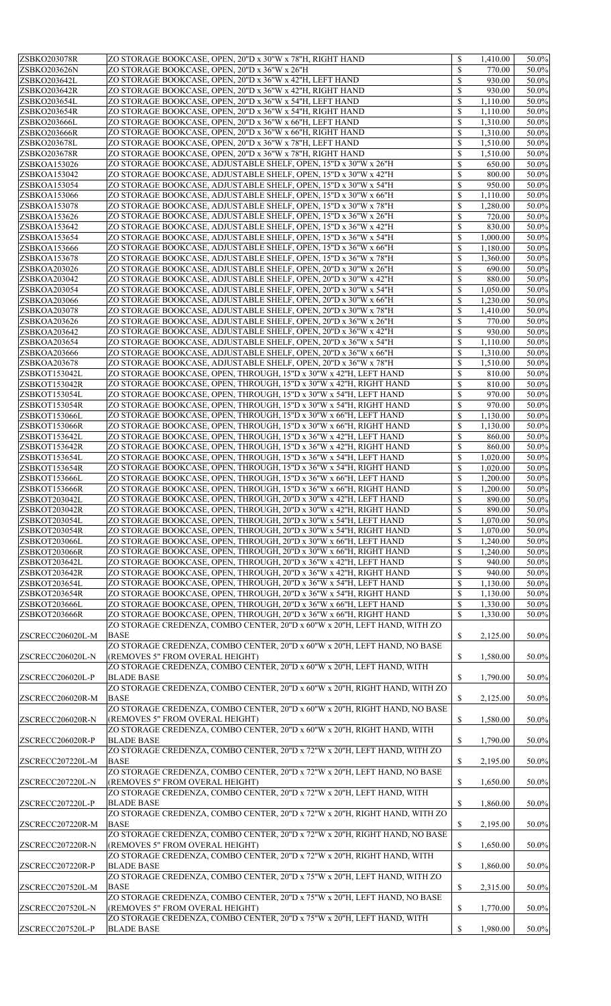| <b>ZSBKO203078R</b><br>ZSBKO203626N<br>ZSBKO203642L<br>ZSBKO203642R<br>ZSBKO203654L<br>ZSBKO203654R<br>ZSBKO203666L<br><b>ZSBKO203666R</b><br>ZSBKO203678L<br><b>ZSBKO203678R</b><br>ZSBKOA153026<br>ZSBKOA153042<br>ZSBKOA153054<br><b>ZSBKOA153066</b><br><b>ZSBKOA153078</b><br>ZSBKOA153626<br>ZSBKOA153642<br>ZSBKOA153654<br>ZSBKOA153666<br><b>ZSBKOA153678</b><br>ZSBKOA203026<br><b>ZSBKOA203042</b><br>ZSBKOA203054<br><b>ZSBKOA203066</b><br><b>ZSBKOA203078</b><br><b>ZSBKOA203626</b><br>ZSBKOA203642<br>ZSBKOA203654<br><b>ZSBKOA203666</b><br><b>ZSBKOA203678</b><br>ZSBKOT153042L<br>ZSBKOT153042R<br>ZSBKOT153054L<br>ZSBKOT153054R<br>ZSBKOT153066L | ZO STORAGE BOOKCASE, OPEN, 20"D x 30"W x 78"H, RIGHT HAND<br>ZO STORAGE BOOKCASE, OPEN, 20"D x 36"W x 26"H<br>ZO STORAGE BOOKCASE, OPEN, 20"D x 36"W x 42"H, LEFT HAND<br>ZO STORAGE BOOKCASE, OPEN, 20"D x 36"W x 42"H, RIGHT HAND<br>ZO STORAGE BOOKCASE, OPEN, 20"D x 36"W x 54"H, LEFT HAND<br>ZO STORAGE BOOKCASE, OPEN, 20"D x 36"W x 54"H, RIGHT HAND<br>ZO STORAGE BOOKCASE, OPEN, 20"D x 36"W x 66"H, LEFT HAND<br>ZO STORAGE BOOKCASE, OPEN, 20"D x 36"W x 66"H, RIGHT HAND<br>ZO STORAGE BOOKCASE, OPEN, 20"D x 36"W x 78"H, LEFT HAND<br>ZO STORAGE BOOKCASE, OPEN, 20"D x 36"W x 78"H, RIGHT HAND<br>ZO STORAGE BOOKCASE, ADJUSTABLE SHELF, OPEN, 15"D x 30"W x 26"H<br>ZO STORAGE BOOKCASE, ADJUSTABLE SHELF, OPEN, 15"D x 30"W x 42"H<br>ZO STORAGE BOOKCASE, ADJUSTABLE SHELF, OPEN, 15"D x 30"W x 54"H<br>ZO STORAGE BOOKCASE, ADJUSTABLE SHELF, OPEN, 15"D x 30"W x 66"H<br>ZO STORAGE BOOKCASE, ADJUSTABLE SHELF, OPEN, 15"D x 30"W x 78"H<br>ZO STORAGE BOOKCASE, ADJUSTABLE SHELF, OPEN, 15"D x 36"W x 26"H<br>ZO STORAGE BOOKCASE, ADJUSTABLE SHELF, OPEN, 15"D x 36"W x 42"H<br>ZO STORAGE BOOKCASE, ADJUSTABLE SHELF, OPEN, 15"D x 36"W x 54"H<br>ZO STORAGE BOOKCASE, ADJUSTABLE SHELF, OPEN, 15"D x 36"W x 66"H<br>ZO STORAGE BOOKCASE, ADJUSTABLE SHELF, OPEN, 15"D x 36"W x 78"H<br>ZO STORAGE BOOKCASE, ADJUSTABLE SHELF, OPEN, 20"D x 30"W x 26"H<br>ZO STORAGE BOOKCASE, ADJUSTABLE SHELF, OPEN, 20"D x 30"W x 42"H<br>ZO STORAGE BOOKCASE, ADJUSTABLE SHELF, OPEN, 20"D x 30"W x 54"H<br>ZO STORAGE BOOKCASE, ADJUSTABLE SHELF, OPEN, 20"D x 30"W x 66"H<br>ZO STORAGE BOOKCASE, ADJUSTABLE SHELF, OPEN, 20"D x 30"W x 78"H<br>ZO STORAGE BOOKCASE, ADJUSTABLE SHELF, OPEN, 20"D x 36"W x 26"H<br>ZO STORAGE BOOKCASE, ADJUSTABLE SHELF, OPEN, 20"D x 36"W x 42"H<br>ZO STORAGE BOOKCASE, ADJUSTABLE SHELF, OPEN, 20"D x 36"W x 54"H<br>ZO STORAGE BOOKCASE, ADJUSTABLE SHELF, OPEN, 20"D x 36"W x 66"H | $\mathbb{S}$<br>\$<br>$\boldsymbol{\mathsf{S}}$<br>$\boldsymbol{\mathsf{S}}$<br>$\mathbb{S}$<br>$\boldsymbol{\mathsf{S}}$<br>$\mathbb{S}$<br>$\boldsymbol{\mathsf{S}}$<br>$\boldsymbol{\mathsf{S}}$<br>$\boldsymbol{\mathsf{S}}$<br>$\boldsymbol{\mathsf{S}}$<br>$\boldsymbol{\mathsf{S}}$<br>$\boldsymbol{\mathsf{S}}$<br>$\boldsymbol{\mathsf{S}}$<br>$\boldsymbol{\mathsf{S}}$<br>$\boldsymbol{\mathsf{S}}$<br>$\boldsymbol{\mathsf{S}}$<br>$\boldsymbol{\mathsf{S}}$<br>$\boldsymbol{\mathsf{S}}$<br>$\boldsymbol{\mathsf{S}}$<br>$\boldsymbol{\mathsf{S}}$<br>$\boldsymbol{\mathsf{S}}$<br>$\mathbb{S}$<br>$\boldsymbol{\mathsf{S}}$<br>$\boldsymbol{\mathsf{S}}$<br>$\boldsymbol{\mathsf{S}}$<br>$\boldsymbol{\mathsf{S}}$ | 1,410.00<br>770.00<br>930.00<br>930.00<br>1,110.00<br>1,110.00<br>1,310.00<br>1,310.00<br>1,510.00<br>1,510.00<br>650.00<br>800.00<br>950.00<br>1,110.00<br>1,280.00<br>720.00<br>830.00<br>1,000.00<br>1,180.00<br>1,360.00<br>690.00<br>880.00<br>1,050.00<br>1,230.00<br>1,410.00<br>770.00 | 50.0%<br>50.0%<br>50.0%<br>50.0%<br>50.0%<br>50.0%<br>50.0%<br>50.0%<br>50.0%<br>50.0%<br>50.0%<br>50.0%<br>50.0%<br>50.0%<br>50.0%<br>50.0%<br>50.0%<br>50.0%<br>50.0%<br>50.0%<br>50.0%<br>50.0%<br>50.0%<br>50.0%<br>50.0% |
|-----------------------------------------------------------------------------------------------------------------------------------------------------------------------------------------------------------------------------------------------------------------------------------------------------------------------------------------------------------------------------------------------------------------------------------------------------------------------------------------------------------------------------------------------------------------------------------------------------------------------------------------------------------------------|-----------------------------------------------------------------------------------------------------------------------------------------------------------------------------------------------------------------------------------------------------------------------------------------------------------------------------------------------------------------------------------------------------------------------------------------------------------------------------------------------------------------------------------------------------------------------------------------------------------------------------------------------------------------------------------------------------------------------------------------------------------------------------------------------------------------------------------------------------------------------------------------------------------------------------------------------------------------------------------------------------------------------------------------------------------------------------------------------------------------------------------------------------------------------------------------------------------------------------------------------------------------------------------------------------------------------------------------------------------------------------------------------------------------------------------------------------------------------------------------------------------------------------------------------------------------------------------------------------------------------------------------------------------------------------------------------------------------------------------------------------------------------------------------------------------------------------------------------------------------------------------------------------------------------------------------|----------------------------------------------------------------------------------------------------------------------------------------------------------------------------------------------------------------------------------------------------------------------------------------------------------------------------------------------------------------------------------------------------------------------------------------------------------------------------------------------------------------------------------------------------------------------------------------------------------------------------------------------------------------------------------------------------------------------------------|------------------------------------------------------------------------------------------------------------------------------------------------------------------------------------------------------------------------------------------------------------------------------------------------|-------------------------------------------------------------------------------------------------------------------------------------------------------------------------------------------------------------------------------|
|                                                                                                                                                                                                                                                                                                                                                                                                                                                                                                                                                                                                                                                                       |                                                                                                                                                                                                                                                                                                                                                                                                                                                                                                                                                                                                                                                                                                                                                                                                                                                                                                                                                                                                                                                                                                                                                                                                                                                                                                                                                                                                                                                                                                                                                                                                                                                                                                                                                                                                                                                                                                                                         |                                                                                                                                                                                                                                                                                                                                                                                                                                                                                                                                                                                                                                                                                                                                  |                                                                                                                                                                                                                                                                                                |                                                                                                                                                                                                                               |
|                                                                                                                                                                                                                                                                                                                                                                                                                                                                                                                                                                                                                                                                       |                                                                                                                                                                                                                                                                                                                                                                                                                                                                                                                                                                                                                                                                                                                                                                                                                                                                                                                                                                                                                                                                                                                                                                                                                                                                                                                                                                                                                                                                                                                                                                                                                                                                                                                                                                                                                                                                                                                                         |                                                                                                                                                                                                                                                                                                                                                                                                                                                                                                                                                                                                                                                                                                                                  |                                                                                                                                                                                                                                                                                                |                                                                                                                                                                                                                               |
|                                                                                                                                                                                                                                                                                                                                                                                                                                                                                                                                                                                                                                                                       |                                                                                                                                                                                                                                                                                                                                                                                                                                                                                                                                                                                                                                                                                                                                                                                                                                                                                                                                                                                                                                                                                                                                                                                                                                                                                                                                                                                                                                                                                                                                                                                                                                                                                                                                                                                                                                                                                                                                         |                                                                                                                                                                                                                                                                                                                                                                                                                                                                                                                                                                                                                                                                                                                                  |                                                                                                                                                                                                                                                                                                |                                                                                                                                                                                                                               |
|                                                                                                                                                                                                                                                                                                                                                                                                                                                                                                                                                                                                                                                                       |                                                                                                                                                                                                                                                                                                                                                                                                                                                                                                                                                                                                                                                                                                                                                                                                                                                                                                                                                                                                                                                                                                                                                                                                                                                                                                                                                                                                                                                                                                                                                                                                                                                                                                                                                                                                                                                                                                                                         |                                                                                                                                                                                                                                                                                                                                                                                                                                                                                                                                                                                                                                                                                                                                  |                                                                                                                                                                                                                                                                                                |                                                                                                                                                                                                                               |
|                                                                                                                                                                                                                                                                                                                                                                                                                                                                                                                                                                                                                                                                       |                                                                                                                                                                                                                                                                                                                                                                                                                                                                                                                                                                                                                                                                                                                                                                                                                                                                                                                                                                                                                                                                                                                                                                                                                                                                                                                                                                                                                                                                                                                                                                                                                                                                                                                                                                                                                                                                                                                                         |                                                                                                                                                                                                                                                                                                                                                                                                                                                                                                                                                                                                                                                                                                                                  |                                                                                                                                                                                                                                                                                                |                                                                                                                                                                                                                               |
|                                                                                                                                                                                                                                                                                                                                                                                                                                                                                                                                                                                                                                                                       |                                                                                                                                                                                                                                                                                                                                                                                                                                                                                                                                                                                                                                                                                                                                                                                                                                                                                                                                                                                                                                                                                                                                                                                                                                                                                                                                                                                                                                                                                                                                                                                                                                                                                                                                                                                                                                                                                                                                         |                                                                                                                                                                                                                                                                                                                                                                                                                                                                                                                                                                                                                                                                                                                                  |                                                                                                                                                                                                                                                                                                |                                                                                                                                                                                                                               |
|                                                                                                                                                                                                                                                                                                                                                                                                                                                                                                                                                                                                                                                                       |                                                                                                                                                                                                                                                                                                                                                                                                                                                                                                                                                                                                                                                                                                                                                                                                                                                                                                                                                                                                                                                                                                                                                                                                                                                                                                                                                                                                                                                                                                                                                                                                                                                                                                                                                                                                                                                                                                                                         |                                                                                                                                                                                                                                                                                                                                                                                                                                                                                                                                                                                                                                                                                                                                  |                                                                                                                                                                                                                                                                                                |                                                                                                                                                                                                                               |
|                                                                                                                                                                                                                                                                                                                                                                                                                                                                                                                                                                                                                                                                       |                                                                                                                                                                                                                                                                                                                                                                                                                                                                                                                                                                                                                                                                                                                                                                                                                                                                                                                                                                                                                                                                                                                                                                                                                                                                                                                                                                                                                                                                                                                                                                                                                                                                                                                                                                                                                                                                                                                                         |                                                                                                                                                                                                                                                                                                                                                                                                                                                                                                                                                                                                                                                                                                                                  |                                                                                                                                                                                                                                                                                                |                                                                                                                                                                                                                               |
|                                                                                                                                                                                                                                                                                                                                                                                                                                                                                                                                                                                                                                                                       |                                                                                                                                                                                                                                                                                                                                                                                                                                                                                                                                                                                                                                                                                                                                                                                                                                                                                                                                                                                                                                                                                                                                                                                                                                                                                                                                                                                                                                                                                                                                                                                                                                                                                                                                                                                                                                                                                                                                         |                                                                                                                                                                                                                                                                                                                                                                                                                                                                                                                                                                                                                                                                                                                                  |                                                                                                                                                                                                                                                                                                |                                                                                                                                                                                                                               |
|                                                                                                                                                                                                                                                                                                                                                                                                                                                                                                                                                                                                                                                                       |                                                                                                                                                                                                                                                                                                                                                                                                                                                                                                                                                                                                                                                                                                                                                                                                                                                                                                                                                                                                                                                                                                                                                                                                                                                                                                                                                                                                                                                                                                                                                                                                                                                                                                                                                                                                                                                                                                                                         |                                                                                                                                                                                                                                                                                                                                                                                                                                                                                                                                                                                                                                                                                                                                  |                                                                                                                                                                                                                                                                                                |                                                                                                                                                                                                                               |
|                                                                                                                                                                                                                                                                                                                                                                                                                                                                                                                                                                                                                                                                       |                                                                                                                                                                                                                                                                                                                                                                                                                                                                                                                                                                                                                                                                                                                                                                                                                                                                                                                                                                                                                                                                                                                                                                                                                                                                                                                                                                                                                                                                                                                                                                                                                                                                                                                                                                                                                                                                                                                                         |                                                                                                                                                                                                                                                                                                                                                                                                                                                                                                                                                                                                                                                                                                                                  |                                                                                                                                                                                                                                                                                                |                                                                                                                                                                                                                               |
|                                                                                                                                                                                                                                                                                                                                                                                                                                                                                                                                                                                                                                                                       |                                                                                                                                                                                                                                                                                                                                                                                                                                                                                                                                                                                                                                                                                                                                                                                                                                                                                                                                                                                                                                                                                                                                                                                                                                                                                                                                                                                                                                                                                                                                                                                                                                                                                                                                                                                                                                                                                                                                         |                                                                                                                                                                                                                                                                                                                                                                                                                                                                                                                                                                                                                                                                                                                                  |                                                                                                                                                                                                                                                                                                |                                                                                                                                                                                                                               |
|                                                                                                                                                                                                                                                                                                                                                                                                                                                                                                                                                                                                                                                                       |                                                                                                                                                                                                                                                                                                                                                                                                                                                                                                                                                                                                                                                                                                                                                                                                                                                                                                                                                                                                                                                                                                                                                                                                                                                                                                                                                                                                                                                                                                                                                                                                                                                                                                                                                                                                                                                                                                                                         |                                                                                                                                                                                                                                                                                                                                                                                                                                                                                                                                                                                                                                                                                                                                  |                                                                                                                                                                                                                                                                                                |                                                                                                                                                                                                                               |
|                                                                                                                                                                                                                                                                                                                                                                                                                                                                                                                                                                                                                                                                       |                                                                                                                                                                                                                                                                                                                                                                                                                                                                                                                                                                                                                                                                                                                                                                                                                                                                                                                                                                                                                                                                                                                                                                                                                                                                                                                                                                                                                                                                                                                                                                                                                                                                                                                                                                                                                                                                                                                                         |                                                                                                                                                                                                                                                                                                                                                                                                                                                                                                                                                                                                                                                                                                                                  |                                                                                                                                                                                                                                                                                                |                                                                                                                                                                                                                               |
|                                                                                                                                                                                                                                                                                                                                                                                                                                                                                                                                                                                                                                                                       |                                                                                                                                                                                                                                                                                                                                                                                                                                                                                                                                                                                                                                                                                                                                                                                                                                                                                                                                                                                                                                                                                                                                                                                                                                                                                                                                                                                                                                                                                                                                                                                                                                                                                                                                                                                                                                                                                                                                         |                                                                                                                                                                                                                                                                                                                                                                                                                                                                                                                                                                                                                                                                                                                                  |                                                                                                                                                                                                                                                                                                |                                                                                                                                                                                                                               |
|                                                                                                                                                                                                                                                                                                                                                                                                                                                                                                                                                                                                                                                                       |                                                                                                                                                                                                                                                                                                                                                                                                                                                                                                                                                                                                                                                                                                                                                                                                                                                                                                                                                                                                                                                                                                                                                                                                                                                                                                                                                                                                                                                                                                                                                                                                                                                                                                                                                                                                                                                                                                                                         |                                                                                                                                                                                                                                                                                                                                                                                                                                                                                                                                                                                                                                                                                                                                  |                                                                                                                                                                                                                                                                                                |                                                                                                                                                                                                                               |
|                                                                                                                                                                                                                                                                                                                                                                                                                                                                                                                                                                                                                                                                       |                                                                                                                                                                                                                                                                                                                                                                                                                                                                                                                                                                                                                                                                                                                                                                                                                                                                                                                                                                                                                                                                                                                                                                                                                                                                                                                                                                                                                                                                                                                                                                                                                                                                                                                                                                                                                                                                                                                                         |                                                                                                                                                                                                                                                                                                                                                                                                                                                                                                                                                                                                                                                                                                                                  |                                                                                                                                                                                                                                                                                                |                                                                                                                                                                                                                               |
|                                                                                                                                                                                                                                                                                                                                                                                                                                                                                                                                                                                                                                                                       |                                                                                                                                                                                                                                                                                                                                                                                                                                                                                                                                                                                                                                                                                                                                                                                                                                                                                                                                                                                                                                                                                                                                                                                                                                                                                                                                                                                                                                                                                                                                                                                                                                                                                                                                                                                                                                                                                                                                         |                                                                                                                                                                                                                                                                                                                                                                                                                                                                                                                                                                                                                                                                                                                                  |                                                                                                                                                                                                                                                                                                |                                                                                                                                                                                                                               |
|                                                                                                                                                                                                                                                                                                                                                                                                                                                                                                                                                                                                                                                                       |                                                                                                                                                                                                                                                                                                                                                                                                                                                                                                                                                                                                                                                                                                                                                                                                                                                                                                                                                                                                                                                                                                                                                                                                                                                                                                                                                                                                                                                                                                                                                                                                                                                                                                                                                                                                                                                                                                                                         |                                                                                                                                                                                                                                                                                                                                                                                                                                                                                                                                                                                                                                                                                                                                  |                                                                                                                                                                                                                                                                                                |                                                                                                                                                                                                                               |
|                                                                                                                                                                                                                                                                                                                                                                                                                                                                                                                                                                                                                                                                       |                                                                                                                                                                                                                                                                                                                                                                                                                                                                                                                                                                                                                                                                                                                                                                                                                                                                                                                                                                                                                                                                                                                                                                                                                                                                                                                                                                                                                                                                                                                                                                                                                                                                                                                                                                                                                                                                                                                                         |                                                                                                                                                                                                                                                                                                                                                                                                                                                                                                                                                                                                                                                                                                                                  |                                                                                                                                                                                                                                                                                                |                                                                                                                                                                                                                               |
|                                                                                                                                                                                                                                                                                                                                                                                                                                                                                                                                                                                                                                                                       |                                                                                                                                                                                                                                                                                                                                                                                                                                                                                                                                                                                                                                                                                                                                                                                                                                                                                                                                                                                                                                                                                                                                                                                                                                                                                                                                                                                                                                                                                                                                                                                                                                                                                                                                                                                                                                                                                                                                         |                                                                                                                                                                                                                                                                                                                                                                                                                                                                                                                                                                                                                                                                                                                                  |                                                                                                                                                                                                                                                                                                |                                                                                                                                                                                                                               |
|                                                                                                                                                                                                                                                                                                                                                                                                                                                                                                                                                                                                                                                                       |                                                                                                                                                                                                                                                                                                                                                                                                                                                                                                                                                                                                                                                                                                                                                                                                                                                                                                                                                                                                                                                                                                                                                                                                                                                                                                                                                                                                                                                                                                                                                                                                                                                                                                                                                                                                                                                                                                                                         |                                                                                                                                                                                                                                                                                                                                                                                                                                                                                                                                                                                                                                                                                                                                  |                                                                                                                                                                                                                                                                                                |                                                                                                                                                                                                                               |
|                                                                                                                                                                                                                                                                                                                                                                                                                                                                                                                                                                                                                                                                       |                                                                                                                                                                                                                                                                                                                                                                                                                                                                                                                                                                                                                                                                                                                                                                                                                                                                                                                                                                                                                                                                                                                                                                                                                                                                                                                                                                                                                                                                                                                                                                                                                                                                                                                                                                                                                                                                                                                                         |                                                                                                                                                                                                                                                                                                                                                                                                                                                                                                                                                                                                                                                                                                                                  |                                                                                                                                                                                                                                                                                                |                                                                                                                                                                                                                               |
|                                                                                                                                                                                                                                                                                                                                                                                                                                                                                                                                                                                                                                                                       |                                                                                                                                                                                                                                                                                                                                                                                                                                                                                                                                                                                                                                                                                                                                                                                                                                                                                                                                                                                                                                                                                                                                                                                                                                                                                                                                                                                                                                                                                                                                                                                                                                                                                                                                                                                                                                                                                                                                         |                                                                                                                                                                                                                                                                                                                                                                                                                                                                                                                                                                                                                                                                                                                                  |                                                                                                                                                                                                                                                                                                |                                                                                                                                                                                                                               |
|                                                                                                                                                                                                                                                                                                                                                                                                                                                                                                                                                                                                                                                                       |                                                                                                                                                                                                                                                                                                                                                                                                                                                                                                                                                                                                                                                                                                                                                                                                                                                                                                                                                                                                                                                                                                                                                                                                                                                                                                                                                                                                                                                                                                                                                                                                                                                                                                                                                                                                                                                                                                                                         |                                                                                                                                                                                                                                                                                                                                                                                                                                                                                                                                                                                                                                                                                                                                  |                                                                                                                                                                                                                                                                                                |                                                                                                                                                                                                                               |
|                                                                                                                                                                                                                                                                                                                                                                                                                                                                                                                                                                                                                                                                       |                                                                                                                                                                                                                                                                                                                                                                                                                                                                                                                                                                                                                                                                                                                                                                                                                                                                                                                                                                                                                                                                                                                                                                                                                                                                                                                                                                                                                                                                                                                                                                                                                                                                                                                                                                                                                                                                                                                                         |                                                                                                                                                                                                                                                                                                                                                                                                                                                                                                                                                                                                                                                                                                                                  |                                                                                                                                                                                                                                                                                                |                                                                                                                                                                                                                               |
|                                                                                                                                                                                                                                                                                                                                                                                                                                                                                                                                                                                                                                                                       |                                                                                                                                                                                                                                                                                                                                                                                                                                                                                                                                                                                                                                                                                                                                                                                                                                                                                                                                                                                                                                                                                                                                                                                                                                                                                                                                                                                                                                                                                                                                                                                                                                                                                                                                                                                                                                                                                                                                         |                                                                                                                                                                                                                                                                                                                                                                                                                                                                                                                                                                                                                                                                                                                                  |                                                                                                                                                                                                                                                                                                |                                                                                                                                                                                                                               |
|                                                                                                                                                                                                                                                                                                                                                                                                                                                                                                                                                                                                                                                                       |                                                                                                                                                                                                                                                                                                                                                                                                                                                                                                                                                                                                                                                                                                                                                                                                                                                                                                                                                                                                                                                                                                                                                                                                                                                                                                                                                                                                                                                                                                                                                                                                                                                                                                                                                                                                                                                                                                                                         |                                                                                                                                                                                                                                                                                                                                                                                                                                                                                                                                                                                                                                                                                                                                  |                                                                                                                                                                                                                                                                                                |                                                                                                                                                                                                                               |
|                                                                                                                                                                                                                                                                                                                                                                                                                                                                                                                                                                                                                                                                       |                                                                                                                                                                                                                                                                                                                                                                                                                                                                                                                                                                                                                                                                                                                                                                                                                                                                                                                                                                                                                                                                                                                                                                                                                                                                                                                                                                                                                                                                                                                                                                                                                                                                                                                                                                                                                                                                                                                                         |                                                                                                                                                                                                                                                                                                                                                                                                                                                                                                                                                                                                                                                                                                                                  |                                                                                                                                                                                                                                                                                                |                                                                                                                                                                                                                               |
|                                                                                                                                                                                                                                                                                                                                                                                                                                                                                                                                                                                                                                                                       |                                                                                                                                                                                                                                                                                                                                                                                                                                                                                                                                                                                                                                                                                                                                                                                                                                                                                                                                                                                                                                                                                                                                                                                                                                                                                                                                                                                                                                                                                                                                                                                                                                                                                                                                                                                                                                                                                                                                         |                                                                                                                                                                                                                                                                                                                                                                                                                                                                                                                                                                                                                                                                                                                                  |                                                                                                                                                                                                                                                                                                |                                                                                                                                                                                                                               |
|                                                                                                                                                                                                                                                                                                                                                                                                                                                                                                                                                                                                                                                                       |                                                                                                                                                                                                                                                                                                                                                                                                                                                                                                                                                                                                                                                                                                                                                                                                                                                                                                                                                                                                                                                                                                                                                                                                                                                                                                                                                                                                                                                                                                                                                                                                                                                                                                                                                                                                                                                                                                                                         |                                                                                                                                                                                                                                                                                                                                                                                                                                                                                                                                                                                                                                                                                                                                  |                                                                                                                                                                                                                                                                                                |                                                                                                                                                                                                                               |
|                                                                                                                                                                                                                                                                                                                                                                                                                                                                                                                                                                                                                                                                       |                                                                                                                                                                                                                                                                                                                                                                                                                                                                                                                                                                                                                                                                                                                                                                                                                                                                                                                                                                                                                                                                                                                                                                                                                                                                                                                                                                                                                                                                                                                                                                                                                                                                                                                                                                                                                                                                                                                                         |                                                                                                                                                                                                                                                                                                                                                                                                                                                                                                                                                                                                                                                                                                                                  |                                                                                                                                                                                                                                                                                                | 50.0%                                                                                                                                                                                                                         |
|                                                                                                                                                                                                                                                                                                                                                                                                                                                                                                                                                                                                                                                                       |                                                                                                                                                                                                                                                                                                                                                                                                                                                                                                                                                                                                                                                                                                                                                                                                                                                                                                                                                                                                                                                                                                                                                                                                                                                                                                                                                                                                                                                                                                                                                                                                                                                                                                                                                                                                                                                                                                                                         |                                                                                                                                                                                                                                                                                                                                                                                                                                                                                                                                                                                                                                                                                                                                  | 930.00                                                                                                                                                                                                                                                                                         | 50.0%                                                                                                                                                                                                                         |
|                                                                                                                                                                                                                                                                                                                                                                                                                                                                                                                                                                                                                                                                       |                                                                                                                                                                                                                                                                                                                                                                                                                                                                                                                                                                                                                                                                                                                                                                                                                                                                                                                                                                                                                                                                                                                                                                                                                                                                                                                                                                                                                                                                                                                                                                                                                                                                                                                                                                                                                                                                                                                                         |                                                                                                                                                                                                                                                                                                                                                                                                                                                                                                                                                                                                                                                                                                                                  |                                                                                                                                                                                                                                                                                                |                                                                                                                                                                                                                               |
|                                                                                                                                                                                                                                                                                                                                                                                                                                                                                                                                                                                                                                                                       |                                                                                                                                                                                                                                                                                                                                                                                                                                                                                                                                                                                                                                                                                                                                                                                                                                                                                                                                                                                                                                                                                                                                                                                                                                                                                                                                                                                                                                                                                                                                                                                                                                                                                                                                                                                                                                                                                                                                         | $\boldsymbol{\mathsf{S}}$                                                                                                                                                                                                                                                                                                                                                                                                                                                                                                                                                                                                                                                                                                        | 1,110.00                                                                                                                                                                                                                                                                                       | 50.0%                                                                                                                                                                                                                         |
|                                                                                                                                                                                                                                                                                                                                                                                                                                                                                                                                                                                                                                                                       |                                                                                                                                                                                                                                                                                                                                                                                                                                                                                                                                                                                                                                                                                                                                                                                                                                                                                                                                                                                                                                                                                                                                                                                                                                                                                                                                                                                                                                                                                                                                                                                                                                                                                                                                                                                                                                                                                                                                         | $\mathbb{S}$                                                                                                                                                                                                                                                                                                                                                                                                                                                                                                                                                                                                                                                                                                                     | 1,310.00                                                                                                                                                                                                                                                                                       | 50.0%                                                                                                                                                                                                                         |
|                                                                                                                                                                                                                                                                                                                                                                                                                                                                                                                                                                                                                                                                       | ZO STORAGE BOOKCASE, ADJUSTABLE SHELF, OPEN, 20"D x 36"W x 78"H                                                                                                                                                                                                                                                                                                                                                                                                                                                                                                                                                                                                                                                                                                                                                                                                                                                                                                                                                                                                                                                                                                                                                                                                                                                                                                                                                                                                                                                                                                                                                                                                                                                                                                                                                                                                                                                                         |                                                                                                                                                                                                                                                                                                                                                                                                                                                                                                                                                                                                                                                                                                                                  | 1,510.00                                                                                                                                                                                                                                                                                       | 50.0%                                                                                                                                                                                                                         |
|                                                                                                                                                                                                                                                                                                                                                                                                                                                                                                                                                                                                                                                                       | ZO STORAGE BOOKCASE, OPEN, THROUGH, 15"D x 30"W x 42"H, LEFT HAND                                                                                                                                                                                                                                                                                                                                                                                                                                                                                                                                                                                                                                                                                                                                                                                                                                                                                                                                                                                                                                                                                                                                                                                                                                                                                                                                                                                                                                                                                                                                                                                                                                                                                                                                                                                                                                                                       | $\mathbb{S}$                                                                                                                                                                                                                                                                                                                                                                                                                                                                                                                                                                                                                                                                                                                     | 810.00                                                                                                                                                                                                                                                                                         | 50.0%                                                                                                                                                                                                                         |
|                                                                                                                                                                                                                                                                                                                                                                                                                                                                                                                                                                                                                                                                       |                                                                                                                                                                                                                                                                                                                                                                                                                                                                                                                                                                                                                                                                                                                                                                                                                                                                                                                                                                                                                                                                                                                                                                                                                                                                                                                                                                                                                                                                                                                                                                                                                                                                                                                                                                                                                                                                                                                                         |                                                                                                                                                                                                                                                                                                                                                                                                                                                                                                                                                                                                                                                                                                                                  |                                                                                                                                                                                                                                                                                                |                                                                                                                                                                                                                               |
|                                                                                                                                                                                                                                                                                                                                                                                                                                                                                                                                                                                                                                                                       | ZO STORAGE BOOKCASE, OPEN, THROUGH, 15"D x 30"W x 42"H, RIGHT HAND                                                                                                                                                                                                                                                                                                                                                                                                                                                                                                                                                                                                                                                                                                                                                                                                                                                                                                                                                                                                                                                                                                                                                                                                                                                                                                                                                                                                                                                                                                                                                                                                                                                                                                                                                                                                                                                                      | \$                                                                                                                                                                                                                                                                                                                                                                                                                                                                                                                                                                                                                                                                                                                               | 810.00                                                                                                                                                                                                                                                                                         | 50.0%                                                                                                                                                                                                                         |
|                                                                                                                                                                                                                                                                                                                                                                                                                                                                                                                                                                                                                                                                       | ZO STORAGE BOOKCASE, OPEN, THROUGH, 15"D x 30"W x 54"H, LEFT HAND                                                                                                                                                                                                                                                                                                                                                                                                                                                                                                                                                                                                                                                                                                                                                                                                                                                                                                                                                                                                                                                                                                                                                                                                                                                                                                                                                                                                                                                                                                                                                                                                                                                                                                                                                                                                                                                                       | $\mathbb{S}$                                                                                                                                                                                                                                                                                                                                                                                                                                                                                                                                                                                                                                                                                                                     | 970.00                                                                                                                                                                                                                                                                                         | 50.0%                                                                                                                                                                                                                         |
|                                                                                                                                                                                                                                                                                                                                                                                                                                                                                                                                                                                                                                                                       | ZO STORAGE BOOKCASE, OPEN, THROUGH, 15"D x 30"W x 54"H, RIGHT HAND                                                                                                                                                                                                                                                                                                                                                                                                                                                                                                                                                                                                                                                                                                                                                                                                                                                                                                                                                                                                                                                                                                                                                                                                                                                                                                                                                                                                                                                                                                                                                                                                                                                                                                                                                                                                                                                                      | $\boldsymbol{\mathsf{S}}$                                                                                                                                                                                                                                                                                                                                                                                                                                                                                                                                                                                                                                                                                                        | 970.00                                                                                                                                                                                                                                                                                         | 50.0%                                                                                                                                                                                                                         |
|                                                                                                                                                                                                                                                                                                                                                                                                                                                                                                                                                                                                                                                                       |                                                                                                                                                                                                                                                                                                                                                                                                                                                                                                                                                                                                                                                                                                                                                                                                                                                                                                                                                                                                                                                                                                                                                                                                                                                                                                                                                                                                                                                                                                                                                                                                                                                                                                                                                                                                                                                                                                                                         |                                                                                                                                                                                                                                                                                                                                                                                                                                                                                                                                                                                                                                                                                                                                  |                                                                                                                                                                                                                                                                                                | 50.0%                                                                                                                                                                                                                         |
|                                                                                                                                                                                                                                                                                                                                                                                                                                                                                                                                                                                                                                                                       | ZO STORAGE BOOKCASE, OPEN, THROUGH, 15"D x 30"W x 66"H, LEFT HAND                                                                                                                                                                                                                                                                                                                                                                                                                                                                                                                                                                                                                                                                                                                                                                                                                                                                                                                                                                                                                                                                                                                                                                                                                                                                                                                                                                                                                                                                                                                                                                                                                                                                                                                                                                                                                                                                       | $\boldsymbol{\mathsf{S}}$                                                                                                                                                                                                                                                                                                                                                                                                                                                                                                                                                                                                                                                                                                        | 1,130.00                                                                                                                                                                                                                                                                                       |                                                                                                                                                                                                                               |
| ZSBKOT153066R                                                                                                                                                                                                                                                                                                                                                                                                                                                                                                                                                                                                                                                         | ZO STORAGE BOOKCASE, OPEN, THROUGH, 15"D x 30"W x 66"H, RIGHT HAND                                                                                                                                                                                                                                                                                                                                                                                                                                                                                                                                                                                                                                                                                                                                                                                                                                                                                                                                                                                                                                                                                                                                                                                                                                                                                                                                                                                                                                                                                                                                                                                                                                                                                                                                                                                                                                                                      | $\boldsymbol{\mathsf{S}}$                                                                                                                                                                                                                                                                                                                                                                                                                                                                                                                                                                                                                                                                                                        | 1,130.00                                                                                                                                                                                                                                                                                       | 50.0%                                                                                                                                                                                                                         |
| ZSBKOT153642L                                                                                                                                                                                                                                                                                                                                                                                                                                                                                                                                                                                                                                                         | ZO STORAGE BOOKCASE, OPEN, THROUGH, 15"D x 36"W x 42"H, LEFT HAND                                                                                                                                                                                                                                                                                                                                                                                                                                                                                                                                                                                                                                                                                                                                                                                                                                                                                                                                                                                                                                                                                                                                                                                                                                                                                                                                                                                                                                                                                                                                                                                                                                                                                                                                                                                                                                                                       | $\mathbb{S}$                                                                                                                                                                                                                                                                                                                                                                                                                                                                                                                                                                                                                                                                                                                     | 860.00                                                                                                                                                                                                                                                                                         | 50.0%                                                                                                                                                                                                                         |
| ZSBKOT153642R                                                                                                                                                                                                                                                                                                                                                                                                                                                                                                                                                                                                                                                         | ZO STORAGE BOOKCASE, OPEN, THROUGH, 15"D x 36"W x 42"H, RIGHT HAND                                                                                                                                                                                                                                                                                                                                                                                                                                                                                                                                                                                                                                                                                                                                                                                                                                                                                                                                                                                                                                                                                                                                                                                                                                                                                                                                                                                                                                                                                                                                                                                                                                                                                                                                                                                                                                                                      | $\boldsymbol{\mathsf{S}}$                                                                                                                                                                                                                                                                                                                                                                                                                                                                                                                                                                                                                                                                                                        | 860.00                                                                                                                                                                                                                                                                                         | 50.0%                                                                                                                                                                                                                         |
|                                                                                                                                                                                                                                                                                                                                                                                                                                                                                                                                                                                                                                                                       |                                                                                                                                                                                                                                                                                                                                                                                                                                                                                                                                                                                                                                                                                                                                                                                                                                                                                                                                                                                                                                                                                                                                                                                                                                                                                                                                                                                                                                                                                                                                                                                                                                                                                                                                                                                                                                                                                                                                         |                                                                                                                                                                                                                                                                                                                                                                                                                                                                                                                                                                                                                                                                                                                                  |                                                                                                                                                                                                                                                                                                |                                                                                                                                                                                                                               |
| ZSBKOT153654L                                                                                                                                                                                                                                                                                                                                                                                                                                                                                                                                                                                                                                                         | ZO STORAGE BOOKCASE, OPEN, THROUGH, 15"D x 36"W x 54"H, LEFT HAND                                                                                                                                                                                                                                                                                                                                                                                                                                                                                                                                                                                                                                                                                                                                                                                                                                                                                                                                                                                                                                                                                                                                                                                                                                                                                                                                                                                                                                                                                                                                                                                                                                                                                                                                                                                                                                                                       | $\mathbb{S}$                                                                                                                                                                                                                                                                                                                                                                                                                                                                                                                                                                                                                                                                                                                     | 1,020.00                                                                                                                                                                                                                                                                                       | 50.0%                                                                                                                                                                                                                         |
| ZSBKOT153654R                                                                                                                                                                                                                                                                                                                                                                                                                                                                                                                                                                                                                                                         | ZO STORAGE BOOKCASE, OPEN, THROUGH, 15"D x 36"W x 54"H, RIGHT HAND                                                                                                                                                                                                                                                                                                                                                                                                                                                                                                                                                                                                                                                                                                                                                                                                                                                                                                                                                                                                                                                                                                                                                                                                                                                                                                                                                                                                                                                                                                                                                                                                                                                                                                                                                                                                                                                                      | $\boldsymbol{\mathsf{S}}$                                                                                                                                                                                                                                                                                                                                                                                                                                                                                                                                                                                                                                                                                                        | 1,020.00                                                                                                                                                                                                                                                                                       | 50.0%                                                                                                                                                                                                                         |
| ZSBKOT153666L                                                                                                                                                                                                                                                                                                                                                                                                                                                                                                                                                                                                                                                         | ZO STORAGE BOOKCASE, OPEN, THROUGH, 15"D x 36"W x 66"H, LEFT HAND                                                                                                                                                                                                                                                                                                                                                                                                                                                                                                                                                                                                                                                                                                                                                                                                                                                                                                                                                                                                                                                                                                                                                                                                                                                                                                                                                                                                                                                                                                                                                                                                                                                                                                                                                                                                                                                                       | $\mathbb{S}$                                                                                                                                                                                                                                                                                                                                                                                                                                                                                                                                                                                                                                                                                                                     | 1,200.00                                                                                                                                                                                                                                                                                       | 50.0%                                                                                                                                                                                                                         |
|                                                                                                                                                                                                                                                                                                                                                                                                                                                                                                                                                                                                                                                                       |                                                                                                                                                                                                                                                                                                                                                                                                                                                                                                                                                                                                                                                                                                                                                                                                                                                                                                                                                                                                                                                                                                                                                                                                                                                                                                                                                                                                                                                                                                                                                                                                                                                                                                                                                                                                                                                                                                                                         |                                                                                                                                                                                                                                                                                                                                                                                                                                                                                                                                                                                                                                                                                                                                  |                                                                                                                                                                                                                                                                                                |                                                                                                                                                                                                                               |
| ZSBKOT153666R                                                                                                                                                                                                                                                                                                                                                                                                                                                                                                                                                                                                                                                         | ZO STORAGE BOOKCASE, OPEN, THROUGH, 15"D x 36"W x 66"H, RIGHT HAND                                                                                                                                                                                                                                                                                                                                                                                                                                                                                                                                                                                                                                                                                                                                                                                                                                                                                                                                                                                                                                                                                                                                                                                                                                                                                                                                                                                                                                                                                                                                                                                                                                                                                                                                                                                                                                                                      | $\boldsymbol{\mathsf{S}}$                                                                                                                                                                                                                                                                                                                                                                                                                                                                                                                                                                                                                                                                                                        | 1,200.00                                                                                                                                                                                                                                                                                       | 50.0%                                                                                                                                                                                                                         |
| ZSBKOT203042L                                                                                                                                                                                                                                                                                                                                                                                                                                                                                                                                                                                                                                                         | ZO STORAGE BOOKCASE, OPEN, THROUGH, 20"D x 30"W x 42"H, LEFT HAND                                                                                                                                                                                                                                                                                                                                                                                                                                                                                                                                                                                                                                                                                                                                                                                                                                                                                                                                                                                                                                                                                                                                                                                                                                                                                                                                                                                                                                                                                                                                                                                                                                                                                                                                                                                                                                                                       | $\mathbb{S}$                                                                                                                                                                                                                                                                                                                                                                                                                                                                                                                                                                                                                                                                                                                     | 890.00                                                                                                                                                                                                                                                                                         | 50.0%                                                                                                                                                                                                                         |
| ZSBKOT203042R                                                                                                                                                                                                                                                                                                                                                                                                                                                                                                                                                                                                                                                         | ZO STORAGE BOOKCASE, OPEN, THROUGH, 20"D x 30"W x 42"H, RIGHT HAND                                                                                                                                                                                                                                                                                                                                                                                                                                                                                                                                                                                                                                                                                                                                                                                                                                                                                                                                                                                                                                                                                                                                                                                                                                                                                                                                                                                                                                                                                                                                                                                                                                                                                                                                                                                                                                                                      | $\mathbb{S}$                                                                                                                                                                                                                                                                                                                                                                                                                                                                                                                                                                                                                                                                                                                     | 890.00                                                                                                                                                                                                                                                                                         | 50.0%                                                                                                                                                                                                                         |
| ZSBKOT203054L                                                                                                                                                                                                                                                                                                                                                                                                                                                                                                                                                                                                                                                         | ZO STORAGE BOOKCASE, OPEN, THROUGH, 20"D x 30"W x 54"H, LEFT HAND                                                                                                                                                                                                                                                                                                                                                                                                                                                                                                                                                                                                                                                                                                                                                                                                                                                                                                                                                                                                                                                                                                                                                                                                                                                                                                                                                                                                                                                                                                                                                                                                                                                                                                                                                                                                                                                                       | $\mathbb{S}$                                                                                                                                                                                                                                                                                                                                                                                                                                                                                                                                                                                                                                                                                                                     | 1,070.00                                                                                                                                                                                                                                                                                       | 50.0%                                                                                                                                                                                                                         |
|                                                                                                                                                                                                                                                                                                                                                                                                                                                                                                                                                                                                                                                                       |                                                                                                                                                                                                                                                                                                                                                                                                                                                                                                                                                                                                                                                                                                                                                                                                                                                                                                                                                                                                                                                                                                                                                                                                                                                                                                                                                                                                                                                                                                                                                                                                                                                                                                                                                                                                                                                                                                                                         |                                                                                                                                                                                                                                                                                                                                                                                                                                                                                                                                                                                                                                                                                                                                  |                                                                                                                                                                                                                                                                                                |                                                                                                                                                                                                                               |
| ZSBKOT203054R                                                                                                                                                                                                                                                                                                                                                                                                                                                                                                                                                                                                                                                         | ZO STORAGE BOOKCASE, OPEN, THROUGH, 20"D x 30"W x 54"H, RIGHT HAND                                                                                                                                                                                                                                                                                                                                                                                                                                                                                                                                                                                                                                                                                                                                                                                                                                                                                                                                                                                                                                                                                                                                                                                                                                                                                                                                                                                                                                                                                                                                                                                                                                                                                                                                                                                                                                                                      | $\mathbb{S}$                                                                                                                                                                                                                                                                                                                                                                                                                                                                                                                                                                                                                                                                                                                     | 1,070.00                                                                                                                                                                                                                                                                                       | 50.0%                                                                                                                                                                                                                         |
| ZSBKOT203066L                                                                                                                                                                                                                                                                                                                                                                                                                                                                                                                                                                                                                                                         | ZO STORAGE BOOKCASE, OPEN, THROUGH, 20"D x 30"W x 66"H, LEFT HAND                                                                                                                                                                                                                                                                                                                                                                                                                                                                                                                                                                                                                                                                                                                                                                                                                                                                                                                                                                                                                                                                                                                                                                                                                                                                                                                                                                                                                                                                                                                                                                                                                                                                                                                                                                                                                                                                       | $\boldsymbol{\mathsf{S}}$                                                                                                                                                                                                                                                                                                                                                                                                                                                                                                                                                                                                                                                                                                        | 1,240.00                                                                                                                                                                                                                                                                                       | 50.0%                                                                                                                                                                                                                         |
| ZSBKOT203066R                                                                                                                                                                                                                                                                                                                                                                                                                                                                                                                                                                                                                                                         | ZO STORAGE BOOKCASE, OPEN, THROUGH, 20"D x 30"W x 66"H, RIGHT HAND                                                                                                                                                                                                                                                                                                                                                                                                                                                                                                                                                                                                                                                                                                                                                                                                                                                                                                                                                                                                                                                                                                                                                                                                                                                                                                                                                                                                                                                                                                                                                                                                                                                                                                                                                                                                                                                                      | \$                                                                                                                                                                                                                                                                                                                                                                                                                                                                                                                                                                                                                                                                                                                               | 1,240.00                                                                                                                                                                                                                                                                                       | 50.0%                                                                                                                                                                                                                         |
| ZSBKOT203642L                                                                                                                                                                                                                                                                                                                                                                                                                                                                                                                                                                                                                                                         | ZO STORAGE BOOKCASE, OPEN, THROUGH, 20"D x 36"W x 42"H, LEFT HAND                                                                                                                                                                                                                                                                                                                                                                                                                                                                                                                                                                                                                                                                                                                                                                                                                                                                                                                                                                                                                                                                                                                                                                                                                                                                                                                                                                                                                                                                                                                                                                                                                                                                                                                                                                                                                                                                       | $\boldsymbol{\mathsf{S}}$                                                                                                                                                                                                                                                                                                                                                                                                                                                                                                                                                                                                                                                                                                        | 940.00                                                                                                                                                                                                                                                                                         | 50.0%                                                                                                                                                                                                                         |
|                                                                                                                                                                                                                                                                                                                                                                                                                                                                                                                                                                                                                                                                       |                                                                                                                                                                                                                                                                                                                                                                                                                                                                                                                                                                                                                                                                                                                                                                                                                                                                                                                                                                                                                                                                                                                                                                                                                                                                                                                                                                                                                                                                                                                                                                                                                                                                                                                                                                                                                                                                                                                                         |                                                                                                                                                                                                                                                                                                                                                                                                                                                                                                                                                                                                                                                                                                                                  |                                                                                                                                                                                                                                                                                                |                                                                                                                                                                                                                               |
| ZSBKOT203642R                                                                                                                                                                                                                                                                                                                                                                                                                                                                                                                                                                                                                                                         | ZO STORAGE BOOKCASE, OPEN, THROUGH, 20"D x 36"W x 42"H, RIGHT HAND                                                                                                                                                                                                                                                                                                                                                                                                                                                                                                                                                                                                                                                                                                                                                                                                                                                                                                                                                                                                                                                                                                                                                                                                                                                                                                                                                                                                                                                                                                                                                                                                                                                                                                                                                                                                                                                                      | $\mathbb{S}$                                                                                                                                                                                                                                                                                                                                                                                                                                                                                                                                                                                                                                                                                                                     | 940.00                                                                                                                                                                                                                                                                                         | 50.0%                                                                                                                                                                                                                         |
| ZSBKOT203654L                                                                                                                                                                                                                                                                                                                                                                                                                                                                                                                                                                                                                                                         | ZO STORAGE BOOKCASE, OPEN, THROUGH, 20"D x 36"W x 54"H, LEFT HAND                                                                                                                                                                                                                                                                                                                                                                                                                                                                                                                                                                                                                                                                                                                                                                                                                                                                                                                                                                                                                                                                                                                                                                                                                                                                                                                                                                                                                                                                                                                                                                                                                                                                                                                                                                                                                                                                       | $\mathbb{S}$                                                                                                                                                                                                                                                                                                                                                                                                                                                                                                                                                                                                                                                                                                                     | 1,130.00                                                                                                                                                                                                                                                                                       | 50.0%                                                                                                                                                                                                                         |
| ZSBKOT203654R                                                                                                                                                                                                                                                                                                                                                                                                                                                                                                                                                                                                                                                         | ZO STORAGE BOOKCASE, OPEN, THROUGH, 20"D x 36"W x 54"H, RIGHT HAND                                                                                                                                                                                                                                                                                                                                                                                                                                                                                                                                                                                                                                                                                                                                                                                                                                                                                                                                                                                                                                                                                                                                                                                                                                                                                                                                                                                                                                                                                                                                                                                                                                                                                                                                                                                                                                                                      | $\mathbb{S}$                                                                                                                                                                                                                                                                                                                                                                                                                                                                                                                                                                                                                                                                                                                     | 1,130.00                                                                                                                                                                                                                                                                                       | 50.0%                                                                                                                                                                                                                         |
|                                                                                                                                                                                                                                                                                                                                                                                                                                                                                                                                                                                                                                                                       |                                                                                                                                                                                                                                                                                                                                                                                                                                                                                                                                                                                                                                                                                                                                                                                                                                                                                                                                                                                                                                                                                                                                                                                                                                                                                                                                                                                                                                                                                                                                                                                                                                                                                                                                                                                                                                                                                                                                         |                                                                                                                                                                                                                                                                                                                                                                                                                                                                                                                                                                                                                                                                                                                                  |                                                                                                                                                                                                                                                                                                |                                                                                                                                                                                                                               |
| ZSBKOT203666L                                                                                                                                                                                                                                                                                                                                                                                                                                                                                                                                                                                                                                                         | ZO STORAGE BOOKCASE, OPEN, THROUGH, 20"D x 36"W x 66"H, LEFT HAND                                                                                                                                                                                                                                                                                                                                                                                                                                                                                                                                                                                                                                                                                                                                                                                                                                                                                                                                                                                                                                                                                                                                                                                                                                                                                                                                                                                                                                                                                                                                                                                                                                                                                                                                                                                                                                                                       | $\mathcal{S}$                                                                                                                                                                                                                                                                                                                                                                                                                                                                                                                                                                                                                                                                                                                    | 1,330.00                                                                                                                                                                                                                                                                                       | 50.0%                                                                                                                                                                                                                         |
| ZSBKOT203666R                                                                                                                                                                                                                                                                                                                                                                                                                                                                                                                                                                                                                                                         | ZO STORAGE BOOKCASE, OPEN, THROUGH, 20"D x 36"W x 66"H, RIGHT HAND                                                                                                                                                                                                                                                                                                                                                                                                                                                                                                                                                                                                                                                                                                                                                                                                                                                                                                                                                                                                                                                                                                                                                                                                                                                                                                                                                                                                                                                                                                                                                                                                                                                                                                                                                                                                                                                                      | $\mathbb{S}$                                                                                                                                                                                                                                                                                                                                                                                                                                                                                                                                                                                                                                                                                                                     | 1,330.00                                                                                                                                                                                                                                                                                       | 50.0%                                                                                                                                                                                                                         |
|                                                                                                                                                                                                                                                                                                                                                                                                                                                                                                                                                                                                                                                                       | ZO STORAGE CREDENZA, COMBO CENTER, 20"D x 60"W x 20"H, LEFT HAND, WITH ZO                                                                                                                                                                                                                                                                                                                                                                                                                                                                                                                                                                                                                                                                                                                                                                                                                                                                                                                                                                                                                                                                                                                                                                                                                                                                                                                                                                                                                                                                                                                                                                                                                                                                                                                                                                                                                                                               |                                                                                                                                                                                                                                                                                                                                                                                                                                                                                                                                                                                                                                                                                                                                  |                                                                                                                                                                                                                                                                                                |                                                                                                                                                                                                                               |
| ZSCRECC206020L-M                                                                                                                                                                                                                                                                                                                                                                                                                                                                                                                                                                                                                                                      | <b>BASE</b>                                                                                                                                                                                                                                                                                                                                                                                                                                                                                                                                                                                                                                                                                                                                                                                                                                                                                                                                                                                                                                                                                                                                                                                                                                                                                                                                                                                                                                                                                                                                                                                                                                                                                                                                                                                                                                                                                                                             |                                                                                                                                                                                                                                                                                                                                                                                                                                                                                                                                                                                                                                                                                                                                  |                                                                                                                                                                                                                                                                                                |                                                                                                                                                                                                                               |
|                                                                                                                                                                                                                                                                                                                                                                                                                                                                                                                                                                                                                                                                       |                                                                                                                                                                                                                                                                                                                                                                                                                                                                                                                                                                                                                                                                                                                                                                                                                                                                                                                                                                                                                                                                                                                                                                                                                                                                                                                                                                                                                                                                                                                                                                                                                                                                                                                                                                                                                                                                                                                                         | $\mathbb{S}$                                                                                                                                                                                                                                                                                                                                                                                                                                                                                                                                                                                                                                                                                                                     | 2,125.00                                                                                                                                                                                                                                                                                       | 50.0%                                                                                                                                                                                                                         |
|                                                                                                                                                                                                                                                                                                                                                                                                                                                                                                                                                                                                                                                                       | ZO STORAGE CREDENZA, COMBO CENTER, 20"D x 60"W x 20"H, LEFT HAND, NO BASE                                                                                                                                                                                                                                                                                                                                                                                                                                                                                                                                                                                                                                                                                                                                                                                                                                                                                                                                                                                                                                                                                                                                                                                                                                                                                                                                                                                                                                                                                                                                                                                                                                                                                                                                                                                                                                                               |                                                                                                                                                                                                                                                                                                                                                                                                                                                                                                                                                                                                                                                                                                                                  |                                                                                                                                                                                                                                                                                                |                                                                                                                                                                                                                               |
| ZSCRECC206020L-N                                                                                                                                                                                                                                                                                                                                                                                                                                                                                                                                                                                                                                                      | (REMOVES 5" FROM OVERAL HEIGHT)                                                                                                                                                                                                                                                                                                                                                                                                                                                                                                                                                                                                                                                                                                                                                                                                                                                                                                                                                                                                                                                                                                                                                                                                                                                                                                                                                                                                                                                                                                                                                                                                                                                                                                                                                                                                                                                                                                         | $\mathbb{S}$                                                                                                                                                                                                                                                                                                                                                                                                                                                                                                                                                                                                                                                                                                                     | 1,580.00                                                                                                                                                                                                                                                                                       | 50.0%                                                                                                                                                                                                                         |
|                                                                                                                                                                                                                                                                                                                                                                                                                                                                                                                                                                                                                                                                       | ZO STORAGE CREDENZA, COMBO CENTER, 20"D x 60"W x 20"H, LEFT HAND, WITH                                                                                                                                                                                                                                                                                                                                                                                                                                                                                                                                                                                                                                                                                                                                                                                                                                                                                                                                                                                                                                                                                                                                                                                                                                                                                                                                                                                                                                                                                                                                                                                                                                                                                                                                                                                                                                                                  |                                                                                                                                                                                                                                                                                                                                                                                                                                                                                                                                                                                                                                                                                                                                  |                                                                                                                                                                                                                                                                                                |                                                                                                                                                                                                                               |
|                                                                                                                                                                                                                                                                                                                                                                                                                                                                                                                                                                                                                                                                       |                                                                                                                                                                                                                                                                                                                                                                                                                                                                                                                                                                                                                                                                                                                                                                                                                                                                                                                                                                                                                                                                                                                                                                                                                                                                                                                                                                                                                                                                                                                                                                                                                                                                                                                                                                                                                                                                                                                                         |                                                                                                                                                                                                                                                                                                                                                                                                                                                                                                                                                                                                                                                                                                                                  |                                                                                                                                                                                                                                                                                                |                                                                                                                                                                                                                               |
| ZSCRECC206020L-P                                                                                                                                                                                                                                                                                                                                                                                                                                                                                                                                                                                                                                                      | <b>BLADE BASE</b>                                                                                                                                                                                                                                                                                                                                                                                                                                                                                                                                                                                                                                                                                                                                                                                                                                                                                                                                                                                                                                                                                                                                                                                                                                                                                                                                                                                                                                                                                                                                                                                                                                                                                                                                                                                                                                                                                                                       |                                                                                                                                                                                                                                                                                                                                                                                                                                                                                                                                                                                                                                                                                                                                  | 1,790.00                                                                                                                                                                                                                                                                                       | 50.0%                                                                                                                                                                                                                         |
|                                                                                                                                                                                                                                                                                                                                                                                                                                                                                                                                                                                                                                                                       | ZO STORAGE CREDENZA, COMBO CENTER, 20"D x 60"W x 20"H, RIGHT HAND, WITH ZO                                                                                                                                                                                                                                                                                                                                                                                                                                                                                                                                                                                                                                                                                                                                                                                                                                                                                                                                                                                                                                                                                                                                                                                                                                                                                                                                                                                                                                                                                                                                                                                                                                                                                                                                                                                                                                                              |                                                                                                                                                                                                                                                                                                                                                                                                                                                                                                                                                                                                                                                                                                                                  |                                                                                                                                                                                                                                                                                                |                                                                                                                                                                                                                               |
| ZSCRECC206020R-M                                                                                                                                                                                                                                                                                                                                                                                                                                                                                                                                                                                                                                                      | <b>BASE</b>                                                                                                                                                                                                                                                                                                                                                                                                                                                                                                                                                                                                                                                                                                                                                                                                                                                                                                                                                                                                                                                                                                                                                                                                                                                                                                                                                                                                                                                                                                                                                                                                                                                                                                                                                                                                                                                                                                                             | $\mathbb{S}$                                                                                                                                                                                                                                                                                                                                                                                                                                                                                                                                                                                                                                                                                                                     | 2,125.00                                                                                                                                                                                                                                                                                       | 50.0%                                                                                                                                                                                                                         |
|                                                                                                                                                                                                                                                                                                                                                                                                                                                                                                                                                                                                                                                                       | ZO STORAGE CREDENZA, COMBO CENTER, 20"D x 60"W x 20"H, RIGHT HAND, NO BASE                                                                                                                                                                                                                                                                                                                                                                                                                                                                                                                                                                                                                                                                                                                                                                                                                                                                                                                                                                                                                                                                                                                                                                                                                                                                                                                                                                                                                                                                                                                                                                                                                                                                                                                                                                                                                                                              |                                                                                                                                                                                                                                                                                                                                                                                                                                                                                                                                                                                                                                                                                                                                  |                                                                                                                                                                                                                                                                                                |                                                                                                                                                                                                                               |
|                                                                                                                                                                                                                                                                                                                                                                                                                                                                                                                                                                                                                                                                       |                                                                                                                                                                                                                                                                                                                                                                                                                                                                                                                                                                                                                                                                                                                                                                                                                                                                                                                                                                                                                                                                                                                                                                                                                                                                                                                                                                                                                                                                                                                                                                                                                                                                                                                                                                                                                                                                                                                                         |                                                                                                                                                                                                                                                                                                                                                                                                                                                                                                                                                                                                                                                                                                                                  |                                                                                                                                                                                                                                                                                                |                                                                                                                                                                                                                               |
| ZSCRECC206020R-N                                                                                                                                                                                                                                                                                                                                                                                                                                                                                                                                                                                                                                                      | (REMOVES 5" FROM OVERAL HEIGHT)                                                                                                                                                                                                                                                                                                                                                                                                                                                                                                                                                                                                                                                                                                                                                                                                                                                                                                                                                                                                                                                                                                                                                                                                                                                                                                                                                                                                                                                                                                                                                                                                                                                                                                                                                                                                                                                                                                         | $\mathbb{S}$                                                                                                                                                                                                                                                                                                                                                                                                                                                                                                                                                                                                                                                                                                                     | 1,580.00                                                                                                                                                                                                                                                                                       | 50.0%                                                                                                                                                                                                                         |
|                                                                                                                                                                                                                                                                                                                                                                                                                                                                                                                                                                                                                                                                       | ZO STORAGE CREDENZA, COMBO CENTER, 20"D x 60"W x 20"H, RIGHT HAND, WITH                                                                                                                                                                                                                                                                                                                                                                                                                                                                                                                                                                                                                                                                                                                                                                                                                                                                                                                                                                                                                                                                                                                                                                                                                                                                                                                                                                                                                                                                                                                                                                                                                                                                                                                                                                                                                                                                 |                                                                                                                                                                                                                                                                                                                                                                                                                                                                                                                                                                                                                                                                                                                                  |                                                                                                                                                                                                                                                                                                |                                                                                                                                                                                                                               |
| ZSCRECC206020R-P                                                                                                                                                                                                                                                                                                                                                                                                                                                                                                                                                                                                                                                      | <b>BLADE BASE</b>                                                                                                                                                                                                                                                                                                                                                                                                                                                                                                                                                                                                                                                                                                                                                                                                                                                                                                                                                                                                                                                                                                                                                                                                                                                                                                                                                                                                                                                                                                                                                                                                                                                                                                                                                                                                                                                                                                                       | $\mathbb{S}$                                                                                                                                                                                                                                                                                                                                                                                                                                                                                                                                                                                                                                                                                                                     | 1,790.00                                                                                                                                                                                                                                                                                       | 50.0%                                                                                                                                                                                                                         |
|                                                                                                                                                                                                                                                                                                                                                                                                                                                                                                                                                                                                                                                                       | ZO STORAGE CREDENZA, COMBO CENTER, 20"D x 72"W x 20"H, LEFT HAND, WITH ZO                                                                                                                                                                                                                                                                                                                                                                                                                                                                                                                                                                                                                                                                                                                                                                                                                                                                                                                                                                                                                                                                                                                                                                                                                                                                                                                                                                                                                                                                                                                                                                                                                                                                                                                                                                                                                                                               |                                                                                                                                                                                                                                                                                                                                                                                                                                                                                                                                                                                                                                                                                                                                  |                                                                                                                                                                                                                                                                                                |                                                                                                                                                                                                                               |
|                                                                                                                                                                                                                                                                                                                                                                                                                                                                                                                                                                                                                                                                       |                                                                                                                                                                                                                                                                                                                                                                                                                                                                                                                                                                                                                                                                                                                                                                                                                                                                                                                                                                                                                                                                                                                                                                                                                                                                                                                                                                                                                                                                                                                                                                                                                                                                                                                                                                                                                                                                                                                                         |                                                                                                                                                                                                                                                                                                                                                                                                                                                                                                                                                                                                                                                                                                                                  |                                                                                                                                                                                                                                                                                                |                                                                                                                                                                                                                               |
| ZSCRECC207220L-M                                                                                                                                                                                                                                                                                                                                                                                                                                                                                                                                                                                                                                                      | <b>BASE</b>                                                                                                                                                                                                                                                                                                                                                                                                                                                                                                                                                                                                                                                                                                                                                                                                                                                                                                                                                                                                                                                                                                                                                                                                                                                                                                                                                                                                                                                                                                                                                                                                                                                                                                                                                                                                                                                                                                                             | $\mathbb{S}$                                                                                                                                                                                                                                                                                                                                                                                                                                                                                                                                                                                                                                                                                                                     | 2,195.00                                                                                                                                                                                                                                                                                       | 50.0%                                                                                                                                                                                                                         |
|                                                                                                                                                                                                                                                                                                                                                                                                                                                                                                                                                                                                                                                                       | ZO STORAGE CREDENZA, COMBO CENTER, 20"D x 72"W x 20"H, LEFT HAND, NO BASE                                                                                                                                                                                                                                                                                                                                                                                                                                                                                                                                                                                                                                                                                                                                                                                                                                                                                                                                                                                                                                                                                                                                                                                                                                                                                                                                                                                                                                                                                                                                                                                                                                                                                                                                                                                                                                                               |                                                                                                                                                                                                                                                                                                                                                                                                                                                                                                                                                                                                                                                                                                                                  |                                                                                                                                                                                                                                                                                                |                                                                                                                                                                                                                               |
| ZSCRECC207220L-N                                                                                                                                                                                                                                                                                                                                                                                                                                                                                                                                                                                                                                                      | (REMOVES 5" FROM OVERAL HEIGHT)                                                                                                                                                                                                                                                                                                                                                                                                                                                                                                                                                                                                                                                                                                                                                                                                                                                                                                                                                                                                                                                                                                                                                                                                                                                                                                                                                                                                                                                                                                                                                                                                                                                                                                                                                                                                                                                                                                         | $\mathbb{S}$                                                                                                                                                                                                                                                                                                                                                                                                                                                                                                                                                                                                                                                                                                                     | 1,650.00                                                                                                                                                                                                                                                                                       | 50.0%                                                                                                                                                                                                                         |
|                                                                                                                                                                                                                                                                                                                                                                                                                                                                                                                                                                                                                                                                       |                                                                                                                                                                                                                                                                                                                                                                                                                                                                                                                                                                                                                                                                                                                                                                                                                                                                                                                                                                                                                                                                                                                                                                                                                                                                                                                                                                                                                                                                                                                                                                                                                                                                                                                                                                                                                                                                                                                                         |                                                                                                                                                                                                                                                                                                                                                                                                                                                                                                                                                                                                                                                                                                                                  |                                                                                                                                                                                                                                                                                                |                                                                                                                                                                                                                               |
|                                                                                                                                                                                                                                                                                                                                                                                                                                                                                                                                                                                                                                                                       | ZO STORAGE CREDENZA, COMBO CENTER, 20"D x 72"W x 20"H, LEFT HAND, WITH                                                                                                                                                                                                                                                                                                                                                                                                                                                                                                                                                                                                                                                                                                                                                                                                                                                                                                                                                                                                                                                                                                                                                                                                                                                                                                                                                                                                                                                                                                                                                                                                                                                                                                                                                                                                                                                                  |                                                                                                                                                                                                                                                                                                                                                                                                                                                                                                                                                                                                                                                                                                                                  |                                                                                                                                                                                                                                                                                                |                                                                                                                                                                                                                               |
| ZSCRECC207220L-P                                                                                                                                                                                                                                                                                                                                                                                                                                                                                                                                                                                                                                                      | <b>BLADE BASE</b>                                                                                                                                                                                                                                                                                                                                                                                                                                                                                                                                                                                                                                                                                                                                                                                                                                                                                                                                                                                                                                                                                                                                                                                                                                                                                                                                                                                                                                                                                                                                                                                                                                                                                                                                                                                                                                                                                                                       | $\mathbb{S}$                                                                                                                                                                                                                                                                                                                                                                                                                                                                                                                                                                                                                                                                                                                     | 1,860.00                                                                                                                                                                                                                                                                                       | 50.0%                                                                                                                                                                                                                         |
|                                                                                                                                                                                                                                                                                                                                                                                                                                                                                                                                                                                                                                                                       | ZO STORAGE CREDENZA, COMBO CENTER, 20"D x 72"W x 20"H, RIGHT HAND, WITH ZO                                                                                                                                                                                                                                                                                                                                                                                                                                                                                                                                                                                                                                                                                                                                                                                                                                                                                                                                                                                                                                                                                                                                                                                                                                                                                                                                                                                                                                                                                                                                                                                                                                                                                                                                                                                                                                                              |                                                                                                                                                                                                                                                                                                                                                                                                                                                                                                                                                                                                                                                                                                                                  |                                                                                                                                                                                                                                                                                                |                                                                                                                                                                                                                               |
| ZSCRECC207220R-M                                                                                                                                                                                                                                                                                                                                                                                                                                                                                                                                                                                                                                                      | <b>BASE</b>                                                                                                                                                                                                                                                                                                                                                                                                                                                                                                                                                                                                                                                                                                                                                                                                                                                                                                                                                                                                                                                                                                                                                                                                                                                                                                                                                                                                                                                                                                                                                                                                                                                                                                                                                                                                                                                                                                                             | $\mathbb{S}$                                                                                                                                                                                                                                                                                                                                                                                                                                                                                                                                                                                                                                                                                                                     | 2,195.00                                                                                                                                                                                                                                                                                       | 50.0%                                                                                                                                                                                                                         |
|                                                                                                                                                                                                                                                                                                                                                                                                                                                                                                                                                                                                                                                                       |                                                                                                                                                                                                                                                                                                                                                                                                                                                                                                                                                                                                                                                                                                                                                                                                                                                                                                                                                                                                                                                                                                                                                                                                                                                                                                                                                                                                                                                                                                                                                                                                                                                                                                                                                                                                                                                                                                                                         |                                                                                                                                                                                                                                                                                                                                                                                                                                                                                                                                                                                                                                                                                                                                  |                                                                                                                                                                                                                                                                                                |                                                                                                                                                                                                                               |
|                                                                                                                                                                                                                                                                                                                                                                                                                                                                                                                                                                                                                                                                       | ZO STORAGE CREDENZA, COMBO CENTER, 20"D x 72"W x 20"H, RIGHT HAND, NO BASE                                                                                                                                                                                                                                                                                                                                                                                                                                                                                                                                                                                                                                                                                                                                                                                                                                                                                                                                                                                                                                                                                                                                                                                                                                                                                                                                                                                                                                                                                                                                                                                                                                                                                                                                                                                                                                                              |                                                                                                                                                                                                                                                                                                                                                                                                                                                                                                                                                                                                                                                                                                                                  |                                                                                                                                                                                                                                                                                                |                                                                                                                                                                                                                               |
| ZSCRECC207220R-N                                                                                                                                                                                                                                                                                                                                                                                                                                                                                                                                                                                                                                                      | (REMOVES 5" FROM OVERAL HEIGHT)                                                                                                                                                                                                                                                                                                                                                                                                                                                                                                                                                                                                                                                                                                                                                                                                                                                                                                                                                                                                                                                                                                                                                                                                                                                                                                                                                                                                                                                                                                                                                                                                                                                                                                                                                                                                                                                                                                         | $\mathbb{S}$                                                                                                                                                                                                                                                                                                                                                                                                                                                                                                                                                                                                                                                                                                                     | 1,650.00                                                                                                                                                                                                                                                                                       | 50.0%                                                                                                                                                                                                                         |
|                                                                                                                                                                                                                                                                                                                                                                                                                                                                                                                                                                                                                                                                       | ZO STORAGE CREDENZA, COMBO CENTER, 20"D x 72"W x 20"H, RIGHT HAND, WITH                                                                                                                                                                                                                                                                                                                                                                                                                                                                                                                                                                                                                                                                                                                                                                                                                                                                                                                                                                                                                                                                                                                                                                                                                                                                                                                                                                                                                                                                                                                                                                                                                                                                                                                                                                                                                                                                 |                                                                                                                                                                                                                                                                                                                                                                                                                                                                                                                                                                                                                                                                                                                                  |                                                                                                                                                                                                                                                                                                |                                                                                                                                                                                                                               |
|                                                                                                                                                                                                                                                                                                                                                                                                                                                                                                                                                                                                                                                                       |                                                                                                                                                                                                                                                                                                                                                                                                                                                                                                                                                                                                                                                                                                                                                                                                                                                                                                                                                                                                                                                                                                                                                                                                                                                                                                                                                                                                                                                                                                                                                                                                                                                                                                                                                                                                                                                                                                                                         |                                                                                                                                                                                                                                                                                                                                                                                                                                                                                                                                                                                                                                                                                                                                  |                                                                                                                                                                                                                                                                                                |                                                                                                                                                                                                                               |
| ZSCRECC207220R-P                                                                                                                                                                                                                                                                                                                                                                                                                                                                                                                                                                                                                                                      | <b>BLADE BASE</b>                                                                                                                                                                                                                                                                                                                                                                                                                                                                                                                                                                                                                                                                                                                                                                                                                                                                                                                                                                                                                                                                                                                                                                                                                                                                                                                                                                                                                                                                                                                                                                                                                                                                                                                                                                                                                                                                                                                       | $\mathbb{S}$                                                                                                                                                                                                                                                                                                                                                                                                                                                                                                                                                                                                                                                                                                                     | 1,860.00                                                                                                                                                                                                                                                                                       | 50.0%                                                                                                                                                                                                                         |
|                                                                                                                                                                                                                                                                                                                                                                                                                                                                                                                                                                                                                                                                       | ZO STORAGE CREDENZA, COMBO CENTER, 20"D x 75"W x 20"H, LEFT HAND, WITH ZO                                                                                                                                                                                                                                                                                                                                                                                                                                                                                                                                                                                                                                                                                                                                                                                                                                                                                                                                                                                                                                                                                                                                                                                                                                                                                                                                                                                                                                                                                                                                                                                                                                                                                                                                                                                                                                                               |                                                                                                                                                                                                                                                                                                                                                                                                                                                                                                                                                                                                                                                                                                                                  |                                                                                                                                                                                                                                                                                                |                                                                                                                                                                                                                               |
| ZSCRECC207520L-M                                                                                                                                                                                                                                                                                                                                                                                                                                                                                                                                                                                                                                                      | <b>BASE</b>                                                                                                                                                                                                                                                                                                                                                                                                                                                                                                                                                                                                                                                                                                                                                                                                                                                                                                                                                                                                                                                                                                                                                                                                                                                                                                                                                                                                                                                                                                                                                                                                                                                                                                                                                                                                                                                                                                                             | $\mathbb{S}$                                                                                                                                                                                                                                                                                                                                                                                                                                                                                                                                                                                                                                                                                                                     | 2,315.00                                                                                                                                                                                                                                                                                       | 50.0%                                                                                                                                                                                                                         |
|                                                                                                                                                                                                                                                                                                                                                                                                                                                                                                                                                                                                                                                                       | ZO STORAGE CREDENZA, COMBO CENTER, 20"D x 75"W x 20"H, LEFT HAND, NO BASE                                                                                                                                                                                                                                                                                                                                                                                                                                                                                                                                                                                                                                                                                                                                                                                                                                                                                                                                                                                                                                                                                                                                                                                                                                                                                                                                                                                                                                                                                                                                                                                                                                                                                                                                                                                                                                                               |                                                                                                                                                                                                                                                                                                                                                                                                                                                                                                                                                                                                                                                                                                                                  |                                                                                                                                                                                                                                                                                                |                                                                                                                                                                                                                               |
|                                                                                                                                                                                                                                                                                                                                                                                                                                                                                                                                                                                                                                                                       |                                                                                                                                                                                                                                                                                                                                                                                                                                                                                                                                                                                                                                                                                                                                                                                                                                                                                                                                                                                                                                                                                                                                                                                                                                                                                                                                                                                                                                                                                                                                                                                                                                                                                                                                                                                                                                                                                                                                         |                                                                                                                                                                                                                                                                                                                                                                                                                                                                                                                                                                                                                                                                                                                                  |                                                                                                                                                                                                                                                                                                |                                                                                                                                                                                                                               |
| ZSCRECC207520L-N                                                                                                                                                                                                                                                                                                                                                                                                                                                                                                                                                                                                                                                      | (REMOVES 5" FROM OVERAL HEIGHT)                                                                                                                                                                                                                                                                                                                                                                                                                                                                                                                                                                                                                                                                                                                                                                                                                                                                                                                                                                                                                                                                                                                                                                                                                                                                                                                                                                                                                                                                                                                                                                                                                                                                                                                                                                                                                                                                                                         | $\mathbb{S}$                                                                                                                                                                                                                                                                                                                                                                                                                                                                                                                                                                                                                                                                                                                     | 1,770.00                                                                                                                                                                                                                                                                                       | 50.0%                                                                                                                                                                                                                         |
|                                                                                                                                                                                                                                                                                                                                                                                                                                                                                                                                                                                                                                                                       | ZO STORAGE CREDENZA, COMBO CENTER, 20"D x 75"W x 20"H, LEFT HAND, WITH                                                                                                                                                                                                                                                                                                                                                                                                                                                                                                                                                                                                                                                                                                                                                                                                                                                                                                                                                                                                                                                                                                                                                                                                                                                                                                                                                                                                                                                                                                                                                                                                                                                                                                                                                                                                                                                                  |                                                                                                                                                                                                                                                                                                                                                                                                                                                                                                                                                                                                                                                                                                                                  |                                                                                                                                                                                                                                                                                                |                                                                                                                                                                                                                               |
| ZSCRECC207520L-P                                                                                                                                                                                                                                                                                                                                                                                                                                                                                                                                                                                                                                                      | <b>BLADE BASE</b>                                                                                                                                                                                                                                                                                                                                                                                                                                                                                                                                                                                                                                                                                                                                                                                                                                                                                                                                                                                                                                                                                                                                                                                                                                                                                                                                                                                                                                                                                                                                                                                                                                                                                                                                                                                                                                                                                                                       | $\mathbb{S}$                                                                                                                                                                                                                                                                                                                                                                                                                                                                                                                                                                                                                                                                                                                     | 1,980.00                                                                                                                                                                                                                                                                                       | 50.0%                                                                                                                                                                                                                         |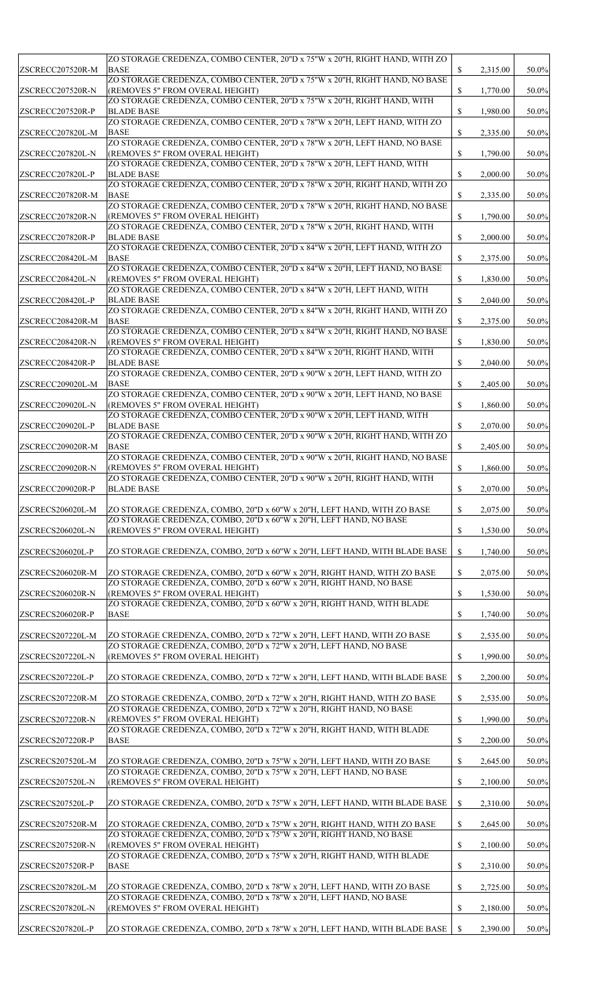| ZSCRECC207520R-M | ZO STORAGE CREDENZA, COMBO CENTER, 20"D x 75"W x 20"H, RIGHT HAND, WITH ZO<br><b>BASE</b>                                                       | $\mathbb{S}$              | 2,315.00 | 50.0% |
|------------------|-------------------------------------------------------------------------------------------------------------------------------------------------|---------------------------|----------|-------|
| ZSCRECC207520R-N | ZO STORAGE CREDENZA, COMBO CENTER, 20"D x 75"W x 20"H, RIGHT HAND, NO BASE<br>(REMOVES 5" FROM OVERAL HEIGHT)                                   | $\mathbb{S}$              | 1,770.00 | 50.0% |
| ZSCRECC207520R-P | ZO STORAGE CREDENZA, COMBO CENTER, 20"D x 75"W x 20"H, RIGHT HAND, WITH<br><b>BLADE BASE</b>                                                    | $\mathbb{S}$              | 1,980.00 | 50.0% |
| ZSCRECC207820L-M | ZO STORAGE CREDENZA, COMBO CENTER, 20"D x 78"W x 20"H, LEFT HAND, WITH ZO<br><b>BASE</b>                                                        | $\mathbb{S}$              | 2,335.00 | 50.0% |
|                  | ZO STORAGE CREDENZA, COMBO CENTER, 20"D x 78"W x 20"H, LEFT HAND, NO BASE                                                                       |                           |          |       |
| ZSCRECC207820L-N | (REMOVES 5" FROM OVERAL HEIGHT)<br>ZO STORAGE CREDENZA, COMBO CENTER, 20"D x 78"W x 20"H, LEFT HAND, WITH                                       | $\mathbb{S}$              | 1,790.00 | 50.0% |
| ZSCRECC207820L-P | <b>BLADE BASE</b><br>ZO STORAGE CREDENZA, COMBO CENTER, 20"D x 78"W x 20"H, RIGHT HAND, WITH ZO                                                 | $\mathbb{S}$              | 2,000.00 | 50.0% |
| ZSCRECC207820R-M | <b>BASE</b><br>ZO STORAGE CREDENZA, COMBO CENTER, 20"D x 78"W x 20"H, RIGHT HAND, NO BASE                                                       | $\mathbb{S}$              | 2,335.00 | 50.0% |
| ZSCRECC207820R-N | (REMOVES 5" FROM OVERAL HEIGHT)<br>ZO STORAGE CREDENZA, COMBO CENTER, 20"D x 78"W x 20"H, RIGHT HAND, WITH                                      | $\mathbb{S}$              | 1,790.00 | 50.0% |
| ZSCRECC207820R-P | <b>BLADE BASE</b><br>ZO STORAGE CREDENZA, COMBO CENTER, 20"D x 84"W x 20"H, LEFT HAND, WITH ZO                                                  | $\mathbb{S}$              | 2,000.00 | 50.0% |
| ZSCRECC208420L-M | <b>BASE</b>                                                                                                                                     | $\mathbb{S}$              | 2,375.00 | 50.0% |
| ZSCRECC208420L-N | ZO STORAGE CREDENZA, COMBO CENTER, 20"D x 84"W x 20"H, LEFT HAND, NO BASE<br>(REMOVES 5" FROM OVERAL HEIGHT)                                    | $\mathbb{S}$              | 1,830.00 | 50.0% |
| ZSCRECC208420L-P | ZO STORAGE CREDENZA, COMBO CENTER, 20"D x 84"W x 20"H, LEFT HAND, WITH<br><b>BLADE BASE</b>                                                     | $\mathbb{S}$              | 2,040.00 | 50.0% |
| ZSCRECC208420R-M | ZO STORAGE CREDENZA, COMBO CENTER, 20"D x 84"W x 20"H, RIGHT HAND, WITH ZO<br><b>BASE</b>                                                       | $\mathbb{S}$              | 2,375.00 | 50.0% |
| ZSCRECC208420R-N | ZO STORAGE CREDENZA, COMBO CENTER, 20"D x 84"W x 20"H, RIGHT HAND, NO BASE<br>(REMOVES 5" FROM OVERAL HEIGHT)                                   | $\mathbb{S}$              | 1,830.00 | 50.0% |
| ZSCRECC208420R-P | ZO STORAGE CREDENZA, COMBO CENTER, 20"D x 84"W x 20"H, RIGHT HAND, WITH<br><b>BLADE BASE</b>                                                    |                           | 2,040.00 | 50.0% |
|                  | ZO STORAGE CREDENZA, COMBO CENTER, 20"D x 90"W x 20"H, LEFT HAND, WITH ZO                                                                       |                           |          |       |
| ZSCRECC209020L-M | <b>BASE</b><br>ZO STORAGE CREDENZA, COMBO CENTER, 20"D x 90"W x 20"H, LEFT HAND, NO BASE                                                        | $\mathbb{S}$              | 2,405.00 | 50.0% |
| ZSCRECC209020L-N | (REMOVES 5" FROM OVERAL HEIGHT)<br>ZO STORAGE CREDENZA, COMBO CENTER, 20"D x 90"W x 20"H, LEFT HAND, WITH                                       | $\mathbb{S}$              | 1,860.00 | 50.0% |
| ZSCRECC209020L-P | <b>BLADE BASE</b><br>ZO STORAGE CREDENZA, COMBO CENTER, 20"D x 90"W x 20"H, RIGHT HAND, WITH ZO                                                 | $\mathbb{S}$              | 2,070.00 | 50.0% |
| ZSCRECC209020R-M | <b>BASE</b><br>ZO STORAGE CREDENZA, COMBO CENTER, 20"D x 90"W x 20"H, RIGHT HAND, NO BASE                                                       | $\mathbb{S}$              | 2,405.00 | 50.0% |
| ZSCRECC209020R-N | (REMOVES 5" FROM OVERAL HEIGHT)                                                                                                                 | $\mathbb{S}$              | 1,860.00 | 50.0% |
| ZSCRECC209020R-P | ZO STORAGE CREDENZA, COMBO CENTER, 20"D x 90"W x 20"H, RIGHT HAND, WITH<br><b>BLADE BASE</b>                                                    | \$                        | 2,070.00 | 50.0% |
| ZSCRECS206020L-M | ZO STORAGE CREDENZA, COMBO, 20"D x 60"W x 20"H, LEFT HAND, WITH ZO BASE                                                                         | $\mathbb{S}$              | 2,075.00 | 50.0% |
| ZSCRECS206020L-N | ZO STORAGE CREDENZA, COMBO, 20"D x 60"W x 20"H, LEFT HAND, NO BASE<br>(REMOVES 5" FROM OVERAL HEIGHT)                                           | \$                        | 1,530.00 | 50.0% |
| ZSCRECS206020L-P | ZO STORAGE CREDENZA, COMBO, 20"D x 60"W x 20"H, LEFT HAND, WITH BLADE BASE                                                                      | $\mathbb{S}$              | 1,740.00 | 50.0% |
| ZSCRECS206020R-M | ZO STORAGE CREDENZA, COMBO, 20"D x 60"W x 20"H, RIGHT HAND, WITH ZO BASE                                                                        | $\mathbb{S}$              | 2,075.00 | 50.0% |
| ZSCRECS206020R-N | ZO STORAGE CREDENZA, COMBO, 20"D x 60"W x 20"H, RIGHT HAND, NO BASE<br>(REMOVES 5" FROM OVERAL HEIGHT)                                          | $\mathbb{S}$              | 1,530.00 | 50.0% |
| ZSCRECS206020R-P | ZO STORAGE CREDENZA, COMBO, 20"D x 60"W x 20"H, RIGHT HAND, WITH BLADE<br><b>BASE</b>                                                           | $\mathbb{S}$              |          | 50.0% |
|                  |                                                                                                                                                 |                           | 1,740.00 |       |
| ZSCRECS207220L-M | ZO STORAGE CREDENZA, COMBO, 20"D x 72"W x 20"H, LEFT HAND, WITH ZO BASE<br>ZO STORAGE CREDENZA, COMBO, 20"D x 72"W x 20"H, LEFT HAND, NO BASE   | $\mathbb{S}$              | 2,535.00 | 50.0% |
| ZSCRECS207220L-N | (REMOVES 5" FROM OVERAL HEIGHT)                                                                                                                 | $\mathbb{S}$              | 1,990.00 | 50.0% |
| ZSCRECS207220L-P | ZO STORAGE CREDENZA, COMBO, 20"D x 72"W x 20"H, LEFT HAND, WITH BLADE BASE                                                                      | $\mathbb{S}$              | 2,200.00 | 50.0% |
| ZSCRECS207220R-M | ZO STORAGE CREDENZA, COMBO, 20"D x 72"W x 20"H, RIGHT HAND, WITH ZO BASE<br>ZO STORAGE CREDENZA, COMBO, 20"D x 72"W x 20"H, RIGHT HAND, NO BASE | $\mathbb{S}$              | 2,535.00 | 50.0% |
| ZSCRECS207220R-N | (REMOVES 5" FROM OVERAL HEIGHT)                                                                                                                 | $\mathbb{S}$              | 1,990.00 | 50.0% |
| ZSCRECS207220R-P | ZO STORAGE CREDENZA, COMBO, 20"D x 72"W x 20"H, RIGHT HAND, WITH BLADE<br><b>BASE</b>                                                           | $\boldsymbol{\mathsf{S}}$ | 2,200.00 | 50.0% |
| ZSCRECS207520L-M | ZO STORAGE CREDENZA, COMBO, 20"D x 75"W x 20"H, LEFT HAND, WITH ZO BASE                                                                         | $\mathbb{S}$              | 2,645.00 | 50.0% |
| ZSCRECS207520L-N | ZO STORAGE CREDENZA, COMBO, 20"D x 75"W x 20"H, LEFT HAND, NO BASE<br>(REMOVES 5" FROM OVERAL HEIGHT)                                           | $\boldsymbol{\mathsf{S}}$ | 2,100.00 | 50.0% |
| ZSCRECS207520L-P | ZO STORAGE CREDENZA, COMBO, 20"D x 75"W x 20"H, LEFT HAND, WITH BLADE BASE                                                                      | $\mathbb{S}$              | 2,310.00 | 50.0% |
| ZSCRECS207520R-M | ZO STORAGE CREDENZA, COMBO, 20"D x 75"W x 20"H, RIGHT HAND, WITH ZO BASE                                                                        | $\mathbb{S}$              | 2,645.00 | 50.0% |
| ZSCRECS207520R-N | ZO STORAGE CREDENZA, COMBO, 20"D x 75"W x 20"H, RIGHT HAND, NO BASE<br>(REMOVES 5" FROM OVERAL HEIGHT)                                          | $\mathcal{S}$             | 2,100.00 | 50.0% |
|                  | ZO STORAGE CREDENZA, COMBO, 20"D x 75"W x 20"H, RIGHT HAND, WITH BLADE                                                                          |                           |          |       |
| ZSCRECS207520R-P | <b>BASE</b>                                                                                                                                     | $\mathcal{S}$             | 2,310.00 | 50.0% |
| ZSCRECS207820L-M | ZO STORAGE CREDENZA, COMBO, 20"D x 78"W x 20"H, LEFT HAND, WITH ZO BASE<br>ZO STORAGE CREDENZA, COMBO, 20"D x 78"W x 20"H, LEFT HAND, NO BASE   | $\mathbb{S}$              | 2,725.00 | 50.0% |
| ZSCRECS207820L-N | (REMOVES 5" FROM OVERAL HEIGHT)                                                                                                                 | $\boldsymbol{\mathsf{S}}$ | 2,180.00 | 50.0% |
| ZSCRECS207820L-P | ZO STORAGE CREDENZA, COMBO, 20"D x 78"W x 20"H, LEFT HAND, WITH BLADE BASE                                                                      | $\mathbb{S}$              | 2,390.00 | 50.0% |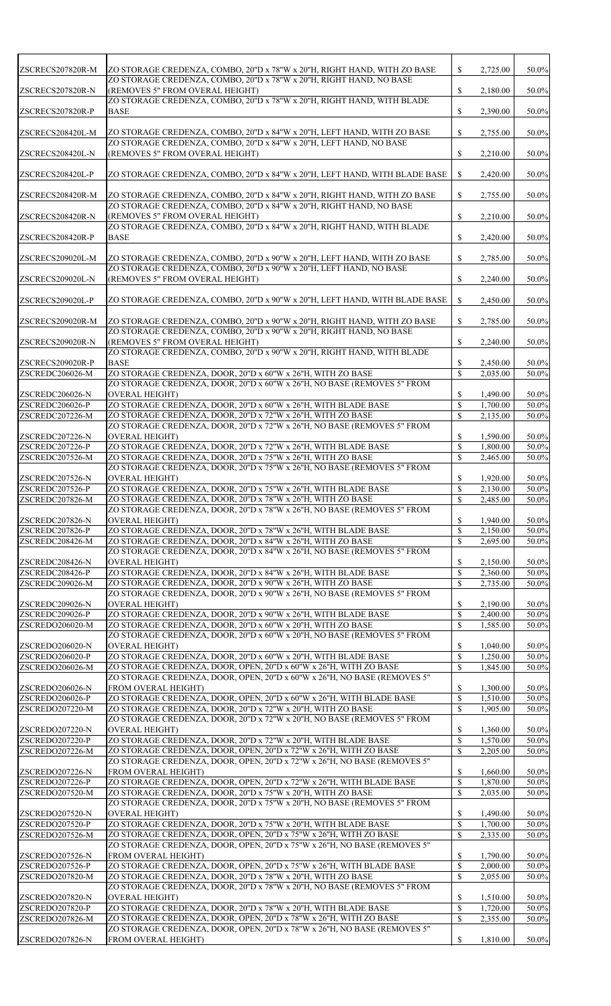| ZSCRECS207820R-M                   | ZO STORAGE CREDENZA, COMBO, 20"D x 78"W x 20"H, RIGHT HAND, WITH ZO BASE                                                                        | \$           | 2,725.00             | 50.0%          |
|------------------------------------|-------------------------------------------------------------------------------------------------------------------------------------------------|--------------|----------------------|----------------|
| ZSCRECS207820R-N                   | ZO STORAGE CREDENZA, COMBO, 20"D x 78"W x 20"H, RIGHT HAND, NO BASE<br>(REMOVES 5" FROM OVERAL HEIGHT)                                          | \$           | 2,180.00             | 50.0%          |
| ZSCRECS207820R-P                   | ZO STORAGE CREDENZA, COMBO, 20"D x 78"W x 20"H, RIGHT HAND, WITH BLADE<br><b>BASE</b>                                                           | \$           | 2,390.00             | 50.0%          |
|                                    |                                                                                                                                                 |              |                      |                |
| ZSCRECS208420L-M                   | ZO STORAGE CREDENZA, COMBO, 20"D x 84"W x 20"H, LEFT HAND, WITH ZO BASE<br>ZO STORAGE CREDENZA, COMBO, 20"D x 84"W x 20"H, LEFT HAND, NO BASE   | \$           | 2,755.00             | 50.0%          |
| ZSCRECS208420L-N                   | (REMOVES 5" FROM OVERAL HEIGHT)                                                                                                                 | \$           | 2,210.00             | 50.0%          |
| ZSCRECS208420L-P                   | ZO STORAGE CREDENZA, COMBO, 20"D x 84"W x 20"H, LEFT HAND, WITH BLADE BASE                                                                      | $\mathbb{S}$ | 2,420.00             | 50.0%          |
| ZSCRECS208420R-M                   | ZO STORAGE CREDENZA, COMBO, 20"D x 84"W x 20"H, RIGHT HAND, WITH ZO BASE                                                                        | \$           | 2,755.00             | 50.0%          |
| ZSCRECS208420R-N                   | ZO STORAGE CREDENZA, COMBO, 20"D x 84"W x 20"H, RIGHT HAND, NO BASE<br>(REMOVES 5" FROM OVERAL HEIGHT)                                          | \$           | 2,210.00             | 50.0%          |
| ZSCRECS208420R-P                   | ZO STORAGE CREDENZA, COMBO, 20"D x 84"W x 20"H, RIGHT HAND, WITH BLADE<br><b>BASE</b>                                                           | \$           | 2,420.00             | 50.0%          |
| ZSCRECS209020L-M                   | ZO STORAGE CREDENZA, COMBO, 20"D x 90"W x 20"H, LEFT HAND, WITH ZO BASE                                                                         | \$           | 2,785.00             | 50.0%          |
|                                    | ZO STORAGE CREDENZA, COMBO, 20"D x 90"W x 20"H, LEFT HAND, NO BASE                                                                              |              |                      |                |
| ZSCRECS209020L-N                   | (REMOVES 5" FROM OVERAL HEIGHT)                                                                                                                 | \$           | 2,240.00             | 50.0%          |
| ZSCRECS209020L-P                   | ZO STORAGE CREDENZA, COMBO, 20"D x 90"W x 20"H, LEFT HAND, WITH BLADE BASE                                                                      | $\mathbb{S}$ | 2,450.00             | 50.0%          |
| ZSCRECS209020R-M                   | ZO STORAGE CREDENZA, COMBO, 20"D x 90"W x 20"H, RIGHT HAND, WITH ZO BASE<br>ZO STORAGE CREDENZA, COMBO, 20"D x 90"W x 20"H, RIGHT HAND, NO BASE | \$           | 2,785.00             | 50.0%          |
| ZSCRECS209020R-N                   | (REMOVES 5" FROM OVERAL HEIGHT)                                                                                                                 | \$           | 2,240.00             | 50.0%          |
| ZSCRECS209020R-P                   | ZO STORAGE CREDENZA, COMBO, 20"D x 90"W x 20"H, RIGHT HAND, WITH BLADE<br><b>BASE</b>                                                           |              | 2,450.00             | 50.0%          |
| ZSCREDC206026-M                    | ZO STORAGE CREDENZA, DOOR, 20"D x 60"W x 26"H, WITH ZO BASE<br>ZO STORAGE CREDENZA, DOOR, 20"D x 60"W x 26"H, NO BASE (REMOVES 5" FROM          | \$           | 2,035.00             | 50.0%          |
| ZSCREDC206026-N                    | <b>OVERAL HEIGHT</b> )                                                                                                                          | \$           | 1,490.00             | 50.0%          |
| ZSCREDC206026-P                    | ZO STORAGE CREDENZA, DOOR, 20"D x 60"W x 26"H, WITH BLADE BASE                                                                                  | \$           | 1,700.00             | 50.0%          |
| ZSCREDC207226-M                    | ZO STORAGE CREDENZA, DOOR, 20"D x 72"W x 26"H, WITH ZO BASE                                                                                     | $\mathbb{S}$ | 2,135.00             | 50.0%          |
|                                    | ZO STORAGE CREDENZA, DOOR, 20"D x 72"W x 26"H, NO BASE (REMOVES 5" FROM                                                                         |              |                      |                |
| ZSCREDC207226-N<br>ZSCREDC207226-P | <b>OVERAL HEIGHT</b> )<br>ZO STORAGE CREDENZA, DOOR, 20"D x 72"W x 26"H, WITH BLADE BASE                                                        | \$<br>\$     | 1,590.00<br>1,800.00 | 50.0%<br>50.0% |
| ZSCREDC207526-M                    | ZO STORAGE CREDENZA, DOOR, 20"D x 75"W x 26"H, WITH ZO BASE                                                                                     | $\mathbb{S}$ | 2,465.00             | 50.0%          |
|                                    | ZO STORAGE CREDENZA, DOOR, 20"D x 75"W x 26"H, NO BASE (REMOVES 5" FROM                                                                         |              |                      |                |
| ZSCREDC207526-N                    | <b>OVERAL HEIGHT</b> )                                                                                                                          | \$           | 1,920.00             | 50.0%          |
| ZSCREDC207526-P                    | ZO STORAGE CREDENZA, DOOR, 20"D x 75"W x 26"H, WITH BLADE BASE                                                                                  | \$           | 2,130.00             | 50.0%          |
| ZSCREDC207826-M                    | ZO STORAGE CREDENZA, DOOR, 20"D x 78"W x 26"H, WITH ZO BASE                                                                                     | \$           | 2,485.00             | 50.0%          |
|                                    | ZO STORAGE CREDENZA, DOOR, 20"D x 78"W x 26"H, NO BASE (REMOVES 5" FROM                                                                         |              |                      |                |
| ZSCREDC207826-N                    | <b>OVERAL HEIGHT</b> )                                                                                                                          | \$           | 1,940.00             | 50.0%          |
| ZSCREDC207826-P                    | ZO STORAGE CREDENZA, DOOR, 20"D x 78"W x 26"H, WITH BLADE BASE                                                                                  | \$           | 2,150.00             | 50.0%          |
| ZSCREDC208426-M                    | ZO STORAGE CREDENZA, DOOR, 20"D x 84"W x 26"H, WITH ZO BASE<br>ZO STORAGE CREDENZA, DOOR, 20"D x 84"W x 26"H, NO BASE (REMOVES 5" FROM          | $\mathbb{S}$ | 2,695.00             | 50.0%          |
| ZSCREDC208426-N                    | <b>OVERAL HEIGHT</b> )                                                                                                                          | \$           | 2,150.00             | 50.0%          |
| ZSCREDC208426-P                    | ZO STORAGE CREDENZA, DOOR, 20"D x 84"W x 26"H, WITH BLADE BASE                                                                                  |              | 2,360.00             | 50.0%          |
| ZSCREDC209026-M                    | ZO STORAGE CREDENZA, DOOR, 20"D x 90"W x 26"H, WITH ZO BASE                                                                                     | \$           | 2,735.00             | 50.0%          |
|                                    | ZO STORAGE CREDENZA, DOOR, 20"D x 90"W x 26"H, NO BASE (REMOVES 5" FROM                                                                         |              |                      |                |
| ZSCREDC209026-N                    | <b>OVERAL HEIGHT</b> )                                                                                                                          | \$           | 2,190.00             | 50.0%          |
| ZSCREDC209026-P                    | ZO STORAGE CREDENZA, DOOR, 20"D x 90"W x 26"H, WITH BLADE BASE                                                                                  | \$           | 2,400.00             | 50.0%          |
| ZSCREDO206020-M                    | ZO STORAGE CREDENZA, DOOR, 20"D x 60"W x 20"H, WITH ZO BASE                                                                                     | $\mathbb{S}$ | 1,585.00             | 50.0%          |
|                                    | ZO STORAGE CREDENZA, DOOR, 20"D x 60"W x 20"H, NO BASE (REMOVES 5" FROM                                                                         |              |                      |                |
| ZSCREDO206020-N<br>ZSCREDO206020-P | <b>OVERAL HEIGHT</b><br>ZO STORAGE CREDENZA, DOOR, 20"D x 60"W x 20"H, WITH BLADE BASE                                                          | \$<br>\$     | 1,040.00<br>1,250.00 | 50.0%<br>50.0% |
| ZSCREDO206026-M                    | ZO STORAGE CREDENZA, DOOR, OPEN, 20"D x 60"W x 26"H, WITH ZO BASE                                                                               | $\mathbb{S}$ | 1,845.00             | 50.0%          |
|                                    | ZO STORAGE CREDENZA, DOOR, OPEN, 20"D x 60"W x 26"H, NO BASE (REMOVES 5"                                                                        |              |                      |                |
| ZSCREDO206026-N                    | <b>FROM OVERAL HEIGHT)</b>                                                                                                                      | \$           | 1,300.00             | 50.0%          |
| ZSCREDO206026-P                    | ZO STORAGE CREDENZA, DOOR, OPEN, 20"D x 60"W x 26"H, WITH BLADE BASE                                                                            | \$           | 1,510.00             | 50.0%          |
| ZSCREDO207220-M                    | ZO STORAGE CREDENZA, DOOR, 20"D x 72"W x 20"H, WITH ZO BASE                                                                                     | $\mathbb{S}$ | 1,905.00             | 50.0%          |
|                                    | ZO STORAGE CREDENZA, DOOR, 20"D x 72"W x 20"H, NO BASE (REMOVES 5" FROM                                                                         |              |                      |                |
| ZSCREDO207220-N                    | <b>OVERAL HEIGHT)</b>                                                                                                                           | \$           | 1,360.00             | 50.0%          |
| ZSCREDO207220-P<br>ZSCREDO207226-M | ZO STORAGE CREDENZA, DOOR, 20"D x 72"W x 20"H, WITH BLADE BASE<br>ZO STORAGE CREDENZA, DOOR, OPEN, 20"D x 72"W x 26"H, WITH ZO BASE             | \$<br>\$     | 1,570.00<br>2,205.00 | 50.0%<br>50.0% |
|                                    | ZO STORAGE CREDENZA, DOOR, OPEN, 20"D x 72"W x 26"H, NO BASE (REMOVES 5"                                                                        |              |                      |                |
| ZSCREDO207226-N                    | <b>FROM OVERAL HEIGHT)</b>                                                                                                                      | \$           | 1,660.00             | 50.0%          |
| ZSCREDO207226-P                    | ZO STORAGE CREDENZA, DOOR, OPEN, 20"D x 72"W x 26"H, WITH BLADE BASE                                                                            | \$           | 1,870.00             | 50.0%          |
| ZSCREDO207520-M                    | ZO STORAGE CREDENZA, DOOR, 20"D x 75"W x 20"H, WITH ZO BASE                                                                                     | \$           | 2,035.00             | 50.0%          |
|                                    | ZO STORAGE CREDENZA, DOOR, 20"D x 75"W x 20"H, NO BASE (REMOVES 5" FROM                                                                         |              |                      |                |
| ZSCREDO207520-N                    | <b>OVERAL HEIGHT)</b>                                                                                                                           | \$           | 1,490.00             | 50.0%          |
| ZSCREDO207520-P<br>ZSCREDO207526-M | ZO STORAGE CREDENZA, DOOR, 20"D x 75"W x 20"H, WITH BLADE BASE<br>ZO STORAGE CREDENZA, DOOR, OPEN, 20"D x 75"W x 26"H, WITH ZO BASE             | \$<br>\$     | 1,700.00<br>2,335.00 | 50.0%<br>50.0% |
|                                    | ZO STORAGE CREDENZA, DOOR, OPEN, 20"D x 75"W x 26"H, NO BASE (REMOVES 5"                                                                        |              |                      |                |
| ZSCREDO207526-N                    | FROM OVERAL HEIGHT)                                                                                                                             | \$           | 1,790.00             | 50.0%          |
| ZSCREDO207526-P                    | ZO STORAGE CREDENZA, DOOR, OPEN, 20"D x 75"W x 26"H, WITH BLADE BASE                                                                            | \$           | 2,000.00             | 50.0%          |
| ZSCREDO207820-M                    | ZO STORAGE CREDENZA, DOOR, 20"D x 78"W x 20"H, WITH ZO BASE                                                                                     | \$           | 2,055.00             | 50.0%          |
|                                    | ZO STORAGE CREDENZA, DOOR, 20"D x 78"W x 20"H, NO BASE (REMOVES 5" FROM                                                                         |              |                      |                |
| ZSCREDO207820-N                    | <b>OVERAL HEIGHT</b> )                                                                                                                          | \$           | 1,510.00             | 50.0%          |
| ZSCREDO207820-P<br>ZSCREDO207826-M | ZO STORAGE CREDENZA, DOOR, 20"D x 78"W x 20"H, WITH BLADE BASE<br>ZO STORAGE CREDENZA, DOOR, OPEN, 20"D x 78"W x 26"H, WITH ZO BASE             | \$<br>\$     | 1,720.00<br>2,355.00 | 50.0%<br>50.0% |
|                                    | ZO STORAGE CREDENZA, DOOR, OPEN, 20"D x 78"W x 26"H, NO BASE (REMOVES 5"                                                                        |              |                      |                |
| ZSCREDO207826-N                    | FROM OVERAL HEIGHT)                                                                                                                             | \$           | 1,810.00             | 50.0%          |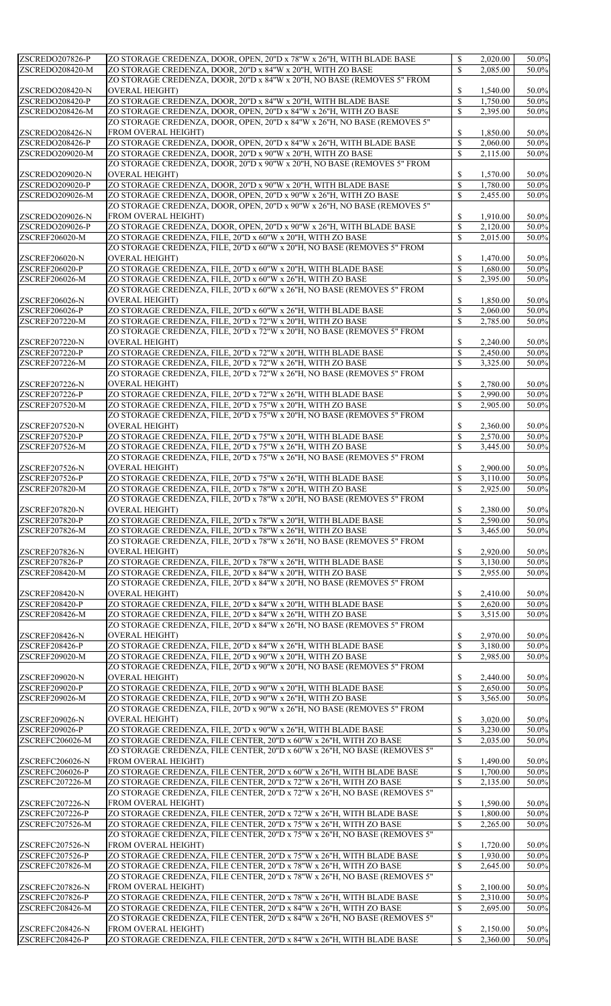| ZSCREDO207826-P<br>ZSCREDO208420-M             | ZO STORAGE CREDENZA, DOOR, OPEN, 20"D x 78"W x 26"H, WITH BLADE BASE                                                                            | $\mathbb{S}$<br>$\mathbb{S}$ | 2,020.00             | 50.0%<br>50.0% |
|------------------------------------------------|-------------------------------------------------------------------------------------------------------------------------------------------------|------------------------------|----------------------|----------------|
|                                                | ZO STORAGE CREDENZA, DOOR, 20"D x 84"W x 20"H, WITH ZO BASE<br>ZO STORAGE CREDENZA, DOOR, 20"D x 84"W x 20"H, NO BASE (REMOVES 5" FROM          |                              | 2,085.00             |                |
| ZSCREDO208420-N                                | <b>OVERAL HEIGHT)</b>                                                                                                                           | \$                           | 1,540.00             | 50.0%          |
| ZSCREDO208420-P                                | ZO STORAGE CREDENZA, DOOR, 20"D x 84"W x 20"H, WITH BLADE BASE                                                                                  | $\mathbb{S}$                 | 1,750.00             | 50.0%          |
| ZSCREDO208426-M                                | ZO STORAGE CREDENZA, DOOR, OPEN, 20"D x 84"W x 26"H, WITH ZO BASE                                                                               | \$                           | 2,395.00             | 50.0%          |
|                                                | ZO STORAGE CREDENZA, DOOR, OPEN, 20"D x 84"W x 26"H, NO BASE (REMOVES 5"                                                                        |                              |                      |                |
| ZSCREDO208426-N                                | <b>FROM OVERAL HEIGHT)</b>                                                                                                                      | \$                           | 1,850.00             | 50.0%          |
| ZSCREDO208426-P<br>ZSCREDO209020-M             | ZO STORAGE CREDENZA, DOOR, OPEN, 20"D x 84"W x 26"H, WITH BLADE BASE<br>ZO STORAGE CREDENZA, DOOR, 20"D x 90"W x 20"H, WITH ZO BASE             | $\mathbb{S}$<br>$\mathbb{S}$ | 2,060.00<br>2,115.00 | 50.0%<br>50.0% |
|                                                | ZO STORAGE CREDENZA, DOOR, 20"D x 90"W x 20"H, NO BASE (REMOVES 5" FROM                                                                         |                              |                      |                |
| ZSCREDO209020-N                                | <b>OVERAL HEIGHT</b> )                                                                                                                          | \$                           | 1,570.00             | 50.0%          |
| ZSCREDO209020-P                                | ZO STORAGE CREDENZA, DOOR, 20"D x 90"W x 20"H, WITH BLADE BASE                                                                                  | $\mathbb{S}$                 | 1,780.00             | 50.0%          |
| ZSCREDO209026-M                                | ZO STORAGE CREDENZA, DOOR, OPEN, 20"D x 90"W x 26"H, WITH ZO BASE                                                                               | $\mathbb{S}$                 | 2,455.00             | 50.0%          |
|                                                | ZO STORAGE CREDENZA, DOOR, OPEN, 20"D x 90"W x 26"H, NO BASE (REMOVES 5"                                                                        |                              |                      |                |
| ZSCREDO209026-N<br>ZSCREDO209026-P             | FROM OVERAL HEIGHT)<br>ZO STORAGE CREDENZA, DOOR, OPEN, 20"D x 90"W x 26"H, WITH BLADE BASE                                                     | \$<br>$\mathbb{S}$           | 1,910.00<br>2,120.00 | 50.0%<br>50.0% |
| ZSCREF206020-M                                 | ZO STORAGE CREDENZA, FILE, 20"D x 60"W x 20"H, WITH ZO BASE                                                                                     | \$                           | 2,015.00             | 50.0%          |
|                                                | ZO STORAGE CREDENZA, FILE, 20"D x 60"W x 20"H, NO BASE (REMOVES 5" FROM                                                                         |                              |                      |                |
| <b>ZSCREF206020-N</b>                          | <b>OVERAL HEIGHT)</b>                                                                                                                           | \$                           | 1,470.00             | 50.0%          |
| <b>ZSCREF206020-P</b>                          | ZO STORAGE CREDENZA, FILE, 20"D x 60"W x 20"H, WITH BLADE BASE                                                                                  | $\mathbb{S}$                 | 1,680.00             | 50.0%          |
| ZSCREF206026-M                                 | ZO STORAGE CREDENZA, FILE, 20"D x 60"W x 26"H, WITH ZO BASE                                                                                     | \$                           | 2,395.00             | 50.0%          |
|                                                | ZO STORAGE CREDENZA, FILE, 20"D x 60"W x 26"H, NO BASE (REMOVES 5" FROM<br><b>OVERAL HEIGHT)</b>                                                |                              |                      | 50.0%          |
| <b>ZSCREF206026-N</b><br><b>ZSCREF206026-P</b> | ZO STORAGE CREDENZA, FILE, 20"D x 60"W x 26"H, WITH BLADE BASE                                                                                  | \$<br>$\mathbb{S}$           | 1,850.00<br>2,060.00 | 50.0%          |
| ZSCREF207220-M                                 | ZO STORAGE CREDENZA, FILE, 20"D x 72"W x 20"H, WITH ZO BASE                                                                                     | $\mathbb{S}$                 | 2,785.00             | 50.0%          |
|                                                | ZO STORAGE CREDENZA, FILE, 20"D x 72"W x 20"H, NO BASE (REMOVES 5" FROM                                                                         |                              |                      |                |
| <b>ZSCREF207220-N</b>                          | <b>OVERAL HEIGHT)</b>                                                                                                                           | \$                           | 2,240.00             | 50.0%          |
| <b>ZSCREF207220-P</b>                          | ZO STORAGE CREDENZA, FILE, 20"D x 72"W x 20"H, WITH BLADE BASE                                                                                  | \$                           | 2,450.00             | 50.0%          |
| ZSCREF207226-M                                 | ZO STORAGE CREDENZA, FILE, 20"D x 72"W x 26"H, WITH ZO BASE<br>ZO STORAGE CREDENZA, FILE, 20"D x 72"W x 26"H, NO BASE (REMOVES 5" FROM          | $\mathbf S$                  | 3,325.00             | 50.0%          |
| ZSCREF207226-N                                 | <b>OVERAL HEIGHT)</b>                                                                                                                           | \$                           | 2,780.00             | 50.0%          |
| <b>ZSCREF207226-P</b>                          | ZO STORAGE CREDENZA, FILE, 20"D x 72"W x 26"H, WITH BLADE BASE                                                                                  | $\mathbb{S}$                 | 2,990.00             | 50.0%          |
| ZSCREF207520-M                                 | ZO STORAGE CREDENZA, FILE, 20"D x 75"W x 20"H, WITH ZO BASE                                                                                     | $\mathbb{S}$                 | 2,905.00             | 50.0%          |
|                                                | ZO STORAGE CREDENZA, FILE, 20"D x 75"W x 20"H, NO BASE (REMOVES 5" FROM                                                                         |                              |                      |                |
| ZSCREF207520-N                                 | <b>OVERAL HEIGHT)</b>                                                                                                                           | \$                           | 2,360.00             | 50.0%          |
| <b>ZSCREF207520-P</b><br>ZSCREF207526-M        | ZO STORAGE CREDENZA, FILE, 20"D x 75"W x 20"H, WITH BLADE BASE<br>ZO STORAGE CREDENZA, FILE, 20"D x 75"W x 26"H, WITH ZO BASE                   | $\mathbb{S}$<br>$\mathbb{S}$ | 2,570.00<br>3,445.00 | 50.0%<br>50.0% |
|                                                | ZO STORAGE CREDENZA, FILE, 20"D x 75"W x 26"H, NO BASE (REMOVES 5" FROM                                                                         |                              |                      |                |
| ZSCREF207526-N                                 | <b>OVERAL HEIGHT)</b>                                                                                                                           | \$                           | 2,900.00             | 50.0%          |
| ZSCREF207526-P                                 | ZO STORAGE CREDENZA, FILE, 20"D x 75"W x 26"H, WITH BLADE BASE                                                                                  | $\mathbb{S}$                 | 3,110.00             | 50.0%          |
| <b>ZSCREF207820-M</b>                          | ZO STORAGE CREDENZA, FILE, 20"D x 78"W x 20"H, WITH ZO BASE                                                                                     | $\mathbb{S}$                 | 2,925.00             | 50.0%          |
| <b>ZSCREF207820-N</b>                          | ZO STORAGE CREDENZA, FILE, 20"D x 78"W x 20"H, NO BASE (REMOVES 5" FROM<br><b>OVERAL HEIGHT)</b>                                                |                              |                      | 50.0%          |
| <b>ZSCREF207820-P</b>                          | ZO STORAGE CREDENZA, FILE, 20"D x 78"W x 20"H, WITH BLADE BASE                                                                                  | \$<br>$\mathbb{S}$           | 2,380.00<br>2,590.00 | 50.0%          |
| ZSCREF207826-M                                 | ZO STORAGE CREDENZA, FILE, 20"D x 78"W x 26"H, WITH ZO BASE                                                                                     | $\mathbb{S}$                 | 3,465.00             | 50.0%          |
|                                                | ZO STORAGE CREDENZA, FILE, 20"D x 78"W x 26"H, NO BASE (REMOVES 5" FROM                                                                         |                              |                      |                |
| ZSCREF207826-N                                 | <b>OVERAL HEIGHT)</b>                                                                                                                           | \$                           | 2,920.00             | 50.0%          |
| <b>ZSCREF207826-P</b>                          | ZO STORAGE CREDENZA, FILE, 20"D x 78"W x 26"H, WITH BLADE BASE                                                                                  | $\mathbb{S}$                 | 3,130.00             | 50.0%          |
| ZSCREF208420-M                                 | ZO STORAGE CREDENZA, FILE, 20"D x 84"W x 20"H, WITH ZO BASE<br>ZO STORAGE CREDENZA, FILE, 20"D x 84"W x 20"H, NO BASE (REMOVES 5" FROM          | $\mathbb{S}$                 | 2,955.00             | 50.0%          |
| <b>ZSCREF208420-N</b>                          | <b>OVERAL HEIGHT)</b>                                                                                                                           | \$                           | 2,410.00             | 50.0%          |
| <b>ZSCREF208420-P</b>                          | ZO STORAGE CREDENZA, FILE, 20"D x 84"W x 20"H, WITH BLADE BASE                                                                                  | $\mathbb{S}$                 | 2,620.00             | 50.0%          |
| ZSCREF208426-M                                 | ZO STORAGE CREDENZA, FILE, 20"D x 84"W x 26"H, WITH ZO BASE                                                                                     | $\mathbb{S}$                 | 3,515.00             | 50.0%          |
|                                                | ZO STORAGE CREDENZA, FILE, 20"D x 84"W x 26"H, NO BASE (REMOVES 5" FROM                                                                         |                              |                      |                |
| ZSCREF208426-N<br>ZSCREF208426-P               | <b>OVERAL HEIGHT)</b><br>ZO STORAGE CREDENZA, FILE, 20"D x 84"W x 26"H, WITH BLADE BASE                                                         | \$<br>$\mathbb{S}$           | 2,970.00<br>3,180.00 | 50.0%<br>50.0% |
| <b>ZSCREF209020-M</b>                          | ZO STORAGE CREDENZA, FILE, 20"D x 90"W x 20"H, WITH ZO BASE                                                                                     | $\mathbb{S}$                 | 2,985.00             | 50.0%          |
|                                                | ZO STORAGE CREDENZA, FILE, 20"D x 90"W x 20"H, NO BASE (REMOVES 5" FROM                                                                         |                              |                      |                |
| <b>ZSCREF209020-N</b>                          | <b>OVERAL HEIGHT</b> )                                                                                                                          |                              | 2,440.00             | 50.0%          |
| ZSCREF209020-P                                 | ZO STORAGE CREDENZA, FILE, 20"D x 90"W x 20"H, WITH BLADE BASE                                                                                  | \$                           | 2,650.00             | 50.0%          |
| ZSCREF209026-M                                 | ZO STORAGE CREDENZA, FILE, 20"D x 90"W x 26"H, WITH ZO BASE                                                                                     | \$                           | 3,565.00             | 50.0%          |
|                                                | ZO STORAGE CREDENZA, FILE, 20"D x 90"W x 26"H, NO BASE (REMOVES 5" FROM<br><b>OVERAL HEIGHT)</b>                                                |                              |                      | 50.0%          |
| <b>ZSCREF209026-N</b><br>ZSCREF209026-P        | ZO STORAGE CREDENZA, FILE, 20"D x 90"W x 26"H, WITH BLADE BASE                                                                                  | \$<br>$\mathbb{S}$           | 3,020.00<br>3,230.00 | 50.0%          |
| ZSCREFC206026-M                                | ZO STORAGE CREDENZA, FILE CENTER, 20"D x 60"W x 26"H, WITH ZO BASE                                                                              | \$                           | 2,035.00             | 50.0%          |
|                                                | ZO STORAGE CREDENZA, FILE CENTER, 20"D x 60"W x 26"H, NO BASE (REMOVES 5"                                                                       |                              |                      |                |
| ZSCREFC206026-N                                | FROM OVERAL HEIGHT)                                                                                                                             | \$                           | 1,490.00             | 50.0%          |
| ZSCREFC206026-P                                | ZO STORAGE CREDENZA, FILE CENTER, 20"D x 60"W x 26"H, WITH BLADE BASE                                                                           | $\mathbb{S}$                 | 1,700.00             | 50.0%          |
| ZSCREFC207226-M                                | ZO STORAGE CREDENZA, FILE CENTER, 20"D x 72"W x 26"H, WITH ZO BASE<br>ZO STORAGE CREDENZA, FILE CENTER, 20"D x 72"W x 26"H, NO BASE (REMOVES 5" | $\mathbb{S}$                 | 2,135.00             | 50.0%          |
| ZSCREFC207226-N                                | FROM OVERAL HEIGHT)                                                                                                                             | \$                           | 1,590.00             | 50.0%          |
| ZSCREFC207226-P                                | ZO STORAGE CREDENZA, FILE CENTER, 20"D x 72"W x 26"H, WITH BLADE BASE                                                                           | $\mathbb{S}$                 | 1,800.00             | 50.0%          |
| ZSCREFC207526-M                                | ZO STORAGE CREDENZA, FILE CENTER, 20"D x 75"W x 26"H, WITH ZO BASE                                                                              | \$                           | 2,265.00             | 50.0%          |
|                                                | ZO STORAGE CREDENZA, FILE CENTER, 20"D x 75"W x 26"H, NO BASE (REMOVES 5"                                                                       |                              |                      |                |
| ZSCREFC207526-N<br>ZSCREFC207526-P             | FROM OVERAL HEIGHT)<br>ZO STORAGE CREDENZA, FILE CENTER, 20"D x 75"W x 26"H, WITH BLADE BASE                                                    | \$<br>$\mathbb{S}$           | 1,720.00<br>1,930.00 | 50.0%<br>50.0% |
| ZSCREFC207826-M                                | ZO STORAGE CREDENZA, FILE CENTER, 20"D x 78"W x 26"H, WITH ZO BASE                                                                              | \$                           | 2,645.00             | 50.0%          |
|                                                | ZO STORAGE CREDENZA, FILE CENTER, 20"D x 78"W x 26"H, NO BASE (REMOVES 5"                                                                       |                              |                      |                |
| ZSCREFC207826-N                                | FROM OVERAL HEIGHT)                                                                                                                             | \$                           | 2,100.00             | 50.0%          |
| ZSCREFC207826-P                                | ZO STORAGE CREDENZA, FILE CENTER, 20"D x 78"W x 26"H, WITH BLADE BASE                                                                           | $\mathbb{S}$                 | 2,310.00             | 50.0%          |
| ZSCREFC208426-M                                | ZO STORAGE CREDENZA, FILE CENTER, 20"D x 84"W x 26"H, WITH ZO BASE<br>ZO STORAGE CREDENZA, FILE CENTER, 20"D x 84"W x 26"H, NO BASE (REMOVES 5" | \$                           | 2,695.00             | 50.0%          |
| ZSCREFC208426-N                                | <b>FROM OVERAL HEIGHT)</b>                                                                                                                      | \$                           | 2,150.00             | 50.0%          |
| ZSCREFC208426-P                                | ZO STORAGE CREDENZA, FILE CENTER, 20"D x 84"W x 26"H, WITH BLADE BASE                                                                           | $\mathbb{S}$                 | 2,360.00             | 50.0%          |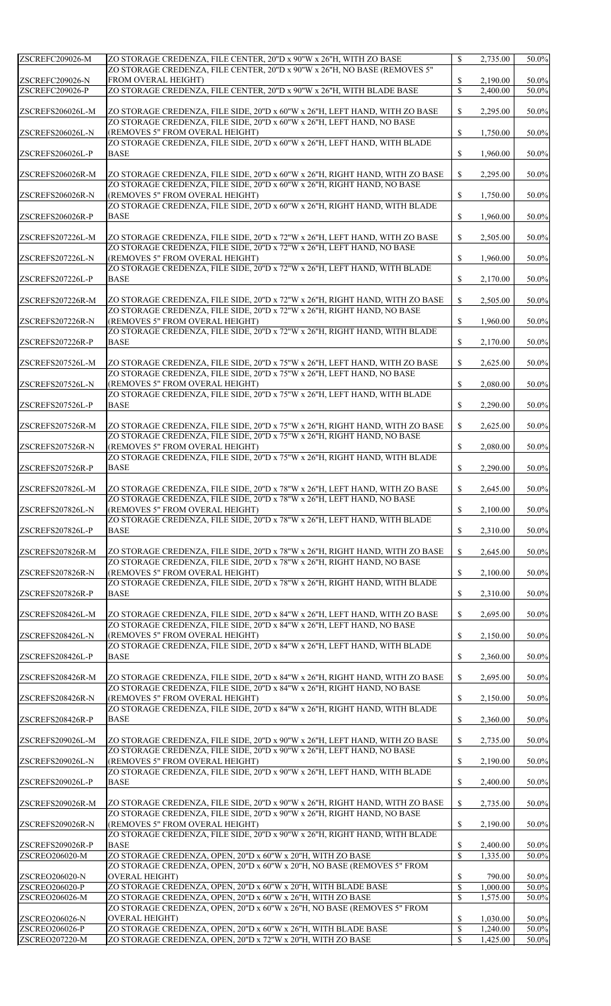| ZSCREFC209026-M                    | ZO STORAGE CREDENZA, FILE CENTER, 20"D x 90"W x 26"H, WITH ZO BASE                                                                                                               | $\mathcal{S}$                              | 2,735.00             | 50.0%          |
|------------------------------------|----------------------------------------------------------------------------------------------------------------------------------------------------------------------------------|--------------------------------------------|----------------------|----------------|
| ZSCREFC209026-N<br>ZSCREFC209026-P | ZO STORAGE CREDENZA, FILE CENTER, 20"D x 90"W x 26"H, NO BASE (REMOVES 5"<br><b>FROM OVERAL HEIGHT)</b><br>ZO STORAGE CREDENZA, FILE CENTER, 20"D x 90"W x 26"H, WITH BLADE BASE | $\boldsymbol{\mathsf{S}}$<br>$\mathcal{S}$ | 2,190.00<br>2,400.00 | 50.0%<br>50.0% |
| ZSCREFS206026L-M                   | ZO STORAGE CREDENZA, FILE SIDE, 20"D x 60"W x 26"H, LEFT HAND, WITH ZO BASE                                                                                                      | $\mathbb{S}$                               | 2,295.00             | 50.0%          |
| ZSCREFS206026L-N                   | ZO STORAGE CREDENZA, FILE SIDE, 20"D x 60"W x 26"H, LEFT HAND, NO BASE<br>(REMOVES 5" FROM OVERAL HEIGHT)                                                                        | $\boldsymbol{\mathsf{S}}$                  | 1,750.00             | 50.0%          |
| ZSCREFS206026L-P                   | ZO STORAGE CREDENZA, FILE SIDE, 20"D x 60"W x 26"H, LEFT HAND, WITH BLADE<br><b>BASE</b>                                                                                         | $\mathbb{S}$                               | 1,960.00             | 50.0%          |
| ZSCREFS206026R-M                   | ZO STORAGE CREDENZA, FILE SIDE, 20"D x 60"W x 26"H, RIGHT HAND, WITH ZO BASE                                                                                                     | $\mathbb{S}$                               | 2,295.00             | 50.0%          |
|                                    | ZO STORAGE CREDENZA, FILE SIDE, 20"D x 60"W x 26"H, RIGHT HAND, NO BASE                                                                                                          |                                            |                      |                |
| ZSCREFS206026R-N                   | (REMOVES 5" FROM OVERAL HEIGHT)<br>ZO STORAGE CREDENZA, FILE SIDE, 20"D x 60"W x 26"H, RIGHT HAND, WITH BLADE                                                                    | $\boldsymbol{\mathsf{S}}$                  | 1,750.00             | 50.0%          |
| ZSCREFS206026R-P                   | <b>BASE</b>                                                                                                                                                                      | $\boldsymbol{\mathsf{S}}$                  | 1,960.00             | 50.0%          |
| ZSCREFS207226L-M                   | ZO STORAGE CREDENZA, FILE SIDE, 20"D x 72"W x 26"H, LEFT HAND, WITH ZO BASE<br>ZO STORAGE CREDENZA, FILE SIDE, 20"D x 72"W x 26"H, LEFT HAND, NO BASE                            | $\mathbb{S}$                               | 2,505.00             | 50.0%          |
| ZSCREFS207226L-N                   | (REMOVES 5" FROM OVERAL HEIGHT)<br>ZO STORAGE CREDENZA, FILE SIDE, 20"D x 72"W x 26"H, LEFT HAND, WITH BLADE                                                                     | $\mathbb{S}$                               | 1,960.00             | 50.0%          |
| ZSCREFS207226L-P                   | <b>BASE</b>                                                                                                                                                                      | $\boldsymbol{\mathsf{S}}$                  | 2,170.00             | 50.0%          |
| ZSCREFS207226R-M                   | ZO STORAGE CREDENZA, FILE SIDE, 20"D x 72"W x 26"H, RIGHT HAND, WITH ZO BASE<br>ZO STORAGE CREDENZA, FILE SIDE, 20"D x 72"W x 26"H, RIGHT HAND, NO BASE                          | $\mathbb{S}$                               | 2,505.00             | 50.0%          |
| ZSCREFS207226R-N                   | (REMOVES 5" FROM OVERAL HEIGHT)                                                                                                                                                  | $\boldsymbol{\mathsf{S}}$                  | 1,960.00             | 50.0%          |
| ZSCREFS207226R-P                   | ZO STORAGE CREDENZA, FILE SIDE, 20"D x 72"W x 26"H, RIGHT HAND, WITH BLADE<br><b>BASE</b>                                                                                        | $\boldsymbol{\mathsf{S}}$                  | 2,170.00             | 50.0%          |
| ZSCREFS207526L-M                   | ZO STORAGE CREDENZA, FILE SIDE, 20"D x 75"W x 26"H, LEFT HAND, WITH ZO BASE                                                                                                      | $\mathbb{S}$                               | 2,625.00             | 50.0%          |
| ZSCREFS207526L-N                   | ZO STORAGE CREDENZA, FILE SIDE, 20"D x 75"W x 26"H, LEFT HAND, NO BASE<br>(REMOVES 5" FROM OVERAL HEIGHT)                                                                        | $\boldsymbol{\mathsf{S}}$                  | 2,080.00             | 50.0%          |
| ZSCREFS207526L-P                   | ZO STORAGE CREDENZA, FILE SIDE, 20"D x 75"W x 26"H, LEFT HAND, WITH BLADE<br><b>BASE</b>                                                                                         | $\boldsymbol{\mathsf{S}}$                  | 2,290.00             | 50.0%          |
| ZSCREFS207526R-M                   | ZO STORAGE CREDENZA, FILE SIDE, 20"D x 75"W x 26"H, RIGHT HAND, WITH ZO BASE                                                                                                     | $\mathbb{S}$                               | 2,625.00             | 50.0%          |
|                                    | ZO STORAGE CREDENZA, FILE SIDE, 20"D x 75"W x 26"H, RIGHT HAND, NO BASE                                                                                                          |                                            |                      |                |
| ZSCREFS207526R-N                   | (REMOVES 5" FROM OVERAL HEIGHT)<br>ZO STORAGE CREDENZA, FILE SIDE, 20"D x 75"W x 26"H, RIGHT HAND, WITH BLADE                                                                    | $\boldsymbol{\mathsf{S}}$                  | 2,080.00             | 50.0%          |
| ZSCREFS207526R-P                   | <b>BASE</b>                                                                                                                                                                      | $\mathbb{S}$                               | 2,290.00             | 50.0%          |
| ZSCREFS207826L-M                   | ZO STORAGE CREDENZA, FILE SIDE, 20"D x 78"W x 26"H, LEFT HAND, WITH ZO BASE<br>ZO STORAGE CREDENZA, FILE SIDE, 20"D x 78"W x 26"H, LEFT HAND, NO BASE                            | $\mathbb{S}$                               | 2,645.00             | 50.0%          |
| ZSCREFS207826L-N                   | (REMOVES 5" FROM OVERAL HEIGHT)<br>ZO STORAGE CREDENZA, FILE SIDE, 20"D x 78"W x 26"H, LEFT HAND, WITH BLADE                                                                     | $\boldsymbol{\mathsf{S}}$                  | 2,100.00             | 50.0%          |
| ZSCREFS207826L-P                   | <b>BASE</b>                                                                                                                                                                      | $\boldsymbol{\mathsf{S}}$                  | 2,310.00             | 50.0%          |
| ZSCREFS207826R-M                   | ZO STORAGE CREDENZA, FILE SIDE, 20"D x 78"W x 26"H, RIGHT HAND, WITH ZO BASE<br>ZO STORAGE CREDENZA, FILE SIDE, 20"D x 78"W x 26"H, RIGHT HAND, NO BASE                          | $\mathbb{S}$                               | 2,645.00             | 50.0%          |
| ZSCREFS207826R-N                   | (REMOVES 5" FROM OVERAL HEIGHT)                                                                                                                                                  | $\boldsymbol{\mathsf{S}}$                  | 2,100.00             | 50.0%          |
| ZSCREFS207826R-P                   | ZO STORAGE CREDENZA, FILE SIDE, 20"D x 78"W x 26"H, RIGHT HAND, WITH BLADE<br><b>BASE</b>                                                                                        | $\mathbb{S}$                               | 2,310.00             | 50.0%          |
| ZSCREFS208426L-M                   | ZO STORAGE CREDENZA, FILE SIDE, 20"D x 84"W x 26"H, LEFT HAND, WITH ZO BASE<br>ZO STORAGE CREDENZA, FILE SIDE, 20"D x 84"W x 26"H, LEFT HAND, NO BASE                            | $\mathbb{S}$                               | 2,695.00             | 50.0%          |
| ZSCREFS208426L-N                   | (REMOVES 5" FROM OVERAL HEIGHT)<br>ZO STORAGE CREDENZA, FILE SIDE, 20"D x 84"W x 26"H, LEFT HAND, WITH BLADE                                                                     | $\boldsymbol{\mathsf{S}}$                  | 2,150.00             | 50.0%          |
| ZSCREFS208426L-P                   | <b>BASE</b>                                                                                                                                                                      | $\boldsymbol{\mathsf{S}}$                  | 2,360.00             | 50.0%          |
| ZSCREFS208426R-M                   | ZO STORAGE CREDENZA, FILE SIDE, 20"D x 84"W x 26"H, RIGHT HAND, WITH ZO BASE                                                                                                     | $\mathbb{S}$                               | 2,695.00             | 50.0%          |
| ZSCREFS208426R-N                   | ZO STORAGE CREDENZA, FILE SIDE, 20"D x 84"W x 26"H, RIGHT HAND, NO BASE<br>(REMOVES 5" FROM OVERAL HEIGHT)                                                                       | $\boldsymbol{\mathsf{S}}$                  | 2,150.00             | 50.0%          |
| ZSCREFS208426R-P                   | ZO STORAGE CREDENZA, FILE SIDE, 20"D x 84"W x 26"H, RIGHT HAND, WITH BLADE<br><b>BASE</b>                                                                                        | $\boldsymbol{\mathsf{S}}$                  | 2,360.00             | 50.0%          |
| ZSCREFS209026L-M                   | ZO STORAGE CREDENZA, FILE SIDE, 20"D x 90"W x 26"H, LEFT HAND, WITH ZO BASE                                                                                                      | $\mathbb{S}$                               | 2,735.00             | 50.0%          |
| ZSCREFS209026L-N                   | ZO STORAGE CREDENZA, FILE SIDE, 20"D x 90"W x 26"H, LEFT HAND, NO BASE<br>(REMOVES 5" FROM OVERAL HEIGHT)                                                                        | $\boldsymbol{\mathsf{S}}$                  | 2,190.00             | 50.0%          |
| ZSCREFS209026L-P                   | ZO STORAGE CREDENZA, FILE SIDE, 20"D x 90"W x 26"H, LEFT HAND, WITH BLADE<br><b>BASE</b>                                                                                         | $\boldsymbol{\mathsf{S}}$                  | 2,400.00             | 50.0%          |
| ZSCREFS209026R-M                   | ZO STORAGE CREDENZA, FILE SIDE, 20"D x 90"W x 26"H, RIGHT HAND, WITH ZO BASE                                                                                                     | $\mathbb{S}$                               | 2,735.00             | 50.0%          |
| ZSCREFS209026R-N                   | ZO STORAGE CREDENZA, FILE SIDE, 20"D x 90"W x 26"H, RIGHT HAND, NO BASE<br>(REMOVES 5" FROM OVERAL HEIGHT)                                                                       | $\boldsymbol{\mathsf{S}}$                  | 2,190.00             | 50.0%          |
| ZSCREFS209026R-P                   | ZO STORAGE CREDENZA, FILE SIDE, 20"D x 90"W x 26"H, RIGHT HAND, WITH BLADE<br><b>BASE</b>                                                                                        | $\mathbb{S}$                               | 2,400.00             | 50.0%          |
| ZSCREO206020-M                     | ZO STORAGE CREDENZA, OPEN, 20"D x 60"W x 20"H, WITH ZO BASE<br>ZO STORAGE CREDENZA, OPEN, 20"D x 60"W x 20"H, NO BASE (REMOVES 5" FROM                                           | $\mathcal{S}$                              | 1,335.00             | 50.0%          |
| ZSCREO206020-N                     | <b>OVERAL HEIGHT</b> )                                                                                                                                                           | $\boldsymbol{\mathsf{S}}$                  | 790.00               | 50.0%          |
| ZSCREO206020-P<br>ZSCREO206026-M   | ZO STORAGE CREDENZA, OPEN, 20"D x 60"W x 20"H, WITH BLADE BASE<br>ZO STORAGE CREDENZA, OPEN, 20"D x 60"W x 26"H, WITH ZO BASE                                                    | $\mathcal{S}$<br>$\mathcal{S}$             | 1,000.00<br>1,575.00 | 50.0%<br>50.0% |
|                                    | ZO STORAGE CREDENZA, OPEN, 20"D x 60"W x 26"H, NO BASE (REMOVES 5" FROM                                                                                                          |                                            |                      |                |
| ZSCREO206026-N<br>ZSCREO206026-P   | <b>OVERAL HEIGHT</b> )<br>ZO STORAGE CREDENZA, OPEN, 20"D x 60"W x 26"H, WITH BLADE BASE                                                                                         | $\boldsymbol{\mathsf{S}}$<br>$\mathcal{S}$ | 1,030.00<br>1,240.00 | 50.0%<br>50.0% |
| ZSCREO207220-M                     | ZO STORAGE CREDENZA, OPEN, 20"D x 72"W x 20"H, WITH ZO BASE                                                                                                                      | $\boldsymbol{\mathsf{S}}$                  | 1,425.00             | 50.0%          |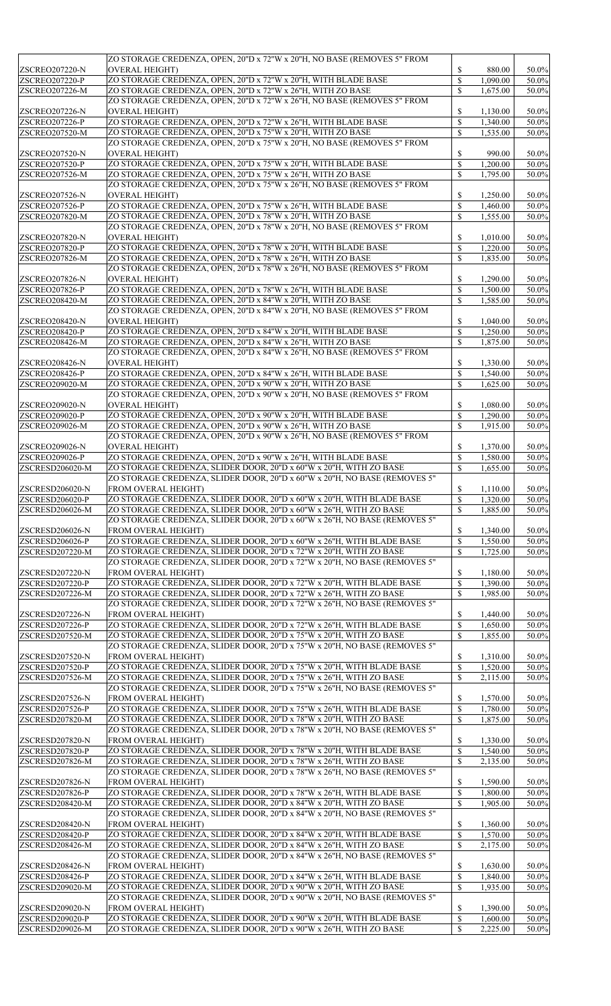|                                    | ZO STORAGE CREDENZA, OPEN, 20"D x 72"W x 20"H, NO BASE (REMOVES 5" FROM                                                                         |                   |                      |                |
|------------------------------------|-------------------------------------------------------------------------------------------------------------------------------------------------|-------------------|----------------------|----------------|
| <b>ZSCREO207220-N</b>              | <b>OVERAL HEIGHT</b> )                                                                                                                          |                   | 880.00               | 50.0%          |
| <b>ZSCREO207220-P</b>              | ZO STORAGE CREDENZA, OPEN, 20"D x 72"W x 20"H, WITH BLADE BASE                                                                                  | \$<br>\$          | 1,090.00             | 50.0%          |
| ZSCREO207226-M                     | ZO STORAGE CREDENZA, OPEN, 20"D x 72"W x 26"H, WITH ZO BASE                                                                                     | $\mathbb{S}$      | 1,675.00             | 50.0%          |
|                                    | ZO STORAGE CREDENZA, OPEN, 20"D x 72"W x 26"H, NO BASE (REMOVES 5" FROM                                                                         |                   |                      |                |
| <b>ZSCREO207226-N</b>              | <b>OVERAL HEIGHT</b> )                                                                                                                          | \$                | 1,130.00             | 50.0%          |
| <b>ZSCREO207226-P</b>              | ZO STORAGE CREDENZA, OPEN, 20"D x 72"W x 26"H, WITH BLADE BASE                                                                                  | $\mathbb{S}$      | 1,340.00             | 50.0%          |
| ZSCREO207520-M                     | ZO STORAGE CREDENZA, OPEN, 20"D x 75"W x 20"H, WITH ZO BASE                                                                                     | $\mathbb{S}$      | 1,535.00             | 50.0%          |
|                                    | ZO STORAGE CREDENZA, OPEN, 20"D x 75"W x 20"H, NO BASE (REMOVES 5" FROM                                                                         |                   |                      |                |
| <b>ZSCREO207520-N</b>              | <b>OVERAL HEIGHT</b> )                                                                                                                          | \$                | 990.00               | 50.0%          |
| <b>ZSCREO207520-P</b>              | ZO STORAGE CREDENZA, OPEN, 20"D x 75"W x 20"H, WITH BLADE BASE                                                                                  | $\mathbb{S}$      | 1,200.00             | 50.0%          |
| <b>ZSCREO207526-M</b>              | ZO STORAGE CREDENZA, OPEN, 20"D x 75"W x 26"H, WITH ZO BASE                                                                                     | $\mathbb{S}$      | 1,795.00             | 50.0%          |
|                                    | ZO STORAGE CREDENZA, OPEN, 20"D x 75"W x 26"H, NO BASE (REMOVES 5" FROM                                                                         |                   |                      |                |
| ZSCREO207526-N                     | <b>OVERAL HEIGHT</b> )                                                                                                                          | \$                | 1,250.00             | 50.0%          |
| <b>ZSCREO207526-P</b>              | ZO STORAGE CREDENZA, OPEN, 20"D x 75"W x 26"H, WITH BLADE BASE                                                                                  | \$                | 1,460.00             | 50.0%          |
| <b>ZSCREO207820-M</b>              | ZO STORAGE CREDENZA, OPEN, 20"D x 78"W x 20"H, WITH ZO BASE                                                                                     | $\mathbb{S}$      | 1,555.00             | 50.0%          |
|                                    | ZO STORAGE CREDENZA, OPEN, 20"D x 78"W x 20"H, NO BASE (REMOVES 5" FROM                                                                         |                   |                      |                |
| <b>ZSCREO207820-N</b>              | <b>OVERAL HEIGHT</b> )                                                                                                                          | \$                | 1,010.00             | 50.0%          |
| <b>ZSCREO207820-P</b>              | ZO STORAGE CREDENZA, OPEN, 20"D x 78"W x 20"H, WITH BLADE BASE                                                                                  | \$                | 1,220.00             | 50.0%          |
| <b>ZSCREO207826-M</b>              | ZO STORAGE CREDENZA, OPEN, 20"D x 78"W x 26"H, WITH ZO BASE                                                                                     | $\mathbb{S}$      | 1,835.00             | 50.0%          |
|                                    | ZO STORAGE CREDENZA, OPEN, 20"D x 78"W x 26"H, NO BASE (REMOVES 5" FROM                                                                         |                   |                      |                |
| <b>ZSCREO207826-N</b>              | <b>OVERAL HEIGHT</b> )                                                                                                                          | \$                | 1,290.00             | 50.0%          |
| <b>ZSCREO207826-P</b>              | ZO STORAGE CREDENZA, OPEN, 20"D x 78"W x 26"H, WITH BLADE BASE                                                                                  | $\mathbb{S}$      | 1,500.00             | 50.0%          |
| <b>ZSCREO208420-M</b>              | ZO STORAGE CREDENZA, OPEN, 20"D x 84"W x 20"H, WITH ZO BASE                                                                                     | $\mathbb{S}$      | 1,585.00             | 50.0%          |
|                                    | ZO STORAGE CREDENZA, OPEN, 20"D x 84"W x 20"H, NO BASE (REMOVES 5" FROM                                                                         |                   |                      |                |
| <b>ZSCREO208420-N</b>              | <b>OVERAL HEIGHT</b> )                                                                                                                          | \$                | 1,040.00             | 50.0%          |
| <b>ZSCREO208420-P</b>              | ZO STORAGE CREDENZA, OPEN, 20"D x 84"W x 20"H, WITH BLADE BASE                                                                                  | $\mathbb{S}$      | 1,250.00             | 50.0%          |
| ZSCREO208426-M                     | ZO STORAGE CREDENZA, OPEN, 20"D x 84"W x 26"H, WITH ZO BASE                                                                                     | $\mathbb{S}$      | 1,875.00             | 50.0%          |
|                                    | ZO STORAGE CREDENZA, OPEN, 20"D x 84"W x 26"H, NO BASE (REMOVES 5" FROM                                                                         |                   |                      |                |
| <b>ZSCREO208426-N</b>              | <b>OVERAL HEIGHT</b>                                                                                                                            |                   | 1,330.00             | 50.0%          |
| ZSCREO208426-P                     | ZO STORAGE CREDENZA, OPEN, 20"D x 84"W x 26"H, WITH BLADE BASE                                                                                  | \$                | 1,540.00             | 50.0%          |
| IZSCREO209020-M                    | ZO STORAGE CREDENZA, OPEN, 20"D x 90"W x 20"H, WITH ZO BASE                                                                                     | \$                | 1,625.00             | 50.0%          |
|                                    | ZO STORAGE CREDENZA, OPEN, 20"D x 90"W x 20"H, NO BASE (REMOVES 5" FROM                                                                         |                   |                      |                |
| ZSCREO209020-N                     | <b>OVERAL HEIGHT)</b>                                                                                                                           | \$                | 1,080.00             | 50.0%          |
| <b>ZSCREO209020-P</b>              | ZO STORAGE CREDENZA, OPEN, 20"D x 90"W x 20"H, WITH BLADE BASE                                                                                  | \$                | 1,290.00             | 50.0%          |
| ZSCREO209026-M                     | ZO STORAGE CREDENZA, OPEN, 20"D x 90"W x 26"H, WITH ZO BASE                                                                                     | \$                | 1,915.00             | 50.0%          |
|                                    | ZO STORAGE CREDENZA, OPEN, 20"D x 90"W x 26"H, NO BASE (REMOVES 5" FROM                                                                         |                   |                      |                |
| ZSCREO209026-N                     | <b>OVERAL HEIGHT)</b>                                                                                                                           | S                 | 1,370.00             | 50.0%          |
| <b>ZSCREO209026-P</b>              | ZO STORAGE CREDENZA, OPEN, 20"D x 90"W x 26"H, WITH BLADE BASE                                                                                  | \$                | 1,580.00             | 50.0%          |
| ZSCRESD206020-M                    | ZO STORAGE CREDENZA, SLIDER DOOR, 20"D x 60"W x 20"H, WITH ZO BASE                                                                              | \$                | 1,655.00             | 50.0%          |
|                                    | ZO STORAGE CREDENZA, SLIDER DOOR, 20"D x 60"W x 20"H, NO BASE (REMOVES 5"                                                                       |                   |                      |                |
| ZSCRESD206020-N                    | <b>FROM OVERAL HEIGHT)</b><br>ZO STORAGE CREDENZA, SLIDER DOOR, 20"D x 60"W x 20"H, WITH BLADE BASE                                             | S<br>$\mathbb{S}$ | 1,110.00             | 50.0%<br>50.0% |
| ZSCRESD206020-P<br>ZSCRESD206026-M | ZO STORAGE CREDENZA, SLIDER DOOR, 20"D x 60"W x 26"H, WITH ZO BASE                                                                              | \$                | 1,320.00<br>1,885.00 | 50.0%          |
|                                    | ZO STORAGE CREDENZA, SLIDER DOOR, 20"D x 60"W x 26"H, NO BASE (REMOVES 5"                                                                       |                   |                      |                |
| ZSCRESD206026-N                    | <b>FROM OVERAL HEIGHT)</b>                                                                                                                      | S.                | 1,340.00             | 50.0%          |
| ZSCRESD206026-P                    | ZO STORAGE CREDENZA, SLIDER DOOR, 20"D x 60"W x 26"H, WITH BLADE BASE                                                                           | $\mathbb{S}$      | 1,550.00             | 50.0%          |
| ZSCRESD207220-M                    | ZO STORAGE CREDENZA, SLIDER DOOR, 20"D x 72"W x 20"H, WITH ZO BASE                                                                              | \$                | 1,725.00             | 50.0%          |
|                                    | ZO STORAGE CREDENZA, SLIDER DOOR, 20"D x 72"W x 20"H, NO BASE (REMOVES 5"                                                                       |                   |                      |                |
| IZSCRESD207220-N                   | FROM OVERAL HEIGHT)                                                                                                                             | S.                | 1,180.00             | 50.0%          |
| ZSCRESD207220-P                    | ZO STORAGE CREDENZA, SLIDER DOOR, 20"D x 72"W x 20"H, WITH BLADE BASE                                                                           | $\mathbb{S}$      | 1,390.00             | 50.0%          |
| ZSCRESD207226-M                    | ZO STORAGE CREDENZA, SLIDER DOOR, 20"D x 72"W x 26"H, WITH ZO BASE                                                                              | \$                | 1,985.00             | 50.0%          |
|                                    | ZO STORAGE CREDENZA, SLIDER DOOR, 20"D x 72"W x 26"H, NO BASE (REMOVES 5"                                                                       |                   |                      |                |
| ZSCRESD207226-N                    | FROM OVERAL HEIGHT)                                                                                                                             | S.                | 1,440.00             | 50.0%          |
| ZSCRESD207226-P                    | ZO STORAGE CREDENZA, SLIDER DOOR, 20"D x 72"W x 26"H, WITH BLADE BASE                                                                           | $\mathbb{S}$      | 1,650.00             | 50.0%          |
| ZSCRESD207520-M                    | ZO STORAGE CREDENZA, SLIDER DOOR, 20"D x 75"W x 20"H, WITH ZO BASE                                                                              | \$                | 1,855.00             | 50.0%          |
|                                    | ZO STORAGE CREDENZA, SLIDER DOOR, 20"D x 75"W x 20"H, NO BASE (REMOVES 5"                                                                       |                   |                      |                |
| <b>ZSCRESD207520-N</b>             | FROM OVERAL HEIGHT)                                                                                                                             | S                 | 1,310.00             | 50.0%          |
| ZSCRESD207520-P                    | ZO STORAGE CREDENZA, SLIDER DOOR, 20"D x 75"W x 20"H, WITH BLADE BASE                                                                           | \$                | 1,520.00             | 50.0%          |
| ZSCRESD207526-M                    | ZO STORAGE CREDENZA, SLIDER DOOR, 20"D x 75"W x 26"H, WITH ZO BASE                                                                              |                   | 2,115.00             | 50.0%          |
|                                    | ZO STORAGE CREDENZA, SLIDER DOOR, 20"D x 75"W x 26"H, NO BASE (REMOVES 5"                                                                       |                   |                      |                |
| ZSCRESD207526-N                    | <b>FROM OVERAL HEIGHT)</b>                                                                                                                      | \$                | 1,570.00             | 50.0%          |
| ZSCRESD207526-P                    | ZO STORAGE CREDENZA, SLIDER DOOR, 20"D x 75"W x 26"H, WITH BLADE BASE                                                                           | $\mathbb{S}$      | 1,780.00             | 50.0%          |
| ZSCRESD207820-M                    | ZO STORAGE CREDENZA, SLIDER DOOR, 20"D x 78"W x 20"H, WITH ZO BASE                                                                              | $\mathbb{S}$      | 1,875.00             | 50.0%          |
|                                    | ZO STORAGE CREDENZA, SLIDER DOOR, 20"D x 78"W x 20"H, NO BASE (REMOVES 5"                                                                       |                   |                      |                |
| ZSCRESD207820-N                    | <b>FROM OVERAL HEIGHT)</b>                                                                                                                      | \$                | 1,330.00             | 50.0%          |
| ZSCRESD207820-P                    | ZO STORAGE CREDENZA, SLIDER DOOR, 20"D x 78"W x 20"H, WITH BLADE BASE                                                                           | $\mathbb{S}$      | 1,540.00             | 50.0%          |
| ZSCRESD207826-M                    | ZO STORAGE CREDENZA, SLIDER DOOR, 20"D x 78"W x 26"H, WITH ZO BASE                                                                              | $\mathbb{S}$      | 2,135.00             | 50.0%          |
|                                    | ZO STORAGE CREDENZA, SLIDER DOOR, 20"D x 78"W x 26"H, NO BASE (REMOVES 5"                                                                       |                   |                      |                |
| ZSCRESD207826-N                    | <b>FROM OVERAL HEIGHT)</b>                                                                                                                      | $\mathbb{S}$      | 1,590.00             | 50.0%          |
| ZSCRESD207826-P                    | ZO STORAGE CREDENZA, SLIDER DOOR, 20"D x 78"W x 26"H, WITH BLADE BASE                                                                           | $\mathbb{S}$      | 1,800.00             | 50.0%          |
| ZSCRESD208420-M                    | ZO STORAGE CREDENZA, SLIDER DOOR, 20"D x 84"W x 20"H, WITH ZO BASE                                                                              | $\mathbb{S}$      | 1,905.00             | 50.0%          |
|                                    | ZO STORAGE CREDENZA, SLIDER DOOR, 20"D x 84"W x 20"H, NO BASE (REMOVES 5"                                                                       |                   |                      |                |
| ZSCRESD208420-N                    | <b>FROM OVERAL HEIGHT)</b>                                                                                                                      | \$                | 1,360.00             | 50.0%          |
| ZSCRESD208420-P                    | ZO STORAGE CREDENZA, SLIDER DOOR, 20"D x 84"W x 20"H, WITH BLADE BASE                                                                           | $\mathbb{S}$      | 1,570.00             | 50.0%          |
| ZSCRESD208426-M                    | ZO STORAGE CREDENZA, SLIDER DOOR, 20"D x 84"W x 26"H, WITH ZO BASE<br>ZO STORAGE CREDENZA, SLIDER DOOR, 20"D x 84"W x 26"H, NO BASE (REMOVES 5" | $\mathbb{S}$      | 2,175.00             | 50.0%          |
| ZSCRESD208426-N                    | <b>FROM OVERAL HEIGHT)</b>                                                                                                                      | $\mathbb{S}$      | 1,630.00             | 50.0%          |
| ZSCRESD208426-P                    | ZO STORAGE CREDENZA, SLIDER DOOR, 20"D x 84"W x 26"H, WITH BLADE BASE                                                                           | $\mathbb{S}$      | 1,840.00             | 50.0%          |
| ZSCRESD209020-M                    | ZO STORAGE CREDENZA, SLIDER DOOR, 20"D x 90"W x 20"H, WITH ZO BASE                                                                              | $\mathbb{S}$      | 1,935.00             | 50.0%          |
|                                    | ZO STORAGE CREDENZA, SLIDER DOOR, 20"D x 90"W x 20"H, NO BASE (REMOVES 5"                                                                       |                   |                      |                |
| ZSCRESD209020-N                    | FROM OVERAL HEIGHT)                                                                                                                             | $\mathbb{S}$      | 1,390.00             | 50.0%          |
| ZSCRESD209020-P                    | ZO STORAGE CREDENZA, SLIDER DOOR, 20"D x 90"W x 20"H, WITH BLADE BASE                                                                           | \$                | 1,600.00             | 50.0%          |
| ZSCRESD209026-M                    | ZO STORAGE CREDENZA, SLIDER DOOR, 20"D x 90"W x 26"H, WITH ZO BASE                                                                              | \$                | 2,225.00             | 50.0%          |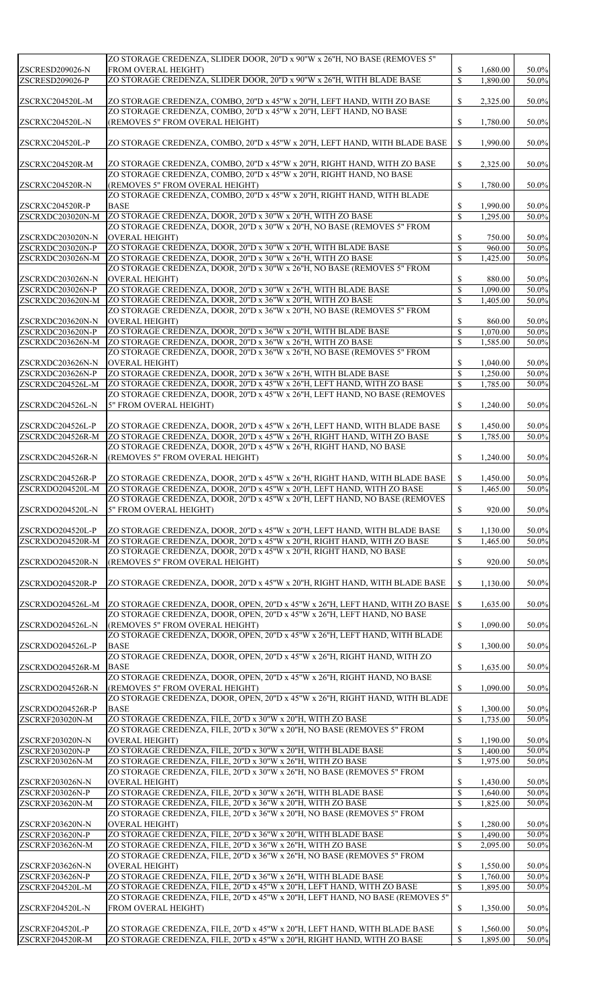|                                      | ZO STORAGE CREDENZA, SLIDER DOOR, 20"D x 90"W x 26"H, NO BASE (REMOVES 5"                                                                            |                    |                      |                |
|--------------------------------------|------------------------------------------------------------------------------------------------------------------------------------------------------|--------------------|----------------------|----------------|
| ZSCRESD209026-N                      | <b>FROM OVERAL HEIGHT)</b>                                                                                                                           | \$                 | 1,680.00             | 50.0%          |
| ZSCRESD209026-P                      | ZO STORAGE CREDENZA, SLIDER DOOR, 20"D x 90"W x 26"H, WITH BLADE BASE                                                                                | $\mathbb{S}$       | 1,890.00             | 50.0%          |
|                                      |                                                                                                                                                      |                    |                      |                |
| ZSCRXC204520L-M                      | ZO STORAGE CREDENZA, COMBO, 20"D x 45"W x 20"H, LEFT HAND, WITH ZO BASE                                                                              | \$                 | 2,325.00             | 50.0%          |
|                                      | ZO STORAGE CREDENZA, COMBO, 20"D x 45"W x 20"H, LEFT HAND, NO BASE                                                                                   |                    |                      |                |
| ZSCRXC204520L-N                      | (REMOVES 5" FROM OVERAL HEIGHT)                                                                                                                      | \$                 | 1,780.00             | 50.0%          |
|                                      |                                                                                                                                                      |                    |                      |                |
| ZSCRXC204520L-P                      | ZO STORAGE CREDENZA, COMBO, 20"D x 45"W x 20"H, LEFT HAND, WITH BLADE BASE                                                                           | $\mathbb{S}$       | 1,990.00             | 50.0%          |
|                                      |                                                                                                                                                      |                    |                      |                |
| ZSCRXC204520R-M                      | ZO STORAGE CREDENZA, COMBO, 20"D x 45"W x 20"H, RIGHT HAND, WITH ZO BASE<br>ZO STORAGE CREDENZA, COMBO, 20"D x 45"W x 20"H, RIGHT HAND, NO BASE      | \$                 | 2,325.00             | 50.0%          |
| ZSCRXC204520R-N                      | (REMOVES 5" FROM OVERAL HEIGHT)                                                                                                                      | \$                 | 1,780.00             | 50.0%          |
|                                      | ZO STORAGE CREDENZA, COMBO, 20"D x 45"W x 20"H, RIGHT HAND, WITH BLADE                                                                               |                    |                      |                |
| ZSCRXC204520R-P                      | <b>BASE</b>                                                                                                                                          | \$                 | 1,990.00             | 50.0%          |
| ZSCRXDC203020N-M                     | ZO STORAGE CREDENZA, DOOR, 20"D x 30"W x 20"H, WITH ZO BASE                                                                                          | $\mathbb{S}$       | 1,295.00             | 50.0%          |
|                                      | ZO STORAGE CREDENZA, DOOR, 20"D x 30"W x 20"H, NO BASE (REMOVES 5" FROM                                                                              |                    |                      |                |
| ZSCRXDC203020N-N                     | <b>OVERAL HEIGHT</b> )                                                                                                                               | \$                 | 750.00               | 50.0%          |
| ZSCRXDC203020N-P                     | ZO STORAGE CREDENZA, DOOR, 20"D x 30"W x 20"H, WITH BLADE BASE                                                                                       | $\mathbb{S}$       | 960.00               | 50.0%          |
| ZSCRXDC203026N-M                     | ZO STORAGE CREDENZA, DOOR, 20"D x 30"W x 26"H, WITH ZO BASE                                                                                          | \$                 | 1,425.00             | 50.0%          |
|                                      | ZO STORAGE CREDENZA, DOOR, 20"D x 30"W x 26"H, NO BASE (REMOVES 5" FROM                                                                              |                    |                      |                |
| ZSCRXDC203026N-N<br>ZSCRXDC203026N-P | <b>OVERAL HEIGHT</b> )                                                                                                                               | \$<br>$\mathbb{S}$ | 880.00               | 50.0%<br>50.0% |
| ZSCRXDC203620N-M                     | ZO STORAGE CREDENZA, DOOR, 20"D x 30"W x 26"H, WITH BLADE BASE<br>ZO STORAGE CREDENZA, DOOR, 20"D x 36"W x 20"H, WITH ZO BASE                        | $\mathbb{S}$       | 1,090.00<br>1,405.00 | 50.0%          |
|                                      | ZO STORAGE CREDENZA, DOOR, 20"D x 36"W x 20"H, NO BASE (REMOVES 5" FROM                                                                              |                    |                      |                |
| ZSCRXDC203620N-N                     | <b>OVERAL HEIGHT</b> )                                                                                                                               | \$                 | 860.00               | 50.0%          |
| ZSCRXDC203620N-P                     | ZO STORAGE CREDENZA, DOOR, 20"D x 36"W x 20"H, WITH BLADE BASE                                                                                       | $\mathbb{S}$       | 1,070.00             | 50.0%          |
| ZSCRXDC203626N-M                     | ZO STORAGE CREDENZA, DOOR, 20"D x 36"W x 26"H, WITH ZO BASE                                                                                          | $\mathbb{S}$       | 1,585.00             | 50.0%          |
|                                      | ZO STORAGE CREDENZA, DOOR, 20"D x 36"W x 26"H, NO BASE (REMOVES 5" FROM                                                                              |                    |                      |                |
| ZSCRXDC203626N-N                     | <b>OVERAL HEIGHT</b>                                                                                                                                 |                    | 1,040.00             | 50.0%          |
| ZSCRXDC203626N-P                     | ZO STORAGE CREDENZA, DOOR, 20"D x 36"W x 26"H, WITH BLADE BASE                                                                                       | $\mathbb{S}$       | 1,250.00             | 50.0%          |
| ZSCRXDC204526L-M                     | ZO STORAGE CREDENZA, DOOR, 20"D x 45"W x 26"H, LEFT HAND, WITH ZO BASE                                                                               | $\mathbb{S}$       | 1,785.00             | 50.0%          |
|                                      | ZO STORAGE CREDENZA, DOOR, 20"D x 45"W x 26"H, LEFT HAND, NO BASE (REMOVES                                                                           |                    |                      |                |
| ZSCRXDC204526L-N                     | 5" FROM OVERAL HEIGHT)                                                                                                                               | $\mathbb{S}$       | 1,240.00             | 50.0%          |
| ZSCRXDC204526L-P                     |                                                                                                                                                      |                    |                      |                |
| ZSCRXDC204526R-M                     | ZO STORAGE CREDENZA, DOOR, 20"D x 45"W x 26"H, LEFT HAND, WITH BLADE BASE<br>ZO STORAGE CREDENZA, DOOR, 20"D x 45"W x 26"H, RIGHT HAND, WITH ZO BASE | \$<br>$\mathbb{S}$ | 1,450.00<br>1,785.00 | 50.0%<br>50.0% |
|                                      | ZO STORAGE CREDENZA, DOOR, 20"D x 45"W x 26"H, RIGHT HAND, NO BASE                                                                                   |                    |                      |                |
| ZSCRXDC204526R-N                     | (REMOVES 5" FROM OVERAL HEIGHT)                                                                                                                      | \$                 | 1,240.00             | 50.0%          |
|                                      |                                                                                                                                                      |                    |                      |                |
| ZSCRXDC204526R-P                     | ZO STORAGE CREDENZA, DOOR, 20"D x 45"W x 26"H, RIGHT HAND, WITH BLADE BASE                                                                           | \$                 | 1,450.00             | 50.0%          |
| ZSCRXDO204520L-M                     | ZO STORAGE CREDENZA, DOOR, 20"D x 45"W x 20"H, LEFT HAND, WITH ZO BASE                                                                               | $\mathbb{S}$       | 1,465.00             | 50.0%          |
|                                      | ZO STORAGE CREDENZA, DOOR, 20"D x 45"W x 20"H, LEFT HAND, NO BASE (REMOVES                                                                           |                    |                      |                |
| ZSCRXDO204520L-N                     | 5" FROM OVERAL HEIGHT)                                                                                                                               | \$                 | 920.00               | 50.0%          |
|                                      |                                                                                                                                                      |                    |                      |                |
| ZSCRXDO204520L-P                     | ZO STORAGE CREDENZA, DOOR, 20"D x 45"W x 20"H, LEFT HAND, WITH BLADE BASE                                                                            | \$                 | 1,130.00             | 50.0%          |
| ZSCRXDO204520R-M                     | ZO STORAGE CREDENZA, DOOR, 20"D x 45"W x 20"H, RIGHT HAND, WITH ZO BASE                                                                              | $\mathbb{S}$       | 1,465.00             | 50.0%          |
|                                      | ZO STORAGE CREDENZA, DOOR, 20"D x 45"W x 20"H, RIGHT HAND, NO BASE<br>(REMOVES 5" FROM OVERAL HEIGHT)                                                |                    |                      |                |
| ZSCRXDO204520R-N                     |                                                                                                                                                      | \$                 | 920.00               | 50.0%          |
| ZSCRXDO204520R-P                     | ZO STORAGE CREDENZA, DOOR, 20"D x 45"W x 20"H, RIGHT HAND, WITH BLADE BASE                                                                           | $\mathbb{S}$       | 1,130.00             | 50.0%          |
|                                      |                                                                                                                                                      |                    |                      |                |
| ZSCRXDO204526L-M                     | ZO STORAGE CREDENZA, DOOR, OPEN, 20"D x 45"W x 26"H, LEFT HAND, WITH ZO BASE                                                                         | $\mathbb{S}$       | 1,635.00             | 50.0%          |
|                                      | ZO STORAGE CREDENZA, DOOR, OPEN, 20"D x 45"W x 26"H, LEFT HAND, NO BASE                                                                              |                    |                      |                |
| ZSCRXDO204526L-N                     | (REMOVES 5" FROM OVERAL HEIGHT)                                                                                                                      | \$                 | 1,090.00             | 50.0%          |
|                                      | ZO STORAGE CREDENZA, DOOR, OPEN, 20"D x 45"W x 26"H, LEFT HAND, WITH BLADE                                                                           |                    |                      |                |
| ZSCRXDO204526L-P                     | <b>BASE</b>                                                                                                                                          | \$                 | 1,300.00             | 50.0%          |
|                                      | ZO STORAGE CREDENZA, DOOR, OPEN, 20"D x 45"W x 26"H, RIGHT HAND, WITH ZO                                                                             |                    |                      |                |
| ZSCRXDO204526R-M                     | <b>BASE</b>                                                                                                                                          | \$                 | 1,635.00             | 50.0%          |
|                                      | ZO STORAGE CREDENZA, DOOR, OPEN, 20"D x 45"W x 26"H, RIGHT HAND, NO BASE                                                                             |                    |                      |                |
| ZSCRXDO204526R-N                     | (REMOVES 5" FROM OVERAL HEIGHT)<br>ZO STORAGE CREDENZA, DOOR, OPEN, 20"D x 45"W x 26"H, RIGHT HAND, WITH BLADE                                       | $\mathbb{S}$       | 1,090.00             | 50.0%          |
| ZSCRXDO204526R-P                     | <b>BASE</b>                                                                                                                                          | \$                 | 1,300.00             | 50.0%          |
| ZSCRXF203020N-M                      | ZO STORAGE CREDENZA, FILE, 20"D x 30"W x 20"H, WITH ZO BASE                                                                                          | $\mathbb{S}$       | 1,735.00             | 50.0%          |
|                                      | ZO STORAGE CREDENZA, FILE, 20"D x 30"W x 20"H, NO BASE (REMOVES 5" FROM                                                                              |                    |                      |                |
| ZSCRXF203020N-N                      | <b>OVERAL HEIGHT</b> )                                                                                                                               | \$                 | 1,190.00             | 50.0%          |
| ZSCRXF203020N-P                      | ZO STORAGE CREDENZA, FILE, 20"D x 30"W x 20"H, WITH BLADE BASE                                                                                       | $\mathbb{S}$       | 1,400.00             | 50.0%          |
| ZSCRXF203026N-M                      | ZO STORAGE CREDENZA, FILE, 20"D x 30"W x 26"H, WITH ZO BASE                                                                                          | $\mathbb{S}$       | 1,975.00             | 50.0%          |
|                                      | ZO STORAGE CREDENZA, FILE, 20"D x 30"W x 26"H, NO BASE (REMOVES 5" FROM                                                                              |                    |                      |                |
| ZSCRXF203026N-N                      | <b>OVERAL HEIGHT</b> )                                                                                                                               | \$                 | 1,430.00             | 50.0%          |
| ZSCRXF203026N-P                      | ZO STORAGE CREDENZA, FILE, 20"D x 30"W x 26"H, WITH BLADE BASE                                                                                       | $\mathbb{S}$       | 1,640.00             | 50.0%          |
| ZSCRXF203620N-M                      | ZO STORAGE CREDENZA, FILE, 20"D x 36"W x 20"H, WITH ZO BASE                                                                                          | $\mathbb{S}$       | 1,825.00             | 50.0%          |
| ZSCRXF203620N-N                      | ZO STORAGE CREDENZA, FILE, 20"D x 36"W x 20"H, NO BASE (REMOVES 5" FROM<br><b>OVERAL HEIGHT</b> )                                                    | \$                 | 1,280.00             | 50.0%          |
| ZSCRXF203620N-P                      | ZO STORAGE CREDENZA, FILE, 20"D x 36"W x 20"H, WITH BLADE BASE                                                                                       | \$                 | 1,490.00             | 50.0%          |
| ZSCRXF203626N-M                      | ZO STORAGE CREDENZA, FILE, 20"D x 36"W x 26"H, WITH ZO BASE                                                                                          | $\mathbb{S}$       | 2,095.00             | 50.0%          |
|                                      | ZO STORAGE CREDENZA, FILE, 20"D x 36"W x 26"H, NO BASE (REMOVES 5" FROM                                                                              |                    |                      |                |
| ZSCRXF203626N-N                      | <b>OVERAL HEIGHT</b> )                                                                                                                               | \$                 | 1,550.00             | 50.0%          |
| ZSCRXF203626N-P                      | ZO STORAGE CREDENZA, FILE, 20"D x 36"W x 26"H, WITH BLADE BASE                                                                                       | $\mathbb{S}$       | 1,760.00             | 50.0%          |
| ZSCRXF204520L-M                      | ZO STORAGE CREDENZA, FILE, 20"D x 45"W x 20"H, LEFT HAND, WITH ZO BASE                                                                               | $\mathbb{S}$       | 1,895.00             | 50.0%          |
|                                      | ZO STORAGE CREDENZA, FILE, 20"D x 45"W x 20"H, LEFT HAND, NO BASE (REMOVES 5"                                                                        |                    |                      |                |
| ZSCRXF204520L-N                      | <b>FROM OVERAL HEIGHT)</b>                                                                                                                           | $\mathbb{S}$       | 1,350.00             | 50.0%          |
|                                      |                                                                                                                                                      |                    |                      |                |
| <b>ZSCRXF204520L-P</b>               | ZO STORAGE CREDENZA, FILE, 20"D x 45"W x 20"H, LEFT HAND, WITH BLADE BASE                                                                            | $\mathbb{S}$       | 1,560.00             | 50.0%          |
| ZSCRXF204520R-M                      | ZO STORAGE CREDENZA, FILE, 20"D x 45"W x 20"H, RIGHT HAND, WITH ZO BASE                                                                              | $\mathbb{S}$       | 1,895.00             | 50.0%          |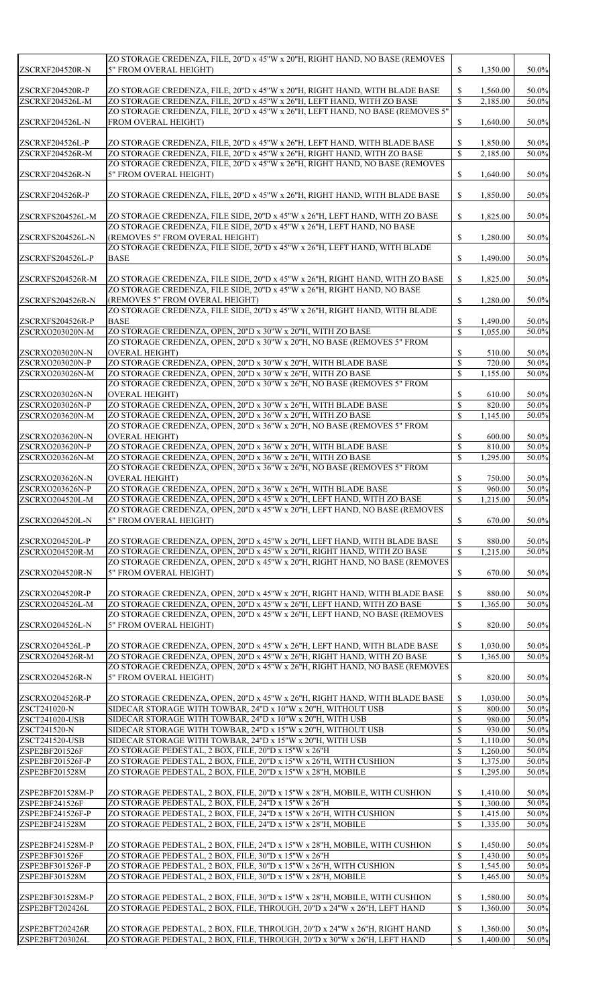|                                    | ZO STORAGE CREDENZA, FILE, 20"D x 45"W x 20"H, RIGHT HAND, NO BASE (REMOVES                                                                |                              |                      |                   |
|------------------------------------|--------------------------------------------------------------------------------------------------------------------------------------------|------------------------------|----------------------|-------------------|
| ZSCRXF204520R-N                    | 5" FROM OVERAL HEIGHT)                                                                                                                     | $\mathbb{S}$                 | 1,350.00             | $50.0\%$          |
|                                    |                                                                                                                                            |                              |                      |                   |
| ZSCRXF204520R-P<br>ZSCRXF204526L-M | ZO STORAGE CREDENZA, FILE, 20"D x 45"W x 20"H, RIGHT HAND, WITH BLADE BASE                                                                 | \$<br>$\mathbb{S}$           | 1,560.00<br>2,185.00 | $50.0\%$<br>50.0% |
|                                    | ZO STORAGE CREDENZA, FILE, 20"D x 45"W x 26"H, LEFT HAND, WITH ZO BASE                                                                     |                              |                      |                   |
| ZSCRXF204526L-N                    | ZO STORAGE CREDENZA, FILE, 20"D x 45"W x 26"H, LEFT HAND, NO BASE (REMOVES 5"<br>FROM OVERAL HEIGHT)                                       | $\mathbb{S}$                 | 1,640.00             | 50.0%             |
|                                    |                                                                                                                                            |                              |                      |                   |
| ZSCRXF204526L-P                    | ZO STORAGE CREDENZA, FILE, 20"D x 45"W x 26"H, LEFT HAND, WITH BLADE BASE                                                                  | \$                           | 1,850.00             | 50.0%             |
| ZSCRXF204526R-M                    | ZO STORAGE CREDENZA, FILE, 20"D x 45"W x 26"H, RIGHT HAND, WITH ZO BASE                                                                    | $\mathbb{S}$                 | 2,185.00             | 50.0%             |
|                                    | ZO STORAGE CREDENZA, FILE, 20"D x 45"W x 26"H, RIGHT HAND, NO BASE (REMOVES                                                                |                              |                      |                   |
| ZSCRXF204526R-N                    | 5" FROM OVERAL HEIGHT)                                                                                                                     | $\mathbb{S}$                 | 1,640.00             | $50.0\%$          |
|                                    |                                                                                                                                            |                              |                      |                   |
| <b>ZSCRXF204526R-P</b>             | ZO STORAGE CREDENZA, FILE, 20"D x 45"W x 26"H, RIGHT HAND, WITH BLADE BASE                                                                 | $\mathbb{S}$                 | 1,850.00             | 50.0%             |
|                                    |                                                                                                                                            |                              |                      |                   |
| ZSCRXFS204526L-M                   | ZO STORAGE CREDENZA, FILE SIDE, 20"D x 45"W x 26"H, LEFT HAND, WITH ZO BASE                                                                | $\mathbb{S}$                 | 1,825.00             | 50.0%             |
|                                    | ZO STORAGE CREDENZA, FILE SIDE, 20"D x 45"W x 26"H, LEFT HAND, NO BASE                                                                     |                              |                      |                   |
| ZSCRXFS204526L-N                   | (REMOVES 5" FROM OVERAL HEIGHT)                                                                                                            | $\mathbb{S}$                 | 1,280.00             | 50.0%             |
|                                    | ZO STORAGE CREDENZA, FILE SIDE, 20"D x 45"W x 26"H, LEFT HAND, WITH BLADE                                                                  |                              |                      |                   |
| ZSCRXFS204526L-P                   | <b>BASE</b>                                                                                                                                | $\mathbb{S}$                 | 1,490.00             | 50.0%             |
|                                    |                                                                                                                                            |                              |                      |                   |
| ZSCRXFS204526R-M                   | ZO STORAGE CREDENZA, FILE SIDE, 20"D x 45"W x 26"H, RIGHT HAND, WITH ZO BASE                                                               | $\mathbb{S}$                 | 1,825.00             | 50.0%             |
|                                    | ZO STORAGE CREDENZA, FILE SIDE, 20"D x 45"W x 26"H, RIGHT HAND, NO BASE                                                                    |                              |                      |                   |
| ZSCRXFS204526R-N                   | (REMOVES 5" FROM OVERAL HEIGHT)                                                                                                            | $\mathbb{S}$                 | 1,280.00             | 50.0%             |
|                                    | ZO STORAGE CREDENZA, FILE SIDE, 20"D x 45"W x 26"H, RIGHT HAND, WITH BLADE                                                                 |                              |                      |                   |
| ZSCRXFS204526R-P                   | <b>BASE</b>                                                                                                                                | \$                           | 1,490.00             | 50.0%             |
| ZSCRXO203020N-M                    | ZO STORAGE CREDENZA, OPEN, 20"D x 30"W x 20"H, WITH ZO BASE                                                                                | $\mathbb{S}$                 | 1,055.00             | 50.0%             |
|                                    | ZO STORAGE CREDENZA, OPEN, 20"D x 30"W x 20"H, NO BASE (REMOVES 5" FROM                                                                    |                              |                      |                   |
| <b>ZSCRXO203020N-N</b>             | <b>OVERAL HEIGHT</b>                                                                                                                       | \$                           | 510.00               | 50.0%             |
| ZSCRXO203020N-P                    | ZO STORAGE CREDENZA, OPEN, 20"D x 30"W x 20"H, WITH BLADE BASE                                                                             |                              | 720.00               | 50.0%             |
| ZSCRXO203026N-M                    | ZO STORAGE CREDENZA, OPEN, 20"D x 30"W x 26"H, WITH ZO BASE                                                                                | $\mathbb{S}$                 | 1,155.00             | 50.0%             |
|                                    | ZO STORAGE CREDENZA, OPEN, 20"D x 30"W x 26"H, NO BASE (REMOVES 5" FROM                                                                    |                              |                      |                   |
| ZSCRXO203026N-N                    | <b>OVERAL HEIGHT)</b><br>ZO STORAGE CREDENZA, OPEN, 20"D x 30"W x 26"H, WITH BLADE BASE                                                    | $\mathbb{S}$                 | 610.00<br>820.00     | 50.0%<br>50.0%    |
| ZSCRXO203026N-P<br>ZSCRXO203620N-M | ZO STORAGE CREDENZA, OPEN, 20"D x 36"W x 20"H, WITH ZO BASE                                                                                | $\mathcal{S}$<br>\$          | 1,145.00             | 50.0%             |
|                                    | ZO STORAGE CREDENZA, OPEN, 20"D x 36"W x 20"H, NO BASE (REMOVES 5" FROM                                                                    |                              |                      |                   |
| ZSCRXO203620N-N                    | <b>OVERAL HEIGHT</b>                                                                                                                       | \$                           | 600.00               | 50.0%             |
| ZSCRXO203620N-P                    | ZO STORAGE CREDENZA, OPEN, 20"D x 36"W x 20"H, WITH BLADE BASE                                                                             | \$                           | 810.00               | 50.0%             |
| ZSCRXO203626N-M                    | ZO STORAGE CREDENZA, OPEN, 20"D x 36"W x 26"H, WITH ZO BASE                                                                                | $\mathbb{S}$                 | 1,295.00             | 50.0%             |
|                                    | ZO STORAGE CREDENZA, OPEN, 20"D x 36"W x 26"H, NO BASE (REMOVES 5" FROM                                                                    |                              |                      |                   |
| ZSCRXO203626N-N                    | <b>OVERAL HEIGHT)</b>                                                                                                                      | \$                           | 750.00               | 50.0%             |
| ZSCRXO203626N-P                    | ZO STORAGE CREDENZA, OPEN, 20"D x 36"W x 26"H, WITH BLADE BASE                                                                             | $\mathcal{S}$                | 960.00               | 50.0%             |
| ZSCRXO204520L-M                    | ZO STORAGE CREDENZA, OPEN, 20"D x 45"W x 20"H, LEFT HAND, WITH ZO BASE                                                                     | $\mathcal{S}$                | 1,215.00             | 50.0%             |
|                                    | ZO STORAGE CREDENZA, OPEN, 20"D x 45"W x 20"H, LEFT HAND, NO BASE (REMOVES                                                                 |                              |                      |                   |
| <b>ZSCRXO204520L-N</b>             | 5" FROM OVERAL HEIGHT)                                                                                                                     | $\mathbb{S}$                 | 670.00               | $50.0\%$          |
|                                    |                                                                                                                                            |                              |                      |                   |
| ZSCRXO204520L-P                    | ZO STORAGE CREDENZA, OPEN, 20"D x 45"W x 20"H, LEFT HAND, WITH BLADE BASE                                                                  | $\mathbb{S}$                 | 880.00               | 50.0%             |
| ZSCRXO204520R-M                    | ZO STORAGE CREDENZA, OPEN, 20"D x 45"W x 20"H, RIGHT HAND, WITH ZO BASE                                                                    | $\mathbb{S}$                 | 1,215.00             | 50.0%             |
|                                    | ZO STORAGE CREDENZA, OPEN, 20"D x 45"W x 20"H, RIGHT HAND, NO BASE (REMOVES                                                                |                              |                      |                   |
| ZSCRXO204520R-N                    | 5" FROM OVERAL HEIGHT)                                                                                                                     | S.                           | 670.00               | 50.0%             |
|                                    |                                                                                                                                            |                              |                      |                   |
| ZSCRXO204520R-P                    | ZO STORAGE CREDENZA, OPEN, 20"D x 45"W x 20"H, RIGHT HAND, WITH BLADE BASE                                                                 | \$                           | 880.00               | $50.0\%$          |
| ZSCRXO204526L-M                    | ZO STORAGE CREDENZA, OPEN, 20"D x 45"W x 26"H, LEFT HAND, WITH ZO BASE                                                                     | $\mathcal{S}$                | 1,365.00             | 50.0%             |
|                                    | ZO STORAGE CREDENZA, OPEN, 20"D x 45"W x 26"H, LEFT HAND, NO BASE (REMOVES                                                                 |                              |                      |                   |
| ZSCRXO204526L-N                    | 5" FROM OVERAL HEIGHT)                                                                                                                     | $\mathbb{S}$                 | 820.00               | 50.0%             |
|                                    |                                                                                                                                            |                              |                      |                   |
| <b>ZSCRXO204526L-P</b>             | ZO STORAGE CREDENZA, OPEN, 20"D x 45"W x 26"H, LEFT HAND, WITH BLADE BASE                                                                  | \$                           | 1,030.00             | 50.0%             |
| ZSCRXO204526R-M                    | ZO STORAGE CREDENZA, OPEN, 20"D x 45"W x 26"H, RIGHT HAND, WITH ZO BASE                                                                    | $\mathbb{S}$                 | 1,365.00             | 50.0%             |
|                                    | ZO STORAGE CREDENZA, OPEN, 20"D x 45"W x 26"H, RIGHT HAND, NO BASE (REMOVES                                                                |                              |                      |                   |
| <b>ZSCRXO204526R-N</b>             | 5" FROM OVERAL HEIGHT)                                                                                                                     |                              | 820.00               | 50.0%             |
|                                    |                                                                                                                                            |                              |                      |                   |
| ZSCRXO204526R-P<br>ZSCT241020-N    | ZO STORAGE CREDENZA, OPEN, 20"D x 45"W x 26"H, RIGHT HAND, WITH BLADE BASE<br>SIDECAR STORAGE WITH TOWBAR, 24"D x 10"W x 20"H, WITHOUT USB | $\mathbb{S}$<br>$\mathbb{S}$ | 1,030.00<br>800.00   | $50.0\%$<br>50.0% |
| <b>ZSCT241020-USB</b>              | SIDECAR STORAGE WITH TOWBAR, 24"D x 10"W x 20"H, WITH USB                                                                                  | $\mathcal{S}$                | 980.00               | 50.0%             |
| ZSCT241520-N                       | SIDECAR STORAGE WITH TOWBAR, 24"D x 15"W x 20"H, WITHOUT USB                                                                               | \$                           | 930.00               | 50.0%             |
| ZSCT241520-USB                     | SIDECAR STORAGE WITH TOWBAR, 24"D x 15"W x 20"H, WITH USB                                                                                  | $\mathcal{S}$                | 1,110.00             | 50.0%             |
| ZSPE2BF201526F                     | ZO STORAGE PEDESTAL, 2 BOX, FILE, 20"D x 15"W x 26"H                                                                                       | \$                           | 1,260.00             | 50.0%             |
| ZSPE2BF201526F-P                   | ZO STORAGE PEDESTAL, 2 BOX, FILE, 20"D x 15"W x 26"H, WITH CUSHION                                                                         | $\mathcal{S}$                | 1,375.00             | 50.0%             |
| ZSPE2BF201528M                     | ZO STORAGE PEDESTAL, 2 BOX, FILE, 20"D x 15"W x 28"H, MOBILE                                                                               | $\mathcal{S}$                | 1,295.00             | 50.0%             |
|                                    |                                                                                                                                            |                              |                      |                   |
| ZSPE2BF201528M-P                   | ZO STORAGE PEDESTAL, 2 BOX, FILE, 20"D x 15"W x 28"H, MOBILE, WITH CUSHION                                                                 | $\mathbb{S}$                 | 1,410.00             | 50.0%             |
| ZSPE2BF241526F                     | ZO STORAGE PEDESTAL, 2 BOX, FILE, 24"D x 15"W x 26"H                                                                                       | $\mathcal{S}$                | 1,300.00             | 50.0%             |
| ZSPE2BF241526F-P                   | ZO STORAGE PEDESTAL, 2 BOX, FILE, 24"D x 15"W x 26"H, WITH CUSHION                                                                         | $\boldsymbol{\mathsf{S}}$    | 1,415.00             | 50.0%             |
| ZSPE2BF241528M                     | ZO STORAGE PEDESTAL, 2 BOX, FILE, 24"D x 15"W x 28"H, MOBILE                                                                               | $\mathcal{S}$                | 1,335.00             | 50.0%             |
|                                    |                                                                                                                                            |                              |                      |                   |
| ZSPE2BF241528M-P                   | ZO STORAGE PEDESTAL, 2 BOX, FILE, 24"D x 15"W x 28"H, MOBILE, WITH CUSHION                                                                 | $\boldsymbol{\mathsf{S}}$    | 1,450.00             | 50.0%             |
| ZSPE2BF301526F                     | ZO STORAGE PEDESTAL, 2 BOX, FILE, 30"D x 15"W x 26"H                                                                                       | $\mathcal{S}$                | 1,430.00             | 50.0%             |
| ZSPE2BF301526F-P                   | ZO STORAGE PEDESTAL, 2 BOX, FILE, 30"D x 15"W x 26"H, WITH CUSHION                                                                         | $\boldsymbol{\mathsf{S}}$    | 1,545.00             | 50.0%             |
| ZSPE2BF301528M                     | ZO STORAGE PEDESTAL, 2 BOX, FILE, 30"D x 15"W x 28"H, MOBILE                                                                               | $\mathcal{S}$                | 1,465.00             | 50.0%             |
|                                    |                                                                                                                                            |                              |                      |                   |
| ZSPE2BF301528M-P                   | ZO STORAGE PEDESTAL, 2 BOX, FILE, 30"D x 15"W x 28"H, MOBILE, WITH CUSHION                                                                 | $\boldsymbol{\mathsf{S}}$    | 1,580.00             | 50.0%             |
| ZSPE2BFT202426L                    | ZO STORAGE PEDESTAL, 2 BOX, FILE, THROUGH, 20"D x 24"W x 26"H, LEFT HAND                                                                   | $\mathbb{S}$                 | 1,360.00             | 50.0%             |
|                                    |                                                                                                                                            |                              |                      |                   |
| ZSPE2BFT202426R                    | ZO STORAGE PEDESTAL, 2 BOX, FILE, THROUGH, 20"D x 24"W x 26"H, RIGHT HAND                                                                  | $\mathbb{S}$                 | 1,360.00             | $50.0\%$          |
| ZSPE2BFT203026L                    | ZO STORAGE PEDESTAL, 2 BOX, FILE, THROUGH, 20"D x 30"W x 26"H, LEFT HAND                                                                   | $\boldsymbol{\mathsf{S}}$    | 1,400.00             | 50.0%             |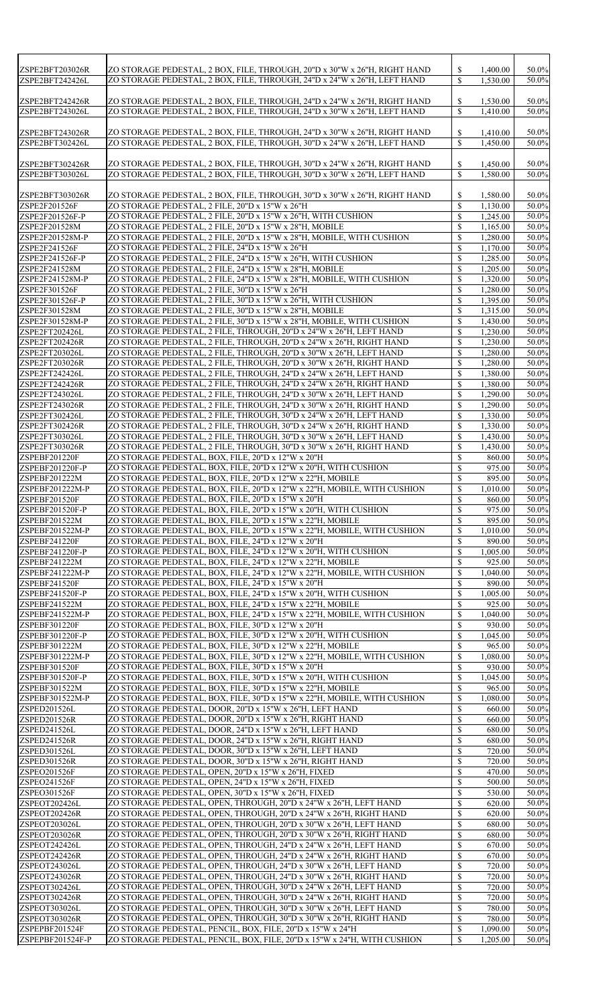| ZSPE2BFT203026R                  | ZO STORAGE PEDESTAL, 2 BOX, FILE, THROUGH, 20"D x 30"W x 26"H, RIGHT HAND                                                        | $\mathbb{S}$                                           | 1,400.00             | 50.0%          |
|----------------------------------|----------------------------------------------------------------------------------------------------------------------------------|--------------------------------------------------------|----------------------|----------------|
| ZSPE2BFT242426L                  | ZO STORAGE PEDESTAL, 2 BOX, FILE, THROUGH, 24"D x 24"W x 26"H, LEFT HAND                                                         | $\mathcal{S}$                                          | 1,530.00             | 50.0%          |
|                                  |                                                                                                                                  |                                                        |                      |                |
| ZSPE2BFT242426R                  | ZO STORAGE PEDESTAL, 2 BOX, FILE, THROUGH, 24"D x 24"W x 26"H, RIGHT HAND                                                        | $\boldsymbol{\mathsf{S}}$                              | 1,530.00             | 50.0%          |
| ZSPE2BFT243026L                  | ZO STORAGE PEDESTAL, 2 BOX, FILE, THROUGH, 24"D x 30"W x 26"H, LEFT HAND                                                         | $\mathcal{S}$                                          | 1,410.00             | 50.0%          |
|                                  |                                                                                                                                  |                                                        |                      |                |
| ZSPE2BFT243026R                  | ZO STORAGE PEDESTAL, 2 BOX, FILE, THROUGH, 24"D x 30"W x 26"H, RIGHT HAND                                                        | $\mathbb{S}$                                           | 1,410.00             | 50.0%          |
| ZSPE2BFT302426L                  | ZO STORAGE PEDESTAL, 2 BOX, FILE, THROUGH, 30"D x 24"W x 26"H, LEFT HAND                                                         | $\mathcal{S}$                                          | 1,450.00             | 50.0%          |
|                                  |                                                                                                                                  |                                                        |                      |                |
| ZSPE2BFT302426R                  | ZO STORAGE PEDESTAL, 2 BOX, FILE, THROUGH, 30"D x 24"W x 26"H, RIGHT HAND                                                        | $\boldsymbol{\mathsf{S}}$                              | 1,450.00             | 50.0%          |
| ZSPE2BFT303026L                  | ZO STORAGE PEDESTAL, 2 BOX, FILE, THROUGH, 30"D x 30"W x 26"H, LEFT HAND                                                         | $\mathbb{S}$                                           | 1,580.00             | 50.0%          |
|                                  |                                                                                                                                  |                                                        |                      |                |
| ZSPE2BFT303026R                  | ZO STORAGE PEDESTAL, 2 BOX, FILE, THROUGH, 30"D x 30"W x 26"H, RIGHT HAND                                                        | $\mathbb{S}$                                           | 1,580.00             | 50.0%          |
| ZSPE2F201526F                    | ZO STORAGE PEDESTAL, 2 FILE, 20"D x 15"W x 26"H                                                                                  | $\mathcal{S}$                                          | 1,130.00             | 50.0%          |
| ZSPE2F201526F-P                  | ZO STORAGE PEDESTAL, 2 FILE, 20"D x 15"W x 26"H, WITH CUSHION                                                                    | $\mathcal{S}$                                          | 1,245.00             | 50.0%          |
| ZSPE2F201528M                    | ZO STORAGE PEDESTAL, 2 FILE, 20"D x 15"W x 28"H, MOBILE                                                                          | $\mathcal{S}$                                          | 1,165.00             | 50.0%          |
| ZSPE2F201528M-P                  | ZO STORAGE PEDESTAL, 2 FILE, 20"D x 15"W x 28"H, MOBILE, WITH CUSHION                                                            | $\mathcal{S}$                                          | 1,280.00             | 50.0%          |
| ZSPE2F241526F                    | ZO STORAGE PEDESTAL, 2 FILE, 24"D x 15"W x 26"H                                                                                  | $\mathcal{S}$                                          | 1,170.00             | 50.0%          |
| ZSPE2F241526F-P                  | ZO STORAGE PEDESTAL, 2 FILE, 24"D x 15"W x 26"H, WITH CUSHION                                                                    | $\mathcal{S}$                                          | 1,285.00             | 50.0%          |
| ZSPE2F241528M<br>ZSPE2F241528M-P | ZO STORAGE PEDESTAL, 2 FILE, 24"D x 15"W x 28"H, MOBILE<br>ZO STORAGE PEDESTAL, 2 FILE, 24"D x 15"W x 28"H, MOBILE, WITH CUSHION | $\mathcal{S}$<br>$\mathcal{S}$                         | 1,205.00<br>1,320.00 | 50.0%<br>50.0% |
| ZSPE2F301526F                    | ZO STORAGE PEDESTAL, 2 FILE, 30"D x 15"W x 26"H                                                                                  | $\mathcal{S}$                                          | 1,280.00             | 50.0%          |
| ZSPE2F301526F-P                  | ZO STORAGE PEDESTAL, 2 FILE, 30"D x 15"W x 26"H, WITH CUSHION                                                                    | $\mathcal{S}$                                          | 1,395.00             | 50.0%          |
| ZSPE2F301528M                    | ZO STORAGE PEDESTAL, 2 FILE, 30"D x 15"W x 28"H, MOBILE                                                                          | $\mathcal{S}$                                          | 1,315.00             | 50.0%          |
| ZSPE2F301528M-P                  | ZO STORAGE PEDESTAL, 2 FILE, 30"D x 15"W x 28"H, MOBILE, WITH CUSHION                                                            | $\boldsymbol{\mathsf{S}}$                              | 1,430.00             | 50.0%          |
| ZSPE2FT202426L                   | ZO STORAGE PEDESTAL, 2 FILE, THROUGH, 20"D x 24"W x 26"H, LEFT HAND                                                              | $\boldsymbol{\mathsf{S}}$                              | 1,230.00             | 50.0%          |
| ZSPE2FT202426R                   | ZO STORAGE PEDESTAL, 2 FILE, THROUGH, 20"D x 24"W x 26"H, RIGHT HAND                                                             | $\mathcal{S}$                                          | 1,230.00             | 50.0%          |
| ZSPE2FT203026L                   | ZO STORAGE PEDESTAL, 2 FILE, THROUGH, 20"D x 30"W x 26"H, LEFT HAND                                                              | $\boldsymbol{\mathsf{S}}$                              | 1,280.00             | 50.0%          |
| <b>ZSPE2FT203026R</b>            | ZO STORAGE PEDESTAL, 2 FILE, THROUGH, 20"D x 30"W x 26"H, RIGHT HAND                                                             | $\mathcal{S}$                                          | 1,280.00             | 50.0%          |
| ZSPE2FT242426L                   | ZO STORAGE PEDESTAL, 2 FILE, THROUGH, 24"D x 24"W x 26"H, LEFT HAND                                                              | $\mathbb{S}$                                           | 1,380.00             | 50.0%          |
| ZSPE2FT242426R                   | ZO STORAGE PEDESTAL, 2 FILE, THROUGH, 24"D x 24"W x 26"H, RIGHT HAND                                                             | $\mathcal{S}$                                          | 1,380.00             | 50.0%          |
| ZSPE2FT243026L                   | ZO STORAGE PEDESTAL, 2 FILE, THROUGH, 24"D x 30"W x 26"H, LEFT HAND                                                              | $\mathcal{S}$                                          | 1,290.00             | 50.0%          |
| ZSPE2FT243026R                   | ZO STORAGE PEDESTAL, 2 FILE, THROUGH, 24"D x 30"W x 26"H, RIGHT HAND                                                             | $\mathbb{S}$                                           | 1,290.00             | 50.0%          |
| ZSPE2FT302426L                   | ZO STORAGE PEDESTAL, 2 FILE, THROUGH, 30"D x 24"W x 26"H, LEFT HAND                                                              | $\mathcal{S}$                                          | 1,330.00             | 50.0%          |
| ZSPE2FT302426R                   | ZO STORAGE PEDESTAL, 2 FILE, THROUGH, 30"D x 24"W x 26"H, RIGHT HAND                                                             | $\mathbb{S}$                                           | 1,330.00             | 50.0%          |
| ZSPE2FT303026L                   | ZO STORAGE PEDESTAL, 2 FILE, THROUGH, 30"D x 30"W x 26"H, LEFT HAND                                                              | $\mathcal{S}$                                          | 1,430.00             | 50.0%          |
| ZSPE2FT303026R                   | ZO STORAGE PEDESTAL, 2 FILE, THROUGH, 30"D x 30"W x 26"H, RIGHT HAND                                                             | $\mathcal{S}$                                          | 1,430.00             | 50.0%          |
| ZSPEBF201220F                    | ZO STORAGE PEDESTAL, BOX, FILE, 20"D x 12"W x 20"H                                                                               | $\mathcal{S}$                                          | 860.00               | 50.0%          |
| ZSPEBF201220F-P                  | ZO STORAGE PEDESTAL, BOX, FILE, 20"D x 12"W x 20"H, WITH CUSHION                                                                 | $\mathcal{S}$                                          | 975.00               | 50.0%          |
| ZSPEBF201222M                    | ZO STORAGE PEDESTAL, BOX, FILE, 20"D x 12"W x 22"H, MOBILE                                                                       | $\mathcal{S}$                                          | 895.00               | 50.0%          |
| ZSPEBF201222M-P                  | ZO STORAGE PEDESTAL, BOX, FILE, 20"D x 12"W x 22"H, MOBILE, WITH CUSHION                                                         | $\mathcal{S}$                                          | 1,010.00             | 50.0%          |
| ZSPEBF201520F                    | ZO STORAGE PEDESTAL, BOX, FILE, 20"D x 15"W x 20"H                                                                               | $\mathcal{S}$                                          | 860.00               | 50.0%          |
| ZSPEBF201520F-P                  | ZO STORAGE PEDESTAL, BOX, FILE, 20"D x 15"W x 20"H, WITH CUSHION                                                                 | $\mathcal{S}$                                          | 975.00               | 50.0%          |
| ZSPEBF201522M                    | ZO STORAGE PEDESTAL, BOX, FILE, 20"D x 15"W x 22"H, MOBILE                                                                       | $\mathcal{S}$                                          | 895.00               | 50.0%          |
| ZSPEBF201522M-P                  | ZO STORAGE PEDESTAL, BOX, FILE, 20"D x 15"W x 22"H, MOBILE, WITH CUSHION                                                         | $\mathcal{S}$                                          | 1,010.00             | 50.0%          |
| ZSPEBF241220F                    | ZO STORAGE PEDESTAL, BOX, FILE, 24"D x 12"W x 20"H                                                                               | $\mathcal{S}$                                          | 890.00               | 50.0%          |
| ZSPEBF241220F-P<br>ZSPEBF241222M | ZO STORAGE PEDESTAL, BOX, FILE, 24"D x 12"W x 20"H, WITH CUSHION<br>ZO STORAGE PEDESTAL, BOX, FILE, 24"D x 12"W x 22"H, MOBILE   | $\mathcal{S}$<br>$\mathcal{S}$                         | 1,005.00<br>925.00   | 50.0%<br>50.0% |
| ZSPEBF241222M-P                  | ZO STORAGE PEDESTAL, BOX, FILE, 24"D x 12"W x 22"H, MOBILE, WITH CUSHION                                                         | $\mathbb{S}$                                           | 1,040.00             | 50.0%          |
| ZSPEBF241520F                    | ZO STORAGE PEDESTAL, BOX, FILE, 24"D x 15"W x 20"H                                                                               | $\mathcal{S}$                                          | 890.00               | 50.0%          |
| ZSPEBF241520F-P                  | ZO STORAGE PEDESTAL, BOX, FILE, 24"D x 15"W x 20"H, WITH CUSHION                                                                 | $\mathcal{S}$                                          | 1,005.00             | 50.0%          |
| ZSPEBF241522M                    | ZO STORAGE PEDESTAL, BOX, FILE, 24"D x 15"W x 22"H, MOBILE                                                                       | $\mathcal{S}$                                          | 925.00               | 50.0%          |
| ZSPEBF241522M-P                  | ZO STORAGE PEDESTAL, BOX, FILE, 24"D x 15"W x 22"H, MOBILE, WITH CUSHION                                                         | $\mathbb{S}$                                           | 1,040.00             | 50.0%          |
| ZSPEBF301220F                    | ZO STORAGE PEDESTAL, BOX, FILE, 30"D x 12"W x 20"H                                                                               | $\mathcal{S}$                                          | 930.00               | 50.0%          |
| ZSPEBF301220F-P                  | ZO STORAGE PEDESTAL, BOX, FILE, 30"D x 12"W x 20"H, WITH CUSHION                                                                 | $\mathcal{S}$                                          | 1,045.00             | 50.0%          |
| ZSPEBF301222M                    | ZO STORAGE PEDESTAL, BOX, FILE, 30"D x 12"W x 22"H, MOBILE                                                                       | $\mathcal{S}$                                          | 965.00               | 50.0%          |
| ZSPEBF301222M-P                  | ZO STORAGE PEDESTAL, BOX, FILE, 30"D x 12"W x 22"H, MOBILE, WITH CUSHION                                                         | $\mathbb{S}$                                           | 1,080.00             | 50.0%          |
| ZSPEBF301520F                    | ZO STORAGE PEDESTAL, BOX, FILE, 30"D x 15"W x 20"H                                                                               | $\mathcal{S}$                                          | 930.00               | 50.0%          |
| ZSPEBF301520F-P                  | ZO STORAGE PEDESTAL, BOX, FILE, 30"D x 15"W x 20"H, WITH CUSHION                                                                 | $\mathcal{S}$                                          | 1,045.00             | 50.0%          |
| ZSPEBF301522M                    | ZO STORAGE PEDESTAL, BOX, FILE, 30"D x 15"W x 22"H, MOBILE                                                                       | $\mathcal{S}$                                          | 965.00               | 50.0%          |
| ZSPEBF301522M-P                  | ZO STORAGE PEDESTAL, BOX, FILE, 30"D x 15"W x 22"H, MOBILE, WITH CUSHION                                                         | $\mathbb{S}$                                           | 1,080.00             | 50.0%          |
| ZSPED201526L                     | ZO STORAGE PEDESTAL, DOOR, 20"D x 15"W x 26"H, LEFT HAND                                                                         | $\boldsymbol{\mathsf{S}}$                              | 660.00               | 50.0%          |
| ZSPED201526R                     | ZO STORAGE PEDESTAL, DOOR, 20"D x 15"W x 26"H, RIGHT HAND                                                                        | $\mathcal{S}$                                          | 660.00               | 50.0%          |
| ZSPED241526L                     | ZO STORAGE PEDESTAL, DOOR, 24"D x 15"W x 26"H, LEFT HAND                                                                         | $\mathcal{S}$                                          | 680.00               | 50.0%          |
| ZSPED241526R                     | ZO STORAGE PEDESTAL, DOOR, 24"D x 15"W x 26"H, RIGHT HAND                                                                        | $\boldsymbol{\mathsf{S}}$                              | 680.00               | 50.0%          |
| ZSPED301526L                     | ZO STORAGE PEDESTAL, DOOR, 30"D x 15"W x 26"H, LEFT HAND                                                                         | $\mathcal{S}$                                          | 720.00               | 50.0%          |
| ZSPED301526R                     | ZO STORAGE PEDESTAL, DOOR, 30"D x 15"W x 26"H, RIGHT HAND                                                                        | $\mathcal{S}$                                          | 720.00               | 50.0%          |
| ZSPEO201526F                     | ZO STORAGE PEDESTAL, OPEN, 20"D x 15"W x 26"H, FIXED                                                                             | $\mathcal{S}$                                          | 470.00               | 50.0%          |
| ZSPEO241526F<br>ZSPEO301526F     | ZO STORAGE PEDESTAL, OPEN, 24"D x 15"W x 26"H, FIXED<br>ZO STORAGE PEDESTAL, OPEN, 30"D x 15"W x 26"H, FIXED                     | $\boldsymbol{\mathsf{S}}$<br>$\boldsymbol{\mathsf{S}}$ | 500.00<br>530.00     | 50.0%<br>50.0% |
| ZSPEOT202426L                    | ZO STORAGE PEDESTAL, OPEN, THROUGH, 20"D x 24"W x 26"H, LEFT HAND                                                                | $\mathcal{S}$                                          | 620.00               | 50.0%          |
| ZSPEOT202426R                    | ZO STORAGE PEDESTAL, OPEN, THROUGH, 20"D x 24"W x 26"H, RIGHT HAND                                                               | $\mathcal{S}$                                          | 620.00               | 50.0%          |
| ZSPEOT203026L                    | ZO STORAGE PEDESTAL, OPEN, THROUGH, 20"D x 30"W x 26"H, LEFT HAND                                                                | $\boldsymbol{\mathsf{S}}$                              | 680.00               | 50.0%          |
| ZSPEOT203026R                    | ZO STORAGE PEDESTAL, OPEN, THROUGH, 20"D x 30"W x 26"H, RIGHT HAND                                                               | $\boldsymbol{\mathsf{S}}$                              | 680.00               | 50.0%          |
| ZSPEOT242426L                    | ZO STORAGE PEDESTAL, OPEN, THROUGH, 24"D x 24"W x 26"H, LEFT HAND                                                                | $\mathcal{S}$                                          | 670.00               | 50.0%          |
| ZSPEOT242426R                    | ZO STORAGE PEDESTAL, OPEN, THROUGH, 24"D x 24"W x 26"H, RIGHT HAND                                                               | $\boldsymbol{\mathsf{S}}$                              | 670.00               | 50.0%          |
| ZSPEOT243026L                    | ZO STORAGE PEDESTAL, OPEN, THROUGH, 24"D x 30"W x 26"H, LEFT HAND                                                                | $\boldsymbol{\mathsf{S}}$                              | 720.00               | 50.0%          |
| ZSPEOT243026R                    | ZO STORAGE PEDESTAL, OPEN, THROUGH, 24"D x 30"W x 26"H, RIGHT HAND                                                               | $\boldsymbol{\mathsf{S}}$                              | 720.00               | 50.0%          |
| ZSPEOT302426L                    | ZO STORAGE PEDESTAL, OPEN, THROUGH, 30"D x 24"W x 26"H, LEFT HAND                                                                | $\mathcal{S}$                                          | 720.00               | 50.0%          |
| ZSPEOT302426R                    | ZO STORAGE PEDESTAL, OPEN, THROUGH, 30"D x 24"W x 26"H, RIGHT HAND                                                               | $\boldsymbol{\mathsf{S}}$                              | 720.00               | 50.0%          |
| ZSPEOT303026L                    | ZO STORAGE PEDESTAL, OPEN, THROUGH, 30"D x 30"W x 26"H, LEFT HAND                                                                | $\mathcal{S}$                                          | 780.00               | 50.0%          |
| ZSPEOT303026R                    | ZO STORAGE PEDESTAL, OPEN, THROUGH, 30"D x 30"W x 26"H, RIGHT HAND                                                               | $\boldsymbol{\mathsf{S}}$                              | 780.00               | 50.0%          |
|                                  |                                                                                                                                  |                                                        |                      | 50.0%          |
| ZSPEPBF201524F                   | ZO STORAGE PEDESTAL, PENCIL, BOX, FILE, 20"D x 15"W x 24"H                                                                       | $\mathcal{S}$                                          | 1,090.00             |                |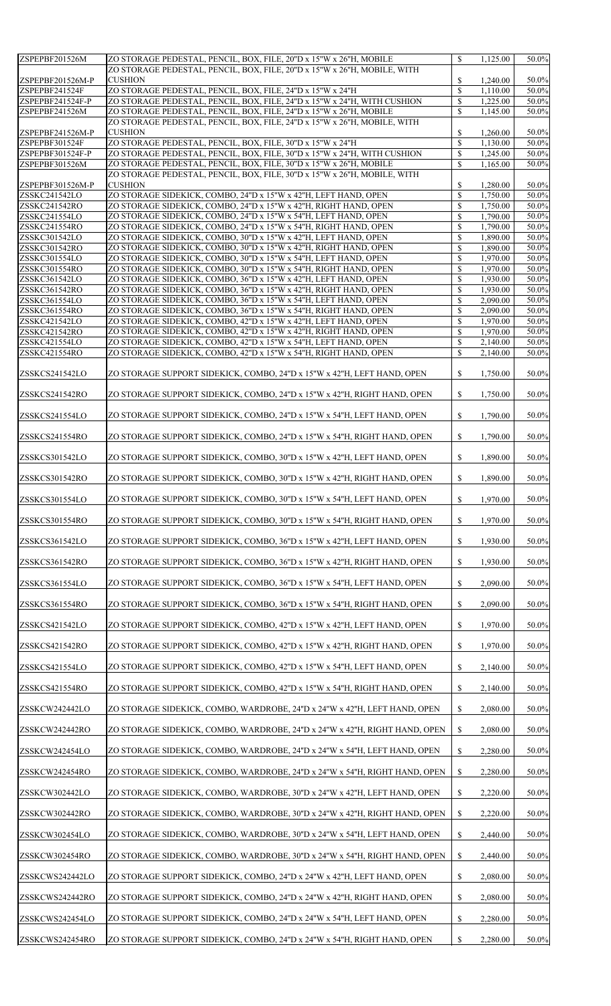| ZSPEPBF201526M   | ZO STORAGE PEDESTAL, PENCIL, BOX, FILE, 20"D x 15"W x 26"H, MOBILE         | \$           | 1,125.00 | 50.0% |
|------------------|----------------------------------------------------------------------------|--------------|----------|-------|
|                  |                                                                            |              |          |       |
|                  | ZO STORAGE PEDESTAL, PENCIL, BOX, FILE, 20"D x 15"W x 26"H, MOBILE, WITH   |              |          |       |
| ZSPEPBF201526M-P | <b>CUSHION</b>                                                             | \$           | 1,240.00 | 50.0% |
| ZSPEPBF241524F   | ZO STORAGE PEDESTAL, PENCIL, BOX, FILE, 24"D x 15"W x 24"H                 | \$           | 1,110.00 | 50.0% |
| ZSPEPBF241524F-P | ZO STORAGE PEDESTAL, PENCIL, BOX, FILE, 24"D x 15"W x 24"H, WITH CUSHION   | \$           | 1,225.00 | 50.0% |
| ZSPEPBF241526M   | ZO STORAGE PEDESTAL, PENCIL, BOX, FILE, 24"D x 15"W x 26"H, MOBILE         | \$           | 1,145.00 | 50.0% |
|                  | ZO STORAGE PEDESTAL, PENCIL, BOX, FILE, 24"D x 15"W x 26"H, MOBILE, WITH   |              |          |       |
|                  |                                                                            |              |          |       |
| ZSPEPBF241526M-P | <b>CUSHION</b>                                                             | \$           | 1,260.00 | 50.0% |
| ZSPEPBF301524F   | ZO STORAGE PEDESTAL, PENCIL, BOX, FILE, 30"D x 15"W x 24"H                 | $\mathbb{S}$ | 1,130.00 | 50.0% |
| ZSPEPBF301524F-P | ZO STORAGE PEDESTAL, PENCIL, BOX, FILE, 30"D x 15"W x 24"H, WITH CUSHION   | \$           | 1,245.00 | 50.0% |
| ZSPEPBF301526M   | ZO STORAGE PEDESTAL, PENCIL, BOX, FILE, 30"D x 15"W x 26"H, MOBILE         | $\mathbb{S}$ | 1,165.00 | 50.0% |
|                  |                                                                            |              |          |       |
|                  | ZO STORAGE PEDESTAL, PENCIL, BOX, FILE, 30"D x 15"W x 26"H, MOBILE, WITH   |              |          |       |
| ZSPEPBF301526M-P | <b>CUSHION</b>                                                             | \$           | 1,280.00 | 50.0% |
| ZSSKC241542LO    | ZO STORAGE SIDEKICK, COMBO, 24"D x 15"W x 42"H, LEFT HAND, OPEN            | \$           | 1,750.00 | 50.0% |
| ZSSKC241542RO    | ZO STORAGE SIDEKICK, COMBO, 24"D x 15"W x 42"H, RIGHT HAND, OPEN           | \$           | 1,750.00 | 50.0% |
| ZSSKC241554LO    | ZO STORAGE SIDEKICK, COMBO, 24"D x 15"W x 54"H, LEFT HAND, OPEN            | \$           | 1,790.00 | 50.0% |
|                  |                                                                            |              |          |       |
| ZSSKC241554RO    | ZO STORAGE SIDEKICK, COMBO, 24"D x 15"W x 54"H, RIGHT HAND, OPEN           | \$           | 1,790.00 | 50.0% |
| ZSSKC301542LO    | ZO STORAGE SIDEKICK, COMBO, 30"D x 15"W x 42"H, LEFT HAND, OPEN            | \$           | 1,890.00 | 50.0% |
| ZSSKC301542RO    | ZO STORAGE SIDEKICK, COMBO, 30"D x 15"W x 42"H, RIGHT HAND, OPEN           | \$           | 1,890.00 | 50.0% |
| ZSSKC301554LO    | ZO STORAGE SIDEKICK, COMBO, 30"D x 15"W x 54"H, LEFT HAND, OPEN            | \$           | 1,970.00 | 50.0% |
|                  |                                                                            |              |          |       |
| ZSSKC301554RO    | ZO STORAGE SIDEKICK, COMBO, 30"D x 15"W x 54"H, RIGHT HAND, OPEN           | \$           | 1,970.00 | 50.0% |
| ZSSKC361542LO    | ZO STORAGE SIDEKICK, COMBO, 36"D x 15"W x 42"H, LEFT HAND, OPEN            | \$           | 1,930.00 | 50.0% |
| ZSSKC361542RO    | ZO STORAGE SIDEKICK, COMBO, 36"D x 15"W x 42"H, RIGHT HAND, OPEN           | \$           | 1,930.00 | 50.0% |
| ZSSKC361554LO    | ZO STORAGE SIDEKICK, COMBO, 36"D x 15"W x 54"H, LEFT HAND, OPEN            | \$           | 2,090.00 | 50.0% |
|                  |                                                                            |              |          |       |
| ZSSKC361554RO    | ZO STORAGE SIDEKICK, COMBO, 36"D x 15"W x 54"H, RIGHT HAND, OPEN           | \$           | 2,090.00 | 50.0% |
| ZSSKC421542LO    | ZO STORAGE SIDEKICK, COMBO, 42"D x 15"W x 42"H, LEFT HAND, OPEN            | \$           | 1,970.00 | 50.0% |
| ZSSKC421542RO    | ZO STORAGE SIDEKICK, COMBO, 42"D x 15"W x 42"H, RIGHT HAND, OPEN           | \$           | 1,970.00 | 50.0% |
| ZSSKC421554LO    | ZO STORAGE SIDEKICK, COMBO, 42"D x 15"W x 54"H, LEFT HAND, OPEN            | \$           | 2,140.00 | 50.0% |
|                  |                                                                            |              |          |       |
| ZSSKC421554RO    | ZO STORAGE SIDEKICK, COMBO, 42"D x 15"W x 54"H, RIGHT HAND, OPEN           | \$           | 2,140.00 | 50.0% |
|                  |                                                                            |              |          |       |
| ZSSKCS241542LO   | ZO STORAGE SUPPORT SIDEKICK, COMBO, 24"D x 15"W x 42"H, LEFT HAND, OPEN    | $\mathbb{S}$ | 1,750.00 | 50.0% |
|                  |                                                                            |              |          |       |
|                  |                                                                            |              |          |       |
| ZSSKCS241542RO   | ZO STORAGE SUPPORT SIDEKICK, COMBO, 24"D x 15"W x 42"H, RIGHT HAND, OPEN   | \$           | 1,750.00 | 50.0% |
|                  |                                                                            |              |          |       |
| ZSSKCS241554LO   | ZO STORAGE SUPPORT SIDEKICK, COMBO, 24"D x 15"W x 54"H, LEFT HAND, OPEN    | \$           | 1,790.00 | 50.0% |
|                  |                                                                            |              |          |       |
|                  |                                                                            |              |          |       |
| ZSSKCS241554RO   | ZO STORAGE SUPPORT SIDEKICK, COMBO, 24"D x 15"W x 54"H, RIGHT HAND, OPEN   | \$           | 1,790.00 | 50.0% |
|                  |                                                                            |              |          |       |
|                  |                                                                            |              |          |       |
| ZSSKCS301542LO   | ZO STORAGE SUPPORT SIDEKICK, COMBO, 30"D x 15"W x 42"H, LEFT HAND, OPEN    | \$           | 1,890.00 | 50.0% |
|                  |                                                                            |              |          |       |
| ZSSKCS301542RO   | ZO STORAGE SUPPORT SIDEKICK, COMBO, 30"D x 15"W x 42"H, RIGHT HAND, OPEN   | \$           | 1,890.00 | 50.0% |
|                  |                                                                            |              |          |       |
|                  |                                                                            |              |          |       |
| ZSSKCS301554LO   | ZO STORAGE SUPPORT SIDEKICK, COMBO, 30"D x 15"W x 54"H, LEFT HAND, OPEN    | \$           | 1,970.00 | 50.0% |
|                  |                                                                            |              |          |       |
| ZSSKCS301554RO   | ZO STORAGE SUPPORT SIDEKICK, COMBO, 30"D x 15"W x 54"H, RIGHT HAND, OPEN   | \$           | 1,970.00 | 50.0% |
|                  |                                                                            |              |          |       |
|                  |                                                                            |              |          |       |
| ZSSKCS361542LO   | ZO STORAGE SUPPORT SIDEKICK, COMBO, 36"D x 15"W x 42"H, LEFT HAND, OPEN    | \$           | 1,930.00 | 50.0% |
|                  |                                                                            |              |          |       |
| ZSSKCS361542RO   | ZO STORAGE SUPPORT SIDEKICK, COMBO, 36"D x 15"W x 42"H, RIGHT HAND, OPEN   | \$           | 1,930.00 | 50.0% |
|                  |                                                                            |              |          |       |
|                  |                                                                            |              |          |       |
| ZSSKCS361554LO   | ZO STORAGE SUPPORT SIDEKICK, COMBO, 36"D x 15"W x 54"H, LEFT HAND, OPEN    | \$           | 2,090.00 | 50.0% |
|                  |                                                                            |              |          |       |
| ZSSKCS361554RO   | ZO STORAGE SUPPORT SIDEKICK, COMBO, 36"D x 15"W x 54"H, RIGHT HAND, OPEN   | \$           | 2,090.00 | 50.0% |
|                  |                                                                            |              |          |       |
|                  |                                                                            |              |          |       |
| ZSSKCS421542LO   | ZO STORAGE SUPPORT SIDEKICK, COMBO, 42"D x 15"W x 42"H, LEFT HAND, OPEN    | \$           | 1,970.00 | 50.0% |
|                  |                                                                            |              |          |       |
| ZSSKCS421542RO   | ZO STORAGE SUPPORT SIDEKICK, COMBO, 42"D x 15"W x 42"H, RIGHT HAND, OPEN   | \$           | 1,970.00 | 50.0% |
|                  |                                                                            |              |          |       |
|                  |                                                                            |              |          |       |
| ZSSKCS421554LO   | ZO STORAGE SUPPORT SIDEKICK, COMBO, 42"D x 15"W x 54"H, LEFT HAND, OPEN    | \$           | 2,140.00 | 50.0% |
|                  |                                                                            |              |          |       |
| ZSSKCS421554RO   | ZO STORAGE SUPPORT SIDEKICK, COMBO, 42"D x 15"W x 54"H, RIGHT HAND, OPEN   | \$           | 2,140.00 | 50.0% |
|                  |                                                                            |              |          |       |
|                  |                                                                            |              |          |       |
| ZSSKCW242442LO   | ZO STORAGE SIDEKICK, COMBO, WARDROBE, 24"D x 24"W x 42"H, LEFT HAND, OPEN  | \$           | 2,080.00 | 50.0% |
|                  |                                                                            |              |          |       |
| ZSSKCW242442RO   | ZO STORAGE SIDEKICK, COMBO, WARDROBE, 24"D x 24"W x 42"H, RIGHT HAND, OPEN | \$           | 2,080.00 | 50.0% |
|                  |                                                                            |              |          |       |
| ZSSKCW242454LO   |                                                                            | \$           | 2,280.00 |       |
|                  | ZO STORAGE SIDEKICK, COMBO, WARDROBE, 24"D x 24"W x 54"H, LEFT HAND, OPEN  |              |          | 50.0% |
|                  |                                                                            |              |          |       |
| ZSSKCW242454RO   | ZO STORAGE SIDEKICK, COMBO, WARDROBE, 24"D x 24"W x 54"H, RIGHT HAND, OPEN | \$           | 2,280.00 | 50.0% |
|                  |                                                                            |              |          |       |
| ZSSKCW302442LO   |                                                                            | \$           |          | 50.0% |
|                  | ZO STORAGE SIDEKICK, COMBO, WARDROBE, 30"D x 24"W x 42"H, LEFT HAND, OPEN  |              | 2,220.00 |       |
|                  |                                                                            |              |          |       |
| ZSSKCW302442RO   | ZO STORAGE SIDEKICK, COMBO, WARDROBE, 30"D x 24"W x 42"H, RIGHT HAND, OPEN | \$           | 2,220.00 | 50.0% |
|                  |                                                                            |              |          |       |
|                  |                                                                            |              |          |       |
| ZSSKCW302454LO   | ZO STORAGE SIDEKICK, COMBO, WARDROBE, 30"D x 24"W x 54"H, LEFT HAND, OPEN  | \$           | 2,440.00 | 50.0% |
|                  |                                                                            |              |          |       |
| ZSSKCW302454RO   | ZO STORAGE SIDEKICK, COMBO, WARDROBE, 30"D x 24"W x 54"H, RIGHT HAND, OPEN | \$           | 2,440.00 | 50.0% |
|                  |                                                                            |              |          |       |
|                  |                                                                            |              |          |       |
| ZSSKCWS242442LO  | ZO STORAGE SUPPORT SIDEKICK, COMBO, 24"D x 24"W x 42"H, LEFT HAND, OPEN    | \$           | 2,080.00 | 50.0% |
|                  |                                                                            |              |          |       |
| ZSSKCWS242442RO  | ZO STORAGE SUPPORT SIDEKICK, COMBO, 24"D x 24"W x 42"H, RIGHT HAND, OPEN   | \$           | 2,080.00 | 50.0% |
|                  |                                                                            |              |          |       |
| ZSSKCWS242454LO  | ZO STORAGE SUPPORT SIDEKICK, COMBO, 24"D x 24"W x 54"H, LEFT HAND, OPEN    | \$           | 2,280.00 | 50.0% |
|                  |                                                                            |              |          |       |
|                  |                                                                            |              |          |       |
| ZSSKCWS242454RO  | ZO STORAGE SUPPORT SIDEKICK, COMBO, 24"D x 24"W x 54"H, RIGHT HAND, OPEN   | \$           | 2,280.00 | 50.0% |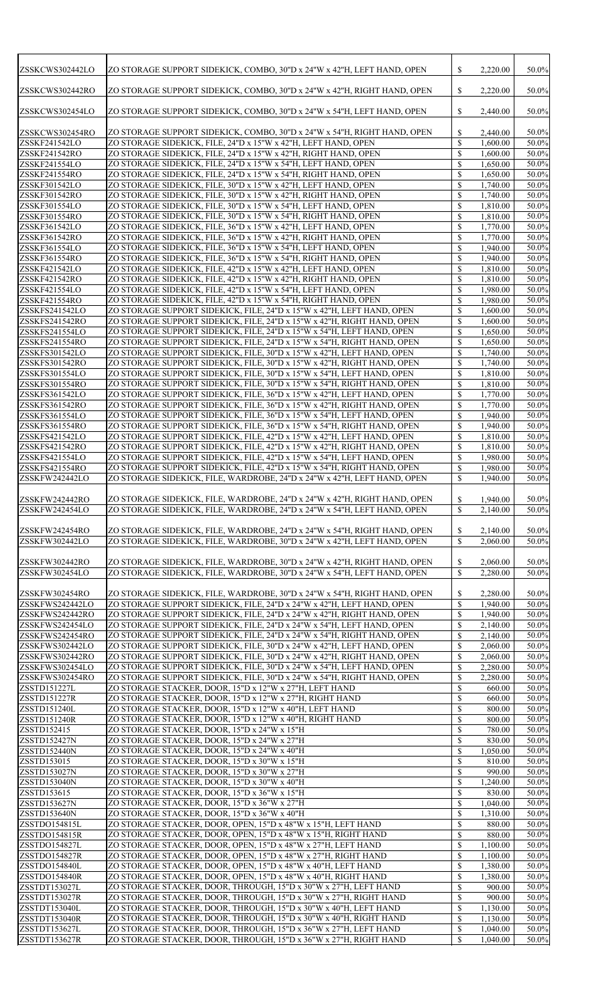| ZSSKCWS302442LO                                                                                                                                                                                                                                                                                                                                                                                                                                                                                             | ZO STORAGE SUPPORT SIDEKICK, COMBO, 30"D x 24"W x 42"H, LEFT HAND, OPEN                                                                                                                                                            | $\mathbb{S}$                                               | 2,220.00                         | 50.0%                                                                                                                                                                                                                                                                      |
|-------------------------------------------------------------------------------------------------------------------------------------------------------------------------------------------------------------------------------------------------------------------------------------------------------------------------------------------------------------------------------------------------------------------------------------------------------------------------------------------------------------|------------------------------------------------------------------------------------------------------------------------------------------------------------------------------------------------------------------------------------|------------------------------------------------------------|----------------------------------|----------------------------------------------------------------------------------------------------------------------------------------------------------------------------------------------------------------------------------------------------------------------------|
| ZSSKCWS302442RO                                                                                                                                                                                                                                                                                                                                                                                                                                                                                             | ZO STORAGE SUPPORT SIDEKICK, COMBO, 30"D x 24"W x 42"H, RIGHT HAND, OPEN                                                                                                                                                           | $\mathbb{S}$                                               | 2,220.00                         | 50.0%                                                                                                                                                                                                                                                                      |
| ZSSKCWS302454LO                                                                                                                                                                                                                                                                                                                                                                                                                                                                                             | ZO STORAGE SUPPORT SIDEKICK, COMBO, 30"D x 24"W x 54"H, LEFT HAND, OPEN                                                                                                                                                            | $\mathbb{S}$                                               | 2,440.00                         | 50.0%                                                                                                                                                                                                                                                                      |
| ZSSKCWS302454RO                                                                                                                                                                                                                                                                                                                                                                                                                                                                                             | ZO STORAGE SUPPORT SIDEKICK, COMBO, 30"D x 24"W x 54"H, RIGHT HAND, OPEN                                                                                                                                                           | $\boldsymbol{\mathsf{S}}$                                  | 2,440.00                         | 50.0%                                                                                                                                                                                                                                                                      |
| ZSSKF241542LO                                                                                                                                                                                                                                                                                                                                                                                                                                                                                               | ZO STORAGE SIDEKICK, FILE, 24"D x 15"W x 42"H, LEFT HAND, OPEN                                                                                                                                                                     | $\mathcal{S}$                                              | 1,600.00                         | 50.0%                                                                                                                                                                                                                                                                      |
| ZSSKF241542RO                                                                                                                                                                                                                                                                                                                                                                                                                                                                                               | ZO STORAGE SIDEKICK, FILE, 24"D x 15"W x 42"H, RIGHT HAND, OPEN                                                                                                                                                                    | $\mathcal{S}$                                              | 1,600.00                         | 50.0%                                                                                                                                                                                                                                                                      |
| ZSSKF241554LO                                                                                                                                                                                                                                                                                                                                                                                                                                                                                               | ZO STORAGE SIDEKICK, FILE, 24"D x 15"W x 54"H, LEFT HAND, OPEN                                                                                                                                                                     | $\boldsymbol{\mathsf{S}}$                                  | 1,650.00                         | 50.0%                                                                                                                                                                                                                                                                      |
| ZSSKF241554RO                                                                                                                                                                                                                                                                                                                                                                                                                                                                                               | ZO STORAGE SIDEKICK, FILE, 24"D x 15"W x 54"H, RIGHT HAND, OPEN                                                                                                                                                                    | $\mathcal{S}$                                              | 1,650.00                         | 50.0%                                                                                                                                                                                                                                                                      |
| ZSSKF301542LO                                                                                                                                                                                                                                                                                                                                                                                                                                                                                               | ZO STORAGE SIDEKICK, FILE, 30"D x 15"W x 42"H, LEFT HAND, OPEN                                                                                                                                                                     | $\mathcal{S}$                                              | 1,740.00                         | 50.0%                                                                                                                                                                                                                                                                      |
| ZSSKF301542RO                                                                                                                                                                                                                                                                                                                                                                                                                                                                                               | ZO STORAGE SIDEKICK, FILE, 30"D x 15"W x 42"H, RIGHT HAND, OPEN                                                                                                                                                                    | $\mathcal{S}$                                              | 1,740.00                         | 50.0%                                                                                                                                                                                                                                                                      |
| ZSSKF301554LO                                                                                                                                                                                                                                                                                                                                                                                                                                                                                               | ZO STORAGE SIDEKICK, FILE, 30"D x 15"W x 54"H, LEFT HAND, OPEN                                                                                                                                                                     | $\mathcal{S}$                                              | 1,810.00                         | 50.0%                                                                                                                                                                                                                                                                      |
| ZSSKF301554RO                                                                                                                                                                                                                                                                                                                                                                                                                                                                                               | ZO STORAGE SIDEKICK, FILE, 30"D x 15"W x 54"H, RIGHT HAND, OPEN                                                                                                                                                                    | $\mathcal{S}$                                              | 1,810.00                         | 50.0%                                                                                                                                                                                                                                                                      |
| ZSSKF361542LO                                                                                                                                                                                                                                                                                                                                                                                                                                                                                               | ZO STORAGE SIDEKICK, FILE, 36"D x 15"W x 42"H, LEFT HAND, OPEN                                                                                                                                                                     | $\boldsymbol{\mathsf{S}}$                                  | 1,770.00                         | 50.0%                                                                                                                                                                                                                                                                      |
|                                                                                                                                                                                                                                                                                                                                                                                                                                                                                                             |                                                                                                                                                                                                                                    |                                                            |                                  |                                                                                                                                                                                                                                                                            |
| ZSSKF361542RO                                                                                                                                                                                                                                                                                                                                                                                                                                                                                               | ZO STORAGE SIDEKICK, FILE, 36"D x 15"W x 42"H, RIGHT HAND, OPEN                                                                                                                                                                    | $\mathcal{S}$                                              | 1,770.00                         | 50.0%                                                                                                                                                                                                                                                                      |
| ZSSKF361554LO                                                                                                                                                                                                                                                                                                                                                                                                                                                                                               | ZO STORAGE SIDEKICK, FILE, 36"D x 15"W x 54"H, LEFT HAND, OPEN                                                                                                                                                                     | $\mathcal{S}$                                              | 1,940.00                         | 50.0%                                                                                                                                                                                                                                                                      |
| ZSSKF361554RO                                                                                                                                                                                                                                                                                                                                                                                                                                                                                               | ZO STORAGE SIDEKICK, FILE, 36"D x 15"W x 54"H, RIGHT HAND, OPEN                                                                                                                                                                    | $\mathcal{S}$                                              | 1,940.00                         | 50.0%                                                                                                                                                                                                                                                                      |
| ZSSKF421542LO                                                                                                                                                                                                                                                                                                                                                                                                                                                                                               | ZO STORAGE SIDEKICK, FILE, 42"D x 15"W x 42"H, LEFT HAND, OPEN                                                                                                                                                                     | $\mathcal{S}$                                              | 1,810.00                         | 50.0%                                                                                                                                                                                                                                                                      |
| ZSSKF421542RO                                                                                                                                                                                                                                                                                                                                                                                                                                                                                               | ZO STORAGE SIDEKICK, FILE, 42"D x 15"W x 42"H, RIGHT HAND, OPEN                                                                                                                                                                    | $\mathcal{S}$                                              | 1,810.00                         | 50.0%                                                                                                                                                                                                                                                                      |
| ZSSKF421554LO                                                                                                                                                                                                                                                                                                                                                                                                                                                                                               | ZO STORAGE SIDEKICK, FILE, 42"D x 15"W x 54"H, LEFT HAND, OPEN                                                                                                                                                                     | $\boldsymbol{\mathsf{S}}$                                  | 1,980.00                         | 50.0%                                                                                                                                                                                                                                                                      |
| ZSSKF421554RO                                                                                                                                                                                                                                                                                                                                                                                                                                                                                               | ZO STORAGE SIDEKICK, FILE, 42"D x 15"W x 54"H, RIGHT HAND, OPEN                                                                                                                                                                    | $\mathcal{S}$                                              | 1,980.00                         | 50.0%                                                                                                                                                                                                                                                                      |
| ZSSKFS241542LO                                                                                                                                                                                                                                                                                                                                                                                                                                                                                              | ZO STORAGE SUPPORT SIDEKICK, FILE, 24"D x 15"W x 42"H, LEFT HAND, OPEN                                                                                                                                                             | $\mathcal{S}$                                              | 1,600.00                         | 50.0%                                                                                                                                                                                                                                                                      |
| ZSSKFS241542RO                                                                                                                                                                                                                                                                                                                                                                                                                                                                                              | ZO STORAGE SUPPORT SIDEKICK, FILE, 24"D x 15"W x 42"H, RIGHT HAND, OPEN                                                                                                                                                            | $\mathcal{S}$                                              | 1,600.00                         | 50.0%                                                                                                                                                                                                                                                                      |
|                                                                                                                                                                                                                                                                                                                                                                                                                                                                                                             |                                                                                                                                                                                                                                    |                                                            |                                  | 50.0%                                                                                                                                                                                                                                                                      |
| ZSSKFS241554LO                                                                                                                                                                                                                                                                                                                                                                                                                                                                                              | ZO STORAGE SUPPORT SIDEKICK, FILE, 24"D x 15"W x 54"H, LEFT HAND, OPEN                                                                                                                                                             | $\mathcal{S}$                                              | 1,650.00                         |                                                                                                                                                                                                                                                                            |
| ZSSKFS241554RO                                                                                                                                                                                                                                                                                                                                                                                                                                                                                              | ZO STORAGE SUPPORT SIDEKICK, FILE, 24"D x 15"W x 54"H, RIGHT HAND, OPEN                                                                                                                                                            | $\mathbb{S}$                                               | 1,650.00                         | 50.0%                                                                                                                                                                                                                                                                      |
| ZSSKFS301542LO                                                                                                                                                                                                                                                                                                                                                                                                                                                                                              | ZO STORAGE SUPPORT SIDEKICK, FILE, 30"D x 15"W x 42"H, LEFT HAND, OPEN                                                                                                                                                             | $\boldsymbol{\mathsf{S}}$                                  | 1,740.00                         | 50.0%                                                                                                                                                                                                                                                                      |
| ZSSKFS301542RO                                                                                                                                                                                                                                                                                                                                                                                                                                                                                              | IZO STORAGE SUPPORT SIDEKICK. FILE. 30"D x 15"W x 42"H. RIGHT HAND. OPEN                                                                                                                                                           | $\mathcal{S}$                                              | 1,740.00                         | $50.0\%$                                                                                                                                                                                                                                                                   |
| ZSSKFS301554LO                                                                                                                                                                                                                                                                                                                                                                                                                                                                                              | ZO STORAGE SUPPORT SIDEKICK, FILE, 30"D x 15"W x 54"H, LEFT HAND, OPEN                                                                                                                                                             | $\mathbb{S}$                                               | 1,810.00                         | 50.0%                                                                                                                                                                                                                                                                      |
| ZSSKFS301554RO                                                                                                                                                                                                                                                                                                                                                                                                                                                                                              | ZO STORAGE SUPPORT SIDEKICK, FILE, 30"D x 15"W x 54"H, RIGHT HAND, OPEN                                                                                                                                                            | $\mathcal{S}$                                              | 1,810.00                         | 50.0%                                                                                                                                                                                                                                                                      |
| ZSSKFS361542LO                                                                                                                                                                                                                                                                                                                                                                                                                                                                                              | ZO STORAGE SUPPORT SIDEKICK, FILE, 36"D x 15"W x 42"H, LEFT HAND, OPEN                                                                                                                                                             | $\boldsymbol{\mathsf{S}}$                                  | 1,770.00                         | 50.0%                                                                                                                                                                                                                                                                      |
| ZSSKFS361542RO                                                                                                                                                                                                                                                                                                                                                                                                                                                                                              | ZO STORAGE SUPPORT SIDEKICK, FILE, 36"D x 15"W x 42"H, RIGHT HAND, OPEN                                                                                                                                                            | $\mathcal{S}$                                              | 1,770.00                         | 50.0%                                                                                                                                                                                                                                                                      |
| ZSSKFS361554LO                                                                                                                                                                                                                                                                                                                                                                                                                                                                                              | ZO STORAGE SUPPORT SIDEKICK, FILE, 36"D x 15"W x 54"H, LEFT HAND, OPEN                                                                                                                                                             | $\mathcal{S}$                                              | 1,940.00                         | 50.0%                                                                                                                                                                                                                                                                      |
| ZSSKFS361554RO                                                                                                                                                                                                                                                                                                                                                                                                                                                                                              | ZO STORAGE SUPPORT SIDEKICK, FILE, 36"D x 15"W x 54"H, RIGHT HAND, OPEN                                                                                                                                                            | $\mathcal{S}$                                              | 1,940.00                         | 50.0%                                                                                                                                                                                                                                                                      |
|                                                                                                                                                                                                                                                                                                                                                                                                                                                                                                             |                                                                                                                                                                                                                                    |                                                            |                                  |                                                                                                                                                                                                                                                                            |
| ZSSKFS421542LO                                                                                                                                                                                                                                                                                                                                                                                                                                                                                              | ZO STORAGE SUPPORT SIDEKICK, FILE, 42"D x 15"W x 42"H, LEFT HAND, OPEN                                                                                                                                                             | $\mathcal{S}$                                              | 1,810.00                         | 50.0%                                                                                                                                                                                                                                                                      |
| ZSSKFS421542RO                                                                                                                                                                                                                                                                                                                                                                                                                                                                                              | ZO STORAGE SUPPORT SIDEKICK, FILE, 42"D x 15"W x 42"H, RIGHT HAND, OPEN                                                                                                                                                            | $\mathcal{S}$                                              | 1,810.00                         | 50.0%                                                                                                                                                                                                                                                                      |
| ZSSKFS421554LO                                                                                                                                                                                                                                                                                                                                                                                                                                                                                              | ZO STORAGE SUPPORT SIDEKICK, FILE, 42"D x 15"W x 54"H, LEFT HAND, OPEN                                                                                                                                                             | $\boldsymbol{\mathsf{S}}$                                  | 1,980.00                         | 50.0%                                                                                                                                                                                                                                                                      |
| ZSSKFS421554RO                                                                                                                                                                                                                                                                                                                                                                                                                                                                                              | ZO STORAGE SUPPORT SIDEKICK, FILE, 42"D x 15"W x 54"H, RIGHT HAND, OPEN                                                                                                                                                            | $\mathcal{S}$                                              | 1,980.00                         | 50.0%                                                                                                                                                                                                                                                                      |
| ZSSKFW242442LO                                                                                                                                                                                                                                                                                                                                                                                                                                                                                              | ZO STORAGE SIDEKICK, FILE, WARDROBE, 24"D x 24"W x 42"H, LEFT HAND, OPEN                                                                                                                                                           | $\mathcal{S}$                                              | 1,940.00                         | 50.0%                                                                                                                                                                                                                                                                      |
| ZSSKFW242442RO<br>ZSSKFW242454LO<br>ZSSKFW242454RO                                                                                                                                                                                                                                                                                                                                                                                                                                                          | ZO STORAGE SIDEKICK, FILE, WARDROBE, 24"D x 24"W x 42"H, RIGHT HAND, OPEN<br>ZO STORAGE SIDEKICK, FILE, WARDROBE, 24"D x 24"W x 54"H, LEFT HAND, OPEN<br>ZO STORAGE SIDEKICK, FILE, WARDROBE, 24"D x 24"W x 54"H, RIGHT HAND, OPEN | $\boldsymbol{\mathsf{S}}$<br>$\mathcal{S}$<br>$\mathbb{S}$ | 1,940.00<br>2,140.00<br>2,140.00 | 50.0%<br>50.0%<br>50.0%                                                                                                                                                                                                                                                    |
| ZSSKFW302442LO                                                                                                                                                                                                                                                                                                                                                                                                                                                                                              | ZO STORAGE SIDEKICK, FILE, WARDROBE, 30"D x 24"W x 42"H, LEFT HAND, OPEN                                                                                                                                                           | $\boldsymbol{\mathsf{S}}$                                  | 2,060.00                         | 50.0%                                                                                                                                                                                                                                                                      |
| ZSSKFW302442RO                                                                                                                                                                                                                                                                                                                                                                                                                                                                                              | ZO STORAGE SIDEKICK, FILE, WARDROBE, 30"D x 24"W x 42"H, RIGHT HAND, OPEN                                                                                                                                                          |                                                            |                                  |                                                                                                                                                                                                                                                                            |
|                                                                                                                                                                                                                                                                                                                                                                                                                                                                                                             |                                                                                                                                                                                                                                    |                                                            |                                  |                                                                                                                                                                                                                                                                            |
|                                                                                                                                                                                                                                                                                                                                                                                                                                                                                                             |                                                                                                                                                                                                                                    | $\boldsymbol{\mathsf{S}}$                                  | 2,060.00                         | 50.0%                                                                                                                                                                                                                                                                      |
|                                                                                                                                                                                                                                                                                                                                                                                                                                                                                                             | ZO STORAGE SIDEKICK, FILE, WARDROBE, 30"D x 24"W x 54"H, LEFT HAND, OPEN                                                                                                                                                           | $\boldsymbol{\mathsf{S}}$                                  | 2,280.00                         | 50.0%                                                                                                                                                                                                                                                                      |
|                                                                                                                                                                                                                                                                                                                                                                                                                                                                                                             |                                                                                                                                                                                                                                    |                                                            |                                  |                                                                                                                                                                                                                                                                            |
|                                                                                                                                                                                                                                                                                                                                                                                                                                                                                                             | ZO STORAGE SIDEKICK, FILE, WARDROBE, 30"D x 24"W x 54"H, RIGHT HAND, OPEN                                                                                                                                                          | $\mathbb{S}$                                               | 2,280.00                         |                                                                                                                                                                                                                                                                            |
|                                                                                                                                                                                                                                                                                                                                                                                                                                                                                                             | ZO STORAGE SUPPORT SIDEKICK, FILE, 24"D x 24"W x 42"H, LEFT HAND, OPEN                                                                                                                                                             | $\mathcal{S}$                                              | 1,940.00                         |                                                                                                                                                                                                                                                                            |
|                                                                                                                                                                                                                                                                                                                                                                                                                                                                                                             | ZO STORAGE SUPPORT SIDEKICK, FILE, 24"D x 24"W x 42"H, RIGHT HAND, OPEN                                                                                                                                                            | $\mathbb{S}$                                               | 1,940.00                         |                                                                                                                                                                                                                                                                            |
|                                                                                                                                                                                                                                                                                                                                                                                                                                                                                                             | ZO STORAGE SUPPORT SIDEKICK, FILE, 24"D x 24"W x 54"H, LEFT HAND, OPEN                                                                                                                                                             | $\boldsymbol{\mathsf{S}}$                                  | 2,140.00                         |                                                                                                                                                                                                                                                                            |
|                                                                                                                                                                                                                                                                                                                                                                                                                                                                                                             | ZO STORAGE SUPPORT SIDEKICK, FILE, 24"D x 24"W x 54"H, RIGHT HAND, OPEN                                                                                                                                                            | $\mathcal{S}$                                              | 2,140.00                         |                                                                                                                                                                                                                                                                            |
|                                                                                                                                                                                                                                                                                                                                                                                                                                                                                                             | ZO STORAGE SUPPORT SIDEKICK, FILE, 30"D x 24"W x 42"H, LEFT HAND, OPEN                                                                                                                                                             | $\boldsymbol{\mathsf{S}}$                                  | 2,060.00                         |                                                                                                                                                                                                                                                                            |
|                                                                                                                                                                                                                                                                                                                                                                                                                                                                                                             | ZO STORAGE SUPPORT SIDEKICK, FILE, 30"D x 24"W x 42"H, RIGHT HAND, OPEN                                                                                                                                                            | $\mathcal{S}$                                              | 2,060.00                         |                                                                                                                                                                                                                                                                            |
|                                                                                                                                                                                                                                                                                                                                                                                                                                                                                                             | ZO STORAGE SUPPORT SIDEKICK, FILE, 30"D x 24"W x 54"H, LEFT HAND, OPEN                                                                                                                                                             | $\boldsymbol{\mathsf{S}}$                                  | 2,280.00                         |                                                                                                                                                                                                                                                                            |
|                                                                                                                                                                                                                                                                                                                                                                                                                                                                                                             |                                                                                                                                                                                                                                    | $\mathcal{S}$                                              |                                  |                                                                                                                                                                                                                                                                            |
|                                                                                                                                                                                                                                                                                                                                                                                                                                                                                                             | ZO STORAGE SUPPORT SIDEKICK, FILE, 30"D x 24"W x 54"H, RIGHT HAND, OPEN                                                                                                                                                            |                                                            | 2,280.00                         |                                                                                                                                                                                                                                                                            |
|                                                                                                                                                                                                                                                                                                                                                                                                                                                                                                             | ZO STORAGE STACKER, DOOR, 15"D x 12"W x 27"H, LEFT HAND                                                                                                                                                                            | $\mathbb{S}$                                               | 660.00                           |                                                                                                                                                                                                                                                                            |
|                                                                                                                                                                                                                                                                                                                                                                                                                                                                                                             | ZO STORAGE STACKER, DOOR, 15"D x 12"W x 27"H, RIGHT HAND                                                                                                                                                                           | $\boldsymbol{\mathsf{S}}$                                  | 660.00                           |                                                                                                                                                                                                                                                                            |
|                                                                                                                                                                                                                                                                                                                                                                                                                                                                                                             | ZO STORAGE STACKER, DOOR, 15"D x 12"W x 40"H, LEFT HAND                                                                                                                                                                            | $\boldsymbol{\mathsf{S}}$                                  | 800.00                           |                                                                                                                                                                                                                                                                            |
|                                                                                                                                                                                                                                                                                                                                                                                                                                                                                                             | ZO STORAGE STACKER, DOOR, 15"D x 12"W x 40"H, RIGHT HAND                                                                                                                                                                           | $\mathcal{S}$                                              | 800.00                           |                                                                                                                                                                                                                                                                            |
|                                                                                                                                                                                                                                                                                                                                                                                                                                                                                                             | ZO STORAGE STACKER, DOOR, 15"D x 24"W x 15"H                                                                                                                                                                                       | $\mathcal{S}$                                              | 780.00                           |                                                                                                                                                                                                                                                                            |
|                                                                                                                                                                                                                                                                                                                                                                                                                                                                                                             | ZO STORAGE STACKER, DOOR, 15"D x 24"W x 27"H                                                                                                                                                                                       | $\mathcal{S}$                                              | 830.00                           |                                                                                                                                                                                                                                                                            |
|                                                                                                                                                                                                                                                                                                                                                                                                                                                                                                             | ZO STORAGE STACKER, DOOR, 15"D x 24"W x 40"H                                                                                                                                                                                       | $\mathcal{S}$                                              | 1,050.00                         |                                                                                                                                                                                                                                                                            |
|                                                                                                                                                                                                                                                                                                                                                                                                                                                                                                             | ZO STORAGE STACKER, DOOR, 15"D x 30"W x 15"H                                                                                                                                                                                       | $\mathcal{S}$                                              | 810.00                           |                                                                                                                                                                                                                                                                            |
|                                                                                                                                                                                                                                                                                                                                                                                                                                                                                                             | ZO STORAGE STACKER, DOOR, 15"D x 30"W x 27"H                                                                                                                                                                                       | $\mathcal{S}$                                              | 990.00                           |                                                                                                                                                                                                                                                                            |
|                                                                                                                                                                                                                                                                                                                                                                                                                                                                                                             | ZO STORAGE STACKER, DOOR, 15"D x 30"W x 40"H                                                                                                                                                                                       | $\mathcal{S}$                                              | 1,240.00                         |                                                                                                                                                                                                                                                                            |
|                                                                                                                                                                                                                                                                                                                                                                                                                                                                                                             | ZO STORAGE STACKER, DOOR, 15"D x 36"W x 15"H                                                                                                                                                                                       | $\boldsymbol{\mathsf{S}}$                                  | 830.00                           |                                                                                                                                                                                                                                                                            |
|                                                                                                                                                                                                                                                                                                                                                                                                                                                                                                             |                                                                                                                                                                                                                                    | $\mathcal{S}$                                              | 1,040.00                         |                                                                                                                                                                                                                                                                            |
|                                                                                                                                                                                                                                                                                                                                                                                                                                                                                                             | ZO STORAGE STACKER, DOOR, 15"D x 36"W x 27"H                                                                                                                                                                                       |                                                            |                                  |                                                                                                                                                                                                                                                                            |
|                                                                                                                                                                                                                                                                                                                                                                                                                                                                                                             | ZO STORAGE STACKER, DOOR, 15"D x 36"W x 40"H                                                                                                                                                                                       | $\mathcal{S}$                                              | 1,310.00                         |                                                                                                                                                                                                                                                                            |
|                                                                                                                                                                                                                                                                                                                                                                                                                                                                                                             | ZO STORAGE STACKER, DOOR, OPEN, 15"D x 48"W x 15"H, LEFT HAND                                                                                                                                                                      | $\boldsymbol{\mathsf{S}}$                                  | 880.00                           |                                                                                                                                                                                                                                                                            |
|                                                                                                                                                                                                                                                                                                                                                                                                                                                                                                             | ZO STORAGE STACKER, DOOR, OPEN, 15"D x 48"W x 15"H, RIGHT HAND                                                                                                                                                                     | $\boldsymbol{\mathsf{S}}$                                  | 880.00                           |                                                                                                                                                                                                                                                                            |
|                                                                                                                                                                                                                                                                                                                                                                                                                                                                                                             | ZO STORAGE STACKER, DOOR, OPEN, 15"D x 48"W x 27"H, LEFT HAND                                                                                                                                                                      | $\mathcal{S}$                                              | 1,100.00                         |                                                                                                                                                                                                                                                                            |
|                                                                                                                                                                                                                                                                                                                                                                                                                                                                                                             | ZO STORAGE STACKER, DOOR, OPEN, 15"D x 48"W x 27"H, RIGHT HAND                                                                                                                                                                     | $\mathcal{S}$                                              | 1,100.00                         |                                                                                                                                                                                                                                                                            |
|                                                                                                                                                                                                                                                                                                                                                                                                                                                                                                             | ZO STORAGE STACKER, DOOR, OPEN, 15"D x 48"W x 40"H, LEFT HAND                                                                                                                                                                      | $\mathcal{S}$                                              | 1,380.00                         |                                                                                                                                                                                                                                                                            |
| ZSSKFW302454LO<br>ZSSKFW302454RO<br>ZSSKFWS242442LO<br>ZSSKFWS242442RO<br>ZSSKFWS242454LO<br>ZSSKFWS242454RO<br>ZSSKFWS302442LO<br>ZSSKFWS302442RO<br>ZSSKFWS302454LO<br>ZSSKFWS302454RO<br>ZSSTD151227L<br>ZSSTD151227R<br>ZSSTD151240L<br>ZSSTD151240R<br>ZSSTD152415<br>ZSSTD152427N<br>ZSSTD152440N<br>ZSSTD153015<br>ZSSTD153027N<br>ZSSTD153040N<br>ZSSTD153615<br>ZSSTD153627N<br>ZSSTD153640N<br>ZSSTDO154815L<br>ZSSTDO154815R<br>ZSSTDO154827L<br>ZSSTDO154827R<br>ZSSTDO154840L<br>ZSSTDO154840R | ZO STORAGE STACKER, DOOR, OPEN, 15"D x 48"W x 40"H, RIGHT HAND                                                                                                                                                                     | $\boldsymbol{\mathsf{S}}$                                  | 1,380.00                         |                                                                                                                                                                                                                                                                            |
| ZSSTDT153027L                                                                                                                                                                                                                                                                                                                                                                                                                                                                                               | ZO STORAGE STACKER, DOOR, THROUGH, 15"D x 30"W x 27"H, LEFT HAND                                                                                                                                                                   | $\mathcal{S}$                                              | 900.00                           |                                                                                                                                                                                                                                                                            |
| ZSSTDT153027R                                                                                                                                                                                                                                                                                                                                                                                                                                                                                               | ZO STORAGE STACKER, DOOR, THROUGH, 15"D x 30"W x 27"H, RIGHT HAND                                                                                                                                                                  | $\mathcal{S}$                                              | 900.00                           |                                                                                                                                                                                                                                                                            |
|                                                                                                                                                                                                                                                                                                                                                                                                                                                                                                             |                                                                                                                                                                                                                                    |                                                            |                                  | 50.0%<br>50.0%<br>50.0%<br>50.0%<br>50.0%<br>50.0%<br>50.0%<br>50.0%<br>50.0%<br>50.0%<br>50.0%<br>50.0%<br>50.0%<br>50.0%<br>50.0%<br>50.0%<br>50.0%<br>50.0%<br>50.0%<br>50.0%<br>50.0%<br>50.0%<br>50.0%<br>50.0%<br>50.0%<br>50.0%<br>50.0%<br>50.0%<br>50.0%<br>50.0% |
|                                                                                                                                                                                                                                                                                                                                                                                                                                                                                                             | ZO STORAGE STACKER, DOOR, THROUGH, 15"D x 30"W x 40"H, LEFT HAND                                                                                                                                                                   | $\mathcal{S}$                                              | 1,130.00                         |                                                                                                                                                                                                                                                                            |
| ZSSTDT153040L<br>ZSSTDT153040R<br>ZSSTDT153627L                                                                                                                                                                                                                                                                                                                                                                                                                                                             | ZO STORAGE STACKER, DOOR, THROUGH, 15"D x 30"W x 40"H, RIGHT HAND<br>ZO STORAGE STACKER, DOOR, THROUGH, 15"D x 36"W x 27"H, LEFT HAND                                                                                              | $\boldsymbol{\mathsf{S}}$<br>$\mathcal{S}$                 | 1,130.00<br>1,040.00             | 50.0%<br>50.0%<br>50.0%                                                                                                                                                                                                                                                    |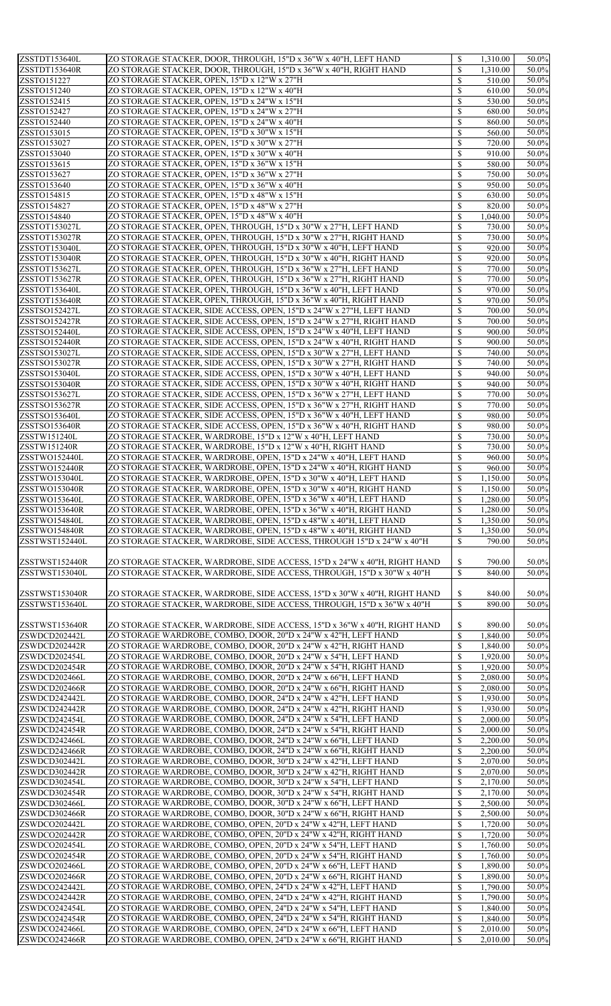| ZSSTDT153640L                                                                                                                                                                                                                                                                                                                                                                                                                         | ZO STORAGE STACKER, DOOR, THROUGH, 15"D x 36"W x 40"H, LEFT HAND                                                                    | $\mathcal{S}$             | 1,310.00 | 50.0% |
|---------------------------------------------------------------------------------------------------------------------------------------------------------------------------------------------------------------------------------------------------------------------------------------------------------------------------------------------------------------------------------------------------------------------------------------|-------------------------------------------------------------------------------------------------------------------------------------|---------------------------|----------|-------|
|                                                                                                                                                                                                                                                                                                                                                                                                                                       |                                                                                                                                     |                           |          |       |
| ZSSTDT153640R                                                                                                                                                                                                                                                                                                                                                                                                                         | ZO STORAGE STACKER, DOOR, THROUGH, 15"D x 36"W x 40"H, RIGHT HAND                                                                   | $\mathcal{S}$             | 1,310.00 | 50.0% |
| ZSSTO151227                                                                                                                                                                                                                                                                                                                                                                                                                           | ZO STORAGE STACKER, OPEN, 15"D x 12"W x 27"H                                                                                        | $\boldsymbol{\mathsf{S}}$ | 510.00   | 50.0% |
| ZSSTO151240                                                                                                                                                                                                                                                                                                                                                                                                                           | ZO STORAGE STACKER, OPEN, 15"D x 12"W x 40"H                                                                                        | $\mathbb{S}$              | 610.00   | 50.0% |
| ZSSTO152415                                                                                                                                                                                                                                                                                                                                                                                                                           | ZO STORAGE STACKER, OPEN, 15"D x 24"W x 15"H                                                                                        | $\boldsymbol{\mathsf{S}}$ | 530.00   | 50.0% |
|                                                                                                                                                                                                                                                                                                                                                                                                                                       |                                                                                                                                     |                           |          |       |
| ZSSTO152427                                                                                                                                                                                                                                                                                                                                                                                                                           | ZO STORAGE STACKER, OPEN, 15"D x 24"W x 27"H                                                                                        | $\boldsymbol{\mathsf{S}}$ | 680.00   | 50.0% |
| ZSSTO152440                                                                                                                                                                                                                                                                                                                                                                                                                           | ZO STORAGE STACKER, OPEN, 15"D x 24"W x 40"H                                                                                        | $\boldsymbol{\mathsf{S}}$ | 860.00   | 50.0% |
| ZSSTO153015                                                                                                                                                                                                                                                                                                                                                                                                                           | ZO STORAGE STACKER, OPEN, 15"D x 30"W x 15"H                                                                                        | $\mathbb{S}$              | 560.00   | 50.0% |
|                                                                                                                                                                                                                                                                                                                                                                                                                                       |                                                                                                                                     |                           |          |       |
| ZSSTO153027                                                                                                                                                                                                                                                                                                                                                                                                                           | ZO STORAGE STACKER, OPEN, 15"D x 30"W x 27"H                                                                                        | $\boldsymbol{\mathsf{S}}$ | 720.00   | 50.0% |
| ZSSTO153040                                                                                                                                                                                                                                                                                                                                                                                                                           | ZO STORAGE STACKER, OPEN, 15"D x 30"W x 40"H                                                                                        | $\mathcal{S}$             | 910.00   | 50.0% |
| ZSSTO153615                                                                                                                                                                                                                                                                                                                                                                                                                           | ZO STORAGE STACKER, OPEN, 15"D x 36"W x 15"H                                                                                        | $\boldsymbol{\mathsf{S}}$ | 580.00   | 50.0% |
|                                                                                                                                                                                                                                                                                                                                                                                                                                       |                                                                                                                                     |                           |          |       |
| ZSSTO153627                                                                                                                                                                                                                                                                                                                                                                                                                           | ZO STORAGE STACKER, OPEN, 15"D x 36"W x 27"H                                                                                        | $\mathbb{S}$              | 750.00   | 50.0% |
| ZSSTO153640                                                                                                                                                                                                                                                                                                                                                                                                                           | ZO STORAGE STACKER, OPEN, 15"D x 36"W x 40"H                                                                                        | $\boldsymbol{\mathsf{S}}$ | 950.00   | 50.0% |
| ZSSTO154815                                                                                                                                                                                                                                                                                                                                                                                                                           | ZO STORAGE STACKER, OPEN, 15"D x 48"W x 15"H                                                                                        | $\boldsymbol{\mathsf{S}}$ | 630.00   | 50.0% |
|                                                                                                                                                                                                                                                                                                                                                                                                                                       |                                                                                                                                     |                           |          |       |
| ZSSTO154827                                                                                                                                                                                                                                                                                                                                                                                                                           | ZO STORAGE STACKER, OPEN, 15"D x 48"W x 27"H                                                                                        | $\boldsymbol{\mathsf{S}}$ | 820.00   | 50.0% |
| ZSSTO154840                                                                                                                                                                                                                                                                                                                                                                                                                           | ZO STORAGE STACKER, OPEN, 15"D x 48"W x 40"H                                                                                        | $\mathbb{S}$              | 1,040.00 | 50.0% |
| ZSSTOT153027L                                                                                                                                                                                                                                                                                                                                                                                                                         | ZO STORAGE STACKER, OPEN, THROUGH, 15"D x 30"W x 27"H, LEFT HAND                                                                    | $\boldsymbol{\mathsf{S}}$ | 730.00   | 50.0% |
|                                                                                                                                                                                                                                                                                                                                                                                                                                       |                                                                                                                                     |                           |          |       |
| ZSSTOT153027R                                                                                                                                                                                                                                                                                                                                                                                                                         | ZO STORAGE STACKER, OPEN, THROUGH, 15"D x 30"W x 27"H, RIGHT HAND                                                                   | $\mathcal{S}$             | 730.00   | 50.0% |
| ZSSTOT153040L                                                                                                                                                                                                                                                                                                                                                                                                                         | ZO STORAGE STACKER, OPEN, THROUGH, 15"D x 30"W x 40"H, LEFT HAND                                                                    | $\boldsymbol{\mathsf{S}}$ | 920.00   | 50.0% |
| ZSSTOT153040R                                                                                                                                                                                                                                                                                                                                                                                                                         | ZO STORAGE STACKER, OPEN, THROUGH, 15"D x 30"W x 40"H, RIGHT HAND                                                                   | $\mathcal{S}$             | 920.00   | 50.0% |
|                                                                                                                                                                                                                                                                                                                                                                                                                                       |                                                                                                                                     |                           | 770.00   | 50.0% |
| ZSSTOT153627L                                                                                                                                                                                                                                                                                                                                                                                                                         | ZO STORAGE STACKER, OPEN, THROUGH, 15"D x 36"W x 27"H, LEFT HAND                                                                    | $\boldsymbol{\mathsf{S}}$ |          |       |
| ZSSTOT153627R                                                                                                                                                                                                                                                                                                                                                                                                                         | ZO STORAGE STACKER, OPEN, THROUGH, 15"D x 36"W x 27"H, RIGHT HAND                                                                   | $\mathcal{S}$             | 770.00   | 50.0% |
| ZSSTOT153640L                                                                                                                                                                                                                                                                                                                                                                                                                         | ZO STORAGE STACKER, OPEN, THROUGH, 15"D x 36"W x 40"H, LEFT HAND                                                                    | $\boldsymbol{\mathsf{S}}$ | 970.00   | 50.0% |
|                                                                                                                                                                                                                                                                                                                                                                                                                                       |                                                                                                                                     | $\mathbb{S}$              |          | 50.0% |
| ZSSTOT153640R                                                                                                                                                                                                                                                                                                                                                                                                                         | ZO STORAGE STACKER, OPEN, THROUGH, 15"D x 36"W x 40"H, RIGHT HAND                                                                   |                           | 970.00   |       |
| ZSSTSO152427L                                                                                                                                                                                                                                                                                                                                                                                                                         | ZO STORAGE STACKER, SIDE ACCESS, OPEN, 15"D x 24"W x 27"H, LEFT HAND                                                                | $\boldsymbol{\mathsf{S}}$ | 700.00   | 50.0% |
| ZSSTSO152427R                                                                                                                                                                                                                                                                                                                                                                                                                         | ZO STORAGE STACKER, SIDE ACCESS, OPEN, 15"D x 24"W x 27"H, RIGHT HAND                                                               | $\mathcal{S}$             | 700.00   | 50.0% |
| ZSSTSO152440L                                                                                                                                                                                                                                                                                                                                                                                                                         | ZO STORAGE STACKER, SIDE ACCESS, OPEN, 15"D x 24"W x 40"H, LEFT HAND                                                                | $\boldsymbol{\mathsf{S}}$ | 900.00   | 50.0% |
|                                                                                                                                                                                                                                                                                                                                                                                                                                       |                                                                                                                                     |                           |          |       |
| ZSSTSO152440R                                                                                                                                                                                                                                                                                                                                                                                                                         | ZO STORAGE STACKER, SIDE ACCESS, OPEN, 15"D x 24"W x 40"H, RIGHT HAND                                                               | $\mathbb{S}$              | 900.00   | 50.0% |
| ZSSTSO153027L                                                                                                                                                                                                                                                                                                                                                                                                                         | ZO STORAGE STACKER, SIDE ACCESS, OPEN, 15"D x 30"W x 27"H, LEFT HAND                                                                | $\boldsymbol{\mathsf{S}}$ | 740.00   | 50.0% |
| <b>ZSSTSO153027R</b>                                                                                                                                                                                                                                                                                                                                                                                                                  | ZO STORAGE STACKER, SIDE ACCESS, OPEN, 15"D x 30"W x 27"H, RIGHT HAND                                                               | $\mathcal{S}$             | 740.00   | 50.0% |
|                                                                                                                                                                                                                                                                                                                                                                                                                                       |                                                                                                                                     |                           |          |       |
| ZSSTSO153040L                                                                                                                                                                                                                                                                                                                                                                                                                         | ZO STORAGE STACKER, SIDE ACCESS, OPEN, 15"D x 30"W x 40"H, LEFT HAND                                                                | $\mathbb{S}$              | 940.00   | 50.0% |
| ZSSTSO153040R                                                                                                                                                                                                                                                                                                                                                                                                                         | ZO STORAGE STACKER, SIDE ACCESS, OPEN, 15"D x 30"W x 40"H, RIGHT HAND                                                               | $\mathcal{S}$             | 940.00   | 50.0% |
| ZSSTSO153627L                                                                                                                                                                                                                                                                                                                                                                                                                         | ZO STORAGE STACKER, SIDE ACCESS, OPEN, 15"D x 36"W x 27"H, LEFT HAND                                                                | $\boldsymbol{\mathsf{S}}$ | 770.00   | 50.0% |
|                                                                                                                                                                                                                                                                                                                                                                                                                                       | ZO STORAGE STACKER, SIDE ACCESS, OPEN, 15"D x 36"W x 27"H, RIGHT HAND                                                               | $\mathcal{S}$             | 770.00   | 50.0% |
| ZSSTSO153627R                                                                                                                                                                                                                                                                                                                                                                                                                         |                                                                                                                                     |                           |          |       |
| ZSSTSO153640L                                                                                                                                                                                                                                                                                                                                                                                                                         | ZO STORAGE STACKER, SIDE ACCESS, OPEN, 15"D x 36"W x 40"H, LEFT HAND                                                                | $\boldsymbol{\mathsf{S}}$ | 980.00   | 50.0% |
| ZSSTSO153640R                                                                                                                                                                                                                                                                                                                                                                                                                         | ZO STORAGE STACKER, SIDE ACCESS, OPEN, 15"D x 36"W x 40"H, RIGHT HAND                                                               | $\boldsymbol{\mathsf{S}}$ | 980.00   | 50.0% |
| ZSSTW151240L                                                                                                                                                                                                                                                                                                                                                                                                                          | ZO STORAGE STACKER, WARDROBE, 15"D x 12"W x 40"H, LEFT HAND                                                                         | $\boldsymbol{\mathsf{S}}$ | 730.00   | 50.0% |
|                                                                                                                                                                                                                                                                                                                                                                                                                                       |                                                                                                                                     |                           |          |       |
| ZSSTW151240R                                                                                                                                                                                                                                                                                                                                                                                                                          | ZO STORAGE STACKER, WARDROBE, 15"D x 12"W x 40"H, RIGHT HAND                                                                        | $\mathcal{S}$             | 730.00   | 50.0% |
| ZSSTWO152440L                                                                                                                                                                                                                                                                                                                                                                                                                         | ZO STORAGE STACKER, WARDROBE, OPEN, 15"D x 24"W x 40"H, LEFT HAND                                                                   | $\boldsymbol{\mathsf{S}}$ | 960.00   | 50.0% |
| ZSSTWO152440R                                                                                                                                                                                                                                                                                                                                                                                                                         | ZO STORAGE STACKER, WARDROBE, OPEN, 15"D x 24"W x 40"H, RIGHT HAND                                                                  | $\mathcal{S}$             | 960.00   | 50.0% |
|                                                                                                                                                                                                                                                                                                                                                                                                                                       |                                                                                                                                     |                           |          |       |
| ZSSTWO153040L                                                                                                                                                                                                                                                                                                                                                                                                                         | ZO STORAGE STACKER, WARDROBE, OPEN, 15"D x 30"W x 40"H, LEFT HAND                                                                   | $\mathcal{S}$             | 1,150.00 | 50.0% |
| ZSSTWO153040R                                                                                                                                                                                                                                                                                                                                                                                                                         | ZO STORAGE STACKER, WARDROBE, OPEN, 15"D x 30"W x 40"H, RIGHT HAND                                                                  | $\mathbb{S}$              | 1,150.00 | 50.0% |
| ZSSTWO153640L                                                                                                                                                                                                                                                                                                                                                                                                                         | ZO STORAGE STACKER, WARDROBE, OPEN, 15"D x 36"W x 40"H, LEFT HAND                                                                   | $\boldsymbol{\mathsf{S}}$ | 1,280.00 | 50.0% |
|                                                                                                                                                                                                                                                                                                                                                                                                                                       |                                                                                                                                     |                           |          |       |
| ZSSTWO153640R                                                                                                                                                                                                                                                                                                                                                                                                                         | ZO STORAGE STACKER, WARDROBE, OPEN, 15"D x 36"W x 40"H, RIGHT HAND                                                                  | $\mathcal{S}$             | 1,280.00 | 50.0% |
| ZSSTWO154840L                                                                                                                                                                                                                                                                                                                                                                                                                         | ZO STORAGE STACKER, WARDROBE, OPEN, 15"D x 48"W x 40"H, LEFT HAND                                                                   | $\mathcal{S}$             | 1,350.00 | 50.0% |
| ZSSTWO154840R                                                                                                                                                                                                                                                                                                                                                                                                                         | ZO STORAGE STACKER, WARDROBE, OPEN, 15"D x 48"W x 40"H, RIGHT HAND                                                                  | $\mathcal{S}$             | 1,350.00 | 50.0% |
|                                                                                                                                                                                                                                                                                                                                                                                                                                       |                                                                                                                                     |                           |          |       |
| ZSSTWST152440L                                                                                                                                                                                                                                                                                                                                                                                                                        | ZO STORAGE STACKER, WARDROBE, SIDE ACCESS, THROUGH 15"D x 24"W x 40"H                                                               | $\boldsymbol{\mathsf{S}}$ | 790.00   | 50.0% |
|                                                                                                                                                                                                                                                                                                                                                                                                                                       |                                                                                                                                     |                           |          |       |
| ZSSTWST152440R                                                                                                                                                                                                                                                                                                                                                                                                                        | ZO STORAGE STACKER, WARDROBE, SIDE ACCESS, 15"D x 24"W x 40"H, RIGHT HAND                                                           | $\boldsymbol{\mathsf{S}}$ | 790.00   | 50.0% |
| ZSSTWST153040L                                                                                                                                                                                                                                                                                                                                                                                                                        | ZO STORAGE STACKER, WARDROBE, SIDE ACCESS, THROUGH, 15"D x 30"W x 40"H                                                              | $\boldsymbol{\mathsf{S}}$ | 840.00   | 50.0% |
|                                                                                                                                                                                                                                                                                                                                                                                                                                       |                                                                                                                                     |                           |          |       |
|                                                                                                                                                                                                                                                                                                                                                                                                                                       |                                                                                                                                     |                           |          |       |
| ZSSTWST153040R                                                                                                                                                                                                                                                                                                                                                                                                                        | ZO STORAGE STACKER, WARDROBE, SIDE ACCESS, 15"D x 30"W x 40"H, RIGHT HAND                                                           | $\mathbb{S}$              | 840.00   | 50.0% |
| ZSSTWST153640L                                                                                                                                                                                                                                                                                                                                                                                                                        | ZO STORAGE STACKER, WARDROBE, SIDE ACCESS, THROUGH, 15"D x 36"W x 40"H                                                              | $\mathcal{S}$             | 890.00   | 50.0% |
|                                                                                                                                                                                                                                                                                                                                                                                                                                       |                                                                                                                                     |                           |          |       |
|                                                                                                                                                                                                                                                                                                                                                                                                                                       |                                                                                                                                     |                           |          |       |
| ZSSTWST153640R                                                                                                                                                                                                                                                                                                                                                                                                                        |                                                                                                                                     |                           |          |       |
|                                                                                                                                                                                                                                                                                                                                                                                                                                       | ZO STORAGE STACKER, WARDROBE, SIDE ACCESS, 15"D x 36"W x 40"H, RIGHT HAND                                                           | $\boldsymbol{\mathsf{S}}$ | 890.00   | 50.0% |
|                                                                                                                                                                                                                                                                                                                                                                                                                                       |                                                                                                                                     |                           |          |       |
|                                                                                                                                                                                                                                                                                                                                                                                                                                       | ZO STORAGE WARDROBE, COMBO, DOOR, 20"D x 24"W x 42"H, LEFT HAND                                                                     | $\boldsymbol{\mathsf{S}}$ | 1,840.00 | 50.0% |
|                                                                                                                                                                                                                                                                                                                                                                                                                                       | ZO STORAGE WARDROBE, COMBO, DOOR, 20"D x 24"W x 42"H, RIGHT HAND                                                                    | $\boldsymbol{\mathsf{S}}$ | 1,840.00 | 50.0% |
|                                                                                                                                                                                                                                                                                                                                                                                                                                       | ZO STORAGE WARDROBE, COMBO, DOOR, 20"D x 24"W x 54"H, LEFT HAND                                                                     | $\mathcal{S}$             | 1,920.00 | 50.0% |
|                                                                                                                                                                                                                                                                                                                                                                                                                                       |                                                                                                                                     |                           |          |       |
|                                                                                                                                                                                                                                                                                                                                                                                                                                       | ZO STORAGE WARDROBE, COMBO, DOOR, 20"D x 24"W x 54"H, RIGHT HAND                                                                    | $\boldsymbol{\mathsf{S}}$ | 1,920.00 | 50.0% |
|                                                                                                                                                                                                                                                                                                                                                                                                                                       | ZO STORAGE WARDROBE, COMBO, DOOR, 20"D x 24"W x 66"H, LEFT HAND                                                                     | $\boldsymbol{\mathsf{S}}$ | 2,080.00 | 50.0% |
|                                                                                                                                                                                                                                                                                                                                                                                                                                       | ZO STORAGE WARDROBE, COMBO, DOOR, 20"D x 24"W x 66"H, RIGHT HAND                                                                    | $\mathcal{S}$             | 2,080.00 | 50.0% |
|                                                                                                                                                                                                                                                                                                                                                                                                                                       | ZO STORAGE WARDROBE, COMBO, DOOR, 24"D x 24"W x 42"H, LEFT HAND                                                                     | $\boldsymbol{\mathsf{S}}$ | 1,930.00 | 50.0% |
|                                                                                                                                                                                                                                                                                                                                                                                                                                       |                                                                                                                                     |                           |          |       |
|                                                                                                                                                                                                                                                                                                                                                                                                                                       | ZO STORAGE WARDROBE, COMBO, DOOR, 24"D x 24"W x 42"H, RIGHT HAND                                                                    | $\boldsymbol{\mathsf{S}}$ | 1,930.00 | 50.0% |
|                                                                                                                                                                                                                                                                                                                                                                                                                                       | ZO STORAGE WARDROBE, COMBO, DOOR, 24"D x 24"W x 54"H, LEFT HAND                                                                     | $\mathcal{S}$             | 2,000.00 | 50.0% |
|                                                                                                                                                                                                                                                                                                                                                                                                                                       | ZO STORAGE WARDROBE, COMBO, DOOR, 24"D x 24"W x 54"H, RIGHT HAND                                                                    | $\boldsymbol{\mathsf{S}}$ | 2,000.00 | 50.0% |
|                                                                                                                                                                                                                                                                                                                                                                                                                                       |                                                                                                                                     |                           |          |       |
|                                                                                                                                                                                                                                                                                                                                                                                                                                       | ZO STORAGE WARDROBE, COMBO, DOOR, 24"D x 24"W x 66"H, LEFT HAND                                                                     | $\boldsymbol{\mathsf{S}}$ | 2,200.00 | 50.0% |
|                                                                                                                                                                                                                                                                                                                                                                                                                                       | ZO STORAGE WARDROBE, COMBO, DOOR, 24"D x 24"W x 66"H, RIGHT HAND                                                                    | $\boldsymbol{\mathsf{S}}$ | 2,200.00 | 50.0% |
|                                                                                                                                                                                                                                                                                                                                                                                                                                       | ZO STORAGE WARDROBE, COMBO, DOOR, 30"D x 24"W x 42"H, LEFT HAND                                                                     | $\boldsymbol{\mathsf{S}}$ | 2,070.00 | 50.0% |
|                                                                                                                                                                                                                                                                                                                                                                                                                                       | ZO STORAGE WARDROBE, COMBO, DOOR, 30"D x 24"W x 42"H, RIGHT HAND                                                                    | $\boldsymbol{\mathsf{S}}$ | 2,070.00 | 50.0% |
|                                                                                                                                                                                                                                                                                                                                                                                                                                       |                                                                                                                                     |                           |          |       |
|                                                                                                                                                                                                                                                                                                                                                                                                                                       | ZO STORAGE WARDROBE, COMBO, DOOR, 30"D x 24"W x 54"H, LEFT HAND                                                                     | $\boldsymbol{\mathsf{S}}$ | 2,170.00 | 50.0% |
|                                                                                                                                                                                                                                                                                                                                                                                                                                       | ZO STORAGE WARDROBE, COMBO, DOOR, 30"D x 24"W x 54"H, RIGHT HAND                                                                    | $\boldsymbol{\mathsf{S}}$ | 2,170.00 | 50.0% |
|                                                                                                                                                                                                                                                                                                                                                                                                                                       | ZO STORAGE WARDROBE, COMBO, DOOR, 30"D x 24"W x 66"H, LEFT HAND                                                                     | $\mathcal{S}$             | 2,500.00 | 50.0% |
|                                                                                                                                                                                                                                                                                                                                                                                                                                       |                                                                                                                                     |                           |          |       |
|                                                                                                                                                                                                                                                                                                                                                                                                                                       | ZO STORAGE WARDROBE, COMBO, DOOR, 30"D x 24"W x 66"H, RIGHT HAND                                                                    | $\boldsymbol{\mathsf{S}}$ | 2,500.00 | 50.0% |
|                                                                                                                                                                                                                                                                                                                                                                                                                                       | ZO STORAGE WARDROBE, COMBO, OPEN, 20"D x 24"W x 42"H, LEFT HAND                                                                     | $\boldsymbol{\mathsf{S}}$ | 1,720.00 | 50.0% |
|                                                                                                                                                                                                                                                                                                                                                                                                                                       | ZO STORAGE WARDROBE, COMBO, OPEN, 20"D x 24"W x 42"H, RIGHT HAND                                                                    | $\boldsymbol{\mathsf{S}}$ | 1,720.00 | 50.0% |
|                                                                                                                                                                                                                                                                                                                                                                                                                                       |                                                                                                                                     |                           |          |       |
|                                                                                                                                                                                                                                                                                                                                                                                                                                       | ZO STORAGE WARDROBE, COMBO, OPEN, 20"D x 24"W x 54"H, LEFT HAND                                                                     | $\mathcal{S}$             | 1,760.00 | 50.0% |
|                                                                                                                                                                                                                                                                                                                                                                                                                                       | ZO STORAGE WARDROBE, COMBO, OPEN, 20"D x 24"W x 54"H, RIGHT HAND                                                                    | $\boldsymbol{\mathsf{S}}$ | 1,760.00 | 50.0% |
|                                                                                                                                                                                                                                                                                                                                                                                                                                       | ZO STORAGE WARDROBE, COMBO, OPEN, 20"D x 24"W x 66"H, LEFT HAND                                                                     | $\mathcal{S}$             | 1,890.00 | 50.0% |
|                                                                                                                                                                                                                                                                                                                                                                                                                                       |                                                                                                                                     |                           |          |       |
|                                                                                                                                                                                                                                                                                                                                                                                                                                       | ZO STORAGE WARDROBE, COMBO, OPEN, 20"D x 24"W x 66"H, RIGHT HAND                                                                    | $\boldsymbol{\mathsf{S}}$ | 1,890.00 | 50.0% |
| ZSWDCD202442L<br>ZSWDCD202442R<br>ZSWDCD202454L<br>ZSWDCD202454R<br>ZSWDCD202466L<br>ZSWDCD202466R<br>ZSWDCD242442L<br>ZSWDCD242442R<br>ZSWDCD242454L<br>ZSWDCD242454R<br>ZSWDCD242466L<br>ZSWDCD242466R<br>ZSWDCD302442L<br>ZSWDCD302442R<br>ZSWDCD302454L<br>ZSWDCD302454R<br>ZSWDCD302466L<br>ZSWDCD302466R<br>ZSWDCO202442L<br>ZSWDCO202442R<br>ZSWDCO202454L<br>ZSWDCO202454R<br>ZSWDCO202466L<br>ZSWDCO202466R<br>ZSWDCO242442L | ZO STORAGE WARDROBE, COMBO, OPEN, 24"D x 24"W x 42"H, LEFT HAND                                                                     | $\mathcal{S}$             | 1,790.00 | 50.0% |
| ZSWDCO242442R                                                                                                                                                                                                                                                                                                                                                                                                                         | ZO STORAGE WARDROBE, COMBO, OPEN, 24"D x 24"W x 42"H, RIGHT HAND                                                                    | $\boldsymbol{\mathsf{S}}$ | 1,790.00 | 50.0% |
| ZSWDCO242454L                                                                                                                                                                                                                                                                                                                                                                                                                         |                                                                                                                                     | $\mathcal{S}$             | 1,840.00 | 50.0% |
|                                                                                                                                                                                                                                                                                                                                                                                                                                       | ZO STORAGE WARDROBE, COMBO, OPEN, 24"D x 24"W x 54"H, LEFT HAND                                                                     |                           |          |       |
| ZSWDCO242454R                                                                                                                                                                                                                                                                                                                                                                                                                         | ZO STORAGE WARDROBE, COMBO, OPEN, 24"D x 24"W x 54"H, RIGHT HAND                                                                    | $\boldsymbol{\mathsf{S}}$ | 1,840.00 | 50.0% |
| ZSWDCO242466L                                                                                                                                                                                                                                                                                                                                                                                                                         | ZO STORAGE WARDROBE, COMBO, OPEN, 24"D x 24"W x 66"H, LEFT HAND<br>ZO STORAGE WARDROBE, COMBO, OPEN, 24"D x 24"W x 66"H, RIGHT HAND | $\mathcal{S}$             | 2,010.00 | 50.0% |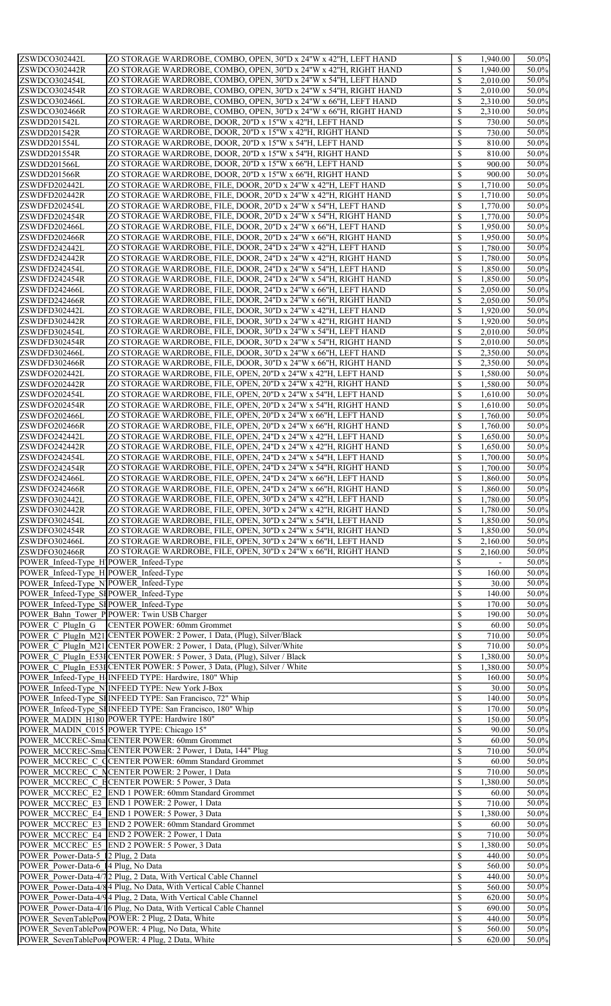| ZSWDCO302442L                                      | ZO STORAGE WARDROBE, COMBO, OPEN, 30"D x 24"W x 42"H, LEFT HAND          | $\mathcal{S}$             | 1,940.00 | 50.0% |
|----------------------------------------------------|--------------------------------------------------------------------------|---------------------------|----------|-------|
| ZSWDCO302442R                                      | ZO STORAGE WARDROBE, COMBO, OPEN, 30"D x 24"W x 42"H, RIGHT HAND         | $\boldsymbol{\mathsf{S}}$ | 1,940.00 | 50.0% |
| ZSWDCO302454L                                      | ZO STORAGE WARDROBE, COMBO, OPEN, 30"D x 24"W x 54"H, LEFT HAND          | $\boldsymbol{\mathsf{S}}$ | 2,010.00 | 50.0% |
| ZSWDCO302454R                                      | ZO STORAGE WARDROBE, COMBO, OPEN, 30"D x 24"W x 54"H, RIGHT HAND         | $\mathbb{S}$              | 2,010.00 | 50.0% |
|                                                    |                                                                          |                           |          |       |
| ZSWDCO302466L                                      | ZO STORAGE WARDROBE, COMBO, OPEN, 30"D x 24"W x 66"H, LEFT HAND          | $\boldsymbol{\mathsf{S}}$ | 2,310.00 | 50.0% |
| ZSWDCO302466R                                      | ZO STORAGE WARDROBE, COMBO, OPEN, 30"D x 24"W x 66"H, RIGHT HAND         | $\mathcal{S}$             | 2,310.00 | 50.0% |
| ZSWDD201542L                                       | ZO STORAGE WARDROBE, DOOR, 20"D x 15"W x 42"H, LEFT HAND                 | $\boldsymbol{\mathsf{S}}$ | 730.00   | 50.0% |
|                                                    |                                                                          |                           |          |       |
| ZSWDD201542R                                       | ZO STORAGE WARDROBE, DOOR, 20"D x 15"W x 42"H, RIGHT HAND                | $\mathbb{S}$              | 730.00   | 50.0% |
| ZSWDD201554L                                       | ZO STORAGE WARDROBE, DOOR, 20"D x 15"W x 54"H, LEFT HAND                 | $\boldsymbol{\mathsf{S}}$ | 810.00   | 50.0% |
| ZSWDD201554R                                       | ZO STORAGE WARDROBE, DOOR, 20"D x 15"W x 54"H, RIGHT HAND                | $\boldsymbol{\mathsf{S}}$ | 810.00   | 50.0% |
|                                                    |                                                                          |                           |          |       |
| ZSWDD201566L                                       | ZO STORAGE WARDROBE, DOOR, 20"D x 15"W x 66"H, LEFT HAND                 | $\boldsymbol{\mathsf{S}}$ | 900.00   | 50.0% |
| ZSWDD201566R                                       | ZO STORAGE WARDROBE, DOOR, 20"D x 15"W x 66"H, RIGHT HAND                | $\mathbb{S}$              | 900.00   | 50.0% |
| ZSWDFD202442L                                      | ZO STORAGE WARDROBE, FILE, DOOR, 20"D x 24"W x 42"H, LEFT HAND           | $\boldsymbol{\mathsf{S}}$ | 1,710.00 | 50.0% |
|                                                    |                                                                          |                           |          |       |
| ZSWDFD202442R                                      | ZO STORAGE WARDROBE, FILE, DOOR, 20"D x 24"W x 42"H, RIGHT HAND          | $\mathcal{S}$             | 1,710.00 | 50.0% |
| ZSWDFD202454L                                      | ZO STORAGE WARDROBE, FILE, DOOR, 20"D x 24"W x 54"H, LEFT HAND           | $\boldsymbol{\mathsf{S}}$ | 1,770.00 | 50.0% |
| ZSWDFD202454R                                      | ZO STORAGE WARDROBE, FILE, DOOR, 20"D x 24"W x 54"H, RIGHT HAND          | $\mathcal{S}$             | 1,770.00 | 50.0% |
| ZSWDFD202466L                                      | ZO STORAGE WARDROBE, FILE, DOOR, 20"D x 24"W x 66"H, LEFT HAND           | $\boldsymbol{\mathsf{S}}$ | 1,950.00 | 50.0% |
|                                                    |                                                                          |                           |          |       |
| ZSWDFD202466R                                      | ZO STORAGE WARDROBE, FILE, DOOR, 20"D x 24"W x 66"H, RIGHT HAND          | $\mathcal{S}$             | 1,950.00 | 50.0% |
| ZSWDFD242442L                                      | ZO STORAGE WARDROBE, FILE, DOOR, 24"D x 24"W x 42"H, LEFT HAND           | $\boldsymbol{\mathsf{S}}$ | 1,780.00 | 50.0% |
| ZSWDFD242442R                                      | ZO STORAGE WARDROBE, FILE, DOOR, 24"D x 24"W x 42"H, RIGHT HAND          | $\mathbb{S}$              | 1,780.00 | 50.0% |
|                                                    |                                                                          |                           |          |       |
| ZSWDFD242454L                                      | ZO STORAGE WARDROBE, FILE, DOOR, 24"D x 24"W x 54"H, LEFT HAND           | $\boldsymbol{\mathsf{S}}$ | 1,850.00 | 50.0% |
| ZSWDFD242454R                                      | ZO STORAGE WARDROBE, FILE, DOOR, 24"D x 24"W x 54"H, RIGHT HAND          | $\mathcal{S}$             | 1,850.00 | 50.0% |
| ZSWDFD242466L                                      | ZO STORAGE WARDROBE, FILE, DOOR, 24"D x 24"W x 66"H, LEFT HAND           | $\boldsymbol{\mathsf{S}}$ | 2,050.00 | 50.0% |
|                                                    |                                                                          |                           |          |       |
| ZSWDFD242466R                                      | ZO STORAGE WARDROBE, FILE, DOOR, 24"D x 24"W x 66"H, RIGHT HAND          | $\mathbb{S}$              | 2,050.00 | 50.0% |
| ZSWDFD302442L                                      | ZO STORAGE WARDROBE, FILE, DOOR, 30"D x 24"W x 42"H, LEFT HAND           | $\boldsymbol{\mathsf{S}}$ | 1,920.00 | 50.0% |
| ZSWDFD302442R                                      | ZO STORAGE WARDROBE, FILE, DOOR, 30"D x 24"W x 42"H, RIGHT HAND          | $\mathcal{S}$             | 1,920.00 | 50.0% |
|                                                    |                                                                          |                           |          |       |
| ZSWDFD302454L                                      | ZO STORAGE WARDROBE, FILE, DOOR, 30"D x 24"W x 54"H, LEFT HAND           | $\boldsymbol{\mathsf{S}}$ | 2,010.00 | 50.0% |
| ZSWDFD302454R                                      | ZO STORAGE WARDROBE, FILE, DOOR, 30"D x 24"W x 54"H, RIGHT HAND          | $\mathcal{S}$             | 2,010.00 | 50.0% |
| ZSWDFD302466L                                      | ZO STORAGE WARDROBE, FILE, DOOR, 30"D x 24"W x 66"H, LEFT HAND           | $\boldsymbol{\mathsf{S}}$ | 2,350.00 | 50.0% |
|                                                    |                                                                          |                           |          |       |
| ZSWDFD302466R                                      | ZO STORAGE WARDROBE, FILE, DOOR, 30"D x 24"W x 66"H, RIGHT HAND          | $\mathcal{S}$             | 2,350.00 | 50.0% |
| ZSWDFO202442L                                      | ZO STORAGE WARDROBE, FILE, OPEN, 20"D x 24"W x 42"H, LEFT HAND           | $\mathbb{S}$              | 1,580.00 | 50.0% |
| ZSWDFO202442R                                      | ZO STORAGE WARDROBE, FILE, OPEN, 20"D x 24"W x 42"H, RIGHT HAND          | $\mathbb{S}$              | 1,580.00 | 50.0% |
| ZSWDFO202454L                                      |                                                                          | $\mathcal{S}$             |          | 50.0% |
|                                                    | ZO STORAGE WARDROBE, FILE, OPEN, 20"D x 24"W x 54"H, LEFT HAND           |                           | 1,610.00 |       |
| ZSWDFO202454R                                      | ZO STORAGE WARDROBE, FILE, OPEN, 20"D x 24"W x 54"H, RIGHT HAND          | $\mathbb{S}$              | 1,610.00 | 50.0% |
| ZSWDFO202466L                                      | ZO STORAGE WARDROBE, FILE, OPEN, 20"D x 24"W x 66"H, LEFT HAND           | \$                        | 1,760.00 | 50.0% |
| ZSWDFO202466R                                      | ZO STORAGE WARDROBE, FILE, OPEN, 20"D x 24"W x 66"H, RIGHT HAND          | $\mathcal{S}$             | 1,760.00 | 50.0% |
|                                                    |                                                                          |                           |          |       |
| ZSWDFO242442L                                      | ZO STORAGE WARDROBE, FILE, OPEN, 24"D x 24"W x 42"H, LEFT HAND           | $\mathcal{S}$             | 1,650.00 | 50.0% |
| ZSWDFO242442R                                      | ZO STORAGE WARDROBE, FILE, OPEN, 24"D x 24"W x 42"H, RIGHT HAND          | $\mathbb{S}$              | 1,650.00 | 50.0% |
| ZSWDFO242454L                                      | ZO STORAGE WARDROBE, FILE, OPEN, 24"D x 24"W x 54"H, LEFT HAND           | \$                        | 1,700.00 | 50.0% |
|                                                    |                                                                          |                           |          |       |
| ZSWDFO242454R                                      | ZO STORAGE WARDROBE, FILE, OPEN, 24"D x 24"W x 54"H, RIGHT HAND          | $\mathcal{S}$             | 1,700.00 | 50.0% |
| ZSWDFO242466L                                      | ZO STORAGE WARDROBE, FILE, OPEN, 24"D x 24"W x 66"H, LEFT HAND           | $\mathcal{S}$             | 1,860.00 | 50.0% |
| ZSWDFO242466R                                      | ZO STORAGE WARDROBE, FILE, OPEN, 24"D x 24"W x 66"H, RIGHT HAND          | $\mathbb{S}$              | 1,860.00 | 50.0% |
|                                                    |                                                                          |                           |          | 50.0% |
| ZSWDFO302442L                                      | ZO STORAGE WARDROBE, FILE, OPEN, 30"D x 24"W x 42"H, LEFT HAND           | $\boldsymbol{\mathsf{S}}$ | 1,780.00 |       |
| ZSWDFO302442R                                      | ZO STORAGE WARDROBE, FILE, OPEN, 30"D x 24"W x 42"H, RIGHT HAND          | $\mathcal{S}$             | 1,780.00 | 50.0% |
| ZSWDFO302454L                                      | ZO STORAGE WARDROBE, FILE, OPEN, 30"D x 24"W x 54"H, LEFT HAND           | $\boldsymbol{\mathsf{S}}$ | 1,850.00 | 50.0% |
| ZSWDFO302454R                                      | ZO STORAGE WARDROBE, FILE, OPEN, 30"D x 24"W x 54"H, RIGHT HAND          | $\mathbb{S}$              | 1,850.00 | 50.0% |
|                                                    |                                                                          |                           |          |       |
| ZSWDFO302466L                                      | ZO STORAGE WARDROBE, FILE, OPEN, 30"D x 24"W x 66"H, LEFT HAND           | $\boldsymbol{\mathsf{S}}$ | 2,160.00 | 50.0% |
| ZSWDFO302466R                                      | ZO STORAGE WARDROBE, FILE, OPEN, 30"D x 24"W x 66"H, RIGHT HAND          | $\mathbb{S}$              | 2,160.00 | 50.0% |
| POWER Infeed-Type H <sup>1</sup> POWER Infeed-Type |                                                                          | \$                        |          | 50.0% |
|                                                    |                                                                          |                           |          |       |
| POWER Infeed-Type H POWER Infeed-Type              |                                                                          | $\mathbb{S}$              | 160.00   | 50.0% |
| POWER Infeed-Type N POWER Infeed-Type              |                                                                          | $\boldsymbol{\mathsf{S}}$ | 30.00    | 50.0% |
| POWER Infeed-Type SHPOWER Infeed-Type              |                                                                          | $\mathcal{S}$             | 140.00   | 50.0% |
|                                                    |                                                                          |                           |          |       |
| POWER Infeed-Type SHPOWER Infeed-Type              |                                                                          | $\boldsymbol{\mathsf{S}}$ | 170.00   | 50.0% |
|                                                    | POWER Bahn Tower P POWER: Twin USB Charger                               | $\mathbb{S}$              | 190.00   | 50.0% |
|                                                    | POWER C PlugIn G CENTER POWER: 60mm Grommet                              | $\boldsymbol{\mathsf{S}}$ | 60.00    | 50.0% |
|                                                    |                                                                          |                           |          |       |
|                                                    | POWER C PlugIn M21 CENTER POWER: 2 Power, 1 Data, (Plug), Silver/Black   | $\boldsymbol{\mathsf{S}}$ | 710.00   | 50.0% |
|                                                    | POWER C PlugIn M21 CENTER POWER: 2 Power, 1 Data, (Plug), Silver/White   | $\boldsymbol{\mathsf{S}}$ | 710.00   | 50.0% |
|                                                    | POWER C PlugIn E53FCENTER POWER: 5 Power, 3 Data, (Plug), Silver / Black | $\mathbb{S}$              | 1,380.00 | 50.0% |
|                                                    | POWER C PlugIn E53FCENTER POWER: 5 Power, 3 Data, (Plug), Silver / White | $\boldsymbol{\mathsf{S}}$ | 1,380.00 | 50.0% |
|                                                    |                                                                          |                           |          |       |
|                                                    | POWER_Infeed-Type_H-INFEED TYPE: Hardwire, 180" Whip                     | $\mathcal{S}$             | 160.00   | 50.0% |
|                                                    | POWER Infeed-Type NINFEED TYPE: New York J-Box                           | $\mathbb{S}$              | 30.00    | 50.0% |
|                                                    | POWER Infeed-Type SHINFEED TYPE: San Francisco, 72" Whip                 | $\mathcal{S}$             | 140.00   | 50.0% |
|                                                    | POWER Infeed-Type SHINFEED TYPE: San Francisco, 180" Whip                | $\mathcal{S}$             | 170.00   | 50.0% |
|                                                    |                                                                          |                           |          |       |
| POWER MADIN H180 POWER TYPE: Hardwire 180"         |                                                                          | $\mathbb{S}$              | 150.00   | 50.0% |
|                                                    |                                                                          | $\mathcal{S}$             | 90.00    | 50.0% |
|                                                    | POWER MADIN C015 POWER TYPE: Chicago 15"                                 |                           |          |       |
|                                                    |                                                                          |                           |          |       |
|                                                    | POWER MCCREC-SmalCENTER POWER: 60mm Grommet                              | $\mathbb{S}$              | 60.00    | 50.0% |
|                                                    | POWER MCCREC-SmalCENTER POWER: 2 Power, 1 Data, 144" Plug                | $\mathbb{S}$              | 710.00   | 50.0% |
|                                                    | POWER MCCREC C GCENTER POWER: 60mm Standard Grommet                      | $\mathbb{S}$              | 60.00    | 50.0% |
|                                                    |                                                                          |                           |          |       |
|                                                    | POWER MCCREC C NCENTER POWER: 2 Power, 1 Data                            | $\mathcal{S}$             | 710.00   | 50.0% |
|                                                    | POWER MCCREC C ECENTER POWER: 5 Power, 3 Data                            | $\mathbb{S}$              | 1,380.00 | 50.0% |
|                                                    | POWER MCCREC E2 END 1 POWER: 60mm Standard Grommet                       | $\mathcal{S}$             | 60.00    | 50.0% |
|                                                    |                                                                          |                           |          |       |
|                                                    | POWER MCCREC E3 END 1 POWER: 2 Power, 1 Data                             | $\mathbb{S}$              | 710.00   | 50.0% |
|                                                    | POWER MCCREC E4 END 1 POWER: 5 Power, 3 Data                             | $\mathcal{S}$             | 1,380.00 | 50.0% |
|                                                    | POWER MCCREC E3 END 2 POWER: 60mm Standard Grommet                       | $\mathcal{S}$             | 60.00    | 50.0% |
|                                                    |                                                                          |                           |          |       |
|                                                    | POWER MCCREC E4 END 2 POWER: 2 Power, 1 Data                             | $\boldsymbol{\mathsf{S}}$ | 710.00   | 50.0% |
|                                                    | POWER MCCREC E5   END 2 POWER: 5 Power, 3 Data                           | $\mathbb{S}$              | 1,380.00 | 50.0% |
|                                                    |                                                                          | $\boldsymbol{\mathsf{S}}$ | 440.00   | 50.0% |
| POWER Power-Data-5 12 Plug, 2 Data                 |                                                                          |                           |          |       |
| POWER Power-Data-6 14 Plug, No Data                |                                                                          | $\mathbb{S}$              | 560.00   | 50.0% |
|                                                    | POWER Power-Data-4/72 Plug, 2 Data, With Vertical Cable Channel          | $\boldsymbol{\mathsf{S}}$ | 440.00   | 50.0% |
|                                                    | POWER Power-Data-4/84 Plug, No Data, With Vertical Cable Channel         | $\mathbb{S}$              | 560.00   | 50.0% |
|                                                    |                                                                          |                           |          |       |
|                                                    | POWER Power-Data-4/9 4 Plug, 2 Data, With Vertical Cable Channel         | $\boldsymbol{\mathsf{S}}$ | 620.00   | 50.0% |
|                                                    | POWER Power-Data-4/16 Plug, No Data, With Vertical Cable Channel         | $\mathbb{S}$              | 690.00   | 50.0% |
|                                                    | POWER SevenTablePowPOWER: 2 Plug, 2 Data, White                          | $\boldsymbol{\mathsf{S}}$ | 440.00   | 50.0% |
|                                                    | POWER SevenTablePow POWER: 4 Plug, No Data, White                        | $\mathbb{S}$              | 560.00   | 50.0% |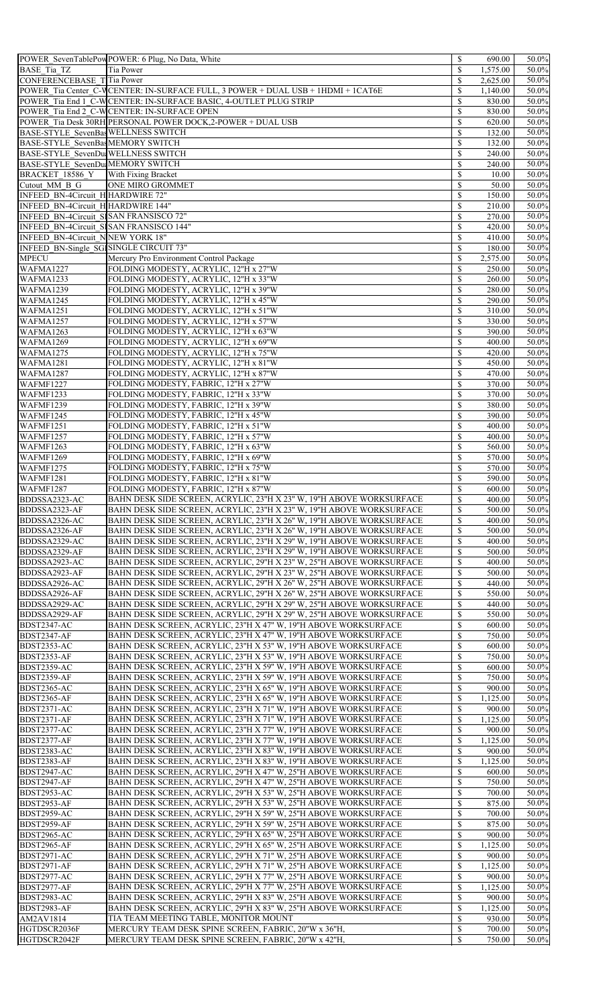|                                           | POWER SevenTablePowPOWER: 6 Plug, No Data, White                                 | $\mathbb{S}$              | 690.00   | 50.0% |
|-------------------------------------------|----------------------------------------------------------------------------------|---------------------------|----------|-------|
| <b>BASE</b> Tia TZ                        | Tia Power                                                                        | \$                        | 1,575.00 | 50.0% |
| <b>CONFERENCEBASE TTia Power</b>          |                                                                                  | \$                        | 2,625.00 | 50.0% |
|                                           | POWER Tia Center C-WCENTER: IN-SURFACE FULL, 3 POWER + DUAL USB + 1HDMI + 1CAT6E | \$                        | 1,140.00 | 50.0% |
|                                           |                                                                                  |                           |          |       |
|                                           | POWER Tia End 1 C-WCENTER: IN-SURFACE BASIC, 4-OUTLET PLUG STRIP                 | \$                        | 830.00   | 50.0% |
|                                           | POWER Tia End 2 C-WCENTER: IN-SURFACE OPEN                                       | \$                        | 830.00   | 50.0% |
|                                           | POWER Tia Desk 30RH PERSONAL POWER DOCK, 2-POWER + DUAL USB                      | \$                        | 620.00   | 50.0% |
| BASE-STYLE SevenBas WELLNESS SWITCH       |                                                                                  | \$                        | 132.00   | 50.0% |
| BASE-STYLE SevenBasMEMORY SWITCH          |                                                                                  | \$                        | 132.00   | 50.0% |
| BASE-STYLE SevenDu WELLNESS SWITCH        |                                                                                  | \$                        | 240.00   | 50.0% |
| BASE-STYLE SevenDu MEMORY SWITCH          |                                                                                  | \$                        | 240.00   | 50.0% |
| BRACKET 18586 Y                           | With Fixing Bracket                                                              | \$                        | 10.00    | 50.0% |
| Cutout MM B G                             | <b>ONE MIRO GROMMET</b>                                                          | \$                        | 50.00    | 50.0% |
| INFEED BN-4Circuit H HARDWIRE 72"         |                                                                                  | \$                        | 150.00   | 50.0% |
| <b>INFEED BN-4Circuit H HARDWIRE 144"</b> |                                                                                  | \$                        | 210.00   | 50.0% |
|                                           |                                                                                  |                           |          |       |
| INFEED BN-4Circuit SISAN FRANSISCO 72"    |                                                                                  | \$                        | 270.00   | 50.0% |
| INFEED BN-4Circuit SISAN FRANSISCO 144"   |                                                                                  | \$                        | 420.00   | 50.0% |
| <b>INFEED BN-4Circuit NNEW YORK 18"</b>   |                                                                                  | \$                        | 410.00   | 50.0% |
| INFEED BN-Single SGISINGLE CIRCUIT 73"    |                                                                                  | \$                        | 180.00   | 50.0% |
| <b>MPECU</b>                              | Mercury Pro Environment Control Package                                          | \$                        | 2,575.00 | 50.0% |
| WAFMA1227                                 | FOLDING MODESTY, ACRYLIC, 12"H x 27"W                                            | \$                        | 250.00   | 50.0% |
| WAFMA1233                                 | FOLDING MODESTY, ACRYLIC, 12"H x 33"W                                            | \$                        | 260.00   | 50.0% |
| WAFMA1239                                 | FOLDING MODESTY, ACRYLIC, 12"H x 39"W                                            | \$                        | 280.00   | 50.0% |
| WAFMA1245                                 | FOLDING MODESTY, ACRYLIC, 12"H x 45"W                                            | \$                        | 290.00   | 50.0% |
|                                           |                                                                                  |                           |          |       |
| WAFMA1251                                 | FOLDING MODESTY, ACRYLIC, 12"H x 51"W                                            | \$                        | 310.00   | 50.0% |
| WAFMA1257                                 | FOLDING MODESTY, ACRYLIC, 12"H x 57"W                                            | \$                        | 330.00   | 50.0% |
| WAFMA1263                                 | FOLDING MODESTY, ACRYLIC, 12"H x 63"W                                            | \$                        | 390.00   | 50.0% |
| WAFMA1269                                 | FOLDING MODESTY, ACRYLIC, 12"H x 69"W                                            | \$                        | 400.00   | 50.0% |
| WAFMA1275                                 | FOLDING MODESTY, ACRYLIC, 12"H x 75"W                                            | \$                        | 420.00   | 50.0% |
| WAFMA1281                                 | FOLDING MODESTY, ACRYLIC, 12"H x 81"W                                            |                           | 450.00   | 50.0% |
| WAFMA1287                                 | FOLDING MODESTY, ACRYLIC, 12"H x 87"W                                            | \$                        | 470.00   | 50.0% |
| WAFMF1227                                 | FOLDING MODESTY, FABRIC, 12"H x 27"W                                             | \$                        | 370.00   | 50.0% |
| WAFMF1233                                 | FOLDING MODESTY, FABRIC, 12"H x 33"W                                             | \$                        | 370.00   | 50.0% |
| WAFMF1239                                 | FOLDING MODESTY, FABRIC, 12"H x 39"W                                             | \$                        | 380.00   | 50.0% |
| WAFMF1245                                 | FOLDING MODESTY, FABRIC, 12"H x 45"W                                             | \$                        | 390.00   | 50.0% |
|                                           |                                                                                  |                           |          |       |
| WAFMF1251                                 | FOLDING MODESTY, FABRIC, 12"H x 51"W                                             | \$                        | 400.00   | 50.0% |
| WAFMF1257                                 | FOLDING MODESTY, FABRIC, 12"H x 57"W                                             | \$                        | 400.00   | 50.0% |
| WAFMF1263                                 | FOLDING MODESTY, FABRIC, 12"H x 63"W                                             | \$                        | 560.00   | 50.0% |
| WAFMF1269                                 | FOLDING MODESTY, FABRIC, 12"H x 69"W                                             | \$                        | 570.00   | 50.0% |
| WAFMF1275                                 | FOLDING MODESTY, FABRIC, 12"H x 75"W                                             | \$                        | 570.00   | 50.0% |
| WAFMF1281                                 | FOLDING MODESTY, FABRIC, 12"H x 81"W                                             | \$                        | 590.00   | 50.0% |
| WAFMF1287                                 | FOLDING MODESTY, FABRIC, 12"H x 87"W                                             | \$                        | 600.00   | 50.0% |
| BDDSSA2323-AC                             | BAHN DESK SIDE SCREEN, ACRYLIC, 23"H X 23" W, 19"H ABOVE WORKSURFACE             | \$                        | 400.00   | 50.0% |
| BDDSSA2323-AF                             |                                                                                  |                           |          | 50.0% |
|                                           | BAHN DESK SIDE SCREEN, ACRYLIC, 23"H X 23" W, 19"H ABOVE WORKSURFACE             | \$                        | 500.00   |       |
| BDDSSA2326-AC                             | BAHN DESK SIDE SCREEN, ACRYLIC, 23"H X 26" W, 19"H ABOVE WORKSURFACE             | \$                        | 400.00   | 50.0% |
| BDDSSA2326-AF                             | BAHN DESK SIDE SCREEN, ACRYLIC, 23"H X 26" W, 19"H ABOVE WORKSURFACE             | \$                        | 500.00   | 50.0% |
| BDDSSA2329-AC                             | BAHN DESK SIDE SCREEN, ACRYLIC, 23"H X 29" W, 19"H ABOVE WORKSURFACE             | \$                        | 400.00   | 50.0% |
| BDDSSA2329-AF                             | BAHN DESK SIDE SCREEN, ACRYLIC, 23"H X 29" W, 19"H ABOVE WORKSURFACE             | \$                        | 500.00   | 50.0% |
| BDDSSA2923-AC                             | BAHN DESK SIDE SCREEN, ACRYLIC, 29"H X 23" W, 25"H ABOVE WORKSURFACE             | \$                        | 400.00   | 50.0% |
| BDDSSA2923-AF                             | BAHN DESK SIDE SCREEN, ACRYLIC, 29"H X 23" W, 25"H ABOVE WORKSURFACE             | \$                        | 500.00   | 50.0% |
| BDDSSA2926-AC                             | BAHN DESK SIDE SCREEN, ACRYLIC, 29"H X 26" W, 25"H ABOVE WORKSURFACE             | \$                        | 440.00   | 50.0% |
| BDDSSA2926-AF                             | BAHN DESK SIDE SCREEN, ACRYLIC, 29"H X 26" W, 25"H ABOVE WORKSURFACE             | \$                        | 550.00   | 50.0% |
|                                           |                                                                                  |                           |          |       |
| BDDSSA2929-AC                             | BAHN DESK SIDE SCREEN, ACRYLIC, 29"H X 29" W, 25"H ABOVE WORKSURFACE             | \$                        | 440.00   | 50.0% |
| BDDSSA2929-AF                             | BAHN DESK SIDE SCREEN, ACRYLIC, 29"H X 29" W, 25"H ABOVE WORKSURFACE             | \$                        | 550.00   | 50.0% |
| BDST2347-AC                               | BAHN DESK SCREEN, ACRYLIC, 23"H X 47" W, 19"H ABOVE WORKSURFACE                  | \$                        | 600.00   | 50.0% |
| <b>BDST2347-AF</b>                        | BAHN DESK SCREEN, ACRYLIC, 23"H X 47" W, 19"H ABOVE WORKSURFACE                  | \$                        | 750.00   | 50.0% |
| BDST2353-AC                               | BAHN DESK SCREEN, ACRYLIC, 23"H X 53" W, 19"H ABOVE WORKSURFACE                  | \$                        | 600.00   | 50.0% |
| BDST2353-AF                               | BAHN DESK SCREEN, ACRYLIC, 23"H X 53" W, 19"H ABOVE WORKSURFACE                  | \$                        | 750.00   | 50.0% |
| <b>BDST2359-AC</b>                        | BAHN DESK SCREEN, ACRYLIC, 23"H X 59" W, 19"H ABOVE WORKSURFACE                  | \$                        | 600.00   | 50.0% |
| BDST2359-AF                               | BAHN DESK SCREEN, ACRYLIC, 23"H X 59" W, 19"H ABOVE WORKSURFACE                  |                           | 750.00   | 50.0% |
| BDST2365-AC                               |                                                                                  | $\mathbb{S}$              |          | 50.0% |
|                                           | BAHN DESK SCREEN, ACRYLIC, 23"H X 65" W, 19"H ABOVE WORKSURFACE                  |                           | 900.00   |       |
| <b>BDST2365-AF</b>                        | BAHN DESK SCREEN, ACRYLIC, 23"H X 65" W, 19"H ABOVE WORKSURFACE                  | \$                        | 1,125.00 | 50.0% |
| BDST2371-AC                               | BAHN DESK SCREEN, ACRYLIC, 23"H X 71" W, 19"H ABOVE WORKSURFACE                  | \$                        | 900.00   | 50.0% |
| BDST2371-AF                               | BAHN DESK SCREEN, ACRYLIC, 23"H X 71" W, 19"H ABOVE WORKSURFACE                  | \$                        | 1,125.00 | 50.0% |
| BDST2377-AC                               | BAHN DESK SCREEN, ACRYLIC, 23"H X 77" W, 19"H ABOVE WORKSURFACE                  | \$                        | 900.00   | 50.0% |
| BDST2377-AF                               | BAHN DESK SCREEN, ACRYLIC, 23"H X 77" W, 19"H ABOVE WORKSURFACE                  | \$                        | 1,125.00 | 50.0% |
| BDST2383-AC                               | BAHN DESK SCREEN, ACRYLIC, 23"H X 83" W, 19"H ABOVE WORKSURFACE                  | \$                        | 900.00   | 50.0% |
| BDST2383-AF                               | BAHN DESK SCREEN, ACRYLIC, 23"H X 83" W, 19"H ABOVE WORKSURFACE                  | $\mathbb{S}$              | 1,125.00 | 50.0% |
| <b>BDST2947-AC</b>                        | BAHN DESK SCREEN, ACRYLIC, 29"H X 47" W, 25"H ABOVE WORKSURFACE                  | \$                        | 600.00   | 50.0% |
| <b>BDST2947-AF</b>                        | BAHN DESK SCREEN, ACRYLIC, 29"H X 47" W, 25"H ABOVE WORKSURFACE                  | \$                        | 750.00   | 50.0% |
| <b>BDST2953-AC</b>                        | BAHN DESK SCREEN, ACRYLIC, 29"H X 53" W, 25"H ABOVE WORKSURFACE                  | \$                        | 700.00   | 50.0% |
| BDST2953-AF                               | BAHN DESK SCREEN, ACRYLIC, 29"H X 53" W, 25"H ABOVE WORKSURFACE                  | \$                        | 875.00   | 50.0% |
| <b>BDST2959-AC</b>                        |                                                                                  | \$                        | 700.00   | 50.0% |
|                                           | BAHN DESK SCREEN, ACRYLIC, 29"H X 59" W, 25"H ABOVE WORKSURFACE                  |                           |          |       |
| <b>BDST2959-AF</b>                        | BAHN DESK SCREEN, ACRYLIC, 29"H X 59" W, 25"H ABOVE WORKSURFACE                  | \$                        | 875.00   | 50.0% |
| <b>BDST2965-AC</b>                        | BAHN DESK SCREEN, ACRYLIC, 29"H X 65" W, 25"H ABOVE WORKSURFACE                  | \$                        | 900.00   | 50.0% |
| <b>BDST2965-AF</b>                        | BAHN DESK SCREEN, ACRYLIC, 29"H X 65" W, 25"H ABOVE WORKSURFACE                  | \$                        | 1,125.00 | 50.0% |
| <b>BDST2971-AC</b>                        | BAHN DESK SCREEN, ACRYLIC, 29"H X 71" W, 25"H ABOVE WORKSURFACE                  | \$                        | 900.00   | 50.0% |
| <b>BDST2971-AF</b>                        | BAHN DESK SCREEN, ACRYLIC, 29"H X 71" W, 25"H ABOVE WORKSURFACE                  | \$                        | 1,125.00 | 50.0% |
| BDST2977-AC                               | BAHN DESK SCREEN, ACRYLIC, 29"H X 77" W, 25"H ABOVE WORKSURFACE                  | \$                        | 900.00   | 50.0% |
| BDST2977-AF                               | BAHN DESK SCREEN, ACRYLIC, 29"H X 77" W, 25"H ABOVE WORKSURFACE                  | $\mathbb{S}$              | 1,125.00 | 50.0% |
| <b>BDST2983-AC</b>                        | BAHN DESK SCREEN, ACRYLIC, 29"H X 83" W, 25"H ABOVE WORKSURFACE                  | \$                        | 900.00   | 50.0% |
| <b>BDST2983-AF</b>                        | BAHN DESK SCREEN, ACRYLIC, 29"H X 83" W, 25"H ABOVE WORKSURFACE                  | \$                        | 1,125.00 | 50.0% |
| AM2AV1814                                 | TIA TEAM MEETING TABLE, MONITOR MOUNT                                            | \$                        | 930.00   | 50.0% |
| HGTDSCR2036F                              |                                                                                  |                           |          |       |
|                                           | MERCURY TEAM DESK SPINE SCREEN, FABRIC, 20"W x 36"H,                             | \$                        | 700.00   | 50.0% |
| HGTDSCR2042F                              | MERCURY TEAM DESK SPINE SCREEN, FABRIC, 20"W x 42"H,                             | $\boldsymbol{\mathsf{S}}$ | 750.00   | 50.0% |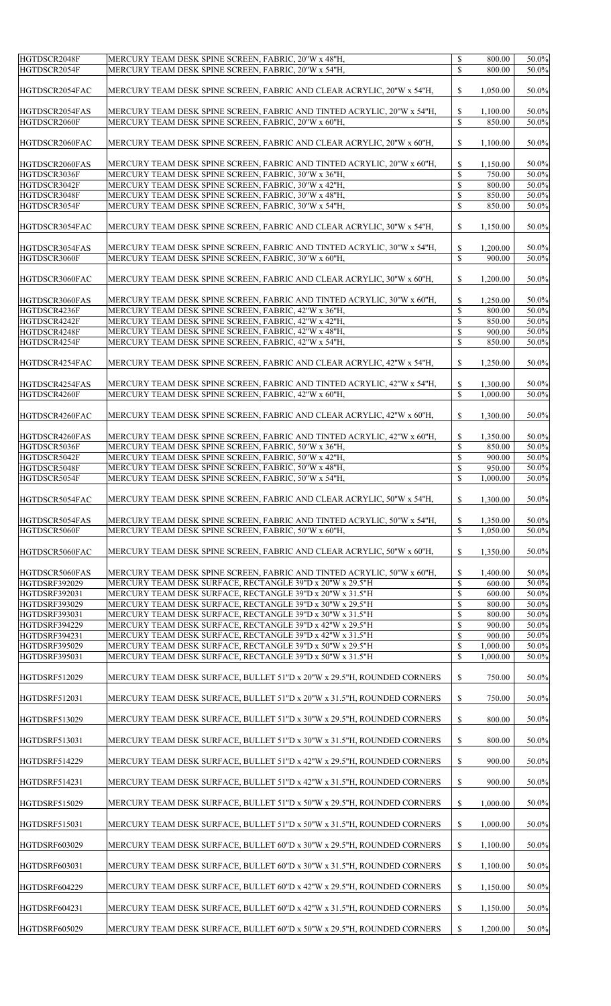| HGTDSCR2048F<br>HGTDSCR2054F   | MERCURY TEAM DESK SPINE SCREEN, FABRIC, 20"W x 48"H,<br>MERCURY TEAM DESK SPINE SCREEN, FABRIC, 20"W x 54"H,                    | \$<br>$\mathbb{S}$        | 800.00<br>800.00   | 50.0%<br>50.0% |
|--------------------------------|---------------------------------------------------------------------------------------------------------------------------------|---------------------------|--------------------|----------------|
| HGTDSCR2054FAC                 | MERCURY TEAM DESK SPINE SCREEN, FABRIC AND CLEAR ACRYLIC, 20"W x 54"H,                                                          | $\mathbb{S}$              | 1,050.00           | 50.0%          |
| HGTDSCR2054FAS<br>HGTDSCR2060F | MERCURY TEAM DESK SPINE SCREEN, FABRIC AND TINTED ACRYLIC, 20"W x 54"H,<br>MERCURY TEAM DESK SPINE SCREEN, FABRIC, 20"W x 60"H, | \$<br>$\mathbb{S}$        | 1,100.00<br>850.00 | 50.0%<br>50.0% |
| HGTDSCR2060FAC                 | MERCURY TEAM DESK SPINE SCREEN, FABRIC AND CLEAR ACRYLIC, 20"W x 60"H,                                                          | $\boldsymbol{\mathsf{S}}$ | 1,100.00           | 50.0%          |
| HGTDSCR2060FAS                 | MERCURY TEAM DESK SPINE SCREEN, FABRIC AND TINTED ACRYLIC, 20"W x 60"H,                                                         | $\boldsymbol{\mathsf{S}}$ | 1,150.00           | 50.0%          |
| HGTDSCR3036F                   | MERCURY TEAM DESK SPINE SCREEN, FABRIC, 30"W x 36"H,                                                                            | $\mathbb{S}$              | 750.00             | 50.0%          |
| HGTDSCR3042F                   | MERCURY TEAM DESK SPINE SCREEN, FABRIC, 30"W x 42"H,                                                                            | $\boldsymbol{\mathsf{S}}$ | 800.00             | 50.0%          |
| HGTDSCR3048F                   | MERCURY TEAM DESK SPINE SCREEN, FABRIC, 30"W x 48"H,                                                                            | \$                        | 850.00             | 50.0%          |
| HGTDSCR3054F                   | MERCURY TEAM DESK SPINE SCREEN, FABRIC, 30"W x 54"H,                                                                            | $\boldsymbol{\mathsf{S}}$ | 850.00             | 50.0%          |
| HGTDSCR3054FAC                 | MERCURY TEAM DESK SPINE SCREEN, FABRIC AND CLEAR ACRYLIC, 30"W x 54"H,                                                          | $\boldsymbol{\mathsf{S}}$ | 1,150.00           | 50.0%          |
|                                |                                                                                                                                 |                           |                    |                |
| HGTDSCR3054FAS                 | MERCURY TEAM DESK SPINE SCREEN, FABRIC AND TINTED ACRYLIC, 30"W x 54"H,                                                         | $\mathbb{S}$              | 1,200.00           | 50.0%          |
| HGTDSCR3060F                   | MERCURY TEAM DESK SPINE SCREEN, FABRIC, 30"W x 60"H,                                                                            | $\mathcal{S}$             | 900.00             | 50.0%          |
|                                |                                                                                                                                 |                           |                    |                |
| HGTDSCR3060FAC                 | MERCURY TEAM DESK SPINE SCREEN, FABRIC AND CLEAR ACRYLIC, 30"W x 60"H,                                                          | $\mathbb{S}$              | 1,200.00           | 50.0%          |
| HGTDSCR3060FAS                 | MERCURY TEAM DESK SPINE SCREEN, FABRIC AND TINTED ACRYLIC, 30"W x 60"H,                                                         | \$                        | 1,250.00           | 50.0%          |
| HGTDSCR4236F                   | MERCURY TEAM DESK SPINE SCREEN, FABRIC, 42"W x 36"H,                                                                            | $\boldsymbol{\mathsf{S}}$ | 800.00             | 50.0%          |
| HGTDSCR4242F                   | MERCURY TEAM DESK SPINE SCREEN, FABRIC, 42"W x 42"H,                                                                            | \$                        | 850.00             | 50.0%          |
| HGTDSCR4248F                   | MERCURY TEAM DESK SPINE SCREEN, FABRIC, 42"W x 48"H,                                                                            | $\boldsymbol{\mathsf{S}}$ | 900.00             | 50.0%          |
| HGTDSCR4254F                   | MERCURY TEAM DESK SPINE SCREEN, FABRIC, 42"W x 54"H,                                                                            | $\mathbb{S}$              | 850.00             | 50.0%          |
|                                |                                                                                                                                 |                           |                    |                |
| HGTDSCR4254FAC                 | MERCURY TEAM DESK SPINE SCREEN, FABRIC AND CLEAR ACRYLIC, 42"W x 54"H,                                                          | $\mathbb{S}$              | 1,250.00           | 50.0%          |
| HGTDSCR4254FAS                 | MERCURY TEAM DESK SPINE SCREEN, FABRIC AND TINTED ACRYLIC, 42"W x 54"H,                                                         | $\mathbb{S}$              | 1,300.00           | 50.0%          |
| HGTDSCR4260F                   | MERCURY TEAM DESK SPINE SCREEN, FABRIC, 42"W x 60"H,                                                                            | $\mathbb{S}$              | 1,000.00           | 50.0%          |
| HGTDSCR4260FAC                 | MERCURY TEAM DESK SPINE SCREEN, FABRIC AND CLEAR ACRYLIC, 42"W x 60"H,                                                          | $\boldsymbol{\mathsf{S}}$ | 1,300.00           | 50.0%          |
| HGTDSCR4260FAS                 |                                                                                                                                 |                           |                    |                |
|                                | MERCURY TEAM DESK SPINE SCREEN, FABRIC AND TINTED ACRYLIC, 42"W x 60"H,                                                         | $\boldsymbol{\mathsf{S}}$ | 1,350.00           | 50.0%          |
| HGTDSCR5036F                   | MERCURY TEAM DESK SPINE SCREEN, FABRIC, 50"W x 36"H,                                                                            | $\mathbb{S}$              | 850.00             | 50.0%          |
| HGTDSCR5042F                   | MERCURY TEAM DESK SPINE SCREEN, FABRIC, 50"W x 42"H,                                                                            | $\boldsymbol{\mathsf{S}}$ | 900.00             | 50.0%          |
| HGTDSCR5048F                   | MERCURY TEAM DESK SPINE SCREEN, FABRIC, 50"W x 48"H,                                                                            | \$                        | 950.00             | 50.0%          |
| HGTDSCR5054F                   | MERCURY TEAM DESK SPINE SCREEN, FABRIC, 50"W x 54"H,                                                                            | $\mathbb{S}$              | 1,000.00           | 50.0%          |
| HGTDSCR5054FAC                 | MERCURY TEAM DESK SPINE SCREEN, FABRIC AND CLEAR ACRYLIC, 50"W x 54"H,                                                          | $\boldsymbol{\mathsf{S}}$ | 1,300.00           | 50.0%          |
| HGTDSCR5054FAS                 | MERCURY TEAM DESK SPINE SCREEN, FABRIC AND TINTED ACRYLIC, 50"W x 54"H,                                                         | $\boldsymbol{\mathsf{S}}$ | 1,350.00           | 50.0%          |
| HGTDSCR5060F                   | MERCURY TEAM DESK SPINE SCREEN, FABRIC, 50"W x 60"H,                                                                            | $\mathbb{S}$              | 1,050.00           | 50.0%          |
|                                |                                                                                                                                 |                           |                    |                |
| HGTDSCR5060FAC                 | MERCURY TEAM DESK SPINE SCREEN, FABRIC AND CLEAR ACRYLIC, 50"W x 60"H,                                                          | $\mathbb{S}$              | 1,350.00           | 50.0%          |
| HGTDSCR5060FAS                 | MERCURY TEAM DESK SPINE SCREEN, FABRIC AND TINTED ACRYLIC, 50"W x 60"H,                                                         | \$                        | 1,400.00           | 50.0%          |
| HGTDSRF392029                  | MERCURY TEAM DESK SURFACE, RECTANGLE 39"D x 20"W x 29.5"H                                                                       | $\boldsymbol{\mathsf{S}}$ | 600.00             | 50.0%          |
| HGTDSRF392031                  | MERCURY TEAM DESK SURFACE, RECTANGLE 39"D x 20"W x 31.5"H                                                                       | \$                        | 600.00             | 50.0%          |
| HGTDSRF393029                  | MERCURY TEAM DESK SURFACE, RECTANGLE 39"D x 30"W x 29.5"H                                                                       | \$                        | 800.00             | 50.0%          |
|                                |                                                                                                                                 |                           |                    |                |
| HGTDSRF393031                  | MERCURY TEAM DESK SURFACE, RECTANGLE 39"D x 30"W x 31.5"H                                                                       | $\mathbb{S}$              | 800.00             | 50.0%          |
| HGTDSRF394229                  | MERCURY TEAM DESK SURFACE, RECTANGLE 39"D x 42"W x 29.5"H                                                                       | \$                        | 900.00             | 50.0%          |
| HGTDSRF394231                  | MERCURY TEAM DESK SURFACE, RECTANGLE 39"D x 42"W x 31.5"H                                                                       | $\mathbb{S}$              | 900.00             | 50.0%          |
| HGTDSRF395029                  | MERCURY TEAM DESK SURFACE, RECTANGLE 39"D x 50"W x 29.5"H                                                                       | \$                        | 1,000.00           | 50.0%          |
| HGTDSRF395031                  | MERCURY TEAM DESK SURFACE, RECTANGLE 39"D x 50"W x 31.5"H                                                                       | $\mathbb{S}$              | 1,000.00           | 50.0%          |
| HGTDSRF512029                  | MERCURY TEAM DESK SURFACE, BULLET 51"D x 20"W x 29.5"H, ROUNDED CORNERS                                                         | $\mathbb{S}$              | 750.00             | 50.0%          |
| HGTDSRF512031                  | MERCURY TEAM DESK SURFACE, BULLET 51"D x 20"W x 31.5"H, ROUNDED CORNERS                                                         | $\mathbb{S}$              | 750.00             | 50.0%          |
| HGTDSRF513029                  | MERCURY TEAM DESK SURFACE, BULLET 51"D x 30"W x 29.5"H, ROUNDED CORNERS                                                         | $\mathbb{S}$              | 800.00             | 50.0%          |
| HGTDSRF513031                  | MERCURY TEAM DESK SURFACE, BULLET 51"D x 30"W x 31.5"H, ROUNDED CORNERS                                                         | $\mathbb{S}$              | 800.00             | 50.0%          |
| HGTDSRF514229                  | MERCURY TEAM DESK SURFACE, BULLET 51"D x 42"W x 29.5"H, ROUNDED CORNERS                                                         | $\mathbb{S}$              | 900.00             | 50.0%          |
| HGTDSRF514231                  | MERCURY TEAM DESK SURFACE, BULLET 51"D x 42"W x 31.5"H, ROUNDED CORNERS                                                         | \$                        | 900.00             | 50.0%          |
| HGTDSRF515029                  | MERCURY TEAM DESK SURFACE, BULLET 51"D x 50"W x 29.5"H, ROUNDED CORNERS                                                         | $\mathbb{S}$              | 1,000.00           | 50.0%          |
| HGTDSRF515031                  | MERCURY TEAM DESK SURFACE, BULLET 51"D x 50"W x 31.5"H, ROUNDED CORNERS                                                         | $\mathbb{S}$              | 1,000.00           | 50.0%          |
| HGTDSRF603029                  | MERCURY TEAM DESK SURFACE, BULLET 60"D x 30"W x 29.5"H, ROUNDED CORNERS                                                         | $\mathbb{S}$              | 1,100.00           | 50.0%          |
| HGTDSRF603031                  | MERCURY TEAM DESK SURFACE, BULLET 60"D x 30"W x 31.5"H, ROUNDED CORNERS                                                         | $\mathbb{S}$              | 1,100.00           | 50.0%          |
| HGTDSRF604229                  | MERCURY TEAM DESK SURFACE, BULLET 60"D x 42"W x 29.5"H, ROUNDED CORNERS                                                         | $\mathbb{S}$              | 1,150.00           | 50.0%          |
| HGTDSRF604231                  | MERCURY TEAM DESK SURFACE, BULLET 60"D x 42"W x 31.5"H, ROUNDED CORNERS                                                         | $\mathbb{S}$              | 1,150.00           | 50.0%          |
| HGTDSRF605029                  | MERCURY TEAM DESK SURFACE, BULLET 60"D x 50"W x 29.5"H, ROUNDED CORNERS                                                         | $\mathbb{S}$              | 1,200.00           | 50.0%          |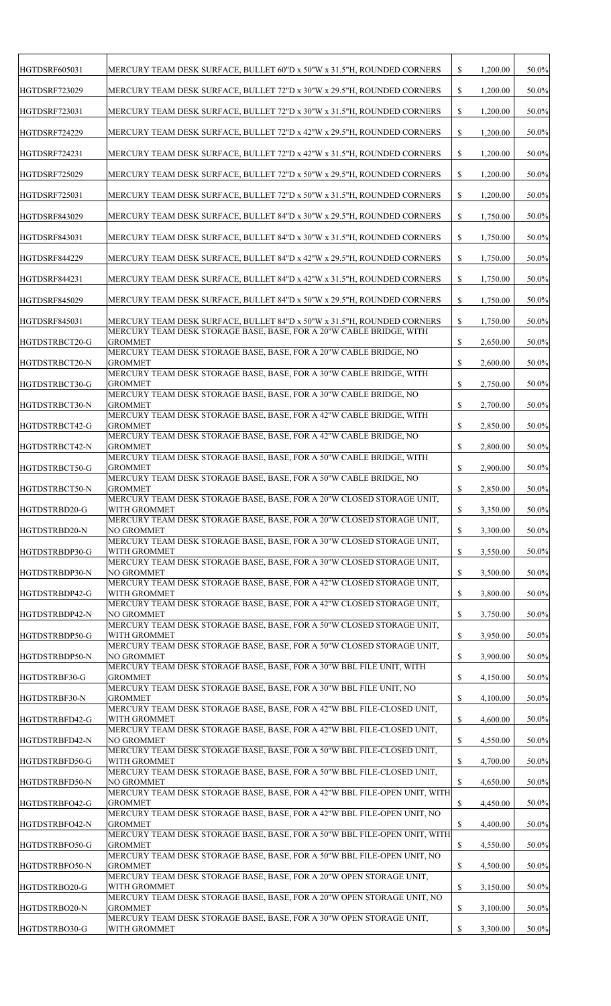| HGTDSRF605031                  | MERCURY TEAM DESK SURFACE, BULLET 60"D x 50"W x 31.5"H, ROUNDED CORNERS                                                                        | $\mathbb{S}$              | 1,200.00 | 50.0%          |
|--------------------------------|------------------------------------------------------------------------------------------------------------------------------------------------|---------------------------|----------|----------------|
| HGTDSRF723029                  | MERCURY TEAM DESK SURFACE, BULLET 72"D x 30"W x 29.5"H, ROUNDED CORNERS                                                                        | $\mathbb{S}$              | 1,200.00 | 50.0%          |
| HGTDSRF723031                  | MERCURY TEAM DESK SURFACE, BULLET 72"D x 30"W x 31.5"H, ROUNDED CORNERS                                                                        | $\mathbb{S}$              | 1,200.00 | 50.0%          |
| HGTDSRF724229                  | MERCURY TEAM DESK SURFACE, BULLET 72"D x 42"W x 29.5"H, ROUNDED CORNERS                                                                        | $\mathbb{S}$              | 1,200.00 | 50.0%          |
| HGTDSRF724231                  | MERCURY TEAM DESK SURFACE, BULLET 72"D x 42"W x 31.5"H, ROUNDED CORNERS                                                                        | $\boldsymbol{\mathsf{S}}$ | 1,200.00 | 50.0%          |
| HGTDSRF725029                  | MERCURY TEAM DESK SURFACE, BULLET 72"D x 50"W x 29.5"H, ROUNDED CORNERS                                                                        | $\mathbb{S}$              | 1,200.00 | 50.0%          |
| HGTDSRF725031                  | MERCURY TEAM DESK SURFACE, BULLET 72"D x 50"W x 31.5"H, ROUNDED CORNERS                                                                        | $\mathbb{S}$              | 1,200.00 | 50.0%          |
| HGTDSRF843029                  | MERCURY TEAM DESK SURFACE, BULLET 84"D x 30"W x 29.5"H, ROUNDED CORNERS                                                                        | $\mathbb{S}$              | 1,750.00 | 50.0%          |
| HGTDSRF843031                  | MERCURY TEAM DESK SURFACE, BULLET 84"D x 30"W x 31.5"H, ROUNDED CORNERS                                                                        | $\mathbb{S}$              | 1,750.00 | 50.0%          |
| HGTDSRF844229                  | MERCURY TEAM DESK SURFACE, BULLET 84"D x 42"W x 29.5"H, ROUNDED CORNERS                                                                        | $\mathbb{S}$              | 1,750.00 | 50.0%          |
| HGTDSRF844231                  | MERCURY TEAM DESK SURFACE, BULLET 84"D x 42"W x 31.5"H, ROUNDED CORNERS                                                                        | $\mathbb{S}$              | 1,750.00 | 50.0%          |
| HGTDSRF845029                  |                                                                                                                                                |                           |          |                |
|                                | MERCURY TEAM DESK SURFACE, BULLET 84"D x 50"W x 29.5"H, ROUNDED CORNERS                                                                        | $\mathbb{S}$              | 1,750.00 | 50.0%          |
| HGTDSRF845031                  | MERCURY TEAM DESK SURFACE, BULLET 84"D x 50"W x 31.5"H, ROUNDED CORNERS<br>MERCURY TEAM DESK STORAGE BASE, BASE, FOR A 20"W CABLE BRIDGE, WITH | $\mathbb{S}$              | 1,750.00 | 50.0%          |
| HGTDSTRBCT20-G                 | <b>GROMMET</b><br>MERCURY TEAM DESK STORAGE BASE, BASE, FOR A 20"W CABLE BRIDGE, NO                                                            | \$                        | 2,650.00 | 50.0%          |
| HGTDSTRBCT20-N                 | <b>GROMMET</b><br>MERCURY TEAM DESK STORAGE BASE, BASE, FOR A 30"W CABLE BRIDGE, WITH                                                          |                           | 2,600.00 | 50.0%          |
| HGTDSTRBCT30-G                 | <b>GROMMET</b><br>MERCURY TEAM DESK STORAGE BASE, BASE, FOR A 30"W CABLE BRIDGE, NO                                                            | $\mathbb{S}$              | 2,750.00 | 50.0%          |
| HGTDSTRBCT30-N                 | <b>GROMMET</b><br>MERCURY TEAM DESK STORAGE BASE, BASE, FOR A 42"W CABLE BRIDGE, WITH                                                          | $\mathbb{S}$              | 2,700.00 | 50.0%          |
| HGTDSTRBCT42-G                 | <b>GROMMET</b><br>MERCURY TEAM DESK STORAGE BASE, BASE, FOR A 42"W CABLE BRIDGE, NO                                                            | $\mathbb{S}$              | 2,850.00 | 50.0%          |
| HGTDSTRBCT42-N                 | <b>GROMMET</b><br>MERCURY TEAM DESK STORAGE BASE, BASE, FOR A 50"W CABLE BRIDGE, WITH                                                          | $\mathbb{S}$              | 2,800.00 | 50.0%          |
| HGTDSTRBCT50-G                 | <b>GROMMET</b>                                                                                                                                 | $\mathbb{S}$              | 2,900.00 | 50.0%          |
| HGTDSTRBCT50-N                 | MERCURY TEAM DESK STORAGE BASE, BASE, FOR A 50"W CABLE BRIDGE, NO<br><b>GROMMET</b>                                                            | \$                        | 2,850.00 | 50.0%          |
| HGTDSTRBD20-G                  | MERCURY TEAM DESK STORAGE BASE, BASE, FOR A 20"W CLOSED STORAGE UNIT,<br><b>WITH GROMMET</b>                                                   | $\mathbb{S}$              | 3,350.00 | 50.0%          |
| HGTDSTRBD20-N                  | MERCURY TEAM DESK STORAGE BASE, BASE, FOR A 20"W CLOSED STORAGE UNIT,<br><b>NO GROMMET</b>                                                     | \$                        | 3,300.00 | 50.0%          |
| HGTDSTRBDP30-G                 | MERCURY TEAM DESK STORAGE BASE, BASE, FOR A 30"W CLOSED STORAGE UNIT,<br><b>WITH GROMMET</b>                                                   | $\mathbb{S}$              | 3,550.00 | 50.0%          |
| HGTDSTRBDP30-N                 | MERCURY TEAM DESK STORAGE BASE, BASE, FOR A 30"W CLOSED STORAGE UNIT,<br><b>NO GROMMET</b>                                                     | $\mathbb{S}$              | 3,500.00 | 50.0%          |
| HGTDSTRBDP42-G                 | MERCURY TEAM DESK STORAGE BASE, BASE, FOR A 42"W CLOSED STORAGE UNIT,<br><b>WITH GROMMET</b>                                                   | $\mathbb{S}$              | 3,800.00 | 50.0%          |
| HGTDSTRBDP42-N                 | MERCURY TEAM DESK STORAGE BASE, BASE, FOR A 42"W CLOSED STORAGE UNIT,<br><b>NO GROMMET</b>                                                     | $\mathbb{S}$              | 3,750.00 | 50.0%          |
| HGTDSTRBDP50-G                 | MERCURY TEAM DESK STORAGE BASE, BASE, FOR A 50"W CLOSED STORAGE UNIT,<br><b>WITH GROMMET</b>                                                   | $\mathbb{S}$              | 3,950.00 | 50.0%          |
|                                | MERCURY TEAM DESK STORAGE BASE, BASE, FOR A 50"W CLOSED STORAGE UNIT,                                                                          |                           |          |                |
| HGTDSTRBDP50-N                 | <b>NO GROMMET</b><br>MERCURY TEAM DESK STORAGE BASE, BASE, FOR A 30"W BBL FILE UNIT, WITH                                                      | \$                        | 3,900.00 | 50.0%          |
| HGTDSTRBF30-G                  | <b>GROMMET</b><br>MERCURY TEAM DESK STORAGE BASE, BASE, FOR A 30"W BBL FILE UNIT, NO                                                           |                           | 4,150.00 | 50.0%          |
| HGTDSTRBF30-N                  | <b>GROMMET</b><br>MERCURY TEAM DESK STORAGE BASE, BASE, FOR A 42"W BBL FILE-CLOSED UNIT,                                                       | $\mathbb{S}$              | 4,100.00 | 50.0%          |
| HGTDSTRBFD42-G                 | <b>WITH GROMMET</b><br>MERCURY TEAM DESK STORAGE BASE, BASE, FOR A 42"W BBL FILE-CLOSED UNIT,                                                  | $\mathbb{S}$              | 4,600.00 | 50.0%          |
| HGTDSTRBFD42-N                 | <b>NO GROMMET</b><br>MERCURY TEAM DESK STORAGE BASE, BASE, FOR A 50"W BBL FILE-CLOSED UNIT,                                                    | $\mathbb{S}$              | 4,550.00 | 50.0%          |
| HGTDSTRBFD50-G                 | <b>WITH GROMMET</b><br>MERCURY TEAM DESK STORAGE BASE, BASE, FOR A 50"W BBL FILE-CLOSED UNIT,                                                  | $\mathbb{S}$              | 4,700.00 | 50.0%          |
| HGTDSTRBFD50-N                 | <b>NO GROMMET</b><br>MERCURY TEAM DESK STORAGE BASE, BASE, FOR A 42"W BBL FILE-OPEN UNIT, WITH                                                 | $\mathbb{S}$              | 4,650.00 | 50.0%          |
| HGTDSTRBFO42-G                 | <b>GROMMET</b>                                                                                                                                 | \$                        | 4,450.00 | 50.0%          |
| HGTDSTRBFO42-N                 | MERCURY TEAM DESK STORAGE BASE, BASE, FOR A 42"W BBL FILE-OPEN UNIT, NO<br><b>GROMMET</b>                                                      | $\mathbb{S}$              | 4,400.00 | 50.0%          |
| HGTDSTRBFO50-G                 | MERCURY TEAM DESK STORAGE BASE, BASE, FOR A 50"W BBL FILE-OPEN UNIT, WITH<br><b>GROMMET</b>                                                    | \$                        | 4,550.00 | 50.0%          |
| HGTDSTRBFO50-N                 | MERCURY TEAM DESK STORAGE BASE, BASE, FOR A 50"W BBL FILE-OPEN UNIT, NO<br><b>GROMMET</b>                                                      | $\mathbb{S}$              | 4,500.00 | 50.0%          |
|                                |                                                                                                                                                |                           |          |                |
|                                | MERCURY TEAM DESK STORAGE BASE, BASE, FOR A 20"W OPEN STORAGE UNIT.<br><b>WITH GROMMET</b>                                                     | \$                        | 3,150.00 |                |
| HGTDSTRBO20-G<br>HGTDSTRBO20-N | MERCURY TEAM DESK STORAGE BASE, BASE, FOR A 20"W OPEN STORAGE UNIT, NO<br><b>GROMMET</b>                                                       | \$                        | 3,100.00 | 50.0%<br>50.0% |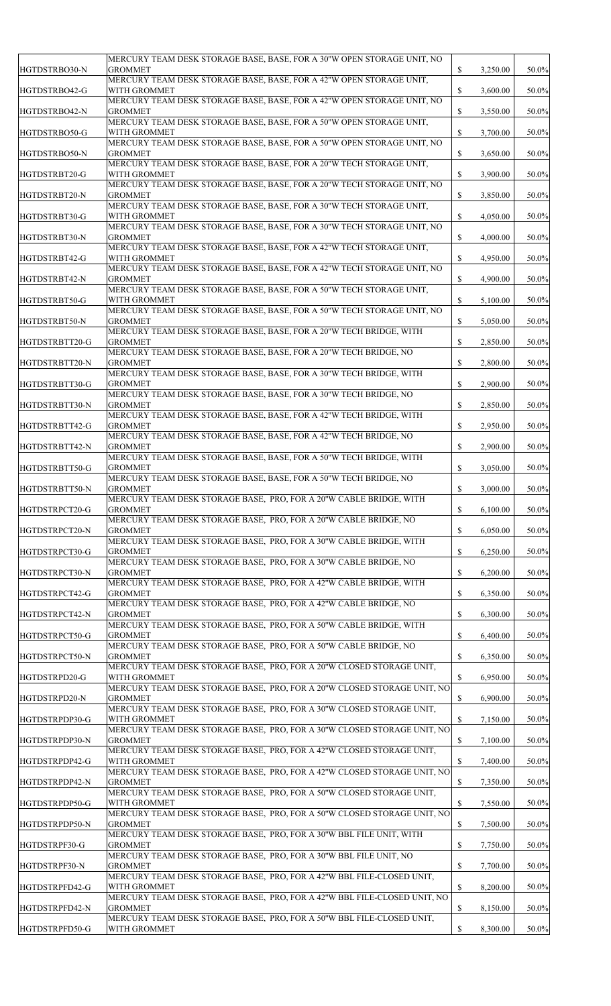|                                                  | MERCURY TEAM DESK STORAGE BASE, BASE, FOR A 30"W OPEN STORAGE UNIT, NO                                                                                              |              |          |       |
|--------------------------------------------------|---------------------------------------------------------------------------------------------------------------------------------------------------------------------|--------------|----------|-------|
| HGTDSTRBO30-N                                    | <b>GROMMET</b><br>MERCURY TEAM DESK STORAGE BASE, BASE, FOR A 42"W OPEN STORAGE UNIT,                                                                               | $\mathbb{S}$ | 3,250.00 | 50.0% |
| HGTDSTRBO42-G                                    | WITH GROMMET<br>MERCURY TEAM DESK STORAGE BASE, BASE, FOR A 42"W OPEN STORAGE UNIT, NO                                                                              | $\mathbb{S}$ | 3,600.00 | 50.0% |
| HGTDSTRBO42-N                                    | <b>GROMMET</b>                                                                                                                                                      | \$           | 3,550.00 | 50.0% |
| HGTDSTRBO50-G                                    | MERCURY TEAM DESK STORAGE BASE, BASE, FOR A 50"W OPEN STORAGE UNIT,<br>WITH GROMMET                                                                                 | $\mathbb{S}$ | 3,700.00 | 50.0% |
|                                                  | MERCURY TEAM DESK STORAGE BASE, BASE, FOR A 50"W OPEN STORAGE UNIT, NO                                                                                              |              |          |       |
| HGTDSTRBO50-N                                    | <b>GROMMET</b><br>MERCURY TEAM DESK STORAGE BASE, BASE, FOR A 20"W TECH STORAGE UNIT,                                                                               | $\mathbb{S}$ | 3,650.00 | 50.0% |
| HGTDSTRBT20-G                                    | WITH GROMMET<br>MERCURY TEAM DESK STORAGE BASE, BASE, FOR A 20"W TECH STORAGE UNIT, NO                                                                              | $\mathbb{S}$ | 3,900.00 | 50.0% |
| HGTDSTRBT20-N                                    | <b>GROMMET</b>                                                                                                                                                      | \$           | 3,850.00 | 50.0% |
| HGTDSTRBT30-G                                    | MERCURY TEAM DESK STORAGE BASE, BASE, FOR A 30"W TECH STORAGE UNIT,<br>WITH GROMMET                                                                                 | $\mathbb{S}$ | 4,050.00 | 50.0% |
|                                                  | MERCURY TEAM DESK STORAGE BASE, BASE, FOR A 30"W TECH STORAGE UNIT, NO                                                                                              |              |          |       |
| HGTDSTRBT30-N                                    | <b>GROMMET</b><br>MERCURY TEAM DESK STORAGE BASE, BASE, FOR A 42"W TECH STORAGE UNIT,                                                                               | $\mathbb{S}$ | 4,000.00 | 50.0% |
| HGTDSTRBT42-G                                    | WITH GROMMET                                                                                                                                                        | $\mathbb{S}$ | 4,950.00 | 50.0% |
| HGTDSTRBT42-N                                    | MERCURY TEAM DESK STORAGE BASE, BASE, FOR A 42"W TECH STORAGE UNIT, NO<br><b>GROMMET</b>                                                                            | $\mathbb{S}$ | 4,900.00 | 50.0% |
| HGTDSTRBT50-G                                    | MERCURY TEAM DESK STORAGE BASE, BASE, FOR A 50"W TECH STORAGE UNIT,<br>WITH GROMMET                                                                                 | $\mathbb{S}$ | 5,100.00 | 50.0% |
|                                                  | MERCURY TEAM DESK STORAGE BASE, BASE, FOR A 50"W TECH STORAGE UNIT, NO                                                                                              |              |          |       |
| HGTDSTRBT50-N                                    | <b>GROMMET</b><br>MERCURY TEAM DESK STORAGE BASE, BASE, FOR A 20"W TECH BRIDGE, WITH                                                                                | $\mathbb{S}$ | 5,050.00 | 50.0% |
| HGTDSTRBTT20-G                                   | <b>GROMMET</b>                                                                                                                                                      | $\mathbb{S}$ | 2,850.00 | 50.0% |
| HGTDSTRBTT20-N                                   | MERCURY TEAM DESK STORAGE BASE, BASE, FOR A 20"W TECH BRIDGE, NO<br><b>GROMMET</b>                                                                                  |              | 2,800.00 | 50.0% |
| HGTDSTRBTT30-G                                   | MERCURY TEAM DESK STORAGE BASE, BASE, FOR A 30"W TECH BRIDGE, WITH<br><b>GROMMET</b>                                                                                | $\mathbb{S}$ | 2,900.00 | 50.0% |
|                                                  | MERCURY TEAM DESK STORAGE BASE, BASE, FOR A 30"W TECH BRIDGE, NO                                                                                                    |              |          |       |
| HGTDSTRBTT30-N                                   | <b>GROMMET</b><br>MERCURY TEAM DESK STORAGE BASE, BASE, FOR A 42"W TECH BRIDGE, WITH                                                                                | $\mathbb{S}$ | 2,850.00 | 50.0% |
| HGTDSTRBTT42-G                                   | <b>GROMMET</b>                                                                                                                                                      | \$           | 2,950.00 | 50.0% |
| HGTDSTRBTT42-N                                   | MERCURY TEAM DESK STORAGE BASE, BASE, FOR A 42"W TECH BRIDGE, NO<br><b>GROMMET</b>                                                                                  | $\mathbb{S}$ | 2,900.00 | 50.0% |
|                                                  | MERCURY TEAM DESK STORAGE BASE, BASE, FOR A 50"W TECH BRIDGE, WITH                                                                                                  |              |          |       |
| HGTDSTRBTT50-G                                   | <b>GROMMET</b><br>MERCURY TEAM DESK STORAGE BASE, BASE, FOR A 50"W TECH BRIDGE, NO                                                                                  | $\mathbb{S}$ | 3,050.00 | 50.0% |
| HGTDSTRBTT50-N                                   | <b>GROMMET</b><br>MERCURY TEAM DESK STORAGE BASE, PRO, FOR A 20"W CABLE BRIDGE, WITH                                                                                | $\mathbb{S}$ | 3,000.00 | 50.0% |
| HGTDSTRPCT20-G                                   | <b>GROMMET</b>                                                                                                                                                      | $\mathbb{S}$ | 6,100.00 | 50.0% |
| HGTDSTRPCT20-N                                   | MERCURY TEAM DESK STORAGE BASE, PRO, FOR A 20"W CABLE BRIDGE, NO<br><b>GROMMET</b>                                                                                  | $\mathbb{S}$ | 6,050.00 | 50.0% |
|                                                  | MERCURY TEAM DESK STORAGE BASE, PRO, FOR A 30"W CABLE BRIDGE, WITH                                                                                                  |              |          |       |
| HGTDSTRPCT30-G                                   | <b>GROMMET</b><br>MERCURY TEAM DESK STORAGE BASE, PRO, FOR A 30"W CABLE BRIDGE, NO                                                                                  | $\mathbb{S}$ | 6,250.00 | 50.0% |
| HGTDSTRPCT30-N                                   | <b>GROMMET</b><br>MERCURY TEAM DESK STORAGE BASE, PRO, FOR A 42"W CABLE BRIDGE, WITH                                                                                | $\mathbb{S}$ | 6,200.00 | 50.0% |
| HGTDSTRPCT42-G                                   | <b>GROMMET</b>                                                                                                                                                      | $\mathbb{S}$ | 6,350.00 | 50.0% |
| HGTDSTRPCT42-N                                   | MERCURY TEAM DESK STORAGE BASE, PRO, FOR A 42"W CABLE BRIDGE, NO<br><b>GROMMET</b>                                                                                  | $\mathbb{S}$ | 6,300.00 | 50.0% |
|                                                  | MERCURY TEAM DESK STORAGE BASE, PRO, FOR A 50"W CABLE BRIDGE, WITH                                                                                                  |              |          |       |
| HGTDSTRPCT50-G                                   | <b>GROMMET</b><br>MERCURY TEAM DESK STORAGE BASE, PRO, FOR A 50"W CABLE BRIDGE, NO                                                                                  | $\mathbb{S}$ | 6,400.00 | 50.0% |
| HGTDSTRPCT50-N                                   | <b>GROMMET</b><br>MERCURY TEAM DESK STORAGE BASE, PRO, FOR A 20"W CLOSED STORAGE UNIT,                                                                              | $\mathbb{S}$ | 6,350.00 | 50.0% |
| HGTDSTRPD20-G                                    | WITH GROMMET                                                                                                                                                        | $\mathbb{S}$ | 6,950.00 | 50.0% |
| HGTDSTRPD20-N                                    | MERCURY TEAM DESK STORAGE BASE, PRO, FOR A 20"W CLOSED STORAGE UNIT, NO<br><b>GROMMET</b>                                                                           | $\mathbb{S}$ | 6,900.00 | 50.0% |
|                                                  | MERCURY TEAM DESK STORAGE BASE, PRO, FOR A 30"W CLOSED STORAGE UNIT,                                                                                                |              |          |       |
| HGTDSTRPDP30-G                                   | WITH GROMMET<br>MERCURY TEAM DESK STORAGE BASE, PRO, FOR A 30"W CLOSED STORAGE UNIT, NO                                                                             | $\mathbb{S}$ | 7,150.00 | 50.0% |
| HGTDSTRPDP30-N                                   | <b>GROMMET</b>                                                                                                                                                      | $\mathbb{S}$ | 7,100.00 | 50.0% |
| HGTDSTRPDP42-G                                   | MERCURY TEAM DESK STORAGE BASE, PRO, FOR A 42"W CLOSED STORAGE UNIT,<br>WITH GROMMET                                                                                | $\mathbb{S}$ | 7,400.00 | 50.0% |
| HGTDSTRPDP42-N                                   | MERCURY TEAM DESK STORAGE BASE, PRO, FOR A 42"W CLOSED STORAGE UNIT, NO<br><b>GROMMET</b>                                                                           | $\mathbb{S}$ | 7,350.00 | 50.0% |
|                                                  | MERCURY TEAM DESK STORAGE BASE, PRO, FOR A 50"W CLOSED STORAGE UNIT,                                                                                                |              |          |       |
| HGTDSTRPDP50-G                                   | WITH GROMMET<br>MERCURY TEAM DESK STORAGE BASE, PRO, FOR A 50"W CLOSED STORAGE UNIT, NO                                                                             | $\mathbb{S}$ | 7,550.00 | 50.0% |
|                                                  | <b>GROMMET</b><br>MERCURY TEAM DESK STORAGE BASE, PRO, FOR A 30"W BBL FILE UNIT, WITH                                                                               | \$           | 7,500.00 | 50.0% |
|                                                  |                                                                                                                                                                     |              |          | 50.0% |
|                                                  | <b>GROMMET</b>                                                                                                                                                      | $\mathbb{S}$ | 7,750.00 |       |
|                                                  | MERCURY TEAM DESK STORAGE BASE, PRO, FOR A 30"W BBL FILE UNIT, NO                                                                                                   |              |          |       |
| HGTDSTRPDP50-N<br>HGTDSTRPF30-G<br>HGTDSTRPF30-N | <b>GROMMET</b><br>MERCURY TEAM DESK STORAGE BASE, PRO, FOR A 42"W BBL FILE-CLOSED UNIT,                                                                             | $\mathbb{S}$ | 7,700.00 | 50.0% |
| HGTDSTRPFD42-G                                   | WITH GROMMET                                                                                                                                                        | $\mathbb{S}$ | 8,200.00 | 50.0% |
| HGTDSTRPFD42-N                                   | MERCURY TEAM DESK STORAGE BASE, PRO, FOR A 42"W BBL FILE-CLOSED UNIT, NO<br><b>GROMMET</b><br>MERCURY TEAM DESK STORAGE BASE, PRO, FOR A 50"W BBL FILE-CLOSED UNIT, | $\mathbb{S}$ | 8,150.00 | 50.0% |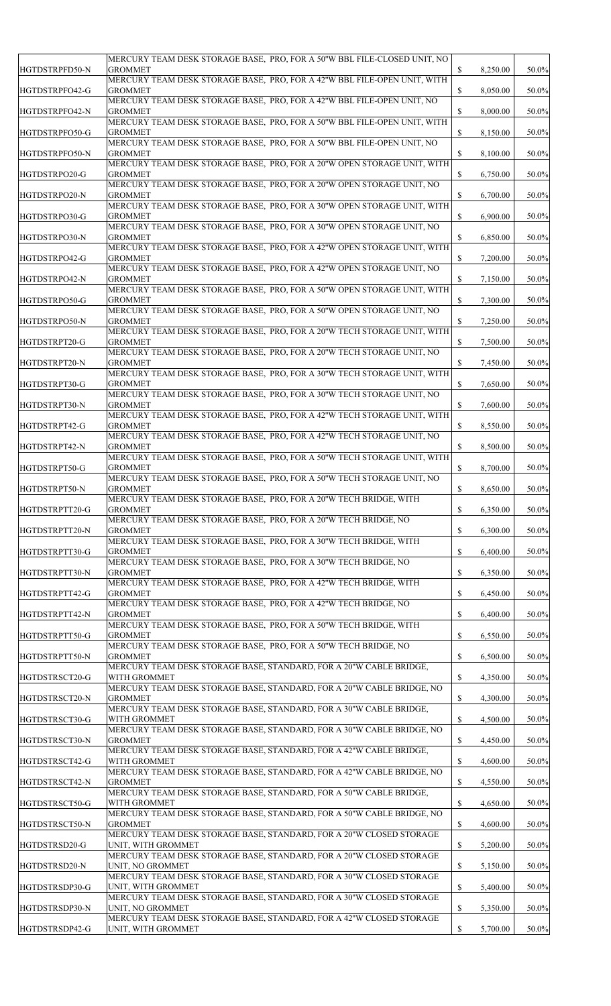|                                                                                                                                                              | MERCURY TEAM DESK STORAGE BASE, PRO, FOR A 50"W BBL FILE-CLOSED UNIT, NO                   |              |          |       |
|--------------------------------------------------------------------------------------------------------------------------------------------------------------|--------------------------------------------------------------------------------------------|--------------|----------|-------|
| HGTDSTRPFD50-N                                                                                                                                               | <b>GROMMET</b><br>MERCURY TEAM DESK STORAGE BASE, PRO, FOR A 42"W BBL FILE-OPEN UNIT, WITH | $\mathbb{S}$ | 8,250.00 | 50.0% |
| HGTDSTRPFO42-G                                                                                                                                               | <b>GROMMET</b><br>MERCURY TEAM DESK STORAGE BASE, PRO, FOR A 42"W BBL FILE-OPEN UNIT, NO   | $\mathbb{S}$ | 8,050.00 | 50.0% |
| HGTDSTRPFO42-N                                                                                                                                               | <b>GROMMET</b>                                                                             | $\mathbb{S}$ | 8,000.00 | 50.0% |
| HGTDSTRPFO50-G                                                                                                                                               | MERCURY TEAM DESK STORAGE BASE, PRO, FOR A 50"W BBL FILE-OPEN UNIT, WITH<br><b>GROMMET</b> | $\mathbb{S}$ | 8,150.00 | 50.0% |
| HGTDSTRPFO50-N                                                                                                                                               | MERCURY TEAM DESK STORAGE BASE, PRO, FOR A 50"W BBL FILE-OPEN UNIT, NO<br><b>GROMMET</b>   | $\mathbb{S}$ | 8,100.00 | 50.0% |
| HGTDSTRPO20-G                                                                                                                                                | MERCURY TEAM DESK STORAGE BASE, PRO, FOR A 20"W OPEN STORAGE UNIT, WITH<br><b>GROMMET</b>  | $\mathbb{S}$ | 6,750.00 | 50.0% |
|                                                                                                                                                              | MERCURY TEAM DESK STORAGE BASE, PRO, FOR A 20"W OPEN STORAGE UNIT, NO                      |              |          |       |
| HGTDSTRPO20-N                                                                                                                                                | <b>GROMMET</b><br>MERCURY TEAM DESK STORAGE BASE, PRO, FOR A 30"W OPEN STORAGE UNIT, WITH  | $\mathbb{S}$ | 6,700.00 | 50.0% |
| HGTDSTRPO30-G                                                                                                                                                | <b>GROMMET</b><br>MERCURY TEAM DESK STORAGE BASE, PRO, FOR A 30"W OPEN STORAGE UNIT, NO    | $\mathbb{S}$ | 6,900.00 | 50.0% |
| HGTDSTRPO30-N                                                                                                                                                | <b>GROMMET</b>                                                                             | $\mathbb{S}$ | 6,850.00 | 50.0% |
| HGTDSTRPO42-G                                                                                                                                                | MERCURY TEAM DESK STORAGE BASE, PRO, FOR A 42"W OPEN STORAGE UNIT, WITH<br><b>GROMMET</b>  | $\mathbb{S}$ | 7,200.00 | 50.0% |
| HGTDSTRPO42-N                                                                                                                                                | MERCURY TEAM DESK STORAGE BASE, PRO, FOR A 42"W OPEN STORAGE UNIT, NO<br><b>GROMMET</b>    | $\mathbb{S}$ | 7,150.00 | 50.0% |
|                                                                                                                                                              | MERCURY TEAM DESK STORAGE BASE, PRO, FOR A 50"W OPEN STORAGE UNIT, WITH                    |              |          |       |
| HGTDSTRPO50-G                                                                                                                                                | <b>GROMMET</b><br>MERCURY TEAM DESK STORAGE BASE, PRO, FOR A 50"W OPEN STORAGE UNIT, NO    | $\mathbb{S}$ | 7,300.00 | 50.0% |
| HGTDSTRPO50-N                                                                                                                                                | <b>GROMMET</b><br>MERCURY TEAM DESK STORAGE BASE, PRO, FOR A 20"W TECH STORAGE UNIT, WITH  | $\mathbb{S}$ | 7,250.00 | 50.0% |
| HGTDSTRPT20-G                                                                                                                                                | <b>GROMMET</b>                                                                             | $\mathbb{S}$ | 7,500.00 | 50.0% |
| HGTDSTRPT20-N                                                                                                                                                | MERCURY TEAM DESK STORAGE BASE, PRO, FOR A 20"W TECH STORAGE UNIT, NO<br><b>GROMMET</b>    |              | 7,450.00 | 50.0% |
| HGTDSTRPT30-G                                                                                                                                                | MERCURY TEAM DESK STORAGE BASE, PRO, FOR A 30"W TECH STORAGE UNIT, WITH<br><b>GROMMET</b>  | $\mathbb{S}$ | 7,650.00 | 50.0% |
| HGTDSTRPT30-N                                                                                                                                                | MERCURY TEAM DESK STORAGE BASE, PRO, FOR A 30"W TECH STORAGE UNIT, NO                      |              |          |       |
|                                                                                                                                                              | <b>GROMMET</b><br>MERCURY TEAM DESK STORAGE BASE, PRO, FOR A 42"W TECH STORAGE UNIT, WITH  | $\mathbb{S}$ | 7,600.00 | 50.0% |
| HGTDSTRPT42-G                                                                                                                                                | <b>GROMMET</b><br>MERCURY TEAM DESK STORAGE BASE, PRO, FOR A 42"W TECH STORAGE UNIT, NO    | $\mathbb{S}$ | 8,550.00 | 50.0% |
| HGTDSTRPT42-N                                                                                                                                                | <b>GROMMET</b><br>MERCURY TEAM DESK STORAGE BASE, PRO, FOR A 50"W TECH STORAGE UNIT, WITH  | $\mathbb{S}$ | 8,500.00 | 50.0% |
| HGTDSTRPT50-G                                                                                                                                                | <b>GROMMET</b>                                                                             | $\mathbb{S}$ | 8,700.00 | 50.0% |
| HGTDSTRPT50-N                                                                                                                                                | MERCURY TEAM DESK STORAGE BASE, PRO, FOR A 50"W TECH STORAGE UNIT, NO<br><b>GROMMET</b>    | $\mathbb{S}$ | 8,650.00 | 50.0% |
| HGTDSTRPTT20-G                                                                                                                                               | MERCURY TEAM DESK STORAGE BASE, PRO, FOR A 20"W TECH BRIDGE, WITH<br><b>GROMMET</b>        | $\mathbb{S}$ | 6,350.00 | 50.0% |
|                                                                                                                                                              | MERCURY TEAM DESK STORAGE BASE, PRO, FOR A 20"W TECH BRIDGE, NO                            |              |          |       |
| HGTDSTRPTT20-N                                                                                                                                               | <b>GROMMET</b><br>MERCURY TEAM DESK STORAGE BASE, PRO, FOR A 30"W TECH BRIDGE, WITH        | $\mathbb{S}$ | 6,300.00 | 50.0% |
| HGTDSTRPTT30-G                                                                                                                                               | <b>GROMMET</b><br>MERCURY TEAM DESK STORAGE BASE, PRO, FOR A 30"W TECH BRIDGE, NO          | $\mathbb{S}$ | 6,400.00 | 50.0% |
| HGTDSTRPTT30-N                                                                                                                                               | <b>GROMMET</b>                                                                             | $\mathbb{S}$ | 6,350.00 | 50.0% |
| HGTDSTRPTT42-G                                                                                                                                               | MERCURY TEAM DESK STORAGE BASE, PRO, FOR A 42"W TECH BRIDGE, WITH<br><b>GROMMET</b>        | $\mathbb{S}$ | 6,450.00 | 50.0% |
| HGTDSTRPTT42-N                                                                                                                                               | MERCURY TEAM DESK STORAGE BASE, PRO, FOR A 42"W TECH BRIDGE, NO<br><b>GROMMET</b>          | $\mathbb{S}$ | 6,400.00 | 50.0% |
|                                                                                                                                                              | MERCURY TEAM DESK STORAGE BASE, PRO, FOR A 50"W TECH BRIDGE, WITH                          |              |          |       |
| HGTDSTRPTT50-G                                                                                                                                               | <b>GROMMET</b><br>MERCURY TEAM DESK STORAGE BASE, PRO, FOR A 50"W TECH BRIDGE, NO          | $\mathbb{S}$ | 6,550.00 | 50.0% |
| HGTDSTRPTT50-N                                                                                                                                               | <b>GROMMET</b><br>MERCURY TEAM DESK STORAGE BASE, STANDARD, FOR A 20"W CABLE BRIDGE,       | $\mathbb{S}$ | 6,500.00 | 50.0% |
| HGTDSTRSCT20-G                                                                                                                                               | WITH GROMMET                                                                               | \$           | 4,350.00 | 50.0% |
|                                                                                                                                                              | MERCURY TEAM DESK STORAGE BASE, STANDARD, FOR A 20"W CABLE BRIDGE, NO                      |              |          | 50.0% |
|                                                                                                                                                              | <b>GROMMET</b>                                                                             | $\mathbb{S}$ | 4,300.00 |       |
|                                                                                                                                                              | MERCURY TEAM DESK STORAGE BASE, STANDARD, FOR A 30"W CABLE BRIDGE,                         |              |          |       |
|                                                                                                                                                              | WITH GROMMET<br>MERCURY TEAM DESK STORAGE BASE, STANDARD, FOR A 30"W CABLE BRIDGE, NO      | $\mathbb{S}$ | 4,500.00 | 50.0% |
|                                                                                                                                                              | <b>GROMMET</b><br>MERCURY TEAM DESK STORAGE BASE, STANDARD, FOR A 42"W CABLE BRIDGE,       | $\mathbb{S}$ | 4,450.00 | 50.0% |
|                                                                                                                                                              | WITH GROMMET                                                                               | $\mathbb{S}$ | 4,600.00 | 50.0% |
|                                                                                                                                                              | MERCURY TEAM DESK STORAGE BASE, STANDARD, FOR A 42"W CABLE BRIDGE, NO<br><b>GROMMET</b>    | $\mathbb{S}$ | 4,550.00 | 50.0% |
|                                                                                                                                                              | MERCURY TEAM DESK STORAGE BASE, STANDARD, FOR A 50"W CABLE BRIDGE,<br>WITH GROMMET         | $\mathbb{S}$ | 4,650.00 | 50.0% |
|                                                                                                                                                              | MERCURY TEAM DESK STORAGE BASE, STANDARD, FOR A 50"W CABLE BRIDGE, NO                      |              |          |       |
|                                                                                                                                                              | <b>GROMMET</b><br>MERCURY TEAM DESK STORAGE BASE, STANDARD, FOR A 20"W CLOSED STORAGE      | $\mathbb{S}$ | 4,600.00 | 50.0% |
|                                                                                                                                                              | UNIT, WITH GROMMET<br>MERCURY TEAM DESK STORAGE BASE, STANDARD, FOR A 20"W CLOSED STORAGE  | $\mathbb{S}$ | 5,200.00 | 50.0% |
| HGTDSTRSCT20-N<br>HGTDSTRSCT30-G<br>HGTDSTRSCT30-N<br>HGTDSTRSCT42-G<br>HGTDSTRSCT42-N<br>HGTDSTRSCT50-G<br>HGTDSTRSCT50-N<br>HGTDSTRSD20-G<br>HGTDSTRSD20-N | UNIT, NO GROMMET                                                                           | $\mathbb{S}$ | 5,150.00 | 50.0% |
|                                                                                                                                                              | MERCURY TEAM DESK STORAGE BASE, STANDARD, FOR A 30"W CLOSED STORAGE<br>UNIT, WITH GROMMET  | $\mathbb{S}$ | 5,400.00 | 50.0% |
| HGTDSTRSDP30-G<br>HGTDSTRSDP30-N                                                                                                                             | MERCURY TEAM DESK STORAGE BASE, STANDARD, FOR A 30"W CLOSED STORAGE<br>UNIT, NO GROMMET    | \$           | 5,350.00 | 50.0% |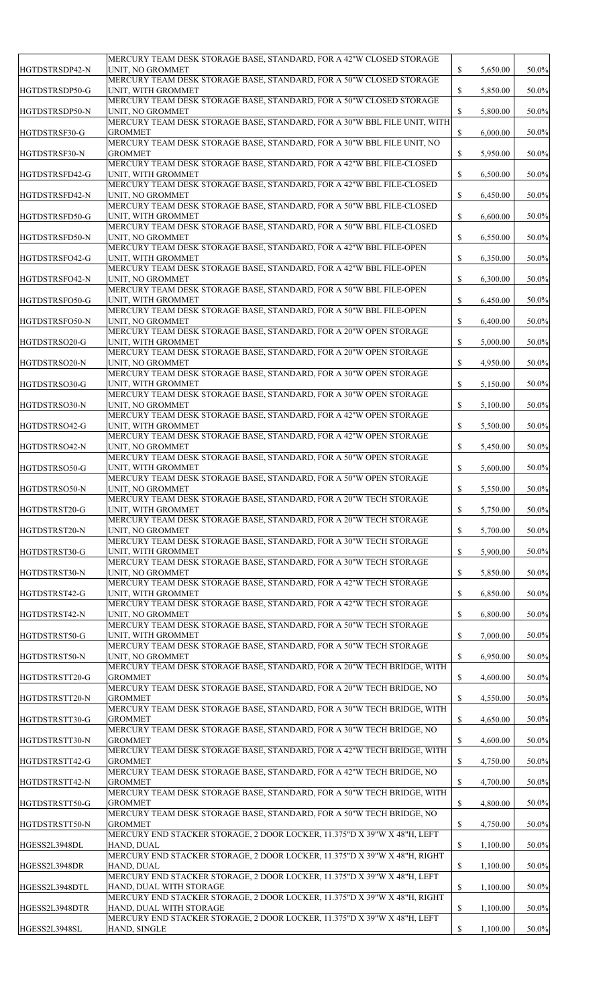|                                 | MERCURY TEAM DESK STORAGE BASE, STANDARD, FOR A 42"W CLOSED STORAGE                                                 |              |                      |                |
|---------------------------------|---------------------------------------------------------------------------------------------------------------------|--------------|----------------------|----------------|
| HGTDSTRSDP42-N                  | UNIT, NO GROMMET<br>MERCURY TEAM DESK STORAGE BASE, STANDARD, FOR A 50"W CLOSED STORAGE                             | $\mathbb{S}$ | 5,650.00             | 50.0%          |
| HGTDSTRSDP50-G                  | UNIT, WITH GROMMET                                                                                                  | $\mathbb{S}$ | 5,850.00             | 50.0%          |
| HGTDSTRSDP50-N                  | MERCURY TEAM DESK STORAGE BASE, STANDARD, FOR A 50"W CLOSED STORAGE<br>UNIT, NO GROMMET                             | $\mathbb{S}$ | 5,800.00             | 50.0%          |
|                                 | MERCURY TEAM DESK STORAGE BASE, STANDARD, FOR A 30"W BBL FILE UNIT, WITH                                            |              |                      |                |
| HGTDSTRSF30-G                   | <b>GROMMET</b><br>MERCURY TEAM DESK STORAGE BASE, STANDARD, FOR A 30"W BBL FILE UNIT, NO                            | $\mathbb{S}$ | 6,000.00             | 50.0%          |
| HGTDSTRSF30-N                   | <b>GROMMET</b>                                                                                                      | $\mathbb{S}$ | 5,950.00             | 50.0%          |
| HGTDSTRSFD42-G                  | MERCURY TEAM DESK STORAGE BASE, STANDARD, FOR A 42"W BBL FILE-CLOSED<br>UNIT, WITH GROMMET                          | $\mathbb{S}$ | 6,500.00             | 50.0%          |
|                                 | MERCURY TEAM DESK STORAGE BASE, STANDARD, FOR A 42"W BBL FILE-CLOSED                                                |              |                      |                |
| HGTDSTRSFD42-N                  | UNIT, NO GROMMET<br>MERCURY TEAM DESK STORAGE BASE, STANDARD, FOR A 50"W BBL FILE-CLOSED                            | $\mathbb{S}$ | 6,450.00             | 50.0%          |
| HGTDSTRSFD50-G                  | UNIT, WITH GROMMET                                                                                                  | $\mathbb{S}$ | 6,600.00             | 50.0%          |
| HGTDSTRSFD50-N                  | MERCURY TEAM DESK STORAGE BASE, STANDARD, FOR A 50"W BBL FILE-CLOSED<br>UNIT, NO GROMMET                            | $\mathbb{S}$ | 6,550.00             | 50.0%          |
|                                 | MERCURY TEAM DESK STORAGE BASE, STANDARD, FOR A 42"W BBL FILE-OPEN                                                  |              |                      |                |
| HGTDSTRSFO42-G                  | UNIT, WITH GROMMET<br>MERCURY TEAM DESK STORAGE BASE, STANDARD, FOR A 42"W BBL FILE-OPEN                            | $\mathbb{S}$ | 6,350.00             | 50.0%          |
| HGTDSTRSFO42-N                  | UNIT, NO GROMMET                                                                                                    | $\mathbb{S}$ | 6,300.00             | 50.0%          |
| HGTDSTRSFO50-G                  | MERCURY TEAM DESK STORAGE BASE, STANDARD, FOR A 50"W BBL FILE-OPEN<br>UNIT, WITH GROMMET                            | $\mathbb{S}$ | 6,450.00             | 50.0%          |
|                                 | MERCURY TEAM DESK STORAGE BASE, STANDARD, FOR A 50"W BBL FILE-OPEN                                                  |              |                      |                |
| HGTDSTRSFO50-N                  | UNIT, NO GROMMET                                                                                                    | $\mathbb{S}$ | 6,400.00             | 50.0%          |
| HGTDSTRSO20-G                   | MERCURY TEAM DESK STORAGE BASE, STANDARD, FOR A 20"W OPEN STORAGE<br>UNIT, WITH GROMMET                             | $\mathbb{S}$ | 5,000.00             | 50.0%          |
|                                 | MERCURY TEAM DESK STORAGE BASE, STANDARD, FOR A 20"W OPEN STORAGE                                                   |              |                      |                |
| HGTDSTRSO20-N                   | UNIT, NO GROMMET<br>MERCURY TEAM DESK STORAGE BASE, STANDARD, FOR A 30"W OPEN STORAGE                               | $\mathbb{S}$ | 4,950.00             | 50.0%          |
| HGTDSTRSO30-G                   | UNIT, WITH GROMMET                                                                                                  | $\mathbb{S}$ | 5,150.00             | 50.0%          |
| HGTDSTRSO30-N                   | MERCURY TEAM DESK STORAGE BASE, STANDARD, FOR A 30"W OPEN STORAGE<br>UNIT, NO GROMMET                               | $\mathbb{S}$ | 5,100.00             | 50.0%          |
|                                 | MERCURY TEAM DESK STORAGE BASE, STANDARD, FOR A 42"W OPEN STORAGE                                                   |              |                      |                |
| HGTDSTRSO42-G                   | UNIT, WITH GROMMET<br>MERCURY TEAM DESK STORAGE BASE, STANDARD, FOR A 42"W OPEN STORAGE                             | $\mathbb{S}$ | 5,500.00             | 50.0%          |
| HGTDSTRSO42-N                   | UNIT, NO GROMMET                                                                                                    | $\mathbb{S}$ | 5,450.00             | 50.0%          |
| HGTDSTRSO50-G                   | MERCURY TEAM DESK STORAGE BASE, STANDARD, FOR A 50"W OPEN STORAGE<br>UNIT, WITH GROMMET                             | $\mathbb{S}$ | 5,600.00             | 50.0%          |
|                                 | MERCURY TEAM DESK STORAGE BASE, STANDARD, FOR A 50"W OPEN STORAGE                                                   |              |                      |                |
| HGTDSTRSO50-N                   | UNIT, NO GROMMET                                                                                                    | $\mathbb{S}$ | 5,550.00             | 50.0%          |
| HGTDSTRST20-G                   | MERCURY TEAM DESK STORAGE BASE, STANDARD, FOR A 20"W TECH STORAGE<br>UNIT, WITH GROMMET                             | $\mathbb{S}$ | 5,750.00             | 50.0%          |
|                                 | MERCURY TEAM DESK STORAGE BASE, STANDARD, FOR A 20"W TECH STORAGE                                                   |              |                      |                |
| HGTDSTRST20-N                   | UNIT, NO GROMMET<br>MERCURY TEAM DESK STORAGE BASE, STANDARD, FOR A 30"W TECH STORAGE                               | $\mathbb{S}$ | 5,700.00             | 50.0%          |
| HGTDSTRST30-G                   | UNIT, WITH GROMMET                                                                                                  | $\mathbb{S}$ | 5,900.00             | 50.0%          |
| HGTDSTRST30-N                   | MERCURY TEAM DESK STORAGE BASE, STANDARD, FOR A 30"W TECH STORAGE<br>UNIT, NO GROMMET                               | $\mathbb{S}$ | 5,850.00             | 50.0%          |
|                                 | MERCURY TEAM DESK STORAGE BASE, STANDARD, FOR A 42"W TECH STORAGE                                                   |              |                      |                |
| HGTDSTRST42-G                   | UNIT, WITH GROMMET<br>MERCURY TEAM DESK STORAGE BASE, STANDARD, FOR A 42"W TECH STORAGE                             | $\mathbb{S}$ | 6,850.00             | 50.0%          |
| HGTDSTRST42-N                   | UNIT, NO GROMMET                                                                                                    | $\mathbb{S}$ | 6,800.00             | 50.0%          |
| HGTDSTRST50-G                   | MERCURY TEAM DESK STORAGE BASE, STANDARD, FOR A 50"W TECH STORAGE<br>UNIT, WITH GROMMET                             | $\mathbb{S}$ | 7,000.00             | 50.0%          |
|                                 | MERCURY TEAM DESK STORAGE BASE, STANDARD, FOR A 50"W TECH STORAGE                                                   |              |                      |                |
| HGTDSTRST50-N                   | UNIT, NO GROMMET<br>MERCURY TEAM DESK STORAGE BASE, STANDARD, FOR A 20"W TECH BRIDGE, WITH                          | $\mathbb{S}$ | 6,950.00             | 50.0%          |
| HGTDSTRSTT20-G                  | <b>GROMMET</b>                                                                                                      |              | 4,600.00             | 50.0%          |
|                                 | MERCURY TEAM DESK STORAGE BASE, STANDARD, FOR A 20"W TECH BRIDGE, NO                                                |              |                      |                |
| HGTDSTRSTT20-N                  | <b>GROMMET</b><br>MERCURY TEAM DESK STORAGE BASE, STANDARD, FOR A 30"W TECH BRIDGE, WITH                            | $\mathbb{S}$ | 4,550.00             | 50.0%          |
| HGTDSTRSTT30-G                  | <b>GROMMET</b>                                                                                                      | $\mathbb{S}$ | 4,650.00             | 50.0%          |
| HGTDSTRSTT30-N                  | MERCURY TEAM DESK STORAGE BASE, STANDARD, FOR A 30"W TECH BRIDGE, NO<br><b>GROMMET</b>                              | $\mathbb{S}$ | 4,600.00             | 50.0%          |
|                                 | MERCURY TEAM DESK STORAGE BASE, STANDARD, FOR A 42"W TECH BRIDGE, WITH                                              |              |                      |                |
| HGTDSTRSTT42-G                  | <b>GROMMET</b><br>MERCURY TEAM DESK STORAGE BASE, STANDARD, FOR A 42"W TECH BRIDGE, NO                              | $\mathbb{S}$ | 4,750.00             | 50.0%          |
| HGTDSTRSTT42-N                  | <b>GROMMET</b>                                                                                                      | $\mathbb{S}$ | 4,700.00             | 50.0%          |
| HGTDSTRSTT50-G                  | MERCURY TEAM DESK STORAGE BASE, STANDARD, FOR A 50"W TECH BRIDGE, WITH<br><b>GROMMET</b>                            | $\mathbb{S}$ | 4,800.00             | 50.0%          |
|                                 | MERCURY TEAM DESK STORAGE BASE, STANDARD, FOR A 50"W TECH BRIDGE, NO                                                |              |                      |                |
| HGTDSTRSTT50-N                  | <b>GROMMET</b><br>MERCURY END STACKER STORAGE, 2 DOOR LOCKER, 11.375"D X 39"W X 48"H, LEFT                          | $\mathbb{S}$ | 4,750.00             | 50.0%          |
| HGESS2L3948DL                   | HAND, DUAL                                                                                                          | $\mathbb{S}$ | 1,100.00             | 50.0%          |
|                                 | MERCURY END STACKER STORAGE, 2 DOOR LOCKER, 11.375"D X 39"W X 48"H, RIGHT                                           |              |                      |                |
| HGESS2L3948DR                   | HAND, DUAL<br>MERCURY END STACKER STORAGE, 2 DOOR LOCKER, 11.375"D X 39"W X 48"H, LEFT                              | $\mathbb{S}$ | 1,100.00             | 50.0%          |
|                                 |                                                                                                                     |              |                      |                |
| HGESS2L3948DTL                  | HAND, DUAL WITH STORAGE                                                                                             | $\mathbb{S}$ | 1,100.00             | 50.0%          |
|                                 | MERCURY END STACKER STORAGE, 2 DOOR LOCKER, 11.375"D X 39"W X 48"H, RIGHT                                           |              |                      |                |
| HGESS2L3948DTR<br>HGESS2L3948SL | HAND, DUAL WITH STORAGE<br>MERCURY END STACKER STORAGE, 2 DOOR LOCKER, 11.375"D X 39"W X 48"H, LEFT<br>HAND, SINGLE | $\mathbb{S}$ | 1,100.00<br>1,100.00 | 50.0%<br>50.0% |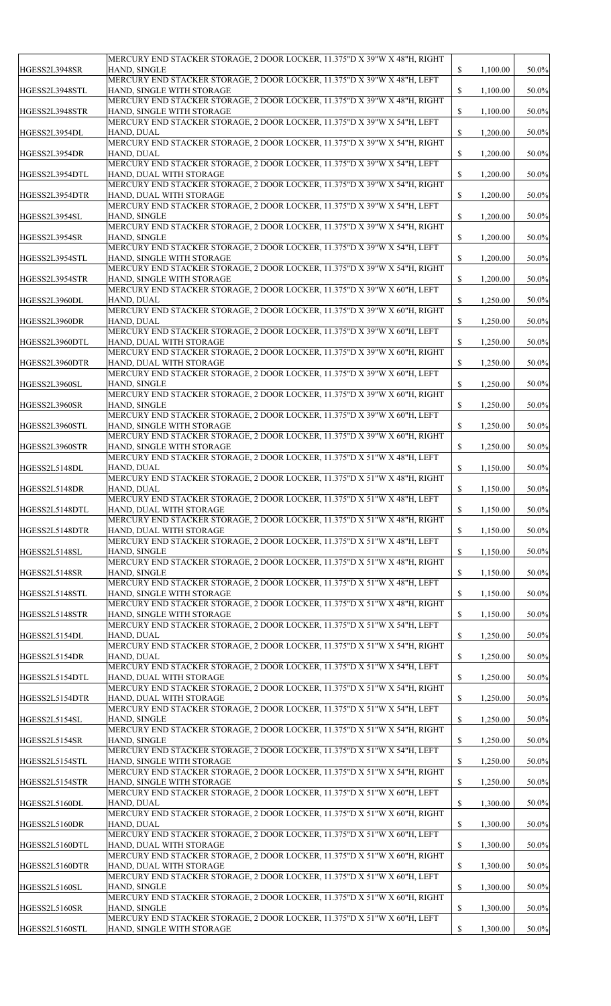|                                                                                                                                          | MERCURY END STACKER STORAGE, 2 DOOR LOCKER, 11.375"D X 39"W X 48"H, RIGHT                              |              |          |       |
|------------------------------------------------------------------------------------------------------------------------------------------|--------------------------------------------------------------------------------------------------------|--------------|----------|-------|
| HGESS2L3948SR                                                                                                                            | HAND, SINGLE<br>MERCURY END STACKER STORAGE, 2 DOOR LOCKER, 11.375"D X 39"W X 48"H, LEFT               | $\mathbb{S}$ | 1,100.00 | 50.0% |
| HGESS2L3948STL                                                                                                                           | HAND, SINGLE WITH STORAGE                                                                              | $\mathbb{S}$ | 1,100.00 | 50.0% |
| HGESS2L3948STR                                                                                                                           | MERCURY END STACKER STORAGE, 2 DOOR LOCKER, 11.375"D X 39"W X 48"H, RIGHT<br>HAND, SINGLE WITH STORAGE | $\mathbb{S}$ | 1,100.00 | 50.0% |
| HGESS2L3954DL                                                                                                                            | MERCURY END STACKER STORAGE, 2 DOOR LOCKER, 11.375"D X 39"W X 54"H, LEFT<br>HAND, DUAL                 | $\mathbb{S}$ | 1,200.00 | 50.0% |
|                                                                                                                                          | MERCURY END STACKER STORAGE, 2 DOOR LOCKER, 11.375"D X 39"W X 54"H, RIGHT                              |              |          |       |
| HGESS2L3954DR                                                                                                                            | HAND, DUAL<br>MERCURY END STACKER STORAGE, 2 DOOR LOCKER, 11.375"D X 39"W X 54"H, LEFT                 | $\mathbb{S}$ | 1,200.00 | 50.0% |
| HGESS2L3954DTL                                                                                                                           | HAND, DUAL WITH STORAGE                                                                                | $\mathbb{S}$ | 1,200.00 | 50.0% |
| HGESS2L3954DTR                                                                                                                           | MERCURY END STACKER STORAGE, 2 DOOR LOCKER, 11.375"D X 39"W X 54"H, RIGHT<br>HAND, DUAL WITH STORAGE   | $\mathbb{S}$ | 1,200.00 | 50.0% |
|                                                                                                                                          | MERCURY END STACKER STORAGE, 2 DOOR LOCKER, 11.375"D X 39"W X 54"H, LEFT                               |              |          |       |
| HGESS2L3954SL                                                                                                                            | HAND, SINGLE<br>MERCURY END STACKER STORAGE, 2 DOOR LOCKER, 11.375"D X 39"W X 54"H, RIGHT              | $\mathbb{S}$ | 1,200.00 | 50.0% |
| HGESS2L3954SR                                                                                                                            | HAND, SINGLE<br>MERCURY END STACKER STORAGE, 2 DOOR LOCKER, 11.375"D X 39"W X 54"H, LEFT               | $\mathbb{S}$ | 1,200.00 | 50.0% |
| HGESS2L3954STL                                                                                                                           | HAND, SINGLE WITH STORAGE                                                                              | $\mathbb{S}$ | 1,200.00 | 50.0% |
| HGESS2L3954STR                                                                                                                           | MERCURY END STACKER STORAGE, 2 DOOR LOCKER, 11.375"D X 39"W X 54"H, RIGHT<br>HAND, SINGLE WITH STORAGE | $\mathbb{S}$ | 1,200.00 | 50.0% |
|                                                                                                                                          | MERCURY END STACKER STORAGE, 2 DOOR LOCKER, 11.375"D X 39"W X 60"H, LEFT                               |              |          |       |
| HGESS2L3960DL                                                                                                                            | HAND, DUAL<br>MERCURY END STACKER STORAGE, 2 DOOR LOCKER, 11.375"D X 39"W X 60"H, RIGHT                | $\mathbb{S}$ | 1,250.00 | 50.0% |
| HGESS2L3960DR                                                                                                                            | HAND, DUAL                                                                                             | $\mathbb{S}$ | 1,250.00 | 50.0% |
| HGESS2L3960DTL                                                                                                                           | MERCURY END STACKER STORAGE, 2 DOOR LOCKER, 11.375"D X 39"W X 60"H, LEFT<br>HAND, DUAL WITH STORAGE    | $\mathbb{S}$ | 1,250.00 | 50.0% |
| HGESS2L3960DTR                                                                                                                           | MERCURY END STACKER STORAGE, 2 DOOR LOCKER, 11.375"D X 39"W X 60"H, RIGHT<br>HAND, DUAL WITH STORAGE   |              | 1,250.00 | 50.0% |
|                                                                                                                                          | MERCURY END STACKER STORAGE, 2 DOOR LOCKER, 11.375"D X 39"W X 60"H, LEFT                               |              |          |       |
| HGESS2L3960SL                                                                                                                            | HAND, SINGLE<br>MERCURY END STACKER STORAGE, 2 DOOR LOCKER, 11.375"D X 39"W X 60"H, RIGHT              | $\mathbb{S}$ | 1,250.00 | 50.0% |
| HGESS2L3960SR                                                                                                                            | HAND, SINGLE                                                                                           | $\mathbb{S}$ | 1,250.00 | 50.0% |
| HGESS2L3960STL                                                                                                                           | MERCURY END STACKER STORAGE, 2 DOOR LOCKER, 11.375"D X 39"W X 60"H, LEFT<br>HAND, SINGLE WITH STORAGE  | $\mathbb{S}$ | 1,250.00 | 50.0% |
| HGESS2L3960STR                                                                                                                           | MERCURY END STACKER STORAGE, 2 DOOR LOCKER, 11.375"D X 39"W X 60"H, RIGHT<br>HAND, SINGLE WITH STORAGE | $\mathbb{S}$ | 1,250.00 | 50.0% |
|                                                                                                                                          | MERCURY END STACKER STORAGE, 2 DOOR LOCKER, 11.375"D X 51"W X 48"H, LEFT                               |              |          |       |
| HGESS2L5148DL                                                                                                                            | HAND, DUAL<br>MERCURY END STACKER STORAGE, 2 DOOR LOCKER, 11.375"D X 51"W X 48"H, RIGHT                | $\mathbb{S}$ | 1,150.00 | 50.0% |
| HGESS2L5148DR                                                                                                                            | HAND, DUAL                                                                                             | $\mathbb{S}$ | 1,150.00 | 50.0% |
| HGESS2L5148DTL                                                                                                                           | MERCURY END STACKER STORAGE, 2 DOOR LOCKER, 11.375"D X 51"W X 48"H, LEFT<br>HAND, DUAL WITH STORAGE    | $\mathbb{S}$ | 1,150.00 | 50.0% |
| HGESS2L5148DTR                                                                                                                           | MERCURY END STACKER STORAGE, 2 DOOR LOCKER, 11.375"D X 51"W X 48"H, RIGHT<br>HAND, DUAL WITH STORAGE   |              |          | 50.0% |
|                                                                                                                                          | MERCURY END STACKER STORAGE, 2 DOOR LOCKER, 11.375"D X 51"W X 48"H, LEFT                               | $\mathbb{S}$ | 1,150.00 |       |
| HGESS2L5148SL                                                                                                                            | HAND, SINGLE<br>MERCURY END STACKER STORAGE, 2 DOOR LOCKER, 11.375"D X 51"W X 48"H, RIGHT              | $\mathbb{S}$ | 1,150.00 | 50.0% |
| HGESS2L5148SR                                                                                                                            | HAND, SINGLE                                                                                           | $\mathbb{S}$ | 1,150.00 | 50.0% |
| HGESS2L5148STL                                                                                                                           | MERCURY END STACKER STORAGE, 2 DOOR LOCKER, 11.375"D X 51"W X 48"H, LEFT<br>HAND, SINGLE WITH STORAGE  | $\mathbb{S}$ | 1,150.00 | 50.0% |
|                                                                                                                                          | MERCURY END STACKER STORAGE, 2 DOOR LOCKER, 11.375"D X 51"W X 48"H, RIGHT                              |              |          |       |
| HGESS2L5148STR                                                                                                                           | HAND, SINGLE WITH STORAGE<br>MERCURY END STACKER STORAGE, 2 DOOR LOCKER, 11.375"D X 51"W X 54"H, LEFT  | $\mathbb{S}$ | 1,150.00 | 50.0% |
| HGESS2L5154DL                                                                                                                            | HAND, DUAL<br>MERCURY END STACKER STORAGE, 2 DOOR LOCKER, 11.375"D X 51"W X 54"H, RIGHT                | $\mathbb{S}$ | 1,250.00 | 50.0% |
| HGESS2L5154DR                                                                                                                            | HAND, DUAL                                                                                             | $\mathbb{S}$ | 1,250.00 | 50.0% |
| HGESS2L5154DTL                                                                                                                           | MERCURY END STACKER STORAGE, 2 DOOR LOCKER, 11.375"D X 51"W X 54"H, LEFT<br>HAND, DUAL WITH STORAGE    |              | 1,250.00 | 50.0% |
|                                                                                                                                          | MERCURY END STACKER STORAGE, 2 DOOR LOCKER, 11.375"D X 51"W X 54"H, RIGHT                              |              |          |       |
| HGESS2L5154DTR                                                                                                                           | HAND, DUAL WITH STORAGE<br>MERCURY END STACKER STORAGE, 2 DOOR LOCKER, 11.375"D X 51"W X 54"H, LEFT    | $\mathbb{S}$ | 1,250.00 | 50.0% |
| HGESS2L5154SL                                                                                                                            | HAND, SINGLE<br>MERCURY END STACKER STORAGE, 2 DOOR LOCKER, 11.375"D X 51"W X 54"H, RIGHT              | \$           | 1,250.00 | 50.0% |
| HGESS2L5154SR                                                                                                                            | HAND, SINGLE                                                                                           | $\mathbb{S}$ | 1,250.00 | 50.0% |
|                                                                                                                                          | MERCURY END STACKER STORAGE, 2 DOOR LOCKER, 11.375"D X 51"W X 54"H, LEFT<br>HAND, SINGLE WITH STORAGE  | $\mathbb{S}$ | 1,250.00 | 50.0% |
|                                                                                                                                          |                                                                                                        |              |          |       |
|                                                                                                                                          | MERCURY END STACKER STORAGE, 2 DOOR LOCKER, 11.375"D X 51"W X 54"H, RIGHT                              |              |          |       |
|                                                                                                                                          | HAND, SINGLE WITH STORAGE<br>MERCURY END STACKER STORAGE, 2 DOOR LOCKER, 11.375"D X 51"W X 60"H, LEFT  | $\mathbb{S}$ | 1,250.00 | 50.0% |
|                                                                                                                                          | HAND, DUAL                                                                                             | $\mathbb{S}$ | 1,300.00 | 50.0% |
|                                                                                                                                          | MERCURY END STACKER STORAGE, 2 DOOR LOCKER, 11.375"D X 51"W X 60"H, RIGHT<br>HAND, DUAL                | $\mathbb{S}$ | 1,300.00 | 50.0% |
|                                                                                                                                          | MERCURY END STACKER STORAGE, 2 DOOR LOCKER, 11.375"D X 51"W X 60"H, LEFT                               |              |          |       |
|                                                                                                                                          | HAND, DUAL WITH STORAGE<br>MERCURY END STACKER STORAGE, 2 DOOR LOCKER, 11.375"D X 51"W X 60"H, RIGHT   | $\mathbb{S}$ | 1,300.00 | 50.0% |
|                                                                                                                                          | HAND, DUAL WITH STORAGE                                                                                | $\mathbb{S}$ | 1,300.00 | 50.0% |
|                                                                                                                                          | MERCURY END STACKER STORAGE, 2 DOOR LOCKER, 11.375"D X 51"W X 60"H, LEFT<br>HAND, SINGLE               | $\mathbb{S}$ | 1,300.00 | 50.0% |
| HGESS2L5154STL<br>HGESS2L5154STR<br>HGESS2L5160DL<br>HGESS2L5160DR<br>HGESS2L5160DTL<br>HGESS2L5160DTR<br>HGESS2L5160SL<br>HGESS2L5160SR | MERCURY END STACKER STORAGE, 2 DOOR LOCKER, 11.375"D X 51"W X 60"H, RIGHT<br>HAND, SINGLE              | $\mathbb{S}$ | 1,300.00 | 50.0% |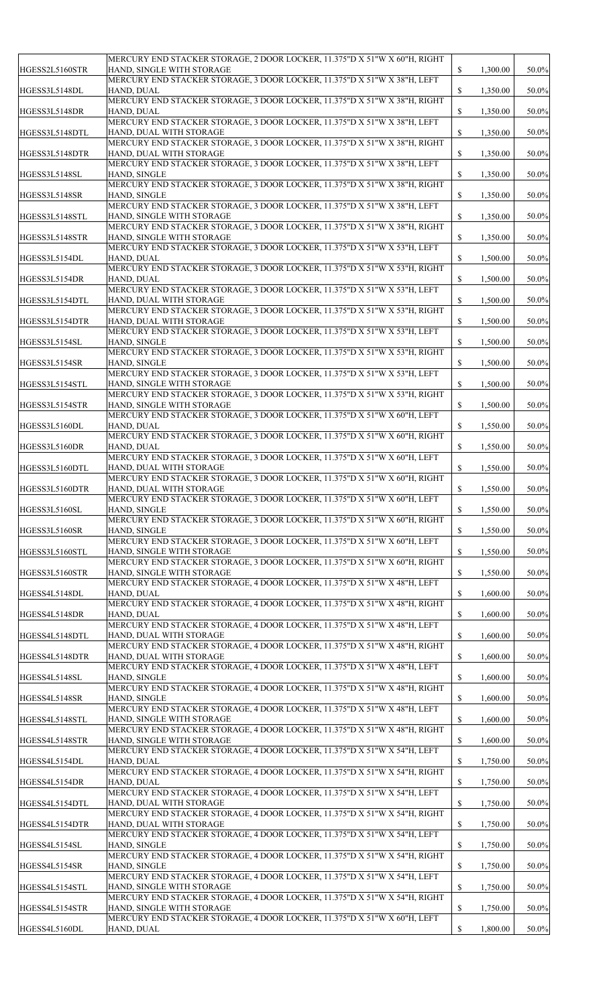| HAND, SINGLE WITH STORAGE<br>HGESS2L5160STR<br>$\mathbb{S}$<br>1,300.00<br>MERCURY END STACKER STORAGE, 3 DOOR LOCKER, 11.375"D X 51"W X 38"H, LEFT<br>$\mathbb{S}$<br>HGESS3L5148DL<br>HAND, DUAL<br>1,350.00<br>MERCURY END STACKER STORAGE, 3 DOOR LOCKER, 11.375"D X 51"W X 38"H, RIGHT<br>HGESS3L5148DR<br>HAND, DUAL<br>$\mathbb{S}$<br>1,350.00<br>MERCURY END STACKER STORAGE, 3 DOOR LOCKER, 11.375"D X 51"W X 38"H, LEFT<br>HAND, DUAL WITH STORAGE<br>$\mathbb{S}$<br>HGESS3L5148DTL<br>1,350.00<br>MERCURY END STACKER STORAGE, 3 DOOR LOCKER, 11.375"D X 51"W X 38"H, RIGHT<br>HAND, DUAL WITH STORAGE<br>$\mathbb{S}$<br>HGESS3L5148DTR<br>1,350.00<br>MERCURY END STACKER STORAGE, 3 DOOR LOCKER, 11.375"D X 51"W X 38"H, LEFT<br>HAND, SINGLE<br>$\mathbb{S}$<br>HGESS3L5148SL<br>1,350.00<br>MERCURY END STACKER STORAGE, 3 DOOR LOCKER, 11.375"D X 51"W X 38"H, RIGHT<br>HAND, SINGLE<br>$\mathbb{S}$<br>HGESS3L5148SR<br>1,350.00<br>MERCURY END STACKER STORAGE, 3 DOOR LOCKER, 11.375"D X 51"W X 38"H, LEFT<br>HAND, SINGLE WITH STORAGE<br>$\mathbb{S}$<br>HGESS3L5148STL<br>1,350.00<br>MERCURY END STACKER STORAGE, 3 DOOR LOCKER, 11.375"D X 51"W X 38"H, RIGHT<br>HAND, SINGLE WITH STORAGE<br>$\mathbb{S}$<br>HGESS3L5148STR<br>1,350.00<br>MERCURY END STACKER STORAGE, 3 DOOR LOCKER, 11.375"D X 51"W X 53"H, LEFT<br>HGESS3L5154DL<br>$\mathbb{S}$<br>HAND, DUAL<br>1,500.00<br>MERCURY END STACKER STORAGE, 3 DOOR LOCKER, 11.375"D X 51"W X 53"H, RIGHT<br>HGESS3L5154DR<br>HAND, DUAL<br>$\mathbb{S}$<br>1,500.00<br>MERCURY END STACKER STORAGE, 3 DOOR LOCKER, 11.375"D X 51"W X 53"H, LEFT<br>HAND, DUAL WITH STORAGE<br>$\mathbb{S}$<br>HGESS3L5154DTL<br>1,500.00<br>MERCURY END STACKER STORAGE, 3 DOOR LOCKER, 11.375"D X 51"W X 53"H, RIGHT<br>HAND, DUAL WITH STORAGE<br>$\mathbb{S}$<br>HGESS3L5154DTR<br>1,500.00<br>MERCURY END STACKER STORAGE, 3 DOOR LOCKER, 11.375"D X 51"W X 53"H, LEFT<br>HGESS3L5154SL<br>HAND, SINGLE<br>$\mathbb{S}$<br>1,500.00<br>MERCURY END STACKER STORAGE, 3 DOOR LOCKER, 11.375"D X 51"W X 53"H, RIGHT<br>HAND, SINGLE<br>HGESS3L5154SR<br>1,500.00<br>\$<br>MERCURY END STACKER STORAGE, 3 DOOR LOCKER, 11.375"D X 51"W X 53"H, LEFT<br>HAND, SINGLE WITH STORAGE<br>HGESS3L5154STL<br>$\mathbb{S}$<br>1,500.00<br>MERCURY END STACKER STORAGE, 3 DOOR LOCKER, 11.375"D X 51"W X 53"H, RIGHT<br>HAND, SINGLE WITH STORAGE<br>$\mathbb{S}$<br>HGESS3L5154STR<br>1,500.00<br>MERCURY END STACKER STORAGE, 3 DOOR LOCKER, 11.375"D X 51"W X 60"H, LEFT<br>HGESS3L5160DL<br>HAND, DUAL<br>$\mathbb{S}$<br>1,550.00<br>MERCURY END STACKER STORAGE, 3 DOOR LOCKER, 11.375"D X 51"W X 60"H, RIGHT<br>HGESS3L5160DR<br>HAND, DUAL<br>$\mathbb{S}$<br>1,550.00<br>MERCURY END STACKER STORAGE, 3 DOOR LOCKER, 11.375"D X 51"W X 60"H, LEFT<br>HAND, DUAL WITH STORAGE<br>HGESS3L5160DTL<br>$\mathbb{S}$<br>1,550.00<br>MERCURY END STACKER STORAGE, 3 DOOR LOCKER, 11.375"D X 51"W X 60"H, RIGHT<br>HGESS3L5160DTR<br>HAND, DUAL WITH STORAGE<br>$\mathbb{S}$<br>1,550.00<br>MERCURY END STACKER STORAGE, 3 DOOR LOCKER, 11.375"D X 51"W X 60"H, LEFT<br>HAND, SINGLE<br>$\mathbb{S}$<br>HGESS3L5160SL<br>1,550.00<br>MERCURY END STACKER STORAGE, 3 DOOR LOCKER, 11.375"D X 51"W X 60"H, RIGHT<br>HAND, SINGLE<br>HGESS3L5160SR<br>$\mathbb{S}$<br>1,550.00<br>MERCURY END STACKER STORAGE, 3 DOOR LOCKER, 11.375"D X 51"W X 60"H, LEFT<br>HAND, SINGLE WITH STORAGE<br>$\mathbb{S}$<br>HGESS3L5160STL<br>1,550.00<br>MERCURY END STACKER STORAGE, 3 DOOR LOCKER, 11.375"D X 51"W X 60"H, RIGHT<br>HGESS3L5160STR<br>HAND, SINGLE WITH STORAGE<br>$\mathbb{S}$<br>1,550.00<br>MERCURY END STACKER STORAGE, 4 DOOR LOCKER, 11.375"D X 51"W X 48"H, LEFT<br>HAND, DUAL<br>$\mathbb{S}$<br>HGESS4L5148DL<br>1,600.00<br>MERCURY END STACKER STORAGE, 4 DOOR LOCKER, 11.375"D X 51"W X 48"H, RIGHT | 50.0%<br>50.0%<br>50.0%<br>50.0%<br>50.0%<br>50.0%<br>50.0%<br>50.0%<br>50.0%<br>50.0%<br>50.0%<br>50.0%<br>50.0%<br>50.0%<br>50.0%<br>50.0%<br>50.0%<br>50.0%<br>50.0%<br>50.0%<br>50.0% |
|-----------------------------------------------------------------------------------------------------------------------------------------------------------------------------------------------------------------------------------------------------------------------------------------------------------------------------------------------------------------------------------------------------------------------------------------------------------------------------------------------------------------------------------------------------------------------------------------------------------------------------------------------------------------------------------------------------------------------------------------------------------------------------------------------------------------------------------------------------------------------------------------------------------------------------------------------------------------------------------------------------------------------------------------------------------------------------------------------------------------------------------------------------------------------------------------------------------------------------------------------------------------------------------------------------------------------------------------------------------------------------------------------------------------------------------------------------------------------------------------------------------------------------------------------------------------------------------------------------------------------------------------------------------------------------------------------------------------------------------------------------------------------------------------------------------------------------------------------------------------------------------------------------------------------------------------------------------------------------------------------------------------------------------------------------------------------------------------------------------------------------------------------------------------------------------------------------------------------------------------------------------------------------------------------------------------------------------------------------------------------------------------------------------------------------------------------------------------------------------------------------------------------------------------------------------------------------------------------------------------------------------------------------------------------------------------------------------------------------------------------------------------------------------------------------------------------------------------------------------------------------------------------------------------------------------------------------------------------------------------------------------------------------------------------------------------------------------------------------------------------------------------------------------------------------------------------------------------------------------------------------------------------------------------------------------------------------------------------------------------------------------------------------------------------------------------------------------------------------------------------------------------------------------------------------------------------------------------------------------------------------------------------------------------------------------------------------------------------------------------------------------------------------------------------------------------------------------------------------------------------|-------------------------------------------------------------------------------------------------------------------------------------------------------------------------------------------|
|                                                                                                                                                                                                                                                                                                                                                                                                                                                                                                                                                                                                                                                                                                                                                                                                                                                                                                                                                                                                                                                                                                                                                                                                                                                                                                                                                                                                                                                                                                                                                                                                                                                                                                                                                                                                                                                                                                                                                                                                                                                                                                                                                                                                                                                                                                                                                                                                                                                                                                                                                                                                                                                                                                                                                                                                                                                                                                                                                                                                                                                                                                                                                                                                                                                                                                                                                                                                                                                                                                                                                                                                                                                                                                                                                                                                                                                                       |                                                                                                                                                                                           |
|                                                                                                                                                                                                                                                                                                                                                                                                                                                                                                                                                                                                                                                                                                                                                                                                                                                                                                                                                                                                                                                                                                                                                                                                                                                                                                                                                                                                                                                                                                                                                                                                                                                                                                                                                                                                                                                                                                                                                                                                                                                                                                                                                                                                                                                                                                                                                                                                                                                                                                                                                                                                                                                                                                                                                                                                                                                                                                                                                                                                                                                                                                                                                                                                                                                                                                                                                                                                                                                                                                                                                                                                                                                                                                                                                                                                                                                                       |                                                                                                                                                                                           |
|                                                                                                                                                                                                                                                                                                                                                                                                                                                                                                                                                                                                                                                                                                                                                                                                                                                                                                                                                                                                                                                                                                                                                                                                                                                                                                                                                                                                                                                                                                                                                                                                                                                                                                                                                                                                                                                                                                                                                                                                                                                                                                                                                                                                                                                                                                                                                                                                                                                                                                                                                                                                                                                                                                                                                                                                                                                                                                                                                                                                                                                                                                                                                                                                                                                                                                                                                                                                                                                                                                                                                                                                                                                                                                                                                                                                                                                                       |                                                                                                                                                                                           |
|                                                                                                                                                                                                                                                                                                                                                                                                                                                                                                                                                                                                                                                                                                                                                                                                                                                                                                                                                                                                                                                                                                                                                                                                                                                                                                                                                                                                                                                                                                                                                                                                                                                                                                                                                                                                                                                                                                                                                                                                                                                                                                                                                                                                                                                                                                                                                                                                                                                                                                                                                                                                                                                                                                                                                                                                                                                                                                                                                                                                                                                                                                                                                                                                                                                                                                                                                                                                                                                                                                                                                                                                                                                                                                                                                                                                                                                                       |                                                                                                                                                                                           |
|                                                                                                                                                                                                                                                                                                                                                                                                                                                                                                                                                                                                                                                                                                                                                                                                                                                                                                                                                                                                                                                                                                                                                                                                                                                                                                                                                                                                                                                                                                                                                                                                                                                                                                                                                                                                                                                                                                                                                                                                                                                                                                                                                                                                                                                                                                                                                                                                                                                                                                                                                                                                                                                                                                                                                                                                                                                                                                                                                                                                                                                                                                                                                                                                                                                                                                                                                                                                                                                                                                                                                                                                                                                                                                                                                                                                                                                                       |                                                                                                                                                                                           |
|                                                                                                                                                                                                                                                                                                                                                                                                                                                                                                                                                                                                                                                                                                                                                                                                                                                                                                                                                                                                                                                                                                                                                                                                                                                                                                                                                                                                                                                                                                                                                                                                                                                                                                                                                                                                                                                                                                                                                                                                                                                                                                                                                                                                                                                                                                                                                                                                                                                                                                                                                                                                                                                                                                                                                                                                                                                                                                                                                                                                                                                                                                                                                                                                                                                                                                                                                                                                                                                                                                                                                                                                                                                                                                                                                                                                                                                                       |                                                                                                                                                                                           |
|                                                                                                                                                                                                                                                                                                                                                                                                                                                                                                                                                                                                                                                                                                                                                                                                                                                                                                                                                                                                                                                                                                                                                                                                                                                                                                                                                                                                                                                                                                                                                                                                                                                                                                                                                                                                                                                                                                                                                                                                                                                                                                                                                                                                                                                                                                                                                                                                                                                                                                                                                                                                                                                                                                                                                                                                                                                                                                                                                                                                                                                                                                                                                                                                                                                                                                                                                                                                                                                                                                                                                                                                                                                                                                                                                                                                                                                                       |                                                                                                                                                                                           |
|                                                                                                                                                                                                                                                                                                                                                                                                                                                                                                                                                                                                                                                                                                                                                                                                                                                                                                                                                                                                                                                                                                                                                                                                                                                                                                                                                                                                                                                                                                                                                                                                                                                                                                                                                                                                                                                                                                                                                                                                                                                                                                                                                                                                                                                                                                                                                                                                                                                                                                                                                                                                                                                                                                                                                                                                                                                                                                                                                                                                                                                                                                                                                                                                                                                                                                                                                                                                                                                                                                                                                                                                                                                                                                                                                                                                                                                                       |                                                                                                                                                                                           |
|                                                                                                                                                                                                                                                                                                                                                                                                                                                                                                                                                                                                                                                                                                                                                                                                                                                                                                                                                                                                                                                                                                                                                                                                                                                                                                                                                                                                                                                                                                                                                                                                                                                                                                                                                                                                                                                                                                                                                                                                                                                                                                                                                                                                                                                                                                                                                                                                                                                                                                                                                                                                                                                                                                                                                                                                                                                                                                                                                                                                                                                                                                                                                                                                                                                                                                                                                                                                                                                                                                                                                                                                                                                                                                                                                                                                                                                                       |                                                                                                                                                                                           |
|                                                                                                                                                                                                                                                                                                                                                                                                                                                                                                                                                                                                                                                                                                                                                                                                                                                                                                                                                                                                                                                                                                                                                                                                                                                                                                                                                                                                                                                                                                                                                                                                                                                                                                                                                                                                                                                                                                                                                                                                                                                                                                                                                                                                                                                                                                                                                                                                                                                                                                                                                                                                                                                                                                                                                                                                                                                                                                                                                                                                                                                                                                                                                                                                                                                                                                                                                                                                                                                                                                                                                                                                                                                                                                                                                                                                                                                                       |                                                                                                                                                                                           |
|                                                                                                                                                                                                                                                                                                                                                                                                                                                                                                                                                                                                                                                                                                                                                                                                                                                                                                                                                                                                                                                                                                                                                                                                                                                                                                                                                                                                                                                                                                                                                                                                                                                                                                                                                                                                                                                                                                                                                                                                                                                                                                                                                                                                                                                                                                                                                                                                                                                                                                                                                                                                                                                                                                                                                                                                                                                                                                                                                                                                                                                                                                                                                                                                                                                                                                                                                                                                                                                                                                                                                                                                                                                                                                                                                                                                                                                                       |                                                                                                                                                                                           |
|                                                                                                                                                                                                                                                                                                                                                                                                                                                                                                                                                                                                                                                                                                                                                                                                                                                                                                                                                                                                                                                                                                                                                                                                                                                                                                                                                                                                                                                                                                                                                                                                                                                                                                                                                                                                                                                                                                                                                                                                                                                                                                                                                                                                                                                                                                                                                                                                                                                                                                                                                                                                                                                                                                                                                                                                                                                                                                                                                                                                                                                                                                                                                                                                                                                                                                                                                                                                                                                                                                                                                                                                                                                                                                                                                                                                                                                                       |                                                                                                                                                                                           |
|                                                                                                                                                                                                                                                                                                                                                                                                                                                                                                                                                                                                                                                                                                                                                                                                                                                                                                                                                                                                                                                                                                                                                                                                                                                                                                                                                                                                                                                                                                                                                                                                                                                                                                                                                                                                                                                                                                                                                                                                                                                                                                                                                                                                                                                                                                                                                                                                                                                                                                                                                                                                                                                                                                                                                                                                                                                                                                                                                                                                                                                                                                                                                                                                                                                                                                                                                                                                                                                                                                                                                                                                                                                                                                                                                                                                                                                                       |                                                                                                                                                                                           |
|                                                                                                                                                                                                                                                                                                                                                                                                                                                                                                                                                                                                                                                                                                                                                                                                                                                                                                                                                                                                                                                                                                                                                                                                                                                                                                                                                                                                                                                                                                                                                                                                                                                                                                                                                                                                                                                                                                                                                                                                                                                                                                                                                                                                                                                                                                                                                                                                                                                                                                                                                                                                                                                                                                                                                                                                                                                                                                                                                                                                                                                                                                                                                                                                                                                                                                                                                                                                                                                                                                                                                                                                                                                                                                                                                                                                                                                                       |                                                                                                                                                                                           |
|                                                                                                                                                                                                                                                                                                                                                                                                                                                                                                                                                                                                                                                                                                                                                                                                                                                                                                                                                                                                                                                                                                                                                                                                                                                                                                                                                                                                                                                                                                                                                                                                                                                                                                                                                                                                                                                                                                                                                                                                                                                                                                                                                                                                                                                                                                                                                                                                                                                                                                                                                                                                                                                                                                                                                                                                                                                                                                                                                                                                                                                                                                                                                                                                                                                                                                                                                                                                                                                                                                                                                                                                                                                                                                                                                                                                                                                                       |                                                                                                                                                                                           |
|                                                                                                                                                                                                                                                                                                                                                                                                                                                                                                                                                                                                                                                                                                                                                                                                                                                                                                                                                                                                                                                                                                                                                                                                                                                                                                                                                                                                                                                                                                                                                                                                                                                                                                                                                                                                                                                                                                                                                                                                                                                                                                                                                                                                                                                                                                                                                                                                                                                                                                                                                                                                                                                                                                                                                                                                                                                                                                                                                                                                                                                                                                                                                                                                                                                                                                                                                                                                                                                                                                                                                                                                                                                                                                                                                                                                                                                                       |                                                                                                                                                                                           |
|                                                                                                                                                                                                                                                                                                                                                                                                                                                                                                                                                                                                                                                                                                                                                                                                                                                                                                                                                                                                                                                                                                                                                                                                                                                                                                                                                                                                                                                                                                                                                                                                                                                                                                                                                                                                                                                                                                                                                                                                                                                                                                                                                                                                                                                                                                                                                                                                                                                                                                                                                                                                                                                                                                                                                                                                                                                                                                                                                                                                                                                                                                                                                                                                                                                                                                                                                                                                                                                                                                                                                                                                                                                                                                                                                                                                                                                                       |                                                                                                                                                                                           |
|                                                                                                                                                                                                                                                                                                                                                                                                                                                                                                                                                                                                                                                                                                                                                                                                                                                                                                                                                                                                                                                                                                                                                                                                                                                                                                                                                                                                                                                                                                                                                                                                                                                                                                                                                                                                                                                                                                                                                                                                                                                                                                                                                                                                                                                                                                                                                                                                                                                                                                                                                                                                                                                                                                                                                                                                                                                                                                                                                                                                                                                                                                                                                                                                                                                                                                                                                                                                                                                                                                                                                                                                                                                                                                                                                                                                                                                                       |                                                                                                                                                                                           |
|                                                                                                                                                                                                                                                                                                                                                                                                                                                                                                                                                                                                                                                                                                                                                                                                                                                                                                                                                                                                                                                                                                                                                                                                                                                                                                                                                                                                                                                                                                                                                                                                                                                                                                                                                                                                                                                                                                                                                                                                                                                                                                                                                                                                                                                                                                                                                                                                                                                                                                                                                                                                                                                                                                                                                                                                                                                                                                                                                                                                                                                                                                                                                                                                                                                                                                                                                                                                                                                                                                                                                                                                                                                                                                                                                                                                                                                                       |                                                                                                                                                                                           |
|                                                                                                                                                                                                                                                                                                                                                                                                                                                                                                                                                                                                                                                                                                                                                                                                                                                                                                                                                                                                                                                                                                                                                                                                                                                                                                                                                                                                                                                                                                                                                                                                                                                                                                                                                                                                                                                                                                                                                                                                                                                                                                                                                                                                                                                                                                                                                                                                                                                                                                                                                                                                                                                                                                                                                                                                                                                                                                                                                                                                                                                                                                                                                                                                                                                                                                                                                                                                                                                                                                                                                                                                                                                                                                                                                                                                                                                                       |                                                                                                                                                                                           |
|                                                                                                                                                                                                                                                                                                                                                                                                                                                                                                                                                                                                                                                                                                                                                                                                                                                                                                                                                                                                                                                                                                                                                                                                                                                                                                                                                                                                                                                                                                                                                                                                                                                                                                                                                                                                                                                                                                                                                                                                                                                                                                                                                                                                                                                                                                                                                                                                                                                                                                                                                                                                                                                                                                                                                                                                                                                                                                                                                                                                                                                                                                                                                                                                                                                                                                                                                                                                                                                                                                                                                                                                                                                                                                                                                                                                                                                                       |                                                                                                                                                                                           |
|                                                                                                                                                                                                                                                                                                                                                                                                                                                                                                                                                                                                                                                                                                                                                                                                                                                                                                                                                                                                                                                                                                                                                                                                                                                                                                                                                                                                                                                                                                                                                                                                                                                                                                                                                                                                                                                                                                                                                                                                                                                                                                                                                                                                                                                                                                                                                                                                                                                                                                                                                                                                                                                                                                                                                                                                                                                                                                                                                                                                                                                                                                                                                                                                                                                                                                                                                                                                                                                                                                                                                                                                                                                                                                                                                                                                                                                                       |                                                                                                                                                                                           |
|                                                                                                                                                                                                                                                                                                                                                                                                                                                                                                                                                                                                                                                                                                                                                                                                                                                                                                                                                                                                                                                                                                                                                                                                                                                                                                                                                                                                                                                                                                                                                                                                                                                                                                                                                                                                                                                                                                                                                                                                                                                                                                                                                                                                                                                                                                                                                                                                                                                                                                                                                                                                                                                                                                                                                                                                                                                                                                                                                                                                                                                                                                                                                                                                                                                                                                                                                                                                                                                                                                                                                                                                                                                                                                                                                                                                                                                                       |                                                                                                                                                                                           |
|                                                                                                                                                                                                                                                                                                                                                                                                                                                                                                                                                                                                                                                                                                                                                                                                                                                                                                                                                                                                                                                                                                                                                                                                                                                                                                                                                                                                                                                                                                                                                                                                                                                                                                                                                                                                                                                                                                                                                                                                                                                                                                                                                                                                                                                                                                                                                                                                                                                                                                                                                                                                                                                                                                                                                                                                                                                                                                                                                                                                                                                                                                                                                                                                                                                                                                                                                                                                                                                                                                                                                                                                                                                                                                                                                                                                                                                                       |                                                                                                                                                                                           |
|                                                                                                                                                                                                                                                                                                                                                                                                                                                                                                                                                                                                                                                                                                                                                                                                                                                                                                                                                                                                                                                                                                                                                                                                                                                                                                                                                                                                                                                                                                                                                                                                                                                                                                                                                                                                                                                                                                                                                                                                                                                                                                                                                                                                                                                                                                                                                                                                                                                                                                                                                                                                                                                                                                                                                                                                                                                                                                                                                                                                                                                                                                                                                                                                                                                                                                                                                                                                                                                                                                                                                                                                                                                                                                                                                                                                                                                                       |                                                                                                                                                                                           |
|                                                                                                                                                                                                                                                                                                                                                                                                                                                                                                                                                                                                                                                                                                                                                                                                                                                                                                                                                                                                                                                                                                                                                                                                                                                                                                                                                                                                                                                                                                                                                                                                                                                                                                                                                                                                                                                                                                                                                                                                                                                                                                                                                                                                                                                                                                                                                                                                                                                                                                                                                                                                                                                                                                                                                                                                                                                                                                                                                                                                                                                                                                                                                                                                                                                                                                                                                                                                                                                                                                                                                                                                                                                                                                                                                                                                                                                                       |                                                                                                                                                                                           |
|                                                                                                                                                                                                                                                                                                                                                                                                                                                                                                                                                                                                                                                                                                                                                                                                                                                                                                                                                                                                                                                                                                                                                                                                                                                                                                                                                                                                                                                                                                                                                                                                                                                                                                                                                                                                                                                                                                                                                                                                                                                                                                                                                                                                                                                                                                                                                                                                                                                                                                                                                                                                                                                                                                                                                                                                                                                                                                                                                                                                                                                                                                                                                                                                                                                                                                                                                                                                                                                                                                                                                                                                                                                                                                                                                                                                                                                                       |                                                                                                                                                                                           |
|                                                                                                                                                                                                                                                                                                                                                                                                                                                                                                                                                                                                                                                                                                                                                                                                                                                                                                                                                                                                                                                                                                                                                                                                                                                                                                                                                                                                                                                                                                                                                                                                                                                                                                                                                                                                                                                                                                                                                                                                                                                                                                                                                                                                                                                                                                                                                                                                                                                                                                                                                                                                                                                                                                                                                                                                                                                                                                                                                                                                                                                                                                                                                                                                                                                                                                                                                                                                                                                                                                                                                                                                                                                                                                                                                                                                                                                                       |                                                                                                                                                                                           |
|                                                                                                                                                                                                                                                                                                                                                                                                                                                                                                                                                                                                                                                                                                                                                                                                                                                                                                                                                                                                                                                                                                                                                                                                                                                                                                                                                                                                                                                                                                                                                                                                                                                                                                                                                                                                                                                                                                                                                                                                                                                                                                                                                                                                                                                                                                                                                                                                                                                                                                                                                                                                                                                                                                                                                                                                                                                                                                                                                                                                                                                                                                                                                                                                                                                                                                                                                                                                                                                                                                                                                                                                                                                                                                                                                                                                                                                                       | 50.0%                                                                                                                                                                                     |
|                                                                                                                                                                                                                                                                                                                                                                                                                                                                                                                                                                                                                                                                                                                                                                                                                                                                                                                                                                                                                                                                                                                                                                                                                                                                                                                                                                                                                                                                                                                                                                                                                                                                                                                                                                                                                                                                                                                                                                                                                                                                                                                                                                                                                                                                                                                                                                                                                                                                                                                                                                                                                                                                                                                                                                                                                                                                                                                                                                                                                                                                                                                                                                                                                                                                                                                                                                                                                                                                                                                                                                                                                                                                                                                                                                                                                                                                       | 50.0%                                                                                                                                                                                     |
|                                                                                                                                                                                                                                                                                                                                                                                                                                                                                                                                                                                                                                                                                                                                                                                                                                                                                                                                                                                                                                                                                                                                                                                                                                                                                                                                                                                                                                                                                                                                                                                                                                                                                                                                                                                                                                                                                                                                                                                                                                                                                                                                                                                                                                                                                                                                                                                                                                                                                                                                                                                                                                                                                                                                                                                                                                                                                                                                                                                                                                                                                                                                                                                                                                                                                                                                                                                                                                                                                                                                                                                                                                                                                                                                                                                                                                                                       | 50.0%                                                                                                                                                                                     |
|                                                                                                                                                                                                                                                                                                                                                                                                                                                                                                                                                                                                                                                                                                                                                                                                                                                                                                                                                                                                                                                                                                                                                                                                                                                                                                                                                                                                                                                                                                                                                                                                                                                                                                                                                                                                                                                                                                                                                                                                                                                                                                                                                                                                                                                                                                                                                                                                                                                                                                                                                                                                                                                                                                                                                                                                                                                                                                                                                                                                                                                                                                                                                                                                                                                                                                                                                                                                                                                                                                                                                                                                                                                                                                                                                                                                                                                                       |                                                                                                                                                                                           |
|                                                                                                                                                                                                                                                                                                                                                                                                                                                                                                                                                                                                                                                                                                                                                                                                                                                                                                                                                                                                                                                                                                                                                                                                                                                                                                                                                                                                                                                                                                                                                                                                                                                                                                                                                                                                                                                                                                                                                                                                                                                                                                                                                                                                                                                                                                                                                                                                                                                                                                                                                                                                                                                                                                                                                                                                                                                                                                                                                                                                                                                                                                                                                                                                                                                                                                                                                                                                                                                                                                                                                                                                                                                                                                                                                                                                                                                                       | 50.0%                                                                                                                                                                                     |
|                                                                                                                                                                                                                                                                                                                                                                                                                                                                                                                                                                                                                                                                                                                                                                                                                                                                                                                                                                                                                                                                                                                                                                                                                                                                                                                                                                                                                                                                                                                                                                                                                                                                                                                                                                                                                                                                                                                                                                                                                                                                                                                                                                                                                                                                                                                                                                                                                                                                                                                                                                                                                                                                                                                                                                                                                                                                                                                                                                                                                                                                                                                                                                                                                                                                                                                                                                                                                                                                                                                                                                                                                                                                                                                                                                                                                                                                       | 50.0%                                                                                                                                                                                     |
| HAND, DUAL<br>HGESS4L5148DR<br>$\mathbb{S}$<br>1,600.00                                                                                                                                                                                                                                                                                                                                                                                                                                                                                                                                                                                                                                                                                                                                                                                                                                                                                                                                                                                                                                                                                                                                                                                                                                                                                                                                                                                                                                                                                                                                                                                                                                                                                                                                                                                                                                                                                                                                                                                                                                                                                                                                                                                                                                                                                                                                                                                                                                                                                                                                                                                                                                                                                                                                                                                                                                                                                                                                                                                                                                                                                                                                                                                                                                                                                                                                                                                                                                                                                                                                                                                                                                                                                                                                                                                                               | 50.0%                                                                                                                                                                                     |
| MERCURY END STACKER STORAGE, 4 DOOR LOCKER, 11.375"D X 51"W X 48"H, LEFT                                                                                                                                                                                                                                                                                                                                                                                                                                                                                                                                                                                                                                                                                                                                                                                                                                                                                                                                                                                                                                                                                                                                                                                                                                                                                                                                                                                                                                                                                                                                                                                                                                                                                                                                                                                                                                                                                                                                                                                                                                                                                                                                                                                                                                                                                                                                                                                                                                                                                                                                                                                                                                                                                                                                                                                                                                                                                                                                                                                                                                                                                                                                                                                                                                                                                                                                                                                                                                                                                                                                                                                                                                                                                                                                                                                              |                                                                                                                                                                                           |
| HAND, DUAL WITH STORAGE<br>$\mathbb{S}$<br>HGESS4L5148DTL<br>1,600.00<br>MERCURY END STACKER STORAGE, 4 DOOR LOCKER, 11.375"D X 51"W X 48"H, RIGHT                                                                                                                                                                                                                                                                                                                                                                                                                                                                                                                                                                                                                                                                                                                                                                                                                                                                                                                                                                                                                                                                                                                                                                                                                                                                                                                                                                                                                                                                                                                                                                                                                                                                                                                                                                                                                                                                                                                                                                                                                                                                                                                                                                                                                                                                                                                                                                                                                                                                                                                                                                                                                                                                                                                                                                                                                                                                                                                                                                                                                                                                                                                                                                                                                                                                                                                                                                                                                                                                                                                                                                                                                                                                                                                    | 50.0%                                                                                                                                                                                     |
| HGESS4L5148DTR<br>HAND, DUAL WITH STORAGE<br>$\mathbb{S}$<br>1,600.00                                                                                                                                                                                                                                                                                                                                                                                                                                                                                                                                                                                                                                                                                                                                                                                                                                                                                                                                                                                                                                                                                                                                                                                                                                                                                                                                                                                                                                                                                                                                                                                                                                                                                                                                                                                                                                                                                                                                                                                                                                                                                                                                                                                                                                                                                                                                                                                                                                                                                                                                                                                                                                                                                                                                                                                                                                                                                                                                                                                                                                                                                                                                                                                                                                                                                                                                                                                                                                                                                                                                                                                                                                                                                                                                                                                                 | 50.0%                                                                                                                                                                                     |
| MERCURY END STACKER STORAGE, 4 DOOR LOCKER, 11.375"D X 51"W X 48"H, LEFT<br>HAND, SINGLE<br>HGESS4L5148SL<br>1,600.00<br>\$                                                                                                                                                                                                                                                                                                                                                                                                                                                                                                                                                                                                                                                                                                                                                                                                                                                                                                                                                                                                                                                                                                                                                                                                                                                                                                                                                                                                                                                                                                                                                                                                                                                                                                                                                                                                                                                                                                                                                                                                                                                                                                                                                                                                                                                                                                                                                                                                                                                                                                                                                                                                                                                                                                                                                                                                                                                                                                                                                                                                                                                                                                                                                                                                                                                                                                                                                                                                                                                                                                                                                                                                                                                                                                                                           | 50.0%                                                                                                                                                                                     |
| MERCURY END STACKER STORAGE, 4 DOOR LOCKER, 11.375"D X 51"W X 48"H, RIGHT                                                                                                                                                                                                                                                                                                                                                                                                                                                                                                                                                                                                                                                                                                                                                                                                                                                                                                                                                                                                                                                                                                                                                                                                                                                                                                                                                                                                                                                                                                                                                                                                                                                                                                                                                                                                                                                                                                                                                                                                                                                                                                                                                                                                                                                                                                                                                                                                                                                                                                                                                                                                                                                                                                                                                                                                                                                                                                                                                                                                                                                                                                                                                                                                                                                                                                                                                                                                                                                                                                                                                                                                                                                                                                                                                                                             |                                                                                                                                                                                           |
| HGESS4L5148SR<br>HAND, SINGLE<br>$\mathbb{S}$<br>1,600.00<br>MERCURY END STACKER STORAGE, 4 DOOR LOCKER, 11.375"D X 51"W X 48"H, LEFT                                                                                                                                                                                                                                                                                                                                                                                                                                                                                                                                                                                                                                                                                                                                                                                                                                                                                                                                                                                                                                                                                                                                                                                                                                                                                                                                                                                                                                                                                                                                                                                                                                                                                                                                                                                                                                                                                                                                                                                                                                                                                                                                                                                                                                                                                                                                                                                                                                                                                                                                                                                                                                                                                                                                                                                                                                                                                                                                                                                                                                                                                                                                                                                                                                                                                                                                                                                                                                                                                                                                                                                                                                                                                                                                 | 50.0%                                                                                                                                                                                     |
| HAND, SINGLE WITH STORAGE<br>$\mathbb{S}$<br>HGESS4L5148STL<br>1,600.00                                                                                                                                                                                                                                                                                                                                                                                                                                                                                                                                                                                                                                                                                                                                                                                                                                                                                                                                                                                                                                                                                                                                                                                                                                                                                                                                                                                                                                                                                                                                                                                                                                                                                                                                                                                                                                                                                                                                                                                                                                                                                                                                                                                                                                                                                                                                                                                                                                                                                                                                                                                                                                                                                                                                                                                                                                                                                                                                                                                                                                                                                                                                                                                                                                                                                                                                                                                                                                                                                                                                                                                                                                                                                                                                                                                               | 50.0%                                                                                                                                                                                     |
| MERCURY END STACKER STORAGE, 4 DOOR LOCKER, 11.375"D X 51"W X 48"H, RIGHT<br>HAND, SINGLE WITH STORAGE<br>HGESS4L5148STR<br>$\mathbb{S}$<br>1,600.00                                                                                                                                                                                                                                                                                                                                                                                                                                                                                                                                                                                                                                                                                                                                                                                                                                                                                                                                                                                                                                                                                                                                                                                                                                                                                                                                                                                                                                                                                                                                                                                                                                                                                                                                                                                                                                                                                                                                                                                                                                                                                                                                                                                                                                                                                                                                                                                                                                                                                                                                                                                                                                                                                                                                                                                                                                                                                                                                                                                                                                                                                                                                                                                                                                                                                                                                                                                                                                                                                                                                                                                                                                                                                                                  | 50.0%                                                                                                                                                                                     |
| MERCURY END STACKER STORAGE, 4 DOOR LOCKER, 11.375"D X 51"W X 54"H, LEFT                                                                                                                                                                                                                                                                                                                                                                                                                                                                                                                                                                                                                                                                                                                                                                                                                                                                                                                                                                                                                                                                                                                                                                                                                                                                                                                                                                                                                                                                                                                                                                                                                                                                                                                                                                                                                                                                                                                                                                                                                                                                                                                                                                                                                                                                                                                                                                                                                                                                                                                                                                                                                                                                                                                                                                                                                                                                                                                                                                                                                                                                                                                                                                                                                                                                                                                                                                                                                                                                                                                                                                                                                                                                                                                                                                                              |                                                                                                                                                                                           |
| HAND, DUAL<br>HGESS4L5154DL<br>$\mathbb{S}$<br>1,750.00<br>MERCURY END STACKER STORAGE, 4 DOOR LOCKER, 11.375"D X 51"W X 54"H, RIGHT                                                                                                                                                                                                                                                                                                                                                                                                                                                                                                                                                                                                                                                                                                                                                                                                                                                                                                                                                                                                                                                                                                                                                                                                                                                                                                                                                                                                                                                                                                                                                                                                                                                                                                                                                                                                                                                                                                                                                                                                                                                                                                                                                                                                                                                                                                                                                                                                                                                                                                                                                                                                                                                                                                                                                                                                                                                                                                                                                                                                                                                                                                                                                                                                                                                                                                                                                                                                                                                                                                                                                                                                                                                                                                                                  | 50.0%                                                                                                                                                                                     |
| $\mathbb{S}$<br>HGESS4L5154DR<br>HAND, DUAL<br>1,750.00                                                                                                                                                                                                                                                                                                                                                                                                                                                                                                                                                                                                                                                                                                                                                                                                                                                                                                                                                                                                                                                                                                                                                                                                                                                                                                                                                                                                                                                                                                                                                                                                                                                                                                                                                                                                                                                                                                                                                                                                                                                                                                                                                                                                                                                                                                                                                                                                                                                                                                                                                                                                                                                                                                                                                                                                                                                                                                                                                                                                                                                                                                                                                                                                                                                                                                                                                                                                                                                                                                                                                                                                                                                                                                                                                                                                               | 50.0%                                                                                                                                                                                     |
| MERCURY END STACKER STORAGE, 4 DOOR LOCKER, 11.375"D X 51"W X 54"H, LEFT<br>HAND, DUAL WITH STORAGE<br>$\mathbb{S}$<br>HGESS4L5154DTL<br>1,750.00                                                                                                                                                                                                                                                                                                                                                                                                                                                                                                                                                                                                                                                                                                                                                                                                                                                                                                                                                                                                                                                                                                                                                                                                                                                                                                                                                                                                                                                                                                                                                                                                                                                                                                                                                                                                                                                                                                                                                                                                                                                                                                                                                                                                                                                                                                                                                                                                                                                                                                                                                                                                                                                                                                                                                                                                                                                                                                                                                                                                                                                                                                                                                                                                                                                                                                                                                                                                                                                                                                                                                                                                                                                                                                                     |                                                                                                                                                                                           |
| MERCURY END STACKER STORAGE, 4 DOOR LOCKER, 11.375"D X 51"W X 54"H, RIGHT                                                                                                                                                                                                                                                                                                                                                                                                                                                                                                                                                                                                                                                                                                                                                                                                                                                                                                                                                                                                                                                                                                                                                                                                                                                                                                                                                                                                                                                                                                                                                                                                                                                                                                                                                                                                                                                                                                                                                                                                                                                                                                                                                                                                                                                                                                                                                                                                                                                                                                                                                                                                                                                                                                                                                                                                                                                                                                                                                                                                                                                                                                                                                                                                                                                                                                                                                                                                                                                                                                                                                                                                                                                                                                                                                                                             |                                                                                                                                                                                           |
| HAND, DUAL WITH STORAGE<br>$\mathbb{S}$<br>HGESS4L5154DTR<br>1,750.00<br>MERCURY END STACKER STORAGE, 4 DOOR LOCKER, 11.375"D X 51"W X 54"H, LEFT                                                                                                                                                                                                                                                                                                                                                                                                                                                                                                                                                                                                                                                                                                                                                                                                                                                                                                                                                                                                                                                                                                                                                                                                                                                                                                                                                                                                                                                                                                                                                                                                                                                                                                                                                                                                                                                                                                                                                                                                                                                                                                                                                                                                                                                                                                                                                                                                                                                                                                                                                                                                                                                                                                                                                                                                                                                                                                                                                                                                                                                                                                                                                                                                                                                                                                                                                                                                                                                                                                                                                                                                                                                                                                                     | 50.0%                                                                                                                                                                                     |
| HAND, SINGLE<br>$\mathbb{S}$<br>HGESS4L5154SL<br>1,750.00                                                                                                                                                                                                                                                                                                                                                                                                                                                                                                                                                                                                                                                                                                                                                                                                                                                                                                                                                                                                                                                                                                                                                                                                                                                                                                                                                                                                                                                                                                                                                                                                                                                                                                                                                                                                                                                                                                                                                                                                                                                                                                                                                                                                                                                                                                                                                                                                                                                                                                                                                                                                                                                                                                                                                                                                                                                                                                                                                                                                                                                                                                                                                                                                                                                                                                                                                                                                                                                                                                                                                                                                                                                                                                                                                                                                             | 50.0%                                                                                                                                                                                     |
| MERCURY END STACKER STORAGE, 4 DOOR LOCKER, 11.375"D X 51"W X 54"H, RIGHT<br>HAND, SINGLE<br>$\mathbb{S}$<br>HGESS4L5154SR<br>1,750.00                                                                                                                                                                                                                                                                                                                                                                                                                                                                                                                                                                                                                                                                                                                                                                                                                                                                                                                                                                                                                                                                                                                                                                                                                                                                                                                                                                                                                                                                                                                                                                                                                                                                                                                                                                                                                                                                                                                                                                                                                                                                                                                                                                                                                                                                                                                                                                                                                                                                                                                                                                                                                                                                                                                                                                                                                                                                                                                                                                                                                                                                                                                                                                                                                                                                                                                                                                                                                                                                                                                                                                                                                                                                                                                                | 50.0%                                                                                                                                                                                     |
|                                                                                                                                                                                                                                                                                                                                                                                                                                                                                                                                                                                                                                                                                                                                                                                                                                                                                                                                                                                                                                                                                                                                                                                                                                                                                                                                                                                                                                                                                                                                                                                                                                                                                                                                                                                                                                                                                                                                                                                                                                                                                                                                                                                                                                                                                                                                                                                                                                                                                                                                                                                                                                                                                                                                                                                                                                                                                                                                                                                                                                                                                                                                                                                                                                                                                                                                                                                                                                                                                                                                                                                                                                                                                                                                                                                                                                                                       |                                                                                                                                                                                           |
| MERCURY END STACKER STORAGE, 4 DOOR LOCKER, 11.375"D X 51"W X 54"H, LEFT                                                                                                                                                                                                                                                                                                                                                                                                                                                                                                                                                                                                                                                                                                                                                                                                                                                                                                                                                                                                                                                                                                                                                                                                                                                                                                                                                                                                                                                                                                                                                                                                                                                                                                                                                                                                                                                                                                                                                                                                                                                                                                                                                                                                                                                                                                                                                                                                                                                                                                                                                                                                                                                                                                                                                                                                                                                                                                                                                                                                                                                                                                                                                                                                                                                                                                                                                                                                                                                                                                                                                                                                                                                                                                                                                                                              | 50.0%                                                                                                                                                                                     |
| HAND, SINGLE WITH STORAGE<br>$\mathbb{S}$<br>HGESS4L5154STL<br>1,750.00                                                                                                                                                                                                                                                                                                                                                                                                                                                                                                                                                                                                                                                                                                                                                                                                                                                                                                                                                                                                                                                                                                                                                                                                                                                                                                                                                                                                                                                                                                                                                                                                                                                                                                                                                                                                                                                                                                                                                                                                                                                                                                                                                                                                                                                                                                                                                                                                                                                                                                                                                                                                                                                                                                                                                                                                                                                                                                                                                                                                                                                                                                                                                                                                                                                                                                                                                                                                                                                                                                                                                                                                                                                                                                                                                                                               | 50.0%                                                                                                                                                                                     |
| MERCURY END STACKER STORAGE, 4 DOOR LOCKER, 11.375"D X 51"W X 54"H, RIGHT<br>HAND, SINGLE WITH STORAGE<br>HGESS4L5154STR<br>$\mathbb{S}$<br>1,750.00<br>MERCURY END STACKER STORAGE, 4 DOOR LOCKER, 11.375"D X 51"W X 60"H, LEFT                                                                                                                                                                                                                                                                                                                                                                                                                                                                                                                                                                                                                                                                                                                                                                                                                                                                                                                                                                                                                                                                                                                                                                                                                                                                                                                                                                                                                                                                                                                                                                                                                                                                                                                                                                                                                                                                                                                                                                                                                                                                                                                                                                                                                                                                                                                                                                                                                                                                                                                                                                                                                                                                                                                                                                                                                                                                                                                                                                                                                                                                                                                                                                                                                                                                                                                                                                                                                                                                                                                                                                                                                                      | 50.0%                                                                                                                                                                                     |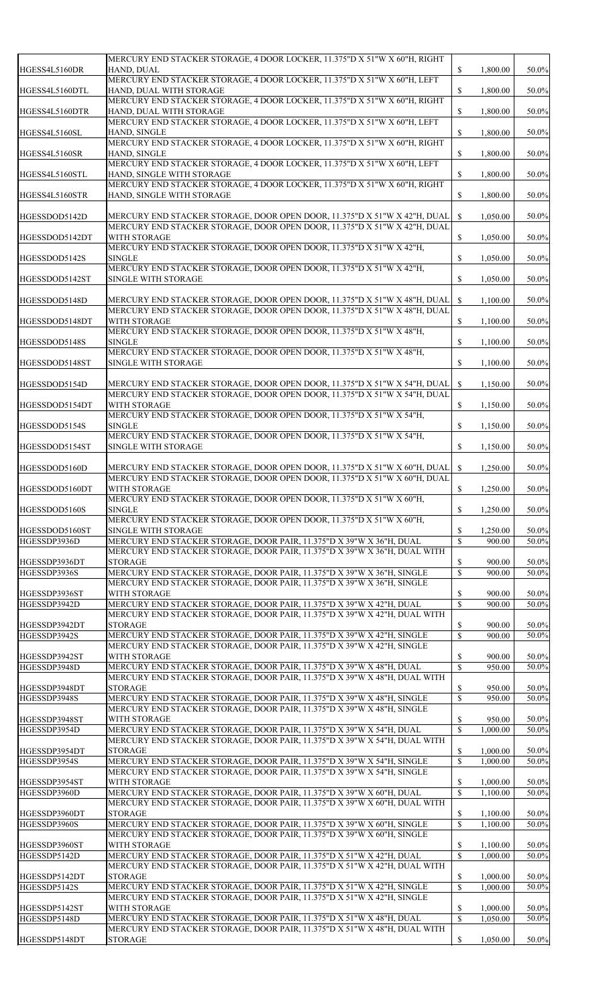| HGESS4L5160DR                 | MERCURY END STACKER STORAGE, 4 DOOR LOCKER, 11.375"D X 51"W X 60"H, RIGHT<br>HAND, DUAL                                                                | $\mathbb{S}$                 | 1,800.00             | $50.0\%$       |
|-------------------------------|--------------------------------------------------------------------------------------------------------------------------------------------------------|------------------------------|----------------------|----------------|
|                               | MERCURY END STACKER STORAGE, 4 DOOR LOCKER, 11.375"D X 51"W X 60"H, LEFT                                                                               |                              |                      |                |
| HGESS4L5160DTL                | HAND, DUAL WITH STORAGE<br>MERCURY END STACKER STORAGE, 4 DOOR LOCKER, 11.375"D X 51"W X 60"H, RIGHT                                                   | $\mathbb{S}$                 | 1,800.00             | 50.0%          |
| HGESS4L5160DTR                | HAND, DUAL WITH STORAGE                                                                                                                                | $\mathbb{S}$                 | 1,800.00             | 50.0%          |
| HGESS4L5160SL                 | MERCURY END STACKER STORAGE, 4 DOOR LOCKER, 11.375"D X 51"W X 60"H, LEFT<br>HAND, SINGLE                                                               | $\mathbb{S}$                 | 1,800.00             | 50.0%          |
| HGESS4L5160SR                 | MERCURY END STACKER STORAGE, 4 DOOR LOCKER, 11.375"D X 51"W X 60"H, RIGHT<br>HAND, SINGLE                                                              | $\mathbb{S}$                 | 1,800.00             | 50.0%          |
|                               | MERCURY END STACKER STORAGE, 4 DOOR LOCKER, 11.375"D X 51"W X 60"H, LEFT                                                                               |                              |                      |                |
| HGESS4L5160STL                | HAND, SINGLE WITH STORAGE<br>MERCURY END STACKER STORAGE, 4 DOOR LOCKER, 11.375"D X 51"W X 60"H, RIGHT                                                 | $\mathbb{S}$                 | 1,800.00             | 50.0%          |
| HGESS4L5160STR                | HAND, SINGLE WITH STORAGE                                                                                                                              | \$                           | 1,800.00             | 50.0%          |
| HGESSDOD5142D                 | MERCURY END STACKER STORAGE, DOOR OPEN DOOR, 11.375"D X 51"W X 42"H, DUAL<br>MERCURY END STACKER STORAGE, DOOR OPEN DOOR, 11.375"D X 51"W X 42"H, DUAL | $\mathbb{S}$                 | 1,050.00             | 50.0%          |
| HGESSDOD5142DT                | WITH STORAGE                                                                                                                                           | $\mathbb{S}$                 | 1,050.00             | 50.0%          |
| HGESSDOD5142S                 | MERCURY END STACKER STORAGE, DOOR OPEN DOOR, 11.375"D X 51"W X 42"H,<br><b>SINGLE</b>                                                                  | $\mathbb{S}$                 | 1,050.00             | 50.0%          |
|                               | MERCURY END STACKER STORAGE, DOOR OPEN DOOR, 11.375"D X 51"W X 42"H,                                                                                   |                              |                      |                |
| HGESSDOD5142ST                | <b>SINGLE WITH STORAGE</b>                                                                                                                             | \$                           | 1,050.00             | 50.0%          |
| HGESSDOD5148D                 | MERCURY END STACKER STORAGE, DOOR OPEN DOOR, 11.375"D X 51"W X 48"H, DUAL<br>MERCURY END STACKER STORAGE, DOOR OPEN DOOR, 11.375"D X 51"W X 48"H, DUAL | $\mathbb{S}$                 | 1,100.00             | 50.0%          |
| HGESSDOD5148DT                | WITH STORAGE<br>MERCURY END STACKER STORAGE, DOOR OPEN DOOR, 11.375"D X 51"W X 48"H,                                                                   | \$                           | 1,100.00             | 50.0%          |
| HGESSDOD5148S                 | <b>SINGLE</b>                                                                                                                                          | $\mathbb{S}$                 | 1,100.00             | 50.0%          |
| HGESSDOD5148ST                | MERCURY END STACKER STORAGE, DOOR OPEN DOOR, 11.375"D X 51"W X 48"H,<br><b>SINGLE WITH STORAGE</b>                                                     |                              | 1,100.00             | 50.0%          |
| HGESSDOD5154D                 | MERCURY END STACKER STORAGE, DOOR OPEN DOOR, 11.375"D X 51"W X 54"H, DUAL                                                                              | $\mathbb{S}$                 | 1,150.00             | $50.0\%$       |
| HGESSDOD5154DT                | MERCURY END STACKER STORAGE, DOOR OPEN DOOR, 11.375"D X 51"W X 54"H, DUAL<br><b>WITH STORAGE</b>                                                       | $\mathbb{S}$                 | 1,150.00             | $50.0\%$       |
| HGESSDOD5154S                 | MERCURY END STACKER STORAGE, DOOR OPEN DOOR, 11.375"D X 51"W X 54"H,<br><b>SINGLE</b>                                                                  | $\mathbb{S}$                 | 1,150.00             | 50.0%          |
| HGESSDOD5154ST                | MERCURY END STACKER STORAGE, DOOR OPEN DOOR, 11.375"D X 51"W X 54"H,<br><b>SINGLE WITH STORAGE</b>                                                     | $\mathbb{S}$                 | 1,150.00             | 50.0%          |
| HGESSDOD5160D                 | MERCURY END STACKER STORAGE, DOOR OPEN DOOR, 11.375"D X 51"W X 60"H, DUAL                                                                              | $\mathbb{S}$                 | 1,250.00             | 50.0%          |
|                               | MERCURY END STACKER STORAGE, DOOR OPEN DOOR, 11.375"D X 51"W X 60"H, DUAL                                                                              |                              |                      |                |
| HGESSDOD5160DT                | <b>WITH STORAGE</b><br>MERCURY END STACKER STORAGE, DOOR OPEN DOOR, 11.375"D X 51"W X 60"H,                                                            | $\mathbb{S}$                 | 1,250.00             | 50.0%          |
| HGESSDOD5160S                 | <b>SINGLE</b><br>MERCURY END STACKER STORAGE, DOOR OPEN DOOR, 11.375"D X 51"W X 60"H,                                                                  | $\mathbb{S}$                 | 1,250.00             | 50.0%          |
| HGESSDOD5160ST                | <b>SINGLE WITH STORAGE</b>                                                                                                                             | \$<br>$\mathbb{S}$           | 1,250.00             | 50.0%          |
| HGESSDP3936D                  | MERCURY END STACKER STORAGE, DOOR PAIR, 11.375"D X 39"W X 36"H, DUAL<br>MERCURY END STACKER STORAGE, DOOR PAIR, 11.375"D X 39"W X 36"H, DUAL WITH      |                              | 900.00               | 50.0%          |
| HGESSDP3936DT<br>HGESSDP3936S | <b>STORAGE</b><br>MERCURY END STACKER STORAGE, DOOR PAIR, 11.375"D X 39"W X 36"H, SINGLE                                                               | \$<br>$\mathbb{S}$           | 900.00<br>900.00     | 50.0%<br>50.0% |
|                               | MERCURY END STACKER STORAGE, DOOR PAIR, 11.375"D X 39"W X 36"H, SINGLE                                                                                 |                              |                      |                |
| HGESSDP3936ST                 | <b>WITH STORAGE</b>                                                                                                                                    | \$                           | 900.00               | 50.0%          |
| HGESSDP3942D                  | MERCURY END STACKER STORAGE, DOOR PAIR, 11.375"D X 39"W X 42"H, DUAL<br>MERCURY END STACKER STORAGE, DOOR PAIR, 11.375"D X 39"W X 42"H, DUAL WITH      | $\mathbb{S}$                 | 900.00               | 50.0%          |
| HGESSDP3942DT                 | <b>STORAGE</b>                                                                                                                                         | \$                           | 900.00               | 50.0%          |
| HGESSDP3942S                  | MERCURY END STACKER STORAGE, DOOR PAIR, 11.375"D X 39"W X 42"H, SINGLE<br>MERCURY END STACKER STORAGE, DOOR PAIR, 11.375"D X 39"W X 42"H, SINGLE       | \$                           | 900.00               | 50.0%          |
| HGESSDP3942ST                 | <b>WITH STORAGE</b>                                                                                                                                    | S                            | 900.00               | 50.0%          |
| HGESSDP3948D                  | MERCURY END STACKER STORAGE, DOOR PAIR, 11.375"D X 39"W X 48"H, DUAL                                                                                   | $\mathbb{S}$                 | 950.00               | 50.0%          |
|                               | MERCURY END STACKER STORAGE, DOOR PAIR, 11.375"D X 39"W X 48"H, DUAL WITH                                                                              |                              |                      |                |
| HGESSDP3948DT<br>HGESSDP3948S | <b>STORAGE</b><br>MERCURY END STACKER STORAGE, DOOR PAIR, 11.375"D X 39"W X 48"H, SINGLE                                                               | $\mathbb{S}$<br>$\mathbb{S}$ | 950.00<br>950.00     | 50.0%<br>50.0% |
|                               | MERCURY END STACKER STORAGE, DOOR PAIR, 11.375"D X 39"W X 48"H, SINGLE                                                                                 |                              |                      |                |
| HGESSDP3948ST                 | <b>WITH STORAGE</b>                                                                                                                                    | \$                           | 950.00               | 50.0%          |
| HGESSDP3954D                  | MERCURY END STACKER STORAGE, DOOR PAIR, 11.375"D X 39"W X 54"H, DUAL<br>MERCURY END STACKER STORAGE, DOOR PAIR, 11.375"D X 39"W X 54"H, DUAL WITH      | $\mathbb{S}$                 | 1,000.00             | 50.0%          |
| HGESSDP3954DT                 | <b>STORAGE</b>                                                                                                                                         | \$                           | 1,000.00             | 50.0%          |
| HGESSDP3954S                  | MERCURY END STACKER STORAGE, DOOR PAIR, 11.375"D X 39"W X 54"H, SINGLE                                                                                 | $\mathbb{S}$                 | 1,000.00             | 50.0%          |
|                               | MERCURY END STACKER STORAGE, DOOR PAIR, 11.375"D X 39"W X 54"H, SINGLE                                                                                 |                              |                      |                |
| HGESSDP3954ST<br>HGESSDP3960D | <b>WITH STORAGE</b><br>MERCURY END STACKER STORAGE, DOOR PAIR, 11.375"D X 39"W X 60"H, DUAL                                                            | \$<br>$\mathbb{S}$           | 1,000.00<br>1,100.00 | 50.0%<br>50.0% |
|                               | MERCURY END STACKER STORAGE, DOOR PAIR, 11.375"D X 39"W X 60"H, DUAL WITH                                                                              |                              |                      |                |
| HGESSDP3960DT                 | <b>STORAGE</b>                                                                                                                                         | $\mathbb{S}$                 | 1,100.00             | 50.0%          |
| HGESSDP3960S                  | MERCURY END STACKER STORAGE, DOOR PAIR, 11.375"D X 39"W X 60"H, SINGLE<br>MERCURY END STACKER STORAGE, DOOR PAIR, 11.375"D X 39"W X 60"H, SINGLE       | $\mathbb{S}$                 | 1,100.00             | 50.0%          |
| HGESSDP3960ST                 | <b>WITH STORAGE</b>                                                                                                                                    | $\mathbb{S}$                 | 1,100.00             | 50.0%          |
| HGESSDP5142D                  | MERCURY END STACKER STORAGE, DOOR PAIR, 11.375"D X 51"W X 42"H, DUAL                                                                                   | $\mathbb{S}$                 | 1,000.00             | 50.0%          |
|                               | MERCURY END STACKER STORAGE, DOOR PAIR, 11.375"D X 51"W X 42"H, DUAL WITH                                                                              |                              |                      |                |
| HGESSDP5142DT<br>HGESSDP5142S | <b>STORAGE</b><br>MERCURY END STACKER STORAGE, DOOR PAIR, 11.375"D X 51"W X 42"H, SINGLE                                                               | \$<br>$\mathbb{S}$           | 1,000.00<br>1,000.00 | 50.0%<br>50.0% |
|                               | MERCURY END STACKER STORAGE, DOOR PAIR, 11.375"D X 51"W X 42"H, SINGLE                                                                                 |                              |                      |                |
| HGESSDP5142ST                 | WITH STORAGE                                                                                                                                           | \$                           | 1,000.00             | 50.0%          |
| HGESSDP5148D                  | MERCURY END STACKER STORAGE, DOOR PAIR, 11.375"D X 51"W X 48"H, DUAL                                                                                   | $\mathbb{S}$                 | 1,050.00             | 50.0%          |
| HGESSDP5148DT                 | MERCURY END STACKER STORAGE, DOOR PAIR, 11.375"D X 51"W X 48"H, DUAL WITH<br><b>STORAGE</b>                                                            | \$                           | 1,050.00             | 50.0%          |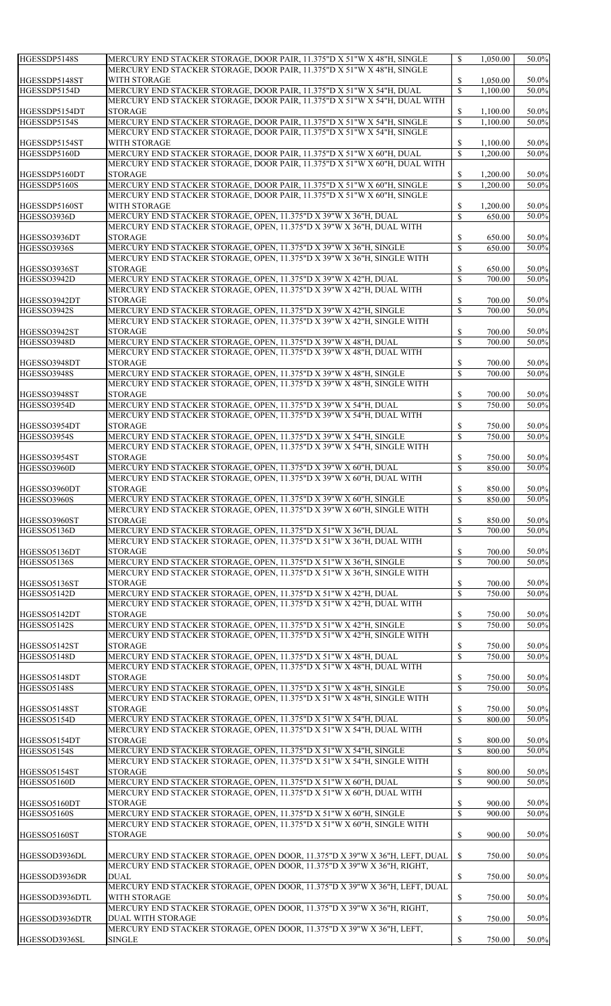| HGESSDP5148S   | MERCURY END STACKER STORAGE, DOOR PAIR, 11.375"D X 51"W X 48"H, SINGLE                 | $\mathbb{S}$  | 1,050.00 | 50.0% |
|----------------|----------------------------------------------------------------------------------------|---------------|----------|-------|
|                |                                                                                        |               |          |       |
|                | MERCURY END STACKER STORAGE, DOOR PAIR, 11.375"D X 51"W X 48"H, SINGLE                 |               |          |       |
| HGESSDP5148ST  | WITH STORAGE                                                                           | \$            | 1,050.00 | 50.0% |
| HGESSDP5154D   | MERCURY END STACKER STORAGE, DOOR PAIR, 11.375"D X 51"W X 54"H, DUAL                   | $\mathbb{S}$  | 1,100.00 | 50.0% |
|                |                                                                                        |               |          |       |
|                | MERCURY END STACKER STORAGE, DOOR PAIR, 11.375"D X 51"W X 54"H, DUAL WITH              |               |          |       |
| HGESSDP5154DT  | <b>STORAGE</b>                                                                         | \$            | 1,100.00 | 50.0% |
| HGESSDP5154S   | MERCURY END STACKER STORAGE, DOOR PAIR, 11.375"D X 51"W X 54"H, SINGLE                 | $\mathbb{S}$  | 1,100.00 | 50.0% |
|                |                                                                                        |               |          |       |
|                | MERCURY END STACKER STORAGE, DOOR PAIR, 11.375"D X 51"W X 54"H, SINGLE                 |               |          |       |
| HGESSDP5154ST  | WITH STORAGE                                                                           | \$            | 1,100.00 | 50.0% |
| HGESSDP5160D   | MERCURY END STACKER STORAGE, DOOR PAIR, 11.375"D X 51"W X 60"H, DUAL                   | $\mathbb{S}$  | 1,200.00 | 50.0% |
|                |                                                                                        |               |          |       |
|                | MERCURY END STACKER STORAGE, DOOR PAIR, 11.375"D X 51"W X 60"H, DUAL WITH              |               |          |       |
| HGESSDP5160DT  | <b>STORAGE</b>                                                                         | \$            | 1,200.00 | 50.0% |
| HGESSDP5160S   | MERCURY END STACKER STORAGE, DOOR PAIR, 11.375"D X 51"W X 60"H, SINGLE                 | $\mathbb{S}$  | 1,200.00 | 50.0% |
|                |                                                                                        |               |          |       |
|                | MERCURY END STACKER STORAGE, DOOR PAIR, 11.375"D X 51"W X 60"H, SINGLE                 |               |          |       |
| HGESSDP5160ST  | WITH STORAGE                                                                           | \$            | 1,200.00 | 50.0% |
| HGESSO3936D    | MERCURY END STACKER STORAGE, OPEN, 11.375"D X 39"W X 36"H, DUAL                        | $\mathbb{S}$  | 650.00   | 50.0% |
|                | MERCURY END STACKER STORAGE, OPEN, 11.375"D X 39"W X 36"H, DUAL WITH                   |               |          |       |
|                |                                                                                        |               |          |       |
| HGESSO3936DT   | <b>STORAGE</b>                                                                         | \$            | 650.00   | 50.0% |
| HGESSO3936S    | MERCURY END STACKER STORAGE, OPEN, 11.375"D X 39"W X 36"H, SINGLE                      | $\mathbb{S}$  | 650.00   | 50.0% |
|                | MERCURY END STACKER STORAGE, OPEN, 11.375"D X 39"W X 36"H, SINGLE WITH                 |               |          |       |
|                |                                                                                        |               |          |       |
| HGESSO3936ST   | <b>STORAGE</b>                                                                         | \$            | 650.00   | 50.0% |
| HGESSO3942D    | MERCURY END STACKER STORAGE, OPEN, 11.375"D X 39"W X 42"H, DUAL                        | $\mathbb{S}$  | 700.00   | 50.0% |
|                | MERCURY END STACKER STORAGE, OPEN, 11.375"D X 39"W X 42"H, DUAL WITH                   |               |          |       |
|                |                                                                                        |               |          |       |
| HGESSO3942DT   | <b>STORAGE</b>                                                                         | S.            | 700.00   | 50.0% |
| HGESSO3942S    | MERCURY END STACKER STORAGE, OPEN, 11.375"D X 39"W X 42"H, SINGLE                      | $\mathbb{S}$  | 700.00   | 50.0% |
|                | MERCURY END STACKER STORAGE, OPEN, 11.375"D X 39"W X 42"H, SINGLE WITH                 |               |          |       |
|                |                                                                                        |               |          |       |
| HGESSO3942ST   | <b>STORAGE</b>                                                                         | \$            | 700.00   | 50.0% |
| HGESSO3948D    | MERCURY END STACKER STORAGE, OPEN, 11.375"D X 39"W X 48"H, DUAL                        | $\mathbb{S}$  | 700.00   | 50.0% |
|                | MERCURY END STACKER STORAGE, OPEN, 11.375"D X 39"W X 48"H, DUAL WITH                   |               |          |       |
|                |                                                                                        |               |          |       |
| HGESSO3948DT   | <b>STORAGE</b>                                                                         |               | 700.00   | 50.0% |
| HGESSO3948S    | MERCURY END STACKER STORAGE, OPEN, 11.375"D X 39"W X 48"H, SINGLE                      | $\mathcal{S}$ | 700.00   | 50.0% |
|                | MERCURY END STACKER STORAGE, OPEN, 11.375"D X 39"W X 48"H, SINGLE WITH                 |               |          |       |
|                |                                                                                        |               |          |       |
| HGESSO3948ST   | <b>STORAGE</b>                                                                         | \$            | 700.00   | 50.0% |
| HGESSO3954D    | MERCURY END STACKER STORAGE, OPEN, 11.375"D X 39"W X 54"H, DUAL                        | $\mathbb{S}$  | 750.00   | 50.0% |
|                | MERCURY END STACKER STORAGE, OPEN, 11.375"D X 39"W X 54"H, DUAL WITH                   |               |          |       |
|                |                                                                                        |               |          |       |
| HGESSO3954DT   | <b>STORAGE</b>                                                                         | \$            | 750.00   | 50.0% |
| HGESSO3954S    | MERCURY END STACKER STORAGE, OPEN, 11.375"D X 39"W X 54"H, SINGLE                      | $\mathbb{S}$  | 750.00   | 50.0% |
|                | MERCURY END STACKER STORAGE, OPEN, 11.375"D X 39"W X 54"H, SINGLE WITH                 |               |          |       |
|                |                                                                                        |               |          |       |
| HGESSO3954ST   | <b>STORAGE</b>                                                                         | \$            | 750.00   | 50.0% |
| HGESSO3960D    | MERCURY END STACKER STORAGE, OPEN, 11.375"D X 39"W X 60"H, DUAL                        | $\mathbb{S}$  | 850.00   | 50.0% |
|                | MERCURY END STACKER STORAGE, OPEN, 11.375"D X 39"W X 60"H, DUAL WITH                   |               |          |       |
|                |                                                                                        |               |          |       |
| HGESSO3960DT   | <b>STORAGE</b>                                                                         | S.            | 850.00   | 50.0% |
| HGESSO3960S    | MERCURY END STACKER STORAGE, OPEN, 11.375"D X 39"W X 60"H, SINGLE                      | $\mathbf S$   | 850.00   | 50.0% |
|                | MERCURY END STACKER STORAGE, OPEN, 11.375"D X 39"W X 60"H, SINGLE WITH                 |               |          |       |
|                |                                                                                        |               |          |       |
| HGESSO3960ST   | <b>STORAGE</b>                                                                         | \$            | 850.00   | 50.0% |
| HGESSO5136D    | MERCURY END STACKER STORAGE, OPEN, 11.375"D X 51"W X 36"H, DUAL                        | $\mathbb{S}$  | 700.00   | 50.0% |
|                | MERCURY END STACKER STORAGE, OPEN, 11.375"D X 51"W X 36"H, DUAL WITH                   |               |          |       |
|                |                                                                                        |               |          |       |
| HGESSO5136DT   | <b>STORAGE</b>                                                                         | \$            | 700.00   | 50.0% |
| HGESSO5136S    | MERCURY END STACKER STORAGE, OPEN, 11.375"D X 51"W X 36"H, SINGLE                      | $\mathbb{S}$  | 700.00   | 50.0% |
|                | MERCURY END STACKER STORAGE, OPEN, 11.375"D X 51"W X 36"H, SINGLE WITH                 |               |          |       |
|                |                                                                                        |               |          |       |
| HGESSO5136ST   | <b>STORAGE</b>                                                                         | \$            | 700.00   | 50.0% |
| HGESSO5142D    | MERCURY END STACKER STORAGE, OPEN, 11.375"D X 51"W X 42"H, DUAL                        | $\mathbb{S}$  | 750.00   | 50.0% |
|                | MERCURY END STACKER STORAGE, OPEN, 11.375"D X 51"W X 42"H, DUAL WITH                   |               |          |       |
|                |                                                                                        |               |          |       |
| HGESSO5142DT   | <b>STORAGE</b>                                                                         | S.            | 750.00   | 50.0% |
| HGESSO5142S    | MERCURY END STACKER STORAGE, OPEN, 11.375"D X 51"W X 42"H, SINGLE                      | $\mathbb{S}$  | 750.00   | 50.0% |
|                | MERCURY END STACKER STORAGE, OPEN, 11.375"D X 51"W X 42"H, SINGLE WITH                 |               |          |       |
|                |                                                                                        |               |          |       |
| HGESSO5142ST   | <b>STORAGE</b>                                                                         | \$            | 750.00   | 50.0% |
| HGESSO5148D    | MERCURY END STACKER STORAGE, OPEN, 11.375"D X 51"W X 48"H, DUAL                        | $\mathbb{S}$  | 750.00   | 50.0% |
|                | MERCURY END STACKER STORAGE, OPEN, 11.375"D X 51"W X 48"H, DUAL WITH                   |               |          |       |
|                |                                                                                        |               |          |       |
| HGESSO5148DT   | <b>STORAGE</b>                                                                         |               | 750.00   | 50.0% |
| HGESSO5148S    | MERCURY END STACKER STORAGE, OPEN, 11.375"D X 51"W X 48"H, SINGLE                      | $\mathbb{S}$  | 750.00   | 50.0% |
|                | MERCURY END STACKER STORAGE, OPEN, 11.375"D X 51"W X 48"H, SINGLE WITH                 |               |          |       |
| HGESSO5148ST   | <b>STORAGE</b>                                                                         |               | 750.00   | 50.0% |
|                |                                                                                        | \$            |          |       |
| HGESSO5154D    | MERCURY END STACKER STORAGE, OPEN, 11.375"D X 51"W X 54"H, DUAL                        | $\mathbb{S}$  | 800.00   | 50.0% |
|                | MERCURY END STACKER STORAGE, OPEN, 11.375"D X 51"W X 54"H, DUAL WITH                   |               |          |       |
| HGESSO5154DT   | <b>STORAGE</b>                                                                         |               | 800.00   |       |
|                |                                                                                        | \$            |          | 50.0% |
| HGESSO5154S    | MERCURY END STACKER STORAGE, OPEN, 11.375"D X 51"W X 54"H, SINGLE                      | $\mathbb{S}$  | 800.00   | 50.0% |
|                | MERCURY END STACKER STORAGE, OPEN, 11.375"D X 51"W X 54"H, SINGLE WITH                 |               |          |       |
| HGESSO5154ST   | <b>STORAGE</b>                                                                         |               | 800.00   | 50.0% |
|                |                                                                                        | \$            |          |       |
| HGESSO5160D    | MERCURY END STACKER STORAGE, OPEN, 11.375"D X 51"W X 60"H, DUAL                        | $\mathbb{S}$  | 900.00   | 50.0% |
|                | MERCURY END STACKER STORAGE, OPEN, 11.375"D X 51"W X 60"H, DUAL WITH                   |               |          |       |
| HGESSO5160DT   | <b>STORAGE</b>                                                                         |               | 900.00   |       |
|                |                                                                                        | \$            |          | 50.0% |
| HGESSO5160S    | MERCURY END STACKER STORAGE, OPEN, 11.375"D X 51"W X 60"H, SINGLE                      | $\mathbb{S}$  | 900.00   | 50.0% |
|                | MERCURY END STACKER STORAGE, OPEN, 11.375"D X 51"W X 60"H, SINGLE WITH                 |               |          |       |
| HGESSO5160ST   | <b>STORAGE</b>                                                                         | \$            | 900.00   | 50.0% |
|                |                                                                                        |               |          |       |
|                |                                                                                        |               |          |       |
| HGESSOD3936DL  | MERCURY END STACKER STORAGE, OPEN DOOR, 11.375"D X 39"W X 36"H, LEFT, DUAL             | \$            | 750.00   | 50.0% |
|                |                                                                                        |               |          |       |
|                | MERCURY END STACKER STORAGE, OPEN DOOR, 11.375"D X 39"W X 36"H, RIGHT,                 |               |          |       |
| HGESSOD3936DR  | <b>DUAL</b>                                                                            | \$            | 750.00   | 50.0% |
|                | MERCURY END STACKER STORAGE, OPEN DOOR, 11.375"D X 39"W X 36"H, LEFT, DUAL             |               |          |       |
|                |                                                                                        |               |          |       |
| HGESSOD3936DTL | WITH STORAGE                                                                           | \$            | 750.00   | 50.0% |
|                |                                                                                        |               |          |       |
|                | MERCURY END STACKER STORAGE, OPEN DOOR, 11.375"D X 39"W X 36"H, RIGHT,                 |               |          |       |
|                |                                                                                        |               |          |       |
| HGESSOD3936DTR | <b>DUAL WITH STORAGE</b>                                                               | \$            | 750.00   | 50.0% |
| HGESSOD3936SL  | MERCURY END STACKER STORAGE, OPEN DOOR, 11.375"D X 39"W X 36"H, LEFT,<br><b>SINGLE</b> | \$            | 750.00   | 50.0% |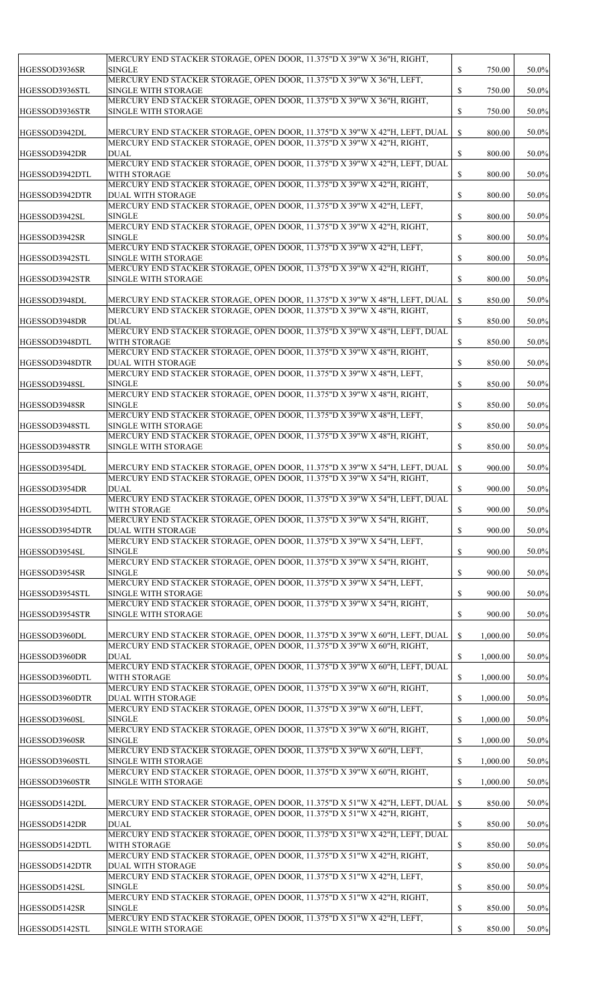| HGESSOD3936SR  | MERCURY END STACKER STORAGE, OPEN DOOR, 11.375"D X 39"W X 36"H, RIGHT,<br><b>SINGLE</b>                                                              | \$           | 750.00   | 50.0% |
|----------------|------------------------------------------------------------------------------------------------------------------------------------------------------|--------------|----------|-------|
| HGESSOD3936STL | MERCURY END STACKER STORAGE, OPEN DOOR, 11.375"D X 39"W X 36"H, LEFT,<br><b>SINGLE WITH STORAGE</b>                                                  | $\mathbb{S}$ | 750.00   | 50.0% |
| HGESSOD3936STR | MERCURY END STACKER STORAGE, OPEN DOOR, 11.375"D X 39"W X 36"H, RIGHT,<br><b>SINGLE WITH STORAGE</b>                                                 | \$           | 750.00   | 50.0% |
| HGESSOD3942DL  | MERCURY END STACKER STORAGE, OPEN DOOR, 11.375"D X 39"W X 42"H, LEFT, DUAL                                                                           | \$           | 800.00   | 50.0% |
| HGESSOD3942DR  | MERCURY END STACKER STORAGE, OPEN DOOR, 11.375"D X 39"W X 42"H, RIGHT,<br><b>DUAL</b>                                                                | $\mathbb{S}$ | 800.00   | 50.0% |
| HGESSOD3942DTL | MERCURY END STACKER STORAGE, OPEN DOOR, 11.375"D X 39"W X 42"H, LEFT, DUAL<br><b>WITH STORAGE</b>                                                    | $\mathbb{S}$ | 800.00   | 50.0% |
| HGESSOD3942DTR | MERCURY END STACKER STORAGE, OPEN DOOR, 11.375"D X 39"W X 42"H, RIGHT,<br><b>DUAL WITH STORAGE</b>                                                   | \$           | 800.00   | 50.0% |
|                | MERCURY END STACKER STORAGE, OPEN DOOR, 11.375"D X 39"W X 42"H, LEFT,                                                                                |              |          |       |
| HGESSOD3942SL  | <b>SINGLE</b><br>MERCURY END STACKER STORAGE, OPEN DOOR, 11.375"D X 39"W X 42"H, RIGHT,                                                              | \$           | 800.00   | 50.0% |
| HGESSOD3942SR  | <b>SINGLE</b><br>MERCURY END STACKER STORAGE, OPEN DOOR, 11.375"D X 39"W X 42"H, LEFT,                                                               | $\mathbb{S}$ | 800.00   | 50.0% |
| HGESSOD3942STL | <b>SINGLE WITH STORAGE</b><br>MERCURY END STACKER STORAGE, OPEN DOOR, 11.375"D X 39"W X 42"H, RIGHT,                                                 | \$           | 800.00   | 50.0% |
| HGESSOD3942STR | <b>SINGLE WITH STORAGE</b>                                                                                                                           | \$           | 800.00   | 50.0% |
| HGESSOD3948DL  | MERCURY END STACKER STORAGE, OPEN DOOR, 11.375"D X 39"W X 48"H, LEFT, DUAL<br>MERCURY END STACKER STORAGE, OPEN DOOR, 11.375"D X 39"W X 48"H, RIGHT, | $\mathbb{S}$ | 850.00   | 50.0% |
| HGESSOD3948DR  | <b>DUAL</b><br>MERCURY END STACKER STORAGE, OPEN DOOR, 11.375"D X 39"W X 48"H, LEFT, DUAL                                                            | $\mathbb{S}$ | 850.00   | 50.0% |
| HGESSOD3948DTL | <b>WITH STORAGE</b><br>MERCURY END STACKER STORAGE, OPEN DOOR, 11.375"D X 39"W X 48"H, RIGHT,                                                        | $\mathbb{S}$ | 850.00   | 50.0% |
| HGESSOD3948DTR | DUAL WITH STORAGE<br>MERCURY END STACKER STORAGE, OPEN DOOR, 11.375"D X 39"W X 48"H, LEFT,                                                           |              | 850.00   | 50.0% |
| HGESSOD3948SL  | <b>SINGLE</b>                                                                                                                                        | \$           | 850.00   | 50.0% |
| HGESSOD3948SR  | MERCURY END STACKER STORAGE, OPEN DOOR, 11.375"D X 39"W X 48"H, RIGHT,<br><b>SINGLE</b>                                                              | \$           | 850.00   | 50.0% |
| HGESSOD3948STL | MERCURY END STACKER STORAGE, OPEN DOOR, 11.375"D X 39"W X 48"H, LEFT,<br><b>SINGLE WITH STORAGE</b>                                                  | $\mathbb{S}$ | 850.00   | 50.0% |
| HGESSOD3948STR | MERCURY END STACKER STORAGE, OPEN DOOR, 11.375"D X 39"W X 48"H, RIGHT,<br><b>SINGLE WITH STORAGE</b>                                                 | \$           | 850.00   | 50.0% |
| HGESSOD3954DL  | MERCURY END STACKER STORAGE, OPEN DOOR, 11.375"D X 39"W X 54"H, LEFT, DUAL                                                                           | $\mathbb{S}$ | 900.00   | 50.0% |
| HGESSOD3954DR  | MERCURY END STACKER STORAGE, OPEN DOOR, 11.375"D X 39"W X 54"H, RIGHT,<br><b>DUAL</b>                                                                | $\mathbb{S}$ | 900.00   | 50.0% |
| HGESSOD3954DTL | MERCURY END STACKER STORAGE, OPEN DOOR, 11.375"D X 39"W X 54"H, LEFT, DUAL<br><b>WITH STORAGE</b>                                                    | $\mathbb{S}$ | 900.00   | 50.0% |
| HGESSOD3954DTR | MERCURY END STACKER STORAGE, OPEN DOOR, 11.375"D X 39"W X 54"H, RIGHT,<br><b>DUAL WITH STORAGE</b>                                                   | \$           | 900.00   | 50.0% |
| HGESSOD3954SL  | MERCURY END STACKER STORAGE, OPEN DOOR, 11.375"D X 39"W X 54"H, LEFT,<br><b>SINGLE</b>                                                               | $\mathbb{S}$ | 900.00   | 50.0% |
| HGESSOD3954SR  | MERCURY END STACKER STORAGE, OPEN DOOR, 11.375"D X 39"W X 54"H, RIGHT,<br><b>SINGLE</b>                                                              | \$           | 900.00   | 50.0% |
|                | MERCURY END STACKER STORAGE, OPEN DOOR, 11.375"D X 39"W X 54"H, LEFT,                                                                                |              |          |       |
| HGESSOD3954STL | <b>SINGLE WITH STORAGE</b><br>MERCURY END STACKER STORAGE, OPEN DOOR, 11.375"D X 39"W X 54"H, RIGHT,                                                 | $\mathbb{S}$ | 900.00   | 50.0% |
| HGESSOD3954STR | <b>SINGLE WITH STORAGE</b>                                                                                                                           | \$           | 900.00   | 50.0% |
| HGESSOD3960DL  | MERCURY END STACKER STORAGE, OPEN DOOR, 11.375"D X 39"W X 60"H, LEFT, DUAL<br>MERCURY END STACKER STORAGE, OPEN DOOR, 11.375"D X 39"W X 60"H, RIGHT, | $\mathbb{S}$ | 1,000.00 | 50.0% |
| HGESSOD3960DR  | <b>DUAL</b><br>MERCURY END STACKER STORAGE, OPEN DOOR, 11.375"D X 39"W X 60"H, LEFT, DUAL                                                            | $\mathbb{S}$ | 1,000.00 | 50.0% |
| HGESSOD3960DTL | <b>WITH STORAGE</b><br>MERCURY END STACKER STORAGE, OPEN DOOR, 11.375"D X 39"W X 60"H, RIGHT,                                                        |              | 1,000.00 | 50.0% |
| HGESSOD3960DTR | <b>DUAL WITH STORAGE</b><br>MERCURY END STACKER STORAGE, OPEN DOOR, 11.375"D X 39"W X 60"H, LEFT,                                                    | $\mathbb{S}$ | 1,000.00 | 50.0% |
| HGESSOD3960SL  | <b>SINGLE</b><br>MERCURY END STACKER STORAGE, OPEN DOOR, 11.375"D X 39"W X 60"H, RIGHT,                                                              | \$           | 1,000.00 | 50.0% |
| HGESSOD3960SR  | <b>SINGLE</b><br>MERCURY END STACKER STORAGE, OPEN DOOR, 11.375"D X 39"W X 60"H, LEFT,                                                               | $\mathbb{S}$ | 1,000.00 | 50.0% |
| HGESSOD3960STL | <b>SINGLE WITH STORAGE</b>                                                                                                                           | $\mathbb{S}$ | 1,000.00 | 50.0% |
| HGESSOD3960STR | MERCURY END STACKER STORAGE, OPEN DOOR, 11.375"D X 39"W X 60"H, RIGHT,<br><b>SINGLE WITH STORAGE</b>                                                 | $\mathbb{S}$ | 1,000.00 | 50.0% |
| HGESSOD5142DL  | MERCURY END STACKER STORAGE, OPEN DOOR, 11.375"D X 51"W X 42"H, LEFT, DUAL                                                                           | $\mathbb{S}$ | 850.00   | 50.0% |
| HGESSOD5142DR  | MERCURY END STACKER STORAGE, OPEN DOOR, 11.375"D X 51"W X 42"H, RIGHT,<br><b>DUAL</b>                                                                | $\mathbb{S}$ | 850.00   | 50.0% |
| HGESSOD5142DTL | MERCURY END STACKER STORAGE, OPEN DOOR, 11.375"D X 31"W X 42"H, LEFT, DUAL<br><b>WITH STORAGE</b>                                                    | \$           | 850.00   | 50.0% |
| HGESSOD5142DTR | MERCURY END STACKER STORAGE, OPEN DOOR, 11.375"D X 51"W X 42"H, RIGHT,<br><b>DUAL WITH STORAGE</b>                                                   | \$           | 850.00   | 50.0% |
| HGESSOD5142SL  | MERCURY END STACKER STORAGE, OPEN DOOR, 11.375"D X 51"W X 42"H, LEFT,<br><b>SINGLE</b>                                                               | \$           | 850.00   | 50.0% |
| HGESSOD5142SR  | MERCURY END STACKER STORAGE, OPEN DOOR, 11.375"D X 51"W X 42"H, RIGHT,<br><b>SINGLE</b>                                                              | \$           | 850.00   | 50.0% |
| HGESSOD5142STL | MERCURY END STACKER STORAGE, OPEN DOOR, 11.375"D X 51"W X 42"H, LEFT,<br><b>SINGLE WITH STORAGE</b>                                                  | \$           | 850.00   | 50.0% |
|                |                                                                                                                                                      |              |          |       |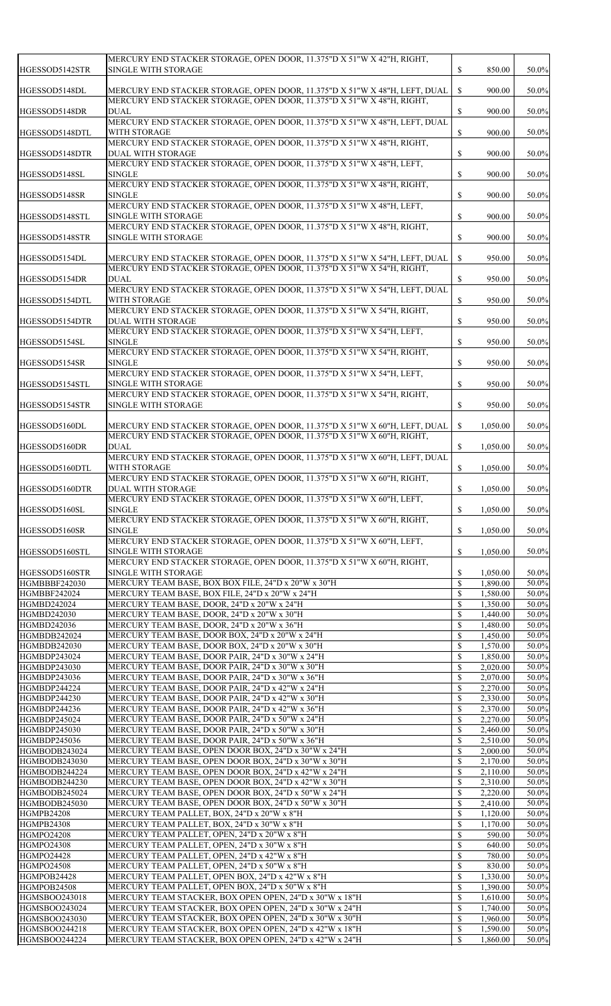| HGESSOD5142STR                                                                                                                                                                                                                                                                                                                                                                                                                                                                     | MERCURY END STACKER STORAGE, OPEN DOOR, 11.375"D X 51"W X 42"H, RIGHT,                                                                               |                                |                      |                                                                                                                                                                |
|------------------------------------------------------------------------------------------------------------------------------------------------------------------------------------------------------------------------------------------------------------------------------------------------------------------------------------------------------------------------------------------------------------------------------------------------------------------------------------|------------------------------------------------------------------------------------------------------------------------------------------------------|--------------------------------|----------------------|----------------------------------------------------------------------------------------------------------------------------------------------------------------|
|                                                                                                                                                                                                                                                                                                                                                                                                                                                                                    | <b>SINGLE WITH STORAGE</b>                                                                                                                           | $\boldsymbol{\mathsf{S}}$      | 850.00               | 50.0%                                                                                                                                                          |
| HGESSOD5148DL                                                                                                                                                                                                                                                                                                                                                                                                                                                                      | MERCURY END STACKER STORAGE, OPEN DOOR, 11.375"D X 51"W X 48"H, LEFT, DUAL<br>MERCURY END STACKER STORAGE, OPEN DOOR, 11.375"D X 51"W X 48"H, RIGHT, | $\mathbb{S}$                   | 900.00               | 50.0%                                                                                                                                                          |
| HGESSOD5148DR                                                                                                                                                                                                                                                                                                                                                                                                                                                                      | DUAL                                                                                                                                                 | $\boldsymbol{\mathsf{S}}$      | 900.00               | 50.0%                                                                                                                                                          |
| HGESSOD5148DTL                                                                                                                                                                                                                                                                                                                                                                                                                                                                     | MERCURY END STACKER STORAGE, OPEN DOOR, 11.375"D X 51"W X 48"H, LEFT, DUAL<br><b>WITH STORAGE</b>                                                    | $\boldsymbol{\mathsf{S}}$      | 900.00               | 50.0%                                                                                                                                                          |
|                                                                                                                                                                                                                                                                                                                                                                                                                                                                                    | MERCURY END STACKER STORAGE, OPEN DOOR, 11.375"D X 51"W X 48"H, RIGHT,                                                                               |                                |                      |                                                                                                                                                                |
| HGESSOD5148DTR                                                                                                                                                                                                                                                                                                                                                                                                                                                                     | <b>DUAL WITH STORAGE</b><br>MERCURY END STACKER STORAGE, OPEN DOOR, 11.375"D X 51"W X 48"H, LEFT,                                                    | $\boldsymbol{\mathsf{S}}$      | 900.00               | 50.0%                                                                                                                                                          |
| HGESSOD5148SL                                                                                                                                                                                                                                                                                                                                                                                                                                                                      | <b>SINGLE</b>                                                                                                                                        | $\boldsymbol{\mathsf{S}}$      | 900.00               | 50.0%                                                                                                                                                          |
| HGESSOD5148SR                                                                                                                                                                                                                                                                                                                                                                                                                                                                      | MERCURY END STACKER STORAGE, OPEN DOOR, 11.375"D X 51"W X 48"H, RIGHT,<br><b>SINGLE</b>                                                              | $\boldsymbol{\mathsf{S}}$      | 900.00               | 50.0%                                                                                                                                                          |
| HGESSOD5148STL                                                                                                                                                                                                                                                                                                                                                                                                                                                                     | MERCURY END STACKER STORAGE, OPEN DOOR, 11.375"D X 51"W X 48"H, LEFT,<br><b>SINGLE WITH STORAGE</b>                                                  | $\mathbb{S}$                   | 900.00               | 50.0%                                                                                                                                                          |
|                                                                                                                                                                                                                                                                                                                                                                                                                                                                                    | MERCURY END STACKER STORAGE, OPEN DOOR, 11.375"D X 51"W X 48"H, RIGHT,                                                                               |                                |                      |                                                                                                                                                                |
| HGESSOD5148STR                                                                                                                                                                                                                                                                                                                                                                                                                                                                     | <b>SINGLE WITH STORAGE</b>                                                                                                                           | $\boldsymbol{\mathsf{S}}$      | 900.00               | 50.0%                                                                                                                                                          |
| HGESSOD5154DL                                                                                                                                                                                                                                                                                                                                                                                                                                                                      | MERCURY END STACKER STORAGE, OPEN DOOR, 11.375"D X 51"W X 54"H, LEFT, DUAL                                                                           | $\boldsymbol{\mathsf{S}}$      | 950.00               | 50.0%                                                                                                                                                          |
| HGESSOD5154DR                                                                                                                                                                                                                                                                                                                                                                                                                                                                      | MERCURY END STACKER STORAGE, OPEN DOOR, 11.375"D X 51"W X 54"H, RIGHT,<br><b>DUAL</b>                                                                | $\boldsymbol{\mathsf{S}}$      | 950.00               | 50.0%                                                                                                                                                          |
|                                                                                                                                                                                                                                                                                                                                                                                                                                                                                    | MERCURY END STACKER STORAGE, OPEN DOOR, 11.375"D X 51"W X 54"H, LEFT, DUAL                                                                           |                                |                      |                                                                                                                                                                |
| HGESSOD5154DTL                                                                                                                                                                                                                                                                                                                                                                                                                                                                     | WITH STORAGE<br>MERCURY END STACKER STORAGE, OPEN DOOR, 11.375"D X 51"W X 54"H, RIGHT,                                                               | $\boldsymbol{\mathsf{S}}$      | 950.00               | 50.0%                                                                                                                                                          |
| HGESSOD5154DTR                                                                                                                                                                                                                                                                                                                                                                                                                                                                     | <b>DUAL WITH STORAGE</b>                                                                                                                             | $\boldsymbol{\mathsf{S}}$      | 950.00               | 50.0%                                                                                                                                                          |
| HGESSOD5154SL                                                                                                                                                                                                                                                                                                                                                                                                                                                                      | MERCURY END STACKER STORAGE, OPEN DOOR, 11.375"D X 51"W X 54"H, LEFT,<br><b>SINGLE</b>                                                               | $\mathbb{S}$                   | 950.00               | 50.0%                                                                                                                                                          |
| HGESSOD5154SR                                                                                                                                                                                                                                                                                                                                                                                                                                                                      | MERCURY END STACKER STORAGE, OPEN DOOR, 11.375"D X 51"W X 54"H, RIGHT,<br><b>SINGLE</b>                                                              | \$                             | 950.00               | 50.0%                                                                                                                                                          |
|                                                                                                                                                                                                                                                                                                                                                                                                                                                                                    | MERCURY END STACKER STORAGE, OPEN DOOR, 11.375"D X 51"W X 54"H, LEFT,                                                                                |                                |                      |                                                                                                                                                                |
| HGESSOD5154STL                                                                                                                                                                                                                                                                                                                                                                                                                                                                     | <b>SINGLE WITH STORAGE</b><br>MERCURY END STACKER STORAGE, OPEN DOOR, 11.375"D X 51"W X 54"H, RIGHT,                                                 | $\mathbb{S}$                   | 950.00               | 50.0%                                                                                                                                                          |
| HGESSOD5154STR                                                                                                                                                                                                                                                                                                                                                                                                                                                                     | <b>SINGLE WITH STORAGE</b>                                                                                                                           | $\mathbb{S}$                   | 950.00               | 50.0%                                                                                                                                                          |
| HGESSOD5160DL                                                                                                                                                                                                                                                                                                                                                                                                                                                                      | MERCURY END STACKER STORAGE, OPEN DOOR, 11.375"D X 51"W X 60"H, LEFT, DUAL                                                                           | $\mathbb{S}$                   | 1,050.00             | 50.0%                                                                                                                                                          |
|                                                                                                                                                                                                                                                                                                                                                                                                                                                                                    | MERCURY END STACKER STORAGE, OPEN DOOR, 11.375"D X 51"W X 60"H, RIGHT,                                                                               |                                |                      |                                                                                                                                                                |
| HGESSOD5160DR                                                                                                                                                                                                                                                                                                                                                                                                                                                                      | <b>DUAL</b><br>MERCURY END STACKER STORAGE, OPEN DOOR, 11.375"D X 51"W X 60"H, LEFT, DUAL                                                            | $\mathbb{S}$                   | 1,050.00             | 50.0%                                                                                                                                                          |
| HGESSOD5160DTL                                                                                                                                                                                                                                                                                                                                                                                                                                                                     | <b>WITH STORAGE</b>                                                                                                                                  | $\mathbb{S}$                   | 1,050.00             | 50.0%                                                                                                                                                          |
| HGESSOD5160DTR                                                                                                                                                                                                                                                                                                                                                                                                                                                                     | MERCURY END STACKER STORAGE, OPEN DOOR, 11.375"D X 51"W X 60"H, RIGHT,<br><b>DUAL WITH STORAGE</b>                                                   | $\mathbb{S}$                   | 1,050.00             | 50.0%                                                                                                                                                          |
|                                                                                                                                                                                                                                                                                                                                                                                                                                                                                    | MERCURY END STACKER STORAGE, OPEN DOOR, 11.375"D X 51"W X 60"H, LEFT,                                                                                |                                |                      |                                                                                                                                                                |
| HGESSOD5160SL                                                                                                                                                                                                                                                                                                                                                                                                                                                                      | <b>SINGLE</b><br>MERCURY END STACKER STORAGE, OPEN DOOR, 11.375"D X 51"W X 60"H, RIGHT,                                                              | $\mathbb{S}$                   | 1,050.00             | 50.0%                                                                                                                                                          |
| HGESSOD5160SR                                                                                                                                                                                                                                                                                                                                                                                                                                                                      | <b>SINGLE</b><br>MERCURY END STACKER STORAGE, OPEN DOOR, 11.375"D X 51"W X 60"H, LEFT,                                                               | $\mathbb{S}$                   | 1,050.00             | 50.0%                                                                                                                                                          |
| HGESSOD5160STL                                                                                                                                                                                                                                                                                                                                                                                                                                                                     | <b>SINGLE WITH STORAGE</b>                                                                                                                           | $\boldsymbol{\mathsf{S}}$      | 1,050.00             | 50.0%                                                                                                                                                          |
| HGESSOD5160STR                                                                                                                                                                                                                                                                                                                                                                                                                                                                     | MERCURY END STACKER STORAGE, OPEN DOOR, 11.375"D X 51"W X 60"H, RIGHT,<br><b>SINGLE WITH STORAGE</b>                                                 | $\mathbb{S}$                   | 1,050.00             | 50.0%                                                                                                                                                          |
| <b>HGMBBBF242030</b>                                                                                                                                                                                                                                                                                                                                                                                                                                                               | MERCURY TEAM BASE, BOX BOX FILE, 24"D x 20"W x 30"H                                                                                                  | $\mathbb{S}$                   | 1,890.00             | 50.0%                                                                                                                                                          |
| <b>HGMBBF242024</b>                                                                                                                                                                                                                                                                                                                                                                                                                                                                | MERCURY TEAM BASE, BOX FILE, 24"D x 20"W x 24"H                                                                                                      | $\mathcal{S}$                  | 1,580.00             | 50.0%                                                                                                                                                          |
| HGMBD242024                                                                                                                                                                                                                                                                                                                                                                                                                                                                        | MERCURY TEAM BASE, DOOR, 24"D x 20"W x 24"H                                                                                                          | $\mathbb{S}$                   | 1,350.00             |                                                                                                                                                                |
|                                                                                                                                                                                                                                                                                                                                                                                                                                                                                    |                                                                                                                                                      |                                |                      |                                                                                                                                                                |
|                                                                                                                                                                                                                                                                                                                                                                                                                                                                                    | MERCURY TEAM BASE, DOOR, 24"D x 20"W x 30"H                                                                                                          | $\mathbb{S}$                   | 1,440.00             |                                                                                                                                                                |
|                                                                                                                                                                                                                                                                                                                                                                                                                                                                                    | MERCURY TEAM BASE, DOOR, 24"D x 20"W x 36"H                                                                                                          | $\mathbb{S}$                   | 1,480.00             |                                                                                                                                                                |
|                                                                                                                                                                                                                                                                                                                                                                                                                                                                                    | MERCURY TEAM BASE, DOOR BOX, 24"D x 20"W x 24"H                                                                                                      | $\mathcal{S}$                  | 1,450.00             |                                                                                                                                                                |
|                                                                                                                                                                                                                                                                                                                                                                                                                                                                                    | MERCURY TEAM BASE, DOOR BOX, 24"D x 20"W x 30"H                                                                                                      | $\mathcal{S}$                  | 1,570.00             |                                                                                                                                                                |
|                                                                                                                                                                                                                                                                                                                                                                                                                                                                                    | MERCURY TEAM BASE, DOOR PAIR, 24"D x 30"W x 24"H                                                                                                     | $\mathbb{S}$                   | 1,850.00             |                                                                                                                                                                |
|                                                                                                                                                                                                                                                                                                                                                                                                                                                                                    | MERCURY TEAM BASE, DOOR PAIR, 24"D x 30"W x 30"H                                                                                                     | $\boldsymbol{\mathsf{S}}$      | 2,020.00             |                                                                                                                                                                |
|                                                                                                                                                                                                                                                                                                                                                                                                                                                                                    | MERCURY TEAM BASE, DOOR PAIR, 24"D x 30"W x 36"H                                                                                                     | $\mathcal{S}$                  |                      | 50.0%<br>50.0%<br>50.0%<br>50.0%<br>50.0%<br>50.0%<br>50.0%                                                                                                    |
|                                                                                                                                                                                                                                                                                                                                                                                                                                                                                    | MERCURY TEAM BASE, DOOR PAIR, 24"D x 42"W x 24"H                                                                                                     | $\mathcal{S}$                  | 2,070.00<br>2,270.00 | 50.0%<br>50.0%                                                                                                                                                 |
|                                                                                                                                                                                                                                                                                                                                                                                                                                                                                    |                                                                                                                                                      |                                |                      |                                                                                                                                                                |
|                                                                                                                                                                                                                                                                                                                                                                                                                                                                                    | MERCURY TEAM BASE, DOOR PAIR, 24"D x 42"W x 30"H                                                                                                     | $\mathbb{S}$                   | 2,330.00             |                                                                                                                                                                |
|                                                                                                                                                                                                                                                                                                                                                                                                                                                                                    | MERCURY TEAM BASE, DOOR PAIR, 24"D x 42"W x 36"H                                                                                                     | $\boldsymbol{\mathsf{S}}$      | 2,370.00             |                                                                                                                                                                |
|                                                                                                                                                                                                                                                                                                                                                                                                                                                                                    | MERCURY TEAM BASE, DOOR PAIR, 24"D x 50"W x 24"H                                                                                                     | $\mathcal{S}$                  | 2,270.00             |                                                                                                                                                                |
|                                                                                                                                                                                                                                                                                                                                                                                                                                                                                    | MERCURY TEAM BASE, DOOR PAIR, 24"D x 50"W x 30"H                                                                                                     | $\boldsymbol{\mathsf{S}}$      | 2,460.00             |                                                                                                                                                                |
|                                                                                                                                                                                                                                                                                                                                                                                                                                                                                    | MERCURY TEAM BASE, DOOR PAIR, 24"D x 50"W x 36"H                                                                                                     | $\mathcal{S}$                  | 2,510.00             |                                                                                                                                                                |
|                                                                                                                                                                                                                                                                                                                                                                                                                                                                                    | MERCURY TEAM BASE, OPEN DOOR BOX, 24"D x 30"W x 24"H                                                                                                 | $\boldsymbol{\mathsf{S}}$      | 2,000.00             |                                                                                                                                                                |
|                                                                                                                                                                                                                                                                                                                                                                                                                                                                                    | MERCURY TEAM BASE, OPEN DOOR BOX, 24"D x 30"W x 30"H                                                                                                 | $\mathbb{S}$                   | 2,170.00             |                                                                                                                                                                |
|                                                                                                                                                                                                                                                                                                                                                                                                                                                                                    | MERCURY TEAM BASE, OPEN DOOR BOX, 24"D x 42"W x 24"H                                                                                                 | $\boldsymbol{\mathsf{S}}$      | 2,110.00             |                                                                                                                                                                |
|                                                                                                                                                                                                                                                                                                                                                                                                                                                                                    | MERCURY TEAM BASE, OPEN DOOR BOX, 24"D x 42"W x 30"H                                                                                                 | $\mathcal{S}$                  | 2,310.00             |                                                                                                                                                                |
|                                                                                                                                                                                                                                                                                                                                                                                                                                                                                    | MERCURY TEAM BASE, OPEN DOOR BOX, 24"D x 50"W x 24"H                                                                                                 | $\boldsymbol{\mathsf{S}}$      | 2,220.00             |                                                                                                                                                                |
|                                                                                                                                                                                                                                                                                                                                                                                                                                                                                    |                                                                                                                                                      | <sup>\$</sup>                  | 2,410.00             |                                                                                                                                                                |
|                                                                                                                                                                                                                                                                                                                                                                                                                                                                                    | MERCURY TEAM BASE, OPEN DOOR BOX, 24"D x 50"W x 30"H                                                                                                 |                                |                      |                                                                                                                                                                |
|                                                                                                                                                                                                                                                                                                                                                                                                                                                                                    | MERCURY TEAM PALLET, BOX, 24"D x 20"W x 8"H                                                                                                          | $\boldsymbol{\mathsf{S}}$      | 1,120.00             |                                                                                                                                                                |
|                                                                                                                                                                                                                                                                                                                                                                                                                                                                                    | MERCURY TEAM PALLET, BOX, 24"D x 30"W x 8"H                                                                                                          | $\mathcal{S}$                  | 1,170.00             |                                                                                                                                                                |
|                                                                                                                                                                                                                                                                                                                                                                                                                                                                                    | MERCURY TEAM PALLET, OPEN, 24"D x 20"W x 8"H                                                                                                         | $\boldsymbol{\mathsf{S}}$      | 590.00               |                                                                                                                                                                |
|                                                                                                                                                                                                                                                                                                                                                                                                                                                                                    | MERCURY TEAM PALLET, OPEN, 24"D x 30"W x 8"H                                                                                                         | $\mathbb{S}$                   | 640.00               |                                                                                                                                                                |
|                                                                                                                                                                                                                                                                                                                                                                                                                                                                                    | MERCURY TEAM PALLET, OPEN, 24"D x 42"W x 8"H                                                                                                         | $\boldsymbol{\mathsf{S}}$      | 780.00               |                                                                                                                                                                |
|                                                                                                                                                                                                                                                                                                                                                                                                                                                                                    | MERCURY TEAM PALLET, OPEN, 24"D x 50"W x 8"H                                                                                                         | $\mathcal{S}$                  | 830.00               |                                                                                                                                                                |
| HGMBD242030<br>HGMBD242036<br>HGMBDB242024<br>HGMBDB242030<br>HGMBDP243024<br>HGMBDP243030<br>HGMBDP243036<br>HGMBDP244224<br>HGMBDP244230<br><b>HGMBDP244236</b><br><b>HGMBDP245024</b><br><b>HGMBDP245030</b><br>HGMBDP245036<br>HGMBODB243024<br>HGMBODB243030<br>HGMBODB244224<br>HGMBODB244230<br>HGMBODB245024<br>HGMBODB245030<br><b>HGMPB24208</b><br><b>HGMPB24308</b><br><b>HGMPO24208</b><br><b>HGMPO24308</b><br><b>HGMPO24428</b><br><b>HGMPO24508</b><br>HGMPOB24428 | MERCURY TEAM PALLET, OPEN BOX, 24"D x 42"W x 8"H                                                                                                     | $\boldsymbol{\mathsf{S}}$      | 1,330.00             | 50.0%<br>50.0%<br>50.0%<br>50.0%<br>50.0%<br>50.0%<br>50.0%<br>50.0%<br>50.0%<br>50.0%<br>50.0%<br>50.0%<br>50.0%<br>50.0%<br>50.0%<br>50.0%<br>50.0%<br>50.0% |
| HGMPOB24508                                                                                                                                                                                                                                                                                                                                                                                                                                                                        | MERCURY TEAM PALLET, OPEN BOX, 24"D x 50"W x 8"H                                                                                                     | <sup>\$</sup>                  | 1,390.00             | 50.0%                                                                                                                                                          |
|                                                                                                                                                                                                                                                                                                                                                                                                                                                                                    |                                                                                                                                                      |                                |                      |                                                                                                                                                                |
| HGMSBOO243018                                                                                                                                                                                                                                                                                                                                                                                                                                                                      | MERCURY TEAM STACKER, BOX OPEN OPEN, 24"D x 30"W x 18"H                                                                                              | $\boldsymbol{\mathsf{S}}$      | 1,610.00             | 50.0%                                                                                                                                                          |
|                                                                                                                                                                                                                                                                                                                                                                                                                                                                                    | MERCURY TEAM STACKER, BOX OPEN OPEN, 24"D x 30"W x 24"H                                                                                              | $\mathcal{S}$                  | 1,740.00             | 50.0%                                                                                                                                                          |
| HGMSBOO243024<br>HGMSBOO243030<br>HGMSBOO244218                                                                                                                                                                                                                                                                                                                                                                                                                                    | MERCURY TEAM STACKER, BOX OPEN OPEN, 24"D x 30"W x 30"H<br>MERCURY TEAM STACKER, BOX OPEN OPEN, 24"D x 42"W x 18"H                                   | $\mathcal{S}$<br>$\mathcal{S}$ | 1,960.00<br>1,590.00 | 50.0%<br>50.0%                                                                                                                                                 |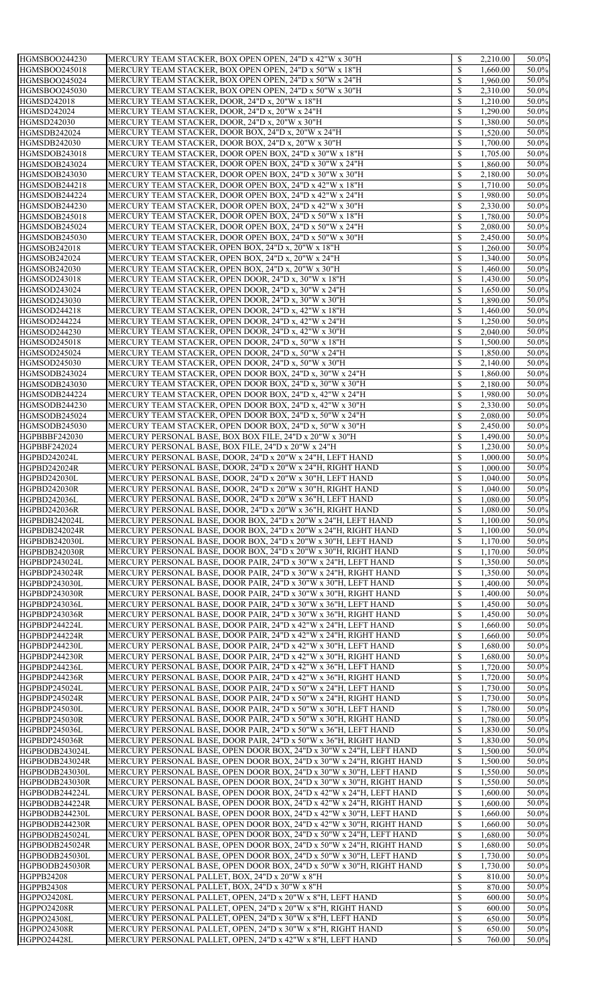| HGMSBOO244230        | MERCURY TEAM STACKER, BOX OPEN OPEN, 24"D x 42"W x 30"H              | \$            | 2,210.00 | 50.0% |
|----------------------|----------------------------------------------------------------------|---------------|----------|-------|
|                      |                                                                      |               |          |       |
| HGMSBOO245018        | MERCURY TEAM STACKER, BOX OPEN OPEN, 24"D x 50"W x 18"H              | \$            | 1,660.00 | 50.0% |
| HGMSBOO245024        | MERCURY TEAM STACKER, BOX OPEN OPEN, 24"D x 50"W x 24"H              | \$            | 1,960.00 | 50.0% |
| HGMSBOO245030        | MERCURY TEAM STACKER, BOX OPEN OPEN, 24"D x 50"W x 30"H              | \$            | 2,310.00 | 50.0% |
|                      |                                                                      |               |          |       |
| HGMSD242018          | MERCURY TEAM STACKER, DOOR, 24"D x, 20"W x 18"H                      | \$            | 1,210.00 | 50.0% |
| <b>HGMSD242024</b>   | MERCURY TEAM STACKER, DOOR, 24"D x, 20"W x 24"H                      | \$            | 1,290.00 | 50.0% |
| HGMSD242030          | MERCURY TEAM STACKER, DOOR, 24"D x, 20"W x 30"H                      | \$            | 1,380.00 | 50.0% |
|                      |                                                                      |               |          |       |
| HGMSDB242024         | MERCURY TEAM STACKER, DOOR BOX, 24"D x, 20"W x 24"H                  | \$            | 1,520.00 | 50.0% |
| <b>HGMSDB242030</b>  | MERCURY TEAM STACKER, DOOR BOX, 24"D x, 20"W x 30"H                  | \$            | 1,700.00 | 50.0% |
| HGMSDOB243018        | MERCURY TEAM STACKER, DOOR OPEN BOX, 24"D x 30"W x 18"H              | \$            | 1,705.00 | 50.0% |
|                      |                                                                      |               |          |       |
| HGMSDOB243024        | MERCURY TEAM STACKER, DOOR OPEN BOX, 24"D x 30"W x 24"H              | \$            | 1,860.00 | 50.0% |
| HGMSDOB243030        | MERCURY TEAM STACKER, DOOR OPEN BOX, 24"D x 30"W x 30"H              | \$            | 2,180.00 | 50.0% |
| HGMSDOB244218        | MERCURY TEAM STACKER, DOOR OPEN BOX, 24"D x 42"W x 18"H              | \$            | 1,710.00 | 50.0% |
|                      |                                                                      |               |          |       |
| HGMSDOB244224        | MERCURY TEAM STACKER, DOOR OPEN BOX, 24"D x 42"W x 24"H              | \$            | 1,980.00 | 50.0% |
| HGMSDOB244230        | MERCURY TEAM STACKER, DOOR OPEN BOX, 24"D x 42"W x 30"H              | \$            | 2,330.00 | 50.0% |
| HGMSDOB245018        | MERCURY TEAM STACKER, DOOR OPEN BOX, 24"D x 50"W x 18"H              | \$            | 1,780.00 | 50.0% |
|                      | MERCURY TEAM STACKER, DOOR OPEN BOX, 24"D x 50"W x 24"H              |               |          | 50.0% |
| HGMSDOB245024        |                                                                      | \$            | 2,080.00 |       |
| HGMSDOB245030        | MERCURY TEAM STACKER, DOOR OPEN BOX, 24"D x 50"W x 30"H              | \$            | 2,450.00 | 50.0% |
| <b>HGMSOB242018</b>  | MERCURY TEAM STACKER, OPEN BOX, 24"D x, 20"W x 18"H                  | \$            | 1,260.00 | 50.0% |
| <b>HGMSOB242024</b>  | MERCURY TEAM STACKER, OPEN BOX, 24"D x, 20"W x 24"H                  | \$            |          | 50.0% |
|                      |                                                                      |               | 1,340.00 |       |
| <b>HGMSOB242030</b>  | MERCURY TEAM STACKER, OPEN BOX, 24"D x, 20"W x 30"H                  | \$            | 1,460.00 | 50.0% |
| <b>HGMSOD243018</b>  | MERCURY TEAM STACKER, OPEN DOOR, 24"D x, 30"W x 18"H                 | \$            | 1,430.00 | 50.0% |
| <b>HGMSOD243024</b>  |                                                                      | \$            |          | 50.0% |
|                      | MERCURY TEAM STACKER, OPEN DOOR, 24"D x, 30"W x 24"H                 |               | 1,650.00 |       |
| <b>HGMSOD243030</b>  | MERCURY TEAM STACKER, OPEN DOOR, 24"D x, 30"W x 30"H                 | $\mathbb{S}$  | 1,890.00 | 50.0% |
| <b>HGMSOD244218</b>  | MERCURY TEAM STACKER, OPEN DOOR, 24"D x, 42"W x 18"H                 | \$            | 1,460.00 | 50.0% |
|                      |                                                                      |               |          |       |
| <b>HGMSOD244224</b>  | MERCURY TEAM STACKER, OPEN DOOR, 24"D x, 42"W x 24"H                 | \$            | 1,250.00 | 50.0% |
| <b>HGMSOD244230</b>  | MERCURY TEAM STACKER, OPEN DOOR, 24"D x, 42"W x 30"H                 | \$            | 2,040.00 | 50.0% |
| <b>HGMSOD245018</b>  | MERCURY TEAM STACKER, OPEN DOOR, 24"D x, 50"W x 18"H                 | $\mathcal{S}$ | 1,500.00 | 50.0% |
|                      | MERCURY TEAM STACKER, OPEN DOOR, 24"D x, 50"W x 24"H                 | \$            |          | 50.0% |
| HGMSOD245024         |                                                                      |               | 1,850.00 |       |
| HGMSOD245030         | MERCURY TEAM STACKER, OPEN DOOR, 24"D x, 50"W x 30"H                 |               | 2,140.00 | 50.0% |
| HGMSODB243024        | MERCURY TEAM STACKER, OPEN DOOR BOX, 24"D x, 30"W x 24"H             | $\mathbb{S}$  | 1,860.00 | 50.0% |
| HGMSODB243030        |                                                                      | \$            | 2,180.00 | 50.0% |
|                      | MERCURY TEAM STACKER, OPEN DOOR BOX, 24"D x, 30"W x 30"H             |               |          |       |
| HGMSODB244224        | MERCURY TEAM STACKER, OPEN DOOR BOX, 24"D x, 42"W x 24"H             | \$            | 1,980.00 | 50.0% |
| HGMSODB244230        | MERCURY TEAM STACKER, OPEN DOOR BOX, 24"D x, 42"W x 30"H             | \$            | 2,330.00 | 50.0% |
| HGMSODB245024        | MERCURY TEAM STACKER, OPEN DOOR BOX, 24"D x, 50"W x 24"H             | \$            | 2,080.00 | 50.0% |
|                      |                                                                      |               |          |       |
| HGMSODB245030        | MERCURY TEAM STACKER, OPEN DOOR BOX, 24"D x, 50"W x 30"H             | \$            | 2,450.00 | 50.0% |
| <b>HGPBBBF242030</b> | MERCURY PERSONAL BASE, BOX BOX FILE, 24"D x 20"W x 30"H              | \$            | 1,490.00 | 50.0% |
| <b>HGPBBF242024</b>  | MERCURY PERSONAL BASE, BOX FILE, 24"D x 20"W x 24"H                  | \$            | 1,230.00 | 50.0% |
|                      |                                                                      |               |          |       |
| HGPBD242024L         | MERCURY PERSONAL BASE, DOOR, 24"D x 20"W x 24"H, LEFT HAND           | \$            | 1,000.00 | 50.0% |
| <b>HGPBD242024R</b>  | MERCURY PERSONAL BASE, DOOR, 24"D x 20"W x 24"H, RIGHT HAND          | \$            | 1,000.00 | 50.0% |
| <b>HGPBD242030L</b>  | MERCURY PERSONAL BASE, DOOR, 24"D x 20"W x 30"H, LEFT HAND           | \$            | 1,040.00 | 50.0% |
|                      |                                                                      |               |          |       |
| <b>HGPBD242030R</b>  | MERCURY PERSONAL BASE, DOOR, 24"D x 20"W x 30"H, RIGHT HAND          | \$            | 1,040.00 | 50.0% |
| HGPBD242036L         | MERCURY PERSONAL BASE, DOOR, 24"D x 20"W x 36"H, LEFT HAND           | \$            | 1,080.00 | 50.0% |
| <b>HGPBD242036R</b>  | MERCURY PERSONAL BASE, DOOR, 24"D x 20"W x 36"H, RIGHT HAND          | \$            | 1,080.00 | 50.0% |
|                      |                                                                      |               |          |       |
| HGPBDB242024L        | MERCURY PERSONAL BASE, DOOR BOX, 24"D x 20"W x 24"H, LEFT HAND       | \$            | 1,100.00 | 50.0% |
| HGPBDB242024R        | MERCURY PERSONAL BASE, DOOR BOX, 24"D x 20"W x 24"H, RIGHT HAND      | \$            | 1,100.00 | 50.0% |
| HGPBDB242030L        | MERCURY PERSONAL BASE, DOOR BOX, 24"D x 20"W x 30"H, LEFT HAND       | \$            | 1,170.00 | 50.0% |
|                      |                                                                      |               |          |       |
| HGPBDB242030R        | MERCURY PERSONAL BASE, DOOR BOX, 24"D x 20"W x 30"H, RIGHT HAND      | \$            | 1,170.00 | 50.0% |
| HGPBDP243024L        | MERCURY PERSONAL BASE, DOOR PAIR, 24"D x 30"W x 24"H, LEFT HAND      | \$            | 1,350.00 | 50.0% |
| HGPBDP243024R        | MERCURY PERSONAL BASE, DOOR PAIR, 24"D x 30"W x 24"H, RIGHT HAND     | \$            | 1,350.00 | 50.0% |
|                      |                                                                      |               |          |       |
| HGPBDP243030L        | MERCURY PERSONAL BASE, DOOR PAIR, 24"D x 30"W x 30"H, LEFT HAND      | \$            | 1,400.00 | 50.0% |
| HGPBDP243030R        | MERCURY PERSONAL BASE, DOOR PAIR, 24"D x 30"W x 30"H, RIGHT HAND     | \$            | 1,400.00 | 50.0% |
| HGPBDP243036L        | MERCURY PERSONAL BASE, DOOR PAIR, 24"D x 30"W x 36"H, LEFT HAND      | \$            | 1,450.00 | 50.0% |
|                      |                                                                      |               |          |       |
| <b>HGPBDP243036R</b> | MERCURY PERSONAL BASE, DOOR PAIR, 24"D x 30"W x 36"H, RIGHT HAND     | \$            | 1,450.00 | 50.0% |
| HGPBDP244224L        | MERCURY PERSONAL BASE, DOOR PAIR, 24"D x 42"W x 24"H, LEFT HAND      | \$            | 1,660.00 | 50.0% |
| HGPBDP244224R        | MERCURY PERSONAL BASE, DOOR PAIR, 24"D x 42"W x 24"H, RIGHT HAND     | \$            | 1,660.00 | 50.0% |
| HGPBDP244230L        | MERCURY PERSONAL BASE, DOOR PAIR, 24"D x 42"W x 30"H, LEFT HAND      | \$            | 1,680.00 | 50.0% |
|                      |                                                                      |               |          |       |
| <b>HGPBDP244230R</b> | MERCURY PERSONAL BASE, DOOR PAIR, 24"D x 42"W x 30"H, RIGHT HAND     | $\mathcal{S}$ | 1,680.00 | 50.0% |
| HGPBDP244236L        | MERCURY PERSONAL BASE, DOOR PAIR, 24"D x 42"W x 36"H, LEFT HAND      | \$            | 1,720.00 | 50.0% |
| HGPBDP244236R        | MERCURY PERSONAL BASE, DOOR PAIR, 24"D x 42"W x 36"H, RIGHT HAND     |               | 1,720.00 | 50.0% |
|                      |                                                                      |               |          |       |
| HGPBDP245024L        | MERCURY PERSONAL BASE, DOOR PAIR, 24"D x 50"W x 24"H, LEFT HAND      | \$            | 1,730.00 | 50.0% |
| HGPBDP245024R        | MERCURY PERSONAL BASE, DOOR PAIR, 24"D x 50"W x 24"H, RIGHT HAND     | \$            | 1,730.00 | 50.0% |
| HGPBDP245030L        | MERCURY PERSONAL BASE, DOOR PAIR, 24"D x 50"W x 30"H, LEFT HAND      | \$            | 1,780.00 | 50.0% |
| HGPBDP245030R        | MERCURY PERSONAL BASE, DOOR PAIR, 24"D x 50"W x 30"H, RIGHT HAND     | \$            | 1,780.00 | 50.0% |
|                      |                                                                      |               |          |       |
| HGPBDP245036L        | MERCURY PERSONAL BASE, DOOR PAIR, 24"D x 50"W x 36"H, LEFT HAND      | \$            | 1,830.00 | 50.0% |
| HGPBDP245036R        | MERCURY PERSONAL BASE, DOOR PAIR, 24"D x 50"W x 36"H, RIGHT HAND     | \$            | 1,830.00 | 50.0% |
| HGPBODB243024L       | MERCURY PERSONAL BASE, OPEN DOOR BOX, 24"D x 30"W x 24"H, LEFT HAND  | \$            | 1,500.00 | 50.0% |
|                      |                                                                      |               |          |       |
| HGPBODB243024R       | MERCURY PERSONAL BASE, OPEN DOOR BOX, 24"D x 30"W x 24"H, RIGHT HAND | \$            | 1,500.00 | 50.0% |
| HGPBODB243030L       | MERCURY PERSONAL BASE, OPEN DOOR BOX, 24"D x 30"W x 30"H, LEFT HAND  | \$            | 1,550.00 | 50.0% |
| HGPBODB243030R       | MERCURY PERSONAL BASE, OPEN DOOR BOX, 24"D x 30"W x 30"H, RIGHT HAND | \$            | 1,550.00 | 50.0% |
|                      |                                                                      |               |          |       |
| HGPBODB244224L       | MERCURY PERSONAL BASE, OPEN DOOR BOX, 24"D x 42"W x 24"H, LEFT HAND  | \$            | 1,600.00 | 50.0% |
| HGPBODB244224R       | MERCURY PERSONAL BASE, OPEN DOOR BOX, 24"D x 42"W x 24"H, RIGHT HAND | \$            | 1,600.00 | 50.0% |
| HGPBODB244230L       | MERCURY PERSONAL BASE, OPEN DOOR BOX, 24"D x 42"W x 30"H, LEFT HAND  | \$            | 1,660.00 | 50.0% |
| HGPBODB244230R       |                                                                      | \$            |          | 50.0% |
|                      | MERCURY PERSONAL BASE, OPEN DOOR BOX, 24"D x 42"W x 30"H, RIGHT HAND |               | 1,660.00 |       |
| HGPBODB245024L       | MERCURY PERSONAL BASE, OPEN DOOR BOX, 24"D x 50"W x 24"H, LEFT HAND  | \$            | 1,680.00 | 50.0% |
| HGPBODB245024R       | MERCURY PERSONAL BASE, OPEN DOOR BOX, 24"D x 50"W x 24"H, RIGHT HAND | \$            | 1,680.00 | 50.0% |
| HGPBODB245030L       | MERCURY PERSONAL BASE, OPEN DOOR BOX, 24"D x 50"W x 30"H, LEFT HAND  | \$            | 1,730.00 | 50.0% |
|                      |                                                                      |               |          |       |
| HGPBODB245030R       | MERCURY PERSONAL BASE, OPEN DOOR BOX, 24"D x 50"W x 30"H, RIGHT HAND | \$            | 1,730.00 | 50.0% |
| <b>HGPPB24208</b>    | MERCURY PERSONAL PALLET, BOX, 24"D x 20"W x 8"H                      | \$            | 810.00   | 50.0% |
| HGPPB24308           | MERCURY PERSONAL PALLET, BOX, 24"D x 30"W x 8"H                      | \$            | 870.00   | 50.0% |
|                      |                                                                      |               |          |       |
| <b>HGPPO24208L</b>   | MERCURY PERSONAL PALLET, OPEN, 24"D x 20"W x 8"H, LEFT HAND          | \$            | 600.00   | 50.0% |
| <b>HGPPO24208R</b>   | MERCURY PERSONAL PALLET, OPEN, 24"D x 20"W x 8"H, RIGHT HAND         | \$            | 600.00   | 50.0% |
| <b>HGPPO24308L</b>   | MERCURY PERSONAL PALLET, OPEN, 24"D x 30"W x 8"H, LEFT HAND          | $\mathbb{S}$  | 650.00   | 50.0% |
| <b>HGPPO24308R</b>   |                                                                      |               |          |       |
|                      | MERCURY PERSONAL PALLET, OPEN, 24"D x 30"W x 8"H, RIGHT HAND         | \$            | 650.00   | 50.0% |
| HGPPO24428L          | MERCURY PERSONAL PALLET, OPEN, 24"D x 42"W x 8"H, LEFT HAND          | \$            | 760.00   | 50.0% |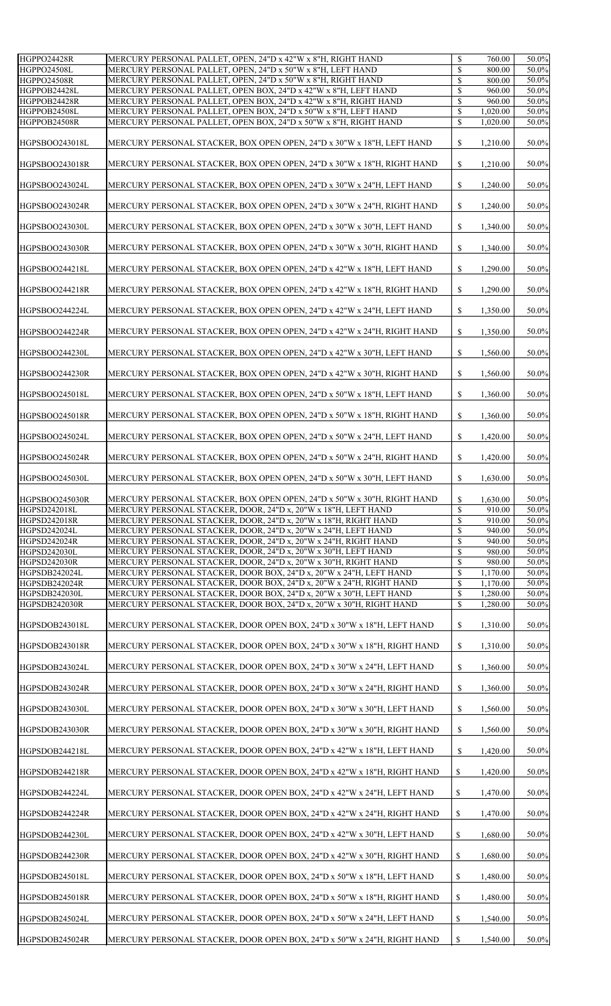| <b>HGPPO24508L</b>                                                                                                                                                                                                                           | MERCURY PERSONAL PALLET, OPEN, 24"D x 42"W x 8"H, RIGHT HAND                                                                      | $\boldsymbol{\mathsf{S}}$                              | 760.00           | 50.0%                                                                                           |
|----------------------------------------------------------------------------------------------------------------------------------------------------------------------------------------------------------------------------------------------|-----------------------------------------------------------------------------------------------------------------------------------|--------------------------------------------------------|------------------|-------------------------------------------------------------------------------------------------|
|                                                                                                                                                                                                                                              | MERCURY PERSONAL PALLET, OPEN, 24"D x 50"W x 8"H, LEFT HAND                                                                       | $\mathcal{S}$                                          | 800.00           | 50.0%                                                                                           |
| <b>HGPPO24508R</b><br>HGPPOB24428L                                                                                                                                                                                                           | MERCURY PERSONAL PALLET, OPEN, 24"D x 50"W x 8"H, RIGHT HAND<br>MERCURY PERSONAL PALLET, OPEN BOX, 24"D x 42"W x 8"H, LEFT HAND   | $\boldsymbol{\mathsf{S}}$<br>$\mathcal{S}$             | 800.00<br>960.00 | 50.0%<br>50.0%                                                                                  |
| HGPPOB24428R                                                                                                                                                                                                                                 | MERCURY PERSONAL PALLET, OPEN BOX, 24"D x 42"W x 8"H, RIGHT HAND                                                                  | $\boldsymbol{\mathsf{S}}$                              | 960.00           | 50.0%                                                                                           |
| HGPPOB24508L                                                                                                                                                                                                                                 | MERCURY PERSONAL PALLET, OPEN BOX, 24"D x 50"W x 8"H, LEFT HAND                                                                   | $\boldsymbol{\mathsf{S}}$                              | 1,020.00         | 50.0%                                                                                           |
| HGPPOB24508R                                                                                                                                                                                                                                 | MERCURY PERSONAL PALLET, OPEN BOX, 24"D x 50"W x 8"H, RIGHT HAND                                                                  | $\boldsymbol{\mathsf{S}}$                              | 1,020.00         | 50.0%                                                                                           |
| HGPSBOO243018L                                                                                                                                                                                                                               | MERCURY PERSONAL STACKER, BOX OPEN OPEN, 24"D x 30"W x 18"H, LEFT HAND                                                            | $\mathbb{S}$                                           | 1,210.00         | 50.0%                                                                                           |
| HGPSBOO243018R                                                                                                                                                                                                                               | MERCURY PERSONAL STACKER, BOX OPEN OPEN, 24"D x 30"W x 18"H, RIGHT HAND                                                           | $\mathbb{S}$                                           | 1,210.00         | 50.0%                                                                                           |
| HGPSBOO243024L                                                                                                                                                                                                                               | MERCURY PERSONAL STACKER, BOX OPEN OPEN, 24"D x 30"W x 24"H, LEFT HAND                                                            | $\mathbb{S}$                                           | 1,240.00         | 50.0%                                                                                           |
| HGPSBOO243024R                                                                                                                                                                                                                               | MERCURY PERSONAL STACKER, BOX OPEN OPEN, 24"D x 30"W x 24"H, RIGHT HAND                                                           | $\mathbb{S}$                                           | 1,240.00         | 50.0%                                                                                           |
| HGPSBOO243030L                                                                                                                                                                                                                               | MERCURY PERSONAL STACKER, BOX OPEN OPEN, 24"D x 30"W x 30"H, LEFT HAND                                                            | $\mathbb{S}$                                           | 1,340.00         | 50.0%                                                                                           |
| <b>HGPSBOO243030R</b>                                                                                                                                                                                                                        | MERCURY PERSONAL STACKER, BOX OPEN OPEN, 24"D x 30"W x 30"H, RIGHT HAND                                                           | $\mathbb{S}$                                           | 1,340.00         | 50.0%                                                                                           |
| HGPSBOO244218L                                                                                                                                                                                                                               | MERCURY PERSONAL STACKER, BOX OPEN OPEN, 24"D x 42"W x 18"H, LEFT HAND                                                            | $\mathbb{S}$                                           | 1,290.00         | 50.0%                                                                                           |
| HGPSBOO244218R                                                                                                                                                                                                                               | MERCURY PERSONAL STACKER, BOX OPEN OPEN, 24"D x 42"W x 18"H, RIGHT HAND                                                           | $\mathbb{S}$                                           | 1,290.00         | 50.0%                                                                                           |
| HGPSBOO244224L                                                                                                                                                                                                                               | MERCURY PERSONAL STACKER, BOX OPEN OPEN, 24"D x 42"W x 24"H, LEFT HAND                                                            | $\mathbb{S}$                                           | 1,350.00         | 50.0%                                                                                           |
| <b>HGPSBOO244224R</b>                                                                                                                                                                                                                        | MERCURY PERSONAL STACKER, BOX OPEN OPEN, 24"D x 42"W x 24"H, RIGHT HAND                                                           | $\mathbb{S}$                                           | 1,350.00         | 50.0%                                                                                           |
| HGPSBOO244230L                                                                                                                                                                                                                               | MERCURY PERSONAL STACKER, BOX OPEN OPEN, 24"D x 42"W x 30"H, LEFT HAND                                                            | $\mathbb{S}$                                           | 1,560.00         | 50.0%                                                                                           |
| <b>HGPSBOO244230R</b>                                                                                                                                                                                                                        | MERCURY PERSONAL STACKER, BOX OPEN OPEN, 24"D x 42"W x 30"H, RIGHT HAND                                                           | $\mathbb{S}$                                           | 1,560.00         | 50.0%                                                                                           |
| HGPSBOO245018L                                                                                                                                                                                                                               | MERCURY PERSONAL STACKER, BOX OPEN OPEN, 24"D x 50"W x 18"H, LEFT HAND                                                            | $\mathbb{S}$                                           | 1,360.00         | 50.0%                                                                                           |
| <b>HGPSBOO245018R</b>                                                                                                                                                                                                                        | MERCURY PERSONAL STACKER, BOX OPEN OPEN, 24"D x 50"W x 18"H, RIGHT HAND                                                           | $\mathbb{S}$                                           | 1,360.00         | 50.0%                                                                                           |
| HGPSBOO245024L                                                                                                                                                                                                                               | MERCURY PERSONAL STACKER, BOX OPEN OPEN, 24"D x 50"W x 24"H, LEFT HAND                                                            | $\mathbb{S}$                                           | 1,420.00         | 50.0%                                                                                           |
| HGPSBOO245024R                                                                                                                                                                                                                               | MERCURY PERSONAL STACKER, BOX OPEN OPEN, 24"D x 50"W x 24"H, RIGHT HAND                                                           | $\mathbb{S}$                                           | 1,420.00         | 50.0%                                                                                           |
| HGPSBOO245030L                                                                                                                                                                                                                               | MERCURY PERSONAL STACKER, BOX OPEN OPEN, 24"D x 50"W x 30"H, LEFT HAND                                                            | $\mathbb{S}$                                           | 1,630.00         | 50.0%                                                                                           |
| <b>HGPSBOO245030R</b>                                                                                                                                                                                                                        | MERCURY PERSONAL STACKER, BOX OPEN OPEN, 24"D x 50"W x 30"H, RIGHT HAND                                                           | $\boldsymbol{\mathsf{S}}$                              | 1,630.00         | 50.0%                                                                                           |
| HGPSD242018L                                                                                                                                                                                                                                 | MERCURY PERSONAL STACKER, DOOR, 24"D x, 20"W x 18"H, LEFT HAND                                                                    | $\boldsymbol{\mathsf{S}}$                              | 910.00           | 50.0%                                                                                           |
|                                                                                                                                                                                                                                              |                                                                                                                                   |                                                        |                  |                                                                                                 |
|                                                                                                                                                                                                                                              | MERCURY PERSONAL STACKER, DOOR, 24"D x, 20"W x 18"H, RIGHT HAND                                                                   | $\boldsymbol{\mathsf{S}}$                              | 910.00           |                                                                                                 |
|                                                                                                                                                                                                                                              | MERCURY PERSONAL STACKER, DOOR, 24"D x, 20"W x 24"H, LEFT HAND<br>MERCURY PERSONAL STACKER, DOOR, 24"D x, 20"W x 24"H, RIGHT HAND | $\boldsymbol{\mathsf{S}}$<br>$\boldsymbol{\mathsf{S}}$ | 940.00<br>940.00 |                                                                                                 |
|                                                                                                                                                                                                                                              | MERCURY PERSONAL STACKER, DOOR, 24"D x, 20"W x 30"H, LEFT HAND                                                                    | $\mathcal{S}$                                          | 980.00           |                                                                                                 |
|                                                                                                                                                                                                                                              | MERCURY PERSONAL STACKER, DOOR, 24"D x, 20"W x 30"H, RIGHT HAND                                                                   | $\boldsymbol{\mathsf{S}}$                              | 980.00           |                                                                                                 |
|                                                                                                                                                                                                                                              | MERCURY PERSONAL STACKER, DOOR BOX, 24"D x, 20"W x 24"H, LEFT HAND                                                                | $\mathcal{S}$                                          | 1,170.00         |                                                                                                 |
|                                                                                                                                                                                                                                              | MERCURY PERSONAL STACKER, DOOR BOX, 24"D x, 20"W x 24"H, RIGHT HAND                                                               | $\boldsymbol{\mathsf{S}}$                              | 1,170.00         |                                                                                                 |
|                                                                                                                                                                                                                                              | MERCURY PERSONAL STACKER, DOOR BOX, 24"D x, 20"W x 30"H, LEFT HAND                                                                | $\boldsymbol{\mathsf{S}}$                              | 1,280.00         |                                                                                                 |
|                                                                                                                                                                                                                                              | MERCURY PERSONAL STACKER, DOOR BOX, 24"D x, 20"W x 30"H, RIGHT HAND                                                               | $\boldsymbol{\mathsf{S}}$                              | 1,280.00         |                                                                                                 |
|                                                                                                                                                                                                                                              | MERCURY PERSONAL STACKER, DOOR OPEN BOX, 24"D x 30"W x 18"H, LEFT HAND                                                            | $\mathbb{S}$                                           | 1,310.00         |                                                                                                 |
| <b>HGPSD242018R</b><br><b>HGPSD242024L</b><br><b>HGPSD242024R</b><br><b>HGPSD242030L</b><br><b>HGPSD242030R</b><br>HGPSDB242024L<br><b>HGPSDB242024R</b><br><b>HGPSDB242030L</b><br><b>HGPSDB242030R</b><br>HGPSDOB243018L<br>HGPSDOB243018R | MERCURY PERSONAL STACKER, DOOR OPEN BOX, 24"D x 30"W x 18"H, RIGHT HAND                                                           | $\mathbb{S}$                                           | 1,310.00         | 50.0%<br>50.0%<br>50.0%<br>50.0%<br>50.0%<br>50.0%<br>50.0%<br>50.0%<br>50.0%<br>50.0%<br>50.0% |
|                                                                                                                                                                                                                                              | MERCURY PERSONAL STACKER, DOOR OPEN BOX, 24"D x 30"W x 24"H, LEFT HAND                                                            | $\mathbb{S}$                                           | 1,360.00         |                                                                                                 |
| HGPSDOB243024L<br>HGPSDOB243024R                                                                                                                                                                                                             | MERCURY PERSONAL STACKER, DOOR OPEN BOX, 24"D x 30"W x 24"H, RIGHT HAND                                                           | $\mathbb{S}$                                           | 1,360.00         | 50.0%<br>50.0%                                                                                  |
|                                                                                                                                                                                                                                              | MERCURY PERSONAL STACKER, DOOR OPEN BOX, 24"D x 30"W x 30"H, LEFT HAND                                                            | $\mathbb{S}$                                           | 1,560.00         |                                                                                                 |
|                                                                                                                                                                                                                                              | MERCURY PERSONAL STACKER, DOOR OPEN BOX, 24"D x 30"W x 30"H, RIGHT HAND                                                           | $\mathbb{S}$                                           | 1,560.00         |                                                                                                 |
|                                                                                                                                                                                                                                              | MERCURY PERSONAL STACKER, DOOR OPEN BOX, 24"D x 42"W x 18"H, LEFT HAND                                                            | $\mathbb{S}$                                           | 1,420.00         |                                                                                                 |
|                                                                                                                                                                                                                                              | MERCURY PERSONAL STACKER, DOOR OPEN BOX, 24"D x 42"W x 18"H, RIGHT HAND                                                           | $\mathbb{S}$                                           | 1,420.00         |                                                                                                 |
|                                                                                                                                                                                                                                              | MERCURY PERSONAL STACKER, DOOR OPEN BOX, 24"D x 42"W x 24"H, LEFT HAND                                                            | $\mathbb{S}$                                           | 1,470.00         |                                                                                                 |
|                                                                                                                                                                                                                                              | MERCURY PERSONAL STACKER, DOOR OPEN BOX, 24"D x 42"W x 24"H, RIGHT HAND                                                           | $\mathbb{S}$                                           | 1,470.00         |                                                                                                 |
|                                                                                                                                                                                                                                              | MERCURY PERSONAL STACKER, DOOR OPEN BOX, 24"D x 42"W x 30"H, LEFT HAND                                                            | $\mathbb{S}$                                           | 1,680.00         |                                                                                                 |
|                                                                                                                                                                                                                                              | MERCURY PERSONAL STACKER, DOOR OPEN BOX, 24"D x 42"W x 30"H, RIGHT HAND                                                           | $\mathbb{S}$                                           | 1,680.00         |                                                                                                 |
| HGPSDOB243030L<br>HGPSDOB243030R<br>HGPSDOB244218L<br>HGPSDOB244218R<br>HGPSDOB244224L<br>HGPSDOB244224R<br>HGPSDOB244230L<br>HGPSDOB244230R<br>HGPSDOB245018L                                                                               | MERCURY PERSONAL STACKER, DOOR OPEN BOX, 24"D x 50"W x 18"H, LEFT HAND                                                            | $\mathbb{S}$                                           | 1,480.00         | 50.0%<br>50.0%<br>50.0%<br>50.0%<br>50.0%<br>50.0%<br>50.0%<br>50.0%<br>50.0%                   |
| HGPSDOB245018R                                                                                                                                                                                                                               | MERCURY PERSONAL STACKER, DOOR OPEN BOX, 24"D x 50"W x 18"H, RIGHT HAND                                                           | $\mathbb{S}$                                           | 1,480.00         |                                                                                                 |
| HGPSDOB245024L                                                                                                                                                                                                                               | MERCURY PERSONAL STACKER, DOOR OPEN BOX, 24"D x 50"W x 24"H, LEFT HAND                                                            | $\mathbb{S}$                                           | 1,540.00         | 50.0%<br>50.0%                                                                                  |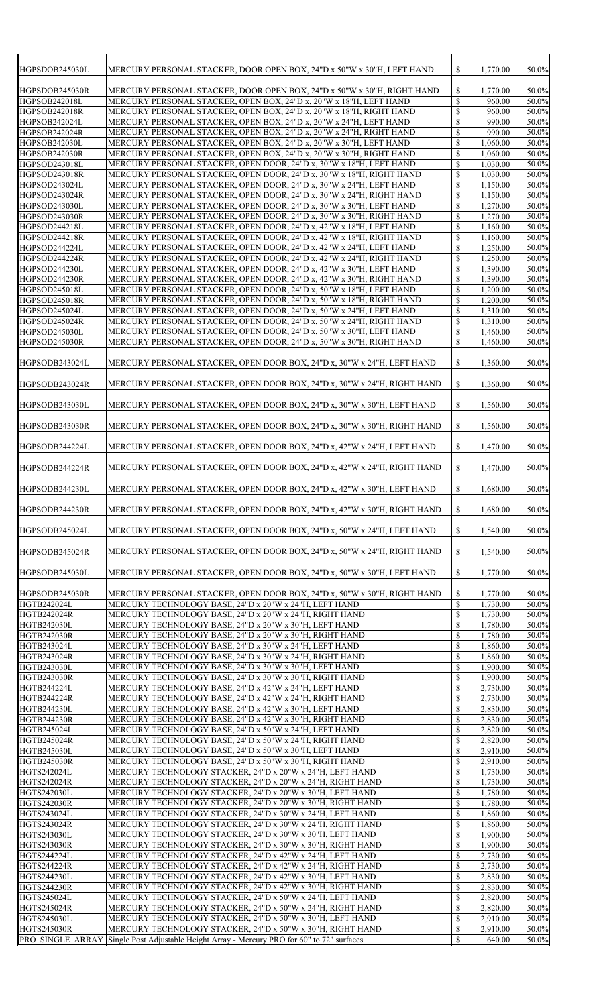|                                                                                                                                                                                                                                                                                                                           | MERCURY PERSONAL STACKER, DOOR OPEN BOX, 24"D x 50"W x 30"H, LEFT HAND                                                  | $\mathbb{S}$                   | 1,770.00             | 50.0%                                                                                                                                                                                              |
|---------------------------------------------------------------------------------------------------------------------------------------------------------------------------------------------------------------------------------------------------------------------------------------------------------------------------|-------------------------------------------------------------------------------------------------------------------------|--------------------------------|----------------------|----------------------------------------------------------------------------------------------------------------------------------------------------------------------------------------------------|
| HGPSDOB245030R                                                                                                                                                                                                                                                                                                            | MERCURY PERSONAL STACKER, DOOR OPEN BOX, 24"D x 50"W x 30"H, RIGHT HAND                                                 | $\mathbb{S}$                   | 1,770.00             | 50.0%                                                                                                                                                                                              |
| HGPSOB242018L                                                                                                                                                                                                                                                                                                             | MERCURY PERSONAL STACKER, OPEN BOX, 24"D x, 20"W x 18"H, LEFT HAND                                                      | $\mathcal{S}$                  | 960.00               | 50.0%                                                                                                                                                                                              |
| <b>HGPSOB242018R</b>                                                                                                                                                                                                                                                                                                      | MERCURY PERSONAL STACKER, OPEN BOX, 24"D x, 20"W x 18"H, RIGHT HAND                                                     | $\mathcal{S}$                  | 960.00               | 50.0%                                                                                                                                                                                              |
|                                                                                                                                                                                                                                                                                                                           |                                                                                                                         |                                |                      |                                                                                                                                                                                                    |
| <b>HGPSOB242024L</b>                                                                                                                                                                                                                                                                                                      | MERCURY PERSONAL STACKER, OPEN BOX, 24"D x, 20"W x 24"H, LEFT HAND                                                      | $\mathcal{S}$                  | 990.00               | 50.0%                                                                                                                                                                                              |
| <b>HGPSOB242024R</b>                                                                                                                                                                                                                                                                                                      | MERCURY PERSONAL STACKER, OPEN BOX, 24"D x, 20"W x 24"H, RIGHT HAND                                                     | $\mathcal{S}$                  | 990.00               | 50.0%                                                                                                                                                                                              |
| <b>HGPSOB242030L</b>                                                                                                                                                                                                                                                                                                      | MERCURY PERSONAL STACKER, OPEN BOX, 24"D x, 20"W x 30"H, LEFT HAND                                                      | $\mathcal{S}$                  | 1,060.00             | 50.0%                                                                                                                                                                                              |
| <b>HGPSOB242030R</b>                                                                                                                                                                                                                                                                                                      | MERCURY PERSONAL STACKER, OPEN BOX, 24"D x, 20"W x 30"H, RIGHT HAND                                                     | $\mathcal{S}$                  | 1,060.00             | 50.0%                                                                                                                                                                                              |
| HGPSOD243018L                                                                                                                                                                                                                                                                                                             | MERCURY PERSONAL STACKER, OPEN DOOR, 24"D x, 30"W x 18"H, LEFT HAND                                                     | $\mathcal{S}$                  | 1,030.00             | 50.0%                                                                                                                                                                                              |
| <b>HGPSOD243018R</b>                                                                                                                                                                                                                                                                                                      | MERCURY PERSONAL STACKER, OPEN DOOR, 24"D x, 30"W x 18"H, RIGHT HAND                                                    | $\mathcal{S}$                  | 1,030.00             | 50.0%                                                                                                                                                                                              |
|                                                                                                                                                                                                                                                                                                                           |                                                                                                                         |                                |                      |                                                                                                                                                                                                    |
| HGPSOD243024L                                                                                                                                                                                                                                                                                                             | MERCURY PERSONAL STACKER, OPEN DOOR, 24"D x, 30"W x 24"H, LEFT HAND                                                     | $\boldsymbol{\mathsf{S}}$      | 1,150.00             | 50.0%                                                                                                                                                                                              |
| <b>HGPSOD243024R</b>                                                                                                                                                                                                                                                                                                      | MERCURY PERSONAL STACKER, OPEN DOOR, 24"D x, 30"W x 24"H, RIGHT HAND                                                    | $\mathcal{S}$                  | 1,150.00             | 50.0%                                                                                                                                                                                              |
| HGPSOD243030L                                                                                                                                                                                                                                                                                                             | MERCURY PERSONAL STACKER, OPEN DOOR, 24"D x, 30"W x 30"H, LEFT HAND                                                     | $\mathcal{S}$                  | 1,270.00             | 50.0%                                                                                                                                                                                              |
| HGPSOD243030R                                                                                                                                                                                                                                                                                                             | MERCURY PERSONAL STACKER, OPEN DOOR, 24"D x, 30"W x 30"H, RIGHT HAND                                                    | $\mathcal{S}$                  | 1,270.00             | 50.0%                                                                                                                                                                                              |
| HGPSOD244218L                                                                                                                                                                                                                                                                                                             | MERCURY PERSONAL STACKER, OPEN DOOR, 24"D x, 42"W x 18"H, LEFT HAND                                                     | $\boldsymbol{\mathsf{S}}$      | 1,160.00             | 50.0%                                                                                                                                                                                              |
|                                                                                                                                                                                                                                                                                                                           |                                                                                                                         |                                |                      |                                                                                                                                                                                                    |
| <b>HGPSOD244218R</b>                                                                                                                                                                                                                                                                                                      | MERCURY PERSONAL STACKER, OPEN DOOR, 24"D x, 42"W x 18"H, RIGHT HAND                                                    | $\mathcal{S}$                  | 1,160.00             | 50.0%                                                                                                                                                                                              |
| HGPSOD244224L                                                                                                                                                                                                                                                                                                             | MERCURY PERSONAL STACKER, OPEN DOOR, 24"D x, 42"W x 24"H, LEFT HAND                                                     | $\mathcal{S}$                  | 1,250.00             | 50.0%                                                                                                                                                                                              |
| <b>HGPSOD244224R</b>                                                                                                                                                                                                                                                                                                      | MERCURY PERSONAL STACKER, OPEN DOOR, 24"D x, 42"W x 24"H, RIGHT HAND                                                    | $\mathcal{S}$                  | 1,250.00             | 50.0%                                                                                                                                                                                              |
| <b>HGPSOD244230L</b>                                                                                                                                                                                                                                                                                                      | MERCURY PERSONAL STACKER, OPEN DOOR, 24"D x, 42"W x 30"H, LEFT HAND                                                     | $\boldsymbol{\mathsf{S}}$      | 1,390.00             | 50.0%                                                                                                                                                                                              |
|                                                                                                                                                                                                                                                                                                                           |                                                                                                                         |                                |                      |                                                                                                                                                                                                    |
| <b>HGPSOD244230R</b>                                                                                                                                                                                                                                                                                                      | MERCURY PERSONAL STACKER, OPEN DOOR, 24"D x, 42"W x 30"H, RIGHT HAND                                                    | $\mathcal{S}$                  | 1,390.00             | 50.0%                                                                                                                                                                                              |
| HGPSOD245018L                                                                                                                                                                                                                                                                                                             | MERCURY PERSONAL STACKER, OPEN DOOR, 24"D x, 50"W x 18"H, LEFT HAND                                                     | $\mathcal{S}$                  | 1,200.00             | 50.0%                                                                                                                                                                                              |
| <b>HGPSOD245018R</b>                                                                                                                                                                                                                                                                                                      | MERCURY PERSONAL STACKER, OPEN DOOR, 24"D x, 50"W x 18"H, RIGHT HAND                                                    | $\mathcal{S}$                  | 1,200.00             | 50.0%                                                                                                                                                                                              |
| HGPSOD245024L                                                                                                                                                                                                                                                                                                             | MERCURY PERSONAL STACKER, OPEN DOOR, 24"D x, 50"W x 24"H, LEFT HAND                                                     | $\boldsymbol{\mathsf{S}}$      | 1,310.00             | 50.0%                                                                                                                                                                                              |
|                                                                                                                                                                                                                                                                                                                           |                                                                                                                         |                                |                      |                                                                                                                                                                                                    |
| <b>HGPSOD245024R</b>                                                                                                                                                                                                                                                                                                      | MERCURY PERSONAL STACKER, OPEN DOOR, 24"D x, 50"W x 24"H, RIGHT HAND                                                    | $\mathcal{S}$                  | 1,310.00             | 50.0%                                                                                                                                                                                              |
| HGPSOD245030L                                                                                                                                                                                                                                                                                                             | MERCURY PERSONAL STACKER, OPEN DOOR, 24"D x, 50"W x 30"H, LEFT HAND                                                     | $\boldsymbol{\mathsf{S}}$      | 1,460.00             | 50.0%                                                                                                                                                                                              |
| <b>HGPSOD245030R</b>                                                                                                                                                                                                                                                                                                      | MERCURY PERSONAL STACKER, OPEN DOOR, 24"D x, 50"W x 30"H, RIGHT HAND                                                    | $\mathbb{S}$                   | 1,460.00             | 50.0%                                                                                                                                                                                              |
|                                                                                                                                                                                                                                                                                                                           |                                                                                                                         |                                |                      |                                                                                                                                                                                                    |
| HGPSODB243024L                                                                                                                                                                                                                                                                                                            | MERCURY PERSONAL STACKER, OPEN DOOR BOX, 24"D x, 30"W x 24"H, LEFT HAND                                                 | $\mathbb{S}$                   | 1,360.00             | 50.0%                                                                                                                                                                                              |
| HGPSODB243024R                                                                                                                                                                                                                                                                                                            | MERCURY PERSONAL STACKER, OPEN DOOR BOX, 24"D x, 30"W x 24"H, RIGHT HAND                                                | $\mathbb{S}$                   | 1,360.00             | 50.0%                                                                                                                                                                                              |
| HGPSODB243030L                                                                                                                                                                                                                                                                                                            | MERCURY PERSONAL STACKER, OPEN DOOR BOX, 24"D x, 30"W x 30"H, LEFT HAND                                                 | $\mathbb{S}$                   | 1,560.00             | 50.0%                                                                                                                                                                                              |
| HGPSODB243030R                                                                                                                                                                                                                                                                                                            | MERCURY PERSONAL STACKER, OPEN DOOR BOX, 24"D x, 30"W x 30"H, RIGHT HAND                                                | $\mathbb{S}$                   | 1,560.00             | 50.0%                                                                                                                                                                                              |
| HGPSODB244224L                                                                                                                                                                                                                                                                                                            | MERCURY PERSONAL STACKER, OPEN DOOR BOX, 24"D x, 42"W x 24"H, LEFT HAND                                                 | $\mathbb{S}$                   | 1,470.00             | 50.0%                                                                                                                                                                                              |
|                                                                                                                                                                                                                                                                                                                           |                                                                                                                         |                                |                      |                                                                                                                                                                                                    |
| HGPSODB244224R                                                                                                                                                                                                                                                                                                            | MERCURY PERSONAL STACKER, OPEN DOOR BOX, 24"D x, 42"W x 24"H, RIGHT HAND                                                | $\mathbb{S}$                   | 1,470.00             | 50.0%                                                                                                                                                                                              |
| HGPSODB244230L                                                                                                                                                                                                                                                                                                            | MERCURY PERSONAL STACKER, OPEN DOOR BOX, 24"D x, 42"W x 30"H, LEFT HAND                                                 | $\mathbb{S}$                   | 1,680.00             | 50.0%                                                                                                                                                                                              |
| HGPSODB244230R                                                                                                                                                                                                                                                                                                            | MERCURY PERSONAL STACKER, OPEN DOOR BOX, 24"D x, 42"W x 30"H, RIGHT HAND                                                | $\mathbb{S}$                   | 1,680.00             | 50.0%                                                                                                                                                                                              |
| HGPSODB245024L                                                                                                                                                                                                                                                                                                            | MERCURY PERSONAL STACKER, OPEN DOOR BOX, 24"D x, 50"W x 24"H, LEFT HAND                                                 | $\mathbb{S}$                   | 1,540.00             | 50.0%                                                                                                                                                                                              |
| HGPSODB245024R                                                                                                                                                                                                                                                                                                            | MERCURY PERSONAL STACKER, OPEN DOOR BOX, 24"D x, 50"W x 24"H, RIGHT HAND                                                | $\mathbb{S}$                   | 1,540.00             | 50.0%                                                                                                                                                                                              |
| HGPSODB245030L                                                                                                                                                                                                                                                                                                            | MERCURY PERSONAL STACKER, OPEN DOOR BOX, 24"D x, 50"W x 30"H, LEFT HAND                                                 | $\mathbb{S}$                   | 1,770.00             | 50.0%                                                                                                                                                                                              |
|                                                                                                                                                                                                                                                                                                                           |                                                                                                                         |                                |                      |                                                                                                                                                                                                    |
|                                                                                                                                                                                                                                                                                                                           |                                                                                                                         |                                |                      |                                                                                                                                                                                                    |
|                                                                                                                                                                                                                                                                                                                           | MERCURY PERSONAL STACKER, OPEN DOOR BOX, 24"D x, 50"W x 30"H, RIGHT HAND                                                | $\mathbb{S}$                   | 1,770.00             | 50.0%                                                                                                                                                                                              |
|                                                                                                                                                                                                                                                                                                                           | MERCURY TECHNOLOGY BASE, 24"D x 20"W x 24"H, LEFT HAND                                                                  | $\mathcal{S}$                  | 1,730.00             | 50.0%                                                                                                                                                                                              |
| HGPSODB245030R<br>HGTB242024L<br><b>HGTB242024R</b>                                                                                                                                                                                                                                                                       | MERCURY TECHNOLOGY BASE, 24"D x 20"W x 24"H, RIGHT HAND                                                                 | $\mathbb{S}$                   | 1,730.00             | 50.0%                                                                                                                                                                                              |
|                                                                                                                                                                                                                                                                                                                           |                                                                                                                         |                                |                      |                                                                                                                                                                                                    |
|                                                                                                                                                                                                                                                                                                                           | MERCURY TECHNOLOGY BASE, 24"D x 20"W x 30"H, LEFT HAND                                                                  | $\mathcal{S}$                  | 1,780.00             |                                                                                                                                                                                                    |
|                                                                                                                                                                                                                                                                                                                           | MERCURY TECHNOLOGY BASE, 24"D x 20"W x 30"H, RIGHT HAND                                                                 | $\mathcal{S}$                  | 1,780.00             |                                                                                                                                                                                                    |
| <b>HGTB242030L</b><br><b>HGTB242030R</b><br>HGTB243024L                                                                                                                                                                                                                                                                   | MERCURY TECHNOLOGY BASE, 24"D x 30"W x 24"H, LEFT HAND                                                                  | $\mathcal{S}$                  | 1,860.00             |                                                                                                                                                                                                    |
|                                                                                                                                                                                                                                                                                                                           | MERCURY TECHNOLOGY BASE, 24"D x 30"W x 24"H, RIGHT HAND                                                                 | $\mathcal{S}$                  | 1,860.00             | 50.0%<br>50.0%<br>50.0%<br>50.0%                                                                                                                                                                   |
|                                                                                                                                                                                                                                                                                                                           | MERCURY TECHNOLOGY BASE, 24"D x 30"W x 30"H, LEFT HAND                                                                  | $\boldsymbol{\mathsf{S}}$      | 1,900.00             |                                                                                                                                                                                                    |
|                                                                                                                                                                                                                                                                                                                           |                                                                                                                         |                                |                      |                                                                                                                                                                                                    |
| HGTB243024R<br><b>HGTB243030L</b><br>HGTB243030R                                                                                                                                                                                                                                                                          | MERCURY TECHNOLOGY BASE, 24"D x 30"W x 30"H, RIGHT HAND                                                                 | $\mathcal{S}$                  | 1,900.00             |                                                                                                                                                                                                    |
|                                                                                                                                                                                                                                                                                                                           | MERCURY TECHNOLOGY BASE, 24"D x 42"W x 24"H, LEFT HAND                                                                  | $\mathcal{S}$                  | 2,730.00             |                                                                                                                                                                                                    |
|                                                                                                                                                                                                                                                                                                                           | MERCURY TECHNOLOGY BASE, 24"D x 42"W x 24"H, RIGHT HAND                                                                 | $\mathcal{S}$                  | 2,730.00             |                                                                                                                                                                                                    |
|                                                                                                                                                                                                                                                                                                                           | MERCURY TECHNOLOGY BASE, 24"D x 42"W x 30"H, LEFT HAND                                                                  | $\mathcal{S}$                  | 2,830.00             |                                                                                                                                                                                                    |
|                                                                                                                                                                                                                                                                                                                           | MERCURY TECHNOLOGY BASE, 24"D x 42"W x 30"H, RIGHT HAND                                                                 | $\mathcal{S}$                  | 2,830.00             |                                                                                                                                                                                                    |
|                                                                                                                                                                                                                                                                                                                           |                                                                                                                         |                                |                      |                                                                                                                                                                                                    |
|                                                                                                                                                                                                                                                                                                                           | MERCURY TECHNOLOGY BASE, 24"D x 50"W x 24"H, LEFT HAND                                                                  | $\mathcal{S}$                  | 2,820.00             |                                                                                                                                                                                                    |
|                                                                                                                                                                                                                                                                                                                           | MERCURY TECHNOLOGY BASE, 24"D x 50"W x 24"H, RIGHT HAND                                                                 | $\mathcal{S}$                  | 2,820.00             |                                                                                                                                                                                                    |
|                                                                                                                                                                                                                                                                                                                           | MERCURY TECHNOLOGY BASE, 24"D x 50"W x 30"H, LEFT HAND                                                                  | $\mathcal{S}$                  | 2,910.00             |                                                                                                                                                                                                    |
|                                                                                                                                                                                                                                                                                                                           | MERCURY TECHNOLOGY BASE, 24"D x 50"W x 30"H, RIGHT HAND                                                                 | $\mathcal{S}$                  | 2,910.00             |                                                                                                                                                                                                    |
|                                                                                                                                                                                                                                                                                                                           |                                                                                                                         | $\mathcal{S}$                  | 1,730.00             |                                                                                                                                                                                                    |
|                                                                                                                                                                                                                                                                                                                           | MERCURY TECHNOLOGY STACKER, 24"D x 20"W x 24"H, LEFT HAND                                                               |                                |                      |                                                                                                                                                                                                    |
|                                                                                                                                                                                                                                                                                                                           | MERCURY TECHNOLOGY STACKER, 24"D x 20"W x 24"H, RIGHT HAND                                                              | $\mathcal{S}$                  | 1,730.00             |                                                                                                                                                                                                    |
|                                                                                                                                                                                                                                                                                                                           | MERCURY TECHNOLOGY STACKER, 24"D x 20"W x 30"H, LEFT HAND                                                               | $\mathcal{S}$                  | 1,780.00             |                                                                                                                                                                                                    |
|                                                                                                                                                                                                                                                                                                                           | MERCURY TECHNOLOGY STACKER, 24"D x 20"W x 30"H, RIGHT HAND                                                              | $\mathcal{S}$                  | 1,780.00             |                                                                                                                                                                                                    |
|                                                                                                                                                                                                                                                                                                                           | MERCURY TECHNOLOGY STACKER, 24"D x 30"W x 24"H, LEFT HAND                                                               | $\mathcal{S}$                  | 1,860.00             |                                                                                                                                                                                                    |
|                                                                                                                                                                                                                                                                                                                           |                                                                                                                         |                                |                      |                                                                                                                                                                                                    |
|                                                                                                                                                                                                                                                                                                                           | MERCURY TECHNOLOGY STACKER, 24"D x 30"W x 24"H, RIGHT HAND                                                              | $\mathcal{S}$                  | 1,860.00             |                                                                                                                                                                                                    |
|                                                                                                                                                                                                                                                                                                                           | MERCURY TECHNOLOGY STACKER, 24"D x 30"W x 30"H, LEFT HAND                                                               | $\mathcal{S}$                  | 1,900.00             |                                                                                                                                                                                                    |
| HGTB244224L<br><b>HGTB244224R</b><br><b>HGTB244230L</b><br><b>HGTB244230R</b><br>HGTB245024L<br><b>HGTB245024R</b><br><b>HGTB245030L</b><br><b>HGTB245030R</b><br>HGTS242024L<br><b>HGTS242024R</b><br><b>HGTS242030L</b><br><b>HGTS242030R</b><br>HGTS243024L<br>HGTS243024R<br><b>HGTS243030L</b><br><b>HGTS243030R</b> | MERCURY TECHNOLOGY STACKER, 24"D x 30"W x 30"H, RIGHT HAND                                                              | $\mathcal{S}$                  | 1,900.00             |                                                                                                                                                                                                    |
| HGTS244224L                                                                                                                                                                                                                                                                                                               | MERCURY TECHNOLOGY STACKER, 24"D x 42"W x 24"H, LEFT HAND                                                               | $\mathcal{S}$                  | 2,730.00             |                                                                                                                                                                                                    |
|                                                                                                                                                                                                                                                                                                                           |                                                                                                                         |                                |                      |                                                                                                                                                                                                    |
| <b>HGTS244224R</b>                                                                                                                                                                                                                                                                                                        | MERCURY TECHNOLOGY STACKER, 24"D x 42"W x 24"H, RIGHT HAND                                                              | $\mathcal{S}$                  | 2,730.00             |                                                                                                                                                                                                    |
| <b>HGTS244230L</b>                                                                                                                                                                                                                                                                                                        | MERCURY TECHNOLOGY STACKER, 24"D x 42"W x 30"H, LEFT HAND                                                               | $\mathcal{S}$                  | 2,830.00             |                                                                                                                                                                                                    |
| <b>HGTS244230R</b>                                                                                                                                                                                                                                                                                                        | MERCURY TECHNOLOGY STACKER, 24"D x 42"W x 30"H, RIGHT HAND                                                              | $\mathcal{S}$                  | 2,830.00             | 50.0%<br>50.0%<br>50.0%<br>50.0%<br>50.0%<br>50.0%<br>50.0%<br>50.0%<br>50.0%<br>50.0%<br>50.0%<br>50.0%<br>50.0%<br>50.0%<br>50.0%<br>50.0%<br>50.0%<br>50.0%<br>50.0%<br>50.0%<br>50.0%<br>50.0% |
| HGTS245024L                                                                                                                                                                                                                                                                                                               | MERCURY TECHNOLOGY STACKER, 24"D x 50"W x 24"H, LEFT HAND                                                               | $\mathcal{S}$                  | 2,820.00             | 50.0%                                                                                                                                                                                              |
|                                                                                                                                                                                                                                                                                                                           | MERCURY TECHNOLOGY STACKER, 24"D x 50"W x 24"H, RIGHT HAND                                                              | $\mathcal{S}$                  | 2,820.00             | 50.0%                                                                                                                                                                                              |
| <b>HGTS245024R</b>                                                                                                                                                                                                                                                                                                        |                                                                                                                         |                                |                      |                                                                                                                                                                                                    |
| <b>HGTS245030L</b><br><b>HGTS245030R</b>                                                                                                                                                                                                                                                                                  | MERCURY TECHNOLOGY STACKER, 24"D x 50"W x 30"H, LEFT HAND<br>MERCURY TECHNOLOGY STACKER, 24"D x 50"W x 30"H, RIGHT HAND | $\mathcal{S}$<br>$\mathcal{S}$ | 2,910.00<br>2,910.00 | 50.0%<br>50.0%                                                                                                                                                                                     |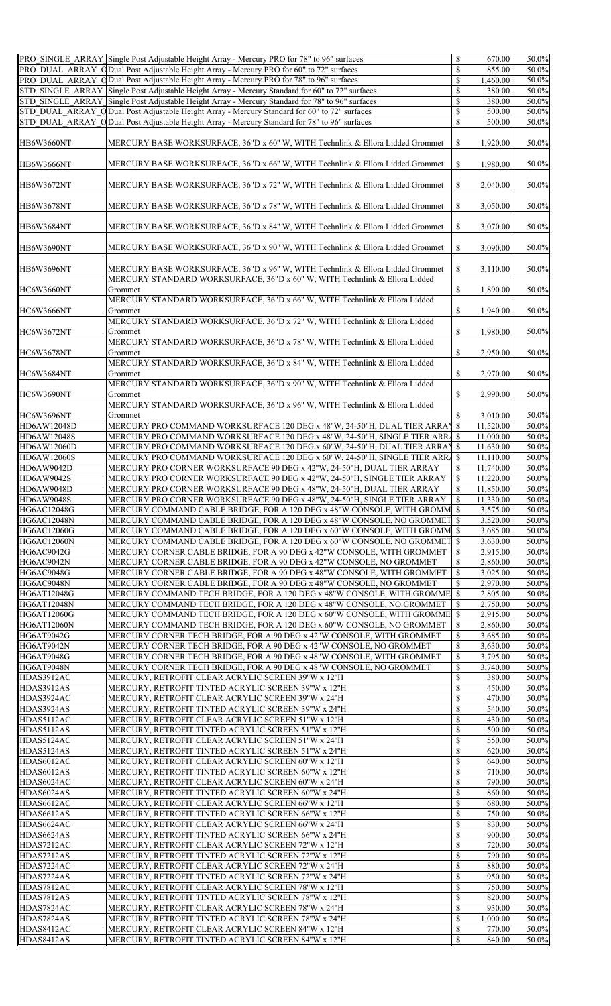|                    | PRO SINGLE ARRAY Single Post Adjustable Height Array - Mercury PRO for 78" to 96" surfaces      | \$                        | 670.00    | 50.0% |
|--------------------|-------------------------------------------------------------------------------------------------|---------------------------|-----------|-------|
|                    |                                                                                                 |                           |           |       |
|                    | PRO DUAL ARRAY ODual Post Adjustable Height Array - Mercury PRO for 60" to 72" surfaces         | \$                        | 855.00    | 50.0% |
|                    | PRO DUAL ARRAY ODual Post Adjustable Height Array - Mercury PRO for 78" to 96" surfaces         | \$                        | 1,460.00  | 50.0% |
|                    | STD SINGLE ARRAY Single Post Adjustable Height Array - Mercury Standard for 60" to 72" surfaces | \$                        | 380.00    | 50.0% |
|                    |                                                                                                 |                           |           |       |
|                    | STD SINGLE ARRAY Single Post Adjustable Height Array - Mercury Standard for 78" to 96" surfaces | \$                        | 380.00    | 50.0% |
|                    | STD DUAL ARRAY ODual Post Adjustable Height Array - Mercury Standard for 60" to 72" surfaces    | \$                        | 500.00    | 50.0% |
|                    | STD DUAL ARRAY ODual Post Adjustable Height Array - Mercury Standard for 78" to 96" surfaces    | \$                        | 500.00    | 50.0% |
|                    |                                                                                                 |                           |           |       |
|                    |                                                                                                 |                           |           |       |
| <b>HB6W3660NT</b>  | MERCURY BASE WORKSURFACE, 36"D x 60" W, WITH Technlink & Ellora Lidded Grommet                  | \$                        | 1,920.00  | 50.0% |
|                    |                                                                                                 |                           |           |       |
| <b>HB6W3666NT</b>  | MERCURY BASE WORKSURFACE, 36"D x 66" W, WITH Technlink & Ellora Lidded Grommet                  | \$                        | 1,980.00  | 50.0% |
|                    |                                                                                                 |                           |           |       |
|                    |                                                                                                 |                           |           |       |
| <b>HB6W3672NT</b>  | MERCURY BASE WORKSURFACE, 36"D x 72" W, WITH Technlink & Ellora Lidded Grommet                  | \$                        | 2,040.00  | 50.0% |
|                    |                                                                                                 |                           |           |       |
| <b>HB6W3678NT</b>  | MERCURY BASE WORKSURFACE, 36"D x 78" W, WITH Technlink & Ellora Lidded Grommet                  | \$                        | 3,050.00  | 50.0% |
|                    |                                                                                                 |                           |           |       |
|                    |                                                                                                 |                           |           |       |
| <b>HB6W3684NT</b>  | MERCURY BASE WORKSURFACE, 36"D x 84" W, WITH Technlink & Ellora Lidded Grommet                  | \$                        | 3,070.00  | 50.0% |
|                    |                                                                                                 |                           |           |       |
|                    |                                                                                                 |                           |           |       |
| <b>HB6W3690NT</b>  | MERCURY BASE WORKSURFACE, 36"D x 90" W, WITH Technlink & Ellora Lidded Grommet                  | \$                        | 3,090.00  | 50.0% |
|                    |                                                                                                 |                           |           |       |
| <b>HB6W3696NT</b>  | MERCURY BASE WORKSURFACE, 36"D x 96" W, WITH Technlink & Ellora Lidded Grommet                  | $\mathbb{S}$              | 3,110.00  | 50.0% |
|                    | MERCURY STANDARD WORKSURFACE, 36"D x 60" W, WITH Technlink & Ellora Lidded                      |                           |           |       |
|                    |                                                                                                 |                           |           |       |
| HC6W3660NT         | Grommet                                                                                         | $\mathbb{S}$              | 1,890.00  | 50.0% |
|                    | MERCURY STANDARD WORKSURFACE, 36"D x 66" W, WITH Technlink & Ellora Lidded                      |                           |           |       |
| HC6W3666NT         | Grommet                                                                                         | $\mathbb{S}$              | 1,940.00  | 50.0% |
|                    | MERCURY STANDARD WORKSURFACE, 36"D x 72" W, WITH Technlink & Ellora Lidded                      |                           |           |       |
|                    |                                                                                                 |                           |           |       |
| <b>HC6W3672NT</b>  | Grommet                                                                                         | \$                        | 1,980.00  | 50.0% |
|                    | MERCURY STANDARD WORKSURFACE, 36"D x 78" W, WITH Technlink & Ellora Lidded                      |                           |           |       |
| HC6W3678NT         | Grommet                                                                                         | \$                        | 2,950.00  | 50.0% |
|                    |                                                                                                 |                           |           |       |
|                    | MERCURY STANDARD WORKSURFACE, 36"D x 84" W, WITH Technlink & Ellora Lidded                      |                           |           |       |
| HC6W3684NT         | Grommet                                                                                         | \$                        | 2,970.00  | 50.0% |
|                    | MERCURY STANDARD WORKSURFACE, 36"D x 90" W, WITH Technlink & Ellora Lidded                      |                           |           |       |
| HC6W3690NT         | Grommet                                                                                         | \$                        | 2,990.00  | 50.0% |
|                    |                                                                                                 |                           |           |       |
|                    | MERCURY STANDARD WORKSURFACE, 36"D x 96" W, WITH Technlink & Ellora Lidded                      |                           |           |       |
| HC6W3696NT         | Grommet                                                                                         | \$                        | 3,010.00  | 50.0% |
| HD6AW12048D        | MERCURY PRO COMMAND WORKSURFACE 120 DEG x 48"W, 24-50"H, DUAL TIER ARRAY                        | <sup>S</sup>              | 11,520.00 | 50.0% |
| HD6AW12048S        | MERCURY PRO COMMAND WORKSURFACE 120 DEG x 48"W, 24-50"H, SINGLE TIER ARRA \$                    |                           | 11,000.00 | 50.0% |
|                    |                                                                                                 |                           |           |       |
| HD6AW12060D        | MERCURY PRO COMMAND WORKSURFACE 120 DEG x 60"W, 24-50"H, DUAL TIER ARRAY \$                     |                           | 11,630.00 | 50.0% |
| HD6AW12060S        | MERCURY PRO COMMAND WORKSURFACE 120 DEG x 60"W, 24-50"H, SINGLE TIER ARRA \$                    |                           | 11,110.00 | 50.0% |
| HD6AW9042D         | MERCURY PRO CORNER WORKSURFACE 90 DEG x 42"W, 24-50"H, DUAL TIER ARRAY                          | \$                        | 11,740.00 | 50.0% |
|                    |                                                                                                 |                           |           |       |
| HD6AW9042S         | MERCURY PRO CORNER WORKSURFACE 90 DEG x 42"W, 24-50"H, SINGLE TIER ARRAY                        | $\mathbb{S}$              | 11,220.00 | 50.0% |
| HD6AW9048D         | MERCURY PRO CORNER WORKSURFACE 90 DEG x 48"W, 24-50"H, DUAL TIER ARRAY                          | \$                        | 11,850.00 | 50.0% |
| <b>HD6AW9048S</b>  | MERCURY PRO CORNER WORKSURFACE 90 DEG x 48"W, 24-50"H, SINGLE TIER ARRAY                        | $\mathcal{S}$             | 11,330.00 | 50.0% |
| <b>HG6AC12048G</b> | MERCURY COMMAND CABLE BRIDGE, FOR A 120 DEG x 48"W CONSOLE, WITH GROMM  \$                      |                           | 3,575.00  | 50.0% |
|                    |                                                                                                 |                           |           |       |
| <b>HG6AC12048N</b> | MERCURY COMMAND CABLE BRIDGE, FOR A 120 DEG x 48"W CONSOLE, NO GROMMET \$                       |                           | 3,520.00  | 50.0% |
| HG6AC12060G        | MERCURY COMMAND CABLE BRIDGE, FOR A 120 DEG x 60"W CONSOLE, WITH GROMM \\$                      |                           | 3,685.00  | 50.0% |
| <b>HG6AC12060N</b> | MERCURY COMMAND CABLE BRIDGE, FOR A 120 DEG x 60"W CONSOLE, NO GROMMET \$                       |                           | 3,630.00  | 50.0% |
|                    |                                                                                                 |                           |           |       |
| <b>HG6AC9042G</b>  | MERCURY CORNER CABLE BRIDGE, FOR A 90 DEG x 42"W CONSOLE, WITH GROMMET                          | \$                        | 2,915.00  | 50.0% |
| HG6AC9042N         | MERCURY CORNER CABLE BRIDGE, FOR A 90 DEG x 42"W CONSOLE, NO GROMMET                            | $\mathbb{S}$              | 2,860.00  | 50.0% |
| HG6AC9048G         | MERCURY CORNER CABLE BRIDGE, FOR A 90 DEG x 48"W CONSOLE, WITH GROMMET                          | $\boldsymbol{\mathsf{S}}$ | 3,025.00  | 50.0% |
| HG6AC9048N         | MERCURY CORNER CABLE BRIDGE, FOR A 90 DEG x 48"W CONSOLE, NO GROMMET                            | $\mathbb{S}$              | 2,970.00  | 50.0% |
| HG6AT12048G        | MERCURY COMMAND TECH BRIDGE, FOR A 120 DEG x 48"W CONSOLE, WITH GROMME \\$                      |                           | 2,805.00  | 50.0% |
|                    |                                                                                                 |                           |           |       |
| <b>HG6AT12048N</b> | MERCURY COMMAND TECH BRIDGE, FOR A 120 DEG x 48"W CONSOLE, NO GROMMET                           | $\mathbb{S}$              | 2,750.00  | 50.0% |
| HG6AT12060G        | MERCURY COMMAND TECH BRIDGE, FOR A 120 DEG x 60"W CONSOLE, WITH GROMME                          | $\boldsymbol{\mathsf{S}}$ | 2,915.00  | 50.0% |
| <b>HG6AT12060N</b> | MERCURY COMMAND TECH BRIDGE, FOR A 120 DEG x 60"W CONSOLE, NO GROMMET                           | $\mathbb{S}$              | 2,860.00  | 50.0% |
| <b>HG6AT9042G</b>  | MERCURY CORNER TECH BRIDGE, FOR A 90 DEG x 42"W CONSOLE, WITH GROMMET                           | \$                        | 3,685.00  | 50.0% |
|                    |                                                                                                 |                           |           |       |
| HG6AT9042N         | MERCURY CORNER TECH BRIDGE, FOR A 90 DEG x 42"W CONSOLE, NO GROMMET                             | $\mathbb{S}$              | 3,630.00  | 50.0% |
| <b>HG6AT9048G</b>  | MERCURY CORNER TECH BRIDGE, FOR A 90 DEG x 48"W CONSOLE, WITH GROMMET                           | \$                        | 3,795.00  | 50.0% |
| HG6AT9048N         | MERCURY CORNER TECH BRIDGE, FOR A 90 DEG x 48"W CONSOLE, NO GROMMET                             | \$                        | 3,740.00  | 50.0% |
| HDAS3912AC         | MERCURY, RETROFIT CLEAR ACRYLIC SCREEN 39"W x 12"H                                              | ९                         | 380.00    | 50.0% |
|                    |                                                                                                 |                           |           |       |
| HDAS3912AS         | MERCURY, RETROFIT TINTED ACRYLIC SCREEN 39"W x 12"H                                             | \$                        | 450.00    | 50.0% |
| HDAS3924AC         | MERCURY, RETROFIT CLEAR ACRYLIC SCREEN 39"W x 24"H                                              | \$                        | 470.00    | 50.0% |
| HDAS3924AS         | MERCURY, RETROFIT TINTED ACRYLIC SCREEN 39"W x 24"H                                             | \$                        | 540.00    | 50.0% |
| HDAS5112AC         | MERCURY, RETROFIT CLEAR ACRYLIC SCREEN 51"W x 12"H                                              | \$                        | 430.00    | 50.0% |
| HDAS5112AS         |                                                                                                 | \$                        |           | 50.0% |
|                    | MERCURY, RETROFIT TINTED ACRYLIC SCREEN 51"W x 12"H                                             |                           | 500.00    |       |
| HDAS5124AC         | MERCURY, RETROFIT CLEAR ACRYLIC SCREEN 51"W x 24"H                                              | \$                        | 550.00    | 50.0% |
| HDAS5124AS         | MERCURY, RETROFIT TINTED ACRYLIC SCREEN 51"W x 24"H                                             | \$                        | 620.00    | 50.0% |
| HDAS6012AC         | MERCURY, RETROFIT CLEAR ACRYLIC SCREEN 60"W x 12"H                                              | \$                        | 640.00    | 50.0% |
| HDAS6012AS         | MERCURY, RETROFIT TINTED ACRYLIC SCREEN 60"W x 12"H                                             | \$                        |           | 50.0% |
|                    |                                                                                                 |                           | 710.00    |       |
| HDAS6024AC         | MERCURY, RETROFIT CLEAR ACRYLIC SCREEN 60"W x 24"H                                              | \$                        | 790.00    | 50.0% |
| HDAS6024AS         | MERCURY, RETROFIT TINTED ACRYLIC SCREEN 60"W x 24"H                                             | \$                        | 860.00    | 50.0% |
| HDAS6612AC         | MERCURY, RETROFIT CLEAR ACRYLIC SCREEN 66"W x 12"H                                              | \$                        | 680.00    | 50.0% |
| HDAS6612AS         | MERCURY, RETROFIT TINTED ACRYLIC SCREEN 66"W x 12"H                                             | \$                        | 750.00    | 50.0% |
|                    |                                                                                                 |                           |           |       |
| HDAS6624AC         | MERCURY, RETROFIT CLEAR ACRYLIC SCREEN 66"W x 24"H                                              | \$                        | 830.00    | 50.0% |
| HDAS6624AS         | MERCURY, RETROFIT TINTED ACRYLIC SCREEN 66"W x 24"H                                             | \$                        | 900.00    | 50.0% |
| HDAS7212AC         | MERCURY, RETROFIT CLEAR ACRYLIC SCREEN 72"W x 12"H                                              | \$                        | 720.00    | 50.0% |
| HDAS7212AS         | MERCURY, RETROFIT TINTED ACRYLIC SCREEN 72"W x 12"H                                             | \$                        | 790.00    | 50.0% |
|                    |                                                                                                 |                           |           |       |
| HDAS7224AC         | MERCURY, RETROFIT CLEAR ACRYLIC SCREEN 72"W x 24"H                                              | \$                        | 880.00    | 50.0% |
| HDAS7224AS         | MERCURY, RETROFIT TINTED ACRYLIC SCREEN 72"W x 24"H                                             | \$                        | 950.00    | 50.0% |
| HDAS7812AC         | MERCURY, RETROFIT CLEAR ACRYLIC SCREEN 78"W x 12"H                                              | \$                        | 750.00    | 50.0% |
| <b>HDAS7812AS</b>  |                                                                                                 | \$                        | 820.00    | 50.0% |
|                    | MERCURY, RETROFIT TINTED ACRYLIC SCREEN 78"W x 12"H                                             |                           |           |       |
| HDAS7824AC         | MERCURY, RETROFIT CLEAR ACRYLIC SCREEN 78"W x 24"H                                              | \$                        | 930.00    | 50.0% |
| HDAS7824AS         | MERCURY, RETROFIT TINTED ACRYLIC SCREEN 78"W x 24"H                                             | \$                        | 1,000.00  | 50.0% |
| HDAS8412AC         | MERCURY, RETROFIT CLEAR ACRYLIC SCREEN 84"W x 12"H                                              | \$                        | 770.00    | 50.0% |
| HDAS8412AS         |                                                                                                 | \$                        | 840.00    | 50.0% |
|                    | MERCURY, RETROFIT TINTED ACRYLIC SCREEN 84"W x 12"H                                             |                           |           |       |